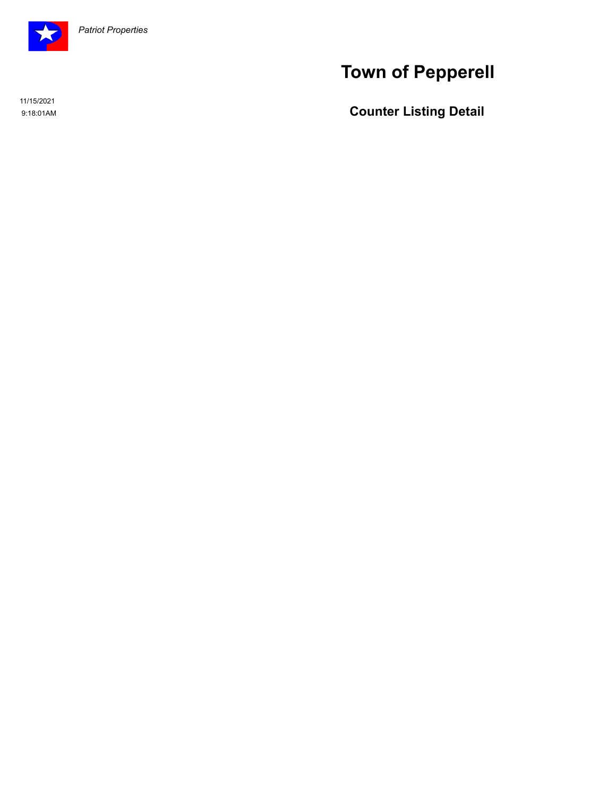

# **Town of Pepperell**

11/15/2021

**Counter Listing Detail Counter Listing Detail**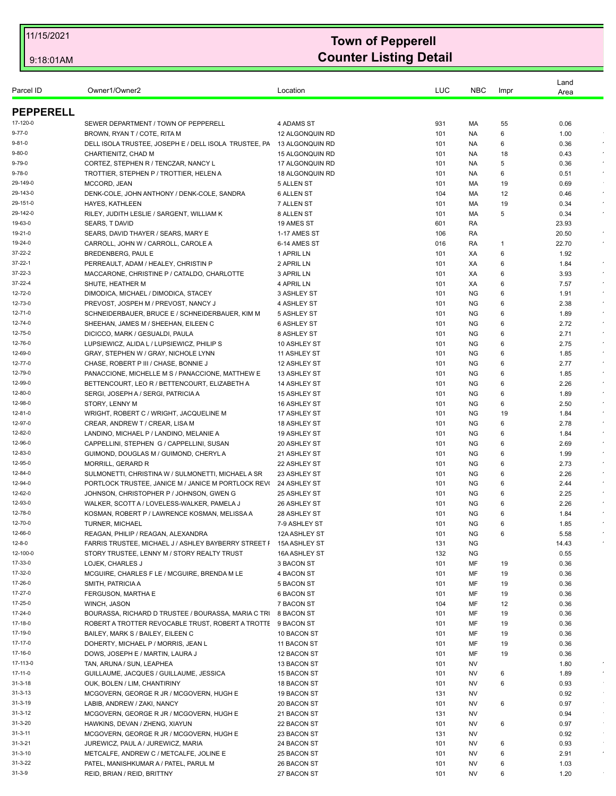| Parcel ID          | Owner1/Owner2                                                                           | Location                   | LUC        | <b>NBC</b>             | Impr   | Land<br>Area |            |
|--------------------|-----------------------------------------------------------------------------------------|----------------------------|------------|------------------------|--------|--------------|------------|
| <b>PEPPERELL</b>   |                                                                                         |                            |            |                        |        |              |            |
| 17-120-0           | SEWER DEPARTMENT / TOWN OF PEPPERELL                                                    | 4 ADAMS ST                 | 931        | МA                     | 55     | 0.06         |            |
| 9-77-0             | BROWN, RYAN T / COTE, RITA M                                                            | 12 ALGONQUIN RD            | 101        | NA.                    | 6      | 1.00         |            |
| 9-81-0             | DELL ISOLA TRUSTEE, JOSEPH E / DELL ISOLA TRUSTEE, PA                                   | 13 ALGONQUIN RD            | 101        | <b>NA</b>              | 6      | 0.36         |            |
| 9-80-0             | CHARTIENITZ, CHAD M                                                                     | 15 ALGONQUIN RD            | 101        | NA.                    | 18     | 0.43         |            |
| 9-79-0             | CORTEZ, STEPHEN R / TENCZAR, NANCY L                                                    | 17 ALGONQUIN RD            | 101        | NA.                    | 5      | 0.36         | $\epsilon$ |
| 9-78-0             | TROTTIER, STEPHEN P / TROTTIER, HELEN A                                                 | 18 ALGONQUIN RD            | 101        | NA.                    | 6      | 0.51         | $\star$    |
| 29-149-0           | MCCORD, JEAN                                                                            | 5 ALLEN ST                 | 101        | МA                     | 19     | 0.69         |            |
| 29-143-0           | DENK-COLE, JOHN ANTHONY / DENK-COLE, SANDRA                                             | <b>6 ALLEN ST</b>          | 104        | МA                     | 12     | 0.46         | $\bullet$  |
| 29-151-0           | HAYES, KATHLEEN                                                                         | 7 ALLEN ST                 | 101        | МA                     | 19     | 0.34         |            |
| 29-142-0           | RILEY, JUDITH LESLIE / SARGENT, WILLIAM K                                               | 8 ALLEN ST                 | 101        | МA                     | 5      | 0.34         |            |
| 19-63-0            | <b>SEARS, T DAVID</b>                                                                   | 19 AMES ST                 | 601        | RA                     |        | 23.93        |            |
| 19-21-0            | SEARS, DAVID THAYER / SEARS, MARY E                                                     | 1-17 AMES ST               | 106        | RA                     |        | 20.50        | $\sim$     |
| 19-24-0            | CARROLL, JOHN W / CARROLL, CAROLE A                                                     | 6-14 AMES ST               | 016        | RA                     | -1     | 22.70        |            |
| 37-22-2            | BREDENBERG, PAUL E                                                                      | 1 APRIL LN                 | 101        | XA                     | 6      | 1.92         |            |
| 37-22-1            | PERREAULT, ADAM / HEALEY, CHRISTIN P                                                    | 2 APRIL LN                 | 101        | XA                     | 6      | 1.84         | $\bullet$  |
| 37-22-3            | MACCARONE, CHRISTINE P / CATALDO, CHARLOTTE                                             | 3 APRIL LN                 | 101        | XA                     | 6      | 3.93         | $\sim$     |
| 37-22-4            | SHUTE, HEATHER M                                                                        | 4 APRIL LN                 | 101        | XA                     | 6      | 7.57         | $\sim$     |
| 12-72-0<br>12-73-0 | DIMODICA, MICHAEL / DIMODICA, STACEY                                                    | 3 ASHLEY ST<br>4 ASHLEY ST | 101        | ΝG                     | 6<br>6 | 1.91         |            |
| 12-71-0            | PREVOST, JOSPEH M / PREVOST, NANCY J                                                    |                            | 101        | <b>NG</b>              |        | 2.38         | $\sim$     |
| 12-74-0            | SCHNEIDERBAUER, BRUCE E / SCHNEIDERBAUER, KIM M<br>SHEEHAN, JAMES M / SHEEHAN, EILEEN C | 5 ASHLEY ST<br>6 ASHLEY ST | 101<br>101 | <b>NG</b><br><b>NG</b> | 6<br>6 | 1.89<br>2.72 |            |
| 12-75-0            | DICICCO, MARK / GESUALDI, PAULA                                                         | 8 ASHLEY ST                | 101        | <b>NG</b>              | 6      | 2.71         |            |
| 12-76-0            | LUPSIEWICZ, ALIDA L / LUPSIEWICZ, PHILIP S                                              | 10 ASHLEY ST               | 101        | <b>NG</b>              | 6      | 2.75         |            |
| 12-69-0            | GRAY, STEPHEN W / GRAY, NICHOLE LYNN                                                    | 11 ASHLEY ST               | 101        | ΝG                     | 6      | 1.85         | $\sim$     |
| 12-77-0            | CHASE, ROBERT P III / CHASE, BONNIE J                                                   | 12 ASHLEY ST               | 101        | <b>NG</b>              | 6      | 2.77         | $\epsilon$ |
| 12-79-0            | PANACCIONE, MICHELLE M S / PANACCIONE, MATTHEW E                                        | 13 ASHLEY ST               | 101        | <b>NG</b>              | 6      | 1.85         |            |
| 12-99-0            | BETTENCOURT, LEO R / BETTENCOURT, ELIZABETH A                                           | 14 ASHLEY ST               | 101        | <b>NG</b>              | 6      | 2.26         |            |
| 12-80-0            | SERGI, JOSEPH A / SERGI, PATRICIA A                                                     | 15 ASHLEY ST               | 101        | <b>NG</b>              | 6      | 1.89         | $\epsilon$ |
| 12-98-0            | STORY, LENNY M                                                                          | 16 ASHLEY ST               | 101        | NG.                    | 6      | 2.50         |            |
| 12-81-0            | WRIGHT, ROBERT C / WRIGHT, JACQUELINE M                                                 | 17 ASHLEY ST               | 101        | <b>NG</b>              | 19     | 1.84         |            |
| 12-97-0            | CREAR, ANDREW T / CREAR, LISA M                                                         | 18 ASHLEY ST               | 101        | <b>NG</b>              | 6      | 2.78         |            |
| 12-82-0            | LANDINO, MICHAEL P / LANDINO, MELANIE A                                                 | 19 ASHLEY ST               | 101        | ΝG                     | 6      | 1.84         |            |
| 12-96-0            | CAPPELLINI, STEPHEN G / CAPPELLINI, SUSAN                                               | 20 ASHLEY ST               | 101        | <b>NG</b>              | 6      | 2.69         |            |
| 12-83-0            | GUIMOND, DOUGLAS M / GUIMOND, CHERYL A                                                  | 21 ASHLEY ST               | 101        | <b>NG</b>              | 6      | 1.99         | $\bullet$  |
| 12-95-0            | <b>MORRILL, GERARD R</b>                                                                | 22 ASHLEY ST               | 101        | NG.                    | 6      | 2.73         |            |
| 12-84-0            | SULMONETTI, CHRISTINA W / SULMONETTI, MICHAEL A SR                                      | 23 ASHLEY ST               | 101        | <b>NG</b>              | 6      | 2.26         | $\sim$     |
| 12-94-0            | PORTLOCK TRUSTEE, JANICE M / JANICE M PORTLOCK REVI                                     | 24 ASHLEY ST               | 101        | <b>NG</b>              | 6      | 2.44         |            |
| 12-62-0            | JOHNSON, CHRISTOPHER P / JOHNSON, GWEN G                                                | 25 ASHLEY ST               | 101        | <b>NG</b>              | 6      | 2.25         |            |
| 12-93-0            | WALKER, SCOTT A / LOVELESS-WALKER, PAMELA J                                             | 26 ASHLEY ST               | 101        | <b>NG</b>              | 6      | 2.26         |            |
| 12-78-0            | KOSMAN, ROBERT P / LAWRENCE KOSMAN, MELISSA A                                           | 28 ASHLEY ST               | 101        | <b>NG</b>              | 6      | 1.84         |            |
| 12-70-0            | <b>TURNER, MICHAEL</b>                                                                  | 7-9 ASHLEY ST              | 101        | <b>NG</b>              | 6      | 1.85         |            |
| 12-66-0            | REAGAN, PHILIP / REAGAN, ALEXANDRA                                                      | 12A ASHLEY ST              | 101        | ΝG                     | 6      | 5.58         |            |
| 12-8-0             | FARRIS TRUSTEE, MICHAEL J / ASHLEY BAYBERRY STREET I                                    | 15A ASHLEY ST              | 131        | <b>NG</b>              |        | 14.43        |            |
| 12-100-0           | STORY TRUSTEE, LENNY M / STORY REALTY TRUST                                             | 16A ASHLEY ST              | 132        | <b>NG</b>              |        | 0.55         |            |
| 17-33-0            | LOJEK, CHARLES J                                                                        | 3 BACON ST                 | 101        | MF                     | 19     | 0.36         |            |
| 17-32-0            | MCGUIRE, CHARLES F LE / MCGUIRE, BRENDA M LE                                            | 4 BACON ST                 | 101        | MF                     | 19     | 0.36         |            |
| 17-26-0            | SMITH, PATRICIA A                                                                       | 5 BACON ST                 | 101        | MF                     | 19     | 0.36         |            |
| 17-27-0            | FERGUSON, MARTHA E                                                                      | 6 BACON ST                 | 101        | МF                     | 19     | 0.36         |            |
| 17-25-0            | WINCH, JASON                                                                            | 7 BACON ST                 | 104        | MF                     | 12     | 0.36         |            |
| 17-24-0            | BOURASSA, RICHARD D TRUSTEE / BOURASSA, MARIA C TRI                                     | 8 BACON ST                 | 101        | MF                     | 19     | 0.36         |            |
| 17-18-0            | ROBERT A TROTTER REVOCABLE TRUST, ROBERT A TROTTE 9 BACON ST                            |                            | 101        | МF                     | 19     | 0.36         |            |
| 17-19-0            | BAILEY, MARK S / BAILEY, EILEEN C                                                       | 10 BACON ST                | 101        | MF                     | 19     | 0.36         |            |
| 17-17-0<br>17-16-0 | DOHERTY, MICHAEL P / MORRIS, JEAN L                                                     | 11 BACON ST                | 101        | MF                     | 19     | 0.36         |            |
|                    | DOWS, JOSEPH E / MARTIN, LAURA J                                                        | 12 BACON ST                | 101        | МF                     | 19     | 0.36         |            |
| 17-113-0           | TAN, ARUNA / SUN, LEAPHEA                                                               | 13 BACON ST                | 101        | <b>NV</b>              |        | 1.80         | $\sim$     |
| 17-11-0<br>31-3-18 | GUILLAUME, JACQUES / GUILLAUME, JESSICA<br>OUK, BOLEN / LIM, CHANTIRINY                 | 15 BACON ST                | 101<br>101 | NV<br>NV               | 6<br>6 | 1.89<br>0.93 | $\sim$     |
| 31-3-13            |                                                                                         | 18 BACON ST                |            |                        |        |              |            |
| 31-3-19            | MCGOVERN, GEORGE R JR / MCGOVERN, HUGH E                                                | 19 BACON ST                | 131        | <b>NV</b>              |        | 0.92<br>0.97 | $\sim$     |
| 31-3-12            | LABIB, ANDREW / ZAKI, NANCY                                                             | 20 BACON ST                | 101        | NV                     | 6      |              | $\sim$     |
|                    | MCGOVERN, GEORGE R JR / MCGOVERN, HUGH E                                                | 21 BACON ST                | 131        | NV                     |        | 0.94         |            |
| 31-3-20            | HAWKINS, DEVAN / ZHENG, XIAYUN                                                          | 22 BACON ST                | 101        | <b>NV</b>              | 6      | 0.97         | $\sim$     |
| 31-3-11            | MCGOVERN, GEORGE R JR / MCGOVERN, HUGH E                                                | 23 BACON ST                | 131        | NV                     |        | 0.92         | $\sim$     |
| 31-3-21            | JUREWICZ, PAUL A / JUREWICZ, MARIA                                                      | 24 BACON ST                | 101        | <b>NV</b>              | 6      | 0.93         | $\sim$     |
| 31-3-10<br>31-3-22 | METCALFE, ANDREW C / METCALFE, JOLINE E                                                 | 25 BACON ST                | 101        | <b>NV</b>              | 6      | 2.91         |            |
|                    | PATEL, MANISHKUMAR A / PATEL, PARUL M                                                   | 26 BACON ST                | 101        | <b>NV</b>              | 6      | 1.03         |            |
| 31-3-9             | REID, BRIAN / REID, BRITTNY                                                             | 27 BACON ST                | 101        | <b>NV</b>              | 6      | 1.20         |            |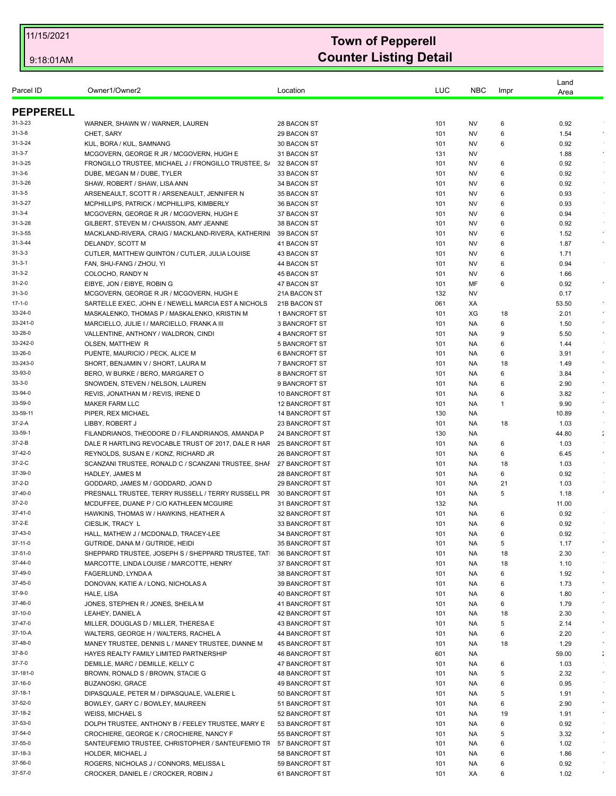| Parcel ID           | Owner1/Owner2                                                                | Location                         | LUC        | <b>NBC</b> | Impr         | Land<br>Area |                      |
|---------------------|------------------------------------------------------------------------------|----------------------------------|------------|------------|--------------|--------------|----------------------|
| <b>PEPPERELL</b>    |                                                                              |                                  |            |            |              |              |                      |
| $31 - 3 - 23$       | WARNER, SHAWN W / WARNER, LAUREN                                             | 28 BACON ST                      | 101        | NV         | 6            | 0.92         |                      |
| $31 - 3 - 8$        | CHET, SARY                                                                   | 29 BACON ST                      | 101        | NV         | 6            | 1.54         |                      |
| $31 - 3 - 24$       | KUL, BORA / KUL, SAMNANG                                                     | 30 BACON ST                      | 101        | NV         | 6            | 0.92         |                      |
| $31 - 3 - 7$        | MCGOVERN, GEORGE R JR / MCGOVERN, HUGH E                                     | 31 BACON ST                      | 131        | NV         |              | 1.88         | $\sim$               |
| $31 - 3 - 25$       | FRONGILLO TRUSTEE, MICHAEL J / FRONGILLO TRUSTEE, S/                         | 32 BACON ST                      | 101        | NV         | 6            | 0.92         |                      |
| $31 - 3 - 6$        | DUBE, MEGAN M / DUBE, TYLER                                                  | 33 BACON ST                      | 101        | NV         | 6            | 0.92         |                      |
| 31-3-26             | SHAW, ROBERT / SHAW, LISA ANN                                                | 34 BACON ST                      | 101        | NV         | 6            | 0.92         |                      |
| $31 - 3 - 5$        | ARSENEAULT, SCOTT R / ARSENEAULT, JENNIFER N                                 | 35 BACON ST                      | 101        | NV         | 6            | 0.93         | $\sim$               |
| 31-3-27             | MCPHILLIPS, PATRICK / MCPHILLIPS, KIMBERLY                                   | 36 BACON ST                      | 101        | NV         | 6            | 0.93         |                      |
| $31 - 3 - 4$        | MCGOVERN, GEORGE R JR / MCGOVERN, HUGH E                                     | 37 BACON ST                      | 101        | NV         | 6            | 0.94         |                      |
| 31-3-28             | GILBERT, STEVEN M / CHAISSON, AMY JEANNE                                     | 38 BACON ST                      | 101        | NV         | 6            | 0.92         |                      |
| 31-3-55             | MACKLAND-RIVERA, CRAIG / MACKLAND-RIVERA, KATHERIN                           | 39 BACON ST                      | 101        | <b>NV</b>  | 6            | 1.52         | $\sim$               |
| $31 - 3 - 44$       | DELANDY, SCOTT M                                                             | 41 BACON ST                      | 101        | NV         | 6            | 1.87         | $\epsilon$           |
| $31 - 3 - 3$        | CUTLER, MATTHEW QUINTON / CUTLER, JULIA LOUISE                               | 43 BACON ST                      | 101        | NV         | 6            | 1.71         |                      |
| $31 - 3 - 1$        | FAN, SHU-FANG / ZHOU, YI                                                     | 44 BACON ST                      | 101        | NV         | 6            | 0.94         |                      |
| $31 - 3 - 2$        | COLOCHO, RANDY N                                                             | 45 BACON ST                      | 101        | NV         | 6            | 1.66         |                      |
| $31 - 2 - 0$        | EIBYE, JON / EIBYE, ROBIN G                                                  | 47 BACON ST                      | 101        | MF         | 6            | 0.92         | $\bullet$            |
| $31 - 3 - 0$        | MCGOVERN, GEORGE R JR / MCGOVERN, HUGH E                                     | 21A BACON ST                     | 132        | NV         |              | 0.17         |                      |
| $17 - 1 - 0$        | SARTELLE EXEC, JOHN E / NEWELL MARCIA EST A NICHOLS                          | 21B BACON ST                     | 061        | XA         |              | 53.50        |                      |
| 33-24-0             | MASKALENKO, THOMAS P / MASKALENKO, KRISTIN M                                 | 1 BANCROFT ST                    | 101        | XG         | 18           | 2.01         |                      |
| 33-241-0<br>33-28-0 | MARCIELLO, JULIE I / MARCIELLO, FRANK A III                                  | 3 BANCROFT ST                    | 101        | NA.        | 6            | 1.50         |                      |
| 33-242-0            | VALLENTINE, ANTHONY / WALDRON, CINDI<br>OLSEN, MATTHEW R                     | 4 BANCROFT ST<br>5 BANCROFT ST   | 101<br>101 | NA.<br>NA. | 9<br>6       | 5.50<br>1.44 |                      |
| 33-26-0             | PUENTE, MAURICIO / PECK, ALICE M                                             | <b>6 BANCROFT ST</b>             | 101        | NA         | 6            | 3.91         |                      |
| 33-243-0            | SHORT, BENJAMIN V / SHORT, LAURA M                                           | 7 BANCROFT ST                    | 101        | NA.        | 18           | 1.49         |                      |
| 33-93-0             | BERO, W BURKE / BERO, MARGARET O                                             | 8 BANCROFT ST                    | 101        | NA.        | 6            | 3.84         | $\sim$               |
| $33 - 3 - 0$        | SNOWDEN, STEVEN / NELSON, LAUREN                                             | 9 BANCROFT ST                    | 101        | NA.        | 6            | 2.90         |                      |
| 33-94-0             | REVIS, JONATHAN M / REVIS, IRENE D                                           | 10 BANCROFT ST                   | 101        | NA.        | 6            | 3.82         |                      |
| 33-59-0             | <b>MAKER FARM LLC</b>                                                        | <b>12 BANCROFT ST</b>            | 101        | NA.        | $\mathbf{1}$ | 9.90         |                      |
| 33-59-11            | PIPER, REX MICHAEL                                                           | <b>14 BANCROFT ST</b>            | 130        | NA.        |              | 10.89        | $\star$              |
| 37-2-A              | LIBBY, ROBERT J                                                              | 23 BANCROFT ST                   | 101        | NA.        | 18           | 1.03         |                      |
| 33-59-1             | FILANDRIANOS, THEODORE D / FILANDRIANOS, AMANDA P                            | 24 BANCROFT ST                   | 130        | NA         |              | 44.80        | $\mathbb{Z}$         |
| 37-2-B              | DALE R HARTLING REVOCABLE TRUST OF 2017, DALE R HAF                          | <b>25 BANCROFT ST</b>            | 101        | NA.        | 6            | 1.03         |                      |
| 37-42-0             | REYNOLDS, SUSAN E / KONZ, RICHARD JR                                         | <b>26 BANCROFT ST</b>            | 101        | NA.        | 6            | 6.45         | $\epsilon$           |
| 37-2-C              | SCANZANI TRUSTEE, RONALD C / SCANZANI TRUSTEE, SHAF                          | 27 BANCROFT ST                   | 101        | NA         | 18           | 1.03         |                      |
| 37-39-0             | HADLEY, JAMES M                                                              | 28 BANCROFT ST                   | 101        | NA.        | 6            | 0.92         |                      |
| 37-2-D              | GODDARD, JAMES M / GODDARD, JOAN D                                           | <b>29 BANCROFT ST</b>            | 101        | NA.        | 21           | 1.03         |                      |
| 37-40-0             | PRESNALL TRUSTEE, TERRY RUSSELL / TERRY RUSSELL PR                           | 30 BANCROFT ST                   | 101        | NA.        | 5            | 1.18         | $\star$              |
| 37-2-0              | MCDUFFEE, DUANE P / C/O KATHLEEN MCGUIRE                                     | 31 BANCROFT ST                   | 132        | NA.        |              | 11.00        |                      |
| 37-41-0             | HAWKINS, THOMAS W / HAWKINS, HEATHER A                                       | 32 BANCROFT ST                   | 101        | NA         | 6            | 0.92         |                      |
| 37-2-E              | CIESLIK, TRACY L                                                             | 33 BANCROFT ST                   | 101        | NA.        | 6            | 0.92         |                      |
| 37-43-0             | HALL, MATHEW J / MCDONALD, TRACEY-LEE                                        | 34 BANCROFT ST                   | 101        | NA.        | 6            | 0.92         |                      |
| 37-11-0             | GUTRIDE, DANA M / GUTRIDE, HEIDI                                             | 35 BANCROFT ST                   | 101        | NA.        | 5            | 1.17         |                      |
| 37-51-0             | SHEPPARD TRUSTEE, JOSEPH S / SHEPPARD TRUSTEE, TAT                           | 36 BANCROFT ST                   | 101        | NA.        | 18           | 2.30         |                      |
| 37-44-0             | MARCOTTE, LINDA LOUISE / MARCOTTE, HENRY                                     | 37 BANCROFT ST                   | 101        | NA.        | 18           | 1.10         |                      |
| 37-49-0             | FAGERLUND, LYNDA A                                                           | 38 BANCROFT ST                   | 101        | NA.        | 6            | 1.92         | $\star$              |
| 37-45-0             | DONOVAN, KATIE A / LONG, NICHOLAS A                                          | 39 BANCROFT ST                   | 101        | NA.        | 6            | 1.73         | $\bullet$            |
| 37-9-0              | <b>HALE, LISA</b>                                                            | <b>40 BANCROFT ST</b>            | 101        | NA.        | 6            | 1.80         |                      |
| 37-46-0             | JONES, STEPHEN R / JONES, SHEILA M                                           | 41 BANCROFT ST                   | 101        | NA.        | 6            | 1.79         |                      |
| 37-10-0             | LEAHEY, DANIEL A                                                             | <b>42 BANCROFT ST</b>            | 101        | NA.        | 18           | 2.30         | $\bullet$            |
| 37-47-0             | MILLER, DOUGLAS D / MILLER, THERESA E                                        | 43 BANCROFT ST                   | 101        | NA.        | 5            | 2.14         |                      |
| 37-10-A             | WALTERS, GEORGE H / WALTERS, RACHEL A                                        | 44 BANCROFT ST                   | 101        | NA.        | 6            | 2.20         | $\bullet$            |
| 37-48-0<br>37-8-0   | MANEY TRUSTEE, DENNIS L / MANEY TRUSTEE, DIANNE M                            | 45 BANCROFT ST                   | 101        | NA.        | 18           | 1.29         |                      |
| $37 - 7 - 0$        | HAYES REALTY FAMILY LIMITED PARTNERSHIP                                      | <b>46 BANCROFT ST</b>            | 601        | NA.        |              | 59.00        | $\ddot{\phantom{1}}$ |
| 37-181-0            | DEMILLE, MARC / DEMILLE, KELLY C                                             | 47 BANCROFT ST                   | 101        | NA.        | 6            | 1.03         | $\star$              |
| 37-16-0             | BROWN, RONALD S / BROWN, STACIE G<br><b>BUZANOSKI, GRACE</b>                 | 48 BANCROFT ST<br>49 BANCROFT ST | 101<br>101 | NA.<br>NA. | 5<br>6       | 2.32<br>0.95 |                      |
| 37-18-1             |                                                                              |                                  |            |            |              |              | $\sim$               |
| 37-52-0             | DIPASQUALE, PETER M / DIPASQUALE, VALERIE L                                  | 50 BANCROFT ST                   | 101<br>101 | NA.<br>NA. | 5<br>6       | 1.91<br>2.90 |                      |
| 37-18-2             | BOWLEY, GARY C / BOWLEY, MAUREEN                                             | 51 BANCROFT ST                   |            |            |              |              | $\epsilon$           |
| 37-53-0             | <b>WEISS, MICHAEL S</b><br>DOLPH TRUSTEE, ANTHONY B / FEELEY TRUSTEE, MARY E | 52 BANCROFT ST<br>53 BANCROFT ST | 101<br>101 | NA.<br>NA. | 19<br>6      | 1.91<br>0.92 |                      |
| 37-54-0             | CROCHIERE, GEORGE K / CROCHIERE, NANCY F                                     |                                  |            |            |              |              | $\epsilon$           |
|                     |                                                                              | 55 BANCROFT ST                   | 101        | NA.        | 5            | 3.32         |                      |
| 37-55-0             | SANTEUFEMIO TRUSTEE, CHRISTOPHER / SANTEUFEMIO TF                            | 57 BANCROFT ST                   | 101        | NA.        | 6            | 1.02         | $\sim$               |
| 37-18-3<br>37-56-0  | HOLDER, MICHAEL J                                                            | 58 BANCROFT ST                   | 101        | NA.        | 6            | 1.86         |                      |
| 37-57-0             | ROGERS, NICHOLAS J / CONNORS, MELISSA L                                      | 59 BANCROFT ST                   | 101        | NA.        | 6            | 0.92         | $\epsilon$           |
|                     | CROCKER, DANIEL E / CROCKER, ROBIN J                                         | 61 BANCROFT ST                   | 101        | XA         | 6            | 1.02         |                      |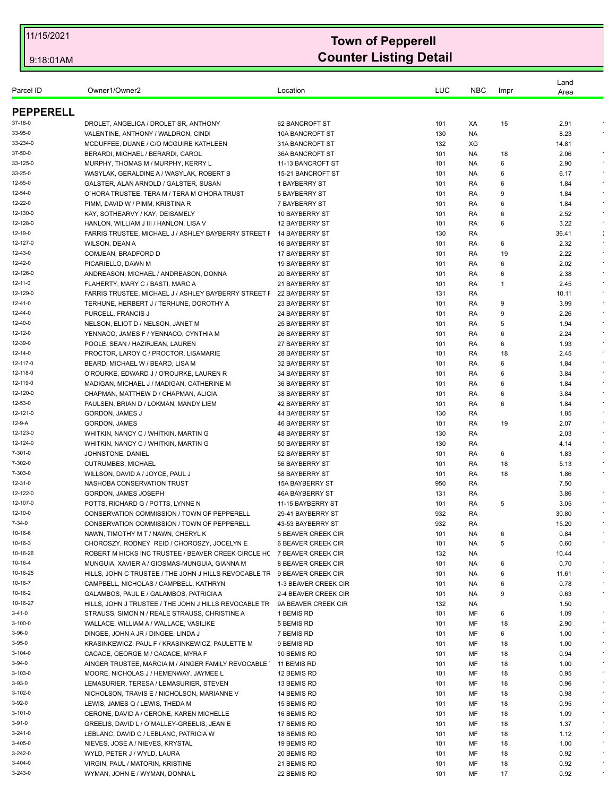| Parcel ID            | Owner1/Owner2                                                                 | Location                         | LUC        | <b>NBC</b> | Impr   | Land<br>Area |            |
|----------------------|-------------------------------------------------------------------------------|----------------------------------|------------|------------|--------|--------------|------------|
| <b>PEPPERELL</b>     |                                                                               |                                  |            |            |        |              |            |
| 37-18-0              | DROLET, ANGELICA / DROLET SR, ANTHONY                                         | 62 BANCROFT ST                   | 101        | XA         | 15     | 2.91         |            |
| 33-95-0              | VALENTINE, ANTHONY / WALDRON, CINDI                                           | 10A BANCROFT ST                  | 130        | NA.        |        | 8.23         |            |
| 33-234-0             | MCDUFFEE, DUANE / C/O MCGUIRE KATHLEEN                                        | 31A BANCROFT ST                  | 132        | XG         |        | 14.81        |            |
| 37-50-0              | BERARDI, MICHAEL / BERARDI, CAROL                                             | 36A BANCROFT ST                  | 101        | NA.        | 18     | 2.06         |            |
| 33-125-0             | MURPHY, THOMAS M / MURPHY, KERRY L                                            | 11-13 BANCROFT ST                | 101        | NA.        | 6      | 2.90         |            |
| 33-25-0              | WASYLAK, GERALDINE A / WASYLAK, ROBERT B                                      | 15-21 BANCROFT ST                | 101        | NA.        | 6      | 6.17         |            |
| 12-55-0              | GALSTER, ALAN ARNOLD / GALSTER, SUSAN                                         | 1 BAYBERRY ST                    | 101        | RA         | 6      | 1.84         |            |
| 12-54-0              | O'HORA TRUSTEE, TERA M / TERA M O'HORA TRUST                                  | 5 BAYBERRY ST                    | 101        | RA         | 9      | 1.84         |            |
| 12-22-0              | PIMM, DAVID W / PIMM, KRISTINA R                                              | 7 BAYBERRY ST                    | 101        | RA         | 6      | 1.84         |            |
| 12-130-0             | KAY, SOTHEARVY / KAY, DEISAMELY                                               | 10 BAYBERRY ST                   | 101        | RA         | 6      | 2.52         | $\epsilon$ |
| 12-128-0             | HANLON, WILLIAM J III / HANLON, LISA V                                        | 12 BAYBERRY ST                   | 101        | RA         | 6      | 3.22         |            |
| 12-19-0              | FARRIS TRUSTEE, MICHAEL J / ASHLEY BAYBERRY STREET I                          | 14 BAYBERRY ST                   | 130        | RA         |        | 36.41        | ÷          |
| 12-127-0             | WILSON, DEAN A                                                                | 16 BAYBERRY ST                   | 101        | RA         | 6      | 2.32         | $\lambda$  |
| 12-43-0              | COMJEAN, BRADFORD D                                                           | 17 BAYBERRY ST                   | 101        | RA         | 19     | 2.22         | $\epsilon$ |
| 12-42-0              | PICARIELLO, DAWN M                                                            | 19 BAYBERRY ST                   | 101        | RA         | 6      | 2.02         |            |
| 12-126-0             | ANDREASON, MICHAEL / ANDREASON, DONNA                                         | 20 BAYBERRY ST                   | 101        | RA         | 6      | 2.38         |            |
| 12-11-0              | FLAHERTY, MARY C / BASTI, MARC A                                              | 21 BAYBERRY ST                   | 101        | RA         | -1     | 2.45         |            |
| 12-129-0             | FARRIS TRUSTEE, MICHAEL J / ASHLEY BAYBERRY STREET F                          | 22 BAYBERRY ST                   | 131        | RA         |        | 10.11        |            |
| 12-41-0              | TERHUNE, HERBERT J / TERHUNE, DOROTHY A                                       | 23 BAYBERRY ST                   | 101        | RA         | 9      | 3.99         |            |
| 12-44-0              | PURCELL, FRANCIS J                                                            | 24 BAYBERRY ST                   | 101        | RA         | 9      | 2.26         | $\epsilon$ |
| 12-40-0              | NELSON, ELIOT D / NELSON, JANET M                                             | 25 BAYBERRY ST                   | 101        | RA         | 5      | 1.94         |            |
| 12-12-0              | YENNACO, JAMES F / YENNACO, CYNTHIA M                                         | 26 BAYBERRY ST                   | 101        | RA         | 6      | 2.24         |            |
| 12-39-0              | POOLE, SEAN / HAZIRJEAN, LAUREN                                               | 27 BAYBERRY ST                   | 101        | RA         | 6      | 1.93         |            |
| 12-14-0              | PROCTOR, LAROY C / PROCTOR, LISAMARIE                                         | 28 BAYBERRY ST                   | 101        | RA         | 18     | 2.45         | $\epsilon$ |
| 12-117-0             | BEARD, MICHAEL W / BEARD, LISA M                                              | 32 BAYBERRY ST                   | 101        | RA         | 6      | 1.84         |            |
| 12-118-0             | O'ROURKE, EDWARD J / O'ROURKE, LAUREN R                                       | 34 BAYBERRY ST                   | 101        | RA         | 6      | 3.84         |            |
| 12-119-0<br>12-120-0 | MADIGAN, MICHAEL J / MADIGAN, CATHERINE M                                     | 36 BAYBERRY ST                   | 101        | RA         | 6      | 1.84         | $\epsilon$ |
| 12-53-0              | CHAPMAN, MATTHEW D / CHAPMAN, ALICIA<br>PAULSEN, BRIAN D / LOKMAN, MANDY LIEM | 38 BAYBERRY ST                   | 101<br>101 | RA         | 6<br>6 | 3.84         |            |
| 12-121-0             |                                                                               | 42 BAYBERRY ST<br>44 BAYBERRY ST | 130        | RA<br>RA   |        | 1.84<br>1.85 |            |
| 12-9-A               | GORDON, JAMES J<br>GORDON, JAMES                                              | 46 BAYBERRY ST                   | 101        | RA         | 19     | 2.07         | $\bullet$  |
| 12-123-0             | WHITKIN, NANCY C / WHITKIN, MARTIN G                                          | <b>48 BAYBERRY ST</b>            | 130        | RA         |        | 2.03         |            |
| 12-124-0             | WHITKIN, NANCY C / WHITKIN, MARTIN G                                          | 50 BAYBERRY ST                   | 130        | RA         |        | 4.14         |            |
| 7-301-0              | JOHNSTONE, DANIEL                                                             | 52 BAYBERRY ST                   | 101        | RA         | 6      | 1.83         |            |
| 7-302-0              | <b>CUTRUMBES, MICHAEL</b>                                                     | 56 BAYBERRY ST                   | 101        | RA         | 18     | 5.13         |            |
| 7-303-0              | WILLSON, DAVID A / JOYCE, PAUL J                                              | 58 BAYBERRY ST                   | 101        | RA         | 18     | 1.86         |            |
| 12-31-0              | NASHOBA CONSERVATION TRUST                                                    | <b>15A BAYBERRY ST</b>           | 950        | RA         |        | 7.50         |            |
| 12-122-0             | GORDON, JAMES JOSEPH                                                          | <b>46A BAYBERRY ST</b>           | 131        | RA         |        | 3.86         |            |
| 12-107-0             | POTTS, RICHARD G / POTTS, LYNNE N                                             | 11-15 BAYBERRY ST                | 101        | RA         | 5      | 3.05         |            |
| 12-10-0              | CONSERVATION COMMISSION / TOWN OF PEPPERELL                                   | 29-41 BAYBERRY ST                | 932        | RA         |        | 30.80        |            |
| 7-34-0               | CONSERVATION COMMISSION / TOWN OF PEPPERELL                                   | 43-53 BAYBERRY ST                | 932        | RA         |        | 15.20        |            |
| 10-16-6              | NAWN, TIMOTHY M T / NAWN, CHERYL K                                            | 5 BEAVER CREEK CIR               | 101        | NA.        | 6      | 0.84         |            |
| 10-16-3              | CHOROSZY, RODNEY REID / CHOROSZY, JOCELYN E                                   | <b>6 BEAVER CREEK CIR</b>        | 101        | NA         | 5      | 0.60         | $\epsilon$ |
| 10-16-26             | ROBERT M HICKS INC TRUSTEE / BEAVER CREEK CIRCLE H( 7 BEAVER CREEK CIR        |                                  | 132        | <b>NA</b>  |        | 10.44        |            |
| 10-16-4              | MUNGUIA, XAVIER A / GIOSMAS-MUNGUIA, GIANNA M                                 | 8 BEAVER CREEK CIR               | 101        | NA.        | 6      | 0.70         |            |
| 10-16-25             | HILLS, JOHN C TRUSTEE / THE JOHN J HILLS REVOCABLE TF                         | 9 BEAVER CREEK CIR               | 101        | NA.        | 6      | 11.61        | $\epsilon$ |
| 10-16-7              | CAMPBELL, NICHOLAS / CAMPBELL, KATHRYN                                        | 1-3 BEAVER CREEK CIR             | 101        | <b>NA</b>  | 6      | 0.78         |            |
| 10-16-2              | GALAMBOS, PAUL E / GALAMBOS, PATRICIA A                                       | 2-4 BEAVER CREEK CIR             | 101        | NA.        | 9      | 0.63         | $\epsilon$ |
| 10-16-27             | HILLS, JOHN J TRUSTEE / THE JOHN J HILLS REVOCABLE TR                         | 9A BEAVER CREEK CIR              | 132        | NA.        |        | 1.50         |            |
| 3-41-0               | STRAUSS, SIMON N / REALE STRAUSS, CHRISTINE A                                 | 1 BEMIS RD                       | 101        | MF         | 6      | 1.09         | $\star$    |
| 3-100-0              | WALLACE, WILLIAM A / WALLACE, VASILIKE                                        | 5 BEMIS RD                       | 101        | МF         | 18     | 2.90         | $\star$    |
| 3-96-0               | DINGEE, JOHN A JR / DINGEE, LINDA J                                           | 7 BEMIS RD                       | 101        | MF         | 6      | 1.00         | $\bullet$  |
| 3-95-0               | KRASINKEWICZ, PAUL F / KRASINKEWICZ, PAULETTE M                               | 9 BEMIS RD                       | 101        | MF         | 18     | 1.00         | $\sim$     |
| 3-104-0              | CACACE, GEORGE M / CACACE, MYRA F                                             | 10 BEMIS RD                      | 101        | МF         | 18     | 0.94         | $\star$    |
| 3-94-0               | AINGER TRUSTEE, MARCIA M / AINGER FAMILY REVOCABLE                            | 11 BEMIS RD                      | 101        | MF         | 18     | 1.00         | $\star$    |
| 3-103-0              | MOORE, NICHOLAS J / HEMENWAY, JAYMEE L                                        | 12 BEMIS RD                      | 101        | MF         | 18     | 0.95         | $\sim$     |
| 3-93-0               | LEMASURIER, TERESA / LEMASURIER, STEVEN                                       | 13 BEMIS RD                      | 101        | МF         | 18     | 0.96         |            |
| 3-102-0              | NICHOLSON, TRAVIS E / NICHOLSON, MARIANNE V                                   | 14 BEMIS RD                      | 101        | MF         | 18     | 0.98         | $\sim$     |
| 3-92-0               | LEWIS, JAMES Q / LEWIS, THEDA M                                               | 15 BEMIS RD                      | 101        | MF         | 18     | 0.95         | $\sim$     |
| 3-101-0              | CERONE, DAVID A / CERONE, KAREN MICHELLE                                      | 16 BEMIS RD                      | 101        | MF         | 18     | 1.09         |            |
| 3-91-0               | GREELIS, DAVID L / O'MALLEY-GREELIS, JEAN E                                   | 17 BEMIS RD                      | 101        | MF         | 18     | 1.37         |            |
| 3-241-0              | LEBLANC, DAVID C / LEBLANC, PATRICIA W                                        | 18 BEMIS RD                      | 101        | MF         | 18     | 1.12         | $\sim$     |
| 3-405-0              | NIEVES, JOSE A / NIEVES, KRYSTAL                                              | 19 BEMIS RD                      | 101        | MF         | 18     | 1.00         | $\star$    |
| 3-242-0              | WYLD, PETER J / WYLD, LAURA                                                   | 20 BEMIS RD                      | 101        | MF         | 18     | 0.92         | $\sim$     |
| 3-404-0              | VIRGIN, PAUL / MATORIN, KRISTINE                                              | 21 BEMIS RD                      | 101        | MF         | 18     | 0.92         | $\bullet$  |
| 3-243-0              | WYMAN, JOHN E / WYMAN, DONNA L                                                | 22 BEMIS RD                      | 101        | MF         | 17     | 0.92         | $\epsilon$ |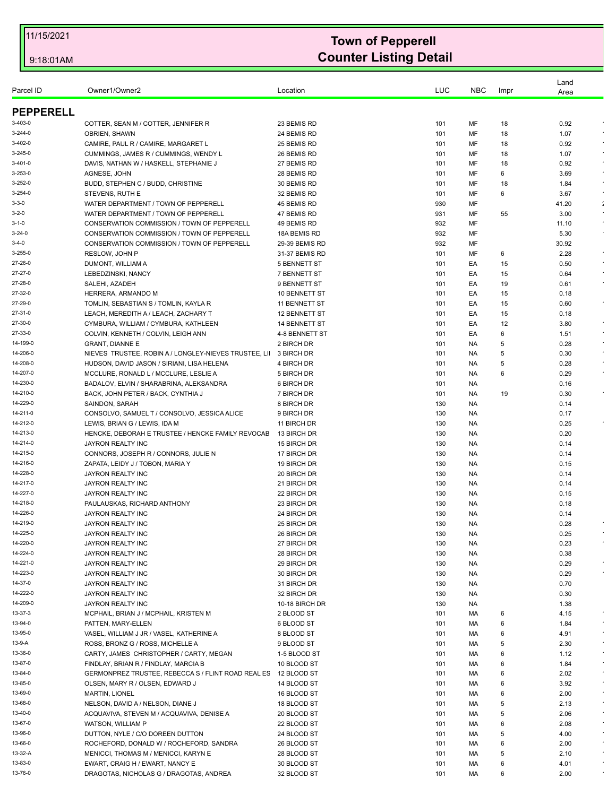|                      |                                                                               |                           |            |            |      | Land         |               |
|----------------------|-------------------------------------------------------------------------------|---------------------------|------------|------------|------|--------------|---------------|
| Parcel ID            | Owner1/Owner2                                                                 | Location                  | LUC        | <b>NBC</b> | Impr | Area         |               |
| <b>PEPPERELL</b>     |                                                                               |                           |            |            |      |              |               |
| 3-403-0              | COTTER, SEAN M / COTTER, JENNIFER R                                           | 23 BEMIS RD               | 101        | MF         | 18   | 0.92         |               |
| $3 - 244 - 0$        | <b>OBRIEN, SHAWN</b>                                                          | 24 BEMIS RD               | 101        | MF         | 18   | 1.07         |               |
| 3-402-0              | CAMIRE, PAUL R / CAMIRE, MARGARET L                                           | 25 BEMIS RD               | 101        | MF         | 18   | 0.92         | $\epsilon$    |
| 3-245-0              | CUMMINGS, JAMES R / CUMMINGS, WENDY L                                         | 26 BEMIS RD               | 101        | MF         | 18   | 1.07         |               |
| 3-401-0              | DAVIS, NATHAN W / HASKELL, STEPHANIE J                                        | 27 BEMIS RD               | 101        | MF         | 18   | 0.92         | $\epsilon$    |
| 3-253-0              | AGNESE, JOHN                                                                  | 28 BEMIS RD               | 101        | MF         | 6    | 3.69         | $\epsilon$    |
| 3-252-0              | BUDD, STEPHEN C / BUDD, CHRISTINE                                             | 30 BEMIS RD               | 101        | MF         | 18   | 1.84         |               |
| $3 - 254 - 0$        | STEVENS, RUTH E                                                               | 32 BEMIS RD               | 101        | MF         | 6    | 3.67         |               |
| $3 - 3 - 0$          | WATER DEPARTMENT / TOWN OF PEPPERELL                                          | 45 BEMIS RD               | 930        | MF         |      | 41.20        | $\mathcal{L}$ |
| $3 - 2 - 0$          | WATER DEPARTMENT / TOWN OF PEPPERELL                                          | 47 BEMIS RD               | 931        | MF         | 55   | 3.00         | $\epsilon$    |
| $3 - 1 - 0$          | CONSERVATION COMMISSION / TOWN OF PEPPERELL                                   | 49 BEMIS RD               | 932        | MF         |      | 11.10        |               |
| $3 - 24 - 0$         | CONSERVATION COMMISSION / TOWN OF PEPPERELL                                   | 18A BEMIS RD              | 932        | MF         |      | 5.30         |               |
| $3 - 4 - 0$          | CONSERVATION COMMISSION / TOWN OF PEPPERELL                                   | 29-39 BEMIS RD            | 932        | MF         |      | 30.92        |               |
| 3-255-0              | RESLOW, JOHN P                                                                | 31-37 BEMIS RD            | 101        | ΜF         | 6    | 2.28         | $\epsilon$    |
| 27-26-0              | DUMONT, WILLIAM A                                                             | <b>5 BENNETT ST</b>       | 101        | EA         | 15   | 0.50         |               |
| 27-27-0              | LEBEDZINSKI, NANCY                                                            | 7 BENNETT ST              | 101        | EA         | 15   | 0.64         | $\bullet$     |
| 27-28-0              | SALEHI, AZADEH                                                                | 9 BENNETT ST              | 101        | EA         | 19   | 0.61         | $\epsilon$    |
| 27-32-0              | HERRERA, ARMANDO M                                                            | 10 BENNETT ST             | 101        | EA         | 15   | 0.18         |               |
| 27-29-0              | TOMLIN, SEBASTIAN S / TOMLIN, KAYLA R                                         | 11 BENNETT ST             | 101        | EA         | 15   | 0.60         | $\bullet$     |
| 27-31-0              | LEACH, MEREDITH A / LEACH, ZACHARY T                                          | <b>12 BENNETT ST</b>      | 101        | EA         | 15   | 0.18         |               |
| 27-30-0              | CYMBURA, WILLIAM / CYMBURA, KATHLEEN                                          | 14 BENNETT ST             | 101        | EA         | 12   | 3.80         |               |
| 27-33-0              | COLVIN, KENNETH / COLVIN, LEIGH ANN                                           | 4-8 BENNETT ST            | 101        | EA         | 6    | 1.51         | $\bullet$     |
| 14-199-0             | <b>GRANT, DIANNE E</b>                                                        | 2 BIRCH DR                | 101        | NA         | 5    | 0.28         |               |
| 14-206-0             | NIEVES TRUSTEE, ROBIN A / LONGLEY-NIEVES TRUSTEE, LII 3 BIRCH DR              |                           | 101        | NA.        | 5    | 0.30         | $\bullet$     |
| 14-208-0             | HUDSON, DAVID JASON / SIRIANI, LISA HELENA                                    | 4 BIRCH DR                | 101        | NA.        | 5    | 0.28         |               |
| 14-207-0             | MCCLURE, RONALD L / MCCLURE, LESLIE A                                         | 5 BIRCH DR                | 101        | NA.        | 6    | 0.29         |               |
| 14-230-0             | BADALOV, ELVIN / SHARABRINA, ALEKSANDRA                                       | 6 BIRCH DR                | 101        | NA.        |      | 0.16         |               |
| 14-210-0             | BACK, JOHN PETER / BACK, CYNTHIA J                                            | 7 BIRCH DR                | 101        | NA.        | 19   | 0.30         |               |
| 14-229-0<br>14-211-0 | SAINDON, SARAH                                                                | 8 BIRCH DR                | 130        | <b>NA</b>  |      | 0.14         |               |
| 14-212-0             | CONSOLVO, SAMUEL T / CONSOLVO, JESSICA ALICE<br>LEWIS, BRIAN G / LEWIS, IDA M | 9 BIRCH DR<br>11 BIRCH DR | 130<br>130 | NA.<br>NA  |      | 0.17<br>0.25 |               |
| 14-213-0             | HENCKE, DEBORAH E TRUSTEE / HENCKE FAMILY REVOCAB                             | 13 BIRCH DR               | 130        | <b>NA</b>  |      | 0.20         |               |
| 14-214-0             | JAYRON REALTY INC                                                             | 15 BIRCH DR               | 130        | NA.        |      | 0.14         |               |
| 14-215-0             | CONNORS, JOSEPH R / CONNORS, JULIE N                                          | 17 BIRCH DR               | 130        | NA         |      | 0.14         |               |
| 14-216-0             | ZAPATA, LEIDY J / TOBON, MARIA Y                                              | 19 BIRCH DR               | 130        | <b>NA</b>  |      | 0.15         |               |
| 14-228-0             | JAYRON REALTY INC                                                             | 20 BIRCH DR               | 130        | NA.        |      | 0.14         |               |
| 14-217-0             | JAYRON REALTY INC                                                             | 21 BIRCH DR               | 130        | <b>NA</b>  |      | 0.14         |               |
| 14-227-0             | JAYRON REALTY INC                                                             | 22 BIRCH DR               | 130        | <b>NA</b>  |      | 0.15         |               |
| 14-218-0             | PAULAUSKAS, RICHARD ANTHONY                                                   | 23 BIRCH DR               | 130        | NA.        |      | 0.18         |               |
| 14-226-0             | JAYRON REALTY INC                                                             | 24 BIRCH DR               | 130        | <b>NA</b>  |      | 0.14         |               |
| 14-219-0             | <b>JAYRON REALTY INC</b>                                                      | 25 BIRCH DR               | 130        | <b>NA</b>  |      | 0.28         |               |
| 14-225-0             | JAYRON REALTY INC                                                             | 26 BIRCH DR               | 130        | NA.        |      | 0.25         |               |
| 14-220-0             | JAYRON REALTY INC                                                             | 27 BIRCH DR               | 130        | <b>NA</b>  |      | 0.23         |               |
| 14-224-0             | JAYRON REALTY INC                                                             | 28 BIRCH DR               | 130        | NA.        |      | 0.38         |               |
| 14-221-0             | JAYRON REALTY INC                                                             | 29 BIRCH DR               | 130        | NA.        |      | 0.29         |               |
| 14-223-0             | JAYRON REALTY INC                                                             | 30 BIRCH DR               | 130        | NA.        |      | 0.29         |               |
| 14-37-0              | JAYRON REALTY INC                                                             | 31 BIRCH DR               | 130        | NA.        |      | 0.70         |               |
| 14-222-0             | JAYRON REALTY INC                                                             | 32 BIRCH DR               | 130        | NA.        |      | 0.30         |               |
| 14-209-0             | JAYRON REALTY INC                                                             | 10-18 BIRCH DR            | 130        | NA.        |      | 1.38         |               |
| 13-37-3              | MCPHAIL, BRIAN J / MCPHAIL, KRISTEN M                                         | 2 BLOOD ST                | 101        | МA         | 6    | 4.15         |               |
| 13-94-0              | PATTEN, MARY-ELLEN                                                            | 6 BLOOD ST                | 101        | МA         | 6    | 1.84         |               |
| 13-95-0              | VASEL, WILLIAM J JR / VASEL, KATHERINE A                                      | 8 BLOOD ST                | 101        | МA         | 6    | 4.91         |               |
| 13-9-A               | ROSS, BRONZ G / ROSS, MICHELLE A                                              | 9 BLOOD ST                | 101        | МA         | 5    | 2.30         |               |
| 13-36-0              | CARTY, JAMES CHRISTOPHER / CARTY, MEGAN                                       | 1-5 BLOOD ST              | 101        | МA         | 6    | 1.12         |               |
| 13-87-0              | FINDLAY, BRIAN R / FINDLAY, MARCIA B                                          | 10 BLOOD ST               | 101        | МA         | 6    | 1.84         |               |
| 13-84-0              | GERMONPREZ TRUSTEE, REBECCA S / FLINT ROAD REAL ES                            | 12 BLOOD ST               | 101        | МA         | 6    | 2.02         |               |
| 13-85-0              | OLSEN, MARY R / OLSEN, EDWARD J                                               | 14 BLOOD ST               | 101        | МA         | 6    | 3.92         |               |
| 13-69-0              | MARTIN, LIONEL                                                                | 16 BLOOD ST               | 101        | МA         | 6    | 2.00         |               |
| 13-68-0              | NELSON, DAVID A / NELSON, DIANE J                                             | 18 BLOOD ST               | 101        | МA         | 5    | 2.13         |               |
| 13-40-0              | ACQUAVIVA, STEVEN M / ACQUAVIVA, DENISE A                                     | 20 BLOOD ST               | 101        | МA         | 5    | 2.06         |               |
| 13-67-0              | WATSON, WILLIAM P                                                             | 22 BLOOD ST               | 101        | МA         | 6    | 2.08         |               |
| 13-96-0              | DUTTON, NYLE / C/O DOREEN DUTTON                                              | 24 BLOOD ST               | 101        | МA         | 5    | 4.00         |               |
| 13-66-0              | ROCHEFORD, DONALD W / ROCHEFORD, SANDRA                                       | 26 BLOOD ST               | 101        | МA         | 6    | 2.00         | $\bullet$     |
| 13-32-A              | MENICCI, THOMAS M / MENICCI, KARYN E                                          | 28 BLOOD ST               | 101        | МA         | 5    | 2.10         |               |
| 13-83-0              | EWART, CRAIG H / EWART, NANCY E                                               | 30 BLOOD ST               | 101        | МA         | 6    | 4.01         |               |
| 13-76-0              | DRAGOTAS, NICHOLAS G / DRAGOTAS, ANDREA                                       | 32 BLOOD ST               | 101        | МA         | 6    | 2.00         |               |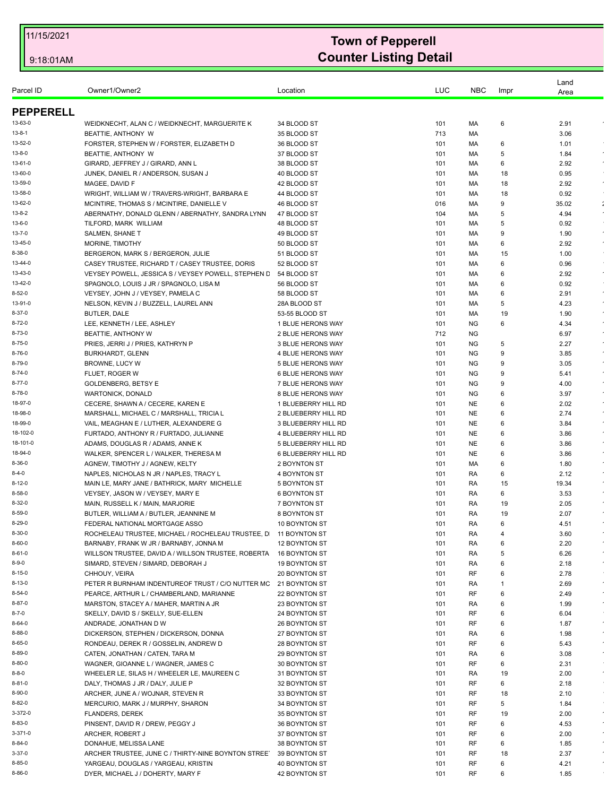| Parcel ID                    | Owner1/Owner2                                                                      | Location                                      | LUC        | <b>NBC</b>             | Impr    | Land<br>Area                     |
|------------------------------|------------------------------------------------------------------------------------|-----------------------------------------------|------------|------------------------|---------|----------------------------------|
|                              |                                                                                    |                                               |            |                        |         |                                  |
| <b>PEPPERELL</b>             |                                                                                    |                                               |            |                        |         |                                  |
| 13-63-0                      | WEIDKNECHT, ALAN C / WEIDKNECHT, MARGUERITE K                                      | 34 BLOOD ST                                   | 101        | МA                     | 6       | 2.91<br>$\epsilon$               |
| 13-8-1<br>13-52-0            | BEATTIE, ANTHONY W                                                                 | 35 BLOOD ST                                   | 713        | MA                     |         | 3.06                             |
| $13 - 8 - 0$                 | FORSTER, STEPHEN W / FORSTER, ELIZABETH D<br>BEATTIE, ANTHONY W                    | 36 BLOOD ST<br>37 BLOOD ST                    | 101<br>101 | МA<br>MA               | 6<br>5  | 1.01<br>$\epsilon$<br>1.84       |
| 13-61-0                      | GIRARD, JEFFREY J / GIRARD, ANN L                                                  | 38 BLOOD ST                                   | 101        | МA                     | 6       | 2.92<br>$\sim$                   |
| 13-60-0                      | JUNEK, DANIEL R / ANDERSON, SUSAN J                                                | 40 BLOOD ST                                   | 101        | МA                     | 18      | 0.95                             |
| 13-59-0                      | MAGEE, DAVID F                                                                     | 42 BLOOD ST                                   | 101        | MA                     | 18      | $\epsilon$<br>2.92               |
| 13-58-0                      | WRIGHT, WILLIAM W / TRAVERS-WRIGHT, BARBARA E                                      | 44 BLOOD ST                                   | 101        | МA                     | 18      | 0.92                             |
| 13-62-0                      | MCINTIRE. THOMAS S / MCINTIRE. DANIELLE V                                          | 46 BLOOD ST                                   | 016        | МA                     | 9       | 35.02<br>$\ddot{\phantom{a}}$    |
| 13-8-2                       | ABERNATHY, DONALD GLENN / ABERNATHY, SANDRA LYNN                                   | 47 BLOOD ST                                   | 104        | МA                     | 5       | 4.94<br>$\epsilon$               |
| 13-6-0                       | TILFORD, MARK WILLIAM                                                              | 48 BLOOD ST                                   | 101        | МA                     | 5       | 0.92                             |
| 13-7-0<br>13-45-0            | SALMEN, SHANE T                                                                    | 49 BLOOD ST                                   | 101        | МA                     | 9       | 1.90<br>$\star$<br>$\sim$        |
| $8 - 38 - 0$                 | MORINE, TIMOTHY<br>BERGERON, MARK S / BERGERON, JULIE                              | 50 BLOOD ST<br>51 BLOOD ST                    | 101<br>101 | МA<br>МA               | 6<br>15 | 2.92<br>1.00                     |
| 13-44-0                      | CASEY TRUSTEE, RICHARD T / CASEY TRUSTEE, DORIS                                    | 52 BLOOD ST                                   | 101        | MA                     | 6       | 0.96                             |
| 13-43-0                      | VEYSEY POWELL, JESSICA S / VEYSEY POWELL, STEPHEN D                                | 54 BLOOD ST                                   | 101        | МA                     | 6       | $\epsilon$<br>2.92               |
| 13-42-0                      | SPAGNOLO, LOUIS J JR / SPAGNOLO, LISA M                                            | 56 BLOOD ST                                   | 101        | МA                     | 6       | 0.92                             |
| $8 - 52 - 0$                 | VEYSEY, JOHN J / VEYSEY, PAMELA C                                                  | 58 BLOOD ST                                   | 101        | МA                     | 6       | 2.91<br>$\sim$                   |
| 13-91-0                      | NELSON, KEVIN J / BUZZELL, LAUREL ANN                                              | 28A BLOOD ST                                  | 101        | МA                     | 5       | 4.23<br>$\epsilon$               |
| $8 - 37 - 0$                 | <b>BUTLER, DALE</b>                                                                | 53-55 BLOOD ST                                | 101        | МA                     | 19      | 1.90                             |
| $8 - 72 - 0$                 | LEE, KENNETH / LEE, ASHLEY                                                         | 1 BLUE HERONS WAY                             | 101        | <b>NG</b>              | 6       | 4.34<br>$\bullet$                |
| $8 - 73 - 0$                 | BEATTIE, ANTHONY W                                                                 | 2 BLUE HERONS WAY                             | 712        | NG.                    |         | $\epsilon$<br>6.97               |
| $8 - 75 - 0$                 | PRIES, JERRI J / PRIES, KATHRYN P                                                  | 3 BLUE HERONS WAY                             | 101        | <b>NG</b>              | 5       | 2.27<br>$\epsilon$<br>$\epsilon$ |
| $8 - 76 - 0$<br>$8 - 79 - 0$ | BURKHARDT, GLENN<br><b>BROWNE, LUCY W</b>                                          | 4 BLUE HERONS WAY<br><b>5 BLUE HERONS WAY</b> | 101<br>101 | <b>NG</b><br><b>NG</b> | 9<br>9  | 3.85<br>3.05                     |
| $8 - 74 - 0$                 | FLUET, ROGER W                                                                     | 6 BLUE HERONS WAY                             | 101        | <b>NG</b>              | 9       | 5.41<br>$\bullet$                |
| $8 - 77 - 0$                 | <b>GOLDENBERG, BETSY E</b>                                                         | 7 BLUE HERONS WAY                             | 101        | <b>NG</b>              | 9       | 4.00<br>$\sim$                   |
| $8 - 78 - 0$                 | WARTONICK, DONALD                                                                  | 8 BLUE HERONS WAY                             | 101        | <b>NG</b>              | 6       | 3.97                             |
| 18-97-0                      | CECERE, SHAWN A / CECERE, KAREN E                                                  | 1 BLUEBERRY HILL RD                           | 101        | <b>NE</b>              | 6       | 2.02<br>$\bullet$                |
| 18-98-0                      | MARSHALL, MICHAEL C / MARSHALL, TRICIA L                                           | 2 BLUEBERRY HILL RD                           | 101        | <b>NE</b>              | 6       | 2.74<br>$\sim$                   |
| 18-99-0                      | VAIL, MEAGHAN E / LUTHER, ALEXANDERE G                                             | 3 BLUEBERRY HILL RD                           | 101        | <b>NE</b>              | 6       | 3.84<br>$\epsilon$               |
| 18-102-0                     | FURTADO, ANTHONY R / FURTADO, JULIANNE                                             | 4 BLUEBERRY HILL RD                           | 101        | <b>NE</b>              | 6       | 3.86                             |
| 18-101-0                     | ADAMS, DOUGLAS R / ADAMS, ANNE K                                                   | 5 BLUEBERRY HILL RD                           | 101        | <b>NE</b>              | 6       | 3.86<br>$\epsilon$               |
| 18-94-0<br>$8 - 36 - 0$      | WALKER, SPENCER L / WALKER, THERESA M<br>AGNEW, TIMOTHY J / AGNEW, KELTY           | 6 BLUEBERRY HILL RD<br>2 BOYNTON ST           | 101        | <b>NE</b><br>MA        | 6<br>6  | 3.86                             |
| $8 - 4 - 0$                  | NAPLES, NICHOLAS N JR / NAPLES, TRACY L                                            | 4 BOYNTON ST                                  | 101<br>101 | RA                     | 6       | 1.80<br>$\epsilon$<br>2.12       |
| $8 - 12 - 0$                 | MAIN LE, MARY JANE / BATHRICK, MARY MICHELLE                                       | 5 BOYNTON ST                                  | 101        | RA                     | 15      | 19.34<br>$\epsilon$              |
| $8 - 58 - 0$                 | VEYSEY, JASON W / VEYSEY, MARY E                                                   | <b>6 BOYNTON ST</b>                           | 101        | RA                     | 6       | 3.53                             |
| $8 - 32 - 0$                 | MAIN, RUSSELL K / MAIN, MARJORIE                                                   | 7 BOYNTON ST                                  | 101        | RA                     | 19      | 2.05                             |
| $8 - 59 - 0$                 | BUTLER, WILLIAM A / BUTLER, JEANNINE M                                             | 8 BOYNTON ST                                  | 101        | RA                     | 19      | 2.07                             |
| $8 - 29 - 0$                 | FEDERAL NATIONAL MORTGAGE ASSO                                                     | 10 BOYNTON ST                                 | 101        | <b>RA</b>              | 6       | 4.51                             |
| 8-30-0                       | ROCHELEAU TRUSTEE, MICHAEL / ROCHELEAU TRUSTEE, D 11 BOYNTON ST                    |                                               | 101        | RA                     | 4       | 3.60                             |
| $8 - 60 - 0$                 | BARNABY, FRANK W JR / BARNABY, JONNA M                                             | 12 BOYNTON ST                                 | 101        | RA                     | 6       | 2.20<br>$\bullet$                |
| $8 - 61 - 0$<br>$8 - 9 - 0$  | WILLSON TRUSTEE, DAVID A / WILLSON TRUSTEE, ROBERTA                                | 16 BOYNTON ST                                 | 101        | RA                     | 5       | 6.26<br>$\epsilon$               |
| $8 - 15 - 0$                 | SIMARD, STEVEN / SIMARD, DEBORAH J<br>CHHOUY, VEIRA                                | 19 BOYNTON ST<br>20 BOYNTON ST                | 101<br>101 | RA<br>RF               | 6<br>6  | 2.18<br>2.78                     |
| $8 - 13 - 0$                 | PETER R BURNHAM INDENTUREOF TRUST / C/O NUTTER MC                                  | 21 BOYNTON ST                                 | 101        | RA                     | 1       | $\bullet$<br>2.69                |
| $8 - 54 - 0$                 | PEARCE, ARTHUR L / CHAMBERLAND, MARIANNE                                           | 22 BOYNTON ST                                 | 101        | RF                     | 6       | 2.49<br>$\epsilon$               |
| $8 - 87 - 0$                 | MARSTON, STACEY A / MAHER, MARTIN A JR                                             | 23 BOYNTON ST                                 | 101        | RA                     | 6       | 1.99<br>$\epsilon$               |
| $8 - 7 - 0$                  | SKELLY, DAVID S / SKELLY, SUE-ELLEN                                                | 24 BOYNTON ST                                 | 101        | RF                     | 6       | 6.04                             |
| $8 - 64 - 0$                 | ANDRADE, JONATHAN D W                                                              | 26 BOYNTON ST                                 | 101        | RF                     | 6       | 1.87<br>$\bullet$                |
| 8-88-0                       | DICKERSON, STEPHEN / DICKERSON, DONNA                                              | 27 BOYNTON ST                                 | 101        | RA                     | 6       | $\star$<br>1.98                  |
| $8 - 65 - 0$                 | RONDEAU, DEREK R / GOSSELIN, ANDREW D                                              | 28 BOYNTON ST                                 | 101        | RF                     | 6       | 5.43<br>$\epsilon$               |
| 8-89-0                       | CATEN, JONATHAN / CATEN, TARA M                                                    | 29 BOYNTON ST                                 | 101        | RA                     | 6       | 3.08<br>$\bullet$                |
| $8 - 80 - 0$<br>$8 - 8 - 0$  | WAGNER, GIOANNE L / WAGNER, JAMES C<br>WHEELER LE, SILAS H / WHEELER LE, MAUREEN C | 30 BOYNTON ST                                 | 101<br>101 | RF<br>RA               | 6<br>19 | 2.31<br>2.00<br>$\sim$           |
| $8 - 81 - 0$                 | DALY, THOMAS J JR / DALY, JULIE P                                                  | 31 BOYNTON ST<br>32 BOYNTON ST                | 101        | RF                     | 6       | 2.18                             |
| 8-90-0                       | ARCHER, JUNE A / WOJNAR, STEVEN R                                                  | 33 BOYNTON ST                                 | 101        | RF                     | 18      | 2.10                             |
| $8 - 82 - 0$                 | MERCURIO, MARK J / MURPHY, SHARON                                                  | 34 BOYNTON ST                                 | 101        | RF                     | 5       | 1.84                             |
| 3-372-0                      | <b>FLANDERS, DEREK</b>                                                             | 35 BOYNTON ST                                 | 101        | RF                     | 19      | $\bullet$<br>2.00                |
| 8-83-0                       | PINSENT, DAVID R / DREW, PEGGY J                                                   | 36 BOYNTON ST                                 | 101        | RF                     | 6       | $\star$<br>4.53                  |
| $3 - 371 - 0$                | ARCHER, ROBERT J                                                                   | 37 BOYNTON ST                                 | 101        | RF                     | 6       | 2.00<br>$\sim$                   |
| $8 - 84 - 0$                 | DONAHUE, MELISSA LANE                                                              | 38 BOYNTON ST                                 | 101        | RF                     | 6       | 1.85                             |
| $3 - 37 - 0$                 | ARCHER TRUSTEE, JUNE C / THIRTY-NINE BOYNTON STREET                                | 39 BOYNTON ST                                 | 101        | RF                     | 18      | 2.37<br>$\epsilon$               |
| $8 - 85 - 0$                 | YARGEAU, DOUGLAS / YARGEAU, KRISTIN                                                | 40 BOYNTON ST                                 | 101        | RF                     | 6       | 4.21                             |
| $8 - 86 - 0$                 | DYER, MICHAEL J / DOHERTY, MARY F                                                  | 42 BOYNTON ST                                 | 101        | RF                     | 6       | 1.85                             |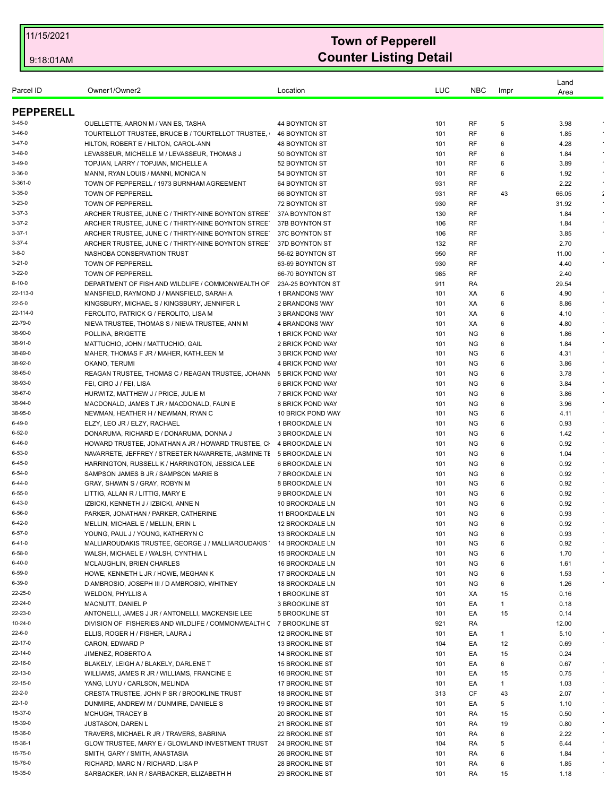|                    |                                                                              |                                           | LUC        | <b>NBC</b>             |         | Land         |                      |
|--------------------|------------------------------------------------------------------------------|-------------------------------------------|------------|------------------------|---------|--------------|----------------------|
| Parcel ID          | Owner1/Owner2                                                                | Location                                  |            |                        | Impr    | Area         |                      |
| <b>PEPPERELL</b>   |                                                                              |                                           |            |                        |         |              |                      |
| $3 - 45 - 0$       | OUELLETTE, AARON M / VAN ES, TASHA                                           | 44 BOYNTON ST                             | 101        | RF                     | 5       | 3.98         |                      |
| $3 - 46 - 0$       | TOURTELLOT TRUSTEE, BRUCE B / TOURTELLOT TRUSTEE,                            | 46 BOYNTON ST                             | 101        | RF                     | 6       | 1.85         |                      |
| $3 - 47 - 0$       | HILTON, ROBERT E / HILTON, CAROL-ANN                                         | <b>48 BOYNTON ST</b>                      | 101        | RF                     | 6       | 4.28         |                      |
| $3 - 48 - 0$       | LEVASSEUR, MICHELLE M / LEVASSEUR, THOMAS J                                  | 50 BOYNTON ST                             | 101        | RF                     | 6       | 1.84         |                      |
| $3-49-0$           | TOPJIAN, LARRY / TOPJIAN, MICHELLE A                                         | 52 BOYNTON ST                             | 101        | RF                     | 6       | 3.89         |                      |
| $3 - 36 - 0$       | MANNI, RYAN LOUIS / MANNI, MONICA N                                          | 54 BOYNTON ST                             | 101        | RF                     | 6       | 1.92         |                      |
| $3 - 361 - 0$      | TOWN OF PEPPERELL / 1973 BURNHAM AGREEMENT                                   | 64 BOYNTON ST                             | 931        | RF                     |         | 2.22         |                      |
| $3 - 35 - 0$       | TOWN OF PEPPERELL                                                            | 66 BOYNTON ST                             | 931        | <b>RF</b>              | 43      | 66.05        | $\ddot{\phantom{a}}$ |
| $3 - 23 - 0$       | TOWN OF PEPPERELL                                                            | 72 BOYNTON ST                             | 930        | RF                     |         | 31.92        | $\epsilon$           |
| $3 - 37 - 3$       | ARCHER TRUSTEE, JUNE C / THIRTY-NINE BOYNTON STREET                          | 37A BOYNTON ST                            | 130        | RF                     |         | 1.84         |                      |
| $3 - 37 - 2$       | ARCHER TRUSTEE, JUNE C / THIRTY-NINE BOYNTON STREET                          | 37B BOYNTON ST                            | 106        | <b>RF</b>              |         | 1.84         |                      |
| $3 - 37 - 1$       | ARCHER TRUSTEE, JUNE C / THIRTY-NINE BOYNTON STREET                          | 37C BOYNTON ST                            | 106        | RF                     |         | 3.85         |                      |
| $3 - 37 - 4$       | ARCHER TRUSTEE, JUNE C / THIRTY-NINE BOYNTON STREET                          | 37D BOYNTON ST                            | 132        | <b>RF</b>              |         | 2.70         |                      |
| $3 - 8 - 0$        | NASHOBA CONSERVATION TRUST                                                   | 56-62 BOYNTON ST                          | 950        | <b>RF</b>              |         | 11.00        |                      |
| $3 - 21 - 0$       | TOWN OF PEPPERELL                                                            | 63-69 BOYNTON ST                          | 930        | RF                     |         | 4.40         |                      |
| $3 - 22 - 0$       | TOWN OF PEPPERELL                                                            | 66-70 BOYNTON ST                          | 985        | RF                     |         | 2.40         |                      |
| $8 - 10 - 0$       | DEPARTMENT OF FISH AND WILDLIFE / COMMONWEALTH OF                            | 23A-25 BOYNTON ST                         | 911        | RA                     |         | 29.54        |                      |
| 22-113-0           | MANSFIELD, RAYMOND J / MANSFIELD, SARAH A                                    | 1 BRANDONS WAY                            | 101        | XA                     | 6       | 4.90         | $\epsilon$           |
| $22 - 5 - 0$       | KINGSBURY, MICHAEL S / KINGSBURY, JENNIFER L                                 | 2 BRANDONS WAY                            | 101        | XA                     | 6       | 8.86         |                      |
| 22-114-0           | FEROLITO, PATRICK G / FEROLITO, LISA M                                       | 3 BRANDONS WAY                            | 101        | XA                     | 6       | 4.10         |                      |
| 22-79-0            | NIEVA TRUSTEE, THOMAS S / NIEVA TRUSTEE, ANN M                               | <b>4 BRANDONS WAY</b>                     | 101        | XA                     | 6       | 4.80         |                      |
| 38-90-0            | POLLINA, BRIGETTE                                                            | 1 BRICK POND WAY                          | 101        | <b>NG</b>              | 6       | 1.86         |                      |
| 38-91-0<br>38-89-0 | MATTUCHIO, JOHN / MATTUCHIO, GAIL                                            | 2 BRICK POND WAY                          | 101        | <b>NG</b>              | 6       | 1.84         | $\sim$               |
| 38-92-0            | MAHER, THOMAS F JR / MAHER, KATHLEEN M                                       | 3 BRICK POND WAY<br>4 BRICK POND WAY      | 101<br>101 | <b>NG</b><br><b>NG</b> | 6<br>6  | 4.31<br>3.86 | $\bullet$            |
| 38-65-0            | OKANO, TERUMI<br>REAGAN TRUSTEE, THOMAS C / REAGAN TRUSTEE, JOHANN           | 5 BRICK POND WAY                          | 101        | <b>NG</b>              | 6       | 3.78         |                      |
| 38-93-0            | FEI, CIRO J / FEI, LISA                                                      | 6 BRICK POND WAY                          | 101        | <b>NG</b>              | 6       | 3.84         |                      |
| 38-67-0            | HURWITZ, MATTHEW J / PRICE, JULIE M                                          | 7 BRICK POND WAY                          | 101        | <b>NG</b>              | 6       | 3.86         | $\epsilon$           |
| 38-94-0            | MACDONALD, JAMES T JR / MACDONALD, FAUN E                                    | 8 BRICK POND WAY                          | 101        | NG.                    | 6       | 3.96         | $\epsilon$           |
| 38-95-0            | NEWMAN, HEATHER H / NEWMAN, RYAN C                                           | 10 BRICK POND WAY                         | 101        | <b>NG</b>              | 6       | 4.11         | $\bullet$            |
| 6-49-0             | ELZY, LEO JR / ELZY, RACHAEL                                                 | 1 BROOKDALE LN                            | 101        | <b>NG</b>              | 6       | 0.93         |                      |
| $6 - 52 - 0$       | DONARUMA, RICHARD E / DONARUMA, DONNA J                                      | 3 BROOKDALE LN                            | 101        | ΝG                     | 6       | 1.42         | $\epsilon$           |
| $6 - 46 - 0$       | HOWARD TRUSTEE, JONATHAN A JR / HOWARD TRUSTEE, CI                           | 4 BROOKDALE LN                            | 101        | <b>NG</b>              | 6       | 0.92         |                      |
| $6 - 53 - 0$       | NAVARRETE, JEFFREY / STREETER NAVARRETE, JASMINE TI 5 BROOKDALE LN           |                                           | 101        | <b>NG</b>              | 6       | 1.04         |                      |
| $6 - 45 - 0$       | HARRINGTON, RUSSELL K / HARRINGTON, JESSICA LEE                              | 6 BROOKDALE LN                            | 101        | NG.                    | 6       | 0.92         | $\sim$               |
| $6 - 54 - 0$       | SAMPSON JAMES B JR / SAMPSON MARIE B                                         | 7 BROOKDALE LN                            | 101        | <b>NG</b>              | 6       | 0.92         |                      |
| $6 - 44 - 0$       | GRAY, SHAWN S / GRAY, ROBYN M                                                | 8 BROOKDALE LN                            | 101        | <b>NG</b>              | 6       | 0.92         | $\sim$               |
| 6-55-0             | LITTIG, ALLAN R / LITTIG, MARY E                                             | 9 BROOKDALE LN                            | 101        | <b>NG</b>              | 6       | 0.92         | $\sim$               |
| $6 - 43 - 0$       | IZBICKI, KENNETH J / IZBICKI, ANNE N                                         | 10 BROOKDALE LN                           | 101        | <b>NG</b>              | 6       | 0.92         |                      |
| 6-56-0             | PARKER, JONATHAN / PARKER, CATHERINE                                         | 11 BROOKDALE LN                           | 101        | <b>NG</b>              | 6       | 0.93         |                      |
| 6-42-0             | MELLIN, MICHAEL E / MELLIN, ERIN L                                           | 12 BROOKDALE LN                           | 101        | <b>NG</b>              | 6       | 0.92         |                      |
| 6-57-0             | YOUNG, PAUL J / YOUNG, KATHERYN C                                            | 13 BROOKDALE LN                           | 101        | ΝG                     | 6       | 0.93         |                      |
| $6 - 41 - 0$       | MALLIAROUDAKIS TRUSTEE, GEORGE J / MALLIAROUDAKIS                            | 14 BROOKDALE LN                           | 101        | <b>NG</b>              | 6       | 0.92         |                      |
| $6 - 58 - 0$       | WALSH, MICHAEL E / WALSH, CYNTHIA L                                          | 15 BROOKDALE LN                           | 101        | NG                     | 6       | 1.70         |                      |
| 6-40-0             | MCLAUGHLIN, BRIEN CHARLES                                                    | 16 BROOKDALE LN                           | 101        | NG                     | 6       | 1.61         |                      |
| 6-59-0             | HOWE, KENNETH L JR / HOWE, MEGHAN K                                          | 17 BROOKDALE LN                           | 101        | <b>NG</b>              | 6       | 1.53         |                      |
| 6-39-0             | D AMBROSIO, JOSEPH III / D AMBROSIO, WHITNEY                                 | <b>18 BROOKDALE LN</b>                    | 101        | <b>NG</b>              | 6       | 1.26         |                      |
| 22-25-0            | <b>WELDON, PHYLLIS A</b>                                                     | 1 BROOKLINE ST                            | 101        | ХA                     | 15      | 0.16         |                      |
| 22-24-0            | MACNUTT, DANIEL P                                                            | 3 BROOKLINE ST                            | 101        | EA                     | 1       | 0.18         |                      |
| 22-23-0            | ANTONELLI, JAMES J JR / ANTONELLI, MACKENSIE LEE                             | 5 BROOKLINE ST                            | 101        | EA                     | 15      | 0.14         |                      |
| 10-24-0<br>22-6-0  | DIVISION OF FISHERIES AND WILDLIFE / COMMONWEALTH ( 7 BROOKLINE ST           |                                           | 921        | RA                     |         | 12.00        |                      |
| 22-17-0            | ELLIS, ROGER H / FISHER, LAURA J                                             | <b>12 BROOKLINE ST</b>                    | 101        | EA                     | 1       | 5.10         |                      |
| 22-14-0            | CARON, EDWARD P                                                              | 13 BROOKLINE ST                           | 104        | EA                     | 12      | 0.69         |                      |
| 22-16-0            | JIMENEZ, ROBERTO A<br>BLAKELY, LEIGH A / BLAKELY, DARLENE T                  | 14 BROOKLINE ST<br><b>15 BROOKLINE ST</b> | 101<br>101 | EA<br>EA               | 15<br>6 | 0.24<br>0.67 |                      |
| 22-13-0            |                                                                              |                                           |            |                        |         |              | $\sim$               |
| 22-15-0            | WILLIAMS, JAMES R JR / WILLIAMS, FRANCINE E<br>YANG, LUYU / CARLSON, MELINDA | <b>16 BROOKLINE ST</b><br>17 BROOKLINE ST | 101<br>101 | EA<br>EA               | 15<br>1 | 0.75<br>1.03 |                      |
| $22 - 2 - 0$       | CRESTA TRUSTEE, JOHN P SR / BROOKLINE TRUST                                  | <b>18 BROOKLINE ST</b>                    | 313        | CF                     | 43      | 2.07         | $\sim$               |
| $22 - 1 - 0$       | DUNMIRE, ANDREW M / DUNMIRE, DANIELE S                                       | <b>19 BROOKLINE ST</b>                    | 101        | EA                     | 5       | 1.10         |                      |
| 15-37-0            | <b>MCHUGH, TRACEY B</b>                                                      | 20 BROOKLINE ST                           | 101        | RA                     | 15      | 0.50         |                      |
| 15-39-0            |                                                                              |                                           |            |                        | 19      |              | $\bullet$            |
| 15-36-0            | <b>JUSTASON, DAREN L</b><br>TRAVERS, MICHAEL R JR / TRAVERS, SABRINA         | 21 BROOKLINE ST<br>22 BROOKLINE ST        | 101<br>101 | RA<br>RA               | 6       | 0.80<br>2.22 | $\epsilon$           |
| 15-36-1            | GLOW TRUSTEE, MARY E / GLOWLAND INVESTMENT TRUST                             | 24 BROOKLINE ST                           | 104        | RA                     | 5       | 6.44         |                      |
| 15-75-0            | SMITH, GARY / SMITH, ANASTASIA                                               | 26 BROOKLINE ST                           | 101        | RA                     | 6       | 1.84         | $\bullet$            |
| 15-76-0            | RICHARD, MARC N / RICHARD, LISA P                                            | <b>28 BROOKLINE ST</b>                    | 101        | RA                     | 6       | 1.85         |                      |
| 15-35-0            | SARBACKER, IAN R / SARBACKER, ELIZABETH H                                    | 29 BROOKLINE ST                           | 101        | RA                     | 15      | 1.18         |                      |
|                    |                                                                              |                                           |            |                        |         |              |                      |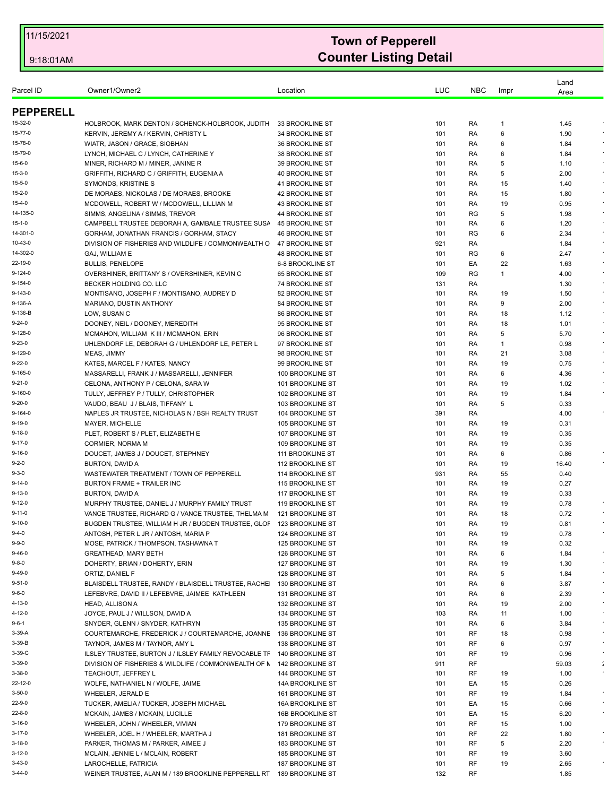| Parcel ID        | Owner1/Owner2                                                        | Location                           | LUC | <b>NBC</b> | Impr | Land<br>Area |                      |
|------------------|----------------------------------------------------------------------|------------------------------------|-----|------------|------|--------------|----------------------|
| <b>PEPPERELL</b> |                                                                      |                                    |     |            |      |              |                      |
| 15-32-0          | HOLBROOK, MARK DENTON / SCHENCK-HOLBROOK, JUDITH                     | 33 BROOKLINE ST                    | 101 | RA         | -1   | 1.45         |                      |
| 15-77-0          | KERVIN, JEREMY A / KERVIN, CHRISTY L                                 | 34 BROOKLINE ST                    | 101 | RA         | 6    | 1.90         |                      |
| 15-78-0          | WIATR, JASON / GRACE, SIOBHAN                                        | <b>36 BROOKLINE ST</b>             | 101 | RA         | 6    | 1.84         | $\epsilon$           |
| 15-79-0          | LYNCH, MICHAEL C / LYNCH, CATHERINE Y                                | 38 BROOKLINE ST                    | 101 | RA         | 6    | 1.84         |                      |
| 15-6-0           | MINER, RICHARD M / MINER, JANINE R                                   | 39 BROOKLINE ST                    | 101 | RA         | 5    | 1.10         |                      |
| 15-3-0           | GRIFFITH, RICHARD C / GRIFFITH, EUGENIA A                            | <b>40 BROOKLINE ST</b>             | 101 | RA         | 5    | 2.00         | $\sim$               |
| 15-5-0           | SYMONDS, KRISTINE S                                                  | 41 BROOKLINE ST                    | 101 | RA         | 15   | 1.40         |                      |
| 15-2-0           | DE MORAES, NICKOLAS / DE MORAES, BROOKE                              | 42 BROOKLINE ST                    | 101 | RA         | 15   | 1.80         | $\bullet$            |
| 15-4-0           | MCDOWELL, ROBERT W / MCDOWELL, LILLIAN M                             | 43 BROOKLINE ST                    | 101 | RA         | 19   | 0.95         | $\star$              |
| 14-135-0         | SIMMS, ANGELINA / SIMMS, TREVOR                                      | 44 BROOKLINE ST                    | 101 | RG         | 5    | 1.98         | $\bullet$            |
| 15-1-0           | CAMPBELL TRUSTEE DEBORAH A, GAMBALE TRUSTEE SUSA                     | 45 BROOKLINE ST                    | 101 | RA         | 6    | 1.20         |                      |
| 14-301-0         | GORHAM, JONATHAN FRANCIS / GORHAM, STACY                             | <b>46 BROOKLINE ST</b>             | 101 | RG         | 6    | 2.34         | $\bullet$            |
| 10-43-0          | DIVISION OF FISHERIES AND WILDLIFE / COMMONWEALTH O                  | 47 BROOKLINE ST                    | 921 | RA         |      | 1.84         | $\bullet$            |
| 14-302-0         | <b>GAJ, WILLIAM E</b>                                                | <b>48 BROOKLINE ST</b>             | 101 | RG         | 6    | 2.47         |                      |
| 22-19-0          | <b>BULLIS, PENELOPE</b>                                              | 6-8 BROOKLINE ST                   | 101 | EA         | 22   | 1.63         |                      |
| 9-124-0          | OVERSHINER, BRITTANY S / OVERSHINER, KEVIN C                         | 65 BROOKLINE ST                    | 109 | <b>RG</b>  | 1    | 4.00         | $\epsilon$           |
| 9-154-0          | BECKER HOLDING CO. LLC                                               | 74 BROOKLINE ST                    | 131 | RA         |      | 1.30         |                      |
| 9-143-0          | MONTISANO, JOSEPH F / MONTISANO, AUDREY D                            | 82 BROOKLINE ST                    | 101 | RA         | 19   | 1.50         | $\star$              |
| 9-136-A          | MARIANO, DUSTIN ANTHONY                                              | 84 BROOKLINE ST                    | 101 | RA         | 9    | 2.00         | $\sim$               |
| 9-136-B          | LOW, SUSAN C                                                         | <b>86 BROOKLINE ST</b>             | 101 | RA         | 18   | 1.12         |                      |
| $9 - 24 - 0$     | DOONEY, NEIL / DOONEY, MEREDITH                                      | 95 BROOKLINE ST                    | 101 | RA         | 18   | 1.01         |                      |
| 9-128-0          |                                                                      |                                    |     |            |      |              | $\sim$               |
| 9-23-0           | MCMAHON, WILLIAM K III / MCMAHON, ERIN                               | 96 BROOKLINE ST<br>97 BROOKLINE ST | 101 | RA         | 5    | 5.70         |                      |
| 9-129-0          | UHLENDORF LE, DEBORAH G / UHLENDORF LE, PETER L                      |                                    | 101 | RA         | 1    | 0.98         | $\bullet$            |
|                  | MEAS, JIMMY                                                          | 98 BROOKLINE ST                    | 101 | RA         | 21   | 3.08         | $\sim$               |
| 9-22-0           | KATES, MARCEL F / KATES, NANCY                                       | 99 BROOKLINE ST                    | 101 | RA         | 19   | 0.75         |                      |
| 9-165-0          | MASSARELLI, FRANK J / MASSARELLI, JENNIFER                           | 100 BROOKLINE ST                   | 101 | RA         | 6    | 4.36         |                      |
| $9 - 21 - 0$     | CELONA, ANTHONY P / CELONA, SARA W                                   | 101 BROOKLINE ST                   | 101 | RA         | 19   | 1.02         | $\sim$               |
| 9-160-0          | TULLY, JEFFREY P / TULLY, CHRISTOPHER                                | 102 BROOKLINE ST                   | 101 | RA         | 19   | 1.84         |                      |
| 9-20-0           | VAUDO, BEAU J / BLAIS, TIFFANY L                                     | 103 BROOKLINE ST                   | 101 | RA         | 5    | 0.33         |                      |
| 9-164-0          | NAPLES JR TRUSTEE, NICHOLAS N / BSH REALTY TRUST                     | 104 BROOKLINE ST                   | 391 | RA         |      | 4.00         |                      |
| 9-19-0           | MAYER, MICHELLE                                                      | 105 BROOKLINE ST                   | 101 | RA         | 19   | 0.31         |                      |
| 9-18-0           | PLET, ROBERT S / PLET, ELIZABETH E                                   | 107 BROOKLINE ST                   | 101 | RA         | 19   | 0.35         |                      |
| 9-17-0           | <b>CORMIER, NORMA M</b>                                              | 109 BROOKLINE ST                   | 101 | RA         | 19   | 0.35         |                      |
| 9-16-0           | DOUCET, JAMES J / DOUCET, STEPHNEY                                   | 111 BROOKLINE ST                   | 101 | RA         | 6    | 0.86         |                      |
| 9-2-0            | <b>BURTON, DAVID A</b>                                               | 112 BROOKLINE ST                   | 101 | RA         | 19   | 16.40        |                      |
| 9-3-0            | WASTEWATER TREATMENT / TOWN OF PEPPERELL                             | 114 BROOKLINE ST                   | 931 | RA         | 55   | 0.40         |                      |
| 9-14-0           | <b>BURTON FRAME + TRAILER INC</b>                                    | 115 BROOKLINE ST                   | 101 | RA         | 19   | 0.27         |                      |
| 9-13-0           | BURTON, DAVID A                                                      | 117 BROOKLINE ST                   | 101 | RA         | 19   | 0.33         |                      |
| 9-12-0           | MURPHY TRUSTEE, DANIEL J / MURPHY FAMILY TRUST                       | 119 BROOKLINE ST                   | 101 | RA         | 19   | 0.78         |                      |
| 9-11-0           | VANCE TRUSTEE, RICHARD G / VANCE TRUSTEE, THELMA M                   | 121 BROOKLINE ST                   | 101 | RA         | 18   | 0.72         |                      |
| $9 - 10 - 0$     | BUGDEN TRUSTEE, WILLIAM H JR / BUGDEN TRUSTEE, GLOF                  | 123 BROOKLINE ST                   | 101 | <b>RA</b>  | 19   | 0.81         |                      |
| 9-4-0            | ANTOSH, PETER L JR / ANTOSH, MARIA P                                 | 124 BROOKLINE ST                   | 101 | RA         | 19   | 0.78         |                      |
| 9-9-0            | MOSE, PATRICK / THOMPSON, TASHAWNA T                                 | 125 BROOKLINE ST                   | 101 | RA         | 19   | 0.32         |                      |
| 9-46-0           | <b>GREATHEAD, MARY BETH</b>                                          | 126 BROOKLINE ST                   | 101 | RA         | 6    | 1.84         | $\star$              |
| 9-8-0            | DOHERTY, BRIAN / DOHERTY, ERIN                                       | 127 BROOKLINE ST                   | 101 | RA         | 19   | 1.30         |                      |
| 9-49-0           | ORTIZ, DANIEL F                                                      | 128 BROOKLINE ST                   | 101 | RA         | 5    | 1.84         | $\bullet$            |
| 9-51-0           | BLAISDELL TRUSTEE, RANDY / BLAISDELL TRUSTEE, RACHE                  | 130 BROOKLINE ST                   | 101 | RA         | 6    | 3.87         | $\sim$               |
| 9-6-0            | LEFEBVRE, DAVID II / LEFEBVRE, JAIMEE KATHLEEN                       | 131 BROOKLINE ST                   | 101 | RA         | 6    | 2.39         | $\star$              |
| 4-13-0           | HEAD, ALLISON A                                                      | 132 BROOKLINE ST                   | 101 | RA         | 19   | 2.00         | $\mathcal{A}$        |
| 4-12-0           | JOYCE, PAUL J / WILLSON, DAVID A                                     | 134 BROOKLINE ST                   | 103 | RA         | 11   | 1.00         |                      |
| 9-6-1            | SNYDER, GLENN / SNYDER, KATHRYN                                      | 135 BROOKLINE ST                   | 101 | RA         | 6    | 3.84         | $\star$              |
| 3-39-A           | COURTEMARCHE, FREDERICK J / COURTEMARCHE, JOANNE                     | 136 BROOKLINE ST                   | 101 | RF         | 18   | 0.98         |                      |
| 3-39-B           | TAYNOR, JAMES M / TAYNOR, AMY L                                      | 138 BROOKLINE ST                   | 101 | RF         | 6    | 0.97         |                      |
| 3-39-C           | ILSLEY TRUSTEE, BURTON J / ILSLEY FAMILY REVOCABLE TF                | 140 BROOKLINE ST                   | 101 | RF         | 19   | 0.96         | $\star$              |
| 3-39-0           | DIVISION OF FISHERIES & WILDLIFE / COMMONWEALTH OF N                 | 142 BROOKLINE ST                   | 911 | RF         |      | 59.03        | $\ddot{\phantom{a}}$ |
| $3 - 38 - 0$     | TEACHOUT, JEFFREY L                                                  | 144 BROOKLINE ST                   | 101 | RF         | 19   | 1.00         |                      |
| 22-12-0          | WOLFE, NATHANIEL N / WOLFE, JAIME                                    | 14A BROOKLINE ST                   | 101 | EA         | 15   | 0.26         |                      |
| 3-50-0           | WHEELER, JERALD E                                                    | 161 BROOKLINE ST                   | 101 | RF         | 19   | 1.84         | $\epsilon$           |
| 22-9-0           | TUCKER, AMELIA / TUCKER, JOSEPH MICHAEL                              | 16A BROOKLINE ST                   | 101 | EA         | 15   | 0.66         |                      |
| 22-8-0           | MCKAIN, JAMES / MCKAIN, LUCILLE                                      | 16B BROOKLINE ST                   | 101 | EA         | 15   | 6.20         | $\bullet$            |
| 3-16-0           | WHEELER, JOHN / WHEELER, VIVIAN                                      | 179 BROOKLINE ST                   | 101 | RF         | 15   | 1.00         |                      |
| $3 - 17 - 0$     | WHEELER, JOEL H / WHEELER, MARTHA J                                  | 181 BROOKLINE ST                   | 101 | RF         | 22   | 1.80         |                      |
| 3-18-0           | PARKER, THOMAS M / PARKER, AIMEE J                                   | 183 BROOKLINE ST                   | 101 | RF         | 5    | 2.20         | $\epsilon$           |
| $3 - 12 - 0$     | MCLAIN, JENNIE L / MCLAIN, ROBERT                                    | 185 BROOKLINE ST                   | 101 | RF         | 19   | 3.60         |                      |
| $3 - 43 - 0$     | LAROCHELLE, PATRICIA                                                 | 187 BROOKLINE ST                   | 101 | RF         | 19   | 2.65         |                      |
| 3-44-0           | WEINER TRUSTEE, ALAN M / 189 BROOKLINE PEPPERELL RT 189 BROOKLINE ST |                                    | 132 | RF         |      | 1.85         |                      |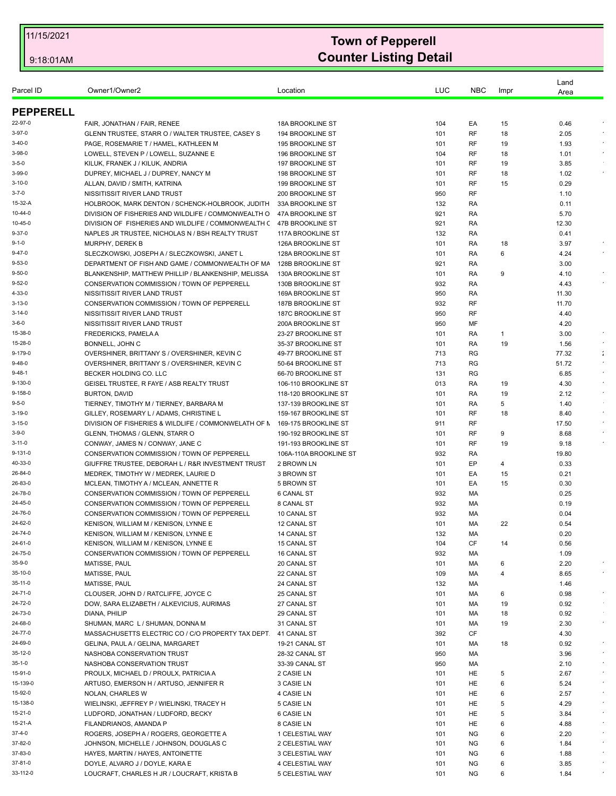| Parcel ID              | Owner1/Owner2                                                                                           | Location                               | LUC        | <b>NBC</b> | Impr   | Land<br>Area |            |
|------------------------|---------------------------------------------------------------------------------------------------------|----------------------------------------|------------|------------|--------|--------------|------------|
| <b>PEPPERELL</b>       |                                                                                                         |                                        |            |            |        |              |            |
| 22-97-0                | FAIR, JONATHAN / FAIR, RENEE                                                                            | 18A BROOKLINE ST                       | 104        | EA         | 15     | 0.46         |            |
| 3-97-0                 | GLENN TRUSTEE, STARR O / WALTER TRUSTEE, CASEY S                                                        | 194 BROOKLINE ST                       | 101        | RF         | 18     | 2.05         |            |
| 3-40-0                 | PAGE, ROSEMARIE T / HAMEL, KATHLEEN M                                                                   | 195 BROOKLINE ST                       | 101        | RF         | 19     | 1.93         |            |
| 3-98-0                 | LOWELL, STEVEN P / LOWELL, SUZANNE E                                                                    | 196 BROOKLINE ST                       | 104        | RF         | 18     | 1.01         |            |
| $3-5-0$                | KILUK, FRANEK J / KILUK, ANDRIA                                                                         | 197 BROOKLINE ST                       | 101        | RF         | 19     | 3.85         |            |
| 3-99-0                 | DUPREY, MICHAEL J / DUPREY, NANCY M                                                                     | 198 BROOKLINE ST                       | 101        | RF         | 18     | 1.02         |            |
| $3 - 10 - 0$           | ALLAN, DAVID / SMITH, KATRINA                                                                           | 199 BROOKLINE ST                       | 101        | RF         | 15     | 0.29         |            |
| $3 - 7 - 0$            | NISSITISSIT RIVER LAND TRUST                                                                            | 200 BROOKLINE ST                       | 950        | RF         |        | 1.10         |            |
| 15-32-A                | HOLBROOK, MARK DENTON / SCHENCK-HOLBROOK, JUDITH                                                        | 33A BROOKLINE ST                       | 132        | RA         |        | 0.11         |            |
| 10-44-0                | DIVISION OF FISHERIES AND WILDLIFE / COMMONWEALTH O                                                     | 47A BROOKLINE ST                       | 921        | RA         |        | 5.70         |            |
| 10-45-0                | DIVISION OF FISHERIES AND WILDLIFE / COMMONWEALTH (                                                     | 47B BROOKLINE ST                       | 921        | RA         |        | 12.30        |            |
| 9-37-0                 | NAPLES JR TRUSTEE, NICHOLAS N / BSH REALTY TRUST                                                        | 117A BROOKLINE ST                      | 132        | RA         |        | 0.41         |            |
| 9-1-0                  | MURPHY, DEREK B                                                                                         | 126A BROOKLINE ST                      | 101        | RA         | 18     | 3.97         |            |
| 9-47-0<br>$9 - 53 - 0$ | SLECZKOWSKI, JOSEPH A / SLECZKOWSKI, JANET L                                                            | 128A BROOKLINE ST                      | 101        | RA         | 6      | 4.24         |            |
| 9-50-0                 | DEPARTMENT OF FISH AND GAME / COMMONWEALTH OF MA<br>BLANKENSHIP, MATTHEW PHILLIP / BLANKENSHIP, MELISSA | 128B BROOKLINE ST<br>130A BROOKLINE ST | 921<br>101 | RA<br>RA   | 9      | 3.00<br>4.10 |            |
| 9-52-0                 | CONSERVATION COMMISSION / TOWN OF PEPPERELL                                                             | 130B BROOKLINE ST                      | 932        | RA         |        | 4.43         |            |
| 4-33-0                 | NISSITISSIT RIVER LAND TRUST                                                                            | <b>169A BROOKLINE ST</b>               | 950        | RA         |        | 11.30        |            |
| 3-13-0                 | CONSERVATION COMMISSION / TOWN OF PEPPERELL                                                             | <b>187B BROOKLINE ST</b>               | 932        | RF         |        | 11.70        |            |
| 3-14-0                 | NISSITISSIT RIVER LAND TRUST                                                                            | 187C BROOKLINE ST                      | 950        | <b>RF</b>  |        | 4.40         |            |
| $3 - 6 - 0$            | NISSITISSIT RIVER LAND TRUST                                                                            | 200A BROOKLINE ST                      | 950        | MF         |        | 4.20         |            |
| 15-38-0                | FREDERICKS, PAMELA A                                                                                    | 23-27 BROOKLINE ST                     | 101        | RA         | 1      | 3.00         |            |
| 15-28-0                | BONNELL, JOHN C                                                                                         | 35-37 BROOKLINE ST                     | 101        | RA         | 19     | 1.56         |            |
| 9-179-0                | OVERSHINER, BRITTANY S / OVERSHINER, KEVIN C                                                            | 49-77 BROOKLINE ST                     | 713        | RG         |        | 77.32        |            |
| 9-48-0                 | OVERSHINER, BRITTANY S / OVERSHINER, KEVIN C                                                            | 50-64 BROOKLINE ST                     | 713        | RG         |        | 51.72        | $\epsilon$ |
| 9-48-1                 | BECKER HOLDING CO. LLC                                                                                  | 66-70 BROOKLINE ST                     | 131        | RG         |        | 6.85         |            |
| 9-130-0                | GEISEL TRUSTEE, R FAYE / ASB REALTY TRUST                                                               | 106-110 BROOKLINE ST                   | 013        | RA         | 19     | 4.30         |            |
| 9-158-0                | <b>BURTON, DAVID</b>                                                                                    | 118-120 BROOKLINE ST                   | 101        | RA         | 19     | 2.12         |            |
| $9 - 5 - 0$            | TIERNEY, TIMOTHY M / TIERNEY, BARBARA M                                                                 | 137-139 BROOKLINE ST                   | 101        | RA         | 5      | 1.40         |            |
| 3-19-0                 | GILLEY, ROSEMARY L / ADAMS, CHRISTINE L                                                                 | 159-167 BROOKLINE ST                   | 101        | RF         | 18     | 8.40         | $\epsilon$ |
| 3-15-0                 | DIVISION OF FISHERIES & WILDLIFE / COMMONWELATH OF N                                                    | 169-175 BROOKLINE ST                   | 911        | RF         |        | 17.50        |            |
| $3 - 9 - 0$            | GLENN, THOMAS / GLENN, STARR O                                                                          | 190-192 BROOKLINE ST                   | 101        | RF         | 9      | 8.68         |            |
| 3-11-0                 | CONWAY, JAMES N / CONWAY, JANE C                                                                        | 191-193 BROOKLINE ST                   | 101        | RF         | 19     | 9.18         |            |
| 9-131-0                | CONSERVATION COMMISSION / TOWN OF PEPPERELL                                                             | 106A-110A BROOKLINE ST                 | 932        | RA         |        | 19.80        |            |
| 40-33-0                | GIUFFRE TRUSTEE, DEBORAH L / R&R INVESTMENT TRUST                                                       | 2 BROWN LN                             | 101        | EP         | 4      | 0.33         |            |
| 26-84-0                | MEDREK, TIMOTHY W / MEDREK, LAURIE D                                                                    | 3 BROWN ST                             | 101        | EA         | 15     | 0.21         |            |
| 26-83-0                | MCLEAN, TIMOTHY A / MCLEAN, ANNETTE R                                                                   | 5 BROWN ST                             | 101        | EA         | 15     | 0.30         |            |
| 24-78-0                | CONSERVATION COMMISSION / TOWN OF PEPPERELL                                                             | 6 CANAL ST                             | 932        | МA         |        | 0.25         |            |
| 24-45-0                | CONSERVATION COMMISSION / TOWN OF PEPPERELL                                                             | 8 CANAL ST                             | 932        | МA         |        | 0.19         |            |
| 24-76-0                | CONSERVATION COMMISSION / TOWN OF PEPPERELL                                                             | 10 CANAL ST                            | 932        | МA         |        | 0.04         |            |
| 24-62-0                | KENISON, WILLIAM M / KENISON, LYNNE E                                                                   | 12 CANAL ST                            | 101        | <b>MA</b>  | 22     | 0.54         |            |
| 24-74-0                | KENISON, WILLIAM M / KENISON, LYNNE E                                                                   | 14 CANAL ST                            | 132        | МA         |        | 0.20         |            |
| 24-61-0                | KENISON, WILLIAM M / KENISON, LYNNE E<br>CONSERVATION COMMISSION / TOWN OF PEPPERELL                    | 15 CANAL ST                            | 104        | CF         | 14     | 0.56         |            |
| 24-75-0<br>35-9-0      |                                                                                                         | <b>16 CANAL ST</b>                     | 932        | МA         |        | 1.09         |            |
| 35-10-0                | MATISSE, PAUL<br>MATISSE, PAUL                                                                          | 20 CANAL ST                            | 101<br>109 | МA         | 6<br>4 | 2.20         |            |
| 35-11-0                | <b>MATISSE, PAUL</b>                                                                                    | 22 CANAL ST<br>24 CANAL ST             | 132        | МA<br>МA   |        | 8.65<br>1.46 |            |
| 24-71-0                | CLOUSER, JOHN D / RATCLIFFE, JOYCE C                                                                    | 25 CANAL ST                            | 101        | МA         | 6      | 0.98         | $\epsilon$ |
| 24-72-0                | DOW, SARA ELIZABETH / ALKEVICIUS, AURIMAS                                                               | 27 CANAL ST                            | 101        | МA         | 19     | 0.92         |            |
| 24-73-0                | DIANA, PHILIP                                                                                           | 29 CANAL ST                            | 101        | МA         | 18     | 0.92         |            |
| 24-68-0                | SHUMAN, MARC L / SHUMAN, DONNA M                                                                        | 31 CANAL ST                            | 101        | МA         | 19     | 2.30         | $\sim$     |
| 24-77-0                | MASSACHUSETTS ELECTRIC CO / C/O PROPERTY TAX DEPT.                                                      | 41 CANAL ST                            | 392        | CF         |        | 4.30         |            |
| 24-69-0                | GELINA, PAUL A / GELINA, MARGARET                                                                       | 19-21 CANAL ST                         | 101        | МA         | 18     | 0.92         |            |
| 35-12-0                | NASHOBA CONSERVATION TRUST                                                                              | 28-32 CANAL ST                         | 950        | МA         |        | 3.96         |            |
| 35-1-0                 | NASHOBA CONSERVATION TRUST                                                                              | 33-39 CANAL ST                         | 950        | МA         |        | 2.10         | $\epsilon$ |
| 15-91-0                | PROULX, MICHAEL D / PROULX, PATRICIA A                                                                  | 2 CASIE LN                             | 101        | HE         | 5      | 2.67         |            |
| 15-139-0               | ARTUSO, EMERSON H / ARTUSO, JENNIFER R                                                                  | 3 CASIE LN                             | 101        | HE         | 6      | 5.24         |            |
| 15-92-0                | NOLAN, CHARLES W                                                                                        | 4 CASIE LN                             | 101        | HE         | 6      | 2.57         | $\epsilon$ |
| 15-138-0               | WIELINSKI, JEFFREY P / WIELINSKI, TRACEY H                                                              | 5 CASIE LN                             | 101        | HE         | 5      | 4.29         |            |
| 15-21-0                | LUDFORD, JONATHAN / LUDFORD, BECKY                                                                      | 6 CASIE LN                             | 101        | HE         | 5      | 3.84         |            |
| 15-21-A                | FILANDRIANOS, AMANDA P                                                                                  | 8 CASIE LN                             | 101        | HE         | 6      | 4.88         |            |
| 37-4-0                 | ROGERS, JOSEPH A / ROGERS, GEORGETTE A                                                                  | 1 CELESTIAL WAY                        | 101        | <b>NG</b>  | 6      | 2.20         |            |
| 37-82-0                | JOHNSON, MICHELLE / JOHNSON, DOUGLAS C                                                                  | 2 CELESTIAL WAY                        | 101        | ΝG         | 6      | 1.84         |            |
| 37-83-0                | HAYES, MARTIN / HAYES, ANTOINETTE                                                                       | 3 CELESTIAL WAY                        | 101        | ΝG         | 6      | 1.88         |            |
| 37-81-0                | DOYLE, ALVARO J / DOYLE, KARA E                                                                         | 4 CELESTIAL WAY                        | 101        | NG         | 6      | 3.85         |            |
| 33-112-0               | LOUCRAFT, CHARLES H JR / LOUCRAFT, KRISTA B                                                             | 5 CELESTIAL WAY                        | 101        | ΝG         | 6      | 1.84         |            |
|                        |                                                                                                         |                                        |            |            |        |              |            |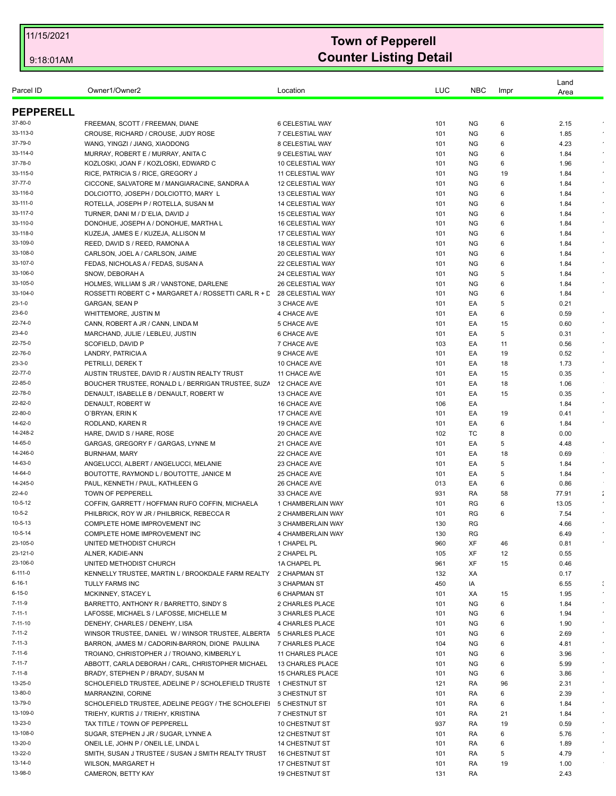|                      |                                                                       |                            |            |            |          | Land         |                |
|----------------------|-----------------------------------------------------------------------|----------------------------|------------|------------|----------|--------------|----------------|
| Parcel ID            | Owner1/Owner2                                                         | Location                   | LUC        | <b>NBC</b> | Impr     | Area         |                |
|                      |                                                                       |                            |            |            |          |              |                |
| <b>PEPPERELL</b>     |                                                                       |                            |            |            |          |              |                |
| 37-80-0              | FREEMAN, SCOTT / FREEMAN, DIANE                                       | 6 CELESTIAL WAY            | 101        | <b>NG</b>  | 6        | 2.15         |                |
| 33-113-0             | CROUSE, RICHARD / CROUSE, JUDY ROSE                                   | 7 CELESTIAL WAY            | 101        | <b>NG</b>  | 6        | 1.85         |                |
| 37-79-0              | WANG, YINGZI / JIANG, XIAODONG                                        | 8 CELESTIAL WAY            | 101        | <b>NG</b>  | 6        | 4.23         | $\epsilon$     |
| 33-114-0             | MURRAY, ROBERT E / MURRAY, ANITA C                                    | 9 CELESTIAL WAY            | 101        | <b>NG</b>  | 6        | 1.84         |                |
| 37-78-0              | KOZLOSKI, JOAN F / KOZLOSKI, EDWARD C                                 | 10 CELESTIAL WAY           | 101        | <b>NG</b>  | 6        | 1.96         | $\epsilon$     |
| 33-115-0             | RICE, PATRICIA S / RICE, GREGORY J                                    | 11 CELESTIAL WAY           | 101        | <b>NG</b>  | 19       | 1.84         | $\epsilon$     |
| 37-77-0              | CICCONE, SALVATORE M / MANGIARACINE, SANDRA A                         | <b>12 CELESTIAL WAY</b>    | 101        | <b>NG</b>  | 6        | 1.84         |                |
| 33-116-0             | DOLCIOTTO, JOSEPH / DOLCIOTTO, MARY L                                 | 13 CELESTIAL WAY           | 101        | <b>NG</b>  | 6        | 1.84         |                |
| 33-111-0             | ROTELLA, JOSEPH P / ROTELLA, SUSAN M                                  | 14 CELESTIAL WAY           | 101        | ΝG         | 6        | 1.84         | $\epsilon$     |
| 33-117-0             | TURNER, DANI M / D'ELIA, DAVID J                                      | 15 CELESTIAL WAY           | 101        | <b>NG</b>  | 6        | 1.84         | $\epsilon$     |
| 33-110-0             | DONOHUE, JOSEPH A / DONOHUE, MARTHA L                                 | 16 CELESTIAL WAY           | 101        | ΝG         | 6        | 1.84         |                |
| 33-118-0             | KUZEJA, JAMES E / KUZEJA, ALLISON M                                   | 17 CELESTIAL WAY           | 101        | <b>NG</b>  | 6        | 1.84         |                |
| 33-109-0             | REED, DAVID S / REED, RAMONA A                                        | 18 CELESTIAL WAY           | 101        | <b>NG</b>  | 6        | 1.84         | $\epsilon$     |
| 33-108-0             | CARLSON, JOEL A / CARLSON, JAIME                                      | 20 CELESTIAL WAY           | 101        | <b>NG</b>  | 6        | 1.84         |                |
| 33-107-0             | FEDAS, NICHOLAS A / FEDAS, SUSAN A                                    | 22 CELESTIAL WAY           | 101        | <b>NG</b>  | 6        | 1.84         | $\bullet$      |
| 33-106-0             | SNOW, DEBORAH A                                                       | 24 CELESTIAL WAY           | 101        | <b>NG</b>  | 5        | 1.84         |                |
| 33-105-0<br>33-104-0 | HOLMES, WILLIAM S JR / VANSTONE, DARLENE                              | 26 CELESTIAL WAY           | 101        | NG.        | 6        | 1.84         | $\bullet$      |
|                      | ROSSETTI ROBERT C + MARGARET A / ROSSETTI CARL R + L 28 CELESTIAL WAY |                            | 101        | <b>NG</b>  | 6        | 1.84         |                |
| 23-1-0<br>23-6-0     | GARGAN, SEAN P                                                        | 3 CHACE AVE                | 101        | EA         | 5        | 0.21         | $\epsilon$     |
|                      | WHITTEMORE, JUSTIN M                                                  | 4 CHACE AVE                | 101        | EA         | 6        | 0.59         | $\epsilon$     |
| 22-74-0<br>23-4-0    | CANN, ROBERT A JR / CANN, LINDA M                                     | 5 CHACE AVE                | 101        | EА         | 15       | 0.60         | $\epsilon$     |
| 22-75-0              | MARCHAND, JULIE / LEBLEU, JUSTIN<br>SCOFIELD, DAVID P                 | 6 CHACE AVE                | 101        | EA         | 5        | 0.31<br>0.56 |                |
| 22-76-0              | LANDRY, PATRICIA A                                                    | 7 CHACE AVE<br>9 CHACE AVE | 103<br>101 | ЕA<br>ЕA   | 11<br>19 | 0.52         | $\sim$         |
| 23-3-0               | PETRILLI, DEREKT                                                      | 10 CHACE AVE               | 101        | EA         | 18       | 1.73         | $\sim$         |
| 22-77-0              | AUSTIN TRUSTEE, DAVID R / AUSTIN REALTY TRUST                         | 11 CHACE AVE               | 101        | EА         | 15       | 0.35         |                |
| 22-85-0              | BOUCHER TRUSTEE, RONALD L / BERRIGAN TRUSTEE, SUZA                    | 12 CHACE AVE               | 101        | EA         | 18       | 1.06         |                |
| 22-78-0              | DENAULT, ISABELLE B / DENAULT, ROBERT W                               | 13 CHACE AVE               | 101        | EA         | 15       | 0.35         | $\bullet$      |
| 22-82-0              | DENAULT, ROBERT W                                                     | 16 CHACE AVE               | 106        | EA         |          | 1.84         | $\epsilon$     |
| 22-80-0              | O'BRYAN, ERIN K                                                       | 17 CHACE AVE               | 101        | EA         | 19       | 0.41         |                |
| 14-62-0              | RODLAND, KAREN R                                                      | 19 CHACE AVE               | 101        | EA         | 6        | 1.84         |                |
| 14-248-2             | HARE, DAVID S / HARE, ROSE                                            | 20 CHACE AVE               | 102        | ТC         | 8        | 0.00         |                |
| 14-65-0              | GARGAS, GREGORY F / GARGAS, LYNNE M                                   | 21 CHACE AVE               | 101        | EA         | 5        | 4.48         | $\epsilon$     |
| 14-246-0             | <b>BURNHAM, MARY</b>                                                  | 22 CHACE AVE               | 101        | EA         | 18       | 0.69         |                |
| 14-63-0              | ANGELUCCI, ALBERT / ANGELUCCI, MELANIE                                | 23 CHACE AVE               | 101        | EA         | 5        | 1.84         | $\star$        |
| 14-64-0              | BOUTOTTE, RAYMOND L / BOUTOTTE, JANICE M                              | 25 CHACE AVE               | 101        | EA         | 5        | 1.84         | $\bullet$      |
| 14-245-0             | PAUL, KENNETH / PAUL, KATHLEEN G                                      | 26 CHACE AVE               | 013        | EA         | 6        | 0.86         |                |
| 22-4-0               | TOWN OF PEPPERELL                                                     | 33 CHACE AVE               | 931        | RA         | 58       | 77.91        | $\frac{1}{4}$  |
| 10-5-12              | COFFIN, GARRETT / HOFFMAN RUFO COFFIN, MICHAELA                       | 1 CHAMBERLAIN WAY          | 101        | RG         | 6        | 13.05        |                |
| 10-5-2               | PHILBRICK, ROY W JR / PHILBRICK, REBECCA R                            | 2 CHAMBERLAIN WAY          | 101        | RG         | 6        | 7.54         |                |
| 10-5-13              | COMPLETE HOME IMPROVEMENT INC                                         | 3 CHAMBERLAIN WAY          | 130        | RG         |          | 4.66         |                |
| 10-5-14              | COMPLETE HOME IMPROVEMENT INC                                         | 4 CHAMBERLAIN WAY          | 130        | RG         |          | 6.49         |                |
| 23-105-0             | UNITED METHODIST CHURCH                                               | 1 CHAPEL PL                | 960        | XF         | 46       | 0.81         |                |
| 23-121-0             | ALNER, KADIE-ANN                                                      | 2 CHAPEL PL                | 105        | XF         | 12       | 0.55         |                |
| 23-106-0             | UNITED METHODIST CHURCH                                               | 1A CHAPEL PL               | 961        | XF         | 15       | 0.46         |                |
| 6-111-0              | KENNELLY TRUSTEE, MARTIN L / BROOKDALE FARM REALTY 2 CHAPMAN ST       |                            | 132        | XA         |          | 0.17         |                |
| 6-16-1               | <b>TULLY FARMS INC</b>                                                | 3 CHAPMAN ST               | 450        | IA         |          | 6.55         | $\ddot{\cdot}$ |
| 6-15-0               | MCKINNEY, STACEY L                                                    | 6 CHAPMAN ST               | 101        | XA         | 15       | 1.95         | $\bullet$      |
| $7 - 11 - 9$         | BARRETTO, ANTHONY R / BARRETTO, SINDY S                               | 2 CHARLES PLACE            | 101        | <b>NG</b>  | 6        | 1.84         |                |
| 7-11-1               | LAFOSSE, MICHAEL S / LAFOSSE, MICHELLE M                              | 3 CHARLES PLACE            | 101        | ΝG         | 6        | 1.94         | $\epsilon$     |
| 7-11-10              | DENEHY, CHARLES / DENEHY, LISA                                        | 4 CHARLES PLACE            | 101        | <b>NG</b>  | 6        | 1.90         |                |
| $7 - 11 - 2$         | WINSOR TRUSTEE, DANIEL W / WINSOR TRUSTEE, ALBERTA                    | <b>5 CHARLES PLACE</b>     | 101        | <b>NG</b>  | 6        | 2.69         | $\bullet$      |
| 7-11-3               | BARRON, JAMES M / CADORIN-BARRON, DIONE PAULINA                       | 7 CHARLES PLACE            | 104        | <b>NG</b>  | 6        | 4.81         |                |
| 7-11-6               | TROIANO, CHRISTOPHER J / TROIANO, KIMBERLY L                          | 11 CHARLES PLACE           | 101        | <b>NG</b>  | 6        | 3.96         | $\bullet$      |
| $7 - 11 - 7$         | ABBOTT, CARLA DEBORAH / CARL, CHRISTOPHER MICHAEL                     | 13 CHARLES PLACE           | 101        | NG.        | 6        | 5.99         | $\bullet$      |
| 7-11-8               | BRADY, STEPHEN P / BRADY, SUSAN M                                     | <b>15 CHARLES PLACE</b>    | 101        | <b>NG</b>  | 6        | 3.86         | $\bullet$      |
| 13-25-0              | SCHOLEFIELD TRUSTEE, ADELINE P / SCHOLEFIELD TRUSTE 1 CHESTNUT ST     |                            | 121        | RA         | 96       | 2.31         | $\epsilon$     |
| 13-80-0              | MARRANZINI, CORINE                                                    | 3 CHESTNUT ST              | 101        | RA         | 6        | 2.39         | $\epsilon$     |
| 13-79-0              | SCHOLEFIELD TRUSTEE, ADELINE PEGGY / THE SCHOLEFIEI                   | 5 CHESTNUT ST              | 101        | RA         | 6        | 1.84         |                |
| 13-109-0             | TRIEHY, KURTIS J / TRIEHY, KRISTINA                                   | 7 CHESTNUT ST              | 101        | RA         | 21       | 1.84         | $\epsilon$     |
| 13-23-0              | TAX TITLE / TOWN OF PEPPERELL                                         | 10 CHESTNUT ST             | 937        | RA         | 19       | 0.59         |                |
| 13-108-0             | SUGAR, STEPHEN J JR / SUGAR, LYNNE A                                  | <b>12 CHESTNUT ST</b>      | 101        | RA         | 6        | 5.76         |                |
| 13-20-0              | ONEIL LE, JOHN P / ONEIL LE, LINDA L                                  | <b>14 CHESTNUT ST</b>      | 101        | RA         | 6        | 1.89         | $\epsilon$     |
| 13-22-0              | SMITH, SUSAN J TRUSTEE / SUSAN J SMITH REALTY TRUST                   | <b>16 CHESTNUT ST</b>      | 101        | RA         | 5        | 4.79         |                |
| 13-14-0              | WILSON, MARGARET H                                                    | 17 CHESTNUT ST             | 101        | RA         | 19       | 1.00         |                |
| 13-98-0              | CAMERON, BETTY KAY                                                    | <b>19 CHESTNUT ST</b>      | 131        | RA         |          | 2.43         |                |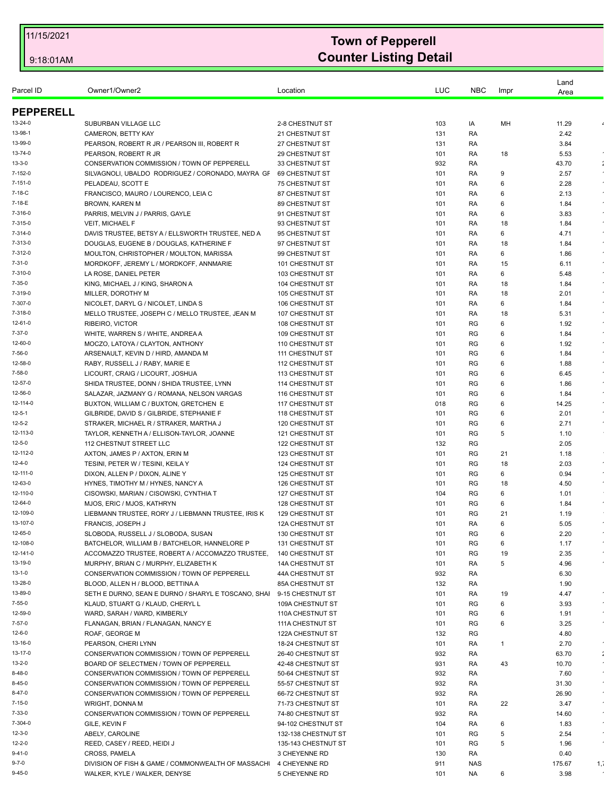|                         |                                                                        |                                           |            |            |         | Land         |                                |
|-------------------------|------------------------------------------------------------------------|-------------------------------------------|------------|------------|---------|--------------|--------------------------------|
| Parcel ID               | Owner1/Owner2                                                          | Location                                  | LUC        | <b>NBC</b> | Impr    | Area         |                                |
|                         |                                                                        |                                           |            |            |         |              |                                |
| <b>PEPPERELL</b>        |                                                                        |                                           |            |            |         |              |                                |
| 13-24-0                 | SUBURBAN VILLAGE LLC                                                   | 2-8 CHESTNUT ST                           | 103        | IA         | MH      | 11.29        | $\pmb{\iota}$                  |
| 13-98-1                 | CAMERON, BETTY KAY                                                     | 21 CHESTNUT ST                            | 131        | RA         |         | 2.42         |                                |
| 13-99-0                 | PEARSON, ROBERT R JR / PEARSON III, ROBERT R                           | 27 CHESTNUT ST                            | 131        | RA         |         | 3.84         |                                |
| 13-74-0<br>$13 - 3 - 0$ | PEARSON, ROBERT R JR                                                   | <b>29 CHESTNUT ST</b>                     | 101        | RA         | 18      | 5.53         |                                |
| 7-152-0                 | CONSERVATION COMMISSION / TOWN OF PEPPERELL                            | 33 CHESTNUT ST                            | 932        | RA         |         | 43.70        | $\ddot{\phantom{a}}$<br>$\sim$ |
| $7 - 151 - 0$           | SILVAGNOLI, UBALDO RODRIGUEZ / CORONADO, MAYRA GF<br>PELADEAU, SCOTT E | 69 CHESTNUT ST                            | 101        | RA         | 9<br>6  | 2.57<br>2.28 |                                |
| 7-18-C                  | FRANCISCO, MAURO / LOURENCO, LEIA C                                    | <b>75 CHESTNUT ST</b><br>87 CHESTNUT ST   | 101<br>101 | RA<br>RA   | 6       | 2.13         | $\epsilon$                     |
| 7-18-E                  | <b>BROWN, KAREN M</b>                                                  | 89 CHESTNUT ST                            | 101        | RA         | 6       | 1.84         | $\bullet$                      |
| 7-316-0                 | PARRIS, MELVIN J / PARRIS, GAYLE                                       | 91 CHESTNUT ST                            | 101        | RA         | 6       | 3.83         |                                |
| 7-315-0                 | <b>VEIT. MICHAEL F</b>                                                 | 93 CHESTNUT ST                            | 101        | RA         | 18      | 1.84         | $\epsilon$                     |
| 7-314-0                 | DAVIS TRUSTEE, BETSY A / ELLSWORTH TRUSTEE, NED A                      | 95 CHESTNUT ST                            | 101        | RA         | 6       | 4.71         | $\sim$                         |
| 7-313-0                 | DOUGLAS, EUGENE B / DOUGLAS, KATHERINE F                               | 97 CHESTNUT ST                            | 101        | RA         | 18      | 1.84         |                                |
| 7-312-0                 | MOULTON, CHRISTOPHER / MOULTON, MARISSA                                | 99 CHESTNUT ST                            | 101        | RA         | 6       | 1.86         |                                |
| $7 - 31 - 0$            | MORDKOFF, JEREMY L / MORDKOFF, ANNMARIE                                | 101 CHESTNUT ST                           | 101        | RA         | 15      | 6.11         | $\sim$                         |
| 7-310-0                 | LA ROSE, DANIEL PETER                                                  | 103 CHESTNUT ST                           | 101        | RA         | 6       | 5.48         | $\epsilon$                     |
| $7 - 35 - 0$            | KING, MICHAEL J / KING, SHARON A                                       | <b>104 CHESTNUT ST</b>                    | 101        | RA         | 18      | 1.84         |                                |
| 7-319-0                 | MILLER, DOROTHY M                                                      | <b>105 CHESTNUT ST</b>                    | 101        | RA         | 18      | 2.01         |                                |
| 7-307-0                 | NICOLET, DARYL G / NICOLET, LINDA S                                    | 106 CHESTNUT ST                           | 101        | RA         | 6       | 1.84         | $\epsilon$                     |
| 7-318-0                 | MELLO TRUSTEE, JOSEPH C / MELLO TRUSTEE, JEAN M                        | 107 CHESTNUT ST                           | 101        | RA         | 18      | 5.31         | $\bullet$                      |
| 12-61-0                 | RIBEIRO, VICTOR                                                        | <b>108 CHESTNUT ST</b>                    | 101        | RG         | 6       | 1.92         |                                |
| $7 - 37 - 0$            | WHITE, WARREN S / WHITE, ANDREA A                                      | 109 CHESTNUT ST                           | 101        | RG         | 6       | 1.84         | $\epsilon$                     |
| 12-60-0                 | MOCZO, LATOYA / CLAYTON, ANTHONY                                       | 110 CHESTNUT ST                           | 101        | RG         | 6       | 1.92         |                                |
| 7-56-0                  | ARSENAULT, KEVIN D / HIRD, AMANDA M                                    | 111 CHESTNUT ST                           | 101        | RG         | 6       | 1.84         |                                |
| 12-58-0                 | RABY, RUSSELL J / RABY, MARIE E                                        | <b>112 CHESTNUT ST</b>                    | 101        | RG         | 6       | 1.88         | $\bullet$                      |
| 7-58-0                  | LICOURT, CRAIG / LICOURT, JOSHUA                                       | 113 CHESTNUT ST                           | 101        | RG         | 6       | 6.45         | $\epsilon$                     |
| 12-57-0                 | SHIDA TRUSTEE, DONN / SHIDA TRUSTEE, LYNN                              | 114 CHESTNUT ST                           | 101        | RG         | 6       | 1.86         |                                |
| 12-56-0                 | SALAZAR, JAZMANY G / ROMANA, NELSON VARGAS                             | 116 CHESTNUT ST                           | 101        | RG         | 6       | 1.84         | $\bullet$                      |
| 12-114-0                | BUXTON, WILLIAM C / BUXTON, GRETCHEN E                                 | 117 CHESTNUT ST                           | 018        | RG         | 6       | 14.25        |                                |
| $12 - 5 - 1$            | GILBRIDE, DAVID S / GILBRIDE, STEPHANIE F                              | 118 CHESTNUT ST                           | 101        | RG         | 6       | 2.01         | $\bullet$                      |
| 12-5-2                  | STRAKER, MICHAEL R / STRAKER, MARTHA J                                 | <b>120 CHESTNUT ST</b>                    | 101        | <b>RG</b>  | 6       | 2.71         |                                |
| 12-113-0                | TAYLOR, KENNETH A / ELLISON-TAYLOR, JOANNE                             | <b>121 CHESTNUT ST</b>                    | 101        | RG         | 5       | 1.10         |                                |
| $12 - 5 - 0$            | 112 CHESTNUT STREET LLC                                                | 122 CHESTNUT ST                           | 132        | RG         |         | 2.05         |                                |
| 12-112-0<br>12-4-0      | AXTON, JAMES P / AXTON, ERIN M                                         | <b>123 CHESTNUT ST</b>                    | 101        | <b>RG</b>  | 21      | 1.18         | $\cdot$                        |
| 12-111-0                | TESINI, PETER W / TESINI, KEILA Y<br>DIXON, ALLEN P / DIXON, ALINE Y   | <b>124 CHESTNUT ST</b><br>125 CHESTNUT ST | 101<br>101 | RG<br>RG   | 18<br>6 | 2.03<br>0.94 | $\sim$                         |
| 12-63-0                 | HYNES, TIMOTHY M / HYNES, NANCY A                                      | <b>126 CHESTNUT ST</b>                    | 101        | <b>RG</b>  | 18      | 4.50         | $\star$                        |
| 12-110-0                | CISOWSKI, MARIAN / CISOWSKI, CYNTHIA T                                 | <b>127 CHESTNUT ST</b>                    | 104        | RG         | 6       | 1.01         |                                |
| 12-64-0                 | MJOS, ERIC / MJOS, KATHRYN                                             | <b>128 CHESTNUT ST</b>                    | 101        | RG         | 6       | 1.84         | $\sim$                         |
| 12-109-0                | LIEBMANN TRUSTEE, RORY J / LIEBMANN TRUSTEE, IRIS K                    | <b>129 CHESTNUT ST</b>                    | 101        | RG         | 21      | 1.19         |                                |
| 13-107-0                | FRANCIS, JOSEPH J                                                      | <b>12A CHESTNUT ST</b>                    | 101        | RA         | 6       | 5.05         | $\bullet$                      |
| 12-65-0                 | SLOBODA, RUSSELL J / SLOBODA, SUSAN                                    | 130 CHESTNUT ST                           | 101        | RG         | 6       | 2.20         |                                |
| 12-108-0                | BATCHELOR, WILLIAM B / BATCHELOR, HANNELORE P                          | 131 CHESTNUT ST                           | 101        | RG         | 6       | 1.17         |                                |
| 12-141-0                | ACCOMAZZO TRUSTEE, ROBERT A / ACCOMAZZO TRUSTEE,                       | 140 CHESTNUT ST                           | 101        | RG         | 19      | 2.35         |                                |
| 13-19-0                 | MURPHY, BRIAN C / MURPHY, ELIZABETH K                                  | <b>14A CHESTNUT ST</b>                    | 101        | RA         | 5       | 4.96         |                                |
| $13 - 1 - 0$            | CONSERVATION COMMISSION / TOWN OF PEPPERELL                            | 44A CHESTNUT ST                           | 932        | RA         |         | 6.30         |                                |
| 13-28-0                 | BLOOD, ALLEN H / BLOOD, BETTINA A                                      | 85A CHESTNUT ST                           | 132        | RA         |         | 1.90         |                                |
| 13-89-0                 | SETH E DURNO, SEAN E DURNO / SHARYL E TOSCANO, SHAI                    | 9-15 CHESTNUT ST                          | 101        | RA         | 19      | 4.47         |                                |
| $7 - 55 - 0$            | KLAUD, STUART G / KLAUD, CHERYL L                                      | 109A CHESTNUT ST                          | 101        | RG         | 6       | 3.93         | $\epsilon$                     |
| 12-59-0                 | WARD, SARAH / WARD, KIMBERLY                                           | 110A CHESTNUT ST                          | 101        | RG         | 6       | 1.91         | $\bullet$                      |
| $7 - 57 - 0$            | FLANAGAN, BRIAN / FLANAGAN, NANCY E                                    | 111A CHESTNUT ST                          | 101        | RG         | 6       | 3.25         |                                |
| 12-6-0                  | ROAF, GEORGE M                                                         | 122A CHESTNUT ST                          | 132        | RG         |         | 4.80         |                                |
| 13-16-0                 | PEARSON, CHERI LYNN                                                    | 18-24 CHESTNUT ST                         | 101        | RA         | 1       | 2.70         | $\epsilon$                     |
| 13-17-0                 | CONSERVATION COMMISSION / TOWN OF PEPPERELL                            | 26-40 CHESTNUT ST                         | 932        | RA         |         | 63.70        | $\rlap{.}^{\prime}$            |
| $13 - 2 - 0$            | BOARD OF SELECTMEN / TOWN OF PEPPERELL                                 | 42-48 CHESTNUT ST                         | 931        | RA         | 43      | 10.70        |                                |
| $8 - 48 - 0$            | CONSERVATION COMMISSION / TOWN OF PEPPERELL                            | 50-64 CHESTNUT ST                         | 932        | RA         |         | 7.60         | $\bullet$                      |
| $8 - 45 - 0$            | CONSERVATION COMMISSION / TOWN OF PEPPERELL                            | 55-57 CHESTNUT ST                         | 932        | RA         |         | 31.30        |                                |
| 8-47-0                  | CONSERVATION COMMISSION / TOWN OF PEPPERELL                            | 66-72 CHESTNUT ST                         | 932        | RA         |         | 26.90        |                                |
| $7 - 15 - 0$            | WRIGHT, DONNA M                                                        | 71-73 CHESTNUT ST                         | 101        | RA         | 22      | 3.47         |                                |
| $7 - 33 - 0$            | CONSERVATION COMMISSION / TOWN OF PEPPERELL                            | 74-80 CHESTNUT ST                         | 932        | RA         |         | 14.60        |                                |
| 7-304-0                 | GILE, KEVIN F                                                          | 94-102 CHESTNUT ST                        | 104        | RA         | 6       | 1.83         |                                |
| $12 - 3 - 0$            | ABELY, CAROLINE                                                        | 132-138 CHESTNUT ST                       | 101        | RG         | 5       | 2.54         |                                |
| $12 - 2 - 0$            | REED, CASEY / REED, HEIDI J                                            | 135-143 CHESTNUT ST                       | 101        | RG         | 5       | 1.96         | $\bullet$                      |
| $9 - 41 - 0$            | <b>CROSS, PAMELA</b>                                                   | 3 CHEYENNE RD                             | 130        | RA         |         | 0.40         |                                |
| $9 - 7 - 0$             | DIVISION OF FISH & GAME / COMMONWEALTH OF MASSACHI                     | <b>4 CHEYENNE RD</b>                      | 911        | <b>NAS</b> |         | 175.67       | 1,1                            |
| $9 - 45 - 0$            | WALKER, KYLE / WALKER, DENYSE                                          | 5 CHEYENNE RD                             | 101        | <b>NA</b>  | 6       | 3.98         |                                |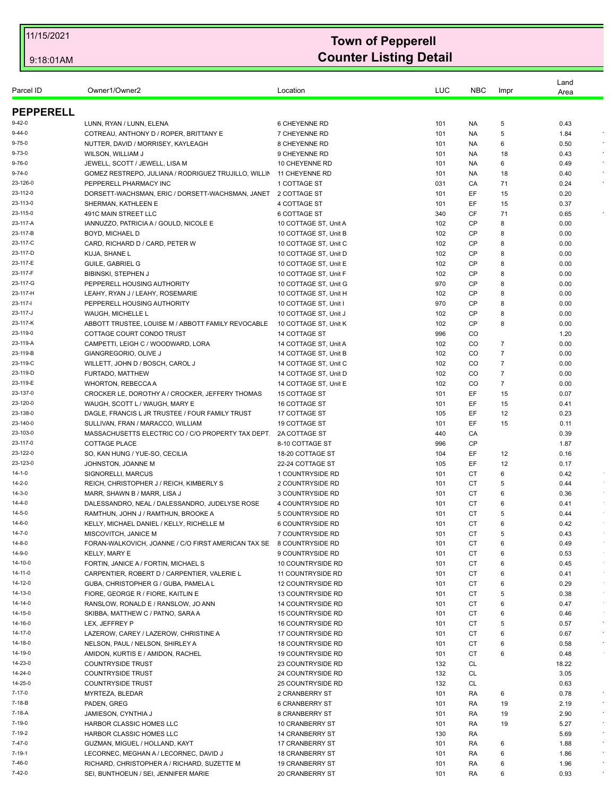|                          |                                                                       |                                                |            |                 |                | Land         |            |
|--------------------------|-----------------------------------------------------------------------|------------------------------------------------|------------|-----------------|----------------|--------------|------------|
| Parcel ID                | Owner1/Owner2                                                         | Location                                       | LUC        | <b>NBC</b>      | Impr           | Area         |            |
| <b>PEPPERELL</b>         |                                                                       |                                                |            |                 |                |              |            |
| $9 - 42 - 0$             | LUNN, RYAN / LUNN, ELENA                                              | <b>6 CHEYENNE RD</b>                           | 101        | NA.             | 5              | 0.43         |            |
| $9 - 44 - 0$             | COTREAU, ANTHONY D / ROPER, BRITTANY E                                | 7 CHEYENNE RD                                  | 101        | NA              | 5              | 1.84         |            |
| $9 - 75 - 0$             | NUTTER, DAVID / MORRISEY, KAYLEAGH                                    | 8 CHEYENNE RD                                  | 101        | <b>NA</b>       | 6              | 0.50         |            |
| $9 - 73 - 0$             | WILSON, WILLIAM J                                                     | 9 CHEYENNE RD                                  | 101        | NA.             | 18             | 0.43         |            |
| $9 - 76 - 0$             | JEWELL, SCOTT / JEWELL, LISA M                                        | 10 CHEYENNE RD                                 | 101        | NA              | 6              | 0.49         |            |
| $9 - 74 - 0$             | GOMEZ RESTREPO, JULIANA / RODRIGUEZ TRUJILLO, WILLIN                  | 11 CHEYENNE RD                                 | 101        | NA.             | 18             | 0.40         |            |
| 23-126-0                 | PEPPERELL PHARMACY INC                                                | 1 COTTAGE ST                                   | 031        | СA              | 71             | 0.24         |            |
| 23-112-0                 | DORSETT-WACHSMAN, ERIC / DORSETT-WACHSMAN, JANET                      | 2 COTTAGE ST                                   | 101        | EF              | 15             | 0.20         |            |
| 23-113-0                 | SHERMAN, KATHLEEN E                                                   | 4 COTTAGE ST                                   | 101        | EF              | 15             | 0.37         |            |
| 23-115-0                 | 491C MAIN STREET LLC                                                  | 6 COTTAGE ST                                   | 340        | CF              | 71             | 0.65         |            |
| 23-117-A                 | IANNUZZO, PATRICIA A / GOULD, NICOLE E                                | 10 COTTAGE ST, Unit A                          | 102        | <b>CP</b>       | 8              | 0.00         |            |
| 23-117-B                 | BOYD, MICHAEL D                                                       | 10 COTTAGE ST, Unit B                          | 102        | <b>CP</b>       | 8              | 0.00         |            |
| 23-117-C                 | CARD, RICHARD D / CARD, PETER W                                       | 10 COTTAGE ST, Unit C                          | 102        | <b>CP</b>       | 8              | 0.00         |            |
| 23-117-D                 | KUJA, SHANE L                                                         | 10 COTTAGE ST, Unit D                          | 102        | CP              | 8              | 0.00         |            |
| 23-117-E                 | <b>GUILE, GABRIEL G</b>                                               | 10 COTTAGE ST, Unit E                          | 102        | <b>CP</b>       | 8              | 0.00         |            |
| 23-117-F                 | BIBINSKI, STEPHEN J                                                   | 10 COTTAGE ST, Unit F                          | 102        | <b>CP</b>       | 8              | 0.00         |            |
| 23-117-G<br>23-117-H     | PEPPERELL HOUSING AUTHORITY                                           | 10 COTTAGE ST. Unit G                          | 970        | CP<br><b>CP</b> | 8              | 0.00         |            |
| 23-117-1                 | LEAHY, RYAN J / LEAHY, ROSEMARIE<br>PEPPERELL HOUSING AUTHORITY       | 10 COTTAGE ST, Unit H<br>10 COTTAGE ST, Unit I | 102<br>970 | <b>CP</b>       | 8<br>8         | 0.00<br>0.00 |            |
| 23-117-J                 | WAUGH, MICHELLE L                                                     | 10 COTTAGE ST, Unit J                          | 102        | CP              | 8              | 0.00         |            |
| 23-117-K                 | ABBOTT TRUSTEE, LOUISE M / ABBOTT FAMILY REVOCABLE                    | 10 COTTAGE ST, Unit K                          | 102        | <b>CP</b>       | 8              | 0.00         |            |
| 23-119-0                 | COTTAGE COURT CONDO TRUST                                             | 14 COTTAGE ST                                  | 996        | CO              |                | 1.20         |            |
| 23-119-A                 | CAMPETTI, LEIGH C / WOODWARD, LORA                                    | 14 COTTAGE ST, Unit A                          | 102        | CO.             | 7              | 0.00         |            |
| 23-119-B                 | GIANGREGORIO, OLIVE J                                                 | 14 COTTAGE ST, Unit B                          | 102        | CO              | 7              | 0.00         |            |
| 23-119-C                 | WILLETT, JOHN D / BOSCH, CAROL J                                      | 14 COTTAGE ST, Unit C                          | 102        | CO              | $\overline{7}$ | 0.00         |            |
| 23-119-D                 | FURTADO, MATTHEW                                                      | 14 COTTAGE ST, Unit D                          | 102        | CO              | $\overline{7}$ | 0.00         |            |
| 23-119-E                 | <b>WHORTON, REBECCA A</b>                                             | 14 COTTAGE ST, Unit E                          | 102        | CO              | 7              | 0.00         |            |
| 23-137-0                 | CROCKER LE, DOROTHY A / CROCKER, JEFFERY THOMAS                       | 15 COTTAGE ST                                  | 101        | EF              | 15             | 0.07         |            |
| 23-120-0                 | WAUGH, SCOTT L / WAUGH, MARY E                                        | <b>16 COTTAGE ST</b>                           | 101        | EF              | 15             | 0.41         |            |
| 23-138-0                 | DAGLE, FRANCIS L JR TRUSTEE / FOUR FAMILY TRUST                       | 17 COTTAGE ST                                  | 105        | EF              | 12             | 0.23         |            |
| 23-140-0                 | SULLIVAN, FRAN / MARACCO, WILLIAM                                     | <b>19 COTTAGE ST</b>                           | 101        | EF              | 15             | 0.11         |            |
| 23-103-0                 | MASSACHUSETTS ELECTRIC CO / C/O PROPERTY TAX DEPT.                    | <b>2A COTTAGE ST</b>                           | 440        | CA              |                | 0.39         |            |
| 23-117-0                 | <b>COTTAGE PLACE</b>                                                  | 8-10 COTTAGE ST                                | 996        | <b>CP</b>       |                | 1.87         |            |
| 23-122-0                 | SO, KAN HUNG / YUE-SO, CECILIA                                        | 18-20 COTTAGE ST                               | 104        | EF              | 12             | 0.16         |            |
| 23-123-0<br>$14 - 1 - 0$ | JOHNSTON, JOANNE M                                                    | 22-24 COTTAGE ST<br>1 COUNTRYSIDE RD           | 105        | EF<br>СT        | 12<br>6        | 0.17<br>0.42 |            |
| 14-2-0                   | SIGNORELLI, MARCUS<br>REICH, CHRISTOPHER J / REICH, KIMBERLY S        | 2 COUNTRYSIDE RD                               | 101<br>101 | СT              | 5              | 0.44         |            |
| 14-3-0                   | MARR, SHAWN B / MARR, LISA J                                          | 3 COUNTRYSIDE RD                               | 101        | СT              | 6              | 0.36         |            |
| 14-4-0                   | DALESSANDRO, NEAL / DALESSANDRO, JUDELYSE ROSE                        | 4 COUNTRYSIDE RD                               | 101        | СT              | 6              | 0.41         |            |
| 14-5-0                   | RAMTHUN, JOHN J / RAMTHUN, BROOKE A                                   | 5 COUNTRYSIDE RD                               | 101        | <b>CT</b>       | 5              | 0.44         |            |
| $14 - 6 - 0$             | KELLY, MICHAEL DANIEL / KELLY, RICHELLE M                             | 6 COUNTRYSIDE RD                               | 101        | <b>CT</b>       | 6              | 0.42         |            |
| 14-7-0                   | MISCOVITCH, JANICE M                                                  | 7 COUNTRYSIDE RD                               | 101        | CТ              | 5              | 0.43         |            |
| 14-8-0                   | FORAN-WALKOVICH, JOANNE / C/O FIRST AMERICAN TAX SE                   | 8 COUNTRYSIDE RD                               | 101        | <b>CT</b>       | 6              | 0.49         |            |
| 14-9-0                   | KELLY, MARY E                                                         | 9 COUNTRYSIDE RD                               | 101        | СT              | 6              | 0.53         | $\sim$     |
| 14-10-0                  | FORTIN, JANICE A / FORTIN, MICHAEL S                                  | 10 COUNTRYSIDE RD                              | 101        | СT              | 6              | 0.45         | $\sim$     |
| 14-11-0                  | CARPENTIER, ROBERT D / CARPENTIER, VALERIE L                          | 11 COUNTRYSIDE RD                              | 101        | СT              | 6              | 0.41         |            |
| 14-12-0                  | GUBA, CHRISTOPHER G / GUBA, PAMELA L                                  | 12 COUNTRYSIDE RD                              | 101        | СT              | 6              | 0.29         | $\sim$     |
| 14-13-0                  | FIORE, GEORGE R / FIORE, KAITLIN E                                    | 13 COUNTRYSIDE RD                              | 101        | CT              | 5              | 0.38         | $\sim$     |
| 14-14-0                  | RANSLOW, RONALD E / RANSLOW, JO ANN                                   | 14 COUNTRYSIDE RD                              | 101        | СT              | 6              | 0.47         |            |
| 14-15-0                  | SKIBBA, MATTHEW C / PATNO, SARA A                                     | <b>15 COUNTRYSIDE RD</b>                       | 101        | СT              | 6              | 0.46         | $\bullet$  |
| 14-16-0<br>14-17-0       | LEX, JEFFREY P                                                        | 16 COUNTRYSIDE RD                              | 101        | <b>CT</b>       | 5              | 0.57         | $\sim$     |
| 14-18-0                  | LAZEROW, CAREY / LAZEROW, CHRISTINE A                                 | 17 COUNTRYSIDE RD<br><b>18 COUNTRYSIDE RD</b>  | 101<br>101 | СT<br>СT        | 6<br>6         | 0.67         | $\star$    |
| 14-19-0                  | NELSON, PAUL / NELSON, SHIRLEY A<br>AMIDON, KURTIS E / AMIDON, RACHEL | 19 COUNTRYSIDE RD                              | 101        | CT              | 6              | 0.58<br>0.48 |            |
| 14-23-0                  | <b>COUNTRYSIDE TRUST</b>                                              | 23 COUNTRYSIDE RD                              | 132        | <b>CL</b>       |                | 18.22        |            |
| 14-24-0                  | <b>COUNTRYSIDE TRUST</b>                                              | 24 COUNTRYSIDE RD                              | 132        | <b>CL</b>       |                | 3.05         |            |
| 14-25-0                  | <b>COUNTRYSIDE TRUST</b>                                              | 25 COUNTRYSIDE RD                              | 132        | <b>CL</b>       |                | 0.63         |            |
| 7-17-0                   | MYRTEZA, BLEDAR                                                       | 2 CRANBERRY ST                                 | 101        | RA              | 6              | 0.78         |            |
| 7-18-B                   | PADEN, GREG                                                           | <b>6 CRANBERRY ST</b>                          | 101        | RA              | 19             | 2.19         |            |
| 7-18-A                   | JAMIESON, CYNTHIA J                                                   | 8 CRANBERRY ST                                 | 101        | RA              | 19             | 2.90         |            |
| 7-19-0                   | HARBOR CLASSIC HOMES LLC                                              | 10 CRANBERRY ST                                | 101        | RA              | 19             | 5.27         | $\epsilon$ |
| 7-19-2                   | HARBOR CLASSIC HOMES LLC                                              | <b>14 CRANBERRY ST</b>                         | 130        | RA              |                | 5.69         |            |
| 7-47-0                   | GUZMAN, MIGUEL / HOLLAND, KAYT                                        | 17 CRANBERRY ST                                | 101        | RA              | 6              | 1.88         | $\bullet$  |
| 7-19-1                   | LECORNEC, MEGHAN A / LECORNEC, DAVID J                                | <b>18 CRANBERRY ST</b>                         | 101        | RA              | 6              | 1.86         | $\bullet$  |
| 7-46-0                   | RICHARD, CHRISTOPHER A / RICHARD, SUZETTE M                           | <b>19 CRANBERRY ST</b>                         | 101        | RA              | 6              | 1.96         |            |
| 7-42-0                   | SEI, BUNTHOEUN / SEI, JENNIFER MARIE                                  | 20 CRANBERRY ST                                | 101        | RA              | 6              | 0.93         | $\epsilon$ |
|                          |                                                                       |                                                |            |                 |                |              |            |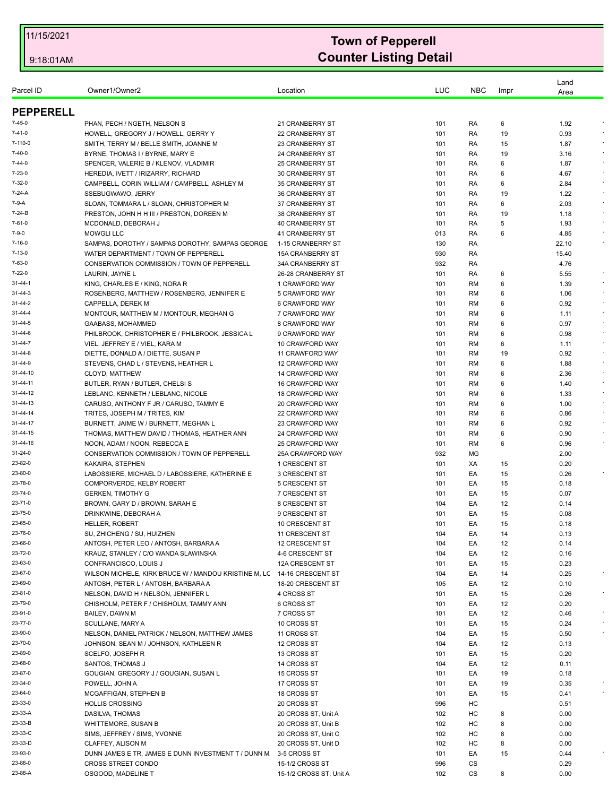| Parcel ID            | Owner1/Owner2                                                                   | Location                                  | LUC        | <b>NBC</b>             | Impr     | Land         |            |
|----------------------|---------------------------------------------------------------------------------|-------------------------------------------|------------|------------------------|----------|--------------|------------|
|                      |                                                                                 |                                           |            |                        |          | Area         |            |
| <b>PEPPERELL</b>     |                                                                                 |                                           |            |                        |          |              |            |
| $7 - 45 - 0$         | PHAN, PECH / NGETH, NELSON S                                                    | 21 CRANBERRY ST                           | 101        | RA                     | 6        | 1.92         |            |
| 7-41-0               | HOWELL, GREGORY J / HOWELL, GERRY Y                                             | <b>22 CRANBERRY ST</b>                    | 101        | RA                     | 19       | 0.93         |            |
| 7-110-0              | SMITH, TERRY M / BELLE SMITH, JOANNE M                                          | 23 CRANBERRY ST                           | 101        | RA                     | 15       | 1.87         |            |
| 7-40-0               | BYRNE, THOMAS I / BYRNE, MARY E                                                 | <b>24 CRANBERRY ST</b>                    | 101        | RA                     | 19       | 3.16         |            |
| 7-44-0               | SPENCER, VALERIE B / KLENOV, VLADIMIR                                           | <b>25 CRANBERRY ST</b>                    | 101        | RA                     | 6        | 1.87         | $\sim$     |
| $7 - 23 - 0$         | HEREDIA, IVETT / IRIZARRY, RICHARD                                              | <b>30 CRANBERRY ST</b>                    | 101        | RA                     | 6        | 4.67         |            |
| 7-32-0               | CAMPBELL, CORIN WILLIAM / CAMPBELL, ASHLEY M                                    | <b>35 CRANBERRY ST</b>                    | 101        | RA                     | 6        | 2.84         | $\epsilon$ |
| 7-24-A               | SSEBUGWAWO, JERRY                                                               | <b>36 CRANBERRY ST</b>                    | 101        | RA                     | 19       | 1.22         |            |
| 7-9-A                | SLOAN, TOMMARA L / SLOAN, CHRISTOPHER M                                         | <b>37 CRANBERRY ST</b>                    | 101        | RA                     | 6        | 2.03         | $\star$    |
| 7-24-B<br>7-61-0     | PRESTON, JOHN H H III / PRESTON, DOREEN M                                       | <b>38 CRANBERRY ST</b>                    | 101        | RA                     | 19       | 1.18         | $\cdot$    |
| $7 - 9 - 0$          | MCDONALD, DEBORAH J<br><b>MOWGLI LLC</b>                                        | <b>40 CRANBERRY ST</b><br>41 CRANBERRY ST | 101<br>013 | RA<br>RA               | 5<br>6   | 1.93<br>4.85 | $\sim$     |
| $7 - 16 - 0$         | SAMPAS, DOROTHY / SAMPAS DOROTHY, SAMPAS GEORGE                                 | 1-15 CRANBERRY ST                         | 130        | RA                     |          | 22.10        |            |
| $7 - 13 - 0$         | WATER DEPARTMENT / TOWN OF PEPPERELL                                            | <b>15A CRANBERRY ST</b>                   | 930        | RA                     |          | 15.40        |            |
| 7-63-0               | CONSERVATION COMMISSION / TOWN OF PEPPERELL                                     | 34A CRANBERRY ST                          | 932        | RA                     |          | 4.76         |            |
| $7 - 22 - 0$         | LAURIN, JAYNE L                                                                 | 26-28 CRANBERRY ST                        | 101        | RA                     | 6        | 5.55         |            |
| $31 - 44 - 1$        | KING, CHARLES E / KING, NORA R                                                  | 1 CRAWFORD WAY                            | 101        | <b>RM</b>              | 6        | 1.39         | $\sim$     |
| 31-44-3              | ROSENBERG, MATTHEW / ROSENBERG, JENNIFER E                                      | 5 CRAWFORD WAY                            | 101        | <b>RM</b>              | 6        | 1.06         |            |
| 31-44-2              | CAPPELLA. DEREK M                                                               | 6 CRAWFORD WAY                            | 101        | <b>RM</b>              | 6        | 0.92         | $\sim$     |
| 31-44-4              | MONTOUR, MATTHEW M / MONTOUR, MEGHAN G                                          | 7 CRAWFORD WAY                            | 101        | <b>RM</b>              | 6        | 1.11         | $\sim$     |
| 31-44-5              | GAABASS, MOHAMMED                                                               | 8 CRAWFORD WAY                            | 101        | <b>RM</b>              | 6        | 0.97         |            |
| 31-44-6              | PHILBROOK, CHRISTOPHER E / PHILBROOK, JESSICA L                                 | 9 CRAWFORD WAY                            | 101        | <b>RM</b>              | 6        | 0.98         | $\sim$     |
| 31-44-7              | VIEL, JEFFREY E / VIEL, KARA M                                                  | 10 CRAWFORD WAY                           | 101        | <b>RM</b>              | 6        | 1.11         |            |
| 31-44-8              | DIETTE, DONALD A / DIETTE, SUSAN P                                              | 11 CRAWFORD WAY                           | 101        | <b>RM</b>              | 19       | 0.92         |            |
| 31-44-9              | STEVENS, CHAD L / STEVENS, HEATHER L                                            | 12 CRAWFORD WAY                           | 101        | <b>RM</b>              | 6        | 1.88         | $\sim$     |
| 31-44-10             | CLOYD, MATTHEW                                                                  | 14 CRAWFORD WAY                           | 101        | <b>RM</b>              | 6        | 2.36         |            |
| 31-44-11             | BUTLER, RYAN / BUTLER, CHELSI S                                                 | 16 CRAWFORD WAY                           | 101        | <b>RM</b>              | 6        | 1.40         | $\bullet$  |
| 31-44-12             | LEBLANC, KENNETH / LEBLANC, NICOLE                                              | 18 CRAWFORD WAY                           | 101        | <b>RM</b>              | 6        | 1.33         | $\sim$     |
| 31-44-13<br>31-44-14 | CARUSO, ANTHONY F JR / CARUSO, TAMMY E                                          | 20 CRAWFORD WAY                           | 101        | RM                     | 6        | 1.00         |            |
| 31-44-17             | TRITES, JOSEPH M / TRITES, KIM<br>BURNETT, JAIME W / BURNETT, MEGHAN L          | 22 CRAWFORD WAY<br>23 CRAWFORD WAY        | 101<br>101 | <b>RM</b><br><b>RM</b> | 6<br>6   | 0.86<br>0.92 |            |
| 31-44-15             | THOMAS, MATTHEW DAVID / THOMAS, HEATHER ANN                                     | 24 CRAWFORD WAY                           | 101        | RM                     | 6        | 0.90         |            |
| 31-44-16             | NOON, ADAM / NOON, REBECCA E                                                    | 25 CRAWFORD WAY                           | 101        | <b>RM</b>              | 6        | 0.96         |            |
| 31-24-0              | CONSERVATION COMMISSION / TOWN OF PEPPERELL                                     | 25A CRAWFORD WAY                          | 932        | MG                     |          | 2.00         |            |
| 23-82-0              | KAKAIRA, STEPHEN                                                                | 1 CRESCENT ST                             | 101        | XA                     | 15       | 0.20         |            |
| 23-80-0              | LABOSSIERE, MICHAEL D / LABOSSIERE, KATHERINE E                                 | 3 CRESCENT ST                             | 101        | EA                     | 15       | 0.26         |            |
| 23-78-0              | COMPORVERDE, KELBY ROBERT                                                       | 5 CRESCENT ST                             | 101        | EA                     | 15       | 0.18         |            |
| 23-74-0              | <b>GERKEN, TIMOTHY G</b>                                                        | 7 CRESCENT ST                             | 101        | EA                     | 15       | 0.07         |            |
| 23-71-0              | BROWN, GARY D / BROWN, SARAH E                                                  | 8 CRESCENT ST                             | 104        | EA                     | 12       | 0.14         |            |
| 23-75-0              | DRINKWINE, DEBORAH A                                                            | 9 CRESCENT ST                             | 101        | EA                     | 15       | 0.08         |            |
| 23-65-0              | <b>HELLER, ROBERT</b>                                                           | 10 CRESCENT ST                            | 101        | EA                     | 15       | 0.18         |            |
| 23-76-0              | SU, ZHICHENG / SU, HUIZHEN                                                      | 11 CRESCENT ST                            | 104        | EA                     | 14       | 0.13         |            |
| 23-66-0              | ANTOSH. PETER LEO / ANTOSH. BARBARA A                                           | 12 CRESCENT ST                            | 104        | EA                     | 12       | 0.14         |            |
| 23-72-0              | KRAUZ, STANLEY / C/O WANDA SLAWINSKA                                            | 4-6 CRESCENT ST                           | 104        | EA                     | 12       | 0.16         |            |
| 23-63-0              | CONFRANCISCO, LOUIS J                                                           | 12A CRESCENT ST                           | 101        | EA                     | 15       | 0.23         |            |
| 23-67-0              | WILSON MICHELE, KIRK BRUCE W / MANDOU KRISTINE M, LC                            | 14-16 CRESCENT ST                         | 104        | EA                     | 14       | 0.25         |            |
| 23-69-0<br>23-81-0   | ANTOSH, PETER L / ANTOSH, BARBARA A                                             | 18-20 CRESCENT ST                         | 105        | EA<br>EA               | 12       | 0.10         |            |
| 23-79-0              | NELSON, DAVID H / NELSON, JENNIFER L<br>CHISHOLM, PETER F / CHISHOLM, TAMMY ANN | 4 CROSS ST<br>6 CROSS ST                  | 101<br>101 | EA                     | 15<br>12 | 0.26<br>0.20 |            |
| 23-91-0              | BAILEY, DAWN M                                                                  | 7 CROSS ST                                | 101        | EA                     | 12       | 0.46         |            |
| 23-77-0              | SCULLANE, MARY A                                                                | 10 CROSS ST                               | 101        | EA                     | 15       | 0.24         |            |
| 23-90-0              | NELSON. DANIEL PATRICK / NELSON. MATTHEW JAMES                                  | 11 CROSS ST                               | 104        | EA                     | 15       | 0.50         |            |
| 23-70-0              | JOHNSON, SEAN M / JOHNSON, KATHLEEN R                                           | 12 CROSS ST                               | 104        | EA                     | 12       | 0.13         |            |
| 23-89-0              | SCELFO, JOSEPH R                                                                | 13 CROSS ST                               | 101        | EA                     | 15       | 0.20         |            |
| 23-68-0              | SANTOS, THOMAS J                                                                | 14 CROSS ST                               | 104        | EA                     | 12       | 0.11         |            |
| 23-87-0              | GOUGIAN, GREGORY J / GOUGIAN, SUSAN L                                           | 15 CROSS ST                               | 101        | EA                     | 19       | 0.18         |            |
| 23-34-0              | POWELL, JOHN A                                                                  | 17 CROSS ST                               | 101        | EA                     | 19       | 0.35         |            |
| 23-64-0              | MCGAFFIGAN, STEPHEN B                                                           | 18 CROSS ST                               | 101        | EA                     | 15       | 0.41         |            |
| 23-33-0              | <b>HOLLIS CROSSING</b>                                                          | 20 CROSS ST                               | 996        | HC                     |          | 0.51         |            |
| 23-33-A              | DASILVA, THOMAS                                                                 | 20 CROSS ST, Unit A                       | 102        | HC                     | 8        | 0.00         |            |
| 23-33-B              | WHITTEMORE, SUSAN B                                                             | 20 CROSS ST, Unit B                       | 102        | HC                     | 8        | 0.00         |            |
| 23-33-C              | SIMS, JEFFREY / SIMS, YVONNE                                                    | 20 CROSS ST, Unit C                       | 102        | HC                     | 8        | 0.00         |            |
| 23-33-D              | CLAFFEY, ALISON M                                                               | 20 CROSS ST, Unit D                       | 102        | HC                     | 8        | 0.00         |            |
| 23-93-0              | DUNN JAMES E TR, JAMES E DUNN INVESTMENT T / DUNN M                             | 3-5 CROSS ST                              | 101        | EA                     | 15       | 0.44         |            |
| 23-88-0              | <b>CROSS STREET CONDO</b>                                                       | 15-1/2 CROSS ST                           | 996        | CS                     |          | 0.29         |            |
| 23-88-A              | OSGOOD, MADELINE T                                                              | 15-1/2 CROSS ST, Unit A                   | 102        | CS                     | 8        | 0.00         |            |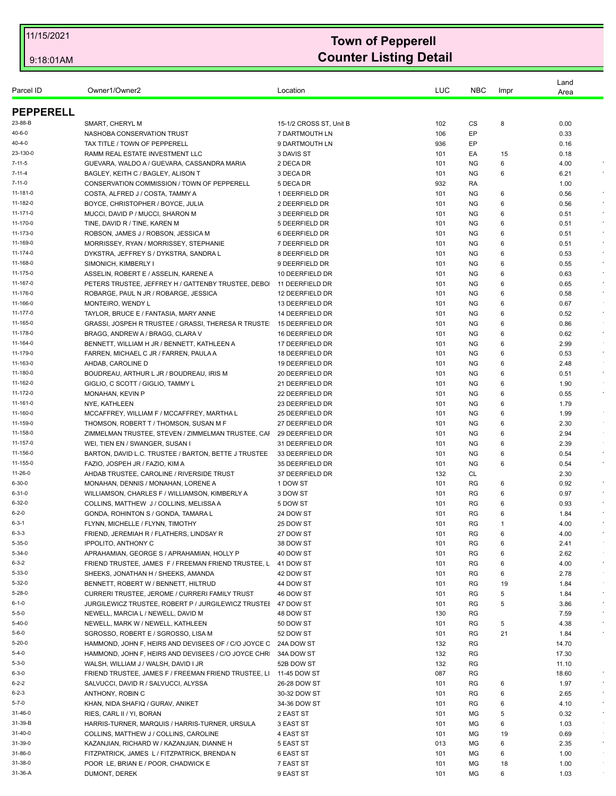| Parcel ID              | Owner1/Owner2                                                                          | Location                           | LUC        | <b>NBC</b>             | Impr    | Land<br>Area            |
|------------------------|----------------------------------------------------------------------------------------|------------------------------------|------------|------------------------|---------|-------------------------|
| <b>PEPPERELL</b>       |                                                                                        |                                    |            |                        |         |                         |
| 23-88-B                | SMART, CHERYL M                                                                        | 15-1/2 CROSS ST, Unit B            | 102        | CS                     | 8       | 0.00                    |
| 40-6-0                 | NASHOBA CONSERVATION TRUST                                                             | 7 DARTMOUTH LN                     | 106        | EP                     |         | 0.33                    |
| 40-4-0                 | TAX TITLE / TOWN OF PEPPERELL                                                          | 9 DARTMOUTH LN                     | 936        | EP                     |         | 0.16                    |
| 23-130-0               | RAMM REAL ESTATE INVESTMENT LLC                                                        | 3 DAVIS ST                         | 101        | EA                     | 15      | 0.18                    |
| $7 - 11 - 5$           | GUEVARA, WALDO A / GUEVARA, CASSANDRA MARIA                                            | 2 DECA DR                          | 101        | <b>NG</b>              | 6       | 4.00                    |
| $7 - 11 - 4$           | BAGLEY, KEITH C / BAGLEY, ALISON T                                                     | 3 DECA DR                          | 101        | <b>NG</b>              | 6       | 6.21                    |
| $7 - 11 - 0$           | CONSERVATION COMMISSION / TOWN OF PEPPERELL                                            | 5 DECA DR                          | 932        | RA                     |         | 1.00                    |
| 11-181-0               | COSTA, ALFRED J / COSTA, TAMMY A                                                       | 1 DEERFIELD DR                     | 101        | <b>NG</b>              | 6       | 0.56<br>$\bullet$       |
| 11-182-0               | BOYCE, CHRISTOPHER / BOYCE, JULIA                                                      | 2 DEERFIELD DR                     | 101        | <b>NG</b>              | 6       | 0.56                    |
| $11 - 171 - 0$         | MUCCI, DAVID P / MUCCI, SHARON M                                                       | 3 DEERFIELD DR                     | 101        | <b>NG</b>              | 6       | 0.51                    |
| 11-170-0               | TINE, DAVID R / TINE, KAREN M                                                          | 5 DEERFIELD DR                     | 101        | <b>NG</b>              | 6       | 0.51<br>$\bullet$       |
| 11-173-0               | ROBSON, JAMES J / ROBSON, JESSICA M                                                    | 6 DEERFIELD DR                     | 101        | ΝG                     | 6       | $\epsilon$<br>0.51      |
| 11-169-0               | MORRISSEY, RYAN / MORRISSEY, STEPHANIE                                                 | 7 DEERFIELD DR                     | 101        | <b>NG</b>              | 6       | 0.51                    |
| 11-174-0               | DYKSTRA, JEFFREY S / DYKSTRA, SANDRA L                                                 | 8 DEERFIELD DR                     | 101        | <b>NG</b>              | 6       | $\sim$<br>0.53          |
| 11-168-0               | SIMONICH, KIMBERLY I                                                                   | 9 DEERFIELD DR                     | 101        | ΝG                     | 6       | $\epsilon$<br>0.55      |
| 11-175-0               | ASSELIN, ROBERT E / ASSELIN, KARENE A                                                  | 10 DEERFIELD DR                    | 101        | <b>NG</b>              | 6       | 0.63                    |
| 11-167-0               | PETERS TRUSTEE, JEFFREY H / GATTENBY TRUSTEE, DEBO                                     | 11 DEERFIELD DR                    | 101        | <b>NG</b>              | 6       | $\star$<br>0.65         |
| 11-176-0               | ROBARGE, PAUL N JR / ROBARGE, JESSICA                                                  | 12 DEERFIELD DR                    | 101        | <b>NG</b>              | 6       | 0.58                    |
| 11-166-0<br>11-177-0   | MONTEIRO, WENDY L<br>TAYLOR, BRUCE E / FANTASIA, MARY ANNE                             | 13 DEERFIELD DR                    | 101        | NG.                    | 6       | 0.67<br>$\sim$          |
| 11-165-0               | GRASSI, JOSPEH R TRUSTEE / GRASSI, THERESA R TRUSTE                                    | 14 DEERFIELD DR<br>15 DEERFIELD DR | 101<br>101 | <b>NG</b><br><b>NG</b> | 6<br>6  | 0.52<br>0.86            |
| 11-178-0               | BRAGG, ANDREW A / BRAGG, CLARA V                                                       | 16 DEERFIELD DR                    | 101        | <b>NG</b>              | 6       | $\epsilon$<br>0.62      |
| 11-164-0               | BENNETT, WILLIAM H JR / BENNETT, KATHLEEN A                                            | 17 DEERFIELD DR                    | 101        | <b>NG</b>              | 6       | 2.99                    |
| 11-179-0               | FARREN, MICHAEL C JR / FARREN, PAULA A                                                 | 18 DEERFIELD DR                    | 101        | <b>NG</b>              | 6       | $\epsilon$<br>0.53      |
| 11-163-0               | AHDAB, CAROLINE D                                                                      | 19 DEERFIELD DR                    | 101        | ΝG                     | 6       | 2.48                    |
| 11-180-0               | BOUDREAU, ARTHUR L JR / BOUDREAU, IRIS M                                               | 20 DEERFIELD DR                    | 101        | <b>NG</b>              | 6       | $\sim$<br>0.51          |
| 11-162-0               | GIGLIO, C SCOTT / GIGLIO, TAMMY L                                                      | 21 DEERFIELD DR                    | 101        | <b>NG</b>              | 6       | 1.90                    |
| 11-172-0               | MONAHAN, KEVIN P                                                                       | 22 DEERFIELD DR                    | 101        | ΝG                     | 6       | 0.55<br>$\sim$          |
| 11-161-0               | NYE, KATHLEEN                                                                          | 23 DEERFIELD DR                    | 101        | <b>NG</b>              | 6       | 1.79                    |
| 11-160-0               | MCCAFFREY, WILLIAM F / MCCAFFREY, MARTHA L                                             | 25 DEERFIELD DR                    | 101        | <b>NG</b>              | 6       | 1.99                    |
| 11-159-0               | THOMSON, ROBERT T / THOMSON, SUSAN M F                                                 | 27 DEERFIELD DR                    | 101        | ΝG                     | 6       | $\sim$<br>2.30          |
| 11-158-0               | ZIMMELMAN TRUSTEE, STEVEN / ZIMMELMAN TRUSTEE, CAI                                     | 29 DEERFIELD DR                    | 101        | <b>NG</b>              | 6       | 2.94                    |
| 11-157-0               | WEI, TIEN EN / SWANGER, SUSAN I                                                        | 31 DEERFIELD DR                    | 101        | <b>NG</b>              | 6       | 2.39                    |
| 11-156-0               | BARTON, DAVID L.C. TRUSTEE / BARTON, BETTE J TRUSTEE                                   | 33 DEERFIELD DR                    | 101        | ΝG                     | 6       | $\epsilon$<br>0.54      |
| 11-155-0               | FAZIO, JOSPEH JR / FAZIO, KIM A                                                        | 35 DEERFIELD DR                    | 101        | <b>NG</b>              | 6       | $\cdot$<br>0.54         |
| 11-26-0                | AHDAB TRUSTEE, CAROLINE / RIVERSIDE TRUST                                              | 37 DEERFIELD DR                    | 132        | CL                     |         | 2.30                    |
| 6-30-0                 | MONAHAN, DENNIS / MONAHAN, LORENE A                                                    | 1 DOW ST                           | 101        | RG                     | 6       | $\lambda$<br>0.92       |
| 6-31-0                 | WILLIAMSON, CHARLES F / WILLIAMSON, KIMBERLY A                                         | 3 DOW ST                           | 101        | RG                     | 6       | 0.97<br>$\sim$          |
| 6-32-0                 | COLLINS, MATTHEW J / COLLINS, MELISSA A                                                | 5 DOW ST                           | 101        | RG                     | 6       | 0.93                    |
| 6-2-0                  | GONDA, ROHINTON S / GONDA, TAMARA L                                                    | 24 DOW ST                          | 101        | RG                     | 6       | 1.84                    |
| 6-3-1                  | FLYNN, MICHELLE / FLYNN, TIMOTHY                                                       | 25 DOW ST                          | 101        | RG                     | 1       | 4.00                    |
| 6-3-3                  | FRIEND, JEREMIAH R / FLATHERS, LINDSAY R                                               | 27 DOW ST                          | 101        | RG                     | 6       | $\star$<br>4.00         |
| $5 - 35 - 0$           | <b>IPPOLITO, ANTHONY C</b>                                                             | 38 DOW ST                          | 101        | RG                     | 6       | 2.41                    |
| $5 - 34 - 0$           | APRAHAMIAN, GEORGE S / APRAHAMIAN, HOLLY P                                             | 40 DOW ST                          | 101        | RG                     | 6       | 2.62<br>$\sim$          |
| 6-3-2                  | FRIEND TRUSTEE, JAMES F / FREEMAN FRIEND TRUSTEE, L                                    | 41 DOW ST                          | 101        | RG                     | 6       | 4.00                    |
| 5-33-0<br>$5 - 32 - 0$ | SHEEKS, JONATHAN H / SHEEKS, AMANDA                                                    | 42 DOW ST                          | 101        | RG                     | 6       | 2.78                    |
| $5 - 28 - 0$           | BENNETT, ROBERT W / BENNETT, HILTRUD<br>CURRERI TRUSTEE, JEROME / CURRERI FAMILY TRUST | 44 DOW ST<br>46 DOW ST             | 101<br>101 | RG<br>RG               | 19<br>5 | 1.84<br>$\cdot$<br>1.84 |
| 6-1-0                  | JURGILEWICZ TRUSTEE, ROBERT P / JURGILEWICZ TRUSTEI                                    | 47 DOW ST                          | 101        | RG                     | 5       | $\bullet$<br>3.86       |
| 5-5-0                  | NEWELL, MARCIA L / NEWELL, DAVID M                                                     | 48 DOW ST                          | 130        | RG                     |         | 7.59<br>$\bullet$       |
| 5-40-0                 | NEWELL, MARK W / NEWELL, KATHLEEN                                                      | 50 DOW ST                          | 101        | RG                     | 5       | 4.38                    |
| 5-6-0                  | SGROSSO, ROBERT E / SGROSSO, LISA M                                                    | 52 DOW ST                          | 101        | RG                     | 21      | 1.84                    |
| 5-20-0                 | HAMMOND, JOHN F, HEIRS AND DEVISEES OF / C/O JOYCE C                                   | 24A DOW ST                         | 132        | RG                     |         | 14.70                   |
| 5-4-0                  | HAMMOND, JOHN F, HEIRS AND DEVISEES / C/O JOYCE CHR                                    | 34A DOW ST                         | 132        | RG                     |         | 17.30                   |
| 5-3-0                  | WALSH, WILLIAM J / WALSH, DAVID I JR                                                   | 52B DOW ST                         | 132        | RG                     |         | 11.10                   |
| 6-3-0                  | FRIEND TRUSTEE, JAMES F / FREEMAN FRIEND TRUSTEE, LI 11-45 DOW ST                      |                                    | 087        | RG                     |         | 18.60                   |
| 6-2-2                  | SALVUCCI, DAVID R / SALVUCCI, ALYSSA                                                   | 26-28 DOW ST                       | 101        | RG                     | 6       | 1.97                    |
| 6-2-3                  | ANTHONY, ROBIN C                                                                       | 30-32 DOW ST                       | 101        | RG                     | 6       | 2.65                    |
| 5-7-0                  | KHAN, NIDA SHAFIQ / GURAV, ANIKET                                                      | 34-36 DOW ST                       | 101        | RG                     | 6       | 4.10                    |
| 31-46-0                | RIES, CARL II / YI, BORAN                                                              | 2 EAST ST                          | 101        | МG                     | 5       | 0.32<br>$\star$         |
| 31-39-B                | HARRIS-TURNER, MARQUIS / HARRIS-TURNER, URSULA                                         | 3 EAST ST                          | 101        | МG                     | 6       | 1.03                    |
| 31-40-0                | COLLINS, MATTHEW J / COLLINS, CAROLINE                                                 | 4 EAST ST                          | 101        | ΜG                     | 19      | 0.69                    |
| 31-39-0                | KAZANJIAN, RICHARD W / KAZANJIAN, DIANNE H                                             | 5 EAST ST                          | 013        | МG                     | 6       | 2.35<br>$\sim$          |
| 31-86-0                | FITZPATRICK, JAMES L / FITZPATRICK, BRENDA N                                           | 6 EAST ST                          | 101        | МG                     | 6       | 1.00                    |
| 31-38-0                | POOR LE, BRIAN E / POOR, CHADWICK E                                                    | 7 EAST ST                          | 101        | ΜG                     | 18      | 1.00                    |
| 31-36-A                | DUMONT, DEREK                                                                          | 9 EAST ST                          | 101        | MG                     | 6       | 1.03                    |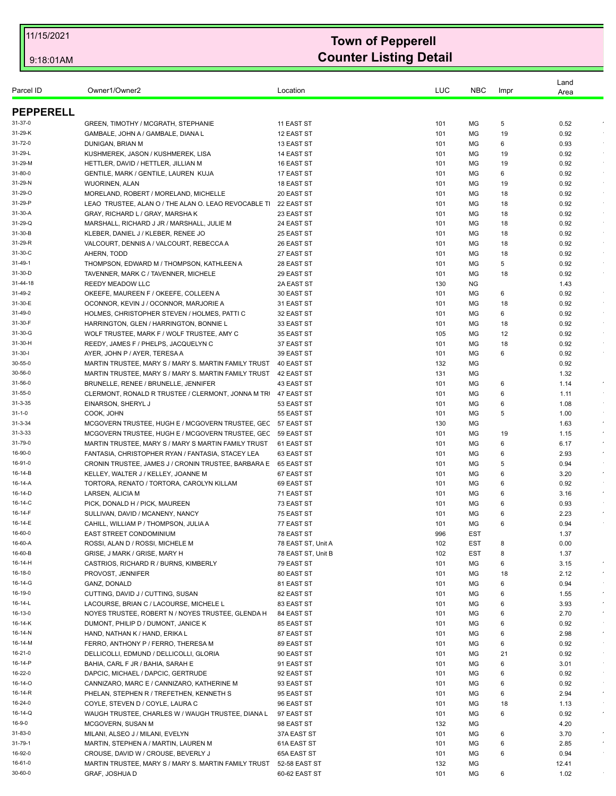| Parcel ID          | Owner1/Owner2                                                     | Location                                 | LUC        | <b>NBC</b>               | Impr     | Land<br>Area             |
|--------------------|-------------------------------------------------------------------|------------------------------------------|------------|--------------------------|----------|--------------------------|
| <b>PEPPERELL</b>   |                                                                   |                                          |            |                          |          |                          |
| 31-37-0            | GREEN, TIMOTHY / MCGRATH, STEPHANIE                               | 11 EAST ST                               | 101        | МG                       | 5        | $\cdot$<br>0.52          |
| 31-29-K            | GAMBALE, JOHN A / GAMBALE, DIANA L                                | 12 EAST ST                               | 101        | ΜG                       | 19       | 0.92                     |
| 31-72-0            | DUNIGAN, BRIAN M                                                  | 13 EAST ST                               | 101        | MG                       | 6        | 0.93                     |
| 31-29-L            | KUSHMEREK, JASON / KUSHMEREK, LISA                                | 14 EAST ST                               | 101        | МG                       | 19       | 0.92                     |
| 31-29-M            | HETTLER, DAVID / HETTLER, JILLIAN M                               | 16 EAST ST                               | 101        | МG                       | 19       | 0.92<br>$\sim$           |
| 31-80-0            | GENTILE, MARK / GENTILE, LAUREN KUJA                              | 17 EAST ST                               | 101        | МG                       | 6        | 0.92                     |
| 31-29-N            | <b>WUORINEN, ALAN</b>                                             | 18 EAST ST                               | 101        | МG                       | 19       | 0.92<br>$\sim$           |
| 31-29-O            | MORELAND, ROBERT / MORELAND, MICHELLE                             | 20 EAST ST                               | 101        | MG                       | 18       | 0.92<br>$\sim$           |
| 31-29-P            | LEAO TRUSTEE, ALAN O / THE ALAN O. LEAO REVOCABLE TI              | 22 EAST ST                               | 101        | MG                       | 18       | 0.92                     |
| 31-30-A            | GRAY, RICHARD L / GRAY, MARSHA K                                  | 23 EAST ST                               | 101        | MG                       | 18       | 0.92                     |
| 31-29-Q            | MARSHALL, RICHARD J JR / MARSHALL, JULIE M                        | 24 EAST ST                               | 101        | MG                       | 18       | 0.92<br>$\sim$<br>$\sim$ |
| 31-30-B            | KLEBER, DANIEL J / KLEBER, RENEE JO                               | 25 EAST ST                               | 101        | МG                       | 18       | 0.92                     |
| 31-29-R<br>31-30-C | VALCOURT, DENNIS A / VALCOURT, REBECCA A<br>AHERN, TODD           | 26 EAST ST                               | 101<br>101 | MG<br>MG                 | 18<br>18 | 0.92<br>0.92<br>$\sim$   |
| 31-49-1            | THOMPSON, EDWARD M / THOMPSON, KATHLEEN A                         | 27 EAST ST<br>28 EAST ST                 |            | MG                       | 5        | $\sim$<br>0.92           |
| 31-30-D            | TAVENNER, MARK C / TAVENNER, MICHELE                              | 29 EAST ST                               | 101<br>101 | MG                       | 18       | 0.92                     |
| 31-44-18           | <b>REEDY MEADOW LLC</b>                                           | 2A EAST ST                               | 130        | <b>NG</b>                |          | 1.43                     |
| 31-49-2            | OKEEFE, MAUREEN F / OKEEFE, COLLEEN A                             | 30 EAST ST                               | 101        | МG                       | 6        | 0.92                     |
| 31-30-E            | OCONNOR, KEVIN J / OCONNOR, MARJORIE A                            | 31 EAST ST                               | 101        | MG                       | 18       | 0.92                     |
| 31-49-0            | HOLMES, CHRISTOPHER STEVEN / HOLMES, PATTI C                      | 32 EAST ST                               | 101        | MG                       | 6        | 0.92<br>$\sim$           |
| 31-30-F            | HARRINGTON, GLEN / HARRINGTON, BONNIE L                           | 33 EAST ST                               | 101        | MG                       | 18       | 0.92<br>$\sim$           |
| 31-30-G            | WOLF TRUSTEE, MARK F / WOLF TRUSTEE, AMY C                        | 35 EAST ST                               | 105        | MG                       | 12       | 0.92                     |
| 31-30-H            | REEDY, JAMES F / PHELPS, JACQUELYN C                              | 37 EAST ST                               | 101        | МG                       | 18       | 0.92                     |
| $31 - 30 - 1$      | AYER, JOHN P / AYER, TERESA A                                     | 39 EAST ST                               | 101        | MG                       | 6        | 0.92                     |
| 30-55-0            | MARTIN TRUSTEE, MARY S / MARY S. MARTIN FAMILY TRUST              | 40 EAST ST                               | 132        | МG                       |          | 0.92                     |
| 30-56-0            | MARTIN TRUSTEE, MARY S / MARY S. MARTIN FAMILY TRUST              | 42 EAST ST                               | 131        | MG                       |          | 1.32                     |
| 31-56-0            | BRUNELLE, RENEE / BRUNELLE, JENNIFER                              | 43 EAST ST                               | 101        | МG                       | 6        | $\bullet$<br>1.14        |
| 31-55-0            | CLERMONT, RONALD R TRUSTEE / CLERMONT, JONNA M TR                 | 47 EAST ST                               | 101        | МG                       | 6        | 1.11                     |
| $31 - 3 - 35$      | EINARSON, SHERYL J                                                | 53 EAST ST                               | 101        | МG                       | 6        | 1.08                     |
| $31 - 1 - 0$       | COOK, JOHN                                                        | 55 EAST ST                               | 101        | MG                       | 5        | 1.00                     |
| $31 - 3 - 34$      | MCGOVERN TRUSTEE, HUGH E / MCGOVERN TRUSTEE, GEC 57 EAST ST       |                                          | 130        | МG                       |          | $\epsilon$<br>1.63       |
| $31 - 3 - 33$      | MCGOVERN TRUSTEE, HUGH E / MCGOVERN TRUSTEE, GEC                  | 59 EAST ST                               | 101        | MG                       | 19       | 1.15                     |
| 31-79-0            | MARTIN TRUSTEE, MARY S / MARY S MARTIN FAMILY TRUST               | 61 EAST ST                               | 101        | MG                       | 6        | 6.17<br>$\sim$           |
| 16-90-0            | FANTASIA, CHRISTOPHER RYAN / FANTASIA, STACEY LEA                 | 63 EAST ST                               | 101        | МG                       | 6        | 2.93<br>$\epsilon$       |
| 16-91-0            | CRONIN TRUSTEE, JAMES J / CRONIN TRUSTEE, BARBARA E 65 EAST ST    |                                          | 101        | МG                       | 5        | 0.94                     |
| 16-14-B            | KELLEY, WALTER J / KELLEY, JOANNE M                               | 67 EAST ST                               | 101        | МG                       | 6        | 3.20<br>$\sim$           |
| 16-14-A            | TORTORA, RENATO / TORTORA, CAROLYN KILLAM                         | 69 EAST ST                               | 101        | МG                       | 6        | 0.92                     |
| 16-14-D            | LARSEN, ALICIA M                                                  | 71 EAST ST                               | 101        | MG                       | 6        | $\sim$<br>3.16           |
| 16-14-C            | PICK, DONALD H / PICK, MAUREEN                                    | 73 EAST ST                               | 101        | MG                       | 6        | 0.93                     |
| 16-14-F            | SULLIVAN, DAVID / MCANENY, NANCY                                  | 75 EAST ST                               | 101        | МG                       | 6        | 2.23                     |
| 16-14-E            | CAHILL, WILLIAM P / THOMPSON, JULIA A                             | 77 EAST ST                               | 101        | MG                       | 6        | 0.94                     |
| 16-60-0<br>16-60-A | <b>EAST STREET CONDOMINIUM</b>                                    | 78 EAST ST                               | 996        | <b>EST</b>               |          | 1.37                     |
| 16-60-B            | ROSSI, ALAN D / ROSSI, MICHELE M<br>GRISE, J MARK / GRISE, MARY H | 78 EAST ST, Unit A<br>78 EAST ST, Unit B | 102<br>102 | <b>EST</b><br><b>EST</b> | 8<br>8   | 0.00<br>1.37             |
| 16-14-H            | CASTRIOS, RICHARD R / BURNS, KIMBERLY                             | 79 EAST ST                               | 101        | MG                       | 6        | $\epsilon$<br>3.15       |
| 16-18-0            | PROVOST, JENNIFER                                                 | 80 EAST ST                               | 101        | МG                       | 18       | 2.12<br>$\epsilon$       |
| 16-14-G            | GANZ, DONALD                                                      | 81 EAST ST                               | 101        | МG                       | 6        | 0.94                     |
| 16-19-0            | CUTTING, DAVID J / CUTTING, SUSAN                                 | 82 EAST ST                               | 101        | MG                       | 6        | $\bullet$<br>1.55        |
| 16-14-L            | LACOURSE, BRIAN C / LACOURSE, MICHELE L                           | 83 EAST ST                               | 101        | МG                       | 6        | 3.93<br>$\star$          |
| 16-13-0            | NOYES TRUSTEE, ROBERT N / NOYES TRUSTEE, GLENDA H                 | 84 EAST ST                               | 101        | МG                       | 6        | 2.70<br>$\sim$           |
| 16-14-K            | DUMONT, PHILIP D / DUMONT, JANICE K                               | 85 EAST ST                               | 101        | MG                       | 6        | 0.92                     |
| 16-14-N            | HAND, NATHAN K / HAND, ERIKA L                                    | 87 EAST ST                               | 101        | МG                       | 6        | 2.98<br>$\sim$           |
| 16-14-M            | FERRO, ANTHONY P / FERRO, THERESA M                               | 89 EAST ST                               | 101        | MG                       | 6        | 0.92                     |
| 16-21-0            | DELLICOLLI, EDMUND / DELLICOLLI, GLORIA                           | 90 EAST ST                               | 101        | MG                       | 21       | 0.92                     |
| 16-14-P            | BAHIA, CARL F JR / BAHIA, SARAH E                                 | 91 EAST ST                               | 101        | МG                       | 6        | 3.01<br>$\sim$           |
| 16-22-0            | DAPCIC, MICHAEL / DAPCIC, GERTRUDE                                | 92 EAST ST                               | 101        | МG                       | 6        | $\sim$<br>0.92           |
| 16-14-O            | CANNIZARO, MARC E / CANNIZARO, KATHERINE M                        | 93 EAST ST                               | 101        | MG                       | 6        | 0.92                     |
| 16-14-R            | PHELAN, STEPHEN R / TREFETHEN, KENNETH S                          | 95 EAST ST                               | 101        | МG                       | 6        | 2.94<br>$\sim$           |
| 16-24-0            | COYLE, STEVEN D / COYLE, LAURA C                                  | 96 EAST ST                               | 101        | MG                       | 18       | 1.13                     |
| 16-14-Q            | WAUGH TRUSTEE, CHARLES W / WAUGH TRUSTEE, DIANA L                 | 97 EAST ST                               | 101        | MG                       | 6        | 0.92<br>$\bullet$        |
| 16-9-0             | MCGOVERN, SUSAN M                                                 | 98 EAST ST                               | 132        | MG                       |          | 4.20                     |
| 31-83-0            | MILANI, ALSEO J / MILANI, EVELYN                                  | 37A EAST ST                              | 101        | МG                       | 6        | 3.70                     |
| 31-79-1            | MARTIN, STEPHEN A / MARTIN, LAUREN M                              | 61A EAST ST                              | 101        | МG                       | 6        | 2.85<br>$\bullet$        |
| 16-92-0            | CROUSE, DAVID W / CROUSE, BEVERLY J                               | 65A EAST ST                              | 101        | MG                       | 6        | 0.94                     |
| 16-61-0            | MARTIN TRUSTEE, MARY S / MARY S. MARTIN FAMILY TRUST              | 52-58 EAST ST                            | 132        | MG                       |          | 12.41                    |
| 30-60-0            | GRAF, JOSHUA D                                                    | 60-62 EAST ST                            | 101        | MG                       | 6        | 1.02                     |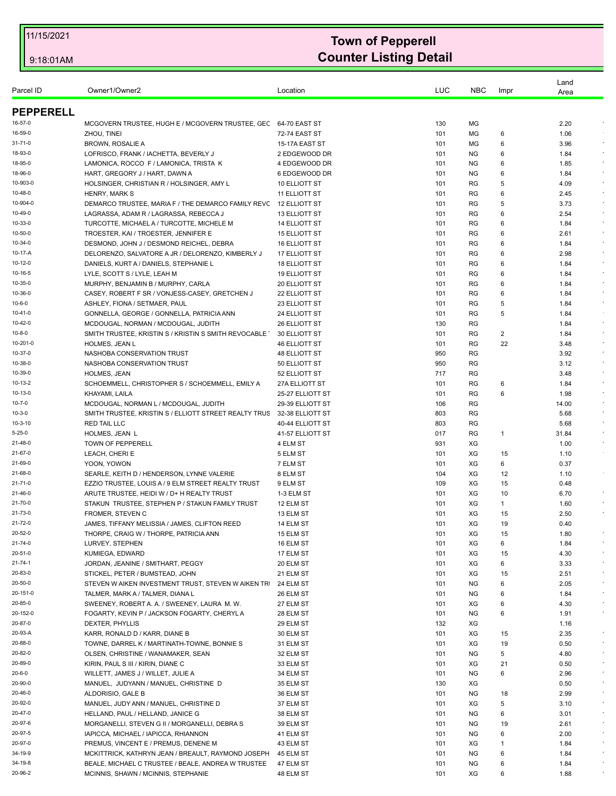| Parcel ID        | Owner1/Owner2                                                  | Location             | LUC | <b>NBC</b> | Impr | Land<br>Area |            |
|------------------|----------------------------------------------------------------|----------------------|-----|------------|------|--------------|------------|
| <b>PEPPERELL</b> |                                                                |                      |     |            |      |              |            |
| 16-57-0          | MCGOVERN TRUSTEE, HUGH E / MCGOVERN TRUSTEE, GEC 64-70 EAST ST |                      | 130 | МG         |      | 2.20         |            |
| 16-59-0          | ZHOU, TINEI                                                    | 72-74 EAST ST        | 101 | МG         | 6    | 1.06         |            |
| 31-71-0          | <b>BROWN, ROSALIE A</b>                                        | 15-17A EAST ST       | 101 | MG         | 6    | 3.96         |            |
| 18-93-0          | LOFRISCO, FRANK / IACHETTA, BEVERLY J                          | 2 EDGEWOOD DR        | 101 | NG.        | 6    | 1.84         |            |
| 18-95-0          | LAMONICA, ROCCO F / LAMONICA, TRISTA K                         | 4 EDGEWOOD DR        | 101 | ΝG         | 6    | 1.85         |            |
| 18-96-0          | HART, GREGORY J / HART, DAWN A                                 | 6 EDGEWOOD DR        | 101 | <b>NG</b>  | 6    | 1.84         |            |
| 10-903-0         | HOLSINGER, CHRISTIAN R / HOLSINGER, AMY L                      | 10 ELLIOTT ST        | 101 | <b>RG</b>  | 5    | 4.09         |            |
| 10-48-0          | <b>HENRY, MARK S</b>                                           | <b>11 ELLIOTT ST</b> | 101 | RG         | 6    | 2.45         |            |
| 10-904-0         | DEMARCO TRUSTEE, MARIA F / THE DEMARCO FAMILY REVC             | 12 ELLIOTT ST        | 101 | RG         | 5    | 3.73         |            |
| 10-49-0          | LAGRASSA, ADAM R / LAGRASSA, REBECCA J                         | 13 ELLIOTT ST        | 101 | RG         | 6    | 2.54         |            |
| 10-33-0          | TURCOTTE, MICHAEL A / TURCOTTE, MICHELE M                      | 14 ELLIOTT ST        | 101 | RG         | 6    | 1.84         |            |
| 10-50-0          | TROESTER, KAI / TROESTER, JENNIFER E                           | <b>15 ELLIOTT ST</b> | 101 | <b>RG</b>  | 6    | 2.61         |            |
| 10-34-0          | DESMOND, JOHN J / DESMOND REICHEL, DEBRA                       | <b>16 ELLIOTT ST</b> | 101 | RG         | 6    | 1.84         |            |
| 10-17-A          | DELORENZO, SALVATORE A JR / DELORENZO, KIMBERLY J              | 17 ELLIOTT ST        | 101 | RG         | 6    | 2.98         |            |
| 10-12-0          | DANIELS, KURT A / DANIELS, STEPHANIE L                         | <b>18 ELLIOTT ST</b> | 101 | <b>RG</b>  | 6    | 1.84         |            |
| 10-16-5          | LYLE, SCOTT S / LYLE, LEAH M                                   | <b>19 ELLIOTT ST</b> | 101 | RG         | 6    | 1.84         |            |
| 10-35-0          | MURPHY, BENJAMIN B / MURPHY, CARLA                             | 20 ELLIOTT ST        | 101 | RG         | 6    | 1.84         |            |
| 10-36-0          | CASEY, ROBERT F SR / VONJESS-CASEY, GRETCHEN J                 | 22 ELLIOTT ST        | 101 | RG         | 6    | 1.84         |            |
| $10 - 6 - 0$     | ASHLEY, FIONA / SETMAER, PAUL                                  | 23 ELLIOTT ST        | 101 | RG         | 5    | 1.84         |            |
| 10-41-0          | GONNELLA, GEORGE / GONNELLA, PATRICIA ANN                      | 24 ELLIOTT ST        | 101 | RG         | 5    | 1.84         |            |
| 10-42-0          | MCDOUGAL, NORMAN / MCDOUGAL, JUDITH                            | <b>26 ELLIOTT ST</b> | 130 | RG         |      | 1.84         |            |
| $10 - 8 - 0$     | SMITH TRUSTEE, KRISTIN S / KRISTIN S SMITH REVOCABLE           | 30 ELLIOTT ST        | 101 | RG         | 2    | 1.84         |            |
| 10-201-0         | <b>HOLMES, JEAN L</b>                                          | <b>46 ELLIOTT ST</b> | 101 | RG         | 22   | 3.48         |            |
| 10-37-0          | NASHOBA CONSERVATION TRUST                                     | <b>48 ELLIOTT ST</b> | 950 | RG         |      | 3.92         |            |
| 10-38-0          | NASHOBA CONSERVATION TRUST                                     | 50 ELLIOTT ST        | 950 | RG         |      | 3.12         |            |
| 10-39-0          | <b>HOLMES, JEAN</b>                                            | 52 ELLIOTT ST        | 717 | RG         |      | 3.48         |            |
| 10-13-2          | SCHOEMMELL, CHRISTOPHER S / SCHOEMMELL, EMILY A                | 27A ELLIOTT ST       | 101 | RG         | 6    | 1.84         |            |
| 10-13-0          | KHAYAMI, LAILA                                                 | 25-27 ELLIOTT ST     | 101 | RG         | 6    | 1.98         |            |
| 10-7-0           | MCDOUGAL, NORMAN L / MCDOUGAL, JUDITH                          | 29-39 ELLIOTT ST     | 106 | RG         |      | 14.00        |            |
| $10 - 3 - 0$     | SMITH TRUSTEE, KRISTIN S / ELLIOTT STREET REALTY TRUS          | 32-38 ELLIOTT ST     | 803 | RG         |      | 5.68         |            |
| 10-3-10          | <b>RED TAIL LLC</b>                                            | 40-44 ELLIOTT ST     | 803 | RG         |      | 5.68         |            |
| $5 - 25 - 0$     | HOLMES, JEAN L                                                 | 41-57 ELLIOTT ST     | 017 | RG         | 1    | 31.84        |            |
| 21-48-0          | TOWN OF PEPPERELL                                              | 4 ELM ST             | 931 | XG         |      | 1.00         |            |
| 21-67-0          | LEACH, CHERI E                                                 | 5 ELM ST             | 101 | XG         | 15   | 1.10         |            |
| 21-69-0          | YOON, YOWON                                                    | 7 ELM ST             | 101 | XG         | 6    | 0.37         |            |
| 21-68-0          | SEARLE, KEITH D / HENDERSON, LYNNE VALERIE                     | 8 ELM ST             | 104 | XG         | 12   | 1.10         |            |
| 21-71-0          | EZZIO TRUSTEE. LOUIS A / 9 ELM STREET REALTY TRUST             | 9 ELM ST             | 109 | XG         | 15   | 0.48         |            |
| 21-46-0          | ARUTE TRUSTEE, HEIDI W / D+ H REALTY TRUST                     | 1-3 ELM ST           | 101 | XG         | 10   | 6.70         |            |
| 21-70-0          | STAKUN TRUSTEE, STEPHEN P / STAKUN FAMILY TRUST                | 12 ELM ST            | 101 | XG         | 1    | 1.60         |            |
| 21-73-0          | <b>FROMER, STEVEN C</b>                                        | 13 ELM ST            | 101 | XG         | 15   | 2.50         |            |
| 21-72-0          | JAMES, TIFFANY MELISSIA / JAMES, CLIFTON REED                  | 14 ELM ST            | 101 | XG         | 19   | 0.40         |            |
| 20-52-0          | THORPE, CRAIG W / THORPE, PATRICIA ANN                         | 15 ELM ST            | 101 | ХG         | 15   | 1.80         |            |
| 21-74-0          | LURVEY, STEPHEN                                                | 16 ELM ST            | 101 | XG         | 6    | 1.84         |            |
| 20-51-0          | KUMIEGA, EDWARD                                                | 17 ELM ST            | 101 | XG         | 15   | 4.30         |            |
| 21-74-1          | JORDAN, JEANINE / SMITHART, PEGGY                              | 20 ELM ST            | 101 | XG         | 6    | 3.33         | $\bullet$  |
| 20-83-0          | STICKEL, PETER / BUMSTEAD, JOHN                                | 21 ELM ST            | 101 | XG         | 15   | 2.51         |            |
| 20-50-0          | STEVEN W AIKEN INVESTMENT TRUST, STEVEN W AIKEN TR             | 24 ELM ST            | 101 | NG         | 6    | 2.05         | $\bullet$  |
| 20-151-0         | TALMER, MARK A / TALMER, DIANA L                               | 26 ELM ST            | 101 | NG         | 6    | 1.84         |            |
| 20-85-0          | SWEENEY, ROBERT A. A. / SWEENEY, LAURA M. W.                   | 27 ELM ST            | 101 | XG         | 6    | 4.30         |            |
| 20-152-0         | FOGARTY, KEVIN P / JACKSON FOGARTY, CHERYL A                   | 28 ELM ST            | 101 | ΝG         | 6    | 1.91         | $\bullet$  |
| 20-87-0          | DEXTER, PHYLLIS                                                | 29 ELM ST            | 132 | XG         |      | 1.16         |            |
| 20-93-A          | KARR, RONALD D / KARR, DIANE B                                 | 30 ELM ST            | 101 | XG         | 15   | 2.35         |            |
| 20-88-0          | TOWNE, DARREL K / MARTINATH-TOWNE, BONNIE S                    | 31 ELM ST            | 101 | XG         | 19   | 0.50         |            |
| 20-82-0          | OLSEN, CHRISTINE / WANAMAKER, SEAN                             | 32 ELM ST            | 101 | NG         | 5    | 4.80         |            |
| 20-89-0          | KIRIN, PAUL S III / KIRIN, DIANE C                             | 33 ELM ST            | 101 | XG         | 21   | 0.50         |            |
| $20 - 6 - 0$     | WILLETT, JAMES J / WILLET, JULIE A                             | 34 ELM ST            | 101 | NG.        | 6    | 2.96         | $\epsilon$ |
| 20-90-0          | MANUEL, JUDYANN / MANUEL, CHRISTINE D                          | 35 ELM ST            | 130 | XG         |      | 0.50         |            |
| 20-46-0          | ALDORISIO, GALE B                                              | 36 ELM ST            | 101 | ΝG         | 18   | 2.99         |            |
| 20-92-0          | MANUEL, JUDY ANN / MANUEL, CHRISTINE D                         | 37 ELM ST            | 101 | XG         | 5    | 3.10         |            |
| 20-47-0          | HELLAND, PAUL / HELLAND, JANICE G                              | 38 ELM ST            | 101 | <b>NG</b>  | 6    | 3.01         |            |
| 20-97-6          | MORGANELLI, STEVEN G II / MORGANELLI, DEBRA S                  | 39 ELM ST            | 101 | NG.        | 19   | 2.61         | $\bullet$  |
| 20-97-5          | IAPICCA, MICHAEL / IAPICCA, RHIANNON                           | 41 ELM ST            | 101 | NG.        | 6    | 2.00         |            |
| 20-97-0          | PREMUS, VINCENT E / PREMUS, DENENE M                           | 43 ELM ST            | 101 | XG         | -1   | 1.84         |            |
| 34-19-9          | MCKITTRICK, KATHRYN JEAN / BREAULT, RAYMOND JOSEPH             | 45 ELM ST            | 101 | <b>NG</b>  | 6    | 1.84         |            |
| 34-19-8          | BEALE, MICHAEL C TRUSTEE / BEALE, ANDREA W TRUSTEE             | 47 ELM ST            | 101 | <b>NG</b>  | 6    | 1.84         |            |
| 20-96-2          | MCINNIS, SHAWN / MCINNIS, STEPHANIE                            | 48 ELM ST            | 101 | XG         | 6    | 1.88         |            |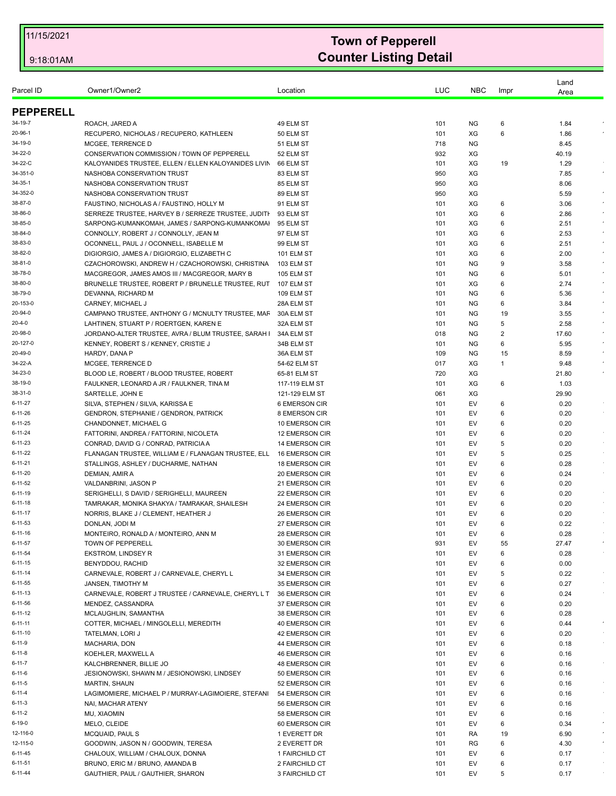| Parcel ID           | Owner1/Owner2                                                                               | Location                         | LUC        | <b>NBC</b>             |              | Land         |            |
|---------------------|---------------------------------------------------------------------------------------------|----------------------------------|------------|------------------------|--------------|--------------|------------|
|                     |                                                                                             |                                  |            |                        | Impr         | Area         |            |
| <b>PEPPERELL</b>    |                                                                                             |                                  |            |                        |              |              |            |
| 34-19-7             | ROACH, JARED A                                                                              | 49 ELM ST                        | 101        | <b>NG</b>              | 6            | 1.84         |            |
| 20-96-1             | RECUPERO, NICHOLAS / RECUPERO, KATHLEEN                                                     | 50 ELM ST                        | 101        | XG                     | 6            | 1.86         |            |
| 34-19-0             | MCGEE. TERRENCE D                                                                           | 51 ELM ST                        | 718        | <b>NG</b>              |              | 8.45         |            |
| 34-22-0             | CONSERVATION COMMISSION / TOWN OF PEPPERELL                                                 | 52 ELM ST                        | 932        | XG                     |              | 40.19        |            |
| 34-22-C             | KALOYANIDES TRUSTEE, ELLEN / ELLEN KALOYANIDES LIVIN                                        | 66 ELM ST                        | 101        | XG                     | 19           | 1.29         |            |
| 34-351-0            | NASHOBA CONSERVATION TRUST                                                                  | 83 ELM ST                        | 950        | XG                     |              | 7.85         |            |
| 34-35-1             | NASHOBA CONSERVATION TRUST                                                                  | 85 ELM ST                        | 950        | XG                     |              | 8.06         |            |
| 34-352-0            | NASHOBA CONSERVATION TRUST                                                                  | 89 ELM ST                        | 950        | XG                     |              | 5.59         | $\epsilon$ |
| 38-87-0             | FAUSTINO, NICHOLAS A / FAUSTINO, HOLLY M                                                    | 91 ELM ST                        | 101        | XG                     | 6            | 3.06         |            |
| 38-86-0             | SERREZE TRUSTEE, HARVEY B / SERREZE TRUSTEE, JUDITI                                         | 93 ELM ST                        | 101        | XG                     | 6            | 2.86         |            |
| 38-85-0             | SARPONG-KUMANKOMAH, JAMES / SARPONG-KUMANKOMAI                                              | 95 ELM ST                        | 101        | XG                     | 6            | 2.51         | $\epsilon$ |
| 38-84-0             | CONNOLLY, ROBERT J / CONNOLLY, JEAN M                                                       | 97 ELM ST                        | 101        | XG                     | 6            | 2.53         |            |
| 38-83-0             | OCONNELL, PAUL J / OCONNELL, ISABELLE M                                                     | 99 ELM ST                        | 101        | XG                     | 6            | 2.51         |            |
| 38-82-0             | DIGIORGIO, JAMES A / DIGIORGIO, ELIZABETH C                                                 | <b>101 ELM ST</b>                | 101        | XG                     | 6            | 2.00         |            |
| 38-81-0             | CZACHOROWSKI, ANDREW H / CZACHOROWSKI, CHRISTINA                                            | 103 ELM ST                       | 101        | <b>NG</b>              | 9            | 3.58         |            |
| 38-78-0             | MACGREGOR, JAMES AMOS III / MACGREGOR, MARY B                                               | <b>105 ELM ST</b>                | 101        | NG.                    | 6            | 5.01         |            |
| 38-80-0             | BRUNELLE TRUSTEE, ROBERT P / BRUNELLE TRUSTEE, RUT                                          | 107 ELM ST                       | 101        | XG                     | 6            | 2.74         |            |
| 38-79-0             | DEVANNA, RICHARD M                                                                          | 109 ELM ST                       | 101        | <b>NG</b>              | 6            | 5.36         |            |
| 20-153-0<br>20-94-0 | CARNEY, MICHAEL J                                                                           | 28A ELM ST                       | 101        | NG.                    | 6            | 3.84         |            |
| $20 - 4 - 0$        | CAMPANO TRUSTEE, ANTHONY G / MCNULTY TRUSTEE, MAF<br>LAHTINEN, STUART P / ROERTGEN, KAREN E | 30A ELM ST<br>32A ELM ST         | 101<br>101 | <b>NG</b><br><b>NG</b> | 19<br>5      | 3.55<br>2.58 |            |
| 20-98-0             | JORDANO-ALTER TRUSTEE, AVRA / BLUM TRUSTEE, SARAH I                                         | 34A ELM ST                       | 018        | NG.                    | 2            | 17.60        |            |
| 20-127-0            | KENNEY, ROBERT S / KENNEY, CRISTIE J                                                        | 34B ELM ST                       | 101        | <b>NG</b>              | 6            | 5.95         |            |
| 20-49-0             | HARDY, DANA P                                                                               | 36A ELM ST                       | 109        | <b>NG</b>              | 15           | 8.59         |            |
| 34-22-A             | MCGEE, TERRENCE D                                                                           | 54-62 ELM ST                     | 017        | XG                     | $\mathbf{1}$ | 9.48         |            |
| 34-23-0             | BLOOD LE, ROBERT / BLOOD TRUSTEE, ROBERT                                                    | 65-81 ELM ST                     | 720        | XG                     |              | 21.80        |            |
| 38-19-0             | FAULKNER, LEONARD A JR / FAULKNER, TINA M                                                   | 117-119 ELM ST                   | 101        | XG                     | 6            | 1.03         |            |
| 38-31-0             | SARTELLE, JOHN E                                                                            | 121-129 ELM ST                   | 061        | XG                     |              | 29.90        |            |
| 6-11-27             | SILVA, STEPHEN / SILVA, KARISSA E                                                           | 6 EMERSON CIR                    | 101        | EV                     | 6            | 0.20         |            |
| 6-11-26             | GENDRON, STEPHANIE / GENDRON, PATRICK                                                       | 8 EMERSON CIR                    | 101        | EV                     | 6            | 0.20         |            |
| $6 - 11 - 25$       | CHANDONNET, MICHAEL G                                                                       | 10 EMERSON CIR                   | 101        | EV                     | 6            | 0.20         |            |
| 6-11-24             | FATTORINI, ANDREA / FATTORINI, NICOLETA                                                     | 12 EMERSON CIR                   | 101        | EV                     | 6            | 0.20         |            |
| $6 - 11 - 23$       | CONRAD, DAVID G / CONRAD, PATRICIA A                                                        | <b>14 EMERSON CIR</b>            | 101        | EV                     | 5            | 0.20         |            |
| $6 - 11 - 22$       | FLANAGAN TRUSTEE, WILLIAM E / FLANAGAN TRUSTEE, ELL                                         | 16 EMERSON CIR                   | 101        | EV                     | 5            | 0.25         | $\sim$     |
| 6-11-21             | STALLINGS, ASHLEY / DUCHARME, NATHAN                                                        | <b>18 EMERSON CIR</b>            | 101        | EV                     | 6            | 0.28         |            |
| 6-11-20             | DEMIAN, AMIR A                                                                              | 20 EMERSON CIR                   | 101        | EV                     | 6            | 0.24         |            |
| 6-11-52             | VALDANBRINI, JASON P                                                                        | 21 EMERSON CIR                   | 101        | EV                     | 6            | 0.20         |            |
| 6-11-19             | SERIGHELLI, S DAVID / SERIGHELLI, MAUREEN                                                   | 22 EMERSON CIR                   | 101        | EV                     | 6            | 0.20         |            |
| $6 - 11 - 18$       | TAMRAKAR, MONIKA SHAKYA / TAMRAKAR, SHAILESH                                                | 24 EMERSON CIR                   | 101        | EV                     | 6            | 0.20         |            |
| $6 - 11 - 17$       | NORRIS, BLAKE J / CLEMENT, HEATHER J                                                        | 26 EMERSON CIR                   | 101        | EV                     | 6            | 0.20         |            |
| 6-11-53             | DONLAN, JODI M                                                                              | 27 EMERSON CIR                   | 101        | EV                     | 6            | 0.22         |            |
| 6-11-16             | MONTEIRO, RONALD A / MONTEIRO, ANN M                                                        | 28 EMERSON CIR                   | 101        | EV                     | 6            | 0.28         |            |
| 6-11-57             | TOWN OF PEPPERELL                                                                           | 30 EMERSON CIR                   | 931        | EV                     | 55           | 27.47        |            |
| 6-11-54             | <b>EKSTROM, LINDSEY R</b>                                                                   | 31 EMERSON CIR                   | 101        | EV                     | 6            | 0.28         |            |
| $6 - 11 - 15$       | BENYDDOU, RACHID                                                                            | 32 EMERSON CIR                   | 101        | EV                     | 6            | 0.00         |            |
| 6-11-14             | CARNEVALE, ROBERT J / CARNEVALE, CHERYL L                                                   | 34 EMERSON CIR                   | 101        | EV                     | 5            | 0.22         |            |
| 6-11-55             | <b>JANSEN, TIMOTHY M</b>                                                                    | 35 EMERSON CIR                   | 101        | EV                     | 6            | 0.27         |            |
| $6 - 11 - 13$       | CARNEVALE, ROBERT J TRUSTEE / CARNEVALE, CHERYL L T                                         | 36 EMERSON CIR                   | 101        | EV                     | 6            | 0.24         |            |
| 6-11-56             | MENDEZ, CASSANDRA                                                                           | 37 EMERSON CIR                   | 101        | EV                     | 6            | 0.20         |            |
| 6-11-12             | MCLAUGHLIN, SAMANTHA                                                                        | 38 EMERSON CIR                   | 101        | EV                     | 6            | 0.28         | $\sim$     |
| 6-11-11<br>6-11-10  | COTTER, MICHAEL / MINGOLELLI, MEREDITH                                                      | 40 EMERSON CIR                   | 101        | EV                     | 6            | 0.44         |            |
| 6-11-9              | TATELMAN, LORI J                                                                            | 42 EMERSON CIR<br>44 EMERSON CIR | 101<br>101 | EV                     | 6            | 0.20         |            |
| 6-11-8              | MACHARIA, DON                                                                               |                                  |            | EV<br>EV               | 6            | 0.18         |            |
| 6-11-7              | KOEHLER, MAXWELL A<br>KALCHBRENNER, BILLIE JO                                               | <b>46 EMERSON CIR</b>            | 101<br>101 | EV                     | 6<br>6       | 0.16         |            |
| $6 - 11 - 6$        | JESIONOWSKI, SHAWN M / JESIONOWSKI, LINDSEY                                                 | 48 EMERSON CIR<br>50 EMERSON CIR | 101        | EV                     | 6            | 0.16<br>0.16 |            |
| 6-11-5              | <b>MARTIN, SHAUN</b>                                                                        | 52 EMERSON CIR                   | 101        | EV                     | 6            | 0.16         | $\sim$     |
| 6-11-4              | LAGIMOMIERE, MICHAEL P / MURRAY-LAGIMOIERE, STEFANI                                         | 54 EMERSON CIR                   | 101        | EV                     | 6            | 0.16         |            |
| $6 - 11 - 3$        | NAI, MACHAR ATENY                                                                           | 56 EMERSON CIR                   | 101        | EV                     | 6            | 0.16         |            |
| $6 - 11 - 2$        | MU, XIAOMIN                                                                                 | 58 EMERSON CIR                   | 101        | EV                     | 6            | 0.16         |            |
| $6 - 19 - 0$        | MELO, CLEIDE                                                                                | 60 EMERSON CIR                   | 101        | EV                     | 6            | 0.34         | $\sim$     |
| 12-116-0            |                                                                                             |                                  |            |                        |              |              | $\epsilon$ |
| 12-115-0            | MCQUAID, PAUL S                                                                             | 1 EVERETT DR<br>2 EVERETT DR     | 101<br>101 | RA<br>RG               | 19<br>6      | 6.90         |            |
| $6 - 11 - 45$       | GOODWIN, JASON N / GOODWIN, TERESA                                                          |                                  |            |                        | 6            | 4.30         |            |
| 6-11-51             | CHALOUX, WILLIAM / CHALOUX, DONNA                                                           | 1 FAIRCHILD CT                   | 101        | EV                     |              | 0.17         |            |
|                     | BRUNO, ERIC M / BRUNO, AMANDA B                                                             | 2 FAIRCHILD CT                   | 101        | EV                     | 6            | 0.17         |            |
| 6-11-44             | GAUTHIER, PAUL / GAUTHIER, SHARON                                                           | 3 FAIRCHILD CT                   | 101        | EV                     | 5            | 0.17         |            |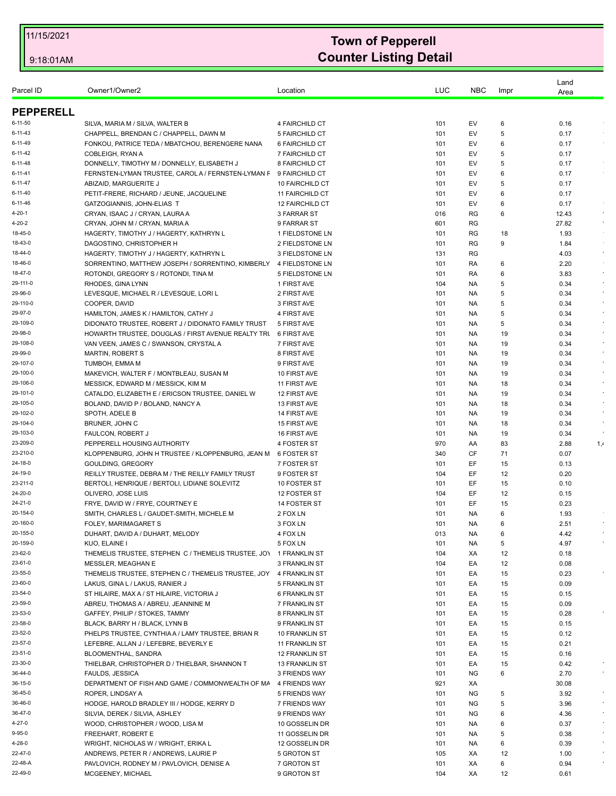| Parcel ID           | Owner1/Owner2                                                                               | Location                                       | LUC        | <b>NBC</b> | Impr     | Land         |            |
|---------------------|---------------------------------------------------------------------------------------------|------------------------------------------------|------------|------------|----------|--------------|------------|
|                     |                                                                                             |                                                |            |            |          | Area         |            |
| <b>PEPPERELL</b>    |                                                                                             |                                                |            |            |          |              |            |
| $6 - 11 - 50$       | SILVA, MARIA M / SILVA, WALTER B                                                            | 4 FAIRCHILD CT                                 | 101        | EV         | 6        | 0.16         |            |
| 6-11-43             | CHAPPELL, BRENDAN C / CHAPPELL, DAWN M                                                      | 5 FAIRCHILD CT                                 | 101        | EV         | 5        | 0.17         |            |
| $6 - 11 - 49$       | FONKOU, PATRICE TEDA / MBATCHOU, BERENGERE NANA                                             | 6 FAIRCHILD CT                                 | 101        | EV         | 6        | 0.17         |            |
| 6-11-42             | COBLEIGH, RYAN A                                                                            | 7 FAIRCHILD CT                                 | 101        | EV         | 5        | 0.17         |            |
| 6-11-48             | DONNELLY, TIMOTHY M / DONNELLY, ELISABETH J                                                 | 8 FAIRCHILD CT                                 | 101        | EV         | 5        | 0.17         |            |
| $6 - 11 - 41$       | FERNSTEN-LYMAN TRUSTEE, CAROL A / FERNSTEN-LYMAN F                                          | 9 FAIRCHILD CT                                 | 101        | EV         | 6        | 0.17         |            |
| 6-11-47             | ABIZAID, MARGUERITE J                                                                       | 10 FAIRCHILD CT                                | 101        | EV         | 5        | 0.17         |            |
| 6-11-40             | PETIT-FRERE, RICHARD / JEUNE, JACQUELINE                                                    | 11 FAIRCHILD CT                                | 101        | EV         | 6        | 0.17         |            |
| 6-11-46             | GATZOGIANNIS, JOHN-ELIAS T                                                                  | <b>12 FAIRCHILD CT</b>                         | 101        | EV         | 6        | 0.17         |            |
| 4-20-1              | CRYAN, ISAAC J / CRYAN, LAURA A                                                             | 3 FARRAR ST                                    | 016        | RG         | 6        | 12.43        | $\epsilon$ |
| 4-20-2              | CRYAN, JOHN M / CRYAN, MARIA A                                                              | 9 FARRAR ST                                    | 601        | RG         |          | 27.82        | $\cdot$    |
| 18-45-0             | HAGERTY, TIMOTHY J / HAGERTY, KATHRYN L                                                     | 1 FIELDSTONE LN                                | 101        | RG         | 18       | 1.93         |            |
| 18-43-0             | DAGOSTINO, CHRISTOPHER H                                                                    | 2 FIELDSTONE LN                                | 101        | <b>RG</b>  | 9        | 1.84         |            |
| 18-44-0             | HAGERTY, TIMOTHY J / HAGERTY, KATHRYN L                                                     | 3 FIELDSTONE LN                                | 131        | RG         |          | 4.03         | $\epsilon$ |
| 18-46-0             | SORRENTINO, MATTHEW JOSEPH / SORRENTINO, KIMBERLY 4 FIELDSTONE LN                           |                                                | 101        | RA         | 6        | 2.20         |            |
| 18-47-0             | ROTONDI, GREGORY S / ROTONDI, TINA M                                                        | 5 FIELDSTONE LN                                | 101        | RA         | 6        | 3.83         | $\epsilon$ |
| 29-111-0            | RHODES, GINA LYNN                                                                           | 1 FIRST AVE                                    | 104        | NA.        | 5        | 0.34         | $\sim$     |
| 29-96-0             | LEVESQUE, MICHAEL R / LEVESQUE, LORI L                                                      | 2 FIRST AVE                                    | 101        | NA.        | 5        | 0.34         |            |
| 29-110-0<br>29-97-0 | COOPER, DAVID                                                                               | 3 FIRST AVE                                    | 101        | NA.        | 5        | 0.34         | $\epsilon$ |
| 29-109-0            | HAMILTON, JAMES K / HAMILTON, CATHY J<br>DIDONATO TRUSTEE, ROBERT J / DIDONATO FAMILY TRUST | 4 FIRST AVE<br>5 FIRST AVE                     | 101<br>101 | NA.<br>NA. | 5<br>5   | 0.34<br>0.34 | $\epsilon$ |
| 29-98-0             | HOWARTH TRUSTEE, DOUGLAS / FIRST AVENUE REALTY TRU                                          | 6 FIRST AVE                                    | 101        | NA.        | 19       | 0.34         |            |
| 29-108-0            | VAN VEEN, JAMES C / SWANSON, CRYSTAL A                                                      | 7 FIRST AVE                                    | 101        | NA.        | 19       | 0.34         |            |
| 29-99-0             | <b>MARTIN, ROBERT S</b>                                                                     | 8 FIRST AVE                                    | 101        | NA.        | 19       | 0.34         | $\sim$     |
| 29-107-0            | TUMBOH, EMMA M                                                                              | 9 FIRST AVE                                    | 101        | NA.        | 19       | 0.34         |            |
| 29-100-0            | MAKEVICH, WALTER F / MONTBLEAU, SUSAN M                                                     | 10 FIRST AVE                                   | 101        | NA.        | 19       | 0.34         |            |
| 29-106-0            | MESSICK, EDWARD M / MESSICK, KIM M                                                          | 11 FIRST AVE                                   | 101        | NA.        | 18       | 0.34         |            |
| 29-101-0            | CATALDO, ELIZABETH E / ERICSON TRUSTEE, DANIEL W                                            | 12 FIRST AVE                                   | 101        | NA.        | 19       | 0.34         | $\epsilon$ |
| 29-105-0            | BOLAND, DAVID P / BOLAND, NANCY A                                                           | 13 FIRST AVE                                   | 101        | NA.        | 18       | 0.34         |            |
| 29-102-0            | SPOTH, ADELE B                                                                              | 14 FIRST AVE                                   | 101        | NA.        | 19       | 0.34         |            |
| 29-104-0            | BRUNER, JOHN C                                                                              | 15 FIRST AVE                                   | 101        | NA.        | 18       | 0.34         |            |
| 29-103-0            | <b>FAULCON, ROBERT J</b>                                                                    | 16 FIRST AVE                                   | 101        | NA.        | 19       | 0.34         |            |
| 23-209-0            | PEPPERELL HOUSING AUTHORITY                                                                 | 4 FOSTER ST                                    | 970        | AA         | 83       | 2.88         | 1,4        |
| 23-210-0            | KLOPPENBURG, JOHN H TRUSTEE / KLOPPENBURG, JEAN M                                           | 6 FOSTER ST                                    | 340        | CF         | 71       | 0.07         |            |
| 24-18-0             | GOULDING, GREGORY                                                                           | 7 FOSTER ST                                    | 101        | EF         | 15       | 0.13         |            |
| 24-19-0             | REILLY TRUSTEE, DEBRA M / THE REILLY FAMILY TRUST                                           | 9 FOSTER ST                                    | 104        | EF         | 12       | 0.20         |            |
| 23-211-0            | BERTOLI, HENRIQUE / BERTOLI, LIDIANE SOLEVITZ                                               | 10 FOSTER ST                                   | 101        | EF         | 15       | 0.10         |            |
| 24-20-0             | OLIVERO, JOSE LUIS                                                                          | 12 FOSTER ST                                   | 104        | EF         | 12       | 0.15         |            |
| 24-21-0             | FRYE, DAVID W / FRYE, COURTNEY E                                                            | 14 FOSTER ST                                   | 101        | EF         | 15       | 0.23         |            |
| 20-154-0            | SMITH, CHARLES L / GAUDET-SMITH, MICHELE M                                                  | 2 FOX LN                                       | 101        | NA         | 6        | 1.93         |            |
| 20-160-0            | FOLEY, MARIMAGARET S                                                                        | 3 FOX LN                                       | 101        | NA         | 6        | 2.51         |            |
| 20-155-0            | DUHART, DAVID A / DUHART, MELODY                                                            | 4 FOX LN                                       | 013        | <b>NA</b>  | 6        | 4.42         |            |
| 20-159-0            | KUO, ELAINE I                                                                               | 5 FOX LN                                       | 101        | NA.        | 5        | 4.97         |            |
| 23-62-0             | THEMELIS TRUSTEE, STEPHEN C / THEMELIS TRUSTEE, JO\ 1 FRANKLIN ST                           |                                                | 104        | XA         | 12       | 0.18         |            |
| 23-61-0             | MESSLER, MEAGHAN E                                                                          | <b>3 FRANKLIN ST</b>                           | 104        | EA         | 12       | 0.08         |            |
| 23-55-0             | THEMELIS TRUSTEE, STEPHEN C / THEMELIS TRUSTEE, JOY                                         | 4 FRANKLIN ST                                  | 101        | EA         | 15       | 0.23         |            |
| 23-60-0             | LAKUS, GINA L / LAKUS, RANIER J                                                             | 5 FRANKLIN ST                                  | 101        | EA         | 15       | 0.09         |            |
| 23-54-0             | ST HILAIRE, MAX A / ST HILAIRE, VICTORIA J                                                  | <b>6 FRANKLIN ST</b>                           | 101        | EA         | 15       | 0.15         |            |
| 23-59-0             | ABREU, THOMAS A / ABREU, JEANNINE M                                                         | 7 FRANKLIN ST                                  | 101        | EA         | 15       | 0.09         |            |
| 23-53-0             | GAFFEY, PHILIP / STOKES, TAMMY                                                              | 8 FRANKLIN ST                                  | 101        | EA         | 15       | 0.28         |            |
| 23-58-0             | BLACK, BARRY H / BLACK, LYNN B                                                              | 9 FRANKLIN ST                                  | 101        | EA         | 15       | 0.15         |            |
| 23-52-0<br>23-57-0  | PHELPS TRUSTEE, CYNTHIA A / LAMY TRUSTEE, BRIAN R                                           | 10 FRANKLIN ST                                 | 101        | EA         | 15       | 0.12         |            |
| 23-51-0             | LEFEBRE, ALLAN J / LEFEBRE, BEVERLY E                                                       | 11 FRANKLIN ST                                 | 101        | EA         | 15       | 0.21         |            |
| 23-30-0             | BLOOMENTHAL, SANDRA<br>THIELBAR, CHRISTOPHER D / THIELBAR, SHANNON T                        | <b>12 FRANKLIN ST</b><br><b>13 FRANKLIN ST</b> | 101<br>101 | EA<br>EA   | 15<br>15 | 0.16<br>0.42 |            |
| 36-44-0             | FAULDS, JESSICA                                                                             | 3 FRIENDS WAY                                  | 101        | <b>NG</b>  | 6        | 2.70         | $\bullet$  |
| 36-15-0             | DEPARTMENT OF FISH AND GAME / COMMONWEALTH OF MA                                            | 4 FRIENDS WAY                                  | 921        | XA         |          | 30.08        |            |
| 36-45-0             | ROPER, LINDSAY A                                                                            | 5 FRIENDS WAY                                  | 101        | ΝG         | 5        | 3.92         |            |
| 36-46-0             | HODGE, HAROLD BRADLEY III / HODGE, KERRY D                                                  | 7 FRIENDS WAY                                  | 101        | ΝG         | 5        | 3.96         |            |
| 36-47-0             | SILVIA, DEREK / SILVIA, ASHLEY                                                              | 9 FRIENDS WAY                                  | 101        | ΝG         | 6        | 4.36         |            |
| 4-27-0              | WOOD, CHRISTOPHER / WOOD, LISA M                                                            | 10 GOSSELIN DR                                 | 101        | NA.        | 6        | 0.37         |            |
| 9-95-0              | FREEHART, ROBERT E                                                                          | 11 GOSSELIN DR                                 | 101        | NA.        | 5        | 0.38         |            |
| 4-28-0              | WRIGHT, NICHOLAS W / WRIGHT, ERIKA L                                                        | 12 GOSSELIN DR                                 | 101        | NA.        | 6        | 0.39         |            |
| 22-47-0             | ANDREWS, PETER R / ANDREWS, LAURIE P                                                        | 5 GROTON ST                                    | 105        | ХA         | 12       | 1.00         |            |
| 22-48-A             | PAVLOVICH, RODNEY M / PAVLOVICH, DENISE A                                                   | 7 GROTON ST                                    | 101        | XA         | 6        | 0.94         |            |
| 22-49-0             | MCGEENEY, MICHAEL                                                                           | 9 GROTON ST                                    | 104        | XA         | 12       | 0.61         |            |
|                     |                                                                                             |                                                |            |            |          |              |            |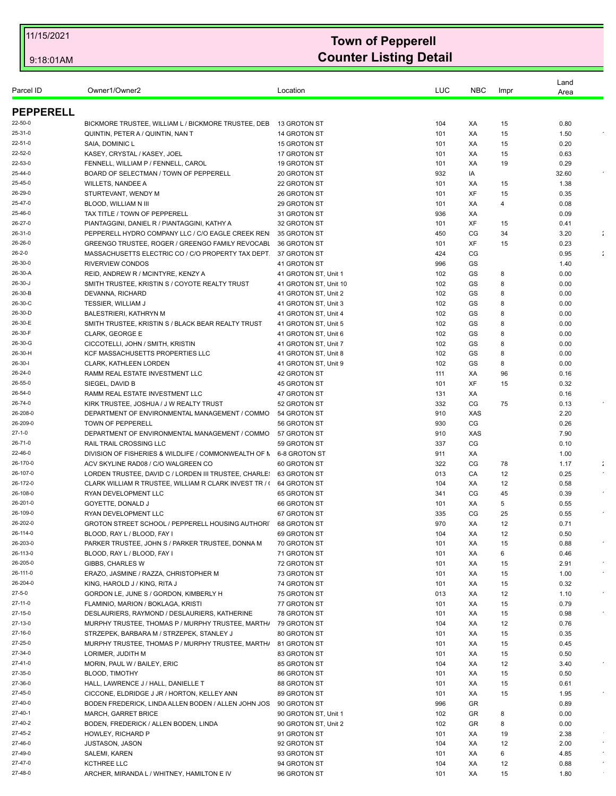| Parcel ID            | Owner1/Owner2                                                                   | Location                     | LUC        | <b>NBC</b> | Impr     | Land<br>Area |                      |
|----------------------|---------------------------------------------------------------------------------|------------------------------|------------|------------|----------|--------------|----------------------|
| <b>PEPPERELL</b>     |                                                                                 |                              |            |            |          |              |                      |
| 22-50-0              | BICKMORE TRUSTEE, WILLIAM L / BICKMORE TRUSTEE, DEB                             | 13 GROTON ST                 | 104        | XA         | 15       | 0.80         |                      |
| 25-31-0              | QUINTIN, PETER A / QUINTIN, NAN T                                               | 14 GROTON ST                 | 101        | XA         | 15       | 1.50         |                      |
| 22-51-0              | SAIA. DOMINIC L                                                                 | 15 GROTON ST                 | 101        | XA         | 15       | 0.20         |                      |
| 22-52-0              | KASEY, CRYSTAL / KASEY, JOEL                                                    | 17 GROTON ST                 | 101        | XA         | 15       | 0.63         |                      |
| 22-53-0              | FENNELL, WILLIAM P / FENNELL, CAROL                                             | 19 GROTON ST                 | 101        | XA         | 19       | 0.29         |                      |
| 25-44-0              | BOARD OF SELECTMAN / TOWN OF PEPPERELL                                          | 20 GROTON ST                 | 932        | IA         |          | 32.60        |                      |
| 25-45-0              | <b>WILLETS, NANDEE A</b>                                                        | 22 GROTON ST                 | 101        | XA         | 15       | 1.38         |                      |
| 26-29-0              | STURTEVANT, WENDY M                                                             | 26 GROTON ST                 | 101        | XF         | 15       | 0.35         |                      |
| 25-47-0              | BLOOD, WILLIAM N III                                                            | 29 GROTON ST                 | 101        | XA         | 4        | 0.08         |                      |
| 25-46-0              | TAX TITLE / TOWN OF PEPPERELL                                                   | 31 GROTON ST                 | 936        | XA         |          | 0.09         |                      |
| 26-27-0              | PIANTAGGINI, DANIEL R / PIANTAGGINI, KATHY A                                    | 32 GROTON ST                 | 101        | XF         | 15       | 0.41         |                      |
| 26-31-0              | PEPPERELL HYDRO COMPANY LLC / C/O EAGLE CREEK REN                               | 35 GROTON ST                 | 450        | CG         | 34       | 3.20         | ÷                    |
| 26-26-0              | GREENGO TRUSTEE, ROGER / GREENGO FAMILY REVOCABL                                | 36 GROTON ST                 | 101        | XF         | 15       | 0.23         |                      |
| 26-2-0               | MASSACHUSETTS ELECTRIC CO / C/O PROPERTY TAX DEPT.                              | 37 GROTON ST                 | 424        | CG         |          | 0.95         | $\ddot{\phantom{a}}$ |
| 26-30-0              | <b>RIVERVIEW CONDOS</b>                                                         | 41 GROTON ST                 | 996        | GS         |          | 1.40         |                      |
| 26-30-A              | REID, ANDREW R / MCINTYRE, KENZY A                                              | 41 GROTON ST, Unit 1         | 102        | GS         | 8        | 0.00         |                      |
| 26-30-J              | SMITH TRUSTEE, KRISTIN S / COYOTE REALTY TRUST                                  | 41 GROTON ST, Unit 10        | 102        | GS         | 8        | 0.00         |                      |
| 26-30-B              | DEVANNA, RICHARD                                                                | 41 GROTON ST. Unit 2         | 102        | GS         | 8        | 0.00         |                      |
| 26-30-C              | TESSIER, WILLIAM J                                                              | 41 GROTON ST, Unit 3         | 102        | GS         | 8        | 0.00         |                      |
| 26-30-D              | <b>BALESTRIERI, KATHRYN M</b>                                                   | 41 GROTON ST, Unit 4         | 102        | GS         | 8        | 0.00         |                      |
| 26-30-E              | SMITH TRUSTEE, KRISTIN S / BLACK BEAR REALTY TRUST                              | 41 GROTON ST, Unit 5         | 102        | GS         | 8        | 0.00         |                      |
| 26-30-F              | <b>CLARK, GEORGE E</b>                                                          | 41 GROTON ST, Unit 6         | 102        | GS         | 8        | 0.00         |                      |
| 26-30-G              | CICCOTELLI, JOHN / SMITH, KRISTIN                                               | 41 GROTON ST, Unit 7         | 102        | GS         | 8        | 0.00         |                      |
| 26-30-H              | KCF MASSACHUSETTS PROPERTIES LLC                                                | 41 GROTON ST, Unit 8         | 102        | GS         | 8        | 0.00         |                      |
| 26-30-l              | CLARK, KATHLEEN LORDEN                                                          | 41 GROTON ST, Unit 9         | 102        | GS         | 8        | 0.00         |                      |
| 26-24-0              | RAMM REAL ESTATE INVESTMENT LLC                                                 | 42 GROTON ST                 | 111        | XA         | 96       | 0.16         |                      |
| 26-55-0              | SIEGEL, DAVID B                                                                 | 45 GROTON ST                 | 101        | XF         | 15       | 0.32         |                      |
| 26-54-0              | RAMM REAL ESTATE INVESTMENT LLC                                                 | 47 GROTON ST                 | 131        | XA         |          | 0.16         |                      |
| 26-74-0              | KIRK TRUSTEE, JOSHUA / J W REALTY TRUST                                         | 52 GROTON ST                 | 332        | CG         | 75       | 0.13         |                      |
| 26-208-0             | DEPARTMENT OF ENVIRONMENTAL MANAGEMENT / COMMO                                  | 54 GROTON ST                 | 910        | <b>XAS</b> |          | 2.20         |                      |
| 26-209-0             | <b>TOWN OF PEPPERELL</b>                                                        | 56 GROTON ST                 | 930        | CG         |          | 0.26         |                      |
| $27-1-0$             | DEPARTMENT OF ENVIRONMENTAL MANAGEMENT / COMMO                                  | 57 GROTON ST                 | 910        | <b>XAS</b> |          | 7.90         |                      |
| 26-71-0              | <b>RAIL TRAIL CROSSING LLC</b>                                                  | 59 GROTON ST                 | 337        | CG         |          | 0.10         |                      |
| 22-46-0              | DIVISION OF FISHERIES & WILDLIFE / COMMONWEALTH OF N                            | 6-8 GROTON ST                | 911        | ХA         |          | 1.00         |                      |
| 26-170-0             | ACV SKYLINE RAD08 / C/O WALGREEN CO                                             | 60 GROTON ST                 | 322        | CG         | 78       | 1.17         | ÷                    |
| 26-107-0             | LORDEN TRUSTEE, DAVID C / LORDEN III TRUSTEE, CHARLE:                           | 63 GROTON ST                 | 013        | CA         | 12       | 0.25         |                      |
| 26-172-0             | CLARK WILLIAM R TRUSTEE, WILLIAM R CLARK INVEST TR / (                          | 64 GROTON ST                 | 104        | ХA         | 12       | 0.58         |                      |
| 26-108-0             | RYAN DEVELOPMENT LLC                                                            | 65 GROTON ST                 | 341        | CG         | 45       | 0.39         |                      |
| 26-201-0             | GOYETTE, DONALD J                                                               | 66 GROTON ST                 | 101        | XA         | 5        | 0.55         |                      |
| 26-109-0<br>26-202-0 | RYAN DEVELOPMENT LLC                                                            | 67 GROTON ST                 | 335<br>970 | CG<br>XA   | 25<br>12 | 0.55         |                      |
| 26-114-0             | GROTON STREET SCHOOL / PEPPERELL HOUSING AUTHORI                                | 68 GROTON ST<br>69 GROTON ST | 104        | XA         |          | 0.71<br>0.50 |                      |
| 26-203-0             | BLOOD, RAY L / BLOOD, FAY I<br>PARKER TRUSTEE, JOHN S / PARKER TRUSTEE, DONNA M | 70 GROTON ST                 | 101        | XA         | 12       | 0.88         |                      |
| 26-113-0             | BLOOD, RAY L / BLOOD, FAY I                                                     | 71 GROTON ST                 | 101        | ХA         | 15<br>6  | 0.46         |                      |
| 26-205-0             | GIBBS, CHARLES W                                                                | 72 GROTON ST                 | 101        | XA         | 15       | 2.91         | $\sim$               |
| 26-111-0             | ERAZO, JASMINE / RAZZA, CHRISTOPHER M                                           | 73 GROTON ST                 | 101        | ХA         | 15       | 1.00         |                      |
| 26-204-0             | KING, HAROLD J / KING, RITA J                                                   | 74 GROTON ST                 | 101        | ХA         | 15       | 0.32         |                      |
| 27-5-0               | GORDON LE, JUNE S / GORDON, KIMBERLY H                                          | 75 GROTON ST                 | 013        | XA         | 12       | 1.10         |                      |
| 27-11-0              | FLAMINIO, MARION / BOKLAGA, KRISTI                                              | 77 GROTON ST                 | 101        | ХA         | 15       | 0.79         |                      |
| 27-15-0              | DESLAURIERS, RAYMOND / DESLAURIERS, KATHERINE                                   | 78 GROTON ST                 | 101        | ХA         | 15       | 0.98         |                      |
| 27-13-0              | MURPHY TRUSTEE, THOMAS P / MURPHY TRUSTEE, MARTH/                               | 79 GROTON ST                 | 104        | XA         | 12       | 0.76         |                      |
| 27-16-0              | STRZEPEK, BARBARA M / STRZEPEK, STANLEY J                                       | 80 GROTON ST                 | 101        | ХA         | 15       | 0.35         |                      |
| 27-25-0              | MURPHY TRUSTEE, THOMAS P / MURPHY TRUSTEE, MARTH                                | 81 GROTON ST                 | 101        | XA         | 15       | 0.45         |                      |
| 27-34-0              | LORIMER, JUDITH M                                                               | 83 GROTON ST                 | 101        | XA         | 15       | 0.50         |                      |
| 27-41-0              | MORIN, PAUL W / BAILEY, ERIC                                                    | 85 GROTON ST                 | 104        | ХA         | 12       | 3.40         |                      |
| 27-35-0              | <b>BLOOD, TIMOTHY</b>                                                           | 86 GROTON ST                 | 101        | XA         | 15       | 0.50         |                      |
| 27-36-0              | HALL, LAWRENCE J / HALL, DANIELLE T                                             | 88 GROTON ST                 | 101        | XA         | 15       | 0.61         |                      |
| 27-45-0              | CICCONE, ELDRIDGE J JR / HORTON, KELLEY ANN                                     | 89 GROTON ST                 | 101        | XA         | 15       | 1.95         |                      |
| 27-40-0              | BODEN FREDERICK, LINDA ALLEN BODEN / ALLEN JOHN JOS                             | 90 GROTON ST                 | 996        | GR         |          | 0.89         |                      |
| 27-40-1              | <b>MARCH, GARRET BRICE</b>                                                      | 90 GROTON ST, Unit 1         | 102        | GR         | 8        | 0.00         |                      |
| 27-40-2              | BODEN, FREDERICK / ALLEN BODEN, LINDA                                           | 90 GROTON ST, Unit 2         | 102        | GR         | 8        | 0.00         |                      |
| 27-45-2              | HOWLEY, RICHARD P                                                               | 91 GROTON ST                 | 101        | XA         | 19       | 2.38         |                      |
| 27-46-0              | <b>JUSTASON, JASON</b>                                                          | 92 GROTON ST                 | 104        | ХA         | 12       | 2.00         |                      |
| 27-49-0              | SALEMI, KAREN                                                                   | 93 GROTON ST                 | 101        | ХA         | 6        | 4.85         |                      |
| 27-47-0              | <b>KCTHREE LLC</b>                                                              | 94 GROTON ST                 | 104        | XA         | 12       | 0.88         |                      |
| 27-48-0              | ARCHER, MIRANDA L / WHITNEY, HAMILTON E IV                                      | 96 GROTON ST                 | 101        | XA         | 15       | 1.80         |                      |
|                      |                                                                                 |                              |            |            |          |              |                      |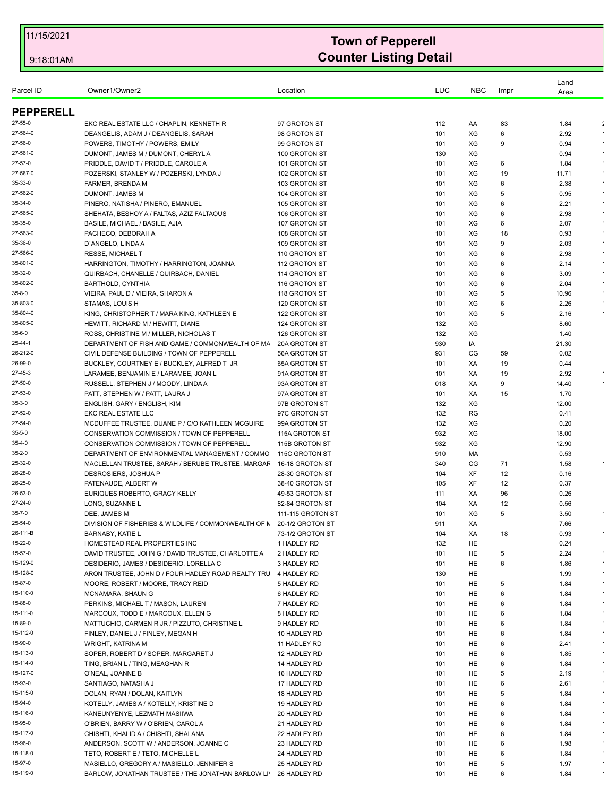|                     |                                                                         |                                      |            |            |         | Land          |                      |
|---------------------|-------------------------------------------------------------------------|--------------------------------------|------------|------------|---------|---------------|----------------------|
| Parcel ID           | Owner1/Owner2                                                           | Location                             | LUC        | <b>NBC</b> | Impr    | Area          |                      |
| <b>PEPPERELL</b>    |                                                                         |                                      |            |            |         |               |                      |
|                     |                                                                         |                                      |            |            |         |               |                      |
| 27-55-0             | EKC REAL ESTATE LLC / CHAPLIN, KENNETH R                                | 97 GROTON ST                         | 112        | AA         | 83      | 1.84          | $\ddot{\phantom{a}}$ |
| 27-564-0<br>27-56-0 | DEANGELIS, ADAM J / DEANGELIS, SARAH<br>POWERS, TIMOTHY / POWERS, EMILY | 98 GROTON ST<br>99 GROTON ST         | 101<br>101 | XG<br>XG   | 6<br>9  | 2.92<br>0.94  | $\bullet$            |
| 27-561-0            | DUMONT, JAMES M / DUMONT, CHERYL A                                      | 100 GROTON ST                        | 130        | XG         |         | 0.94          |                      |
| 27-57-0             | PRIDDLE, DAVID T / PRIDDLE, CAROLE A                                    | 101 GROTON ST                        |            | XG         |         |               |                      |
| 27-567-0            | POZERSKI, STANLEY W / POZERSKI, LYNDA J                                 | 102 GROTON ST                        | 101<br>101 | XG         | 6<br>19 | 1.84<br>11.71 | $\bullet$            |
| 35-33-0             | FARMER, BRENDA M                                                        | 103 GROTON ST                        | 101        | XG         | 6       | 2.38          |                      |
| 27-562-0            | DUMONT, JAMES M                                                         | 104 GROTON ST                        | 101        | XG         | 5       | 0.95          | $\sim$               |
| 35-34-0             | PINERO, NATISHA / PINERO, EMANUEL                                       | 105 GROTON ST                        | 101        | XG         | 6       | 2.21          | $\bullet$            |
| 27-565-0            | SHEHATA, BESHOY A / FALTAS, AZIZ FALTAOUS                               | 106 GROTON ST                        | 101        | XG         | 6       | 2.98          |                      |
| 35-35-0             | BASILE, MICHAEL / BASILE, AJIA                                          | 107 GROTON ST                        | 101        | XG         | 6       | 2.07          | $\epsilon$           |
| 27-563-0            | PACHECO, DEBORAH A                                                      | 108 GROTON ST                        | 101        | XG         | 18      | 0.93          | $\epsilon$           |
| 35-36-0             | D'ANGELO, LINDA A                                                       | 109 GROTON ST                        | 101        | XG         | 9       | 2.03          |                      |
| 27-566-0            | <b>RESSE, MICHAEL T</b>                                                 | 110 GROTON ST                        | 101        | XG         | 6       | 2.98          |                      |
| 35-801-0            | HARRINGTON, TIMOTHY / HARRINGTON, JOANNA                                | 112 GROTON ST                        | 101        | XG         | 6       | 2.14          | $\epsilon$           |
| 35-32-0             | QUIRBACH, CHANELLE / QUIRBACH, DANIEL                                   | 114 GROTON ST                        | 101        | XG         | 6       | 3.09          |                      |
| 35-802-0            | <b>BARTHOLD, CYNTHIA</b>                                                | 116 GROTON ST                        | 101        | XG         | 6       | 2.04          |                      |
| 35-8-0              | VIEIRA, PAUL D / VIEIRA, SHARON A                                       | 118 GROTON ST                        | 101        | XG         | 5       | 10.96         |                      |
| 35-803-0            | STAMAS, LOUIS H                                                         | 120 GROTON ST                        | 101        | XG         | 6       | 2.26          |                      |
| 35-804-0            | KING, CHRISTOPHER T / MARA KING, KATHLEEN E                             | 122 GROTON ST                        | 101        | XG         | 5       | 2.16          |                      |
| 35-805-0            | HEWITT, RICHARD M / HEWITT, DIANE                                       | 124 GROTON ST                        | 132        | XG         |         | 8.60          |                      |
| 35-6-0              | ROSS, CHRISTINE M / MILLER, NICHOLAS T                                  | 126 GROTON ST                        | 132        | XG         |         | 1.40          |                      |
| 25-44-1             | DEPARTMENT OF FISH AND GAME / COMMONWEALTH OF MA                        | 20A GROTON ST                        | 930        | IA         |         | 21.30         |                      |
| 26-212-0            | CIVIL DEFENSE BUILDING / TOWN OF PEPPERELL                              | 56A GROTON ST                        | 931        | CG         | 59      | 0.02          |                      |
| 26-99-0             | BUCKLEY, COURTNEY E / BUCKLEY, ALFRED T JR                              | 65A GROTON ST                        | 101        | XA         | 19      | 0.44          |                      |
| 27-45-3             | LARAMEE, BENJAMIN E / LARAMEE, JOAN L                                   | 91A GROTON ST                        | 101        | XA         | 19      | 2.92          |                      |
| 27-50-0             | RUSSELL, STEPHEN J / MOODY, LINDA A                                     | 93A GROTON ST                        | 018        | XA         | 9       | 14.40         |                      |
| 27-53-0             | PATT, STEPHEN W / PATT, LAURA J                                         | 97A GROTON ST                        | 101        | XA         | 15      | 1.70          |                      |
| 35-3-0              | ENGLISH, GARY / ENGLISH, KIM                                            | 97B GROTON ST                        | 132        | XG         |         | 12.00         |                      |
| 27-52-0             | EKC REAL ESTATE LLC                                                     | 97C GROTON ST                        | 132        | <b>RG</b>  |         | 0.41          |                      |
| 27-54-0             | MCDUFFEE TRUSTEE, DUANE P / C/O KATHLEEN MCGUIRE                        | 99A GROTON ST                        | 132        | XG         |         | 0.20          |                      |
| 35-5-0              | CONSERVATION COMMISSION / TOWN OF PEPPERELL                             | 115A GROTON ST                       | 932        | XG         |         | 18.00         |                      |
| 35-4-0              | CONSERVATION COMMISSION / TOWN OF PEPPERELL                             | 115B GROTON ST                       | 932        | XG         |         | 12.90         |                      |
| 35-2-0              | DEPARTMENT OF ENVIRONMENTAL MANAGEMENT / COMMO                          | 115C GROTON ST                       | 910        | МA         |         | 0.53          |                      |
| 25-32-0             | MACLELLAN TRUSTEE, SARAH / BERUBE TRUSTEE, MARGAF                       | 16-18 GROTON ST                      | 340        | CG         | 71      | 1.58          |                      |
| 26-28-0             | DESROSIERS, JOSHUA P                                                    | 28-30 GROTON ST                      | 104        | XF         | 12      | 0.16          |                      |
| 26-25-0             | PATENAUDE, ALBERT W                                                     | 38-40 GROTON ST                      | 105        | XF         | 12      | 0.37          |                      |
| 26-53-0<br>27-24-0  | EURIQUES ROBERTO, GRACY KELLY                                           | 49-53 GROTON ST                      | 111        | XA         | 96      | 0.26          |                      |
| 35-7-0              | LONG, SUZANNE L<br>DEE, JAMES M                                         | 82-84 GROTON ST<br>111-115 GROTON ST | 104        | XA<br>XG   | 12<br>5 | 0.56          |                      |
| 25-54-0             | DIVISION OF FISHERIES & WILDLIFE / COMMONWEALTH OF N 20-1/2 GROTON ST   |                                      | 101<br>911 | XA         |         | 3.50<br>7.66  |                      |
| 26-111-B            | <b>BARNABY, KATIE L</b>                                                 | 73-1/2 GROTON ST                     | 104        | ХA         | 18      | 0.93          |                      |
| 15-22-0             | HOMESTEAD REAL PROPERTIES INC                                           | 1 HADLEY RD                          | 132        | HE         |         | 0.24          |                      |
| 15-57-0             | DAVID TRUSTEE, JOHN G / DAVID TRUSTEE, CHARLOTTE A                      | 2 HADLEY RD                          | 101        | HE         | 5       | 2.24          | $\bullet$            |
| 15-129-0            | DESIDERIO, JAMES / DESIDERIO, LORELLA C                                 | 3 HADLEY RD                          | 101        | HE         | 6       | 1.86          |                      |
| 15-128-0            | ARON TRUSTEE, JOHN D / FOUR HADLEY ROAD REALTY TRU                      | 4 HADLEY RD                          | 130        | HE         |         | 1.99          | $\epsilon$           |
| 15-87-0             | MOORE, ROBERT / MOORE, TRACY REID                                       | 5 HADLEY RD                          | 101        | HE         | 5       | 1.84          | $\bullet$            |
| 15-110-0            | MCNAMARA, SHAUN G                                                       | 6 HADLEY RD                          | 101        | HE         | 6       | 1.84          |                      |
| 15-88-0             | PERKINS, MICHAEL T / MASON, LAUREN                                      | 7 HADLEY RD                          | 101        | HE         | 6       | 1.84          |                      |
| 15-111-0            | MARCOUX, TODD E / MARCOUX, ELLEN G                                      | 8 HADLEY RD                          | 101        | HE         | 6       | 1.84          | $\bullet$            |
| 15-89-0             | MATTUCHIO, CARMEN R JR / PIZZUTO, CHRISTINE L                           | 9 HADLEY RD                          | 101        | HE         | 6       | 1.84          |                      |
| 15-112-0            | FINLEY, DANIEL J / FINLEY, MEGAN H                                      | 10 HADLEY RD                         | 101        | HE         | 6       | 1.84          | $\epsilon$           |
| 15-90-0             | WRIGHT, KATRINA M                                                       | 11 HADLEY RD                         | 101        | HE         | 6       | 2.41          |                      |
| 15-113-0            | SOPER, ROBERT D / SOPER, MARGARET J                                     | 12 HADLEY RD                         | 101        | HE         | 6       | 1.85          |                      |
| 15-114-0            | TING, BRIAN L / TING, MEAGHAN R                                         | 14 HADLEY RD                         | 101        | HE         | 6       | 1.84          |                      |
| 15-127-0            | O'NEAL, JOANNE B                                                        | 16 HADLEY RD                         | 101        | HE         | 5       | 2.19          | $\epsilon$           |
| 15-93-0             | SANTIAGO, NATASHA J                                                     | 17 HADLEY RD                         | 101        | HE         | 6       | 2.61          |                      |
| 15-115-0            | DOLAN, RYAN / DOLAN, KAITLYN                                            | 18 HADLEY RD                         | 101        | HE         | 5       | 1.84          |                      |
| 15-94-0             | KOTELLY, JAMES A / KOTELLY, KRISTINE D                                  | 19 HADLEY RD                         | 101        | HE         | 6       | 1.84          |                      |
| 15-116-0            | KANEUNYENYE, LEZMATH MASIIWA                                            | 20 HADLEY RD                         | 101        | HE         | 6       | 1.84          |                      |
| 15-95-0             | O'BRIEN, BARRY W / O'BRIEN, CAROL A                                     | 21 HADLEY RD                         | 101        | HE         | 6       | 1.84          |                      |
| 15-117-0            | CHISHTI, KHALID A / CHISHTI, SHALANA                                    | 22 HADLEY RD                         | 101        | HE         | 6       | 1.84          |                      |
| 15-96-0             | ANDERSON, SCOTT W / ANDERSON, JOANNE C                                  | 23 HADLEY RD                         | 101        | HE         | 6       | 1.98          |                      |
| 15-118-0            | TETO, ROBERT E / TETO, MICHELLE L                                       | 24 HADLEY RD                         | 101        | HE         | 6       | 1.84          |                      |
| 15-97-0             | MASIELLO, GREGORY A / MASIELLO, JENNIFER S                              | 25 HADLEY RD                         | 101        | HE         | 5       | 1.97          |                      |
| 15-119-0            | BARLOW, JONATHAN TRUSTEE / THE JONATHAN BARLOW LI'                      | 26 HADLEY RD                         | 101        | HE         | 6       | 1.84          |                      |
|                     |                                                                         |                                      |            |            |         |               |                      |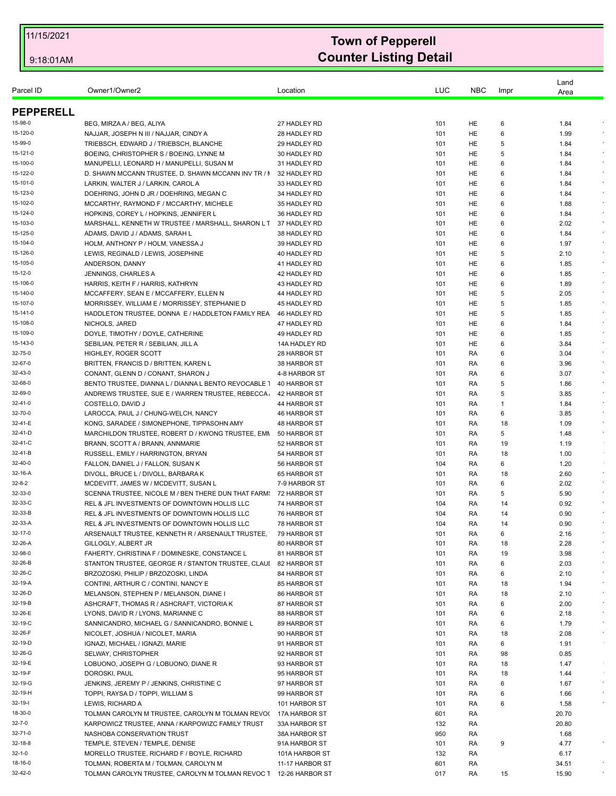| Parcel ID        | Owner1/Owner2                                                    | Location        | LUC | <b>NBC</b> | Impr        | Land<br>Area |            |
|------------------|------------------------------------------------------------------|-----------------|-----|------------|-------------|--------------|------------|
| <b>PEPPERELL</b> |                                                                  |                 |     |            |             |              |            |
| 15-98-0          | BEG, MIRZA A / BEG, ALIYA                                        | 27 HADLEY RD    | 101 | HE         | 6           | 1.84         |            |
| 15-120-0         | NAJJAR, JOSEPH N III / NAJJAR, CINDY A                           | 28 HADLEY RD    | 101 | HE         | 6           | 1.99         |            |
| 15-99-0          | TRIEBSCH, EDWARD J / TRIEBSCH, BLANCHE                           | 29 HADLEY RD    | 101 | HE         | 5           | 1.84         |            |
| 15-121-0         | BOEING, CHRISTOPHER S / BOEING, LYNNE M                          | 30 HADLEY RD    | 101 | HE         | 5           | 1.84         |            |
| 15-100-0         | MANUPELLI, LEONARD H / MANUPELLI, SUSAN M                        | 31 HADLEY RD    | 101 | HE         | 6           | 1.84         |            |
| 15-122-0         | D. SHAWN MCCANN TRUSTEE, D. SHAWN MCCANN INV TR / I              | 32 HADLEY RD    | 101 | HE         | 6           | 1.84         |            |
| 15-101-0         | LARKIN, WALTER J / LARKIN, CAROL A                               | 33 HADLEY RD    | 101 | HE         | 6           | 1.84         |            |
| 15-123-0         | DOEHRING, JOHN D JR / DOEHRING, MEGAN C                          | 34 HADLEY RD    | 101 | HE         | 6           | 1.84         |            |
| 15-102-0         | MCCARTHY, RAYMOND F / MCCARTHY, MICHELE                          | 35 HADLEY RD    | 101 | HE         | 6           | 1.88         |            |
| 15-124-0         | HOPKINS, COREY L / HOPKINS, JENNIFER L                           |                 |     |            |             |              |            |
| 15-103-0         |                                                                  | 36 HADLEY RD    | 101 | HE         | 6           | 1.84         |            |
|                  | MARSHALL, KENNETH W TRUSTEE / MARSHALL, SHARON L T               | 37 HADLEY RD    | 101 | HE         | 6           | 2.02         |            |
| 15-125-0         | ADAMS, DAVID J / ADAMS, SARAH L                                  | 38 HADLEY RD    | 101 | HE         | 6           | 1.84         |            |
| 15-104-0         | HOLM, ANTHONY P / HOLM, VANESSA J                                | 39 HADLEY RD    | 101 | HE         | 6           | 1.97         | $\epsilon$ |
| 15-126-0         | LEWIS, REGINALD / LEWIS, JOSEPHINE                               | 40 HADLEY RD    | 101 | HE         | 5           | 2.10         |            |
| 15-105-0         | ANDERSON, DANNY                                                  | 41 HADLEY RD    | 101 | HE         | 6           | 1.85         | $\epsilon$ |
| 15-12-0          | <b>JENNINGS, CHARLES A</b>                                       | 42 HADLEY RD    | 101 | HE         | 6           | 1.85         |            |
| 15-106-0         | HARRIS, KEITH F / HARRIS, KATHRYN                                | 43 HADLEY RD    | 101 | HE         | 6           | 1.89         |            |
| 15-140-0         | MCCAFFERY, SEAN E / MCCAFFERY, ELLEN N                           | 44 HADLEY RD    | 101 | HE         | 5           | 2.05         |            |
| 15-107-0         | MORRISSEY, WILLIAM E / MORRISSEY, STEPHANIE D                    | 45 HADLEY RD    | 101 | HE         | 5           | 1.85         | $\epsilon$ |
| 15-141-0         | HADDLETON TRUSTEE, DONNA E / HADDLETON FAMILY REA                | 46 HADLEY RD    | 101 | HE         | 5           | 1.85         |            |
| 15-108-0         | NICHOLS, JARED                                                   | 47 HADLEY RD    | 101 | HE         | 6           | 1.84         |            |
| 15-109-0         | DOYLE, TIMOTHY / DOYLE, CATHERINE                                | 49 HADLEY RD    | 101 | HE         | 6           | 1.85         | $\epsilon$ |
| 15-143-0         | SEBILIAN, PETER R / SEBILIAN, JILL A                             | 14A HADLEY RD   | 101 | HE         | 6           | 3.84         |            |
| 32-75-0          | HIGHLEY, ROGER SCOTT                                             | 28 HARBOR ST    | 101 | RA         | 6           | 3.04         |            |
| 32-67-0          | BRITTEN, FRANCIS D / BRITTEN, KAREN L                            | 38 HARBOR ST    | 101 | RA         | 6           | 3.96         |            |
| 32-43-0          | CONANT, GLENN D / CONANT, SHARON J                               | 4-8 HARBOR ST   | 101 | RA         | 6           | 3.07         |            |
| 32-68-0          | BENTO TRUSTEE, DIANNA L / DIANNA L BENTO REVOCABLE               | 40 HARBOR ST    | 101 | RA         | 5           | 1.86         |            |
| 32-69-0          | ANDREWS TRUSTEE, SUE E / WARREN TRUSTEE, REBECCA.                | 42 HARBOR ST    | 101 | RA         | 5           | 3.85         |            |
| 32-41-0          | COSTELLO, DAVID J                                                | 44 HARBOR ST    | 101 | RA         | $\mathbf 1$ | 1.84         |            |
| 32-70-0          | LAROCCA, PAUL J / CHUNG-WELCH, NANCY                             | 46 HARBOR ST    | 101 | RA         | 6           | 3.85         |            |
| 32-41-E          | KONG, SARADEE / SIMONEPHONE, TIPPASOHN AMY                       | 48 HARBOR ST    | 101 | RA         | 18          | 1.09         | $\star$    |
| 32-41-D          | MARCHILDON TRUSTEE, ROBERT D / KWONG TRUSTEE, EMN                | 50 HARBOR ST    | 101 | RA         | 5           | 1.48         |            |
| 32-41-C          | BRANN, SCOTT A / BRANN, ANNMARIE                                 | 52 HARBOR ST    | 101 | RA         | 19          | 1.19         |            |
| 32-41-B          | RUSSELL, EMILY / HARRINGTON, BRYAN                               | 54 HARBOR ST    | 101 | RA         | 18          | 1.00         |            |
| 32-40-0          | FALLON, DANIEL J / FALLON, SUSAN K                               | 56 HARBOR ST    | 104 | RA         | 6           | 1.20         |            |
| 32-16-A          | DIVOLL, BRUCE L / DIVOLL, BARBARA K                              | 65 HARBOR ST    | 101 | RA         | 18          | 2.60         |            |
| 32-8-2           |                                                                  |                 |     |            |             |              |            |
|                  | MCDEVITT, JAMES W / MCDEVITT, SUSAN L                            | 7-9 HARBOR ST   | 101 | RA         | 6           | 2.02         | $\sim$     |
| 32-33-0          | SCENNA TRUSTEE, NICOLE M / BEN THERE DUN THAT FARM:              | 72 HARBOR ST    | 101 | RA         | 5           | 5.90         |            |
| 32-33-C          | REL & JFL INVESTMENTS OF DOWNTOWN HOLLIS LLC                     | 74 HARBOR ST    | 104 | RA         | 14          | 0.92         |            |
| 32-33-B          | REL & JFL INVESTMENTS OF DOWNTOWN HOLLIS LLC                     | 76 HARBOR ST    | 104 | RA         | 14          | 0.90         |            |
| 32-33-A          | REL & JFL INVESTMENTS OF DOWNTOWN HOLLIS LLC                     | 78 HARBOR ST    | 104 | RA         | 14          | 0.90         |            |
| 32-17-0          | ARSENAULT TRUSTEE, KENNETH R / ARSENAULT TRUSTEE,                | 79 HARBOR ST    | 101 | RA         | 6           | 2.16         |            |
| 32-26-A          | GILLOGLY, ALBERT JR                                              | 80 HARBOR ST    | 101 | RA         | 18          | 2.28         |            |
| 32-98-0          | FAHERTY, CHRISTINA F / DOMINESKE, CONSTANCE L                    | 81 HARBOR ST    | 101 | RA         | 19          | 3.98         |            |
| 32-26-B          | STANTON TRUSTEE, GEORGE R / STANTON TRUSTEE, CLAUI               | 82 HARBOR ST    | 101 | RA         | 6           | 2.03         |            |
| 32-26-C          | BRZOZOSKI, PHILIP / BRZOZOSKI, LINDA                             | 84 HARBOR ST    | 101 | RA         | 6           | 2.10         |            |
| 32-19-A          | CONTINI, ARTHUR C / CONTINI, NANCY E                             | 85 HARBOR ST    | 101 | RA         | 18          | 1.94         |            |
| 32-26-D          | MELANSON, STEPHEN P / MELANSON, DIANE I                          | 86 HARBOR ST    | 101 | RA         | 18          | 2.10         | $\bullet$  |
| 32-19-B          | ASHCRAFT, THOMAS R / ASHCRAFT, VICTORIA K                        | 87 HARBOR ST    | 101 | RA         | 6           | 2.00         |            |
| 32-26-E          | LYONS, DAVID R / LYONS, MARIANNE C                               | 88 HARBOR ST    | 101 | RA         | 6           | 2.18         |            |
| 32-19-C          | SANNICANDRO, MICHAEL G / SANNICANDRO, BONNIE L                   | 89 HARBOR ST    | 101 | RA         | 6           | 1.79         | $\epsilon$ |
| 32-26-F          | NICOLET, JOSHUA / NICOLET, MARIA                                 | 90 HARBOR ST    | 101 | RA         | 18          | 2.08         |            |
| 32-19-D          | IGNAZI, MICHAEL / IGNAZI, MARIE                                  | 91 HARBOR ST    | 101 | RA         | 6           | 1.91         |            |
| 32-26-G          | SELWAY, CHRISTOPHER                                              | 92 HARBOR ST    | 101 | RA         | 98          | 0.85         |            |
| 32-19-E          | LOBUONO, JOSEPH G / LOBUONO, DIANE R                             | 93 HARBOR ST    | 101 | RA         | 18          | 1.47         |            |
| 32-19-F          | DOROSKI, PAUL                                                    | 95 HARBOR ST    | 101 | RA         | 18          | 1.44         |            |
| 32-19-G          | JENKINS, JEREMY P / JENKINS, CHRISTINE C                         | 97 HARBOR ST    | 101 | RA         | 6           | 1.67         | $\sim$     |
| 32-19-H          | TOPPI, RAYSA D / TOPPI, WILLIAM S                                | 99 HARBOR ST    | 101 | RA         | 6           | 1.66         |            |
| 32-19-l          | LEWIS, RICHARD A                                                 | 101 HARBOR ST   | 101 |            | 6           |              |            |
|                  |                                                                  |                 |     | RA         |             | 1.58         |            |
| 18-30-0          | TOLMAN CAROLYN M TRUSTEE, CAROLYN M TOLMAN REVOL                 | 17A HARBOR ST   | 601 | RA         |             | 20.70        |            |
| $32 - 7 - 0$     | KARPOWICZ TRUSTEE, ANNA / KARPOWIZC FAMILY TRUST                 | 33A HARBOR ST   | 132 | RA         |             | 20.80        |            |
| 32-71-0          | NASHOBA CONSERVATION TRUST                                       | 38A HARBOR ST   | 950 | RA         |             | 1.68         |            |
| 32-18-8          | TEMPLE, STEVEN / TEMPLE, DENISE                                  | 91A HARBOR ST   | 101 | RA         | 9           | 4.77         |            |
| 32-1-0           | MORELLO TRUSTEE, RICHARD F / BOYLE, RICHARD                      | 101A HARBOR ST  | 132 | RA         |             | 6.17         |            |
| 18-16-0          | TOLMAN, ROBERTA M / TOLMAN, CAROLYN M                            | 11-17 HARBOR ST | 601 | RA         |             | 34.51        |            |
| 32-42-0          | TOLMAN CAROLYN TRUSTEE, CAROLYN M TOLMAN REVOC 1 12-26 HARBOR ST |                 | 017 | RA         | 15          | 15.90        |            |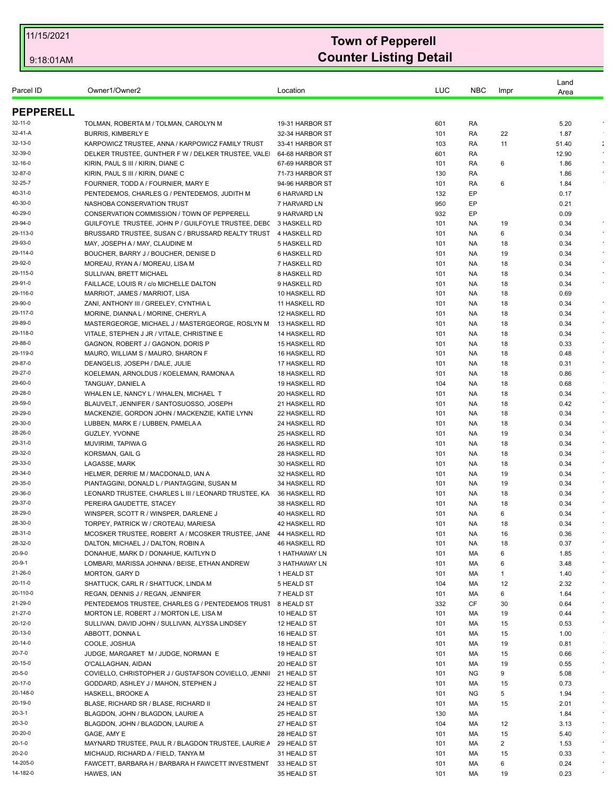| Parcel ID           | Owner1/Owner2                                                            | Location                      | LUC        | <b>NBC</b> | Impr     | Land<br>Area |                    |
|---------------------|--------------------------------------------------------------------------|-------------------------------|------------|------------|----------|--------------|--------------------|
| <b>PEPPERELL</b>    |                                                                          |                               |            |            |          |              |                    |
| 32-11-0             | TOLMAN, ROBERTA M / TOLMAN, CAROLYN M                                    | 19-31 HARBOR ST               | 601        | RA         |          | 5.20         | $\epsilon$         |
| 32-41-A             | <b>BURRIS, KIMBERLY E</b>                                                | 32-34 HARBOR ST               | 101        | RA         | 22       | 1.87         |                    |
| 32-13-0             | KARPOWICZ TRUSTEE, ANNA / KARPOWICZ FAMILY TRUST                         | 33-41 HARBOR ST               | 103        | RA         | 11       | 51.40        | ÷                  |
| 32-39-0             | DELKER TRUSTEE, GUNTHER F W / DELKER TRUSTEE, VALE                       | 64-68 HARBOR ST               | 601        | RA         |          | 12.90        | $\epsilon$         |
| 32-16-0             | KIRIN, PAUL S III / KIRIN, DIANE C                                       | 67-69 HARBOR ST               | 101        | RA         | 6        | 1.86         |                    |
| 32-87-0             | KIRIN, PAUL S III / KIRIN, DIANE C                                       | 71-73 HARBOR ST               | 130        | RA         |          | 1.86         |                    |
| 32-25-7             | FOURNIER, TODD A / FOURNIER, MARY E                                      | 94-96 HARBOR ST               | 101        | RA         | 6        | 1.84         |                    |
| 40-31-0             | PENTEDEMOS, CHARLES G / PENTEDEMOS, JUDITH M                             | 6 HARVARD LN                  | 132        | EP         |          | 0.17         |                    |
| 40-30-0             | NASHOBA CONSERVATION TRUST                                               | 7 HARVARD LN                  | 950        | EP         |          | 0.21         |                    |
| 40-29-0             | CONSERVATION COMMISSION / TOWN OF PEPPERELL                              | 9 HARVARD LN                  | 932        | EP         |          | 0.09         |                    |
| 29-94-0             | GUILFOYLE TRUSTEE, JOHN P / GUILFOYLE TRUSTEE, DEB(                      | 3 HASKELL RD                  | 101        | NA.        | 19       | 0.34         | $\bullet$          |
| 29-113-0            | BRUSSARD TRUSTEE, SUSAN C / BRUSSARD REALTY TRUST                        | 4 HASKELL RD                  | 101        | NA.        | 6        | 0.34         | $\epsilon$         |
| 29-93-0             | MAY, JOSEPH A / MAY, CLAUDINE M                                          | 5 HASKELL RD                  | 101        | NA.        | 18       | 0.34         | $\sim$             |
| 29-114-0            | BOUCHER, BARRY J / BOUCHER, DENISE D                                     | 6 HASKELL RD                  | 101        | NA.        | 19       | 0.34         |                    |
| 29-92-0             | MOREAU, RYAN A / MOREAU, LISA M                                          | 7 HASKELL RD                  | 101        | NA.        | 18       | 0.34         |                    |
| 29-115-0            | SULLIVAN, BRETT MICHAEL                                                  | 8 HASKELL RD                  | 101        | NA.        | 18       | 0.34         |                    |
| 29-91-0<br>29-116-0 | FAILLACE, LOUIS R / c/o MICHELLE DALTON                                  | 9 HASKELL RD<br>10 HASKELL RD | 101        | NA.        | 18       | 0.34         |                    |
| 29-90-0             | MARRIOT, JAMES / MARRIOT, LISA<br>ZANI, ANTHONY III / GREELEY, CYNTHIA L | 11 HASKELL RD                 | 101<br>101 | NA.<br>NA. | 18<br>18 | 0.69<br>0.34 | $\bullet$          |
| 29-117-0            | MORINE, DIANNA L / MORINE, CHERYL A                                      | 12 HASKELL RD                 | 101        | NA.        | 18       | 0.34         |                    |
| 29-89-0             | MASTERGEORGE, MICHAEL J / MASTERGEORGE, ROSLYN M                         | 13 HASKELL RD                 | 101        | NA.        | 18       | 0.34         |                    |
| 29-118-0            | VITALE, STEPHEN J JR / VITALE, CHRISTINE E                               | 14 HASKELL RD                 | 101        | NA.        | 18       | 0.34         |                    |
| 29-88-0             | GAGNON, ROBERT J / GAGNON, DORIS P                                       | <b>15 HASKELL RD</b>          | 101        | NA.        | 18       | 0.33         | $\star$            |
| 29-119-0            | MAURO, WILLIAM S / MAURO, SHARON F                                       | 16 HASKELL RD                 | 101        | NA.        | 18       | 0.48         |                    |
| 29-87-0             | DEANGELIS, JOSEPH / DALE, JULIE                                          | 17 HASKELL RD                 | 101        | NA.        | 18       | 0.31         | $\sim$             |
| 29-27-0             | KOELEMAN, ARNOLDUS / KOELEMAN, RAMONA A                                  | 18 HASKELL RD                 | 101        | NA.        | 18       | 0.86         | $\sim$             |
| 29-60-0             | TANGUAY, DANIEL A                                                        | 19 HASKELL RD                 | 104        | NA.        | 18       | 0.68         |                    |
| 29-28-0             | WHALEN LE, NANCY L / WHALEN, MICHAEL T                                   | 20 HASKELL RD                 | 101        | NA.        | 18       | 0.34         | $\sim$             |
| 29-59-0             | BLAUVELT, JENNIFER / SANTOSUOSSO, JOSEPH                                 | 21 HASKELL RD                 | 101        | NA.        | 18       | 0.42         |                    |
| 29-29-0             | MACKENZIE, GORDON JOHN / MACKENZIE, KATIE LYNN                           | 22 HASKELL RD                 | 101        | NA.        | 18       | 0.34         | $\sim$             |
| 29-30-0             | LUBBEN, MARK E / LUBBEN, PAMELA A                                        | 24 HASKELL RD                 | 101        | NA.        | 18       | 0.34         | $\epsilon$         |
| 28-26-0             | <b>GUZLEY, YVONNE</b>                                                    | 25 HASKELL RD                 | 101        | NA.        | 19       | 0.34         |                    |
| 29-31-0             | MUVIRIMI, TAPIWA G                                                       | 26 HASKELL RD                 | 101        | NA.        | 18       | 0.34         | $\epsilon$         |
| 29-32-0             | KORSMAN, GAIL G                                                          | 28 HASKELL RD                 | 101        | NA.        | 18       | 0.34         | $\epsilon$         |
| 29-33-0             | LAGASSE, MARK                                                            | 30 HASKELL RD                 | 101        | NA.        | 18       | 0.34         |                    |
| 29-34-0             | HELMER, DERRIE M / MACDONALD, IAN A                                      | 32 HASKELL RD                 | 101        | NA.        | 19       | 0.34         | $\sim$             |
| 29-35-0             | PIANTAGGINI, DONALD L / PIANTAGGINI, SUSAN M                             | <b>34 HASKELL RD</b>          | 101        | NA.        | 19       | 0.34         |                    |
| 29-36-0             | LEONARD TRUSTEE, CHARLES L III / LEONARD TRUSTEE, KA                     | 36 HASKELL RD                 | 101        | NA.        | 18       | 0.34         |                    |
| 29-37-0             | PEREIRA GAUDETTE, STACEY                                                 | 38 HASKELL RD                 | 101        | NA.        | 18       | 0.34         |                    |
| 28-29-0             | WINSPER, SCOTT R / WINSPER, DARLENE J                                    | 40 HASKELL RD                 | 101        | NA.        | 6        | 0.34         |                    |
| 28-30-0             | TORPEY, PATRICK W / CROTEAU, MARIESA                                     | 42 HASKELL RD                 | 101        | NA.        | 18       | 0.34         |                    |
| 28-31-0             | MCOSKER TRUSTEE, ROBERT A / MCOSKER TRUSTEE, JANE 44 HASKELL RD          |                               | 101        | NA.        | 16       | 0.36         | $\bullet$          |
| 28-32-0             | DALTON, MICHAEL J / DALTON, ROBIN A                                      | 46 HASKELL RD                 | 101        | NA.        | 18       | 0.37         |                    |
| 20-9-0              | DONAHUE, MARK D / DONAHUE, KAITLYN D                                     | 1 HATHAWAY LN                 | 101        | МA         | 6        | 1.85         | $\bullet$          |
| 20-9-1              | LOMBARI, MARISSA JOHNNA / BEISE, ETHAN ANDREW                            | 3 HATHAWAY LN                 | 101        | МA         | 6        | 3.48         | $\star$<br>$\star$ |
| 21-26-0             | MORTON, GARY D                                                           | 1 HEALD ST                    | 101        | МA         | 1        | 1.40         | $\sim$             |
| 20-11-0             | SHATTUCK, CARL R / SHATTUCK, LINDA M                                     | 5 HEALD ST                    | 104        | MA         | 12       | 2.32         |                    |
| 20-110-0            | REGAN, DENNIS J / REGAN, JENNIFER                                        | 7 HEALD ST                    | 101        | MA         | 6        | 1.64         | $\star$            |
| 21-29-0<br>21-27-0  | PENTEDEMOS TRUSTEE, CHARLES G / PENTEDEMOS TRUST                         | 8 HEALD ST                    | 332        | CF         | 30       | 0.64         | $\sim$             |
| 20-12-0             | MORTON LE, ROBERT J / MORTON LE, LISA M                                  | 10 HEALD ST                   | 101        | MA         | 19       | 0.44         | $\bullet$          |
| 20-13-0             | SULLIVAN, DAVID JOHN / SULLIVAN, ALYSSA LINDSEY                          | 12 HEALD ST<br>16 HEALD ST    | 101<br>101 | MA<br>МA   | 15       | 0.53         |                    |
| 20-14-0             | ABBOTT, DONNAL<br>COOLE, JOSHUA                                          | 18 HEALD ST                   | 101        | MA         | 15<br>19 | 1.00<br>0.81 |                    |
| 20-7-0              | JUDGE, MARGARET M / JUDGE, NORMAN E                                      | 19 HEALD ST                   | 101        | MA         | 15       | 0.66         | $\bullet$          |
| 20-15-0             | O'CALLAGHAN, AIDAN                                                       | 20 HEALD ST                   | 101        | MA         | 19       | 0.55         | $\epsilon$         |
| 20-5-0              | COVIELLO, CHRISTOPHER J / GUSTAFSON COVIELLO, JENNI                      | 21 HEALD ST                   | 101        | NG.        | 9        | 5.08         | $\sim$             |
| 20-17-0             | GODDARD, ASHLEY J / MAHON, STEPHEN J                                     | 22 HEALD ST                   | 101        | MA         | 15       | 0.73         |                    |
| 20-148-0            | HASKELL, BROOKE A                                                        | 23 HEALD ST                   | 101        | ΝG         | 5        | 1.94         | $\bullet$          |
| 20-19-0             | BLASE, RICHARD SR / BLASE, RICHARD II                                    | 24 HEALD ST                   | 101        | MA         | 15       | 2.01         |                    |
| 20-3-1              | BLAGDON, JOHN / BLAGDON, LAURIE A                                        | 25 HEALD ST                   | 130        | MA         |          | 1.84         | $\sim$             |
| 20-3-0              | BLAGDON, JOHN / BLAGDON, LAURIE A                                        | 27 HEALD ST                   | 104        | МA         | 12       | 3.13         | $\sim$             |
| 20-20-0             | GAGE, AMY E                                                              | 28 HEALD ST                   | 101        | МA         | 15       | 5.40         |                    |
| 20-1-0              | MAYNARD TRUSTEE, PAUL R / BLAGDON TRUSTEE, LAURIE A                      | 29 HEALD ST                   | 101        | МA         | 2        | 1.53         | $\epsilon$         |
| 20-2-0              | MICHAUD, RICHARD A / FIELD, TANYA M                                      | 31 HEALD ST                   | 101        | МA         | 15       | 0.33         | $\sim$             |
| 14-205-0            | FAWCETT, BARBARA H / BARBARA H FAWCETT INVESTMENT                        | 33 HEALD ST                   | 101        | MA         | 6        | 0.24         |                    |
| 14-182-0            | HAWES, IAN                                                               | 35 HEALD ST                   | 101        | MA         | 19       | 0.23         |                    |
|                     |                                                                          |                               |            |            |          |              |                    |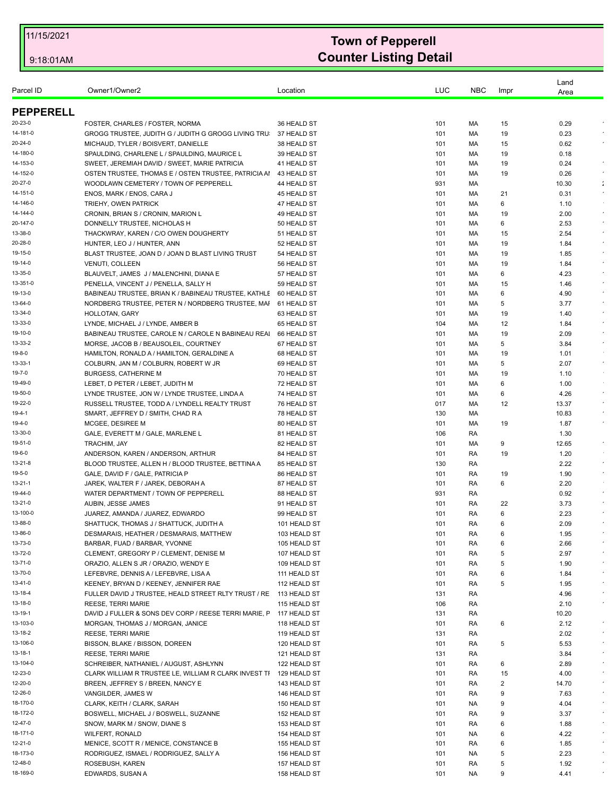| Parcel ID           | Owner1/Owner2                                                                      | Location                     | LUC        | <b>NBC</b> | Impr     | Land<br>Area |            |
|---------------------|------------------------------------------------------------------------------------|------------------------------|------------|------------|----------|--------------|------------|
| <b>PEPPERELL</b>    |                                                                                    |                              |            |            |          |              |            |
| 20-23-0             | FOSTER, CHARLES / FOSTER, NORMA                                                    | 36 HEALD ST                  | 101        | МA         | 15       | 0.29         |            |
| 14-181-0            | GROGG TRUSTEE, JUDITH G / JUDITH G GROGG LIVING TRU                                | 37 HEALD ST                  | 101        | МA         | 19       | 0.23         |            |
| 20-24-0             | MICHAUD, TYLER / BOISVERT, DANIELLE                                                | 38 HEALD ST                  | 101        | МA         | 15       | 0.62         |            |
| 14-180-0            | SPAULDING, CHARLENE L / SPAULDING, MAURICE L                                       | 39 HEALD ST                  | 101        | МA         | 19       | 0.18         |            |
| 14-153-0            | SWEET, JEREMIAH DAVID / SWEET, MARIE PATRICIA                                      | 41 HEALD ST                  | 101        | МA         | 19       | 0.24         | $\lambda$  |
| 14-152-0            | OSTEN TRUSTEE, THOMAS E / OSTEN TRUSTEE, PATRICIA AI                               | 43 HEALD ST                  | 101        | МA         | 19       | 0.26         | $\bullet$  |
| 20-27-0             | WOODLAWN CEMETERY / TOWN OF PEPPERELL                                              | 44 HEALD ST                  | 931        | МA         |          | 10.30        | ÷          |
| 14-151-0            | ENOS, MARK / ENOS, CARA J                                                          | 45 HEALD ST                  | 101        | МA         | 21       | 0.31         |            |
| 14-146-0            | TRIEHY, OWEN PATRICK                                                               | 47 HEALD ST                  | 101        | МA         | 6        | 1.10         |            |
| 14-144-0            | CRONIN, BRIAN S / CRONIN, MARION L                                                 | 49 HEALD ST                  | 101        | МA         | 19       | 2.00         | $\sim$     |
| 20-147-0            | DONNELLY TRUSTEE, NICHOLAS H                                                       | 50 HEALD ST                  | 101        | МA         | 6        | 2.53         | $\bullet$  |
| 13-38-0             | THACKWRAY, KAREN / C/O OWEN DOUGHERTY                                              | 51 HEALD ST                  | 101        | МA         | 15       | 2.54         | $\star$    |
| 20-28-0<br>19-15-0  | HUNTER, LEO J / HUNTER, ANN                                                        | 52 HEALD ST                  | 101        | МA         | 19       | 1.84         | $\epsilon$ |
| 19-14-0             | BLAST TRUSTEE, JOAN D / JOAN D BLAST LIVING TRUST<br>VENUTI, COLLEEN               | 54 HEALD ST<br>56 HEALD ST   | 101        | МA         | 19<br>19 | 1.85<br>1.84 |            |
| 13-35-0             | BLAUVELT, JAMES J / MALENCHINI, DIANA E                                            | 57 HEALD ST                  | 101<br>101 | МA<br>МA   | 6        | 4.23         |            |
| 13-351-0            | PENELLA, VINCENT J / PENELLA, SALLY H                                              | 59 HEALD ST                  | 101        | МA         | 15       | 1.46         | $\epsilon$ |
| 19-13-0             | BABINEAU TRUSTEE, BRIAN K / BABINEAU TRUSTEE, KATHLE                               | 60 HEALD ST                  | 101        | МA         | 6        | 4.90         | $\epsilon$ |
| 13-64-0             | NORDBERG TRUSTEE, PETER N / NORDBERG TRUSTEE, MAI                                  | 61 HEALD ST                  | 101        | МA         | 5        | 3.77         |            |
| 13-34-0             | HOLLOTAN, GARY                                                                     | 63 HEALD ST                  | 101        | МA         | 19       | 1.40         | $\epsilon$ |
| 13-33-0             | LYNDE, MICHAEL J / LYNDE, AMBER B                                                  | 65 HEALD ST                  | 104        | МA         | 12       | 1.84         | $\epsilon$ |
| 19-10-0             | BABINEAU TRUSTEE, CAROLE N / CAROLE N BABINEAU REAI                                | 66 HEALD ST                  | 101        | МA         | 19       | 2.09         |            |
| 13-33-2             | MORSE, JACOB B / BEAUSOLEIL, COURTNEY                                              | 67 HEALD ST                  | 101        | МA         | 5        | 3.84         | $\star$    |
| 19-8-0              | HAMILTON, RONALD A / HAMILTON, GERALDINE A                                         | 68 HEALD ST                  | 101        | МA         | 19       | 1.01         |            |
| 13-33-1             | COLBURN, JAN M / COLBURN, ROBERT W JR                                              | 69 HEALD ST                  | 101        | МA         | 5        | 2.07         | $\lambda$  |
| 19-7-0              | <b>BURGESS, CATHERINE M</b>                                                        | 70 HEALD ST                  | 101        | МA         | 19       | 1.10         |            |
| 19-49-0             | LEBET, D PETER / LEBET, JUDITH M                                                   | 72 HEALD ST                  | 101        | МA         | 6        | 1.00         |            |
| 19-50-0             | LYNDE TRUSTEE, JON W / LYNDE TRUSTEE, LINDA A                                      | 74 HEALD ST                  | 101        | МA         | 6        | 4.26         | $\bullet$  |
| 19-22-0             | RUSSELL TRUSTEE, TODD A / LYNDELL REALTY TRUST                                     | 76 HEALD ST                  | 017        | MA         | 12       | 13.37        | $\star$    |
| 19-4-1              | SMART, JEFFREY D / SMITH, CHAD R A                                                 | 78 HEALD ST                  | 130        | МA         |          | 10.83        |            |
| $19 - 4 - 0$        | MCGEE, DESIREE M                                                                   | 80 HEALD ST                  | 101        | МA         | 19       | 1.87         | $\sim$     |
| 13-30-0             | GALE, EVERETT M / GALE, MARLENE L                                                  | 81 HEALD ST                  | 106        | RA         |          | 1.30         |            |
| 19-51-0             | TRACHIM, JAY                                                                       | 82 HEALD ST                  | 101        | МA         | 9        | 12.65        | $\star$    |
| 19-6-0              | ANDERSON, KAREN / ANDERSON, ARTHUR                                                 | 84 HEALD ST                  | 101        | RA         | 19       | 1.20         |            |
| 13-21-8             | BLOOD TRUSTEE, ALLEN H / BLOOD TRUSTEE, BETTINA A                                  | 85 HEALD ST                  | 130        | RA         |          | 2.22         | $\epsilon$ |
| 19-5-0              | GALE, DAVID F / GALE, PATRICIA P                                                   | 86 HEALD ST                  | 101        | RA         | 19       | 1.90         | $\star$    |
| 13-21-1             | JAREK, WALTER F / JAREK, DEBORAH A                                                 | 87 HEALD ST                  | 101        | RA         | 6        | 2.20         | $\bullet$  |
| 19-44-0             | WATER DEPARTMENT / TOWN OF PEPPERELL                                               | 88 HEALD ST                  | 931        | RA         |          | 0.92         |            |
| 13-21-0             | AUBIN, JESSE JAMES                                                                 | 91 HEALD ST                  | 101        | RA         | 22       | 3.73         |            |
| 13-100-0<br>13-88-0 | JUAREZ, AMANDA / JUAREZ, EDWARDO                                                   | 99 HEALD ST                  | 101        | RA         | 6        | 2.23         |            |
| 13-86-0             | SHATTUCK, THOMAS J / SHATTUCK, JUDITH A<br>DESMARAIS, HEATHER / DESMARAIS, MATTHEW | 101 HEALD ST                 | 101        | RA         | 6        | 2.09         |            |
| 13-73-0             | BARBAR, FUAD / BARBAR, YVONNE                                                      | 103 HEALD ST                 | 101        | RA         | 6<br>6   | 1.95         |            |
| 13-72-0             | CLEMENT, GREGORY P / CLEMENT, DENISE M                                             | 105 HEALD ST<br>107 HEALD ST | 101<br>101 | RA<br>RA   | 5        | 2.66<br>2.97 |            |
| 13-71-0             | ORAZIO, ALLEN S JR / ORAZIO, WENDY E                                               | 109 HEALD ST                 | 101        | RA         | 5        | 1.90         | $\bullet$  |
| 13-70-0             | LEFEBVRE, DENNIS A / LEFEBVRE, LISA A                                              | 111 HEALD ST                 | 101        | RA         | 6        | 1.84         |            |
| 13-41-0             | KEENEY, BRYAN D / KEENEY, JENNIFER RAE                                             | 112 HEALD ST                 | 101        | RA         | 5        | 1.95         | $\epsilon$ |
| 13-18-4             | FULLER DAVID J TRUSTEE, HEALD STREET RLTY TRUST / RE                               | 113 HEALD ST                 | 131        | RA         |          | 4.96         | $\bullet$  |
| 13-18-0             | REESE, TERRI MARIE                                                                 | 115 HEALD ST                 | 106        | RA         |          | 2.10         |            |
| 13-19-1             | DAVID J FULLER & SONS DEV CORP / REESE TERRI MARIE, F                              | 117 HEALD ST                 | 131        | RA         |          | 10.20        |            |
| 13-103-0            | MORGAN, THOMAS J / MORGAN, JANICE                                                  | 118 HEALD ST                 | 101        | RA         | 6        | 2.12         | $\sim$     |
| 13-18-2             | REESE, TERRI MARIE                                                                 | 119 HEALD ST                 | 131        | RA         |          | 2.02         |            |
| 13-106-0            | BISSON, BLAKE / BISSON, DOREEN                                                     | 120 HEALD ST                 | 101        | RA         | 5        | 5.53         | $\bullet$  |
| 13-18-1             | REESE, TERRI MARIE                                                                 | 121 HEALD ST                 | 131        | RA         |          | 3.84         | $\bullet$  |
| 13-104-0            | SCHREIBER, NATHANIEL / AUGUST, ASHLYNN                                             | 122 HEALD ST                 | 101        | RA         | 6        | 2.89         |            |
| 12-23-0             | CLARK WILLIAM R TRUSTEE LE, WILLIAM R CLARK INVEST TI                              | 129 HEALD ST                 | 101        | RA         | 15       | 4.00         |            |
| 12-20-0             | BREEN, JEFFREY S / BREEN, NANCY E                                                  | 143 HEALD ST                 | 101        | RA         | 2        | 14.70        |            |
| 12-26-0             | VANGILDER, JAMES W                                                                 | 146 HEALD ST                 | 101        | RA         | 9        | 7.63         |            |
| 18-170-0            | CLARK, KEITH / CLARK, SARAH                                                        | 150 HEALD ST                 | 101        | NA.        | 9        | 4.04         |            |
| 18-172-0            | BOSWELL, MICHAEL J / BOSWELL, SUZANNE                                              | 152 HEALD ST                 | 101        | RA         | 9        | 3.37         |            |
| 12-47-0             | SNOW, MARK M / SNOW, DIANE S                                                       | 153 HEALD ST                 | 101        | RA         | 6        | 1.88         |            |
| 18-171-0            | WILFERT, RONALD                                                                    | 154 HEALD ST                 | 101        | NA.        | 6        | 4.22         | $\epsilon$ |
| 12-21-0             | MENICE, SCOTT R / MENICE, CONSTANCE B                                              | 155 HEALD ST                 | 101        | RA         | 6        | 1.85         |            |
| 18-173-0            | RODRIGUEZ, ISMAEL / RODRIGUEZ, SALLY A                                             | 156 HEALD ST                 | 101        | <b>NA</b>  | 5        | 2.23         |            |
| 12-48-0             | ROSEBUSH, KAREN                                                                    | 157 HEALD ST                 | 101        | RA         | 5        | 1.92         |            |
| 18-169-0            | EDWARDS, SUSAN A                                                                   | 158 HEALD ST                 | 101        | <b>NA</b>  | 9        | 4.41         |            |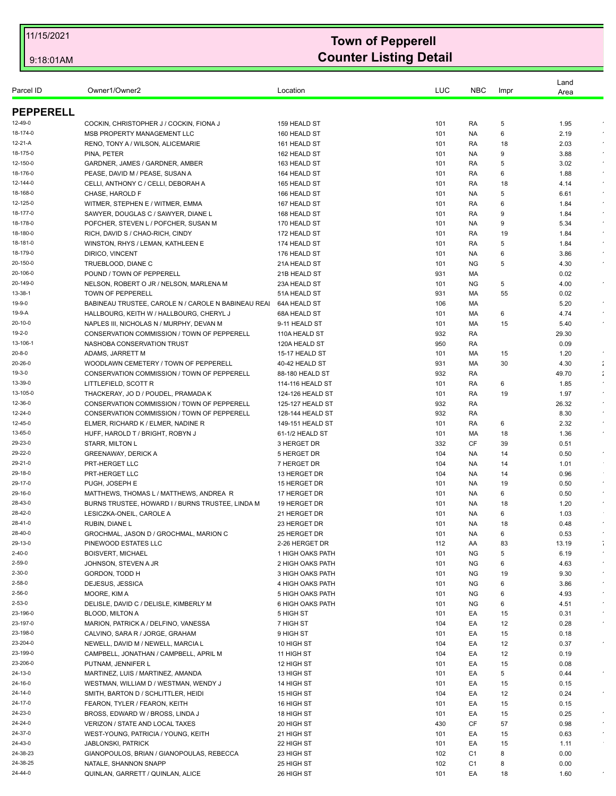| Parcel ID          | Owner1/Owner2                                       | Location         | LUC | <b>NBC</b>     | Impr | Land<br>Area |                      |
|--------------------|-----------------------------------------------------|------------------|-----|----------------|------|--------------|----------------------|
| <b>PEPPERELL</b>   |                                                     |                  |     |                |      |              |                      |
| 12-49-0            | COCKIN, CHRISTOPHER J / COCKIN, FIONA J             | 159 HEALD ST     | 101 | RA             | 5    | 1.95         |                      |
| 18-174-0           | MSB PROPERTY MANAGEMENT LLC                         | 160 HEALD ST     | 101 | NA.            | 6    | 2.19         |                      |
| 12-21-A            | RENO, TONY A / WILSON, ALICEMARIE                   | 161 HEALD ST     | 101 | RA             | 18   | 2.03         |                      |
| 18-175-0           | PINA, PETER                                         | 162 HEALD ST     | 101 | NA.            | 9    | 3.88         |                      |
| 12-150-0           | GARDNER, JAMES / GARDNER, AMBER                     | 163 HEALD ST     | 101 | RA             | 5    | 3.02         |                      |
| 18-176-0           | PEASE, DAVID M / PEASE, SUSAN A                     | 164 HEALD ST     | 101 | RA             | 6    | 1.88         |                      |
| 12-144-0           | CELLI, ANTHONY C / CELLI, DEBORAH A                 | 165 HEALD ST     | 101 | RA             | 18   | 4.14         | $\epsilon$           |
| 18-168-0           | CHASE. HAROLD F                                     | 166 HEALD ST     | 101 | NA.            | 5    | 6.61         |                      |
| 12-125-0           | WITMER, STEPHEN E / WITMER, EMMA                    | 167 HEALD ST     | 101 | RA             | 6    | 1.84         |                      |
| 18-177-0           | SAWYER, DOUGLAS C / SAWYER, DIANE L                 | 168 HEALD ST     | 101 | RA             | 9    | 1.84         | $\epsilon$           |
| 18-178-0           | POFCHER, STEVEN L / POFCHER, SUSAN M                | 170 HEALD ST     | 101 | NA.            | 9    | 5.34         |                      |
| 18-180-0           | RICH, DAVID S / CHAO-RICH, CINDY                    | 172 HEALD ST     | 101 | RA             | 19   | 1.84         |                      |
| 18-181-0           | WINSTON, RHYS / LEMAN, KATHLEEN E                   | 174 HEALD ST     | 101 | RA             | 5    | 1.84         | $\epsilon$           |
| 18-179-0           | DIRICO, VINCENT                                     | 176 HEALD ST     | 101 | NA.            | 6    | 3.86         |                      |
| 20-150-0           | TRUEBLOOD, DIANE C                                  | 21A HEALD ST     | 101 | <b>NG</b>      | 5    | 4.30         |                      |
| 20-106-0           | POUND / TOWN OF PEPPERELL                           | 21B HEALD ST     | 931 | МA             |      | 0.02         |                      |
| 20-149-0           | NELSON, ROBERT O JR / NELSON, MARLENA M             | 23A HEALD ST     | 101 | <b>NG</b>      | 5    | 4.00         |                      |
| 13-38-1            | TOWN OF PEPPERELL                                   | 51A HEALD ST     | 931 | МA             | 55   | 0.02         |                      |
| 19-9-0             | BABINEAU TRUSTEE, CAROLE N / CAROLE N BABINEAU REAI | 64A HEALD ST     | 106 | МA             |      | 5.20         |                      |
| 19-9-A             | HALLBOURG, KEITH W / HALLBOURG, CHERYL J            | 68A HEALD ST     | 101 | МA             | 6    | 4.74         |                      |
| 20-10-0            | NAPLES III, NICHOLAS N / MURPHY, DEVAN M            | 9-11 HEALD ST    | 101 | МA             | 15   | 5.40         |                      |
| 19-2-0             | CONSERVATION COMMISSION / TOWN OF PEPPERELL         | 110A HEALD ST    | 932 | RA             |      | 29.30        |                      |
| 13-106-1           | NASHOBA CONSERVATION TRUST                          | 120A HEALD ST    | 950 | RA             |      | 0.09         |                      |
| $20 - 8 - 0$       | ADAMS, JARRETT M                                    | 15-17 HEALD ST   | 101 | МA             | 15   | 1.20         |                      |
| 20-26-0            | WOODLAWN CEMETERY / TOWN OF PEPPERELL               | 40-42 HEALD ST   | 931 | МA             | 30   | 4.30         | $\ddot{\phantom{a}}$ |
| 19-3-0             | CONSERVATION COMMISSION / TOWN OF PEPPERELL         | 88-180 HEALD ST  | 932 | RA             |      | 49.70        | $\ddot{\phantom{a}}$ |
| 13-39-0            | LITTLEFIELD, SCOTT R                                | 114-116 HEALD ST | 101 | RA             | 6    | 1.85         |                      |
| 13-105-0           | THACKERAY, JO D / POUDEL, PRAMADA K                 | 124-126 HEALD ST | 101 | RA             | 19   | 1.97         |                      |
| 12-36-0            | CONSERVATION COMMISSION / TOWN OF PEPPERELL         | 125-127 HEALD ST | 932 | RA             |      | 26.32        |                      |
| 12-24-0            | CONSERVATION COMMISSION / TOWN OF PEPPERELL         | 128-144 HEALD ST | 932 | RA             |      | 8.30         |                      |
| 12-45-0            | ELMER, RICHARD K / ELMER, NADINE R                  | 149-151 HEALD ST | 101 | RA             | 6    | 2.32         |                      |
| 13-65-0            | HUFF, HAROLD T / BRIGHT, ROBYN J                    | 61-1/2 HEALD ST  | 101 | МA             | 18   | 1.36         |                      |
| 29-23-0            | STARR, MILTON L                                     | 3 HERGET DR      | 332 | CF             | 39   | 0.51         |                      |
| 29-22-0            |                                                     |                  |     |                |      |              | $\bullet$            |
| 29-21-0            | <b>GREENAWAY, DERICK A</b>                          | 5 HERGET DR      | 104 | NA.            | 14   | 0.50         |                      |
|                    | PRT-HERGET LLC                                      | 7 HERGET DR      | 104 | NA.            | 14   | 1.01         |                      |
| 29-18-0            | PRT-HERGET LLC                                      | 13 HERGET DR     | 104 | NA.            | 14   | 0.96         | $\sim$               |
| 29-17-0            | PUGH, JOSEPH E                                      | 15 HERGET DR     | 101 | NA.            | 19   | 0.50         |                      |
| 29-16-0<br>28-43-0 | MATTHEWS, THOMAS L / MATTHEWS, ANDREA R             | 17 HERGET DR     | 101 | NA.            | 6    | 0.50         |                      |
|                    | BURNS TRUSTEE, HOWARD I / BURNS TRUSTEE, LINDA M    | 19 HERGET DR     | 101 | NA.            | 18   | 1.20         |                      |
| 28-42-0            | LESICZKA-ONEIL, CAROLE A                            | 21 HERGET DR     | 101 | NA.            | 6    | 1.03         | $\lambda$            |
| 28-41-0            | RUBIN, DIANE L                                      | 23 HERGET DR     | 101 | NA.            | 18   | 0.48         |                      |
| 28-40-0            | GROCHMAL, JASON D / GROCHMAL, MARION C              | 25 HERGET DR     | 101 | NA.            | 6    | 0.53         |                      |
| 29-13-0            | PINEWOOD ESTATES LLC                                | 2-26 HERGET DR   | 112 | AA             | 83   | 13.19        | ÷<br>$\epsilon$      |
| 2-40-0             | <b>BOISVERT, MICHAEL</b>                            | 1 HIGH OAKS PATH | 101 | NG             | 5    | 6.19         |                      |
| 2-59-0             | JOHNSON, STEVEN A JR                                | 2 HIGH OAKS PATH | 101 | ΝG             | 6    | 4.63         | $\bullet$            |
| 2-30-0             | GORDON, TODD H                                      | 3 HIGH OAKS PATH | 101 | ΝG             | 19   | 9.30         |                      |
| 2-58-0             | DEJESUS, JESSICA                                    | 4 HIGH OAKS PATH | 101 | NG             | 6    | 3.86         | $\epsilon$           |
| 2-56-0             | MOORE, KIM A                                        | 5 HIGH OAKS PATH | 101 | ΝG             | 6    | 4.93         | $\epsilon$           |
| 2-53-0             | DELISLE, DAVID C / DELISLE, KIMBERLY M              | 6 HIGH OAKS PATH | 101 | ΝG             | 6    | 4.51         |                      |
| 23-196-0           | <b>BLOOD, MILTON A</b>                              | 5 HIGH ST        | 101 | EA             | 15   | 0.31         |                      |
| 23-197-0           | MARION, PATRICK A / DELFINO, VANESSA                | 7 HIGH ST        | 104 | EA             | 12   | 0.28         | $\bullet$            |
| 23-198-0           | CALVINO, SARA R / JORGE, GRAHAM                     | 9 HIGH ST        | 101 | EA             | 15   | 0.18         |                      |
| 23-204-0           | NEWELL, DAVID M / NEWELL, MARCIA L                  | 10 HIGH ST       | 104 | EA             | 12   | 0.37         |                      |
| 23-199-0           | CAMPBELL, JONATHAN / CAMPBELL, APRIL M              | 11 HIGH ST       | 104 | EA             | 12   | 0.19         |                      |
| 23-206-0           | PUTNAM, JENNIFER L                                  | 12 HIGH ST       | 101 | EA             | 15   | 0.08         |                      |
| 24-13-0            | MARTINEZ, LUIS / MARTINEZ, AMANDA                   | 13 HIGH ST       | 101 | EA             | 5    | 0.44         |                      |
| 24-16-0            | WESTMAN, WILLIAM D / WESTMAN, WENDY J               | 14 HIGH ST       | 101 | EA             | 15   | 0.15         |                      |
| 24-14-0            | SMITH, BARTON D / SCHLITTLER, HEIDI                 | 15 HIGH ST       | 104 | EA             | 12   | 0.24         | $\epsilon$           |
| 24-17-0            | FEARON, TYLER / FEARON, KEITH                       | 16 HIGH ST       | 101 | EA             | 15   | 0.15         |                      |
| 24-23-0            | BROSS, EDWARD W / BROSS, LINDA J                    | 18 HIGH ST       | 101 | EA             | 15   | 0.25         |                      |
| 24-24-0            | VERIZON / STATE AND LOCAL TAXES                     | 20 HIGH ST       | 430 | CF             | 57   | 0.98         | $\bullet$            |
| 24-37-0            | WEST-YOUNG, PATRICIA / YOUNG, KEITH                 | 21 HIGH ST       | 101 | EA             | 15   | 0.63         |                      |
| 24-43-0            | <b>JABLONSKI, PATRICK</b>                           | 22 HIGH ST       | 101 | EA             | 15   | 1.11         |                      |
| 24-38-23           | GIANOPOULOS, BRIAN / GIANOPOULAS, REBECCA           | 23 HIGH ST       | 102 | C <sub>1</sub> | 8    | 0.00         |                      |
| 24-38-25           | NATALE, SHANNON SNAPP                               | 25 HIGH ST       | 102 | C1             | 8    | 0.00         |                      |
| 24-44-0            | QUINLAN, GARRETT / QUINLAN, ALICE                   | 26 HIGH ST       | 101 | EA             | 18   | 1.60         |                      |
|                    |                                                     |                  |     |                |      |              |                      |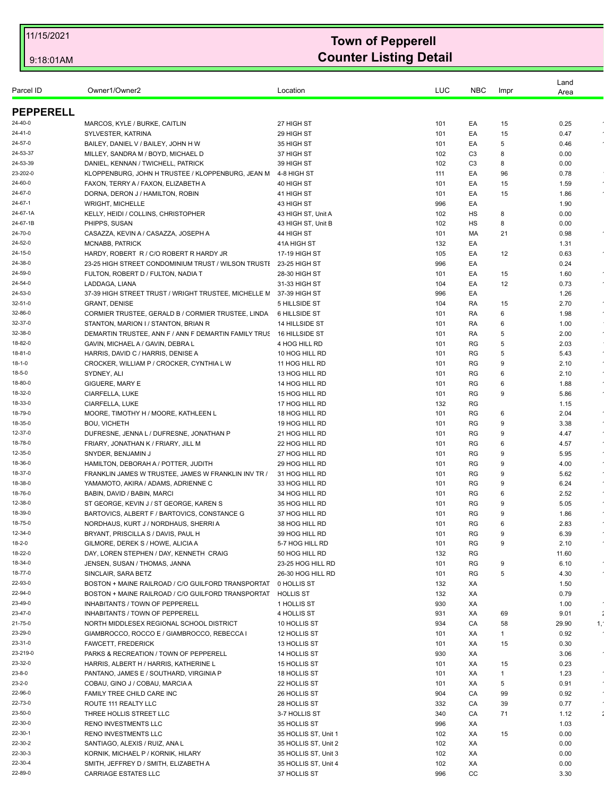| Parcel ID         | Owner1/Owner2                                        | Location                         | LUC        | <b>NBC</b>     | Impr   | Land<br>Area |    |
|-------------------|------------------------------------------------------|----------------------------------|------------|----------------|--------|--------------|----|
| <b>PEPPERELL</b>  |                                                      |                                  |            |                |        |              |    |
| 24-40-0           | MARCOS, KYLE / BURKE, CAITLIN                        | 27 HIGH ST                       | 101        | EA             | 15     | 0.25         |    |
| 24-41-0           | SYLVESTER, KATRINA                                   | 29 HIGH ST                       | 101        | EA             | 15     | 0.47         |    |
| 24-57-0           | BAILEY, DANIEL V / BAILEY, JOHN H W                  | 35 HIGH ST                       | 101        | EA             | 5      | 0.46         |    |
| 24-53-37          | MILLEY, SANDRA M / BOYD, MICHAEL D                   | 37 HIGH ST                       | 102        | C <sub>3</sub> | 8      | 0.00         |    |
| 24-53-39          | DANIEL, KENNAN / TWICHELL, PATRICK                   | 39 HIGH ST                       | 102        | C <sub>3</sub> | 8      | 0.00         |    |
| 23-202-0          | KLOPPENBURG, JOHN H TRUSTEE / KLOPPENBURG, JEAN M    | 4-8 HIGH ST                      | 111        | EA             | 96     | 0.78         |    |
| 24-60-0           | FAXON, TERRY A / FAXON, ELIZABETH A                  | 40 HIGH ST                       | 101        | EA             | 15     | 1.59         |    |
| 24-67-0           | DORNA, DERON J / HAMILTON, ROBIN                     | 41 HIGH ST                       | 101        | EA             | 15     | 1.86         |    |
| 24-67-1           | <b>WRIGHT, MICHELLE</b>                              | 43 HIGH ST                       | 996        | EA             |        | 1.90         |    |
| 24-67-1A          | KELLY, HEIDI / COLLINS, CHRISTOPHER                  | 43 HIGH ST, Unit A               | 102        | HS             | 8      | 0.00         |    |
| 24-67-1B          | PHIPPS, SUSAN                                        | 43 HIGH ST, Unit B               | 102        | HS             | 8      | 0.00         |    |
| 24-70-0           | CASAZZA, KEVIN A / CASAZZA, JOSEPH A                 | 44 HIGH ST                       | 101        | МA             | 21     | 0.98         |    |
| 24-52-0           | <b>MCNABB, PATRICK</b>                               | 41A HIGH ST                      | 132        | EA             |        | 1.31         |    |
| 24-15-0           | HARDY, ROBERT R / C/O ROBERT R HARDY JR              | 17-19 HIGH ST                    | 105        | EA             | 12     | 0.63         |    |
| 24-38-0           | 23-25 HIGH STREET CONDOMINIUM TRUST / WILSON TRUSTI  | 23-25 HIGH ST                    | 996        | EA             |        | 0.24         |    |
| 24-59-0           | FULTON, ROBERT D / FULTON, NADIA T                   | 28-30 HIGH ST                    | 101        | EA             | 15     | 1.60         |    |
| 24-54-0           | LADDAGA, LIANA                                       | 31-33 HIGH ST                    | 104        | EA             | 12     | 0.73         |    |
| 24-53-0           | 37-39 HIGH STREET TRUST / WRIGHT TRUSTEE, MICHELLE M | 37-39 HIGH ST                    | 996        | EA             |        | 1.26         |    |
| 32-51-0           | <b>GRANT, DENISE</b>                                 | 5 HILLSIDE ST                    | 104        | RA             | 15     | 2.70         |    |
| 32-86-0           | CORMIER TRUSTEE, GERALD B / CORMIER TRUSTEE, LINDA   | 6 HILLSIDE ST                    | 101        | RA             | 6      | 1.98         |    |
| 32-37-0           | STANTON, MARION I / STANTON, BRIAN R                 | 14 HILLSIDE ST                   | 101        | RA             | 6      | 1.00         |    |
| 32-38-0           | DEMARTIN TRUSTEE, ANN F / ANN F DEMARTIN FAMILY TRUS | 16 HILLSIDE ST                   | 101        | RA             | 5      | 2.00         |    |
| 18-82-0           | GAVIN, MICHAEL A / GAVIN, DEBRA L                    | 4 HOG HILL RD                    | 101        | RG             | 5      | 2.03         |    |
| 18-81-0           | HARRIS, DAVID C / HARRIS, DENISE A                   | 10 HOG HILL RD                   | 101        | RG             | 5      | 5.43         |    |
| 18-1-0            | CROCKER, WILLIAM P / CROCKER, CYNTHIA L W            | 11 HOG HILL RD                   | 101        | RG             | 9      | 2.10         |    |
| 18-5-0<br>18-80-0 | SYDNEY, ALI                                          | 13 HOG HILL RD                   | 101        | RG             | 6      | 2.10         |    |
| 18-32-0           | GIGUERE, MARY E                                      | 14 HOG HILL RD<br>15 HOG HILL RD | 101        | RG             | 6<br>9 | 1.88<br>5.86 |    |
| 18-33-0           | CIARFELLA, LUKE<br>CIARFELLA, LUKE                   | 17 HOG HILL RD                   | 101<br>132 | RG<br>RG       |        | 1.15         |    |
| 18-79-0           | MOORE, TIMOTHY H / MOORE, KATHLEEN L                 | 18 HOG HILL RD                   | 101        | RG             | 6      | 2.04         |    |
| 18-35-0           | <b>BOU, VICHETH</b>                                  | 19 HOG HILL RD                   | 101        | RG             | 9      | 3.38         |    |
| 12-37-0           | DUFRESNE, JENNA L / DUFRESNE, JONATHAN P             | 21 HOG HILL RD                   | 101        | RG             | 9      | 4.47         |    |
| 18-78-0           | FRIARY, JONATHAN K / FRIARY, JILL M                  | 22 HOG HILL RD                   | 101        | RG             | 6      | 4.57         |    |
| 12-35-0           | SNYDER, BENJAMIN J                                   | 27 HOG HILL RD                   | 101        | RG             | 9      | 5.95         |    |
| 18-36-0           | HAMILTON, DEBORAH A / POTTER, JUDITH                 | 29 HOG HILL RD                   | 101        | RG             | 9      | 4.00         |    |
| 18-37-0           | FRANKLIN JAMES W TRUSTEE, JAMES W FRANKLIN INV TR /  | 31 HOG HILL RD                   | 101        | RG             | 9      | 5.62         |    |
| 18-38-0           | YAMAMOTO, AKIRA / ADAMS, ADRIENNE C                  | 33 HOG HILL RD                   | 101        | RG             | 9      | 6.24         |    |
| 18-76-0           | BABIN, DAVID / BABIN, MARCI                          | 34 HOG HILL RD                   | 101        | RG             | 6      | 2.52         |    |
| 12-38-0           | ST GEORGE, KEVIN J / ST GEORGE, KAREN S              | 35 HOG HILL RD                   | 101        | RG             | 9      | 5.05         |    |
| 18-39-0           | BARTOVICS, ALBERT F / BARTOVICS, CONSTANCE G         | 37 HOG HILL RD                   | 101        | RG             | 9      | 1.86         |    |
| 18-75-0           | NORDHAUS, KURT J / NORDHAUS, SHERRI A                | 38 HOG HILL RD                   | 101        | <b>RG</b>      | 6      | 2.83         |    |
| 12-34-0           | BRYANT, PRISCILLA S / DAVIS, PAUL H                  | 39 HOG HILL RD                   | 101        | RG             | 9      | 6.39         |    |
| 18-2-0            | GILMORE, DEREK S / HOWE, ALICIA A                    | 5-7 HOG HILL RD                  | 101        | RG             | 9      | 2.10         |    |
| 18-22-0           | DAY, LOREN STEPHEN / DAY, KENNETH CRAIG              | 50 HOG HILL RD                   | 132        | RG             |        | 11.60        |    |
| 18-34-0           | JENSEN, SUSAN / THOMAS, JANNA                        | 23-25 HOG HILL RD                | 101        | RG             | 9      | 6.10         |    |
| 18-77-0           | SINCLAIR, SARA BETZ                                  | 26-30 HOG HILL RD                | 101        | RG             | 5      | 4.30         |    |
| 22-93-0           | BOSTON + MAINE RAILROAD / C/O GUILFORD TRANSPORTAT   | 0 HOLLIS ST                      | 132        | ХA             |        | 1.50         |    |
| 22-94-0           | BOSTON + MAINE RAILROAD / C/O GUILFORD TRANSPORTAT   | <b>HOLLIS ST</b>                 | 132        | XA             |        | 0.79         |    |
| 23-49-0           | <b>INHABITANTS / TOWN OF PEPPERELL</b>               | 1 HOLLIS ST                      | 930        | ХA             |        | 1.00         |    |
| 23-47-0           | <b>INHABITANTS / TOWN OF PEPPERELL</b>               | 4 HOLLIS ST                      | 931        | ХA             | 69     | 9.01         | ÷  |
| 21-75-0           | NORTH MIDDLESEX REGIONAL SCHOOL DISTRICT             | 10 HOLLIS ST                     | 934        | CA             | 58     | 29.90        | 1, |
| 23-29-0           | GIAMBROCCO, ROCCO E / GIAMBROCCO, REBECCA I          | 12 HOLLIS ST                     | 101        | ХA             | 1      | 0.92         |    |
| 23-31-0           | FAWCETT, FREDERICK                                   | 13 HOLLIS ST                     | 101        | ХA             | 15     | 0.30         |    |
| 23-219-0          | PARKS & RECREATION / TOWN OF PEPPERELL               | 14 HOLLIS ST                     | 930        | ХA             |        | 3.06         |    |
| 23-32-0           | HARRIS, ALBERT H / HARRIS, KATHERINE L               | 15 HOLLIS ST                     | 101        | ХA             | 15     | 0.23         |    |
| 23-8-0            | PANTANO, JAMES E / SOUTHARD, VIRGINIA P              | 18 HOLLIS ST                     | 101        | ХA             | 1      | 1.23         |    |
| 23-2-0            | COBAU, GINO J / COBAU, MARCIA A                      | 22 HOLLIS ST                     | 101        | ХA             | 5      | 0.91         |    |
| 22-96-0           | FAMILY TREE CHILD CARE INC                           | 26 HOLLIS ST                     | 904        | CA             | 99     | 0.92         |    |
| 22-73-0           | ROUTE 111 REALTY LLC                                 | 28 HOLLIS ST                     | 332        | CA             | 39     | 0.77         |    |
| 23-50-0           | THREE HOLLIS STREET LLC                              | 3-7 HOLLIS ST                    | 340        | CA             | 71     | 1.12         |    |
| 22-30-0           | RENO INVESTMENTS LLC                                 | 35 HOLLIS ST                     | 996        | ХA             |        | 1.03         |    |
| 22-30-1           | RENO INVESTMENTS LLC                                 | 35 HOLLIS ST, Unit 1             | 102        | ХA             | 15     | 0.00         |    |
| 22-30-2           | SANTIAGO, ALEXIS / RUIZ, ANA L                       | 35 HOLLIS ST, Unit 2             | 102        | ХA             |        | 0.00         |    |
| 22-30-3           | KORNIK, MICHAEL P / KORNIK, HILARY                   | 35 HOLLIS ST, Unit 3             | 102        | XA             |        | 0.00         |    |
| 22-30-4           | SMITH, JEFFREY D / SMITH, ELIZABETH A                | 35 HOLLIS ST, Unit 4             | 102        | XA             |        | 0.00         |    |
| 22-89-0           | <b>CARRIAGE ESTATES LLC</b>                          | 37 HOLLIS ST                     | 996        | CC             |        | 3.30         |    |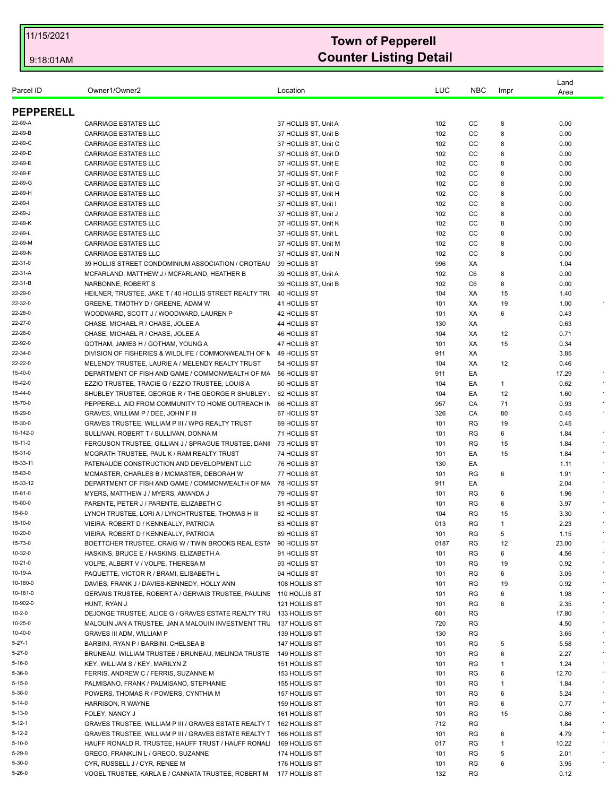| Parcel ID        | Owner1/Owner2                                                      | Location             | LUC  | <b>NBC</b> | Impr | Land<br>Area |           |
|------------------|--------------------------------------------------------------------|----------------------|------|------------|------|--------------|-----------|
| <b>PEPPERELL</b> |                                                                    |                      |      |            |      |              |           |
| 22-89-A          | <b>CARRIAGE ESTATES LLC</b>                                        | 37 HOLLIS ST, Unit A | 102  | СC         | 8    | 0.00         |           |
| 22-89-B          | <b>CARRIAGE ESTATES LLC</b>                                        | 37 HOLLIS ST, Unit B | 102  | CC         | 8    | 0.00         |           |
| 22-89-C          | <b>CARRIAGE ESTATES LLC</b>                                        | 37 HOLLIS ST, Unit C | 102  | CC         | 8    | 0.00         |           |
| 22-89-D          | <b>CARRIAGE ESTATES LLC</b>                                        | 37 HOLLIS ST, Unit D | 102  | СC         | 8    | 0.00         |           |
| 22-89-E          | <b>CARRIAGE ESTATES LLC</b>                                        | 37 HOLLIS ST, Unit E | 102  | CC         | 8    | 0.00         |           |
| 22-89-F          | <b>CARRIAGE ESTATES LLC</b>                                        | 37 HOLLIS ST, Unit F | 102  | CC         | 8    | 0.00         |           |
| 22-89-G          | <b>CARRIAGE ESTATES LLC</b>                                        | 37 HOLLIS ST. Unit G | 102  | CC         | 8    | 0.00         |           |
| 22-89-H          | <b>CARRIAGE ESTATES LLC</b>                                        | 37 HOLLIS ST, Unit H | 102  | СC         | 8    | 0.00         |           |
| 22-89-l          | <b>CARRIAGE ESTATES LLC</b>                                        | 37 HOLLIS ST, Unit I | 102  | CC         | 8    | 0.00         |           |
| 22-89-J          | <b>CARRIAGE ESTATES LLC</b>                                        |                      | 102  | CC         | 8    | 0.00         |           |
| 22-89-K          | <b>CARRIAGE ESTATES LLC</b>                                        | 37 HOLLIS ST, Unit J | 102  | СC         | 8    | 0.00         |           |
| 22-89-L          |                                                                    | 37 HOLLIS ST, Unit K |      | cc         | 8    |              |           |
| 22-89-M          | <b>CARRIAGE ESTATES LLC</b>                                        | 37 HOLLIS ST, Unit L | 102  |            |      | 0.00         |           |
|                  | <b>CARRIAGE ESTATES LLC</b>                                        | 37 HOLLIS ST, Unit M | 102  | CC         | 8    | 0.00         |           |
| 22-89-N          | <b>CARRIAGE ESTATES LLC</b>                                        | 37 HOLLIS ST, Unit N | 102  | СC         | 8    | 0.00         |           |
| 22-31-0          | 39 HOLLIS STREET CONDOMINIUM ASSOCIATION / CROTEAU                 | 39 HOLLIS ST         | 996  | ХA         |      | 1.04         |           |
| 22-31-A          | MCFARLAND, MATTHEW J / MCFARLAND, HEATHER B                        | 39 HOLLIS ST, Unit A | 102  | C6         | 8    | 0.00         |           |
| 22-31-B          | NARBONNE, ROBERT S                                                 | 39 HOLLIS ST, Unit B | 102  | C6         | 8    | 0.00         |           |
| 22-29-0          | HEILNER, TRUSTEE, JAKE T / 40 HOLLIS STREET REALTY TRI             | 40 HOLLIS ST         | 104  | XA         | 15   | 1.40         |           |
| 22-32-0          | GREENE, TIMOTHY D / GREENE, ADAM W                                 | 41 HOLLIS ST         | 101  | XA         | 19   | 1.00         |           |
| 22-28-0          | WOODWARD, SCOTT J / WOODWARD, LAUREN P                             | 42 HOLLIS ST         | 101  | ХA         | 6    | 0.43         |           |
| 22-27-0          | CHASE, MICHAEL R / CHASE, JOLEE A                                  | 44 HOLLIS ST         | 130  | ХA         |      | 0.63         |           |
| 22-26-0          | CHASE, MICHAEL R / CHASE, JOLEE A                                  | 46 HOLLIS ST         | 104  | XA         | 12   | 0.71         |           |
| 22-92-0          | GOTHAM, JAMES H / GOTHAM, YOUNG A                                  | 47 HOLLIS ST         | 101  | ХA         | 15   | 0.34         |           |
| 22-34-0          | DIVISION OF FISHERIES & WILDLIFE / COMMONWEALTH OF N               | 49 HOLLIS ST         | 911  | ХA         |      | 3.85         |           |
| 22-22-0          | MELENDY TRUSTEE, LAURIE A / MELENDY REALTY TRUST                   | 54 HOLLIS ST         | 104  | XA         | 12   | 0.46         |           |
| 15-40-0          | DEPARTMENT OF FISH AND GAME / COMMONWEALTH OF MA                   | 56 HOLLIS ST         | 911  | EA         |      | 17.29        |           |
| 15-42-0          | EZZIO TRUSTEE, TRACIE G / EZZIO TRUSTEE, LOUIS A                   | 60 HOLLIS ST         | 104  | EA         | 1    | 0.62         |           |
| 15-44-0          | SHUBLEY TRUSTEE, GEORGE R / THE GEORGE R SHUBLEY I                 | 62 HOLLIS ST         | 104  | EA         | 12   | 1.60         |           |
| 15-70-0          | PEPPERELL AID FROM COMMUNITY TO HOME OUTREACH IN                   | 66 HOLLIS ST         | 957  | CA         | 71   | 0.93         |           |
| 15-29-0          | GRAVES, WILLIAM P / DEE, JOHN F III                                | 67 HOLLIS ST         | 326  | CA         | 80   | 0.45         |           |
| 15-30-0          | GRAVES TRUSTEE, WILLIAM P III / WPG REALTY TRUST                   | 69 HOLLIS ST         | 101  | RG         | 19   | 0.45         |           |
| 15-142-0         | SULLIVAN, ROBERT T / SULLIVAN, DONNA M                             | 71 HOLLIS ST         | 101  | <b>RG</b>  | 6    | 1.84         |           |
| 15-11-0          | FERGUSON TRUSTEE, GILLIAN J / SPRAGUE TRUSTEE, DANI                | 73 HOLLIS ST         | 101  | RG         | 15   | 1.84         |           |
| 15-31-0          | MCGRATH TRUSTEE, PAUL K / RAM REALTY TRUST                         | 74 HOLLIS ST         | 101  | EA         | 15   | 1.84         |           |
| 15-33-11         | PATENAUDE CONSTRUCTION AND DEVELOPMENT LLC                         | 76 HOLLIS ST         | 130  | EA         |      | 1.11         |           |
| 15-83-0          | MCMASTER, CHARLES B / MCMASTER, DEBORAH W                          | 77 HOLLIS ST         | 101  | RG         | 6    | 1.91         |           |
| 15-33-12         | DEPARTMENT OF FISH AND GAME / COMMONWEALTH OF MA                   | 78 HOLLIS ST         | 911  | EA         |      | 2.04         |           |
| 15-81-0          | MYERS, MATTHEW J / MYERS, AMANDA J                                 | 79 HOLLIS ST         | 101  | RG         | 6    | 1.96         |           |
| 15-80-0          | PARENTE, PETER J / PARENTE, ELIZABETH C                            | 81 HOLLIS ST         | 101  | RG         | 6    | 3.97         |           |
| 15-8-0           | LYNCH TRUSTEE, LORI A / LYNCHTRUSTEE, THOMAS H III                 | 82 HOLLIS ST         | 104  | RG         | 15   | 3.30         |           |
| 15-10-0          | VIEIRA, ROBERT D / KENNEALLY, PATRICIA                             | 83 HOLLIS ST         | 013  | <b>RG</b>  | 1    | 2.23         |           |
| 10-20-0          | VIEIRA, ROBERT D / KENNEALLY, PATRICIA                             | 89 HOLLIS ST         | 101  | RG         | 5    | 1.15         |           |
| 15-73-0          |                                                                    |                      |      |            |      |              |           |
|                  | BOETTCHER TRUSTEE, CRAIG W / TWIN BROOKS REAL ESTA                 | 90 HOLLIS ST         | 0187 | RG         | 12   | 23.00        |           |
| 10-32-0          | HASKINS, BRUCE E / HASKINS, ELIZABETH A                            | 91 HOLLIS ST         | 101  | RG         | 6    | 4.56         |           |
| 10-21-0          | VOLPE, ALBERT V / VOLPE, THERESA M                                 | 93 HOLLIS ST         | 101  | RG         | 19   | 0.92         |           |
| 10-19-A          | PAQUETTE, VICTOR R / BRAMI, ELISABETH L                            | 94 HOLLIS ST         | 101  | RG         | 6    | 3.05         |           |
| 10-180-0         | DAVIES, FRANK J / DAVIES-KENNEDY, HOLLY ANN                        | 108 HOLLIS ST        | 101  | RG         | 19   | 0.92         |           |
| 10-181-0         | GERVAIS TRUSTEE, ROBERT A / GERVAIS TRUSTEE, PAULINE 110 HOLLIS ST |                      | 101  | RG         | 6    | 1.98         |           |
| 10-902-0         | HUNT, RYAN J                                                       | 121 HOLLIS ST        | 101  | RG         | 6    | 2.35         |           |
| 10-2-0           | DEJONGE TRUSTEE, ALICE G / GRAVES ESTATE REALTY TRL 133 HOLLIS ST  |                      | 601  | RG         |      | 17.80        |           |
| 10-25-0          | MALOUIN JAN A TRUSTEE, JAN A MALOUIN INVESTMENT TRU                | 137 HOLLIS ST        | 720  | RG         |      | 4.50         |           |
| 10-40-0          | <b>GRAVES III ADM, WILLIAM P</b>                                   | 139 HOLLIS ST        | 130  | RG         |      | 3.65         |           |
| 5-27-1           | BARBINI, RYAN P / BARBINI, CHELSEA B                               | 147 HOLLIS ST        | 101  | RG         | 5    | 5.58         |           |
| 5-27-0           | BRUNEAU, WILLIAM TRUSTEE / BRUNEAU, MELINDA TRUSTE                 | 149 HOLLIS ST        | 101  | RG         | 6    | 2.27         |           |
| 5-16-0           | KEY, WILLIAM S / KEY, MARILYN Z                                    | 151 HOLLIS ST        | 101  | RG         | 1    | 1.24         |           |
| 5-36-0           | FERRIS, ANDREW C / FERRIS, SUZANNE M                               | 153 HOLLIS ST        | 101  | RG         | 6    | 12.70        | $\bullet$ |
| 5-15-0           | PALMISANO, FRANK / PALMISANO, STEPHANIE                            | 155 HOLLIS ST        | 101  | RG         | 1    | 1.84         |           |
| 5-38-0           | POWERS, THOMAS R / POWERS, CYNTHIA M                               | 157 HOLLIS ST        | 101  | RG         | 6    | 5.24         |           |
| 5-14-0           | HARRISON, R WAYNE                                                  | 159 HOLLIS ST        | 101  | RG         | 6    | 0.77         |           |
| 5-13-0           | FOLEY, NANCY J                                                     | 161 HOLLIS ST        | 101  | RG         | 15   | 0.86         |           |
| 5-12-1           | GRAVES TRUSTEE, WILLIAM P III / GRAVES ESTATE REALTY 1             | 162 HOLLIS ST        | 712  | RG         |      | 1.84         |           |
| 5-12-2           | GRAVES TRUSTEE, WILLIAM P III / GRAVES ESTATE REALTY 1             | 166 HOLLIS ST        |      | <b>RG</b>  | 6    |              |           |
|                  |                                                                    |                      | 101  |            |      | 4.79         |           |
| 5-10-0           | HAUFF RONALD R. TRUSTEE, HAUFF TRUST / HAUFF RONAL                 | 169 HOLLIS ST        | 017  | RG         | 1    | 10.22        |           |
| 5-29-0           | GRECO, FRANKLIN L / GRECO, SUZANNE                                 | 174 HOLLIS ST        | 101  | RG         | 5    | 2.01         |           |
| 5-30-0           | CYR, RUSSELL J / CYR, RENEE M                                      | 176 HOLLIS ST        | 101  | RG         | 6    | 3.95         |           |
| 5-26-0           | VOGEL TRUSTEE, KARLA E / CANNATA TRUSTEE, ROBERT M 177 HOLLIS ST   |                      | 132  | RG         |      | 0.12         |           |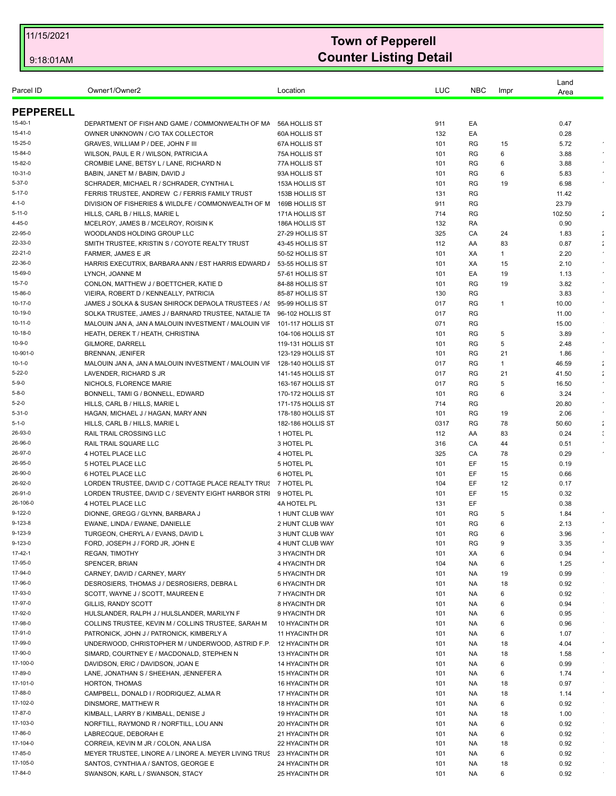| Parcel ID        | Owner1/Owner2                                         | Location             | LUC  | <b>NBC</b> | Impr | Land<br>Area |                      |
|------------------|-------------------------------------------------------|----------------------|------|------------|------|--------------|----------------------|
| <b>PEPPERELL</b> |                                                       |                      |      |            |      |              |                      |
| 15-40-1          | DEPARTMENT OF FISH AND GAME / COMMONWEALTH OF MA      | 56A HOLLIS ST        | 911  | EA         |      | 0.47         |                      |
| 15-41-0          | OWNER UNKNOWN / C/O TAX COLLECTOR                     | <b>60A HOLLIS ST</b> | 132  | EA         |      | 0.28         |                      |
| 15-25-0          | GRAVES, WILLIAM P / DEE, JOHN F III                   | 67A HOLLIS ST        | 101  | RG         | 15   | 5.72         | $\epsilon$           |
| 15-84-0          | WILSON, PAUL E R / WILSON, PATRICIA A                 | 75A HOLLIS ST        | 101  | RG         | 6    | 3.88         |                      |
| 15-82-0          | CROMBIE LANE, BETSY L / LANE, RICHARD N               | 77A HOLLIS ST        | 101  | RG         | 6    | 3.88         |                      |
| 10-31-0          | BABIN, JANET M / BABIN, DAVID J                       | 93A HOLLIS ST        | 101  | RG         | 6    | 5.83         |                      |
| 5-37-0           | SCHRADER, MICHAEL R / SCHRADER, CYNTHIA L             | 153A HOLLIS ST       | 101  | RG         | 19   | 6.98         |                      |
| $5 - 17 - 0$     | FERRIS TRUSTEE, ANDREW C / FERRIS FAMILY TRUST        | 153B HOLLIS ST       | 131  | RG         |      | 11.42        |                      |
| 4-1-0            | DIVISION OF FISHERIES & WILDLFE / COMMONWEALTH OF M   | 169B HOLLIS ST       | 911  | <b>RG</b>  |      | 23.79        |                      |
| 5-11-0           | HILLS, CARL B / HILLS, MARIE L                        | 171A HOLLIS ST       | 714  | RG         |      | 102.50       | $\ddot{\phantom{a}}$ |
| 4-45-0           | MCELROY, JAMES B / MCELROY, ROISIN K                  | 186A HOLLIS ST       | 132  | RA         |      | 0.90         |                      |
| 22-95-0          | WOODLANDS HOLDING GROUP LLC                           | 27-29 HOLLIS ST      | 325  | CA         | 24   | 1.83         | $\ddot{\phantom{a}}$ |
| 22-33-0          | SMITH TRUSTEE, KRISTIN S / COYOTE REALTY TRUST        | 43-45 HOLLIS ST      | 112  | AA         | 83   | 0.87         | $\ddot{\phantom{a}}$ |
| 22-21-0          | FARMER, JAMES E JR                                    | 50-52 HOLLIS ST      | 101  | XA         | 1    | 2.20         |                      |
| 22-36-0          | HARRIS EXECUTRIX, BARBARA ANN / EST HARRIS EDWARD /   | 53-55 HOLLIS ST      | 101  | XA         | 15   | 2.10         |                      |
| 15-69-0          | LYNCH, JOANNE M                                       | 57-61 HOLLIS ST      | 101  | EA         | 19   | 1.13         |                      |
| 15-7-0           | CONLON, MATTHEW J / BOETTCHER, KATIE D                | 84-88 HOLLIS ST      | 101  | <b>RG</b>  | 19   | 3.82         |                      |
| 15-86-0          | VIEIRA, ROBERT D / KENNEALLY, PATRICIA                | 85-87 HOLLIS ST      | 130  | RG         |      | 3.83         | $\epsilon$           |
| 10-17-0          | JAMES J SOLKA & SUSAN SHIROCK DEPAOLA TRUSTEES / AS   | 95-99 HOLLIS ST      | 017  | RG         | 1    | 10.00        | $\star$              |
| 10-19-0          | SOLKA TRUSTEE, JAMES J / BARNARD TRUSTEE, NATALIE TA  | 96-102 HOLLIS ST     | 017  | RG         |      | 11.00        |                      |
| 10-11-0          | MALOUIN JAN A, JAN A MALOUIN INVESTMENT / MALOUIN VIF | 101-117 HOLLIS ST    | 071  | RG         |      | 15.00        |                      |
| 10-18-0          | HEATH, DEREK T / HEATH, CHRISTINA                     | 104-106 HOLLIS ST    | 101  | RG         | 5    | 3.89         | $\sim$               |
| 10-9-0           | GILMORE, DARRELL                                      | 119-131 HOLLIS ST    | 101  | RG         | 5    | 2.48         |                      |
| 10-901-0         | <b>BRENNAN, JENIFER</b>                               | 123-129 HOLLIS ST    | 101  | RG         | 21   | 1.86         | $\bullet$            |
| $10 - 1 - 0$     | MALOUIN JAN A, JAN A MALOUIN INVESTMENT / MALOUIN VIF | 128-140 HOLLIS ST    | 017  | <b>RG</b>  | 1    | 46.59        | $\ddot{\phantom{a}}$ |
| 5-22-0           | LAVENDER, RICHARD S JR                                | 141-145 HOLLIS ST    | 017  | RG         | 21   | 41.50        | $\ddot{\phantom{a}}$ |
| $5 - 9 - 0$      | NICHOLS, FLORENCE MARIE                               | 163-167 HOLLIS ST    | 017  | RG         | 5    | 16.50        |                      |
| 5-8-0            | BONNELL, TAMI G / BONNELL, EDWARD                     | 170-172 HOLLIS ST    | 101  | RG         | 6    | 3.24         |                      |
| 5-2-0            | HILLS, CARL B / HILLS, MARIE L                        | 171-175 HOLLIS ST    | 714  | RG         |      | 20.80        |                      |
| 5-31-0           | HAGAN, MICHAEL J / HAGAN, MARY ANN                    | 178-180 HOLLIS ST    | 101  | RG         | 19   | 2.06         |                      |
| 5-1-0            | HILLS, CARL B / HILLS, MARIE L                        | 182-186 HOLLIS ST    | 0317 | RG         | 78   | 50.60        | $\ddot{\phantom{a}}$ |
| 26-93-0          | RAIL TRAIL CROSSING LLC                               | 1 HOTEL PL           | 112  | AA         | 83   | 0.24         |                      |
| 26-96-0          | RAIL TRAIL SQUARE LLC                                 | 3 HOTEL PL           | 316  | CA         | 44   | 0.51         |                      |
| 26-97-0          | 4 HOTEL PLACE LLC                                     | 4 HOTEL PL           | 325  | CA         | 78   | 0.29         |                      |
| 26-95-0          | 5 HOTEL PLACE LLC                                     | 5 HOTEL PL           | 101  | EF         | 15   | 0.19         |                      |
| 26-90-0          | 6 HOTEL PLACE LLC                                     | <b>6 HOTEL PL</b>    | 101  | EF         | 15   | 0.66         |                      |
| 26-92-0          | LORDEN TRUSTEE, DAVID C / COTTAGE PLACE REALTY TRUS   | 7 HOTEL PL           | 104  | EF         | 12   | 0.17         |                      |
| 26-91-0          | LORDEN TRUSTEE, DAVID C / SEVENTY EIGHT HARBOR STRI   | 9 HOTEL PL           | 101  | EF         | 15   | 0.32         |                      |
| 26-106-0         | 4 HOTEL PLACE LLC                                     | 4A HOTEL PL          | 131  | EF.        |      | 0.38         |                      |
| 9-122-0          | DIONNE, GREGG / GLYNN, BARBARA J                      | 1 HUNT CLUB WAY      | 101  | RG         | 5    | 1.84         |                      |
| 9-123-8          | EWANE, LINDA / EWANE, DANIELLE                        | 2 HUNT CLUB WAY      | 101  | <b>RG</b>  | 6    | 2.13         |                      |
| 9-123-9          | TURGEON, CHERYL A / EVANS, DAVID L                    | 3 HUNT CLUB WAY      | 101  | RG         | 6    | 3.96         |                      |
| 9-123-0          | FORD, JOSEPH J / FORD JR, JOHN E                      | 4 HUNT CLUB WAY      | 101  | RG         | 9    | 3.35         |                      |
| 17-42-1          | <b>REGAN, TIMOTHY</b>                                 | 3 HYACINTH DR        | 101  | ХA         | 6    | 0.94         | $\epsilon$           |
| 17-95-0          | SPENCER, BRIAN                                        | 4 HYACINTH DR        | 104  | NA.        | 6    | 1.25         | $\cdot$              |
| 17-94-0          | CARNEY, DAVID / CARNEY, MARY                          | 5 HYACINTH DR        | 101  | NA.        | 19   | 0.99         |                      |
| 17-96-0          | DESROSIERS, THOMAS J / DESROSIERS, DEBRA L            | 6 HYACINTH DR        | 101  | NA.        | 18   | 0.92         |                      |
| 17-93-0          | SCOTT, WAYNE J / SCOTT, MAUREEN E                     | 7 HYACINTH DR        | 101  | <b>NA</b>  | 6    | 0.92         | $\sim$               |
| 17-97-0          | GILLIS, RANDY SCOTT                                   | 8 HYACINTH DR        | 101  | NA.        | 6    | 0.94         | $\sim$               |
| 17-92-0          | HULSLANDER, RALPH J / HULSLANDER, MARILYN F           | 9 HYACINTH DR        | 101  | NA.        | 6    | 0.95         |                      |
| 17-98-0          | COLLINS TRUSTEE, KEVIN M / COLLINS TRUSTEE, SARAH M   | 10 HYACINTH DR       | 101  | <b>NA</b>  | 6    | 0.96         | $\sim$               |
| 17-91-0          | PATRONICK, JOHN J / PATRONICK, KIMBERLY A             | 11 HYACINTH DR       | 101  | NA.        | 6    | 1.07         |                      |
| 17-99-0          | UNDERWOOD, CHRISTOPHER M / UNDERWOOD, ASTRID F.P      | 12 HYACINTH DR       | 101  | NA.        | 18   | 4.04         | $\epsilon$           |
| 17-90-0          | SIMARD, COURTNEY E / MACDONALD, STEPHEN N             | 13 HYACINTH DR       | 101  | <b>NA</b>  | 18   | 1.58         | $\sim$               |
| 17-100-0         | DAVIDSON, ERIC / DAVIDSON, JOAN E                     | 14 HYACINTH DR       | 101  | NA.        | 6    | 0.99         | $\sim$               |
| 17-89-0          | LANE, JONATHAN S / SHEEHAN, JENNEFER A                | 15 HYACINTH DR       | 101  | NA.        | 6    | 1.74         | $\epsilon$           |
| 17-101-0         | HORTON, THOMAS                                        | 16 HYACINTH DR       | 101  | NA.        | 18   | 0.97         |                      |
| 17-88-0          | CAMPBELL, DONALD I / RODRIQUEZ, ALMA R                | 17 HYACINTH DR       | 101  | NA.        | 18   | 1.14         | $\sim$               |
| 17-102-0         | DINSMORE, MATTHEW R                                   | 18 HYACINTH DR       | 101  | NA.        | 6    | 0.92         |                      |
| 17-87-0          | KIMBALL, LARRY B / KIMBALL, DENISE J                  | 19 HYACINTH DR       | 101  | <b>NA</b>  | 18   | 1.00         | $\sim$               |
| 17-103-0         | NORFTILL, RAYMOND R / NORFTILL, LOU ANN               | 20 HYACINTH DR       | 101  | NA.        | 6    | 0.92         | $\sim$               |
| 17-86-0          | LABRECQUE, DEBORAH E                                  | 21 HYACINTH DR       | 101  | NA         | 6    | 0.92         |                      |
| 17-104-0         | CORREIA, KEVIN M JR / COLON, ANA LISA                 | 22 HYACINTH DR       | 101  | NA.        | 18   | 0.92         | $\sim$               |
| 17-85-0          | MEYER TRUSTEE, LINORE A / LINORE A. MEYER LIVING TRUS | 23 HYACINTH DR       | 101  | NA.        | 6    | 0.92         | $\sim$               |
| 17-105-0         | SANTOS, CYNTHIA A / SANTOS, GEORGE E                  | 24 HYACINTH DR       | 101  | <b>NA</b>  | 18   | 0.92         |                      |
| 17-84-0          | SWANSON, KARL L / SWANSON, STACY                      | 25 HYACINTH DR       | 101  | <b>NA</b>  | 6    | 0.92         |                      |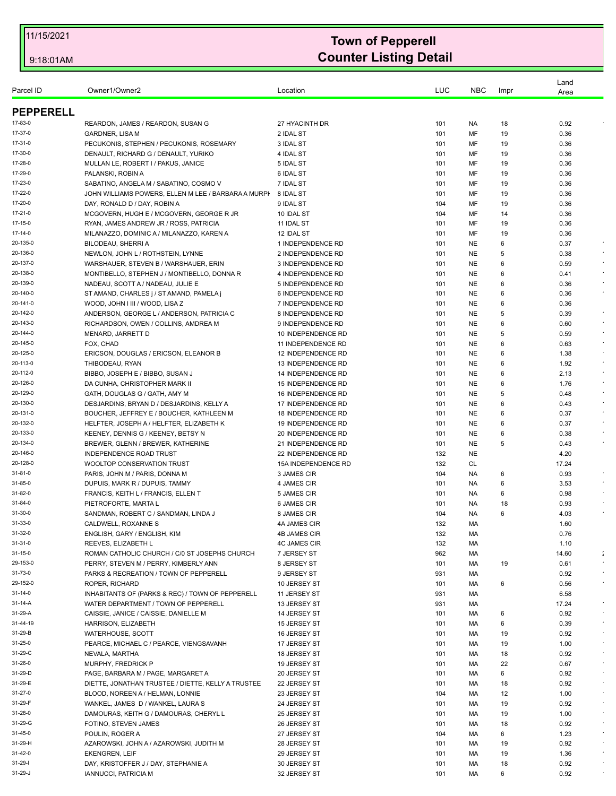|                      |                                                       |                                           |            |                        |        | Land          |                      |
|----------------------|-------------------------------------------------------|-------------------------------------------|------------|------------------------|--------|---------------|----------------------|
| Parcel ID            | Owner1/Owner2                                         | Location                                  | LUC        | <b>NBC</b>             | Impr   | Area          |                      |
| <b>PEPPERELL</b>     |                                                       |                                           |            |                        |        |               |                      |
| 17-83-0              | REARDON, JAMES / REARDON, SUSAN G                     | 27 HYACINTH DR                            | 101        | NA.                    | 18     | 0.92          |                      |
| 17-37-0              | <b>GARDNER, LISA M</b>                                | 2 IDAL ST                                 | 101        | MF                     | 19     | 0.36          |                      |
| 17-31-0              | PECUKONIS, STEPHEN / PECUKONIS, ROSEMARY              | 3 IDAL ST                                 | 101        | MF                     | 19     | 0.36          |                      |
| 17-30-0              | DENAULT, RICHARD G / DENAULT, YURIKO                  | 4 IDAL ST                                 | 101        | MF                     | 19     | 0.36          |                      |
| 17-28-0              | MULLAN LE, ROBERT I / PAKUS, JANICE                   | 5 IDAL ST                                 | 101        | MF                     | 19     | 0.36          |                      |
| 17-29-0              | PALANSKI, ROBIN A                                     | 6 IDAL ST                                 | 101        | MF                     | 19     | 0.36          |                      |
| 17-23-0              | SABATINO, ANGELA M / SABATINO, COSMO V                | 7 IDAL ST                                 | 101        | MF                     | 19     | 0.36          |                      |
| 17-22-0              | JOHN WILLIAMS POWERS, ELLEN M LEE / BARBARA A MURPI   | 8 IDAL ST                                 | 101        | MF                     | 19     | 0.36          |                      |
| 17-20-0              | DAY, RONALD D / DAY, ROBIN A                          | 9 IDAL ST                                 | 104        | MF                     | 19     | 0.36          |                      |
| 17-21-0              | MCGOVERN, HUGH E / MCGOVERN, GEORGE R JR              | 10 IDAL ST                                | 104        | MF                     | 14     | 0.36          |                      |
| 17-15-0              | RYAN, JAMES ANDREW JR / ROSS, PATRICIA                | 11 IDAL ST                                | 101        | MF                     | 19     | 0.36          |                      |
| 17-14-0              | MILANAZZO, DOMINIC A / MILANAZZO, KAREN A             | 12 IDAL ST                                | 101        | MF                     | 19     | 0.36          |                      |
| 20-135-0             | BILODEAU, SHERRI A                                    | 1 INDEPENDENCE RD                         | 101        | <b>NE</b>              | 6      | 0.37          |                      |
| 20-136-0             | NEWLON, JOHN L / ROTHSTEIN, LYNNE                     | 2 INDEPENDENCE RD                         | 101        | <b>NE</b>              | 5      | 0.38          |                      |
| 20-137-0             | WARSHAUER, STEVEN B / WARSHAUER, ERIN                 | 3 INDEPENDENCE RD                         | 101        | <b>NE</b>              | 6      | 0.59          | $\sim$               |
| 20-138-0             | MONTIBELLO, STEPHEN J / MONTIBELLO, DONNA R           | 4 INDEPENDENCE RD                         | 101        | <b>NE</b>              | 6      | 0.41          | $\epsilon$           |
| 20-139-0             | NADEAU, SCOTT A / NADEAU, JULIE E                     | 5 INDEPENDENCE RD                         | 101        | <b>NE</b>              | 6      | 0.36          |                      |
| 20-140-0             | ST AMAND, CHARLES j / ST AMAND, PAMELA j              | 6 INDEPENDENCE RD                         | 101        | <b>NE</b>              | 6      | 0.36          |                      |
| 20-141-0             | WOOD, JOHN I III / WOOD, LISA Z                       | 7 INDEPENDENCE RD                         | 101        | <b>NE</b>              | 6      | 0.36          |                      |
| 20-142-0             | ANDERSON, GEORGE L / ANDERSON, PATRICIA C             | 8 INDEPENDENCE RD                         | 101        | <b>NE</b>              | 5      | 0.39          |                      |
| 20-143-0             | RICHARDSON, OWEN / COLLINS, AMDREA M                  | 9 INDEPENDENCE RD                         | 101        | <b>NE</b>              | 6      | 0.60          |                      |
| 20-144-0             | MENARD, JARRETT D                                     | 10 INDEPENDENCE RD                        | 101        | <b>NE</b>              | 5      | 0.59          | $\bullet$            |
| 20-145-0             | FOX, CHAD                                             | 11 INDEPENDENCE RD                        | 101        | NE                     | 6      | 0.63          | $\epsilon$           |
| 20-125-0             | ERICSON, DOUGLAS / ERICSON, ELEANOR B                 | 12 INDEPENDENCE RD                        | 101        | <b>NE</b>              | 6      | 1.38          |                      |
| 20-113-0             | THIBODEAU, RYAN                                       | 13 INDEPENDENCE RD                        | 101        | <b>NE</b>              | 6      | 1.92          | $\sim$               |
| 20-112-0             | BIBBO, JOSEPH E / BIBBO, SUSAN J                      | 14 INDEPENDENCE RD                        | 101        | <b>NE</b>              | 6      | 2.13          | $\epsilon$           |
| 20-126-0             | DA CUNHA, CHRISTOPHER MARK II                         | 15 INDEPENDENCE RD                        | 101        | <b>NE</b>              | 6      | 1.76          | $\epsilon$           |
| 20-129-0             | GATH, DOUGLAS G / GATH, AMY M                         | 16 INDEPENDENCE RD                        | 101        | <b>NE</b>              | 5      | 0.48          | $\bullet$            |
| 20-130-0             | DESJARDINS, BRYAN D / DESJARDINS, KELLY A             | 17 INDEPENDENCE RD                        | 101        | <b>NE</b>              | 6      | 0.43          | $\star$              |
| 20-131-0             | BOUCHER, JEFFREY E / BOUCHER, KATHLEEN M              | 18 INDEPENDENCE RD                        | 101        | <b>NE</b>              | 6      | 0.37          | $\sim$               |
| 20-132-0             | HELFTER, JOSEPH A / HELFTER, ELIZABETH K              | 19 INDEPENDENCE RD                        | 101        | <b>NE</b>              | 6      | 0.37          |                      |
| 20-133-0<br>20-134-0 | KEENEY, DENNIS G / KEENEY, BETSY N                    | 20 INDEPENDENCE RD<br>21 INDEPENDENCE RD  | 101<br>101 | <b>NE</b><br><b>NE</b> | 6<br>5 | 0.38<br>0.43  |                      |
| 20-146-0             | BREWER, GLENN / BREWER, KATHERINE                     |                                           | 132        | <b>NE</b>              |        |               |                      |
| 20-128-0             | INDEPENDENCE ROAD TRUST<br>WOOLTOP CONSERVATION TRUST | 22 INDEPENDENCE RD<br>15A INDEPENDENCE RD | 132        | CL                     |        | 4.20<br>17.24 |                      |
| 31-81-0              | PARIS, JOHN M / PARIS, DONNA M                        | 3 JAMES CIR                               | 104        | NA.                    | 6      | 0.93          |                      |
| 31-85-0              | DUPUIS, MARK R / DUPUIS, TAMMY                        | 4 JAMES CIR                               | 101        | NA.                    | 6      | 3.53          | $\epsilon$           |
| 31-82-0              | FRANCIS, KEITH L / FRANCIS, ELLEN T                   | 5 JAMES CIR                               | 101        | NA.                    | 6      | 0.98          |                      |
| 31-84-0              | PIETROFORTE, MARTA L                                  | 6 JAMES CIR                               | 101        | NA.                    | 18     | 0.93          |                      |
| 31-30-0              | SANDMAN, ROBERT C / SANDMAN, LINDA J                  | 8 JAMES CIR                               | 104        | NA                     | 6      | 4.03          |                      |
| 31-33-0              | CALDWELL, ROXANNE S                                   | 4A JAMES CIR                              | 132        | МA                     |        | 1.60          |                      |
| 31-32-0              | ENGLISH, GARY / ENGLISH, KIM                          | 4B JAMES CIR                              | 132        | МA                     |        | 0.76          |                      |
| 31-31-0              | REEVES, ELIZABETH L                                   | <b>4C JAMES CIR</b>                       | 132        | МA                     |        | 1.10          |                      |
| 31-15-0              | ROMAN CATHOLIC CHURCH / C/0 ST JOSEPHS CHURCH         | 7 JERSEY ST                               | 962        | МA                     |        | 14.60         | $\ddot{\phantom{a}}$ |
| 29-153-0             | PERRY, STEVEN M / PERRY, KIMBERLY ANN                 | 8 JERSEY ST                               | 101        | МA                     | 19     | 0.61          | $\epsilon$           |
| 31-73-0              | PARKS & RECREATION / TOWN OF PEPPERELL                | 9 JERSEY ST                               | 931        | МA                     |        | 0.92          |                      |
| 29-152-0             | <b>ROPER, RICHARD</b>                                 | 10 JERSEY ST                              | 101        | МA                     | 6      | 0.56          | $\bullet$            |
| 31-14-0              | INHABITANTS OF (PARKS & REC) / TOWN OF PEPPERELL      | 11 JERSEY ST                              | 931        | МA                     |        | 6.58          |                      |
| 31-14-A              | WATER DEPARTMENT / TOWN OF PEPPERELL                  | 13 JERSEY ST                              | 931        | МA                     |        | 17.24         |                      |
| 31-29-A              | CAISSIE, JANICE / CAISSIE, DANIELLE M                 | 14 JERSEY ST                              | 101        | МA                     | 6      | 0.92          |                      |
| 31-44-19             | HARRISON, ELIZABETH                                   | 15 JERSEY ST                              | 101        | МA                     | 6      | 0.39          | $\bullet$            |
| 31-29-B              | WATERHOUSE, SCOTT                                     | 16 JERSEY ST                              | 101        | МA                     | 19     | 0.92          |                      |
| 31-25-0              | PEARCE, MICHAEL C / PEARCE, VIENGSAVANH               | 17 JERSEY ST                              | 101        | МA                     | 19     | 1.00          |                      |
| 31-29-C              | NEVALA, MARTHA                                        | 18 JERSEY ST                              | 101        | МA                     | 18     | 0.92          |                      |
| 31-26-0              | MURPHY, FREDRICK P                                    | 19 JERSEY ST                              | 101        | МA                     | 22     | 0.67          |                      |
| 31-29-D              | PAGE, BARBARA M / PAGE, MARGARET A                    | 20 JERSEY ST                              | 101        | МA                     | 6      | 0.92          |                      |
| 31-29-E              | DIETTE, JONATHAN TRUSTEE / DIETTE, KELLY A TRUSTEE    | 22 JERSEY ST                              | 101        | МA                     | 18     | 0.92          |                      |
| 31-27-0              | BLOOD, NOREEN A / HELMAN, LONNIE                      | 23 JERSEY ST                              | 104        | МA                     | 12     | 1.00          |                      |
| 31-29-F              | WANKEL, JAMES D / WANKEL, LAURA S                     | 24 JERSEY ST                              | 101        | МA                     | 19     | 0.92          |                      |
| 31-28-0              | DAMOURAS, KEITH G / DAMOURAS, CHERYL L                | 25 JERSEY ST                              | 101        | МA                     | 19     | 1.00          |                      |
| 31-29-G              | FOTINO, STEVEN JAMES                                  | 26 JERSEY ST                              | 101        | МA                     | 18     | 0.92          |                      |
| 31-45-0              | POULIN, ROGER A                                       | 27 JERSEY ST                              | 104        | МA                     | 6      | 1.23          | $\epsilon$           |
| 31-29-H              | AZAROWSKI, JOHN A / AZAROWSKI, JUDITH M               | 28 JERSEY ST                              | 101        | MA                     | 19     | 0.92          |                      |
| 31-42-0              | <b>EKENGREN, LEIF</b>                                 | 29 JERSEY ST                              | 101        | МA                     | 19     | 1.36          | $\sim$               |
| $31 - 29 - 1$        | DAY, KRISTOFFER J / DAY, STEPHANIE A                  | 30 JERSEY ST                              | 101        | МA                     | 18     | 0.92          |                      |
| 31-29-J              | IANNUCCI, PATRICIA M                                  | 32 JERSEY ST                              | 101        | МA                     | 6      | 0.92          |                      |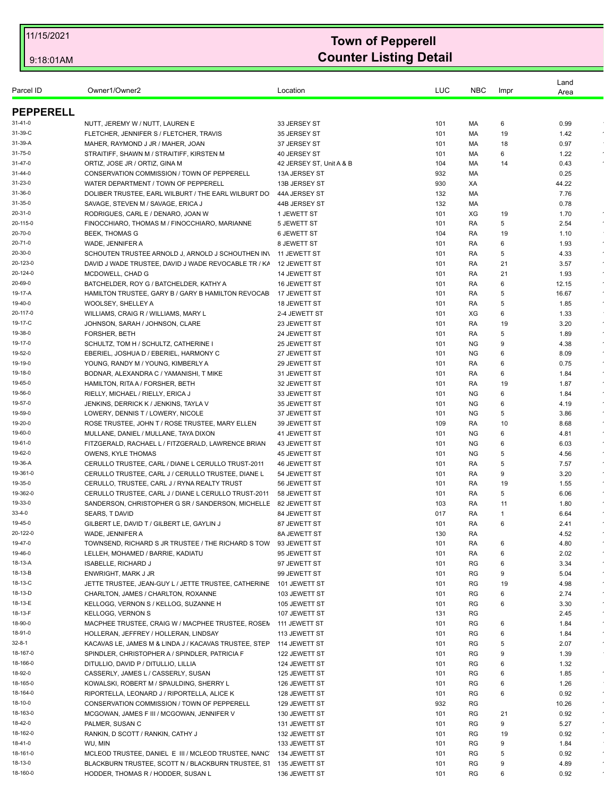| Owner1/Owner2<br>LUC<br><b>NBC</b><br>Location<br>Impr<br>Area<br><b>PEPPERELL</b><br>0.99<br>31-41-0<br>NUTT, JEREMY W / NUTT, LAUREN E<br>33 JERSEY ST<br>101<br>МA<br>6<br>35 JERSEY ST<br>19<br>1.42<br>31-39-C<br>FLETCHER, JENNIFER S / FLETCHER, TRAVIS<br>101<br>МA<br>31-39-A<br>37 JERSEY ST<br>18<br>0.97<br>MAHER, RAYMOND J JR / MAHER, JOAN<br>101<br>МA<br>STRAITIFF, SHAWN M / STRAITIFF, KIRSTEN M<br>40 JERSEY ST<br>6<br>31-75-0<br>101<br>МA<br>1.22<br>31-47-0<br>ORTIZ, JOSE JR / ORTIZ, GINA M<br>42 JERSEY ST, Unit A & B<br>104<br>МA<br>14<br>0.43<br>31-44-0<br>CONSERVATION COMMISSION / TOWN OF PEPPERELL<br>13A JERSEY ST<br>932<br>0.25<br>МA<br>31-23-0<br>13B JERSEY ST<br>930<br>44.22<br>WATER DEPARTMENT / TOWN OF PEPPERELL<br>XA<br>31-36-0<br>DOLIBER TRUSTEE, EARL WILBURT / THE EARL WILBURT DO<br>44A JERSEY ST<br>132<br>МA<br>7.76<br>31-35-0<br>SAVAGE, STEVEN M / SAVAGE, ERICA J<br>132<br>0.78<br>44B JERSEY ST<br>МA<br>RODRIGUES, CARL E / DENARO, JOAN W<br>XG<br>1.70<br>20-31-0<br>1 JEWETT ST<br>101<br>19<br>FINOCCHIARO, THOMAS M / FINOCCHIARO, MARIANNE<br>2.54<br>$\sim$<br>5 JEWETT ST<br>101<br>RA<br>5<br><b>BEEK, THOMAS G</b><br>6 JEWETT ST<br>104<br>RA<br>19<br>1.10<br>6<br>WADE, JENNIFER A<br>8 JEWETT ST<br>101<br>RA<br>1.93<br>5<br>SCHOUTEN TRUSTEE ARNOLD J, ARNOLD J SCHOUTHEN IN<br>11 JEWETT ST<br>101<br>RA<br>4.33<br>$\epsilon$<br>DAVID J WADE TRUSTEE, DAVID J WADE REVOCABLE TR / KA<br>12 JEWETT ST<br>101<br>RA<br>21<br>3.57<br>101<br>21<br>1.93<br>$\epsilon$<br>MCDOWELL, CHAD G<br>14 JEWETT ST<br>RA<br>BATCHELDER, ROY G / BATCHELDER, KATHY A<br>6<br>12.15<br>16 JEWETT ST<br>101<br>RA<br>5<br>16.67<br>HAMILTON TRUSTEE, GARY B / GARY B HAMILTON REVOCAB<br>17 JEWETT ST<br>101<br>RA<br>WOOLSEY, SHELLEY A<br>101<br>1.85<br>$\epsilon$<br>18 JEWETT ST<br>RA<br>5<br>WILLIAMS, CRAIG R / WILLIAMS, MARY L<br>XG<br>6<br>1.33<br>2-4 JEWETT ST<br>101<br>JOHNSON, SARAH / JOHNSON, CLARE<br>RA<br>19<br>3.20<br>23 JEWETT ST<br>101<br>FORSHER, BETH<br>24 JEWETT ST<br>101<br>5<br>1.89<br>$\epsilon$<br>RA<br>SCHULTZ, TOM H / SCHULTZ, CATHERINE I<br>9<br>25 JEWETT ST<br>101<br>NG.<br>4.38<br><b>NG</b><br>8.09<br>EBERIEL, JOSHUA D / EBERIEL, HARMONY C<br>27 JEWETT ST<br>101<br>6<br>YOUNG, RANDY M / YOUNG, KIMBERLY A<br>RA<br>0.75<br>29 JEWETT ST<br>101<br>6<br>$\epsilon$<br>BODNAR, ALEXANDRA C / YAMANISHI, T MIKE<br>31 JEWETT ST<br>101<br>RA<br>6<br>1.84<br>19<br>1.87<br>HAMILTON, RITA A / FORSHER, BETH<br>32 JEWETT ST<br>101<br>RA<br>RIELLY, MICHAEL / RIELLY, ERICA J<br><b>NG</b><br>6<br>33 JEWETT ST<br>101<br>1.84<br><b>NG</b><br>6<br>JENKINS, DERRICK K / JENKINS, TAYLA V<br>35 JEWETT ST<br>101<br>4.19<br>19-59-0<br>LOWERY, DENNIS T / LOWERY, NICOLE<br><b>NG</b><br>3.86<br>37 JEWETT ST<br>101<br>5<br>10<br>$\epsilon$<br>ROSE TRUSTEE, JOHN T / ROSE TRUSTEE, MARY ELLEN<br>39 JEWETT ST<br>109<br>RA<br>8.68<br>19-60-0<br><b>NG</b><br>6<br>MULLANE, DANIEL / MULLANE, TAYA DIXON<br>41 JEWETT ST<br>101<br>4.81<br>19-61-0<br>FITZGERALD, RACHAEL L / FITZGERALD, LAWRENCE BRIAN<br>6.03<br>43 JEWETT ST<br>101<br>ΝG<br>6<br>$\epsilon$<br>19-62-0<br><b>OWENS, KYLE THOMAS</b><br>45 JEWETT ST<br>101<br>NG.<br>5<br>4.56<br>19-36-A<br>5<br>7.57<br>CERULLO TRUSTEE, CARL / DIANE L CERULLO TRUST-2011<br>46 JEWETT ST<br>101<br>RA<br>19-361-0<br>CERULLO TRUSTEE, CARL J / CERULLO TRUSTEE, DIANE L<br>9<br>3.20<br>54 JEWETT ST<br>101<br>RA<br>19-35-0<br>19<br>CERULLO, TRUSTEE, CARL J / RYNA REALTY TRUST<br>56 JEWETT ST<br>101<br>RA<br>1.55<br>19-362-0<br>CERULLO TRUSTEE, CARL J / DIANE L CERULLO TRUST-2011<br>101<br>RA<br>5<br>6.06<br>58 JEWETT ST<br>19-33-0<br>SANDERSON, CHRISTOPHER G SR / SANDERSON, MICHELLE<br>1.80<br>82 JEWETT ST<br>103<br>RA<br>11<br>33-4-0<br>017<br>SEARS, T DAVID<br>84 JEWETT ST<br>RA<br>6.64<br>-1<br>19-45-0<br>GILBERT LE, DAVID T / GILBERT LE, GAYLIN J<br>87 JEWETT ST<br>101<br>RA<br>2.41<br>6<br>20-122-0<br>WADE, JENNIFER A<br>130<br>RA<br>4.52<br>8A JEWETT ST<br>RA<br>TOWNSEND, RICHARD S JR TRUSTEE / THE RICHARD S TOW<br>93 JEWETT ST<br>101<br>6<br>4.80<br>RA<br>6<br>2.02<br>LELLEH, MOHAMED / BARRIE, KADIATU<br>95 JEWETT ST<br>101<br><b>ISABELLE, RICHARD J</b><br>3.34<br>97 JEWETT ST<br>101<br>RG<br>6<br>ENWRIGHT, MARK J JR<br>RG<br>9<br>99 JEWETT ST<br>101<br>5.04<br>JETTE TRUSTEE, JEAN-GUY L / JETTE TRUSTEE, CATHERINE<br>RG<br>4.98<br>101 JEWETT ST<br>101<br>19<br>CHARLTON, JAMES / CHARLTON, ROXANNE<br>RG<br>6<br>103 JEWETT ST<br>101<br>2.74<br>KELLOGG, VERNON S / KELLOG, SUZANNE H<br>RG<br>105 JEWETT ST<br>101<br>6<br>3.30<br><b>KELLOGG, VERNON S</b><br>RG<br>2.45<br>107 JEWETT ST<br>131<br>$\epsilon$<br>RG<br>MACPHEE TRUSTEE, CRAIG W / MACPHEE TRUSTEE, ROSEN<br>111 JEWETT ST<br>101<br>6<br>1.84<br>HOLLERAN, JEFFREY / HOLLERAN, LINDSAY<br>RG<br>6<br>$\star$<br>113 JEWETT ST<br>101<br>1.84<br><b>RG</b><br>5<br>2.07<br>KACAVAS LE, JAMES M & LINDA J / KACAVAS TRUSTEE, STEP<br>114 JEWETT ST<br>101<br>$\epsilon$<br>SPINDLER, CHRISTOPHER A / SPINDLER, PATRICIA F<br>RG<br>9<br>122 JEWETT ST<br>101<br>1.39<br>DITULLIO, DAVID P / DITULLIO, LILLIA<br>RG<br>6<br>124 JEWETT ST<br>101<br>1.32<br>CASSERLY, JAMES L / CASSERLY, SUSAN<br>$\sim$<br>125 JEWETT ST<br>101<br>RG<br>6<br>1.85<br>KOWALSKI, ROBERT M / SPAULDING, SHERRY L<br>101<br>RG<br>1.26<br>126 JEWETT ST<br>6<br>RIPORTELLA, LEONARD J / RIPORTELLA, ALICE K<br>RG<br>6<br>0.92<br>$\sim$<br>128 JEWETT ST<br>101<br>CONSERVATION COMMISSION / TOWN OF PEPPERELL<br>932<br>RG<br>10.26<br>129 JEWETT ST<br>MCGOWAN, JAMES F III / MCGOWAN, JENNIFER V<br>101<br>RG<br>21<br>0.92<br>$\bullet$<br>130 JEWETT ST<br>RG<br>9<br>5.27<br>$\bullet$<br>PALMER, SUSAN C<br>131 JEWETT ST<br>101<br>$\bullet$<br>RANKIN, D SCOTT / RANKIN, CATHY J<br><b>RG</b><br>19<br>0.92<br>132 JEWETT ST<br>101<br>RG<br>9<br>WU, MIN<br>133 JEWETT ST<br>101<br>1.84<br>RG<br>5<br>0.92<br>$\star$<br>MCLEOD TRUSTEE, DANIEL E III / MCLEOD TRUSTEE, NANC<br>134 JEWETT ST<br>101<br>BLACKBURN TRUSTEE, SCOTT N / BLACKBURN TRUSTEE, ST<br>RG<br>9<br>135 JEWETT ST<br>101<br>4.89<br>HODDER, THOMAS R / HODDER, SUSAN L<br>136 JEWETT ST<br>RG<br>6<br>$\epsilon$<br>101<br>0.92 |           |  |  | Land |  |
|----------------------------------------------------------------------------------------------------------------------------------------------------------------------------------------------------------------------------------------------------------------------------------------------------------------------------------------------------------------------------------------------------------------------------------------------------------------------------------------------------------------------------------------------------------------------------------------------------------------------------------------------------------------------------------------------------------------------------------------------------------------------------------------------------------------------------------------------------------------------------------------------------------------------------------------------------------------------------------------------------------------------------------------------------------------------------------------------------------------------------------------------------------------------------------------------------------------------------------------------------------------------------------------------------------------------------------------------------------------------------------------------------------------------------------------------------------------------------------------------------------------------------------------------------------------------------------------------------------------------------------------------------------------------------------------------------------------------------------------------------------------------------------------------------------------------------------------------------------------------------------------------------------------------------------------------------------------------------------------------------------------------------------------------------------------------------------------------------------------------------------------------------------------------------------------------------------------------------------------------------------------------------------------------------------------------------------------------------------------------------------------------------------------------------------------------------------------------------------------------------------------------------------------------------------------------------------------------------------------------------------------------------------------------------------------------------------------------------------------------------------------------------------------------------------------------------------------------------------------------------------------------------------------------------------------------------------------------------------------------------------------------------------------------------------------------------------------------------------------------------------------------------------------------------------------------------------------------------------------------------------------------------------------------------------------------------------------------------------------------------------------------------------------------------------------------------------------------------------------------------------------------------------------------------------------------------------------------------------------------------------------------------------------------------------------------------------------------------------------------------------------------------------------------------------------------------------------------------------------------------------------------------------------------------------------------------------------------------------------------------------------------------------------------------------------------------------------------------------------------------------------------------------------------------------------------------------------------------------------------------------------------------------------------------------------------------------------------------------------------------------------------------------------------------------------------------------------------------------------------------------------------------------------------------------------------------------------------------------------------------------------------------------------------------------------------------------------------------------------------------------------------------------------------------------------------------------------------------------------------------------------------------------------------------------------------------------------------------------------------------------------------------------------------------------------------------------------------------------------------------------------------------------------------------------------------------------------------------------------------------------------------------------------------------------------------------------------------------------------------------------------------------------------------------------------------------------------------------------------------------------------------------------------------------------------------------------------------------------------------------------------------------------------------------------------------------------------------------------------------------------------------------------------------------------------------------------------------------------------------------------------------------------------------------------------------------------------------------------------------------------------------------------------------------------------------------------------------------------------------------------------------------------------------------------------------------------------------------------------------------------------------------------------------------------------------|-----------|--|--|------|--|
|                                                                                                                                                                                                                                                                                                                                                                                                                                                                                                                                                                                                                                                                                                                                                                                                                                                                                                                                                                                                                                                                                                                                                                                                                                                                                                                                                                                                                                                                                                                                                                                                                                                                                                                                                                                                                                                                                                                                                                                                                                                                                                                                                                                                                                                                                                                                                                                                                                                                                                                                                                                                                                                                                                                                                                                                                                                                                                                                                                                                                                                                                                                                                                                                                                                                                                                                                                                                                                                                                                                                                                                                                                                                                                                                                                                                                                                                                                                                                                                                                                                                                                                                                                                                                                                                                                                                                                                                                                                                                                                                                                                                                                                                                                                                                                                                                                                                                                                                                                                                                                                                                                                                                                                                                                                                                                                                                                                                                                                                                                                                                                                                                                                                                                                                                                                                                                                                                                                                                                                                                                                                                                                                                                                                                                                                                                                      | Parcel ID |  |  |      |  |
|                                                                                                                                                                                                                                                                                                                                                                                                                                                                                                                                                                                                                                                                                                                                                                                                                                                                                                                                                                                                                                                                                                                                                                                                                                                                                                                                                                                                                                                                                                                                                                                                                                                                                                                                                                                                                                                                                                                                                                                                                                                                                                                                                                                                                                                                                                                                                                                                                                                                                                                                                                                                                                                                                                                                                                                                                                                                                                                                                                                                                                                                                                                                                                                                                                                                                                                                                                                                                                                                                                                                                                                                                                                                                                                                                                                                                                                                                                                                                                                                                                                                                                                                                                                                                                                                                                                                                                                                                                                                                                                                                                                                                                                                                                                                                                                                                                                                                                                                                                                                                                                                                                                                                                                                                                                                                                                                                                                                                                                                                                                                                                                                                                                                                                                                                                                                                                                                                                                                                                                                                                                                                                                                                                                                                                                                                                                      |           |  |  |      |  |
|                                                                                                                                                                                                                                                                                                                                                                                                                                                                                                                                                                                                                                                                                                                                                                                                                                                                                                                                                                                                                                                                                                                                                                                                                                                                                                                                                                                                                                                                                                                                                                                                                                                                                                                                                                                                                                                                                                                                                                                                                                                                                                                                                                                                                                                                                                                                                                                                                                                                                                                                                                                                                                                                                                                                                                                                                                                                                                                                                                                                                                                                                                                                                                                                                                                                                                                                                                                                                                                                                                                                                                                                                                                                                                                                                                                                                                                                                                                                                                                                                                                                                                                                                                                                                                                                                                                                                                                                                                                                                                                                                                                                                                                                                                                                                                                                                                                                                                                                                                                                                                                                                                                                                                                                                                                                                                                                                                                                                                                                                                                                                                                                                                                                                                                                                                                                                                                                                                                                                                                                                                                                                                                                                                                                                                                                                                                      |           |  |  |      |  |
|                                                                                                                                                                                                                                                                                                                                                                                                                                                                                                                                                                                                                                                                                                                                                                                                                                                                                                                                                                                                                                                                                                                                                                                                                                                                                                                                                                                                                                                                                                                                                                                                                                                                                                                                                                                                                                                                                                                                                                                                                                                                                                                                                                                                                                                                                                                                                                                                                                                                                                                                                                                                                                                                                                                                                                                                                                                                                                                                                                                                                                                                                                                                                                                                                                                                                                                                                                                                                                                                                                                                                                                                                                                                                                                                                                                                                                                                                                                                                                                                                                                                                                                                                                                                                                                                                                                                                                                                                                                                                                                                                                                                                                                                                                                                                                                                                                                                                                                                                                                                                                                                                                                                                                                                                                                                                                                                                                                                                                                                                                                                                                                                                                                                                                                                                                                                                                                                                                                                                                                                                                                                                                                                                                                                                                                                                                                      |           |  |  |      |  |
|                                                                                                                                                                                                                                                                                                                                                                                                                                                                                                                                                                                                                                                                                                                                                                                                                                                                                                                                                                                                                                                                                                                                                                                                                                                                                                                                                                                                                                                                                                                                                                                                                                                                                                                                                                                                                                                                                                                                                                                                                                                                                                                                                                                                                                                                                                                                                                                                                                                                                                                                                                                                                                                                                                                                                                                                                                                                                                                                                                                                                                                                                                                                                                                                                                                                                                                                                                                                                                                                                                                                                                                                                                                                                                                                                                                                                                                                                                                                                                                                                                                                                                                                                                                                                                                                                                                                                                                                                                                                                                                                                                                                                                                                                                                                                                                                                                                                                                                                                                                                                                                                                                                                                                                                                                                                                                                                                                                                                                                                                                                                                                                                                                                                                                                                                                                                                                                                                                                                                                                                                                                                                                                                                                                                                                                                                                                      |           |  |  |      |  |
|                                                                                                                                                                                                                                                                                                                                                                                                                                                                                                                                                                                                                                                                                                                                                                                                                                                                                                                                                                                                                                                                                                                                                                                                                                                                                                                                                                                                                                                                                                                                                                                                                                                                                                                                                                                                                                                                                                                                                                                                                                                                                                                                                                                                                                                                                                                                                                                                                                                                                                                                                                                                                                                                                                                                                                                                                                                                                                                                                                                                                                                                                                                                                                                                                                                                                                                                                                                                                                                                                                                                                                                                                                                                                                                                                                                                                                                                                                                                                                                                                                                                                                                                                                                                                                                                                                                                                                                                                                                                                                                                                                                                                                                                                                                                                                                                                                                                                                                                                                                                                                                                                                                                                                                                                                                                                                                                                                                                                                                                                                                                                                                                                                                                                                                                                                                                                                                                                                                                                                                                                                                                                                                                                                                                                                                                                                                      |           |  |  |      |  |
|                                                                                                                                                                                                                                                                                                                                                                                                                                                                                                                                                                                                                                                                                                                                                                                                                                                                                                                                                                                                                                                                                                                                                                                                                                                                                                                                                                                                                                                                                                                                                                                                                                                                                                                                                                                                                                                                                                                                                                                                                                                                                                                                                                                                                                                                                                                                                                                                                                                                                                                                                                                                                                                                                                                                                                                                                                                                                                                                                                                                                                                                                                                                                                                                                                                                                                                                                                                                                                                                                                                                                                                                                                                                                                                                                                                                                                                                                                                                                                                                                                                                                                                                                                                                                                                                                                                                                                                                                                                                                                                                                                                                                                                                                                                                                                                                                                                                                                                                                                                                                                                                                                                                                                                                                                                                                                                                                                                                                                                                                                                                                                                                                                                                                                                                                                                                                                                                                                                                                                                                                                                                                                                                                                                                                                                                                                                      |           |  |  |      |  |
|                                                                                                                                                                                                                                                                                                                                                                                                                                                                                                                                                                                                                                                                                                                                                                                                                                                                                                                                                                                                                                                                                                                                                                                                                                                                                                                                                                                                                                                                                                                                                                                                                                                                                                                                                                                                                                                                                                                                                                                                                                                                                                                                                                                                                                                                                                                                                                                                                                                                                                                                                                                                                                                                                                                                                                                                                                                                                                                                                                                                                                                                                                                                                                                                                                                                                                                                                                                                                                                                                                                                                                                                                                                                                                                                                                                                                                                                                                                                                                                                                                                                                                                                                                                                                                                                                                                                                                                                                                                                                                                                                                                                                                                                                                                                                                                                                                                                                                                                                                                                                                                                                                                                                                                                                                                                                                                                                                                                                                                                                                                                                                                                                                                                                                                                                                                                                                                                                                                                                                                                                                                                                                                                                                                                                                                                                                                      |           |  |  |      |  |
|                                                                                                                                                                                                                                                                                                                                                                                                                                                                                                                                                                                                                                                                                                                                                                                                                                                                                                                                                                                                                                                                                                                                                                                                                                                                                                                                                                                                                                                                                                                                                                                                                                                                                                                                                                                                                                                                                                                                                                                                                                                                                                                                                                                                                                                                                                                                                                                                                                                                                                                                                                                                                                                                                                                                                                                                                                                                                                                                                                                                                                                                                                                                                                                                                                                                                                                                                                                                                                                                                                                                                                                                                                                                                                                                                                                                                                                                                                                                                                                                                                                                                                                                                                                                                                                                                                                                                                                                                                                                                                                                                                                                                                                                                                                                                                                                                                                                                                                                                                                                                                                                                                                                                                                                                                                                                                                                                                                                                                                                                                                                                                                                                                                                                                                                                                                                                                                                                                                                                                                                                                                                                                                                                                                                                                                                                                                      |           |  |  |      |  |
|                                                                                                                                                                                                                                                                                                                                                                                                                                                                                                                                                                                                                                                                                                                                                                                                                                                                                                                                                                                                                                                                                                                                                                                                                                                                                                                                                                                                                                                                                                                                                                                                                                                                                                                                                                                                                                                                                                                                                                                                                                                                                                                                                                                                                                                                                                                                                                                                                                                                                                                                                                                                                                                                                                                                                                                                                                                                                                                                                                                                                                                                                                                                                                                                                                                                                                                                                                                                                                                                                                                                                                                                                                                                                                                                                                                                                                                                                                                                                                                                                                                                                                                                                                                                                                                                                                                                                                                                                                                                                                                                                                                                                                                                                                                                                                                                                                                                                                                                                                                                                                                                                                                                                                                                                                                                                                                                                                                                                                                                                                                                                                                                                                                                                                                                                                                                                                                                                                                                                                                                                                                                                                                                                                                                                                                                                                                      |           |  |  |      |  |
|                                                                                                                                                                                                                                                                                                                                                                                                                                                                                                                                                                                                                                                                                                                                                                                                                                                                                                                                                                                                                                                                                                                                                                                                                                                                                                                                                                                                                                                                                                                                                                                                                                                                                                                                                                                                                                                                                                                                                                                                                                                                                                                                                                                                                                                                                                                                                                                                                                                                                                                                                                                                                                                                                                                                                                                                                                                                                                                                                                                                                                                                                                                                                                                                                                                                                                                                                                                                                                                                                                                                                                                                                                                                                                                                                                                                                                                                                                                                                                                                                                                                                                                                                                                                                                                                                                                                                                                                                                                                                                                                                                                                                                                                                                                                                                                                                                                                                                                                                                                                                                                                                                                                                                                                                                                                                                                                                                                                                                                                                                                                                                                                                                                                                                                                                                                                                                                                                                                                                                                                                                                                                                                                                                                                                                                                                                                      |           |  |  |      |  |
|                                                                                                                                                                                                                                                                                                                                                                                                                                                                                                                                                                                                                                                                                                                                                                                                                                                                                                                                                                                                                                                                                                                                                                                                                                                                                                                                                                                                                                                                                                                                                                                                                                                                                                                                                                                                                                                                                                                                                                                                                                                                                                                                                                                                                                                                                                                                                                                                                                                                                                                                                                                                                                                                                                                                                                                                                                                                                                                                                                                                                                                                                                                                                                                                                                                                                                                                                                                                                                                                                                                                                                                                                                                                                                                                                                                                                                                                                                                                                                                                                                                                                                                                                                                                                                                                                                                                                                                                                                                                                                                                                                                                                                                                                                                                                                                                                                                                                                                                                                                                                                                                                                                                                                                                                                                                                                                                                                                                                                                                                                                                                                                                                                                                                                                                                                                                                                                                                                                                                                                                                                                                                                                                                                                                                                                                                                                      |           |  |  |      |  |
|                                                                                                                                                                                                                                                                                                                                                                                                                                                                                                                                                                                                                                                                                                                                                                                                                                                                                                                                                                                                                                                                                                                                                                                                                                                                                                                                                                                                                                                                                                                                                                                                                                                                                                                                                                                                                                                                                                                                                                                                                                                                                                                                                                                                                                                                                                                                                                                                                                                                                                                                                                                                                                                                                                                                                                                                                                                                                                                                                                                                                                                                                                                                                                                                                                                                                                                                                                                                                                                                                                                                                                                                                                                                                                                                                                                                                                                                                                                                                                                                                                                                                                                                                                                                                                                                                                                                                                                                                                                                                                                                                                                                                                                                                                                                                                                                                                                                                                                                                                                                                                                                                                                                                                                                                                                                                                                                                                                                                                                                                                                                                                                                                                                                                                                                                                                                                                                                                                                                                                                                                                                                                                                                                                                                                                                                                                                      | 20-115-0  |  |  |      |  |
|                                                                                                                                                                                                                                                                                                                                                                                                                                                                                                                                                                                                                                                                                                                                                                                                                                                                                                                                                                                                                                                                                                                                                                                                                                                                                                                                                                                                                                                                                                                                                                                                                                                                                                                                                                                                                                                                                                                                                                                                                                                                                                                                                                                                                                                                                                                                                                                                                                                                                                                                                                                                                                                                                                                                                                                                                                                                                                                                                                                                                                                                                                                                                                                                                                                                                                                                                                                                                                                                                                                                                                                                                                                                                                                                                                                                                                                                                                                                                                                                                                                                                                                                                                                                                                                                                                                                                                                                                                                                                                                                                                                                                                                                                                                                                                                                                                                                                                                                                                                                                                                                                                                                                                                                                                                                                                                                                                                                                                                                                                                                                                                                                                                                                                                                                                                                                                                                                                                                                                                                                                                                                                                                                                                                                                                                                                                      | 20-70-0   |  |  |      |  |
|                                                                                                                                                                                                                                                                                                                                                                                                                                                                                                                                                                                                                                                                                                                                                                                                                                                                                                                                                                                                                                                                                                                                                                                                                                                                                                                                                                                                                                                                                                                                                                                                                                                                                                                                                                                                                                                                                                                                                                                                                                                                                                                                                                                                                                                                                                                                                                                                                                                                                                                                                                                                                                                                                                                                                                                                                                                                                                                                                                                                                                                                                                                                                                                                                                                                                                                                                                                                                                                                                                                                                                                                                                                                                                                                                                                                                                                                                                                                                                                                                                                                                                                                                                                                                                                                                                                                                                                                                                                                                                                                                                                                                                                                                                                                                                                                                                                                                                                                                                                                                                                                                                                                                                                                                                                                                                                                                                                                                                                                                                                                                                                                                                                                                                                                                                                                                                                                                                                                                                                                                                                                                                                                                                                                                                                                                                                      | 20-71-0   |  |  |      |  |
|                                                                                                                                                                                                                                                                                                                                                                                                                                                                                                                                                                                                                                                                                                                                                                                                                                                                                                                                                                                                                                                                                                                                                                                                                                                                                                                                                                                                                                                                                                                                                                                                                                                                                                                                                                                                                                                                                                                                                                                                                                                                                                                                                                                                                                                                                                                                                                                                                                                                                                                                                                                                                                                                                                                                                                                                                                                                                                                                                                                                                                                                                                                                                                                                                                                                                                                                                                                                                                                                                                                                                                                                                                                                                                                                                                                                                                                                                                                                                                                                                                                                                                                                                                                                                                                                                                                                                                                                                                                                                                                                                                                                                                                                                                                                                                                                                                                                                                                                                                                                                                                                                                                                                                                                                                                                                                                                                                                                                                                                                                                                                                                                                                                                                                                                                                                                                                                                                                                                                                                                                                                                                                                                                                                                                                                                                                                      | 20-30-0   |  |  |      |  |
|                                                                                                                                                                                                                                                                                                                                                                                                                                                                                                                                                                                                                                                                                                                                                                                                                                                                                                                                                                                                                                                                                                                                                                                                                                                                                                                                                                                                                                                                                                                                                                                                                                                                                                                                                                                                                                                                                                                                                                                                                                                                                                                                                                                                                                                                                                                                                                                                                                                                                                                                                                                                                                                                                                                                                                                                                                                                                                                                                                                                                                                                                                                                                                                                                                                                                                                                                                                                                                                                                                                                                                                                                                                                                                                                                                                                                                                                                                                                                                                                                                                                                                                                                                                                                                                                                                                                                                                                                                                                                                                                                                                                                                                                                                                                                                                                                                                                                                                                                                                                                                                                                                                                                                                                                                                                                                                                                                                                                                                                                                                                                                                                                                                                                                                                                                                                                                                                                                                                                                                                                                                                                                                                                                                                                                                                                                                      | 20-123-0  |  |  |      |  |
|                                                                                                                                                                                                                                                                                                                                                                                                                                                                                                                                                                                                                                                                                                                                                                                                                                                                                                                                                                                                                                                                                                                                                                                                                                                                                                                                                                                                                                                                                                                                                                                                                                                                                                                                                                                                                                                                                                                                                                                                                                                                                                                                                                                                                                                                                                                                                                                                                                                                                                                                                                                                                                                                                                                                                                                                                                                                                                                                                                                                                                                                                                                                                                                                                                                                                                                                                                                                                                                                                                                                                                                                                                                                                                                                                                                                                                                                                                                                                                                                                                                                                                                                                                                                                                                                                                                                                                                                                                                                                                                                                                                                                                                                                                                                                                                                                                                                                                                                                                                                                                                                                                                                                                                                                                                                                                                                                                                                                                                                                                                                                                                                                                                                                                                                                                                                                                                                                                                                                                                                                                                                                                                                                                                                                                                                                                                      | 20-124-0  |  |  |      |  |
|                                                                                                                                                                                                                                                                                                                                                                                                                                                                                                                                                                                                                                                                                                                                                                                                                                                                                                                                                                                                                                                                                                                                                                                                                                                                                                                                                                                                                                                                                                                                                                                                                                                                                                                                                                                                                                                                                                                                                                                                                                                                                                                                                                                                                                                                                                                                                                                                                                                                                                                                                                                                                                                                                                                                                                                                                                                                                                                                                                                                                                                                                                                                                                                                                                                                                                                                                                                                                                                                                                                                                                                                                                                                                                                                                                                                                                                                                                                                                                                                                                                                                                                                                                                                                                                                                                                                                                                                                                                                                                                                                                                                                                                                                                                                                                                                                                                                                                                                                                                                                                                                                                                                                                                                                                                                                                                                                                                                                                                                                                                                                                                                                                                                                                                                                                                                                                                                                                                                                                                                                                                                                                                                                                                                                                                                                                                      | 20-69-0   |  |  |      |  |
|                                                                                                                                                                                                                                                                                                                                                                                                                                                                                                                                                                                                                                                                                                                                                                                                                                                                                                                                                                                                                                                                                                                                                                                                                                                                                                                                                                                                                                                                                                                                                                                                                                                                                                                                                                                                                                                                                                                                                                                                                                                                                                                                                                                                                                                                                                                                                                                                                                                                                                                                                                                                                                                                                                                                                                                                                                                                                                                                                                                                                                                                                                                                                                                                                                                                                                                                                                                                                                                                                                                                                                                                                                                                                                                                                                                                                                                                                                                                                                                                                                                                                                                                                                                                                                                                                                                                                                                                                                                                                                                                                                                                                                                                                                                                                                                                                                                                                                                                                                                                                                                                                                                                                                                                                                                                                                                                                                                                                                                                                                                                                                                                                                                                                                                                                                                                                                                                                                                                                                                                                                                                                                                                                                                                                                                                                                                      | 19-17-A   |  |  |      |  |
|                                                                                                                                                                                                                                                                                                                                                                                                                                                                                                                                                                                                                                                                                                                                                                                                                                                                                                                                                                                                                                                                                                                                                                                                                                                                                                                                                                                                                                                                                                                                                                                                                                                                                                                                                                                                                                                                                                                                                                                                                                                                                                                                                                                                                                                                                                                                                                                                                                                                                                                                                                                                                                                                                                                                                                                                                                                                                                                                                                                                                                                                                                                                                                                                                                                                                                                                                                                                                                                                                                                                                                                                                                                                                                                                                                                                                                                                                                                                                                                                                                                                                                                                                                                                                                                                                                                                                                                                                                                                                                                                                                                                                                                                                                                                                                                                                                                                                                                                                                                                                                                                                                                                                                                                                                                                                                                                                                                                                                                                                                                                                                                                                                                                                                                                                                                                                                                                                                                                                                                                                                                                                                                                                                                                                                                                                                                      | 19-40-0   |  |  |      |  |
|                                                                                                                                                                                                                                                                                                                                                                                                                                                                                                                                                                                                                                                                                                                                                                                                                                                                                                                                                                                                                                                                                                                                                                                                                                                                                                                                                                                                                                                                                                                                                                                                                                                                                                                                                                                                                                                                                                                                                                                                                                                                                                                                                                                                                                                                                                                                                                                                                                                                                                                                                                                                                                                                                                                                                                                                                                                                                                                                                                                                                                                                                                                                                                                                                                                                                                                                                                                                                                                                                                                                                                                                                                                                                                                                                                                                                                                                                                                                                                                                                                                                                                                                                                                                                                                                                                                                                                                                                                                                                                                                                                                                                                                                                                                                                                                                                                                                                                                                                                                                                                                                                                                                                                                                                                                                                                                                                                                                                                                                                                                                                                                                                                                                                                                                                                                                                                                                                                                                                                                                                                                                                                                                                                                                                                                                                                                      | 20-117-0  |  |  |      |  |
|                                                                                                                                                                                                                                                                                                                                                                                                                                                                                                                                                                                                                                                                                                                                                                                                                                                                                                                                                                                                                                                                                                                                                                                                                                                                                                                                                                                                                                                                                                                                                                                                                                                                                                                                                                                                                                                                                                                                                                                                                                                                                                                                                                                                                                                                                                                                                                                                                                                                                                                                                                                                                                                                                                                                                                                                                                                                                                                                                                                                                                                                                                                                                                                                                                                                                                                                                                                                                                                                                                                                                                                                                                                                                                                                                                                                                                                                                                                                                                                                                                                                                                                                                                                                                                                                                                                                                                                                                                                                                                                                                                                                                                                                                                                                                                                                                                                                                                                                                                                                                                                                                                                                                                                                                                                                                                                                                                                                                                                                                                                                                                                                                                                                                                                                                                                                                                                                                                                                                                                                                                                                                                                                                                                                                                                                                                                      | 19-17-C   |  |  |      |  |
|                                                                                                                                                                                                                                                                                                                                                                                                                                                                                                                                                                                                                                                                                                                                                                                                                                                                                                                                                                                                                                                                                                                                                                                                                                                                                                                                                                                                                                                                                                                                                                                                                                                                                                                                                                                                                                                                                                                                                                                                                                                                                                                                                                                                                                                                                                                                                                                                                                                                                                                                                                                                                                                                                                                                                                                                                                                                                                                                                                                                                                                                                                                                                                                                                                                                                                                                                                                                                                                                                                                                                                                                                                                                                                                                                                                                                                                                                                                                                                                                                                                                                                                                                                                                                                                                                                                                                                                                                                                                                                                                                                                                                                                                                                                                                                                                                                                                                                                                                                                                                                                                                                                                                                                                                                                                                                                                                                                                                                                                                                                                                                                                                                                                                                                                                                                                                                                                                                                                                                                                                                                                                                                                                                                                                                                                                                                      | 19-38-0   |  |  |      |  |
|                                                                                                                                                                                                                                                                                                                                                                                                                                                                                                                                                                                                                                                                                                                                                                                                                                                                                                                                                                                                                                                                                                                                                                                                                                                                                                                                                                                                                                                                                                                                                                                                                                                                                                                                                                                                                                                                                                                                                                                                                                                                                                                                                                                                                                                                                                                                                                                                                                                                                                                                                                                                                                                                                                                                                                                                                                                                                                                                                                                                                                                                                                                                                                                                                                                                                                                                                                                                                                                                                                                                                                                                                                                                                                                                                                                                                                                                                                                                                                                                                                                                                                                                                                                                                                                                                                                                                                                                                                                                                                                                                                                                                                                                                                                                                                                                                                                                                                                                                                                                                                                                                                                                                                                                                                                                                                                                                                                                                                                                                                                                                                                                                                                                                                                                                                                                                                                                                                                                                                                                                                                                                                                                                                                                                                                                                                                      | 19-17-0   |  |  |      |  |
|                                                                                                                                                                                                                                                                                                                                                                                                                                                                                                                                                                                                                                                                                                                                                                                                                                                                                                                                                                                                                                                                                                                                                                                                                                                                                                                                                                                                                                                                                                                                                                                                                                                                                                                                                                                                                                                                                                                                                                                                                                                                                                                                                                                                                                                                                                                                                                                                                                                                                                                                                                                                                                                                                                                                                                                                                                                                                                                                                                                                                                                                                                                                                                                                                                                                                                                                                                                                                                                                                                                                                                                                                                                                                                                                                                                                                                                                                                                                                                                                                                                                                                                                                                                                                                                                                                                                                                                                                                                                                                                                                                                                                                                                                                                                                                                                                                                                                                                                                                                                                                                                                                                                                                                                                                                                                                                                                                                                                                                                                                                                                                                                                                                                                                                                                                                                                                                                                                                                                                                                                                                                                                                                                                                                                                                                                                                      | 19-52-0   |  |  |      |  |
|                                                                                                                                                                                                                                                                                                                                                                                                                                                                                                                                                                                                                                                                                                                                                                                                                                                                                                                                                                                                                                                                                                                                                                                                                                                                                                                                                                                                                                                                                                                                                                                                                                                                                                                                                                                                                                                                                                                                                                                                                                                                                                                                                                                                                                                                                                                                                                                                                                                                                                                                                                                                                                                                                                                                                                                                                                                                                                                                                                                                                                                                                                                                                                                                                                                                                                                                                                                                                                                                                                                                                                                                                                                                                                                                                                                                                                                                                                                                                                                                                                                                                                                                                                                                                                                                                                                                                                                                                                                                                                                                                                                                                                                                                                                                                                                                                                                                                                                                                                                                                                                                                                                                                                                                                                                                                                                                                                                                                                                                                                                                                                                                                                                                                                                                                                                                                                                                                                                                                                                                                                                                                                                                                                                                                                                                                                                      | 19-19-0   |  |  |      |  |
|                                                                                                                                                                                                                                                                                                                                                                                                                                                                                                                                                                                                                                                                                                                                                                                                                                                                                                                                                                                                                                                                                                                                                                                                                                                                                                                                                                                                                                                                                                                                                                                                                                                                                                                                                                                                                                                                                                                                                                                                                                                                                                                                                                                                                                                                                                                                                                                                                                                                                                                                                                                                                                                                                                                                                                                                                                                                                                                                                                                                                                                                                                                                                                                                                                                                                                                                                                                                                                                                                                                                                                                                                                                                                                                                                                                                                                                                                                                                                                                                                                                                                                                                                                                                                                                                                                                                                                                                                                                                                                                                                                                                                                                                                                                                                                                                                                                                                                                                                                                                                                                                                                                                                                                                                                                                                                                                                                                                                                                                                                                                                                                                                                                                                                                                                                                                                                                                                                                                                                                                                                                                                                                                                                                                                                                                                                                      | 19-18-0   |  |  |      |  |
|                                                                                                                                                                                                                                                                                                                                                                                                                                                                                                                                                                                                                                                                                                                                                                                                                                                                                                                                                                                                                                                                                                                                                                                                                                                                                                                                                                                                                                                                                                                                                                                                                                                                                                                                                                                                                                                                                                                                                                                                                                                                                                                                                                                                                                                                                                                                                                                                                                                                                                                                                                                                                                                                                                                                                                                                                                                                                                                                                                                                                                                                                                                                                                                                                                                                                                                                                                                                                                                                                                                                                                                                                                                                                                                                                                                                                                                                                                                                                                                                                                                                                                                                                                                                                                                                                                                                                                                                                                                                                                                                                                                                                                                                                                                                                                                                                                                                                                                                                                                                                                                                                                                                                                                                                                                                                                                                                                                                                                                                                                                                                                                                                                                                                                                                                                                                                                                                                                                                                                                                                                                                                                                                                                                                                                                                                                                      | 19-65-0   |  |  |      |  |
|                                                                                                                                                                                                                                                                                                                                                                                                                                                                                                                                                                                                                                                                                                                                                                                                                                                                                                                                                                                                                                                                                                                                                                                                                                                                                                                                                                                                                                                                                                                                                                                                                                                                                                                                                                                                                                                                                                                                                                                                                                                                                                                                                                                                                                                                                                                                                                                                                                                                                                                                                                                                                                                                                                                                                                                                                                                                                                                                                                                                                                                                                                                                                                                                                                                                                                                                                                                                                                                                                                                                                                                                                                                                                                                                                                                                                                                                                                                                                                                                                                                                                                                                                                                                                                                                                                                                                                                                                                                                                                                                                                                                                                                                                                                                                                                                                                                                                                                                                                                                                                                                                                                                                                                                                                                                                                                                                                                                                                                                                                                                                                                                                                                                                                                                                                                                                                                                                                                                                                                                                                                                                                                                                                                                                                                                                                                      | 19-56-0   |  |  |      |  |
|                                                                                                                                                                                                                                                                                                                                                                                                                                                                                                                                                                                                                                                                                                                                                                                                                                                                                                                                                                                                                                                                                                                                                                                                                                                                                                                                                                                                                                                                                                                                                                                                                                                                                                                                                                                                                                                                                                                                                                                                                                                                                                                                                                                                                                                                                                                                                                                                                                                                                                                                                                                                                                                                                                                                                                                                                                                                                                                                                                                                                                                                                                                                                                                                                                                                                                                                                                                                                                                                                                                                                                                                                                                                                                                                                                                                                                                                                                                                                                                                                                                                                                                                                                                                                                                                                                                                                                                                                                                                                                                                                                                                                                                                                                                                                                                                                                                                                                                                                                                                                                                                                                                                                                                                                                                                                                                                                                                                                                                                                                                                                                                                                                                                                                                                                                                                                                                                                                                                                                                                                                                                                                                                                                                                                                                                                                                      | 19-57-0   |  |  |      |  |
|                                                                                                                                                                                                                                                                                                                                                                                                                                                                                                                                                                                                                                                                                                                                                                                                                                                                                                                                                                                                                                                                                                                                                                                                                                                                                                                                                                                                                                                                                                                                                                                                                                                                                                                                                                                                                                                                                                                                                                                                                                                                                                                                                                                                                                                                                                                                                                                                                                                                                                                                                                                                                                                                                                                                                                                                                                                                                                                                                                                                                                                                                                                                                                                                                                                                                                                                                                                                                                                                                                                                                                                                                                                                                                                                                                                                                                                                                                                                                                                                                                                                                                                                                                                                                                                                                                                                                                                                                                                                                                                                                                                                                                                                                                                                                                                                                                                                                                                                                                                                                                                                                                                                                                                                                                                                                                                                                                                                                                                                                                                                                                                                                                                                                                                                                                                                                                                                                                                                                                                                                                                                                                                                                                                                                                                                                                                      |           |  |  |      |  |
|                                                                                                                                                                                                                                                                                                                                                                                                                                                                                                                                                                                                                                                                                                                                                                                                                                                                                                                                                                                                                                                                                                                                                                                                                                                                                                                                                                                                                                                                                                                                                                                                                                                                                                                                                                                                                                                                                                                                                                                                                                                                                                                                                                                                                                                                                                                                                                                                                                                                                                                                                                                                                                                                                                                                                                                                                                                                                                                                                                                                                                                                                                                                                                                                                                                                                                                                                                                                                                                                                                                                                                                                                                                                                                                                                                                                                                                                                                                                                                                                                                                                                                                                                                                                                                                                                                                                                                                                                                                                                                                                                                                                                                                                                                                                                                                                                                                                                                                                                                                                                                                                                                                                                                                                                                                                                                                                                                                                                                                                                                                                                                                                                                                                                                                                                                                                                                                                                                                                                                                                                                                                                                                                                                                                                                                                                                                      | 19-20-0   |  |  |      |  |
|                                                                                                                                                                                                                                                                                                                                                                                                                                                                                                                                                                                                                                                                                                                                                                                                                                                                                                                                                                                                                                                                                                                                                                                                                                                                                                                                                                                                                                                                                                                                                                                                                                                                                                                                                                                                                                                                                                                                                                                                                                                                                                                                                                                                                                                                                                                                                                                                                                                                                                                                                                                                                                                                                                                                                                                                                                                                                                                                                                                                                                                                                                                                                                                                                                                                                                                                                                                                                                                                                                                                                                                                                                                                                                                                                                                                                                                                                                                                                                                                                                                                                                                                                                                                                                                                                                                                                                                                                                                                                                                                                                                                                                                                                                                                                                                                                                                                                                                                                                                                                                                                                                                                                                                                                                                                                                                                                                                                                                                                                                                                                                                                                                                                                                                                                                                                                                                                                                                                                                                                                                                                                                                                                                                                                                                                                                                      |           |  |  |      |  |
|                                                                                                                                                                                                                                                                                                                                                                                                                                                                                                                                                                                                                                                                                                                                                                                                                                                                                                                                                                                                                                                                                                                                                                                                                                                                                                                                                                                                                                                                                                                                                                                                                                                                                                                                                                                                                                                                                                                                                                                                                                                                                                                                                                                                                                                                                                                                                                                                                                                                                                                                                                                                                                                                                                                                                                                                                                                                                                                                                                                                                                                                                                                                                                                                                                                                                                                                                                                                                                                                                                                                                                                                                                                                                                                                                                                                                                                                                                                                                                                                                                                                                                                                                                                                                                                                                                                                                                                                                                                                                                                                                                                                                                                                                                                                                                                                                                                                                                                                                                                                                                                                                                                                                                                                                                                                                                                                                                                                                                                                                                                                                                                                                                                                                                                                                                                                                                                                                                                                                                                                                                                                                                                                                                                                                                                                                                                      |           |  |  |      |  |
|                                                                                                                                                                                                                                                                                                                                                                                                                                                                                                                                                                                                                                                                                                                                                                                                                                                                                                                                                                                                                                                                                                                                                                                                                                                                                                                                                                                                                                                                                                                                                                                                                                                                                                                                                                                                                                                                                                                                                                                                                                                                                                                                                                                                                                                                                                                                                                                                                                                                                                                                                                                                                                                                                                                                                                                                                                                                                                                                                                                                                                                                                                                                                                                                                                                                                                                                                                                                                                                                                                                                                                                                                                                                                                                                                                                                                                                                                                                                                                                                                                                                                                                                                                                                                                                                                                                                                                                                                                                                                                                                                                                                                                                                                                                                                                                                                                                                                                                                                                                                                                                                                                                                                                                                                                                                                                                                                                                                                                                                                                                                                                                                                                                                                                                                                                                                                                                                                                                                                                                                                                                                                                                                                                                                                                                                                                                      |           |  |  |      |  |
|                                                                                                                                                                                                                                                                                                                                                                                                                                                                                                                                                                                                                                                                                                                                                                                                                                                                                                                                                                                                                                                                                                                                                                                                                                                                                                                                                                                                                                                                                                                                                                                                                                                                                                                                                                                                                                                                                                                                                                                                                                                                                                                                                                                                                                                                                                                                                                                                                                                                                                                                                                                                                                                                                                                                                                                                                                                                                                                                                                                                                                                                                                                                                                                                                                                                                                                                                                                                                                                                                                                                                                                                                                                                                                                                                                                                                                                                                                                                                                                                                                                                                                                                                                                                                                                                                                                                                                                                                                                                                                                                                                                                                                                                                                                                                                                                                                                                                                                                                                                                                                                                                                                                                                                                                                                                                                                                                                                                                                                                                                                                                                                                                                                                                                                                                                                                                                                                                                                                                                                                                                                                                                                                                                                                                                                                                                                      |           |  |  |      |  |
|                                                                                                                                                                                                                                                                                                                                                                                                                                                                                                                                                                                                                                                                                                                                                                                                                                                                                                                                                                                                                                                                                                                                                                                                                                                                                                                                                                                                                                                                                                                                                                                                                                                                                                                                                                                                                                                                                                                                                                                                                                                                                                                                                                                                                                                                                                                                                                                                                                                                                                                                                                                                                                                                                                                                                                                                                                                                                                                                                                                                                                                                                                                                                                                                                                                                                                                                                                                                                                                                                                                                                                                                                                                                                                                                                                                                                                                                                                                                                                                                                                                                                                                                                                                                                                                                                                                                                                                                                                                                                                                                                                                                                                                                                                                                                                                                                                                                                                                                                                                                                                                                                                                                                                                                                                                                                                                                                                                                                                                                                                                                                                                                                                                                                                                                                                                                                                                                                                                                                                                                                                                                                                                                                                                                                                                                                                                      |           |  |  |      |  |
|                                                                                                                                                                                                                                                                                                                                                                                                                                                                                                                                                                                                                                                                                                                                                                                                                                                                                                                                                                                                                                                                                                                                                                                                                                                                                                                                                                                                                                                                                                                                                                                                                                                                                                                                                                                                                                                                                                                                                                                                                                                                                                                                                                                                                                                                                                                                                                                                                                                                                                                                                                                                                                                                                                                                                                                                                                                                                                                                                                                                                                                                                                                                                                                                                                                                                                                                                                                                                                                                                                                                                                                                                                                                                                                                                                                                                                                                                                                                                                                                                                                                                                                                                                                                                                                                                                                                                                                                                                                                                                                                                                                                                                                                                                                                                                                                                                                                                                                                                                                                                                                                                                                                                                                                                                                                                                                                                                                                                                                                                                                                                                                                                                                                                                                                                                                                                                                                                                                                                                                                                                                                                                                                                                                                                                                                                                                      |           |  |  |      |  |
|                                                                                                                                                                                                                                                                                                                                                                                                                                                                                                                                                                                                                                                                                                                                                                                                                                                                                                                                                                                                                                                                                                                                                                                                                                                                                                                                                                                                                                                                                                                                                                                                                                                                                                                                                                                                                                                                                                                                                                                                                                                                                                                                                                                                                                                                                                                                                                                                                                                                                                                                                                                                                                                                                                                                                                                                                                                                                                                                                                                                                                                                                                                                                                                                                                                                                                                                                                                                                                                                                                                                                                                                                                                                                                                                                                                                                                                                                                                                                                                                                                                                                                                                                                                                                                                                                                                                                                                                                                                                                                                                                                                                                                                                                                                                                                                                                                                                                                                                                                                                                                                                                                                                                                                                                                                                                                                                                                                                                                                                                                                                                                                                                                                                                                                                                                                                                                                                                                                                                                                                                                                                                                                                                                                                                                                                                                                      |           |  |  |      |  |
|                                                                                                                                                                                                                                                                                                                                                                                                                                                                                                                                                                                                                                                                                                                                                                                                                                                                                                                                                                                                                                                                                                                                                                                                                                                                                                                                                                                                                                                                                                                                                                                                                                                                                                                                                                                                                                                                                                                                                                                                                                                                                                                                                                                                                                                                                                                                                                                                                                                                                                                                                                                                                                                                                                                                                                                                                                                                                                                                                                                                                                                                                                                                                                                                                                                                                                                                                                                                                                                                                                                                                                                                                                                                                                                                                                                                                                                                                                                                                                                                                                                                                                                                                                                                                                                                                                                                                                                                                                                                                                                                                                                                                                                                                                                                                                                                                                                                                                                                                                                                                                                                                                                                                                                                                                                                                                                                                                                                                                                                                                                                                                                                                                                                                                                                                                                                                                                                                                                                                                                                                                                                                                                                                                                                                                                                                                                      |           |  |  |      |  |
|                                                                                                                                                                                                                                                                                                                                                                                                                                                                                                                                                                                                                                                                                                                                                                                                                                                                                                                                                                                                                                                                                                                                                                                                                                                                                                                                                                                                                                                                                                                                                                                                                                                                                                                                                                                                                                                                                                                                                                                                                                                                                                                                                                                                                                                                                                                                                                                                                                                                                                                                                                                                                                                                                                                                                                                                                                                                                                                                                                                                                                                                                                                                                                                                                                                                                                                                                                                                                                                                                                                                                                                                                                                                                                                                                                                                                                                                                                                                                                                                                                                                                                                                                                                                                                                                                                                                                                                                                                                                                                                                                                                                                                                                                                                                                                                                                                                                                                                                                                                                                                                                                                                                                                                                                                                                                                                                                                                                                                                                                                                                                                                                                                                                                                                                                                                                                                                                                                                                                                                                                                                                                                                                                                                                                                                                                                                      |           |  |  |      |  |
|                                                                                                                                                                                                                                                                                                                                                                                                                                                                                                                                                                                                                                                                                                                                                                                                                                                                                                                                                                                                                                                                                                                                                                                                                                                                                                                                                                                                                                                                                                                                                                                                                                                                                                                                                                                                                                                                                                                                                                                                                                                                                                                                                                                                                                                                                                                                                                                                                                                                                                                                                                                                                                                                                                                                                                                                                                                                                                                                                                                                                                                                                                                                                                                                                                                                                                                                                                                                                                                                                                                                                                                                                                                                                                                                                                                                                                                                                                                                                                                                                                                                                                                                                                                                                                                                                                                                                                                                                                                                                                                                                                                                                                                                                                                                                                                                                                                                                                                                                                                                                                                                                                                                                                                                                                                                                                                                                                                                                                                                                                                                                                                                                                                                                                                                                                                                                                                                                                                                                                                                                                                                                                                                                                                                                                                                                                                      |           |  |  |      |  |
|                                                                                                                                                                                                                                                                                                                                                                                                                                                                                                                                                                                                                                                                                                                                                                                                                                                                                                                                                                                                                                                                                                                                                                                                                                                                                                                                                                                                                                                                                                                                                                                                                                                                                                                                                                                                                                                                                                                                                                                                                                                                                                                                                                                                                                                                                                                                                                                                                                                                                                                                                                                                                                                                                                                                                                                                                                                                                                                                                                                                                                                                                                                                                                                                                                                                                                                                                                                                                                                                                                                                                                                                                                                                                                                                                                                                                                                                                                                                                                                                                                                                                                                                                                                                                                                                                                                                                                                                                                                                                                                                                                                                                                                                                                                                                                                                                                                                                                                                                                                                                                                                                                                                                                                                                                                                                                                                                                                                                                                                                                                                                                                                                                                                                                                                                                                                                                                                                                                                                                                                                                                                                                                                                                                                                                                                                                                      | 19-47-0   |  |  |      |  |
|                                                                                                                                                                                                                                                                                                                                                                                                                                                                                                                                                                                                                                                                                                                                                                                                                                                                                                                                                                                                                                                                                                                                                                                                                                                                                                                                                                                                                                                                                                                                                                                                                                                                                                                                                                                                                                                                                                                                                                                                                                                                                                                                                                                                                                                                                                                                                                                                                                                                                                                                                                                                                                                                                                                                                                                                                                                                                                                                                                                                                                                                                                                                                                                                                                                                                                                                                                                                                                                                                                                                                                                                                                                                                                                                                                                                                                                                                                                                                                                                                                                                                                                                                                                                                                                                                                                                                                                                                                                                                                                                                                                                                                                                                                                                                                                                                                                                                                                                                                                                                                                                                                                                                                                                                                                                                                                                                                                                                                                                                                                                                                                                                                                                                                                                                                                                                                                                                                                                                                                                                                                                                                                                                                                                                                                                                                                      | 19-46-0   |  |  |      |  |
|                                                                                                                                                                                                                                                                                                                                                                                                                                                                                                                                                                                                                                                                                                                                                                                                                                                                                                                                                                                                                                                                                                                                                                                                                                                                                                                                                                                                                                                                                                                                                                                                                                                                                                                                                                                                                                                                                                                                                                                                                                                                                                                                                                                                                                                                                                                                                                                                                                                                                                                                                                                                                                                                                                                                                                                                                                                                                                                                                                                                                                                                                                                                                                                                                                                                                                                                                                                                                                                                                                                                                                                                                                                                                                                                                                                                                                                                                                                                                                                                                                                                                                                                                                                                                                                                                                                                                                                                                                                                                                                                                                                                                                                                                                                                                                                                                                                                                                                                                                                                                                                                                                                                                                                                                                                                                                                                                                                                                                                                                                                                                                                                                                                                                                                                                                                                                                                                                                                                                                                                                                                                                                                                                                                                                                                                                                                      | 18-13-A   |  |  |      |  |
|                                                                                                                                                                                                                                                                                                                                                                                                                                                                                                                                                                                                                                                                                                                                                                                                                                                                                                                                                                                                                                                                                                                                                                                                                                                                                                                                                                                                                                                                                                                                                                                                                                                                                                                                                                                                                                                                                                                                                                                                                                                                                                                                                                                                                                                                                                                                                                                                                                                                                                                                                                                                                                                                                                                                                                                                                                                                                                                                                                                                                                                                                                                                                                                                                                                                                                                                                                                                                                                                                                                                                                                                                                                                                                                                                                                                                                                                                                                                                                                                                                                                                                                                                                                                                                                                                                                                                                                                                                                                                                                                                                                                                                                                                                                                                                                                                                                                                                                                                                                                                                                                                                                                                                                                                                                                                                                                                                                                                                                                                                                                                                                                                                                                                                                                                                                                                                                                                                                                                                                                                                                                                                                                                                                                                                                                                                                      | 18-13-B   |  |  |      |  |
|                                                                                                                                                                                                                                                                                                                                                                                                                                                                                                                                                                                                                                                                                                                                                                                                                                                                                                                                                                                                                                                                                                                                                                                                                                                                                                                                                                                                                                                                                                                                                                                                                                                                                                                                                                                                                                                                                                                                                                                                                                                                                                                                                                                                                                                                                                                                                                                                                                                                                                                                                                                                                                                                                                                                                                                                                                                                                                                                                                                                                                                                                                                                                                                                                                                                                                                                                                                                                                                                                                                                                                                                                                                                                                                                                                                                                                                                                                                                                                                                                                                                                                                                                                                                                                                                                                                                                                                                                                                                                                                                                                                                                                                                                                                                                                                                                                                                                                                                                                                                                                                                                                                                                                                                                                                                                                                                                                                                                                                                                                                                                                                                                                                                                                                                                                                                                                                                                                                                                                                                                                                                                                                                                                                                                                                                                                                      | 18-13-C   |  |  |      |  |
|                                                                                                                                                                                                                                                                                                                                                                                                                                                                                                                                                                                                                                                                                                                                                                                                                                                                                                                                                                                                                                                                                                                                                                                                                                                                                                                                                                                                                                                                                                                                                                                                                                                                                                                                                                                                                                                                                                                                                                                                                                                                                                                                                                                                                                                                                                                                                                                                                                                                                                                                                                                                                                                                                                                                                                                                                                                                                                                                                                                                                                                                                                                                                                                                                                                                                                                                                                                                                                                                                                                                                                                                                                                                                                                                                                                                                                                                                                                                                                                                                                                                                                                                                                                                                                                                                                                                                                                                                                                                                                                                                                                                                                                                                                                                                                                                                                                                                                                                                                                                                                                                                                                                                                                                                                                                                                                                                                                                                                                                                                                                                                                                                                                                                                                                                                                                                                                                                                                                                                                                                                                                                                                                                                                                                                                                                                                      | 18-13-D   |  |  |      |  |
|                                                                                                                                                                                                                                                                                                                                                                                                                                                                                                                                                                                                                                                                                                                                                                                                                                                                                                                                                                                                                                                                                                                                                                                                                                                                                                                                                                                                                                                                                                                                                                                                                                                                                                                                                                                                                                                                                                                                                                                                                                                                                                                                                                                                                                                                                                                                                                                                                                                                                                                                                                                                                                                                                                                                                                                                                                                                                                                                                                                                                                                                                                                                                                                                                                                                                                                                                                                                                                                                                                                                                                                                                                                                                                                                                                                                                                                                                                                                                                                                                                                                                                                                                                                                                                                                                                                                                                                                                                                                                                                                                                                                                                                                                                                                                                                                                                                                                                                                                                                                                                                                                                                                                                                                                                                                                                                                                                                                                                                                                                                                                                                                                                                                                                                                                                                                                                                                                                                                                                                                                                                                                                                                                                                                                                                                                                                      | 18-13-E   |  |  |      |  |
|                                                                                                                                                                                                                                                                                                                                                                                                                                                                                                                                                                                                                                                                                                                                                                                                                                                                                                                                                                                                                                                                                                                                                                                                                                                                                                                                                                                                                                                                                                                                                                                                                                                                                                                                                                                                                                                                                                                                                                                                                                                                                                                                                                                                                                                                                                                                                                                                                                                                                                                                                                                                                                                                                                                                                                                                                                                                                                                                                                                                                                                                                                                                                                                                                                                                                                                                                                                                                                                                                                                                                                                                                                                                                                                                                                                                                                                                                                                                                                                                                                                                                                                                                                                                                                                                                                                                                                                                                                                                                                                                                                                                                                                                                                                                                                                                                                                                                                                                                                                                                                                                                                                                                                                                                                                                                                                                                                                                                                                                                                                                                                                                                                                                                                                                                                                                                                                                                                                                                                                                                                                                                                                                                                                                                                                                                                                      | 18-13-F   |  |  |      |  |
|                                                                                                                                                                                                                                                                                                                                                                                                                                                                                                                                                                                                                                                                                                                                                                                                                                                                                                                                                                                                                                                                                                                                                                                                                                                                                                                                                                                                                                                                                                                                                                                                                                                                                                                                                                                                                                                                                                                                                                                                                                                                                                                                                                                                                                                                                                                                                                                                                                                                                                                                                                                                                                                                                                                                                                                                                                                                                                                                                                                                                                                                                                                                                                                                                                                                                                                                                                                                                                                                                                                                                                                                                                                                                                                                                                                                                                                                                                                                                                                                                                                                                                                                                                                                                                                                                                                                                                                                                                                                                                                                                                                                                                                                                                                                                                                                                                                                                                                                                                                                                                                                                                                                                                                                                                                                                                                                                                                                                                                                                                                                                                                                                                                                                                                                                                                                                                                                                                                                                                                                                                                                                                                                                                                                                                                                                                                      | 18-90-0   |  |  |      |  |
|                                                                                                                                                                                                                                                                                                                                                                                                                                                                                                                                                                                                                                                                                                                                                                                                                                                                                                                                                                                                                                                                                                                                                                                                                                                                                                                                                                                                                                                                                                                                                                                                                                                                                                                                                                                                                                                                                                                                                                                                                                                                                                                                                                                                                                                                                                                                                                                                                                                                                                                                                                                                                                                                                                                                                                                                                                                                                                                                                                                                                                                                                                                                                                                                                                                                                                                                                                                                                                                                                                                                                                                                                                                                                                                                                                                                                                                                                                                                                                                                                                                                                                                                                                                                                                                                                                                                                                                                                                                                                                                                                                                                                                                                                                                                                                                                                                                                                                                                                                                                                                                                                                                                                                                                                                                                                                                                                                                                                                                                                                                                                                                                                                                                                                                                                                                                                                                                                                                                                                                                                                                                                                                                                                                                                                                                                                                      | 18-91-0   |  |  |      |  |
|                                                                                                                                                                                                                                                                                                                                                                                                                                                                                                                                                                                                                                                                                                                                                                                                                                                                                                                                                                                                                                                                                                                                                                                                                                                                                                                                                                                                                                                                                                                                                                                                                                                                                                                                                                                                                                                                                                                                                                                                                                                                                                                                                                                                                                                                                                                                                                                                                                                                                                                                                                                                                                                                                                                                                                                                                                                                                                                                                                                                                                                                                                                                                                                                                                                                                                                                                                                                                                                                                                                                                                                                                                                                                                                                                                                                                                                                                                                                                                                                                                                                                                                                                                                                                                                                                                                                                                                                                                                                                                                                                                                                                                                                                                                                                                                                                                                                                                                                                                                                                                                                                                                                                                                                                                                                                                                                                                                                                                                                                                                                                                                                                                                                                                                                                                                                                                                                                                                                                                                                                                                                                                                                                                                                                                                                                                                      | 32-8-1    |  |  |      |  |
|                                                                                                                                                                                                                                                                                                                                                                                                                                                                                                                                                                                                                                                                                                                                                                                                                                                                                                                                                                                                                                                                                                                                                                                                                                                                                                                                                                                                                                                                                                                                                                                                                                                                                                                                                                                                                                                                                                                                                                                                                                                                                                                                                                                                                                                                                                                                                                                                                                                                                                                                                                                                                                                                                                                                                                                                                                                                                                                                                                                                                                                                                                                                                                                                                                                                                                                                                                                                                                                                                                                                                                                                                                                                                                                                                                                                                                                                                                                                                                                                                                                                                                                                                                                                                                                                                                                                                                                                                                                                                                                                                                                                                                                                                                                                                                                                                                                                                                                                                                                                                                                                                                                                                                                                                                                                                                                                                                                                                                                                                                                                                                                                                                                                                                                                                                                                                                                                                                                                                                                                                                                                                                                                                                                                                                                                                                                      | 18-167-0  |  |  |      |  |
|                                                                                                                                                                                                                                                                                                                                                                                                                                                                                                                                                                                                                                                                                                                                                                                                                                                                                                                                                                                                                                                                                                                                                                                                                                                                                                                                                                                                                                                                                                                                                                                                                                                                                                                                                                                                                                                                                                                                                                                                                                                                                                                                                                                                                                                                                                                                                                                                                                                                                                                                                                                                                                                                                                                                                                                                                                                                                                                                                                                                                                                                                                                                                                                                                                                                                                                                                                                                                                                                                                                                                                                                                                                                                                                                                                                                                                                                                                                                                                                                                                                                                                                                                                                                                                                                                                                                                                                                                                                                                                                                                                                                                                                                                                                                                                                                                                                                                                                                                                                                                                                                                                                                                                                                                                                                                                                                                                                                                                                                                                                                                                                                                                                                                                                                                                                                                                                                                                                                                                                                                                                                                                                                                                                                                                                                                                                      | 18-166-0  |  |  |      |  |
|                                                                                                                                                                                                                                                                                                                                                                                                                                                                                                                                                                                                                                                                                                                                                                                                                                                                                                                                                                                                                                                                                                                                                                                                                                                                                                                                                                                                                                                                                                                                                                                                                                                                                                                                                                                                                                                                                                                                                                                                                                                                                                                                                                                                                                                                                                                                                                                                                                                                                                                                                                                                                                                                                                                                                                                                                                                                                                                                                                                                                                                                                                                                                                                                                                                                                                                                                                                                                                                                                                                                                                                                                                                                                                                                                                                                                                                                                                                                                                                                                                                                                                                                                                                                                                                                                                                                                                                                                                                                                                                                                                                                                                                                                                                                                                                                                                                                                                                                                                                                                                                                                                                                                                                                                                                                                                                                                                                                                                                                                                                                                                                                                                                                                                                                                                                                                                                                                                                                                                                                                                                                                                                                                                                                                                                                                                                      | 18-92-0   |  |  |      |  |
|                                                                                                                                                                                                                                                                                                                                                                                                                                                                                                                                                                                                                                                                                                                                                                                                                                                                                                                                                                                                                                                                                                                                                                                                                                                                                                                                                                                                                                                                                                                                                                                                                                                                                                                                                                                                                                                                                                                                                                                                                                                                                                                                                                                                                                                                                                                                                                                                                                                                                                                                                                                                                                                                                                                                                                                                                                                                                                                                                                                                                                                                                                                                                                                                                                                                                                                                                                                                                                                                                                                                                                                                                                                                                                                                                                                                                                                                                                                                                                                                                                                                                                                                                                                                                                                                                                                                                                                                                                                                                                                                                                                                                                                                                                                                                                                                                                                                                                                                                                                                                                                                                                                                                                                                                                                                                                                                                                                                                                                                                                                                                                                                                                                                                                                                                                                                                                                                                                                                                                                                                                                                                                                                                                                                                                                                                                                      | 18-165-0  |  |  |      |  |
|                                                                                                                                                                                                                                                                                                                                                                                                                                                                                                                                                                                                                                                                                                                                                                                                                                                                                                                                                                                                                                                                                                                                                                                                                                                                                                                                                                                                                                                                                                                                                                                                                                                                                                                                                                                                                                                                                                                                                                                                                                                                                                                                                                                                                                                                                                                                                                                                                                                                                                                                                                                                                                                                                                                                                                                                                                                                                                                                                                                                                                                                                                                                                                                                                                                                                                                                                                                                                                                                                                                                                                                                                                                                                                                                                                                                                                                                                                                                                                                                                                                                                                                                                                                                                                                                                                                                                                                                                                                                                                                                                                                                                                                                                                                                                                                                                                                                                                                                                                                                                                                                                                                                                                                                                                                                                                                                                                                                                                                                                                                                                                                                                                                                                                                                                                                                                                                                                                                                                                                                                                                                                                                                                                                                                                                                                                                      | 18-164-0  |  |  |      |  |
|                                                                                                                                                                                                                                                                                                                                                                                                                                                                                                                                                                                                                                                                                                                                                                                                                                                                                                                                                                                                                                                                                                                                                                                                                                                                                                                                                                                                                                                                                                                                                                                                                                                                                                                                                                                                                                                                                                                                                                                                                                                                                                                                                                                                                                                                                                                                                                                                                                                                                                                                                                                                                                                                                                                                                                                                                                                                                                                                                                                                                                                                                                                                                                                                                                                                                                                                                                                                                                                                                                                                                                                                                                                                                                                                                                                                                                                                                                                                                                                                                                                                                                                                                                                                                                                                                                                                                                                                                                                                                                                                                                                                                                                                                                                                                                                                                                                                                                                                                                                                                                                                                                                                                                                                                                                                                                                                                                                                                                                                                                                                                                                                                                                                                                                                                                                                                                                                                                                                                                                                                                                                                                                                                                                                                                                                                                                      | 18-10-0   |  |  |      |  |
|                                                                                                                                                                                                                                                                                                                                                                                                                                                                                                                                                                                                                                                                                                                                                                                                                                                                                                                                                                                                                                                                                                                                                                                                                                                                                                                                                                                                                                                                                                                                                                                                                                                                                                                                                                                                                                                                                                                                                                                                                                                                                                                                                                                                                                                                                                                                                                                                                                                                                                                                                                                                                                                                                                                                                                                                                                                                                                                                                                                                                                                                                                                                                                                                                                                                                                                                                                                                                                                                                                                                                                                                                                                                                                                                                                                                                                                                                                                                                                                                                                                                                                                                                                                                                                                                                                                                                                                                                                                                                                                                                                                                                                                                                                                                                                                                                                                                                                                                                                                                                                                                                                                                                                                                                                                                                                                                                                                                                                                                                                                                                                                                                                                                                                                                                                                                                                                                                                                                                                                                                                                                                                                                                                                                                                                                                                                      | 18-163-0  |  |  |      |  |
|                                                                                                                                                                                                                                                                                                                                                                                                                                                                                                                                                                                                                                                                                                                                                                                                                                                                                                                                                                                                                                                                                                                                                                                                                                                                                                                                                                                                                                                                                                                                                                                                                                                                                                                                                                                                                                                                                                                                                                                                                                                                                                                                                                                                                                                                                                                                                                                                                                                                                                                                                                                                                                                                                                                                                                                                                                                                                                                                                                                                                                                                                                                                                                                                                                                                                                                                                                                                                                                                                                                                                                                                                                                                                                                                                                                                                                                                                                                                                                                                                                                                                                                                                                                                                                                                                                                                                                                                                                                                                                                                                                                                                                                                                                                                                                                                                                                                                                                                                                                                                                                                                                                                                                                                                                                                                                                                                                                                                                                                                                                                                                                                                                                                                                                                                                                                                                                                                                                                                                                                                                                                                                                                                                                                                                                                                                                      | 18-42-0   |  |  |      |  |
|                                                                                                                                                                                                                                                                                                                                                                                                                                                                                                                                                                                                                                                                                                                                                                                                                                                                                                                                                                                                                                                                                                                                                                                                                                                                                                                                                                                                                                                                                                                                                                                                                                                                                                                                                                                                                                                                                                                                                                                                                                                                                                                                                                                                                                                                                                                                                                                                                                                                                                                                                                                                                                                                                                                                                                                                                                                                                                                                                                                                                                                                                                                                                                                                                                                                                                                                                                                                                                                                                                                                                                                                                                                                                                                                                                                                                                                                                                                                                                                                                                                                                                                                                                                                                                                                                                                                                                                                                                                                                                                                                                                                                                                                                                                                                                                                                                                                                                                                                                                                                                                                                                                                                                                                                                                                                                                                                                                                                                                                                                                                                                                                                                                                                                                                                                                                                                                                                                                                                                                                                                                                                                                                                                                                                                                                                                                      | 18-162-0  |  |  |      |  |
|                                                                                                                                                                                                                                                                                                                                                                                                                                                                                                                                                                                                                                                                                                                                                                                                                                                                                                                                                                                                                                                                                                                                                                                                                                                                                                                                                                                                                                                                                                                                                                                                                                                                                                                                                                                                                                                                                                                                                                                                                                                                                                                                                                                                                                                                                                                                                                                                                                                                                                                                                                                                                                                                                                                                                                                                                                                                                                                                                                                                                                                                                                                                                                                                                                                                                                                                                                                                                                                                                                                                                                                                                                                                                                                                                                                                                                                                                                                                                                                                                                                                                                                                                                                                                                                                                                                                                                                                                                                                                                                                                                                                                                                                                                                                                                                                                                                                                                                                                                                                                                                                                                                                                                                                                                                                                                                                                                                                                                                                                                                                                                                                                                                                                                                                                                                                                                                                                                                                                                                                                                                                                                                                                                                                                                                                                                                      | 18-41-0   |  |  |      |  |
|                                                                                                                                                                                                                                                                                                                                                                                                                                                                                                                                                                                                                                                                                                                                                                                                                                                                                                                                                                                                                                                                                                                                                                                                                                                                                                                                                                                                                                                                                                                                                                                                                                                                                                                                                                                                                                                                                                                                                                                                                                                                                                                                                                                                                                                                                                                                                                                                                                                                                                                                                                                                                                                                                                                                                                                                                                                                                                                                                                                                                                                                                                                                                                                                                                                                                                                                                                                                                                                                                                                                                                                                                                                                                                                                                                                                                                                                                                                                                                                                                                                                                                                                                                                                                                                                                                                                                                                                                                                                                                                                                                                                                                                                                                                                                                                                                                                                                                                                                                                                                                                                                                                                                                                                                                                                                                                                                                                                                                                                                                                                                                                                                                                                                                                                                                                                                                                                                                                                                                                                                                                                                                                                                                                                                                                                                                                      | 18-161-0  |  |  |      |  |
|                                                                                                                                                                                                                                                                                                                                                                                                                                                                                                                                                                                                                                                                                                                                                                                                                                                                                                                                                                                                                                                                                                                                                                                                                                                                                                                                                                                                                                                                                                                                                                                                                                                                                                                                                                                                                                                                                                                                                                                                                                                                                                                                                                                                                                                                                                                                                                                                                                                                                                                                                                                                                                                                                                                                                                                                                                                                                                                                                                                                                                                                                                                                                                                                                                                                                                                                                                                                                                                                                                                                                                                                                                                                                                                                                                                                                                                                                                                                                                                                                                                                                                                                                                                                                                                                                                                                                                                                                                                                                                                                                                                                                                                                                                                                                                                                                                                                                                                                                                                                                                                                                                                                                                                                                                                                                                                                                                                                                                                                                                                                                                                                                                                                                                                                                                                                                                                                                                                                                                                                                                                                                                                                                                                                                                                                                                                      | 18-13-0   |  |  |      |  |
|                                                                                                                                                                                                                                                                                                                                                                                                                                                                                                                                                                                                                                                                                                                                                                                                                                                                                                                                                                                                                                                                                                                                                                                                                                                                                                                                                                                                                                                                                                                                                                                                                                                                                                                                                                                                                                                                                                                                                                                                                                                                                                                                                                                                                                                                                                                                                                                                                                                                                                                                                                                                                                                                                                                                                                                                                                                                                                                                                                                                                                                                                                                                                                                                                                                                                                                                                                                                                                                                                                                                                                                                                                                                                                                                                                                                                                                                                                                                                                                                                                                                                                                                                                                                                                                                                                                                                                                                                                                                                                                                                                                                                                                                                                                                                                                                                                                                                                                                                                                                                                                                                                                                                                                                                                                                                                                                                                                                                                                                                                                                                                                                                                                                                                                                                                                                                                                                                                                                                                                                                                                                                                                                                                                                                                                                                                                      | 18-160-0  |  |  |      |  |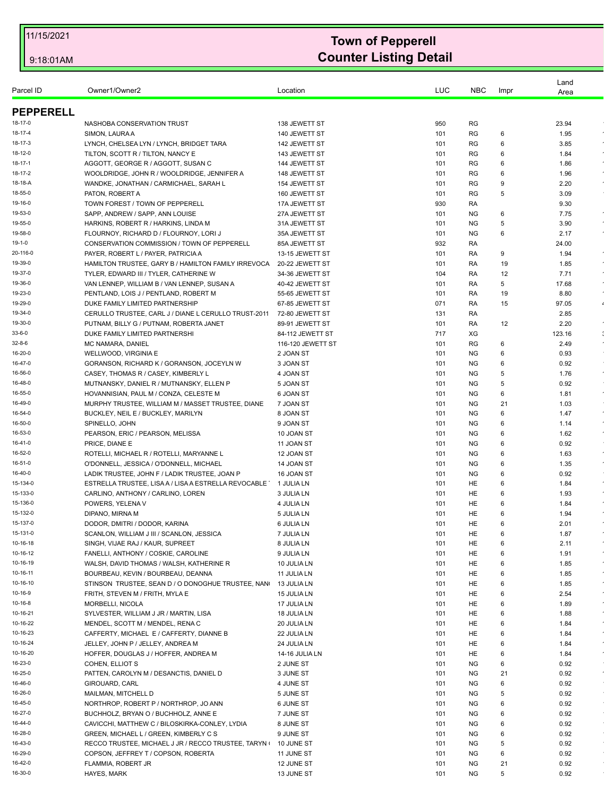| Parcel ID            | Owner1/Owner2                                                                               | Location                       | LUC        | <b>NBC</b>             | Impr    | Land<br>Area  |                            |
|----------------------|---------------------------------------------------------------------------------------------|--------------------------------|------------|------------------------|---------|---------------|----------------------------|
| <b>PEPPERELL</b>     |                                                                                             |                                |            |                        |         |               |                            |
| 18-17-0              |                                                                                             |                                | 950        | RG                     |         |               |                            |
| 18-17-4              | NASHOBA CONSERVATION TRUST<br>SIMON, LAURA A                                                | 138 JEWETT ST<br>140 JEWETT ST | 101        | RG                     | 6       | 23.94<br>1.95 |                            |
| 18-17-3              | LYNCH, CHELSEA LYN / LYNCH, BRIDGET TARA                                                    | 142 JEWETT ST                  | 101        | RG                     | 6       | 3.85          |                            |
| 18-12-0              | TILTON, SCOTT R / TILTON, NANCY E                                                           | 143 JEWETT ST                  | 101        | RG                     | 6       | 1.84          | $\epsilon$                 |
| 18-17-1              | AGGOTT, GEORGE R / AGGOTT, SUSAN C                                                          | 144 JEWETT ST                  | 101        | RG                     | 6       | 1.86          |                            |
| 18-17-2              | WOOLDRIDGE, JOHN R / WOOLDRIDGE, JENNIFER A                                                 | 148 JEWETT ST                  | 101        | RG                     | 6       | 1.96          |                            |
| 18-18-A              | WANDKE, JONATHAN / CARMICHAEL, SARAH L                                                      | 154 JEWETT ST                  | 101        | RG                     | 9       | 2.20          | $\star$                    |
| 18-55-0              | PATON, ROBERT A                                                                             | 160 JEWETT ST                  | 101        | <b>RG</b>              | 5       | 3.09          |                            |
| 19-16-0              | TOWN FOREST / TOWN OF PEPPERELL                                                             | 17A JEWETT ST                  | 930        | RA                     |         | 9.30          |                            |
| 19-53-0              | SAPP, ANDREW / SAPP, ANN LOUISE                                                             | 27A JEWETT ST                  | 101        | <b>NG</b>              | 6       | 7.75          | $\bullet$                  |
| 19-55-0              | HARKINS, ROBERT R / HARKINS, LINDA M                                                        | 31A JEWETT ST                  | 101        | ΝG                     | 5       | 3.90          | $\epsilon$                 |
| 19-58-0              | FLOURNOY, RICHARD D / FLOURNOY, LORI J                                                      | 35A JEWETT ST                  | 101        | <b>NG</b>              | 6       | 2.17          | $\epsilon$                 |
| 19-1-0               | CONSERVATION COMMISSION / TOWN OF PEPPERELL                                                 | 85A JEWETT ST                  | 932        | RA                     |         | 24.00         |                            |
| 20-116-0             | PAYER, ROBERT L / PAYER, PATRICIA A                                                         | 13-15 JEWETT ST                | 101        | RA                     | 9       | 1.94          |                            |
| 19-39-0              | HAMILTON TRUSTEE, GARY B / HAMILTON FAMILY IRREVOCA                                         | 20-22 JEWETT ST                | 101        | RA                     | 19      | 1.85          | $\epsilon$                 |
| 19-37-0              | TYLER, EDWARD III / TYLER, CATHERINE W                                                      | 34-36 JEWETT ST                | 104        | RA                     | 12      | 7.71          | $\sim$                     |
| 19-36-0              | VAN LENNEP, WILLIAM B / VAN LENNEP, SUSAN A                                                 | 40-42 JEWETT ST                | 101        | RA                     | 5       | 17.68         |                            |
| 19-23-0              | PENTLAND, LOIS J / PENTLAND, ROBERT M                                                       | 55-65 JEWETT ST                | 101        | RA                     | 19      | 8.80          |                            |
| 19-29-0              | DUKE FAMILY LIMITED PARTNERSHIP                                                             | 67-85 JEWETT ST                | 071        | RA                     | 15      | 97.05         | $\boldsymbol{\epsilon}$    |
| 19-34-0              | CERULLO TRUSTEE, CARL J / DIANE L CERULLO TRUST-2011                                        | 72-80 JEWETT ST                | 131        | RA                     |         | 2.85          |                            |
| 19-30-0              | PUTNAM, BILLY G / PUTNAM, ROBERTA JANET                                                     | 89-91 JEWETT ST                | 101        | RA                     | 12      | 2.20          | $\bullet$                  |
| 33-6-0               | DUKE FAMILY LIMITED PARTNERSHI                                                              | 84-112 JEWETT ST               | 717        | XG                     |         | 123.16        | $\mathcal{L}_{\mathbf{r}}$ |
| $32 - 8 - 6$         | MC NAMARA, DANIEL                                                                           | 116-120 JEWETT ST              | 101        | RG                     | 6       | 2.49          | $\bullet$                  |
| 16-20-0              | WELLWOOD, VIRGINIA E                                                                        | 2 JOAN ST                      | 101        | <b>NG</b>              | 6       | 0.93          |                            |
| 16-47-0              | GORANSON, RICHARD K / GORANSON, JOCEYLN W                                                   | 3 JOAN ST                      | 101        | <b>NG</b>              | 6       | 0.92          | $\sim$                     |
| 16-56-0              | CASEY, THOMAS R / CASEY, KIMBERLY L                                                         | 4 JOAN ST                      | 101        | <b>NG</b>              | 5       | 1.76          |                            |
| 16-48-0<br>16-55-0   | MUTNANSKY, DANIEL R / MUTNANSKY, ELLEN P                                                    | 5 JOAN ST                      | 101        | <b>NG</b>              | 5       | 0.92          | $\bullet$                  |
| 16-49-0              | HOVANNISIAN, PAUL M / CONZA, CELESTE M<br>MURPHY TRUSTEE, WILLIAM M / MASSET TRUSTEE, DIANE | 6 JOAN ST<br>7 JOAN ST         | 101<br>101 | <b>NG</b><br><b>NG</b> | 6<br>21 | 1.81<br>1.03  |                            |
| 16-54-0              | BUCKLEY, NEIL E / BUCKLEY, MARILYN                                                          | 8 JOAN ST                      | 101        | NG.                    | 6       | 1.47          | $\epsilon$                 |
| 16-50-0              | SPINELLO, JOHN                                                                              | 9 JOAN ST                      | 101        | <b>NG</b>              | 6       | 1.14          | $\star$                    |
| 16-53-0              | PEARSON, ERIC / PEARSON, MELISSA                                                            | 10 JOAN ST                     | 101        | <b>NG</b>              | 6       | 1.62          | $\sim$                     |
| 16-41-0              | PRICE, DIANE E                                                                              | 11 JOAN ST                     | 101        | <b>NG</b>              | 6       | 0.92          |                            |
| 16-52-0              | ROTELLI, MICHAEL R / ROTELLI, MARYANNE L                                                    | 12 JOAN ST                     | 101        | <b>NG</b>              | 6       | 1.63          | $\epsilon$                 |
| 16-51-0              | O'DONNELL, JESSICA / O'DONNELL, MICHAEL                                                     | 14 JOAN ST                     | 101        | <b>NG</b>              | 6       | 1.35          | $\sim$                     |
| 16-40-0              | LADIK TRUSTEE, JOHN F / LADIK TRUSTEE, JOAN P                                               | 16 JOAN ST                     | 101        | <b>NG</b>              | 6       | 0.92          |                            |
| 15-134-0             | ESTRELLA TRUSTEE, LISA A / LISA A ESTRELLA REVOCABLE                                        | 1 JULIA LN                     | 101        | HE                     | 6       | 1.84          | $\bullet$                  |
| 15-133-0             | CARLINO, ANTHONY / CARLINO, LOREN                                                           | 3 JULIA LN                     | 101        | HE                     | 6       | 1.93          | $\star$                    |
| 15-136-0             | POWERS, YELENA V                                                                            | 4 JULIA LN                     | 101        | HE                     | 6       | 1.84          |                            |
| 15-132-0             | DIPANO, MIRNA M                                                                             | 5 JULIA LN                     | 101        | HE                     | 6       | 1.94          |                            |
| 15-137-0             | DODOR, DMITRI / DODOR, KARINA                                                               | 6 JULIA LN                     | 101        | <b>HE</b>              | 6       | 2.01          |                            |
| 15-131-0             | SCANLON, WILLIAM J III / SCANLON, JESSICA                                                   | 7 JULIA LN                     | 101        | HE                     | 6       | 1.87          |                            |
| 10-16-18             | SINGH, VIJAE RAJ / KAUR, SUPREET                                                            | 8 JULIA LN                     | 101        | HE                     | 6       | 2.11          |                            |
| 10-16-12             | FANELLI, ANTHONY / COSKIE, CAROLINE                                                         | 9 JULIA LN                     | 101        | HE                     | 6       | 1.91          |                            |
| 10-16-19             | WALSH, DAVID THOMAS / WALSH, KATHERINE R                                                    | 10 JULIA LN                    | 101        | HE                     | 6       | 1.85          | $\epsilon$                 |
| 10-16-11             | BOURBEAU, KEVIN / BOURBEAU, DEANNA                                                          | 11 JULIA LN                    | 101        | HE                     | 6       | 1.85          |                            |
| 10-16-10             | STINSON TRUSTEE, SEAN D / O DONOGHUE TRUSTEE, NAN                                           | 13 JULIA LN                    | 101        | HE                     | 6       | 1.85          |                            |
| 10-16-9              | FRITH, STEVEN M / FRITH, MYLA E                                                             | 15 JULIA LN                    | 101        | HE                     | 6       | 2.54          | $\bullet$                  |
| 10-16-8              | MORBELLI, NICOLA                                                                            | 17 JULIA LN                    | 101        | HE                     | 6       | 1.89          |                            |
| 10-16-21             | SYLVESTER, WILLIAM J JR / MARTIN, LISA                                                      | 18 JULIA LN                    | 101        | HE                     | 6       | 1.88          | $\bullet$                  |
| 10-16-22             | MENDEL, SCOTT M / MENDEL, RENA C                                                            | 20 JULIA LN                    | 101        | HE                     | 6       | 1.84          |                            |
| 10-16-23<br>10-16-24 | CAFFERTY, MICHAEL E / CAFFERTY, DIANNE B                                                    | 22 JULIA LN                    | 101        | HE<br>HE               | 6<br>6  | 1.84          | $\epsilon$                 |
| 10-16-20             | JELLEY, JOHN P / JELLEY, ANDREA M                                                           | 24 JULIA LN                    | 101        |                        |         | 1.84          | $\sim$                     |
| 16-23-0              | HOFFER, DOUGLAS J / HOFFER, ANDREA M<br>COHEN, ELLIOT S                                     | 14-16 JULIA LN<br>2 JUNE ST    | 101<br>101 | HE<br>NG               | 6<br>6  | 1.84<br>0.92  | $\sim$                     |
| 16-25-0              | PATTEN, CAROLYN M / DESANCTIS, DANIEL D                                                     | 3 JUNE ST                      | 101        | NG                     | 21      | 0.92          | $\epsilon$                 |
| 16-46-0              | GIROUARD, CARL                                                                              | 4 JUNE ST                      | 101        | NG                     | 6       | 0.92          | $\sim$                     |
| 16-26-0              | MAILMAN, MITCHELL D                                                                         | 5 JUNE ST                      | 101        | NG                     | 5       | 0.92          | $\sim$                     |
| 16-45-0              | NORTHROP, ROBERT P / NORTHROP, JO ANN                                                       | 6 JUNE ST                      | 101        | NG                     | 6       | 0.92          | $\sim$                     |
| 16-27-0              | BUCHHOLZ, BRYAN O / BUCHHOLZ, ANNE E                                                        | 7 JUNE ST                      | 101        | NG                     | 6       | 0.92          | $\sim$                     |
| 16-44-0              | CAVICCHI, MATTHEW C / BILOSKIRKA-CONLEY, LYDIA                                              | 8 JUNE ST                      | 101        | NG                     | 6       | 0.92          | $\sim$                     |
| 16-28-0              | GREEN, MICHAEL L / GREEN, KIMBERLY C S                                                      | 9 JUNE ST                      | 101        | NG                     | 6       | 0.92          | $\sim$                     |
| 16-43-0              | RECCO TRUSTEE, MICHAEL J JR / RECCO TRUSTEE, TARYN                                          | 10 JUNE ST                     | 101        | <b>NG</b>              | 5       | 0.92          | $\sim$                     |
| 16-29-0              | COPSON, JEFFREY T / COPSON, ROBERTA                                                         | 11 JUNE ST                     | 101        | NG                     | 6       | 0.92          | $\sim$                     |
| 16-42-0              | FLAMMIA, ROBERT JR                                                                          | 12 JUNE ST                     | 101        | NG                     | 21      | 0.92          |                            |
| 16-30-0              | HAYES, MARK                                                                                 | 13 JUNE ST                     | 101        | <b>NG</b>              | 5       | 0.92          |                            |
|                      |                                                                                             |                                |            |                        |         |               |                            |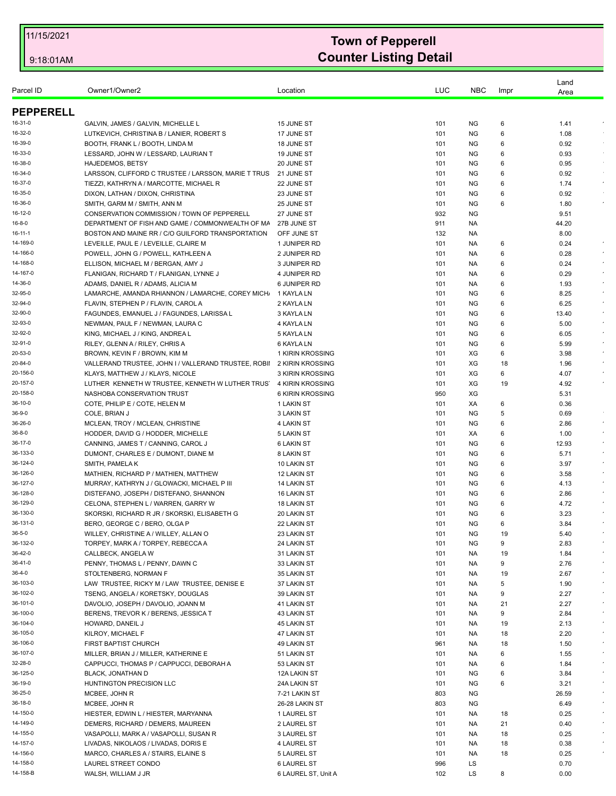| <b>PEPPERELL</b><br>GALVIN, JAMES / GALVIN, MICHELLE L<br>15 JUNE ST<br>101<br>ΝG<br>6<br>1.41<br>LUTKEVICH, CHRISTINA B / LANIER, ROBERT S<br>17 JUNE ST<br>101<br>ΝG<br>6<br>1.08<br>BOOTH, FRANK L / BOOTH, LINDA M<br><b>NG</b><br>0.92<br>18 JUNE ST<br>101<br>6<br>LESSARD, JOHN W / LESSARD, LAURIAN T<br><b>NG</b><br>0.93<br>19 JUNE ST<br>101<br>6<br><b>HAJEDEMOS, BETSY</b><br>20 JUNE ST<br>101<br>ΝG<br>6<br>0.95<br>LARSSON, CLIFFORD C TRUSTEE / LARSSON, MARIE T TRUS<br><b>NG</b><br>0.92<br>21 JUNE ST<br>101<br>6<br>TIEZZI, KATHRYN A / MARCOTTE, MICHAEL R<br>1.74<br>22 JUNE ST<br>101<br>ΝG<br>6<br>DIXON, LATHAN / DIXON, CHRISTINA<br>23 JUNE ST<br><b>NG</b><br>6<br>0.92<br>101<br>SMITH, GARM M / SMITH, ANN M<br>25 JUNE ST<br>101<br><b>NG</b><br>6<br>1.80<br>CONSERVATION COMMISSION / TOWN OF PEPPERELL<br>27 JUNE ST<br>932<br><b>NG</b><br>9.51<br>DEPARTMENT OF FISH AND GAME / COMMONWEALTH OF MA<br>27B JUNE ST<br>911<br>44.20<br>NA.<br>BOSTON AND MAINE RR / C/O GUILFORD TRANSPORTATION<br>OFF JUNE ST<br>132<br>8.00<br>NA.<br>LEVEILLE, PAUL E / LEVEILLE, CLAIRE M<br>0.24<br>1 JUNIPER RD<br>101<br>NA.<br>6<br>POWELL, JOHN G / POWELL, KATHLEEN A<br>2 JUNIPER RD<br>101<br>0.28<br>NA.<br>6<br>ELLISON, MICHAEL M / BERGAN, AMY J<br>3 JUNIPER RD<br>0.24<br>101<br>NA.<br>6<br>4 JUNIPER RD<br>0.29<br>FLANIGAN, RICHARD T / FLANIGAN, LYNNE J<br>101<br>NA.<br>6<br>ADAMS, DANIEL R / ADAMS, ALICIA M<br>6 JUNIPER RD<br>101<br>1.93<br>NA.<br>6<br>LAMARCHE, AMANDA RHIANNON / LAMARCHE, COREY MICH.<br>1 KAYLA LN<br>101<br>ΝG<br>6<br>8.25<br>FLAVIN, STEPHEN P / FLAVIN, CAROL A<br>6.25<br>2 KAYLA LN<br>101<br>NG.<br>6<br>FAGUNDES, EMANUEL J / FAGUNDES, LARISSA L<br>101<br><b>NG</b><br>13.40<br>3 KAYLA LN<br>6<br>5.00<br>NEWMAN, PAUL F / NEWMAN, LAURA C<br>4 KAYLA LN<br>101<br>ΝG<br>6<br>KING, MICHAEL J / KING, ANDREA L<br>5 KAYLA LN<br><b>NG</b><br>101<br>6<br>6.05<br>RILEY, GLENN A / RILEY, CHRIS A<br>6 KAYLA LN<br>101<br><b>NG</b><br>5.99<br>6<br>1 KIRIN KROSSING<br>XG<br>BROWN, KEVIN F / BROWN, KIM M<br>101<br>6<br>3.98<br>VALLERAND TRUSTEE, JOHN I / VALLERAND TRUSTEE, ROBII 2 KIRIN KROSSING<br>XG<br>1.96<br>101<br>18<br>KLAYS, MATTHEW J / KLAYS, NICOLE<br>3 KIRIN KROSSING<br>XG<br>6<br>4.07<br>101<br>XG<br>LUTHER KENNETH W TRUSTEE, KENNETH W LUTHER TRUST<br>4 KIRIN KROSSING<br>19<br>4.92<br>101<br>NASHOBA CONSERVATION TRUST<br>6 KIRIN KROSSING<br>950<br>XG<br>5.31<br>COTE, PHILIP E / COTE, HELEN M<br>1 LAKIN ST<br>101<br>XA<br>6<br>0.36<br>COLE, BRIAN J<br><b>NG</b><br>5<br>0.69<br>3 LAKIN ST<br>101<br>4 LAKIN ST<br>2.86<br>MCLEAN, TROY / MCLEAN, CHRISTINE<br>101<br>ΝG<br>6<br>HODDER, DAVID G / HODDER, MICHELLE<br>5 LAKIN ST<br>101<br>XA<br>6<br>1.00<br>CANNING, JAMES T / CANNING, CAROL J<br>101<br><b>NG</b><br>12.93<br>6 LAKIN ST<br>6<br>DUMONT, CHARLES E / DUMONT, DIANE M<br>8 LAKIN ST<br>5.71<br>101<br>ΝG<br>6<br><b>NG</b><br>SMITH, PAMELA K<br>10 LAKIN ST<br>101<br>6<br>3.97<br>101<br><b>NG</b><br>3.58<br>MATHIEN, RICHARD P / MATHIEN, MATTHEW<br>12 LAKIN ST<br>6<br>MURRAY, KATHRYN J / GLOWACKI, MICHAEL P III<br>14 LAKIN ST<br>101<br>ΝG<br>6<br>4.13<br>DISTEFANO, JOSEPH / DISTEFANO, SHANNON<br><b>NG</b><br>6<br><b>16 LAKIN ST</b><br>101<br>2.86<br>CELONA, STEPHEN L / WARREN, GARRY W<br>101<br><b>NG</b><br>4.72<br>18 LAKIN ST<br>6<br>SKORSKI, RICHARD R JR / SKORSKI, ELISABETH G<br>3.23<br>20 LAKIN ST<br>101<br>ΝG<br>6<br>BERO, GEORGE C / BERO, OLGA P<br>22 LAKIN ST<br>101<br><b>NG</b><br>6<br>3.84<br>WILLEY, CHRISTINE A / WILLEY, ALLAN O<br>23 LAKIN ST<br>101<br>NG<br>19<br>5.40<br>TORPEY, MARK A / TORPEY, REBECCA A<br>9<br>2.83<br>24 LAKIN ST<br>101<br>ΝG<br>CALLBECK, ANGELA W<br>31 LAKIN ST<br>101<br>19<br>NA<br>1.84<br>PENNY, THOMAS L / PENNY, DAWN C<br>33 LAKIN ST<br>9<br>2.76<br>101<br>NA.<br>STOLTENBERG, NORMAN F<br>35 LAKIN ST<br>19<br>2.67<br>101<br>NA.<br>LAW TRUSTEE, RICKY M / LAW TRUSTEE, DENISE E<br>101<br>5<br>1.90<br>37 LAKIN ST<br>NA<br>TSENG, ANGELA / KORETSKY, DOUGLAS<br>39 LAKIN ST<br>101<br>NA.<br>9<br>2.27<br>DAVOLIO, JOSEPH / DAVOLIO, JOANN M<br>2.27<br>41 LAKIN ST<br>101<br>NA.<br>21<br>BERENS, TREVOR K / BERENS, JESSICA T<br>9<br>2.84<br>43 LAKIN ST<br>101<br>NA<br>HOWARD, DANEIL J<br><b>45 LAKIN ST</b><br>101<br>NA.<br>19<br>2.13<br>2.20<br>KILROY, MICHAEL F<br>47 LAKIN ST<br>101<br>NA.<br>18<br>FIRST BAPTIST CHURCH<br>49 LAKIN ST<br>961<br>NA.<br>18<br>1.50<br>MILLER, BRIAN J / MILLER, KATHERINE E<br>51 LAKIN ST<br>101<br>NA.<br>6<br>1.55<br>CAPPUCCI, THOMAS P / CAPPUCCI, DEBORAH A<br>53 LAKIN ST<br>101<br>NA.<br>6<br>1.84<br>BLACK, JONATHAN D<br>12A LAKIN ST<br>101<br>ΝG<br>6<br>3.84<br>HUNTINGTON PRECISION LLC<br>24A LAKIN ST<br>101<br>ΝG<br>6<br>3.21<br>803<br>NG<br>26.59<br>MCBEE, JOHN R<br>7-21 LAKIN ST<br>MCBEE, JOHN R<br><b>NG</b><br>26-28 LAKIN ST<br>803<br>6.49<br>HIESTER, EDWIN L / HIESTER, MARYANNA<br>1 LAUREL ST<br>101<br>NA.<br>18<br>0.25<br>DEMERS, RICHARD / DEMERS, MAUREEN<br>2 LAUREL ST<br>21<br>101<br>NA.<br>0.40<br>VASAPOLLI, MARK A / VASAPOLLI, SUSAN R<br>3 LAUREL ST<br>101<br>NA.<br>18<br>0.25<br>LIVADAS, NIKOLAOS / LIVADAS, DORIS E<br>4 LAUREL ST<br>18<br>0.38<br>101<br>NA.<br>MARCO, CHARLES A / STAIRS, ELAINE S<br>5 LAUREL ST<br>18<br>101<br>NA.<br>0.25<br>LS<br>LAUREL STREET CONDO<br><b>6 LAUREL ST</b><br>996<br>0.70<br>WALSH, WILLIAM J JR<br>6 LAUREL ST, Unit A<br>102<br>LS<br>8<br>0.00 | Parcel ID | Owner1/Owner2 | Location | LUC | <b>NBC</b> | Impr | Land<br>Area |            |
|----------------------------------------------------------------------------------------------------------------------------------------------------------------------------------------------------------------------------------------------------------------------------------------------------------------------------------------------------------------------------------------------------------------------------------------------------------------------------------------------------------------------------------------------------------------------------------------------------------------------------------------------------------------------------------------------------------------------------------------------------------------------------------------------------------------------------------------------------------------------------------------------------------------------------------------------------------------------------------------------------------------------------------------------------------------------------------------------------------------------------------------------------------------------------------------------------------------------------------------------------------------------------------------------------------------------------------------------------------------------------------------------------------------------------------------------------------------------------------------------------------------------------------------------------------------------------------------------------------------------------------------------------------------------------------------------------------------------------------------------------------------------------------------------------------------------------------------------------------------------------------------------------------------------------------------------------------------------------------------------------------------------------------------------------------------------------------------------------------------------------------------------------------------------------------------------------------------------------------------------------------------------------------------------------------------------------------------------------------------------------------------------------------------------------------------------------------------------------------------------------------------------------------------------------------------------------------------------------------------------------------------------------------------------------------------------------------------------------------------------------------------------------------------------------------------------------------------------------------------------------------------------------------------------------------------------------------------------------------------------------------------------------------------------------------------------------------------------------------------------------------------------------------------------------------------------------------------------------------------------------------------------------------------------------------------------------------------------------------------------------------------------------------------------------------------------------------------------------------------------------------------------------------------------------------------------------------------------------------------------------------------------------------------------------------------------------------------------------------------------------------------------------------------------------------------------------------------------------------------------------------------------------------------------------------------------------------------------------------------------------------------------------------------------------------------------------------------------------------------------------------------------------------------------------------------------------------------------------------------------------------------------------------------------------------------------------------------------------------------------------------------------------------------------------------------------------------------------------------------------------------------------------------------------------------------------------------------------------------------------------------------------------------------------------------------------------------------------------------------------------------------------------------------------------------------------------------------------------------------------------------------------------------------------------------------------------------------------------------------------------------------------------------------------------------------------------------------------------------------------------------------------------------------------------------------------------------------------------------------------------------------------------------------------------------------------------------------------------------------------------------------------------------------------------------------------------------------------------------------------------------------------------------|-----------|---------------|----------|-----|------------|------|--------------|------------|
| 16-31-0<br>16-32-0<br>16-39-0<br>16-33-0<br>16-38-0<br>16-34-0<br>16-37-0<br>16-35-0<br>16-36-0<br>16-12-0<br>16-8-0<br>16-11-1<br>14-169-0<br>14-166-0<br>14-168-0<br>14-167-0<br>14-36-0<br>32-95-0<br>32-94-0<br>32-90-0<br>32-93-0<br>32-92-0<br>32-91-0<br>20-53-0<br>20-84-0<br>20-156-0<br>20-157-0<br>20-158-0<br>36-10-0<br>36-9-0<br>36-26-0<br>36-8-0<br>36-17-0<br>36-133-0<br>36-124-0<br>36-126-0<br>36-127-0<br>36-128-0<br>36-129-0<br>36-130-0<br>36-131-0<br>36-5-0<br>36-132-0<br>36-42-0<br>36-41-0<br>36-4-0<br>36-103-0<br>36-102-0<br>36-101-0<br>36-100-0<br>36-104-0<br>36-105-0<br>36-106-0<br>36-107-0<br>32-28-0<br>36-125-0<br>36-19-0<br>36-25-0<br>36-18-0<br>14-150-0<br>14-149-0<br>14-155-0<br>14-157-0<br>14-156-0<br>14-158-0<br>14-158-B                                                                                                                                                                                                                                                                                                                                                                                                                                                                                                                                                                                                                                                                                                                                                                                                                                                                                                                                                                                                                                                                                                                                                                                                                                                                                                                                                                                                                                                                                                                                                                                                                                                                                                                                                                                                                                                                                                                                                                                                                                                                                                                                                                                                                                                                                                                                                                                                                                                                                                                                                                                                                                                                                                                                                                                                                                                                                                                                                                                                                                                                                                                                                                                                                                                                                                                                                                                                                                                                                                                                                                                                                                                                                                                                                                                                                                                                                                                                                                                                                                                                                                                                                                                                                                                                                                                                                                                                                                                                                                                                                                                                                                                                                                                                                    |           |               |          |     |            |      |              |            |
|                                                                                                                                                                                                                                                                                                                                                                                                                                                                                                                                                                                                                                                                                                                                                                                                                                                                                                                                                                                                                                                                                                                                                                                                                                                                                                                                                                                                                                                                                                                                                                                                                                                                                                                                                                                                                                                                                                                                                                                                                                                                                                                                                                                                                                                                                                                                                                                                                                                                                                                                                                                                                                                                                                                                                                                                                                                                                                                                                                                                                                                                                                                                                                                                                                                                                                                                                                                                                                                                                                                                                                                                                                                                                                                                                                                                                                                                                                                                                                                                                                                                                                                                                                                                                                                                                                                                                                                                                                                                                                                                                                                                                                                                                                                                                                                                                                                                                                                                                                                                                                                                                                                                                                                                                                                                                                                                                                                                                                                                                                                                  |           |               |          |     |            |      |              |            |
|                                                                                                                                                                                                                                                                                                                                                                                                                                                                                                                                                                                                                                                                                                                                                                                                                                                                                                                                                                                                                                                                                                                                                                                                                                                                                                                                                                                                                                                                                                                                                                                                                                                                                                                                                                                                                                                                                                                                                                                                                                                                                                                                                                                                                                                                                                                                                                                                                                                                                                                                                                                                                                                                                                                                                                                                                                                                                                                                                                                                                                                                                                                                                                                                                                                                                                                                                                                                                                                                                                                                                                                                                                                                                                                                                                                                                                                                                                                                                                                                                                                                                                                                                                                                                                                                                                                                                                                                                                                                                                                                                                                                                                                                                                                                                                                                                                                                                                                                                                                                                                                                                                                                                                                                                                                                                                                                                                                                                                                                                                                                  |           |               |          |     |            |      |              |            |
|                                                                                                                                                                                                                                                                                                                                                                                                                                                                                                                                                                                                                                                                                                                                                                                                                                                                                                                                                                                                                                                                                                                                                                                                                                                                                                                                                                                                                                                                                                                                                                                                                                                                                                                                                                                                                                                                                                                                                                                                                                                                                                                                                                                                                                                                                                                                                                                                                                                                                                                                                                                                                                                                                                                                                                                                                                                                                                                                                                                                                                                                                                                                                                                                                                                                                                                                                                                                                                                                                                                                                                                                                                                                                                                                                                                                                                                                                                                                                                                                                                                                                                                                                                                                                                                                                                                                                                                                                                                                                                                                                                                                                                                                                                                                                                                                                                                                                                                                                                                                                                                                                                                                                                                                                                                                                                                                                                                                                                                                                                                                  |           |               |          |     |            |      |              |            |
|                                                                                                                                                                                                                                                                                                                                                                                                                                                                                                                                                                                                                                                                                                                                                                                                                                                                                                                                                                                                                                                                                                                                                                                                                                                                                                                                                                                                                                                                                                                                                                                                                                                                                                                                                                                                                                                                                                                                                                                                                                                                                                                                                                                                                                                                                                                                                                                                                                                                                                                                                                                                                                                                                                                                                                                                                                                                                                                                                                                                                                                                                                                                                                                                                                                                                                                                                                                                                                                                                                                                                                                                                                                                                                                                                                                                                                                                                                                                                                                                                                                                                                                                                                                                                                                                                                                                                                                                                                                                                                                                                                                                                                                                                                                                                                                                                                                                                                                                                                                                                                                                                                                                                                                                                                                                                                                                                                                                                                                                                                                                  |           |               |          |     |            |      |              |            |
|                                                                                                                                                                                                                                                                                                                                                                                                                                                                                                                                                                                                                                                                                                                                                                                                                                                                                                                                                                                                                                                                                                                                                                                                                                                                                                                                                                                                                                                                                                                                                                                                                                                                                                                                                                                                                                                                                                                                                                                                                                                                                                                                                                                                                                                                                                                                                                                                                                                                                                                                                                                                                                                                                                                                                                                                                                                                                                                                                                                                                                                                                                                                                                                                                                                                                                                                                                                                                                                                                                                                                                                                                                                                                                                                                                                                                                                                                                                                                                                                                                                                                                                                                                                                                                                                                                                                                                                                                                                                                                                                                                                                                                                                                                                                                                                                                                                                                                                                                                                                                                                                                                                                                                                                                                                                                                                                                                                                                                                                                                                                  |           |               |          |     |            |      |              |            |
|                                                                                                                                                                                                                                                                                                                                                                                                                                                                                                                                                                                                                                                                                                                                                                                                                                                                                                                                                                                                                                                                                                                                                                                                                                                                                                                                                                                                                                                                                                                                                                                                                                                                                                                                                                                                                                                                                                                                                                                                                                                                                                                                                                                                                                                                                                                                                                                                                                                                                                                                                                                                                                                                                                                                                                                                                                                                                                                                                                                                                                                                                                                                                                                                                                                                                                                                                                                                                                                                                                                                                                                                                                                                                                                                                                                                                                                                                                                                                                                                                                                                                                                                                                                                                                                                                                                                                                                                                                                                                                                                                                                                                                                                                                                                                                                                                                                                                                                                                                                                                                                                                                                                                                                                                                                                                                                                                                                                                                                                                                                                  |           |               |          |     |            |      |              |            |
|                                                                                                                                                                                                                                                                                                                                                                                                                                                                                                                                                                                                                                                                                                                                                                                                                                                                                                                                                                                                                                                                                                                                                                                                                                                                                                                                                                                                                                                                                                                                                                                                                                                                                                                                                                                                                                                                                                                                                                                                                                                                                                                                                                                                                                                                                                                                                                                                                                                                                                                                                                                                                                                                                                                                                                                                                                                                                                                                                                                                                                                                                                                                                                                                                                                                                                                                                                                                                                                                                                                                                                                                                                                                                                                                                                                                                                                                                                                                                                                                                                                                                                                                                                                                                                                                                                                                                                                                                                                                                                                                                                                                                                                                                                                                                                                                                                                                                                                                                                                                                                                                                                                                                                                                                                                                                                                                                                                                                                                                                                                                  |           |               |          |     |            |      |              | $\sim$     |
|                                                                                                                                                                                                                                                                                                                                                                                                                                                                                                                                                                                                                                                                                                                                                                                                                                                                                                                                                                                                                                                                                                                                                                                                                                                                                                                                                                                                                                                                                                                                                                                                                                                                                                                                                                                                                                                                                                                                                                                                                                                                                                                                                                                                                                                                                                                                                                                                                                                                                                                                                                                                                                                                                                                                                                                                                                                                                                                                                                                                                                                                                                                                                                                                                                                                                                                                                                                                                                                                                                                                                                                                                                                                                                                                                                                                                                                                                                                                                                                                                                                                                                                                                                                                                                                                                                                                                                                                                                                                                                                                                                                                                                                                                                                                                                                                                                                                                                                                                                                                                                                                                                                                                                                                                                                                                                                                                                                                                                                                                                                                  |           |               |          |     |            |      |              |            |
|                                                                                                                                                                                                                                                                                                                                                                                                                                                                                                                                                                                                                                                                                                                                                                                                                                                                                                                                                                                                                                                                                                                                                                                                                                                                                                                                                                                                                                                                                                                                                                                                                                                                                                                                                                                                                                                                                                                                                                                                                                                                                                                                                                                                                                                                                                                                                                                                                                                                                                                                                                                                                                                                                                                                                                                                                                                                                                                                                                                                                                                                                                                                                                                                                                                                                                                                                                                                                                                                                                                                                                                                                                                                                                                                                                                                                                                                                                                                                                                                                                                                                                                                                                                                                                                                                                                                                                                                                                                                                                                                                                                                                                                                                                                                                                                                                                                                                                                                                                                                                                                                                                                                                                                                                                                                                                                                                                                                                                                                                                                                  |           |               |          |     |            |      |              |            |
|                                                                                                                                                                                                                                                                                                                                                                                                                                                                                                                                                                                                                                                                                                                                                                                                                                                                                                                                                                                                                                                                                                                                                                                                                                                                                                                                                                                                                                                                                                                                                                                                                                                                                                                                                                                                                                                                                                                                                                                                                                                                                                                                                                                                                                                                                                                                                                                                                                                                                                                                                                                                                                                                                                                                                                                                                                                                                                                                                                                                                                                                                                                                                                                                                                                                                                                                                                                                                                                                                                                                                                                                                                                                                                                                                                                                                                                                                                                                                                                                                                                                                                                                                                                                                                                                                                                                                                                                                                                                                                                                                                                                                                                                                                                                                                                                                                                                                                                                                                                                                                                                                                                                                                                                                                                                                                                                                                                                                                                                                                                                  |           |               |          |     |            |      |              |            |
|                                                                                                                                                                                                                                                                                                                                                                                                                                                                                                                                                                                                                                                                                                                                                                                                                                                                                                                                                                                                                                                                                                                                                                                                                                                                                                                                                                                                                                                                                                                                                                                                                                                                                                                                                                                                                                                                                                                                                                                                                                                                                                                                                                                                                                                                                                                                                                                                                                                                                                                                                                                                                                                                                                                                                                                                                                                                                                                                                                                                                                                                                                                                                                                                                                                                                                                                                                                                                                                                                                                                                                                                                                                                                                                                                                                                                                                                                                                                                                                                                                                                                                                                                                                                                                                                                                                                                                                                                                                                                                                                                                                                                                                                                                                                                                                                                                                                                                                                                                                                                                                                                                                                                                                                                                                                                                                                                                                                                                                                                                                                  |           |               |          |     |            |      |              |            |
|                                                                                                                                                                                                                                                                                                                                                                                                                                                                                                                                                                                                                                                                                                                                                                                                                                                                                                                                                                                                                                                                                                                                                                                                                                                                                                                                                                                                                                                                                                                                                                                                                                                                                                                                                                                                                                                                                                                                                                                                                                                                                                                                                                                                                                                                                                                                                                                                                                                                                                                                                                                                                                                                                                                                                                                                                                                                                                                                                                                                                                                                                                                                                                                                                                                                                                                                                                                                                                                                                                                                                                                                                                                                                                                                                                                                                                                                                                                                                                                                                                                                                                                                                                                                                                                                                                                                                                                                                                                                                                                                                                                                                                                                                                                                                                                                                                                                                                                                                                                                                                                                                                                                                                                                                                                                                                                                                                                                                                                                                                                                  |           |               |          |     |            |      |              | $\epsilon$ |
|                                                                                                                                                                                                                                                                                                                                                                                                                                                                                                                                                                                                                                                                                                                                                                                                                                                                                                                                                                                                                                                                                                                                                                                                                                                                                                                                                                                                                                                                                                                                                                                                                                                                                                                                                                                                                                                                                                                                                                                                                                                                                                                                                                                                                                                                                                                                                                                                                                                                                                                                                                                                                                                                                                                                                                                                                                                                                                                                                                                                                                                                                                                                                                                                                                                                                                                                                                                                                                                                                                                                                                                                                                                                                                                                                                                                                                                                                                                                                                                                                                                                                                                                                                                                                                                                                                                                                                                                                                                                                                                                                                                                                                                                                                                                                                                                                                                                                                                                                                                                                                                                                                                                                                                                                                                                                                                                                                                                                                                                                                                                  |           |               |          |     |            |      |              |            |
|                                                                                                                                                                                                                                                                                                                                                                                                                                                                                                                                                                                                                                                                                                                                                                                                                                                                                                                                                                                                                                                                                                                                                                                                                                                                                                                                                                                                                                                                                                                                                                                                                                                                                                                                                                                                                                                                                                                                                                                                                                                                                                                                                                                                                                                                                                                                                                                                                                                                                                                                                                                                                                                                                                                                                                                                                                                                                                                                                                                                                                                                                                                                                                                                                                                                                                                                                                                                                                                                                                                                                                                                                                                                                                                                                                                                                                                                                                                                                                                                                                                                                                                                                                                                                                                                                                                                                                                                                                                                                                                                                                                                                                                                                                                                                                                                                                                                                                                                                                                                                                                                                                                                                                                                                                                                                                                                                                                                                                                                                                                                  |           |               |          |     |            |      |              |            |
|                                                                                                                                                                                                                                                                                                                                                                                                                                                                                                                                                                                                                                                                                                                                                                                                                                                                                                                                                                                                                                                                                                                                                                                                                                                                                                                                                                                                                                                                                                                                                                                                                                                                                                                                                                                                                                                                                                                                                                                                                                                                                                                                                                                                                                                                                                                                                                                                                                                                                                                                                                                                                                                                                                                                                                                                                                                                                                                                                                                                                                                                                                                                                                                                                                                                                                                                                                                                                                                                                                                                                                                                                                                                                                                                                                                                                                                                                                                                                                                                                                                                                                                                                                                                                                                                                                                                                                                                                                                                                                                                                                                                                                                                                                                                                                                                                                                                                                                                                                                                                                                                                                                                                                                                                                                                                                                                                                                                                                                                                                                                  |           |               |          |     |            |      |              |            |
|                                                                                                                                                                                                                                                                                                                                                                                                                                                                                                                                                                                                                                                                                                                                                                                                                                                                                                                                                                                                                                                                                                                                                                                                                                                                                                                                                                                                                                                                                                                                                                                                                                                                                                                                                                                                                                                                                                                                                                                                                                                                                                                                                                                                                                                                                                                                                                                                                                                                                                                                                                                                                                                                                                                                                                                                                                                                                                                                                                                                                                                                                                                                                                                                                                                                                                                                                                                                                                                                                                                                                                                                                                                                                                                                                                                                                                                                                                                                                                                                                                                                                                                                                                                                                                                                                                                                                                                                                                                                                                                                                                                                                                                                                                                                                                                                                                                                                                                                                                                                                                                                                                                                                                                                                                                                                                                                                                                                                                                                                                                                  |           |               |          |     |            |      |              | $\epsilon$ |
|                                                                                                                                                                                                                                                                                                                                                                                                                                                                                                                                                                                                                                                                                                                                                                                                                                                                                                                                                                                                                                                                                                                                                                                                                                                                                                                                                                                                                                                                                                                                                                                                                                                                                                                                                                                                                                                                                                                                                                                                                                                                                                                                                                                                                                                                                                                                                                                                                                                                                                                                                                                                                                                                                                                                                                                                                                                                                                                                                                                                                                                                                                                                                                                                                                                                                                                                                                                                                                                                                                                                                                                                                                                                                                                                                                                                                                                                                                                                                                                                                                                                                                                                                                                                                                                                                                                                                                                                                                                                                                                                                                                                                                                                                                                                                                                                                                                                                                                                                                                                                                                                                                                                                                                                                                                                                                                                                                                                                                                                                                                                  |           |               |          |     |            |      |              |            |
|                                                                                                                                                                                                                                                                                                                                                                                                                                                                                                                                                                                                                                                                                                                                                                                                                                                                                                                                                                                                                                                                                                                                                                                                                                                                                                                                                                                                                                                                                                                                                                                                                                                                                                                                                                                                                                                                                                                                                                                                                                                                                                                                                                                                                                                                                                                                                                                                                                                                                                                                                                                                                                                                                                                                                                                                                                                                                                                                                                                                                                                                                                                                                                                                                                                                                                                                                                                                                                                                                                                                                                                                                                                                                                                                                                                                                                                                                                                                                                                                                                                                                                                                                                                                                                                                                                                                                                                                                                                                                                                                                                                                                                                                                                                                                                                                                                                                                                                                                                                                                                                                                                                                                                                                                                                                                                                                                                                                                                                                                                                                  |           |               |          |     |            |      |              |            |
|                                                                                                                                                                                                                                                                                                                                                                                                                                                                                                                                                                                                                                                                                                                                                                                                                                                                                                                                                                                                                                                                                                                                                                                                                                                                                                                                                                                                                                                                                                                                                                                                                                                                                                                                                                                                                                                                                                                                                                                                                                                                                                                                                                                                                                                                                                                                                                                                                                                                                                                                                                                                                                                                                                                                                                                                                                                                                                                                                                                                                                                                                                                                                                                                                                                                                                                                                                                                                                                                                                                                                                                                                                                                                                                                                                                                                                                                                                                                                                                                                                                                                                                                                                                                                                                                                                                                                                                                                                                                                                                                                                                                                                                                                                                                                                                                                                                                                                                                                                                                                                                                                                                                                                                                                                                                                                                                                                                                                                                                                                                                  |           |               |          |     |            |      |              |            |
|                                                                                                                                                                                                                                                                                                                                                                                                                                                                                                                                                                                                                                                                                                                                                                                                                                                                                                                                                                                                                                                                                                                                                                                                                                                                                                                                                                                                                                                                                                                                                                                                                                                                                                                                                                                                                                                                                                                                                                                                                                                                                                                                                                                                                                                                                                                                                                                                                                                                                                                                                                                                                                                                                                                                                                                                                                                                                                                                                                                                                                                                                                                                                                                                                                                                                                                                                                                                                                                                                                                                                                                                                                                                                                                                                                                                                                                                                                                                                                                                                                                                                                                                                                                                                                                                                                                                                                                                                                                                                                                                                                                                                                                                                                                                                                                                                                                                                                                                                                                                                                                                                                                                                                                                                                                                                                                                                                                                                                                                                                                                  |           |               |          |     |            |      |              |            |
|                                                                                                                                                                                                                                                                                                                                                                                                                                                                                                                                                                                                                                                                                                                                                                                                                                                                                                                                                                                                                                                                                                                                                                                                                                                                                                                                                                                                                                                                                                                                                                                                                                                                                                                                                                                                                                                                                                                                                                                                                                                                                                                                                                                                                                                                                                                                                                                                                                                                                                                                                                                                                                                                                                                                                                                                                                                                                                                                                                                                                                                                                                                                                                                                                                                                                                                                                                                                                                                                                                                                                                                                                                                                                                                                                                                                                                                                                                                                                                                                                                                                                                                                                                                                                                                                                                                                                                                                                                                                                                                                                                                                                                                                                                                                                                                                                                                                                                                                                                                                                                                                                                                                                                                                                                                                                                                                                                                                                                                                                                                                  |           |               |          |     |            |      |              |            |
|                                                                                                                                                                                                                                                                                                                                                                                                                                                                                                                                                                                                                                                                                                                                                                                                                                                                                                                                                                                                                                                                                                                                                                                                                                                                                                                                                                                                                                                                                                                                                                                                                                                                                                                                                                                                                                                                                                                                                                                                                                                                                                                                                                                                                                                                                                                                                                                                                                                                                                                                                                                                                                                                                                                                                                                                                                                                                                                                                                                                                                                                                                                                                                                                                                                                                                                                                                                                                                                                                                                                                                                                                                                                                                                                                                                                                                                                                                                                                                                                                                                                                                                                                                                                                                                                                                                                                                                                                                                                                                                                                                                                                                                                                                                                                                                                                                                                                                                                                                                                                                                                                                                                                                                                                                                                                                                                                                                                                                                                                                                                  |           |               |          |     |            |      |              | $\bullet$  |
|                                                                                                                                                                                                                                                                                                                                                                                                                                                                                                                                                                                                                                                                                                                                                                                                                                                                                                                                                                                                                                                                                                                                                                                                                                                                                                                                                                                                                                                                                                                                                                                                                                                                                                                                                                                                                                                                                                                                                                                                                                                                                                                                                                                                                                                                                                                                                                                                                                                                                                                                                                                                                                                                                                                                                                                                                                                                                                                                                                                                                                                                                                                                                                                                                                                                                                                                                                                                                                                                                                                                                                                                                                                                                                                                                                                                                                                                                                                                                                                                                                                                                                                                                                                                                                                                                                                                                                                                                                                                                                                                                                                                                                                                                                                                                                                                                                                                                                                                                                                                                                                                                                                                                                                                                                                                                                                                                                                                                                                                                                                                  |           |               |          |     |            |      |              |            |
|                                                                                                                                                                                                                                                                                                                                                                                                                                                                                                                                                                                                                                                                                                                                                                                                                                                                                                                                                                                                                                                                                                                                                                                                                                                                                                                                                                                                                                                                                                                                                                                                                                                                                                                                                                                                                                                                                                                                                                                                                                                                                                                                                                                                                                                                                                                                                                                                                                                                                                                                                                                                                                                                                                                                                                                                                                                                                                                                                                                                                                                                                                                                                                                                                                                                                                                                                                                                                                                                                                                                                                                                                                                                                                                                                                                                                                                                                                                                                                                                                                                                                                                                                                                                                                                                                                                                                                                                                                                                                                                                                                                                                                                                                                                                                                                                                                                                                                                                                                                                                                                                                                                                                                                                                                                                                                                                                                                                                                                                                                                                  |           |               |          |     |            |      |              |            |
|                                                                                                                                                                                                                                                                                                                                                                                                                                                                                                                                                                                                                                                                                                                                                                                                                                                                                                                                                                                                                                                                                                                                                                                                                                                                                                                                                                                                                                                                                                                                                                                                                                                                                                                                                                                                                                                                                                                                                                                                                                                                                                                                                                                                                                                                                                                                                                                                                                                                                                                                                                                                                                                                                                                                                                                                                                                                                                                                                                                                                                                                                                                                                                                                                                                                                                                                                                                                                                                                                                                                                                                                                                                                                                                                                                                                                                                                                                                                                                                                                                                                                                                                                                                                                                                                                                                                                                                                                                                                                                                                                                                                                                                                                                                                                                                                                                                                                                                                                                                                                                                                                                                                                                                                                                                                                                                                                                                                                                                                                                                                  |           |               |          |     |            |      |              |            |
|                                                                                                                                                                                                                                                                                                                                                                                                                                                                                                                                                                                                                                                                                                                                                                                                                                                                                                                                                                                                                                                                                                                                                                                                                                                                                                                                                                                                                                                                                                                                                                                                                                                                                                                                                                                                                                                                                                                                                                                                                                                                                                                                                                                                                                                                                                                                                                                                                                                                                                                                                                                                                                                                                                                                                                                                                                                                                                                                                                                                                                                                                                                                                                                                                                                                                                                                                                                                                                                                                                                                                                                                                                                                                                                                                                                                                                                                                                                                                                                                                                                                                                                                                                                                                                                                                                                                                                                                                                                                                                                                                                                                                                                                                                                                                                                                                                                                                                                                                                                                                                                                                                                                                                                                                                                                                                                                                                                                                                                                                                                                  |           |               |          |     |            |      |              |            |
|                                                                                                                                                                                                                                                                                                                                                                                                                                                                                                                                                                                                                                                                                                                                                                                                                                                                                                                                                                                                                                                                                                                                                                                                                                                                                                                                                                                                                                                                                                                                                                                                                                                                                                                                                                                                                                                                                                                                                                                                                                                                                                                                                                                                                                                                                                                                                                                                                                                                                                                                                                                                                                                                                                                                                                                                                                                                                                                                                                                                                                                                                                                                                                                                                                                                                                                                                                                                                                                                                                                                                                                                                                                                                                                                                                                                                                                                                                                                                                                                                                                                                                                                                                                                                                                                                                                                                                                                                                                                                                                                                                                                                                                                                                                                                                                                                                                                                                                                                                                                                                                                                                                                                                                                                                                                                                                                                                                                                                                                                                                                  |           |               |          |     |            |      |              |            |
|                                                                                                                                                                                                                                                                                                                                                                                                                                                                                                                                                                                                                                                                                                                                                                                                                                                                                                                                                                                                                                                                                                                                                                                                                                                                                                                                                                                                                                                                                                                                                                                                                                                                                                                                                                                                                                                                                                                                                                                                                                                                                                                                                                                                                                                                                                                                                                                                                                                                                                                                                                                                                                                                                                                                                                                                                                                                                                                                                                                                                                                                                                                                                                                                                                                                                                                                                                                                                                                                                                                                                                                                                                                                                                                                                                                                                                                                                                                                                                                                                                                                                                                                                                                                                                                                                                                                                                                                                                                                                                                                                                                                                                                                                                                                                                                                                                                                                                                                                                                                                                                                                                                                                                                                                                                                                                                                                                                                                                                                                                                                  |           |               |          |     |            |      |              |            |
|                                                                                                                                                                                                                                                                                                                                                                                                                                                                                                                                                                                                                                                                                                                                                                                                                                                                                                                                                                                                                                                                                                                                                                                                                                                                                                                                                                                                                                                                                                                                                                                                                                                                                                                                                                                                                                                                                                                                                                                                                                                                                                                                                                                                                                                                                                                                                                                                                                                                                                                                                                                                                                                                                                                                                                                                                                                                                                                                                                                                                                                                                                                                                                                                                                                                                                                                                                                                                                                                                                                                                                                                                                                                                                                                                                                                                                                                                                                                                                                                                                                                                                                                                                                                                                                                                                                                                                                                                                                                                                                                                                                                                                                                                                                                                                                                                                                                                                                                                                                                                                                                                                                                                                                                                                                                                                                                                                                                                                                                                                                                  |           |               |          |     |            |      |              |            |
|                                                                                                                                                                                                                                                                                                                                                                                                                                                                                                                                                                                                                                                                                                                                                                                                                                                                                                                                                                                                                                                                                                                                                                                                                                                                                                                                                                                                                                                                                                                                                                                                                                                                                                                                                                                                                                                                                                                                                                                                                                                                                                                                                                                                                                                                                                                                                                                                                                                                                                                                                                                                                                                                                                                                                                                                                                                                                                                                                                                                                                                                                                                                                                                                                                                                                                                                                                                                                                                                                                                                                                                                                                                                                                                                                                                                                                                                                                                                                                                                                                                                                                                                                                                                                                                                                                                                                                                                                                                                                                                                                                                                                                                                                                                                                                                                                                                                                                                                                                                                                                                                                                                                                                                                                                                                                                                                                                                                                                                                                                                                  |           |               |          |     |            |      |              | $\epsilon$ |
|                                                                                                                                                                                                                                                                                                                                                                                                                                                                                                                                                                                                                                                                                                                                                                                                                                                                                                                                                                                                                                                                                                                                                                                                                                                                                                                                                                                                                                                                                                                                                                                                                                                                                                                                                                                                                                                                                                                                                                                                                                                                                                                                                                                                                                                                                                                                                                                                                                                                                                                                                                                                                                                                                                                                                                                                                                                                                                                                                                                                                                                                                                                                                                                                                                                                                                                                                                                                                                                                                                                                                                                                                                                                                                                                                                                                                                                                                                                                                                                                                                                                                                                                                                                                                                                                                                                                                                                                                                                                                                                                                                                                                                                                                                                                                                                                                                                                                                                                                                                                                                                                                                                                                                                                                                                                                                                                                                                                                                                                                                                                  |           |               |          |     |            |      |              | $\star$    |
|                                                                                                                                                                                                                                                                                                                                                                                                                                                                                                                                                                                                                                                                                                                                                                                                                                                                                                                                                                                                                                                                                                                                                                                                                                                                                                                                                                                                                                                                                                                                                                                                                                                                                                                                                                                                                                                                                                                                                                                                                                                                                                                                                                                                                                                                                                                                                                                                                                                                                                                                                                                                                                                                                                                                                                                                                                                                                                                                                                                                                                                                                                                                                                                                                                                                                                                                                                                                                                                                                                                                                                                                                                                                                                                                                                                                                                                                                                                                                                                                                                                                                                                                                                                                                                                                                                                                                                                                                                                                                                                                                                                                                                                                                                                                                                                                                                                                                                                                                                                                                                                                                                                                                                                                                                                                                                                                                                                                                                                                                                                                  |           |               |          |     |            |      |              |            |
|                                                                                                                                                                                                                                                                                                                                                                                                                                                                                                                                                                                                                                                                                                                                                                                                                                                                                                                                                                                                                                                                                                                                                                                                                                                                                                                                                                                                                                                                                                                                                                                                                                                                                                                                                                                                                                                                                                                                                                                                                                                                                                                                                                                                                                                                                                                                                                                                                                                                                                                                                                                                                                                                                                                                                                                                                                                                                                                                                                                                                                                                                                                                                                                                                                                                                                                                                                                                                                                                                                                                                                                                                                                                                                                                                                                                                                                                                                                                                                                                                                                                                                                                                                                                                                                                                                                                                                                                                                                                                                                                                                                                                                                                                                                                                                                                                                                                                                                                                                                                                                                                                                                                                                                                                                                                                                                                                                                                                                                                                                                                  |           |               |          |     |            |      |              |            |
|                                                                                                                                                                                                                                                                                                                                                                                                                                                                                                                                                                                                                                                                                                                                                                                                                                                                                                                                                                                                                                                                                                                                                                                                                                                                                                                                                                                                                                                                                                                                                                                                                                                                                                                                                                                                                                                                                                                                                                                                                                                                                                                                                                                                                                                                                                                                                                                                                                                                                                                                                                                                                                                                                                                                                                                                                                                                                                                                                                                                                                                                                                                                                                                                                                                                                                                                                                                                                                                                                                                                                                                                                                                                                                                                                                                                                                                                                                                                                                                                                                                                                                                                                                                                                                                                                                                                                                                                                                                                                                                                                                                                                                                                                                                                                                                                                                                                                                                                                                                                                                                                                                                                                                                                                                                                                                                                                                                                                                                                                                                                  |           |               |          |     |            |      |              | $\epsilon$ |
|                                                                                                                                                                                                                                                                                                                                                                                                                                                                                                                                                                                                                                                                                                                                                                                                                                                                                                                                                                                                                                                                                                                                                                                                                                                                                                                                                                                                                                                                                                                                                                                                                                                                                                                                                                                                                                                                                                                                                                                                                                                                                                                                                                                                                                                                                                                                                                                                                                                                                                                                                                                                                                                                                                                                                                                                                                                                                                                                                                                                                                                                                                                                                                                                                                                                                                                                                                                                                                                                                                                                                                                                                                                                                                                                                                                                                                                                                                                                                                                                                                                                                                                                                                                                                                                                                                                                                                                                                                                                                                                                                                                                                                                                                                                                                                                                                                                                                                                                                                                                                                                                                                                                                                                                                                                                                                                                                                                                                                                                                                                                  |           |               |          |     |            |      |              |            |
|                                                                                                                                                                                                                                                                                                                                                                                                                                                                                                                                                                                                                                                                                                                                                                                                                                                                                                                                                                                                                                                                                                                                                                                                                                                                                                                                                                                                                                                                                                                                                                                                                                                                                                                                                                                                                                                                                                                                                                                                                                                                                                                                                                                                                                                                                                                                                                                                                                                                                                                                                                                                                                                                                                                                                                                                                                                                                                                                                                                                                                                                                                                                                                                                                                                                                                                                                                                                                                                                                                                                                                                                                                                                                                                                                                                                                                                                                                                                                                                                                                                                                                                                                                                                                                                                                                                                                                                                                                                                                                                                                                                                                                                                                                                                                                                                                                                                                                                                                                                                                                                                                                                                                                                                                                                                                                                                                                                                                                                                                                                                  |           |               |          |     |            |      |              |            |
|                                                                                                                                                                                                                                                                                                                                                                                                                                                                                                                                                                                                                                                                                                                                                                                                                                                                                                                                                                                                                                                                                                                                                                                                                                                                                                                                                                                                                                                                                                                                                                                                                                                                                                                                                                                                                                                                                                                                                                                                                                                                                                                                                                                                                                                                                                                                                                                                                                                                                                                                                                                                                                                                                                                                                                                                                                                                                                                                                                                                                                                                                                                                                                                                                                                                                                                                                                                                                                                                                                                                                                                                                                                                                                                                                                                                                                                                                                                                                                                                                                                                                                                                                                                                                                                                                                                                                                                                                                                                                                                                                                                                                                                                                                                                                                                                                                                                                                                                                                                                                                                                                                                                                                                                                                                                                                                                                                                                                                                                                                                                  |           |               |          |     |            |      |              |            |
|                                                                                                                                                                                                                                                                                                                                                                                                                                                                                                                                                                                                                                                                                                                                                                                                                                                                                                                                                                                                                                                                                                                                                                                                                                                                                                                                                                                                                                                                                                                                                                                                                                                                                                                                                                                                                                                                                                                                                                                                                                                                                                                                                                                                                                                                                                                                                                                                                                                                                                                                                                                                                                                                                                                                                                                                                                                                                                                                                                                                                                                                                                                                                                                                                                                                                                                                                                                                                                                                                                                                                                                                                                                                                                                                                                                                                                                                                                                                                                                                                                                                                                                                                                                                                                                                                                                                                                                                                                                                                                                                                                                                                                                                                                                                                                                                                                                                                                                                                                                                                                                                                                                                                                                                                                                                                                                                                                                                                                                                                                                                  |           |               |          |     |            |      |              |            |
|                                                                                                                                                                                                                                                                                                                                                                                                                                                                                                                                                                                                                                                                                                                                                                                                                                                                                                                                                                                                                                                                                                                                                                                                                                                                                                                                                                                                                                                                                                                                                                                                                                                                                                                                                                                                                                                                                                                                                                                                                                                                                                                                                                                                                                                                                                                                                                                                                                                                                                                                                                                                                                                                                                                                                                                                                                                                                                                                                                                                                                                                                                                                                                                                                                                                                                                                                                                                                                                                                                                                                                                                                                                                                                                                                                                                                                                                                                                                                                                                                                                                                                                                                                                                                                                                                                                                                                                                                                                                                                                                                                                                                                                                                                                                                                                                                                                                                                                                                                                                                                                                                                                                                                                                                                                                                                                                                                                                                                                                                                                                  |           |               |          |     |            |      |              |            |
|                                                                                                                                                                                                                                                                                                                                                                                                                                                                                                                                                                                                                                                                                                                                                                                                                                                                                                                                                                                                                                                                                                                                                                                                                                                                                                                                                                                                                                                                                                                                                                                                                                                                                                                                                                                                                                                                                                                                                                                                                                                                                                                                                                                                                                                                                                                                                                                                                                                                                                                                                                                                                                                                                                                                                                                                                                                                                                                                                                                                                                                                                                                                                                                                                                                                                                                                                                                                                                                                                                                                                                                                                                                                                                                                                                                                                                                                                                                                                                                                                                                                                                                                                                                                                                                                                                                                                                                                                                                                                                                                                                                                                                                                                                                                                                                                                                                                                                                                                                                                                                                                                                                                                                                                                                                                                                                                                                                                                                                                                                                                  |           |               |          |     |            |      |              |            |
|                                                                                                                                                                                                                                                                                                                                                                                                                                                                                                                                                                                                                                                                                                                                                                                                                                                                                                                                                                                                                                                                                                                                                                                                                                                                                                                                                                                                                                                                                                                                                                                                                                                                                                                                                                                                                                                                                                                                                                                                                                                                                                                                                                                                                                                                                                                                                                                                                                                                                                                                                                                                                                                                                                                                                                                                                                                                                                                                                                                                                                                                                                                                                                                                                                                                                                                                                                                                                                                                                                                                                                                                                                                                                                                                                                                                                                                                                                                                                                                                                                                                                                                                                                                                                                                                                                                                                                                                                                                                                                                                                                                                                                                                                                                                                                                                                                                                                                                                                                                                                                                                                                                                                                                                                                                                                                                                                                                                                                                                                                                                  |           |               |          |     |            |      |              |            |
|                                                                                                                                                                                                                                                                                                                                                                                                                                                                                                                                                                                                                                                                                                                                                                                                                                                                                                                                                                                                                                                                                                                                                                                                                                                                                                                                                                                                                                                                                                                                                                                                                                                                                                                                                                                                                                                                                                                                                                                                                                                                                                                                                                                                                                                                                                                                                                                                                                                                                                                                                                                                                                                                                                                                                                                                                                                                                                                                                                                                                                                                                                                                                                                                                                                                                                                                                                                                                                                                                                                                                                                                                                                                                                                                                                                                                                                                                                                                                                                                                                                                                                                                                                                                                                                                                                                                                                                                                                                                                                                                                                                                                                                                                                                                                                                                                                                                                                                                                                                                                                                                                                                                                                                                                                                                                                                                                                                                                                                                                                                                  |           |               |          |     |            |      |              |            |
|                                                                                                                                                                                                                                                                                                                                                                                                                                                                                                                                                                                                                                                                                                                                                                                                                                                                                                                                                                                                                                                                                                                                                                                                                                                                                                                                                                                                                                                                                                                                                                                                                                                                                                                                                                                                                                                                                                                                                                                                                                                                                                                                                                                                                                                                                                                                                                                                                                                                                                                                                                                                                                                                                                                                                                                                                                                                                                                                                                                                                                                                                                                                                                                                                                                                                                                                                                                                                                                                                                                                                                                                                                                                                                                                                                                                                                                                                                                                                                                                                                                                                                                                                                                                                                                                                                                                                                                                                                                                                                                                                                                                                                                                                                                                                                                                                                                                                                                                                                                                                                                                                                                                                                                                                                                                                                                                                                                                                                                                                                                                  |           |               |          |     |            |      |              | $\bullet$  |
|                                                                                                                                                                                                                                                                                                                                                                                                                                                                                                                                                                                                                                                                                                                                                                                                                                                                                                                                                                                                                                                                                                                                                                                                                                                                                                                                                                                                                                                                                                                                                                                                                                                                                                                                                                                                                                                                                                                                                                                                                                                                                                                                                                                                                                                                                                                                                                                                                                                                                                                                                                                                                                                                                                                                                                                                                                                                                                                                                                                                                                                                                                                                                                                                                                                                                                                                                                                                                                                                                                                                                                                                                                                                                                                                                                                                                                                                                                                                                                                                                                                                                                                                                                                                                                                                                                                                                                                                                                                                                                                                                                                                                                                                                                                                                                                                                                                                                                                                                                                                                                                                                                                                                                                                                                                                                                                                                                                                                                                                                                                                  |           |               |          |     |            |      |              |            |
|                                                                                                                                                                                                                                                                                                                                                                                                                                                                                                                                                                                                                                                                                                                                                                                                                                                                                                                                                                                                                                                                                                                                                                                                                                                                                                                                                                                                                                                                                                                                                                                                                                                                                                                                                                                                                                                                                                                                                                                                                                                                                                                                                                                                                                                                                                                                                                                                                                                                                                                                                                                                                                                                                                                                                                                                                                                                                                                                                                                                                                                                                                                                                                                                                                                                                                                                                                                                                                                                                                                                                                                                                                                                                                                                                                                                                                                                                                                                                                                                                                                                                                                                                                                                                                                                                                                                                                                                                                                                                                                                                                                                                                                                                                                                                                                                                                                                                                                                                                                                                                                                                                                                                                                                                                                                                                                                                                                                                                                                                                                                  |           |               |          |     |            |      |              | $\epsilon$ |
|                                                                                                                                                                                                                                                                                                                                                                                                                                                                                                                                                                                                                                                                                                                                                                                                                                                                                                                                                                                                                                                                                                                                                                                                                                                                                                                                                                                                                                                                                                                                                                                                                                                                                                                                                                                                                                                                                                                                                                                                                                                                                                                                                                                                                                                                                                                                                                                                                                                                                                                                                                                                                                                                                                                                                                                                                                                                                                                                                                                                                                                                                                                                                                                                                                                                                                                                                                                                                                                                                                                                                                                                                                                                                                                                                                                                                                                                                                                                                                                                                                                                                                                                                                                                                                                                                                                                                                                                                                                                                                                                                                                                                                                                                                                                                                                                                                                                                                                                                                                                                                                                                                                                                                                                                                                                                                                                                                                                                                                                                                                                  |           |               |          |     |            |      |              | $\epsilon$ |
|                                                                                                                                                                                                                                                                                                                                                                                                                                                                                                                                                                                                                                                                                                                                                                                                                                                                                                                                                                                                                                                                                                                                                                                                                                                                                                                                                                                                                                                                                                                                                                                                                                                                                                                                                                                                                                                                                                                                                                                                                                                                                                                                                                                                                                                                                                                                                                                                                                                                                                                                                                                                                                                                                                                                                                                                                                                                                                                                                                                                                                                                                                                                                                                                                                                                                                                                                                                                                                                                                                                                                                                                                                                                                                                                                                                                                                                                                                                                                                                                                                                                                                                                                                                                                                                                                                                                                                                                                                                                                                                                                                                                                                                                                                                                                                                                                                                                                                                                                                                                                                                                                                                                                                                                                                                                                                                                                                                                                                                                                                                                  |           |               |          |     |            |      |              |            |
|                                                                                                                                                                                                                                                                                                                                                                                                                                                                                                                                                                                                                                                                                                                                                                                                                                                                                                                                                                                                                                                                                                                                                                                                                                                                                                                                                                                                                                                                                                                                                                                                                                                                                                                                                                                                                                                                                                                                                                                                                                                                                                                                                                                                                                                                                                                                                                                                                                                                                                                                                                                                                                                                                                                                                                                                                                                                                                                                                                                                                                                                                                                                                                                                                                                                                                                                                                                                                                                                                                                                                                                                                                                                                                                                                                                                                                                                                                                                                                                                                                                                                                                                                                                                                                                                                                                                                                                                                                                                                                                                                                                                                                                                                                                                                                                                                                                                                                                                                                                                                                                                                                                                                                                                                                                                                                                                                                                                                                                                                                                                  |           |               |          |     |            |      |              | $\epsilon$ |
|                                                                                                                                                                                                                                                                                                                                                                                                                                                                                                                                                                                                                                                                                                                                                                                                                                                                                                                                                                                                                                                                                                                                                                                                                                                                                                                                                                                                                                                                                                                                                                                                                                                                                                                                                                                                                                                                                                                                                                                                                                                                                                                                                                                                                                                                                                                                                                                                                                                                                                                                                                                                                                                                                                                                                                                                                                                                                                                                                                                                                                                                                                                                                                                                                                                                                                                                                                                                                                                                                                                                                                                                                                                                                                                                                                                                                                                                                                                                                                                                                                                                                                                                                                                                                                                                                                                                                                                                                                                                                                                                                                                                                                                                                                                                                                                                                                                                                                                                                                                                                                                                                                                                                                                                                                                                                                                                                                                                                                                                                                                                  |           |               |          |     |            |      |              | $\star$    |
|                                                                                                                                                                                                                                                                                                                                                                                                                                                                                                                                                                                                                                                                                                                                                                                                                                                                                                                                                                                                                                                                                                                                                                                                                                                                                                                                                                                                                                                                                                                                                                                                                                                                                                                                                                                                                                                                                                                                                                                                                                                                                                                                                                                                                                                                                                                                                                                                                                                                                                                                                                                                                                                                                                                                                                                                                                                                                                                                                                                                                                                                                                                                                                                                                                                                                                                                                                                                                                                                                                                                                                                                                                                                                                                                                                                                                                                                                                                                                                                                                                                                                                                                                                                                                                                                                                                                                                                                                                                                                                                                                                                                                                                                                                                                                                                                                                                                                                                                                                                                                                                                                                                                                                                                                                                                                                                                                                                                                                                                                                                                  |           |               |          |     |            |      |              |            |
|                                                                                                                                                                                                                                                                                                                                                                                                                                                                                                                                                                                                                                                                                                                                                                                                                                                                                                                                                                                                                                                                                                                                                                                                                                                                                                                                                                                                                                                                                                                                                                                                                                                                                                                                                                                                                                                                                                                                                                                                                                                                                                                                                                                                                                                                                                                                                                                                                                                                                                                                                                                                                                                                                                                                                                                                                                                                                                                                                                                                                                                                                                                                                                                                                                                                                                                                                                                                                                                                                                                                                                                                                                                                                                                                                                                                                                                                                                                                                                                                                                                                                                                                                                                                                                                                                                                                                                                                                                                                                                                                                                                                                                                                                                                                                                                                                                                                                                                                                                                                                                                                                                                                                                                                                                                                                                                                                                                                                                                                                                                                  |           |               |          |     |            |      |              | $\bullet$  |
|                                                                                                                                                                                                                                                                                                                                                                                                                                                                                                                                                                                                                                                                                                                                                                                                                                                                                                                                                                                                                                                                                                                                                                                                                                                                                                                                                                                                                                                                                                                                                                                                                                                                                                                                                                                                                                                                                                                                                                                                                                                                                                                                                                                                                                                                                                                                                                                                                                                                                                                                                                                                                                                                                                                                                                                                                                                                                                                                                                                                                                                                                                                                                                                                                                                                                                                                                                                                                                                                                                                                                                                                                                                                                                                                                                                                                                                                                                                                                                                                                                                                                                                                                                                                                                                                                                                                                                                                                                                                                                                                                                                                                                                                                                                                                                                                                                                                                                                                                                                                                                                                                                                                                                                                                                                                                                                                                                                                                                                                                                                                  |           |               |          |     |            |      |              | $\bullet$  |
|                                                                                                                                                                                                                                                                                                                                                                                                                                                                                                                                                                                                                                                                                                                                                                                                                                                                                                                                                                                                                                                                                                                                                                                                                                                                                                                                                                                                                                                                                                                                                                                                                                                                                                                                                                                                                                                                                                                                                                                                                                                                                                                                                                                                                                                                                                                                                                                                                                                                                                                                                                                                                                                                                                                                                                                                                                                                                                                                                                                                                                                                                                                                                                                                                                                                                                                                                                                                                                                                                                                                                                                                                                                                                                                                                                                                                                                                                                                                                                                                                                                                                                                                                                                                                                                                                                                                                                                                                                                                                                                                                                                                                                                                                                                                                                                                                                                                                                                                                                                                                                                                                                                                                                                                                                                                                                                                                                                                                                                                                                                                  |           |               |          |     |            |      |              |            |
|                                                                                                                                                                                                                                                                                                                                                                                                                                                                                                                                                                                                                                                                                                                                                                                                                                                                                                                                                                                                                                                                                                                                                                                                                                                                                                                                                                                                                                                                                                                                                                                                                                                                                                                                                                                                                                                                                                                                                                                                                                                                                                                                                                                                                                                                                                                                                                                                                                                                                                                                                                                                                                                                                                                                                                                                                                                                                                                                                                                                                                                                                                                                                                                                                                                                                                                                                                                                                                                                                                                                                                                                                                                                                                                                                                                                                                                                                                                                                                                                                                                                                                                                                                                                                                                                                                                                                                                                                                                                                                                                                                                                                                                                                                                                                                                                                                                                                                                                                                                                                                                                                                                                                                                                                                                                                                                                                                                                                                                                                                                                  |           |               |          |     |            |      |              | $\bullet$  |
|                                                                                                                                                                                                                                                                                                                                                                                                                                                                                                                                                                                                                                                                                                                                                                                                                                                                                                                                                                                                                                                                                                                                                                                                                                                                                                                                                                                                                                                                                                                                                                                                                                                                                                                                                                                                                                                                                                                                                                                                                                                                                                                                                                                                                                                                                                                                                                                                                                                                                                                                                                                                                                                                                                                                                                                                                                                                                                                                                                                                                                                                                                                                                                                                                                                                                                                                                                                                                                                                                                                                                                                                                                                                                                                                                                                                                                                                                                                                                                                                                                                                                                                                                                                                                                                                                                                                                                                                                                                                                                                                                                                                                                                                                                                                                                                                                                                                                                                                                                                                                                                                                                                                                                                                                                                                                                                                                                                                                                                                                                                                  |           |               |          |     |            |      |              | $\bullet$  |
|                                                                                                                                                                                                                                                                                                                                                                                                                                                                                                                                                                                                                                                                                                                                                                                                                                                                                                                                                                                                                                                                                                                                                                                                                                                                                                                                                                                                                                                                                                                                                                                                                                                                                                                                                                                                                                                                                                                                                                                                                                                                                                                                                                                                                                                                                                                                                                                                                                                                                                                                                                                                                                                                                                                                                                                                                                                                                                                                                                                                                                                                                                                                                                                                                                                                                                                                                                                                                                                                                                                                                                                                                                                                                                                                                                                                                                                                                                                                                                                                                                                                                                                                                                                                                                                                                                                                                                                                                                                                                                                                                                                                                                                                                                                                                                                                                                                                                                                                                                                                                                                                                                                                                                                                                                                                                                                                                                                                                                                                                                                                  |           |               |          |     |            |      |              | $\epsilon$ |
|                                                                                                                                                                                                                                                                                                                                                                                                                                                                                                                                                                                                                                                                                                                                                                                                                                                                                                                                                                                                                                                                                                                                                                                                                                                                                                                                                                                                                                                                                                                                                                                                                                                                                                                                                                                                                                                                                                                                                                                                                                                                                                                                                                                                                                                                                                                                                                                                                                                                                                                                                                                                                                                                                                                                                                                                                                                                                                                                                                                                                                                                                                                                                                                                                                                                                                                                                                                                                                                                                                                                                                                                                                                                                                                                                                                                                                                                                                                                                                                                                                                                                                                                                                                                                                                                                                                                                                                                                                                                                                                                                                                                                                                                                                                                                                                                                                                                                                                                                                                                                                                                                                                                                                                                                                                                                                                                                                                                                                                                                                                                  |           |               |          |     |            |      |              | $\bullet$  |
|                                                                                                                                                                                                                                                                                                                                                                                                                                                                                                                                                                                                                                                                                                                                                                                                                                                                                                                                                                                                                                                                                                                                                                                                                                                                                                                                                                                                                                                                                                                                                                                                                                                                                                                                                                                                                                                                                                                                                                                                                                                                                                                                                                                                                                                                                                                                                                                                                                                                                                                                                                                                                                                                                                                                                                                                                                                                                                                                                                                                                                                                                                                                                                                                                                                                                                                                                                                                                                                                                                                                                                                                                                                                                                                                                                                                                                                                                                                                                                                                                                                                                                                                                                                                                                                                                                                                                                                                                                                                                                                                                                                                                                                                                                                                                                                                                                                                                                                                                                                                                                                                                                                                                                                                                                                                                                                                                                                                                                                                                                                                  |           |               |          |     |            |      |              |            |
|                                                                                                                                                                                                                                                                                                                                                                                                                                                                                                                                                                                                                                                                                                                                                                                                                                                                                                                                                                                                                                                                                                                                                                                                                                                                                                                                                                                                                                                                                                                                                                                                                                                                                                                                                                                                                                                                                                                                                                                                                                                                                                                                                                                                                                                                                                                                                                                                                                                                                                                                                                                                                                                                                                                                                                                                                                                                                                                                                                                                                                                                                                                                                                                                                                                                                                                                                                                                                                                                                                                                                                                                                                                                                                                                                                                                                                                                                                                                                                                                                                                                                                                                                                                                                                                                                                                                                                                                                                                                                                                                                                                                                                                                                                                                                                                                                                                                                                                                                                                                                                                                                                                                                                                                                                                                                                                                                                                                                                                                                                                                  |           |               |          |     |            |      |              | $\bullet$  |
|                                                                                                                                                                                                                                                                                                                                                                                                                                                                                                                                                                                                                                                                                                                                                                                                                                                                                                                                                                                                                                                                                                                                                                                                                                                                                                                                                                                                                                                                                                                                                                                                                                                                                                                                                                                                                                                                                                                                                                                                                                                                                                                                                                                                                                                                                                                                                                                                                                                                                                                                                                                                                                                                                                                                                                                                                                                                                                                                                                                                                                                                                                                                                                                                                                                                                                                                                                                                                                                                                                                                                                                                                                                                                                                                                                                                                                                                                                                                                                                                                                                                                                                                                                                                                                                                                                                                                                                                                                                                                                                                                                                                                                                                                                                                                                                                                                                                                                                                                                                                                                                                                                                                                                                                                                                                                                                                                                                                                                                                                                                                  |           |               |          |     |            |      |              | $\bullet$  |
|                                                                                                                                                                                                                                                                                                                                                                                                                                                                                                                                                                                                                                                                                                                                                                                                                                                                                                                                                                                                                                                                                                                                                                                                                                                                                                                                                                                                                                                                                                                                                                                                                                                                                                                                                                                                                                                                                                                                                                                                                                                                                                                                                                                                                                                                                                                                                                                                                                                                                                                                                                                                                                                                                                                                                                                                                                                                                                                                                                                                                                                                                                                                                                                                                                                                                                                                                                                                                                                                                                                                                                                                                                                                                                                                                                                                                                                                                                                                                                                                                                                                                                                                                                                                                                                                                                                                                                                                                                                                                                                                                                                                                                                                                                                                                                                                                                                                                                                                                                                                                                                                                                                                                                                                                                                                                                                                                                                                                                                                                                                                  |           |               |          |     |            |      |              |            |
|                                                                                                                                                                                                                                                                                                                                                                                                                                                                                                                                                                                                                                                                                                                                                                                                                                                                                                                                                                                                                                                                                                                                                                                                                                                                                                                                                                                                                                                                                                                                                                                                                                                                                                                                                                                                                                                                                                                                                                                                                                                                                                                                                                                                                                                                                                                                                                                                                                                                                                                                                                                                                                                                                                                                                                                                                                                                                                                                                                                                                                                                                                                                                                                                                                                                                                                                                                                                                                                                                                                                                                                                                                                                                                                                                                                                                                                                                                                                                                                                                                                                                                                                                                                                                                                                                                                                                                                                                                                                                                                                                                                                                                                                                                                                                                                                                                                                                                                                                                                                                                                                                                                                                                                                                                                                                                                                                                                                                                                                                                                                  |           |               |          |     |            |      |              |            |
|                                                                                                                                                                                                                                                                                                                                                                                                                                                                                                                                                                                                                                                                                                                                                                                                                                                                                                                                                                                                                                                                                                                                                                                                                                                                                                                                                                                                                                                                                                                                                                                                                                                                                                                                                                                                                                                                                                                                                                                                                                                                                                                                                                                                                                                                                                                                                                                                                                                                                                                                                                                                                                                                                                                                                                                                                                                                                                                                                                                                                                                                                                                                                                                                                                                                                                                                                                                                                                                                                                                                                                                                                                                                                                                                                                                                                                                                                                                                                                                                                                                                                                                                                                                                                                                                                                                                                                                                                                                                                                                                                                                                                                                                                                                                                                                                                                                                                                                                                                                                                                                                                                                                                                                                                                                                                                                                                                                                                                                                                                                                  |           |               |          |     |            |      |              |            |
|                                                                                                                                                                                                                                                                                                                                                                                                                                                                                                                                                                                                                                                                                                                                                                                                                                                                                                                                                                                                                                                                                                                                                                                                                                                                                                                                                                                                                                                                                                                                                                                                                                                                                                                                                                                                                                                                                                                                                                                                                                                                                                                                                                                                                                                                                                                                                                                                                                                                                                                                                                                                                                                                                                                                                                                                                                                                                                                                                                                                                                                                                                                                                                                                                                                                                                                                                                                                                                                                                                                                                                                                                                                                                                                                                                                                                                                                                                                                                                                                                                                                                                                                                                                                                                                                                                                                                                                                                                                                                                                                                                                                                                                                                                                                                                                                                                                                                                                                                                                                                                                                                                                                                                                                                                                                                                                                                                                                                                                                                                                                  |           |               |          |     |            |      |              |            |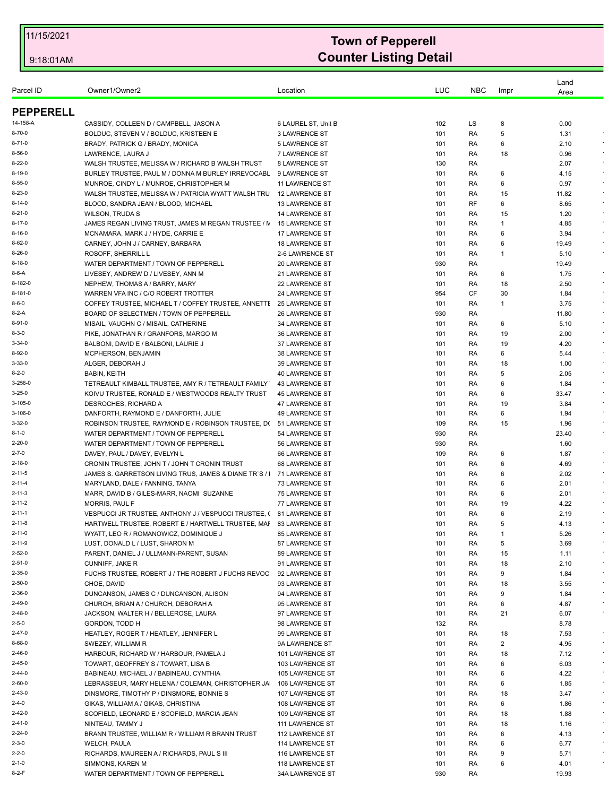| Parcel ID        | Owner1/Owner2                                                                                                | Location              | LUC        | <b>NBC</b> | Impr | Land<br>Area  |                     |
|------------------|--------------------------------------------------------------------------------------------------------------|-----------------------|------------|------------|------|---------------|---------------------|
| <b>PEPPERELL</b> |                                                                                                              |                       |            |            |      |               |                     |
| 14-158-A         | CASSIDY, COLLEEN D / CAMPBELL, JASON A                                                                       | 6 LAUREL ST, Unit B   | 102        | LS         | 8    | 0.00          |                     |
| 8-70-0           | BOLDUC, STEVEN V / BOLDUC, KRISTEEN E                                                                        | <b>3 LAWRENCE ST</b>  | 101        | RA         | 5    | 1.31          |                     |
| 8-71-0           | BRADY, PATRICK G / BRADY, MONICA                                                                             | <b>5 LAWRENCE ST</b>  | 101        | RA         | 6    | 2.10          |                     |
| 8-56-0           | LAWRENCE, LAURA J                                                                                            | 7 LAWRENCE ST         | 101        | RA         | 18   | 0.96          |                     |
| 8-22-0           | WALSH TRUSTEE, MELISSA W / RICHARD B WALSH TRUST                                                             | 8 LAWRENCE ST         | 130        | RA         |      | 2.07          | $\sim$              |
| 8-19-0           | BURLEY TRUSTEE, PAUL M / DONNA M BURLEY IRREVOCABL                                                           | 9 LAWRENCE ST         | 101        | RA         | 6    | 4.15          |                     |
| 8-55-0           | MUNROE, CINDY L / MUNROE, CHRISTOPHER M                                                                      | 11 LAWRENCE ST        | 101        | RA         | 6    | 0.97          | $\sim$              |
| 8-23-0           | WALSH TRUSTEE, MELISSA W / PATRICIA WYATT WALSH TRU                                                          | <b>12 LAWRENCE ST</b> | 101        | RA         | 15   | 11.82         | $\bullet$           |
| 8-14-0           | BLOOD, SANDRA JEAN / BLOOD, MICHAEL                                                                          | <b>13 LAWRENCE ST</b> | 101        | RF         | 6    | 8.65          |                     |
| 8-21-0           | <b>WILSON, TRUDAS</b>                                                                                        | <b>14 LAWRENCE ST</b> | 101        | RA         | 15   | 1.20          |                     |
| 8-17-0           | JAMES REGAN LIVING TRUST, JAMES M REGAN TRUSTEE / N 15 LAWRENCE ST                                           |                       | 101        | RA         | 1    | 4.85          | $\bullet$           |
| 8-16-0           | MCNAMARA, MARK J / HYDE, CARRIE E                                                                            | 17 LAWRENCE ST        | 101        | RA         | 6    | 3.94          | $\star$             |
| 8-62-0           | CARNEY, JOHN J / CARNEY, BARBARA                                                                             | <b>18 LAWRENCE ST</b> | 101        | RA         | 6    | 19.49         |                     |
| 8-26-0           | ROSOFF, SHERRILL L                                                                                           | 2-6 LAWRENCE ST       | 101        | RA         | 1    | 5.10          |                     |
| 8-18-0           | WATER DEPARTMENT / TOWN OF PEPPERELL                                                                         | 20 LAWRENCE ST        | 930        | RA         |      | 19.49         | $\epsilon$          |
| 8-6-A            | LIVESEY, ANDREW D / LIVESEY, ANN M                                                                           | 21 LAWRENCE ST        | 101        | RA         | 6    | 1.75          |                     |
| 8-182-0          | NEPHEW, THOMAS A / BARRY, MARY                                                                               | 22 LAWRENCE ST        | 101        | RA         | 18   | 2.50          | $\sim$              |
| 8-181-0<br>8-6-0 | WARREN VFA INC / C/O ROBERT TROTTER                                                                          | 24 LAWRENCE ST        | 954        | CF         | 30   | 1.84          | $\epsilon$          |
| 8-2-A            | COFFEY TRUSTEE, MICHAEL T / COFFEY TRUSTEE, ANNETTI 25 LAWRENCE ST<br>BOARD OF SELECTMEN / TOWN OF PEPPERELL | 26 LAWRENCE ST        | 101<br>930 | RA<br>RA   | 1    | 3.75          |                     |
| 8-91-0           | MISAIL, VAUGHN C / MISAIL, CATHERINE                                                                         | <b>34 LAWRENCE ST</b> | 101        | RA         | 6    | 11.80<br>5.10 | $\sim$              |
| 8-3-0            | PIKE, JONATHAN R / GRANFORS, MARGO M                                                                         | 36 LAWRENCE ST        | 101        | RA         | 19   | 2.00          | $\epsilon$          |
| 3-34-0           | BALBONI, DAVID E / BALBONI, LAURIE J                                                                         | 37 LAWRENCE ST        | 101        | RA         | 19   | 4.20          | $\sim$              |
| 8-92-0           | MCPHERSON, BENJAMIN                                                                                          | 38 LAWRENCE ST        | 101        | RA         | 6    | 5.44          |                     |
| 3-33-0           | ALGER, DEBORAH J                                                                                             | 39 LAWRENCE ST        | 101        | RA         | 18   | 1.00          |                     |
| 8-2-0            | <b>BABIN, KEITH</b>                                                                                          | <b>40 LAWRENCE ST</b> | 101        | RA         | 5    | 2.05          | $\sim$              |
| 3-256-0          | TETREAULT KIMBALL TRUSTEE, AMY R / TETREAULT FAMILY                                                          | <b>43 LAWRENCE ST</b> | 101        | RA         | 6    | 1.84          | $\sim$              |
| 3-25-0           | KOIVU TRUSTEE, RONALD E / WESTWOODS REALTY TRUST                                                             | <b>45 LAWRENCE ST</b> | 101        | RA         | 6    | 33.47         |                     |
| 3-105-0          | DESROCHES, RICHARD A                                                                                         | 47 LAWRENCE ST        | 101        | RA         | 19   | 3.84          |                     |
| 3-106-0          | DANFORTH, RAYMOND E / DANFORTH, JULIE                                                                        | <b>49 LAWRENCE ST</b> | 101        | RA         | 6    | 1.94          | $\sim$              |
| 3-32-0           | ROBINSON TRUSTEE, RAYMOND E / ROBINSON TRUSTEE, D( 51 LAWRENCE ST                                            |                       | 109        | RA         | 15   | 1.96          | $\epsilon$          |
| $8 - 1 - 0$      | WATER DEPARTMENT / TOWN OF PEPPERELL                                                                         | 54 LAWRENCE ST        | 930        | RA         |      | 23.40         |                     |
| 2-20-0           | WATER DEPARTMENT / TOWN OF PEPPERELL                                                                         | 56 LAWRENCE ST        | 930        | RA         |      | 1.60          |                     |
| 2-7-0            | DAVEY, PAUL / DAVEY, EVELYN L                                                                                | 66 LAWRENCE ST        | 109        | RA         | 6    | 1.87          |                     |
| 2-18-0           | CRONIN TRUSTEE, JOHN T / JOHN T CRONIN TRUST                                                                 | 68 LAWRENCE ST        | 101        | RA         | 6    | 4.69          |                     |
| 2-11-5           | JAMES S. GARRETSON LIVING TRUS. JAMES & DIANE TR`S /                                                         | 71 LAWRENCE ST        | 101        | RA         | 6    | 2.02          | $\epsilon$          |
| 2-11-4           | MARYLAND, DALE / FANNING, TANYA                                                                              | <b>73 LAWRENCE ST</b> | 101        | RA         | 6    | 2.01          | $\sim$              |
| 2-11-3           | MARR, DAVID B / GILES-MARR, NAOMI SUZANNE                                                                    | <b>75 LAWRENCE ST</b> | 101        | RA         | 6    | 2.01          | $\sim$              |
| 2-11-2           | <b>MORRIS, PAUL F</b>                                                                                        | 77 LAWRENCE ST        | 101        | RA         | 19   | 4.22          |                     |
| 2-11-1           | VESPUCCI JR TRUSTEE, ANTHONY J / VESPUCCI TRUSTEE, (                                                         | <b>81 LAWRENCE ST</b> | 101        | RA         | 6    | 2.19          |                     |
| 2-11-8           | HARTWELL TRUSTEE, ROBERT E / HARTWELL TRUSTEE, MAI                                                           | <b>83 LAWRENCE ST</b> | 101        | RA         | 5    | 4.13          |                     |
| 2-11-0           | WYATT, LEO R / ROMANOWICZ, DOMINIQUE J                                                                       | 85 LAWRENCE ST        | 101        | RA         | 1    | 5.26          |                     |
| 2-11-9           | LUST, DONALD L / LUST, SHARON M                                                                              | 87 LAWRENCE ST        | 101        | RA         | 5    | 3.69          | $\epsilon$          |
| 2-52-0           | PARENT, DANIEL J / ULLMANN-PARENT, SUSAN                                                                     | 89 LAWRENCE ST        | 101        | RA         | 15   | 1.11          |                     |
| 2-51-0           | CUNNIFF, JAKE R                                                                                              | 91 LAWRENCE ST        | 101        | RA         | 18   | 2.10          |                     |
| 2-35-0           | FUCHS TRUSTEE, ROBERT J / THE ROBERT J FUCHS REVOC                                                           | 92 LAWRENCE ST        | 101        | RA         | 9    | 1.84          | $\star$             |
| 2-50-0           | CHOE, DAVID                                                                                                  | 93 LAWRENCE ST        | 101        | RA         | 18   | 3.55          |                     |
| 2-36-0           | DUNCANSON, JAMES C / DUNCANSON, ALISON                                                                       | 94 LAWRENCE ST        | 101        | RA         | 9    | 1.84          | $\bullet$           |
| 2-49-0           | CHURCH, BRIAN A / CHURCH, DEBORAH A                                                                          | 95 LAWRENCE ST        | 101        | RA         | 6    | 4.87          | $\epsilon$          |
| 2-48-0           | JACKSON, WALTER H / BELLEROSE, LAURA                                                                         | 97 LAWRENCE ST        | 101        | RA         | 21   | 6.07          | $\epsilon$          |
| 2-5-0            | GORDON, TODD H                                                                                               | 98 LAWRENCE ST        | 132        | RA         |      | 8.78          |                     |
| 2-47-0           | HEATLEY, ROGER T / HEATLEY, JENNIFER L                                                                       | 99 LAWRENCE ST        | 101        | RA         | 18   | 7.53          |                     |
| 8-68-0           | SWEZEY, WILLIAM R                                                                                            | 9A LAWRENCE ST        | 101        | RA         | 2    | 4.95          | $\sim$<br>$\bullet$ |
| 2-46-0           | HARBOUR, RICHARD W / HARBOUR, PAMELA J                                                                       | 101 LAWRENCE ST       | 101        | RA         | 18   | 7.12          | $\bullet$           |
| 2-45-0<br>2-44-0 | TOWART, GEOFFREY S / TOWART, LISA B                                                                          | 103 LAWRENCE ST       | 101        | RA         | 6    | 6.03          | $\sim$              |
| 2-60-0           | BABINEAU, MICHAEL J / BABINEAU, CYNTHIA                                                                      | 105 LAWRENCE ST       | 101        | RA         | 6    | 4.22          | $\star$             |
|                  | LEBRASSEUR, MARY HELENA / COLEMAN, CHRISTOPHER JA                                                            | 106 LAWRENCE ST       | 101        | RA         | 6    | 1.85          | $\bullet$           |
| 2-43-0           | DINSMORE, TIMOTHY P / DINSMORE, BONNIE S                                                                     | 107 LAWRENCE ST       | 101        | RA         | 18   | 3.47          | $\epsilon$          |
| 2-4-0            | GIKAS, WILLIAM A / GIKAS, CHRISTINA                                                                          | 108 LAWRENCE ST       | 101        | RA         | 6    | 1.86          |                     |
| 2-42-0           | SCOFIELD, LEONARD E / SCOFIELD, MARCIA JEAN                                                                  | 109 LAWRENCE ST       | 101        | RA         | 18   | 1.88          | $\sim$              |
| 2-41-0           | NINTEAU, TAMMY J                                                                                             | 111 LAWRENCE ST       | 101        | RA         | 18   | 1.16          |                     |
| 2-24-0           | BRANN TRUSTEE, WILLIAM R / WILLIAM R BRANN TRUST                                                             | 112 LAWRENCE ST       | 101        | RA         | 6    | 4.13          | $\sim$              |
| 2-3-0            | <b>WELCH, PAULA</b>                                                                                          | 114 LAWRENCE ST       | 101        | RA         | 6    | 6.77          |                     |
| 2-2-0            | RICHARDS, MAUREEN A / RICHARDS, PAUL S III                                                                   | 116 LAWRENCE ST       | 101        | RA         | 9    | 5.71          | $\sim$              |
| 2-1-0            | SIMMONS, KAREN M                                                                                             | 118 LAWRENCE ST       | 101        | RA         | 6    | 4.01          |                     |
| 8-2-F            | WATER DEPARTMENT / TOWN OF PEPPERELL                                                                         | 34A LAWRENCE ST       | 930        | RA         |      | 19.93         |                     |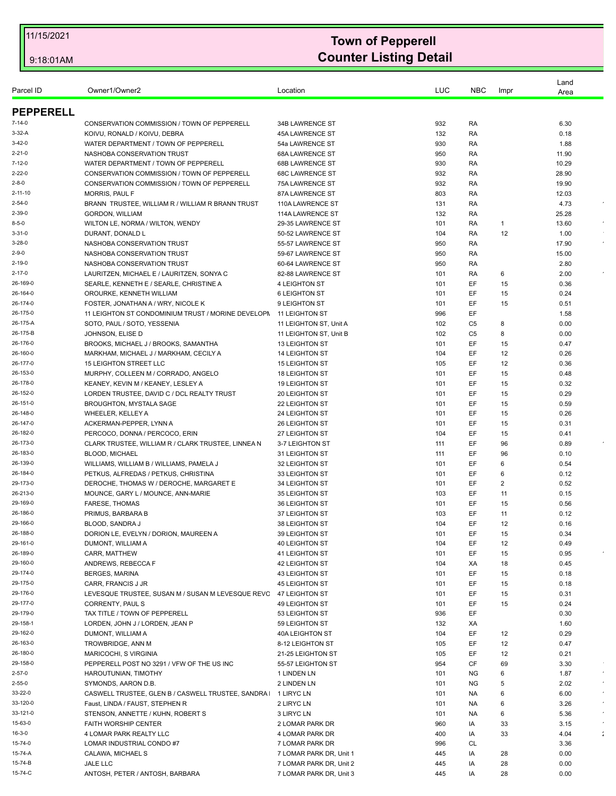| Parcel ID            | Owner1/Owner2                                                                    | Location                                       | LUC        | <b>NBC</b> | Impr     | Land<br>Area |            |
|----------------------|----------------------------------------------------------------------------------|------------------------------------------------|------------|------------|----------|--------------|------------|
| <b>PEPPERELL</b>     |                                                                                  |                                                |            |            |          |              |            |
| $7 - 14 - 0$         | CONSERVATION COMMISSION / TOWN OF PEPPERELL                                      | 34B LAWRENCE ST                                | 932        | RA         |          | 6.30         |            |
| $3-32-A$             | KOIVU, RONALD / KOIVU, DEBRA                                                     | <b>45A LAWRENCE ST</b>                         | 132        | RA         |          | 0.18         |            |
| $3-42-0$             | WATER DEPARTMENT / TOWN OF PEPPERELL                                             | 54a LAWRENCE ST                                | 930        | RA         |          | 1.88         |            |
| $2 - 21 - 0$         | NASHOBA CONSERVATION TRUST                                                       | 68A LAWRENCE ST                                | 950        | RA         |          | 11.90        |            |
| $7 - 12 - 0$         | WATER DEPARTMENT / TOWN OF PEPPERELL                                             | 68B LAWRENCE ST                                | 930        | RA         |          | 10.29        |            |
| $2 - 22 - 0$         | CONSERVATION COMMISSION / TOWN OF PEPPERELL                                      | <b>68C LAWRENCE ST</b>                         | 932        | RA         |          | 28.90        |            |
| 2-8-0                | CONSERVATION COMMISSION / TOWN OF PEPPERELL                                      | 75A LAWRENCE ST                                | 932        | RA         |          | 19.90        |            |
| 2-11-10              | <b>MORRIS, PAUL F</b>                                                            | 87A LAWRENCE ST                                | 803        | RA         |          | 12.03        |            |
| $2 - 54 - 0$         | BRANN TRUSTEE, WILLIAM R / WILLIAM R BRANN TRUST                                 | 110A LAWRENCE ST                               | 131        | RA         |          | 4.73         |            |
| 2-39-0               | GORDON, WILLIAM                                                                  | 114A LAWRENCE ST                               | 132        | RA         |          | 25.28        |            |
| 8-5-0                | WILTON LE, NORMA / WILTON, WENDY                                                 | 29-35 LAWRENCE ST                              | 101        | RA         | -1       | 13.60        |            |
| $3 - 31 - 0$         | DURANT, DONALD L                                                                 | 50-52 LAWRENCE ST                              | 104        | RA         | 12       | 1.00         |            |
| 3-28-0               | NASHOBA CONSERVATION TRUST                                                       | 55-57 LAWRENCE ST                              | 950        | RA         |          | 17.90        | $\sim$     |
| 2-9-0                | NASHOBA CONSERVATION TRUST                                                       | 59-67 LAWRENCE ST                              | 950        | RA         |          | 15.00        |            |
| 2-19-0               | NASHOBA CONSERVATION TRUST                                                       | 60-64 LAWRENCE ST                              | 950        | RA         |          | 2.80         |            |
| 2-17-0               | LAURITZEN, MICHAEL E / LAURITZEN, SONYA C                                        | 82-88 LAWRENCE ST                              | 101        | RA         | 6        | 2.00         |            |
| 26-169-0             | SEARLE, KENNETH E / SEARLE, CHRISTINE A                                          | <b>4 LEIGHTON ST</b>                           | 101        | EF         | 15       | 0.36         |            |
| 26-164-0             | OROURKE, KENNETH WILLIAM                                                         | <b>6 LEIGHTON ST</b>                           | 101        | EF         | 15       | 0.24         |            |
| 26-174-0             | FOSTER. JONATHAN A / WRY. NICOLE K                                               | 9 LEIGHTON ST                                  | 101        | EF         | 15       | 0.51         |            |
| 26-175-0             | 11 LEIGHTON ST CONDOMINIUM TRUST / MORINE DEVELOPN                               | 11 LEIGHTON ST                                 | 996        | EF         |          | 1.58         |            |
| 26-175-A             | SOTO, PAUL / SOTO, YESSENIA                                                      | 11 LEIGHTON ST, Unit A                         | 102        | C5         | 8        | 0.00         |            |
| 26-175-B             | JOHNSON, ELISE D                                                                 | 11 LEIGHTON ST, Unit B                         | 102        | C5         | 8        | 0.00         |            |
| 26-176-0             | BROOKS, MICHAEL J / BROOKS, SAMANTHA                                             | 13 LEIGHTON ST                                 | 101        | EF         | 15       | 0.47         |            |
| 26-160-0             | MARKHAM, MICHAEL J / MARKHAM, CECILY A                                           | <b>14 LEIGHTON ST</b>                          | 104        | EF         | 12       | 0.26         |            |
| 26-177-0             | <b>15 LEIGHTON STREET LLC</b>                                                    | <b>15 LEIGHTON ST</b>                          | 105        | EF         | 12       | 0.36         |            |
| 26-153-0<br>26-178-0 | MURPHY, COLLEEN M / CORRADO, ANGELO                                              | <b>18 LEIGHTON ST</b><br><b>19 LEIGHTON ST</b> | 101<br>101 | EF<br>EF   | 15<br>15 | 0.48<br>0.32 |            |
| 26-152-0             | KEANEY, KEVIN M / KEANEY, LESLEY A<br>LORDEN TRUSTEE, DAVID C / DCL REALTY TRUST | 20 LEIGHTON ST                                 | 101        | EF         | 15       | 0.29         |            |
| 26-151-0             | BROUGHTON, MYSTALA SAGE                                                          | 22 LEIGHTON ST                                 | 101        | EF         | 15       | 0.59         |            |
| 26-148-0             | <b>WHEELER, KELLEY A</b>                                                         | 24 LEIGHTON ST                                 | 101        | EF         | 15       | 0.26         |            |
| 26-147-0             | ACKERMAN-PEPPER, LYNN A                                                          | 26 LEIGHTON ST                                 | 101        | EF         | 15       | 0.31         |            |
| 26-182-0             | PERCOCO, DONNA / PERCOCO, ERIN                                                   | 27 LEIGHTON ST                                 | 104        | EF         | 15       | 0.41         |            |
| 26-173-0             | CLARK TRUSTEE, WILLIAM R / CLARK TRUSTEE, LINNEA N                               | 3-7 LEIGHTON ST                                | 111        | EF         | 96       | 0.89         |            |
| 26-183-0             | <b>BLOOD, MICHAEL</b>                                                            | 31 LEIGHTON ST                                 | 111        | EF         | 96       | 0.10         |            |
| 26-139-0             | WILLIAMS, WILLIAM B / WILLIAMS, PAMELA J                                         | 32 LEIGHTON ST                                 | 101        | EF         | 6        | 0.54         |            |
| 26-184-0             | PETKUS, ALFREDAS / PETKUS, CHRISTINA                                             | 33 LEIGHTON ST                                 | 101        | EF         | 6        | 0.12         |            |
| 29-173-0             | DEROCHE. THOMAS W / DEROCHE. MARGARET E                                          | 34 LEIGHTON ST                                 | 101        | EF         | 2        | 0.52         |            |
| 26-213-0             | MOUNCE, GARY L / MOUNCE, ANN-MARIE                                               | 35 LEIGHTON ST                                 | 103        | EF         | 11       | 0.15         |            |
| 29-169-0             | <b>FARESE. THOMAS</b>                                                            | 36 LEIGHTON ST                                 | 101        | EF         | 15       | 0.56         |            |
| 26-186-0             | PRIMUS, BARBARA B                                                                | 37 LEIGHTON ST                                 | 103        | EF         | 11       | 0.12         |            |
| 29-166-0             | <b>BLOOD, SANDRA J</b>                                                           | 38 LEIGHTON ST                                 | 104        | EF         | 12       | 0.16         |            |
| 26-188-0             | DORION LE, EVELYN / DORION, MAUREEN A                                            | 39 LEIGHTON ST                                 | 101        | EF         | 15       | 0.34         |            |
| 29-161-0             | DUMONT, WILLIAM A                                                                | <b>40 LEIGHTON ST</b>                          | 104        | EF         | 12       | 0.49         |            |
| 26-189-0             | CARR, MATTHEW                                                                    | 41 LEIGHTON ST                                 | 101        | EF         | 15       | 0.95         |            |
| 29-160-0             | ANDREWS, REBECCA F                                                               | 42 LEIGHTON ST                                 | 104        | ХA<br>EF   | 18       | 0.45         |            |
| 29-174-0<br>29-175-0 | <b>BERGES, MARINA</b><br>CARR. FRANCIS J JR                                      | <b>43 LEIGHTON ST</b>                          | 101        | EF.        | 15       | 0.18         |            |
| 29-176-0             | LEVESQUE TRUSTEE, SUSAN M / SUSAN M LEVESQUE REVC                                | <b>45 LEIGHTON ST</b><br><b>47 LEIGHTON ST</b> | 101<br>101 | EF         | 15<br>15 | 0.18<br>0.31 |            |
| 29-177-0             | CORRENTY, PAUL S                                                                 | <b>49 LEIGHTON ST</b>                          | 101        | EF         | 15       | 0.24         |            |
| 29-179-0             | TAX TITLE / TOWN OF PEPPERELL                                                    | 53 LEIGHTON ST                                 | 936        | EF.        |          | 0.30         |            |
| 29-158-1             | LORDEN, JOHN J / LORDEN, JEAN P                                                  | 59 LEIGHTON ST                                 | 132        | ХA         |          | 1.60         |            |
| 29-162-0             | DUMONT, WILLIAM A                                                                | 40A LEIGHTON ST                                | 104        | EF         | 12       | 0.29         |            |
| 26-163-0             | TROWBRIDGE, ANN M                                                                | 8-12 LEIGHTON ST                               | 105        | EF         | 12       | 0.47         |            |
| 26-180-0             | MARICOCHI, S VIRGINIA                                                            | 21-25 LEIGHTON ST                              | 105        | EF         | 12       | 0.21         |            |
| 29-158-0             | PEPPERELL POST NO 3291 / VFW OF THE US INC                                       | 55-57 LEIGHTON ST                              | 954        | CF         | 69       | 3.30         |            |
| $2 - 57 - 0$         | HAROUTUNIAN, TIMOTHY                                                             | 1 LINDEN LN                                    | 101        | NG         | 6        | 1.87         | $\epsilon$ |
| $2 - 55 - 0$         | SYMONDS, AARON D.B.                                                              | 2 LINDEN LN                                    | 101        | ΝG         | 5        | 2.02         | $\epsilon$ |
| 33-22-0              | CASWELL TRUSTEE, GLEN B / CASWELL TRUSTEE, SANDRA                                | 1 LIRYC LN                                     | 101        | NA.        | 6        | 6.00         |            |
| 33-120-0             | Faust, LINDA / FAUST, STEPHEN R                                                  | 2 LIRYC LN                                     | 101        | NA.        | 6        | 3.26         |            |
| 33-121-0             | STENSON, ANNETTE / KUHN, ROBERT S                                                | 3 LIRYC LN                                     | 101        | NA         | 6        | 5.36         | $\epsilon$ |
| 15-63-0              | <b>FAITH WORSHIP CENTER</b>                                                      | 2 LOMAR PARK DR                                | 960        | IA         | 33       | 3.15         |            |
| $16 - 3 - 0$         | 4 LOMAR PARK REALTY LLC                                                          | 4 LOMAR PARK DR                                | 400        | IA         | 33       | 4.04         | ÷          |
| 15-74-0              | LOMAR INDUSTRIAL CONDO#7                                                         | 7 LOMAR PARK DR                                | 996        | <b>CL</b>  |          | 3.36         |            |
| 15-74-A              | CALAWA, MICHAEL S                                                                | 7 LOMAR PARK DR, Unit 1                        | 445        | IA         | 28       | 0.00         |            |
| 15-74-B              | JALE LLC                                                                         | 7 LOMAR PARK DR, Unit 2                        | 445        | IA         | 28       | 0.00         |            |
| 15-74-C              | ANTOSH, PETER / ANTOSH, BARBARA                                                  | 7 LOMAR PARK DR, Unit 3                        | 445        | IA         | 28       | 0.00         |            |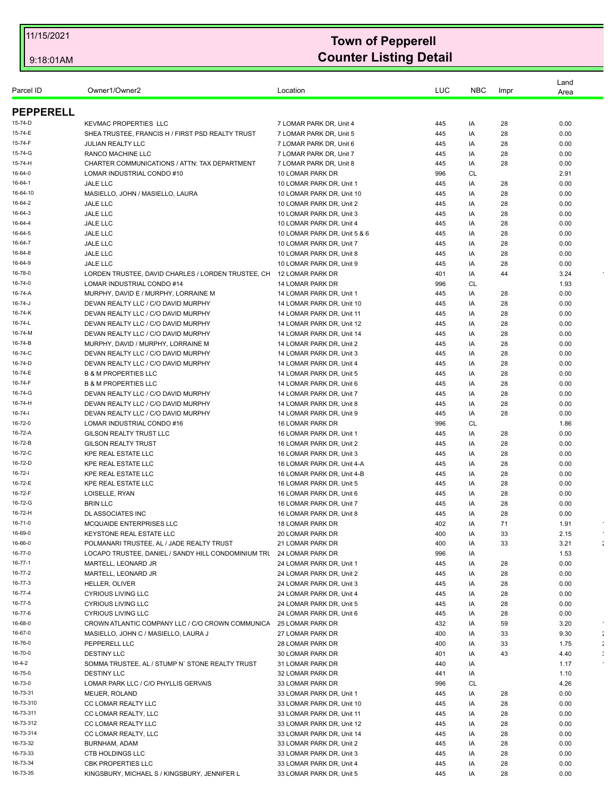| <b>KEVMAC PROPERTIES LLC</b><br>7 LOMAR PARK DR, Unit 4<br>445<br>0.00<br>IA<br>28<br>SHEA TRUSTEE, FRANCIS H / FIRST PSD REALTY TRUST<br>28<br>7 LOMAR PARK DR. Unit 5<br>445<br>IA<br>0.00<br><b>JULIAN REALTY LLC</b><br>445<br>IA<br>28<br>0.00<br>7 LOMAR PARK DR, Unit 6<br>RANCO MACHINE LLC<br>28<br>0.00<br>7 LOMAR PARK DR, Unit 7<br>445<br>IA<br>28<br>CHARTER COMMUNICATIONS / ATTN: TAX DEPARTMENT<br>7 LOMAR PARK DR, Unit 8<br>445<br>IA<br>0.00<br>LOMAR INDUSTRIAL CONDO #10<br>10 LOMAR PARK DR<br>996<br><b>CL</b><br>2.91<br><b>JALE LLC</b><br>10 LOMAR PARK DR, Unit 1<br>0.00<br>445<br>IA<br>28<br>MASIELLO, JOHN / MASIELLO, LAURA<br>28<br>0.00<br>10 LOMAR PARK DR, Unit 10<br>445<br>IA<br>JALE LLC<br>10 LOMAR PARK DR, Unit 2<br>445<br>IA<br>28<br>0.00<br>JALE LLC<br>10 LOMAR PARK DR, Unit 3<br>IA<br>28<br>0.00<br>445<br>16-64-4<br>JALE LLC<br>10 LOMAR PARK DR. Unit 4<br>28<br>445<br>IA<br>0.00<br>16-64-5<br>JALE LLC<br>10 LOMAR PARK DR, Unit 5 & 6<br>IA<br>28<br>0.00<br>445<br>16-64-7<br>JALE LLC<br>10 LOMAR PARK DR, Unit 7<br>0.00<br>445<br>IA<br>28<br>16-64-8<br>JALE LLC<br>10 LOMAR PARK DR, Unit 8<br>IA<br>28<br>0.00<br>445<br>16-64-9<br>JALE LLC<br>10 LOMAR PARK DR, Unit 9<br>IA<br>28<br>0.00<br>445<br>16-78-0<br>12 LOMAR PARK DR<br>3.24<br>LORDEN TRUSTEE, DAVID CHARLES / LORDEN TRUSTEE, CH<br>401<br>IA<br>44<br>16-74-0<br>LOMAR INDUSTRIAL CONDO #14<br>14 LOMAR PARK DR<br>996<br><b>CL</b><br>1.93<br>16-74-A<br>MURPHY, DAVID E / MURPHY, LORRAINE M<br>14 LOMAR PARK DR, Unit 1<br>445<br>IA<br>28<br>0.00<br>16-74-J<br>DEVAN REALTY LLC / C/O DAVID MURPHY<br>14 LOMAR PARK DR, Unit 10<br>28<br>0.00<br>445<br>IA<br>16-74-K<br>DEVAN REALTY LLC / C/O DAVID MURPHY<br>14 LOMAR PARK DR, Unit 11<br>IA<br>28<br>0.00<br>445<br>16-74-L<br>0.00<br>DEVAN REALTY LLC / C/O DAVID MURPHY<br>14 LOMAR PARK DR, Unit 12<br>445<br>IA<br>28<br>16-74-M<br>DEVAN REALTY LLC / C/O DAVID MURPHY<br>14 LOMAR PARK DR. Unit 14<br>28<br>0.00<br>445<br>IA<br>16-74-B<br>MURPHY, DAVID / MURPHY, LORRAINE M<br>14 LOMAR PARK DR, Unit 2<br>IA<br>28<br>0.00<br>445<br>16-74-C<br>DEVAN REALTY LLC / C/O DAVID MURPHY<br>14 LOMAR PARK DR, Unit 3<br>445<br>IA<br>28<br>0.00<br>16-74-D<br>DEVAN REALTY LLC / C/O DAVID MURPHY<br>14 LOMAR PARK DR, Unit 4<br>445<br>IA<br>28<br>0.00<br><b>B &amp; M PROPERTIES LLC</b><br>14 LOMAR PARK DR, Unit 5<br>445<br>IA<br>28<br>0.00<br><b>B &amp; M PROPERTIES LLC</b><br>14 LOMAR PARK DR, Unit 6<br>IA<br>28<br>0.00<br>445<br>DEVAN REALTY LLC / C/O DAVID MURPHY<br>14 LOMAR PARK DR, Unit 7<br>445<br>IA<br>28<br>0.00<br>DEVAN REALTY LLC / C/O DAVID MURPHY<br>14 LOMAR PARK DR, Unit 8<br>0.00<br>445<br>IA<br>28<br>DEVAN REALTY LLC / C/O DAVID MURPHY<br>14 LOMAR PARK DR, Unit 9<br>28<br>0.00<br>445<br>IA<br>LOMAR INDUSTRIAL CONDO #16<br>16 LOMAR PARK DR<br>996<br><b>CL</b><br>1.86<br><b>GILSON REALTY TRUST LLC</b><br>0.00<br>16 LOMAR PARK DR, Unit 1<br>445<br>IA<br>28<br><b>GILSON REALTY TRUST</b><br>16 LOMAR PARK DR, Unit 2<br>IA<br>28<br>0.00<br>445<br>KPE REAL ESTATE LLC<br>16 LOMAR PARK DR, Unit 3<br>28<br>0.00<br>445<br>IA<br><b>KPE REAL ESTATE LLC</b><br>16 LOMAR PARK DR, Unit 4-A<br>445<br>IA<br>28<br>0.00<br><b>KPE REAL ESTATE LLC</b><br>16 LOMAR PARK DR, Unit 4-B<br>IA<br>28<br>0.00<br>445<br><b>KPE REAL ESTATE LLC</b><br>16 LOMAR PARK DR, Unit 5<br>28<br>0.00<br>445<br>IA<br>LOISELLE, RYAN<br>28<br>0.00<br>16 LOMAR PARK DR, Unit 6<br>445<br>IA<br><b>BRIN LLC</b><br>16 LOMAR PARK DR, Unit 7<br>IA<br>28<br>0.00<br>445<br>16-72-H<br>28<br>DL ASSOCIATES INC<br>16 LOMAR PARK DR, Unit 8<br>445<br>IA<br>0.00<br>16-71-0<br>18 LOMAR PARK DR<br>402<br>MCQUAIDE ENTERPRISES LLC<br>IA<br>71<br>1.91<br>16-69-0<br>KEYSTONE REAL ESTATE LLC<br>20 LOMAR PARK DR<br>400<br>IA<br>33<br>2.15<br>16-66-0<br>÷<br>IA<br>33<br>3.21<br>POLMANARI TRUSTEE, AL / JADE REALTY TRUST<br>21 LOMAR PARK DR<br>400<br>16-77-0<br>LOCAPO TRUSTEE, DANIEL / SANDY HILL CONDOMINIUM TRU<br>24 LOMAR PARK DR<br>996<br>IA<br>1.53<br>16-77-1<br>MARTELL, LEONARD JR<br>24 LOMAR PARK DR, Unit 1<br>445<br>IA<br>28<br>0.00<br>16-77-2<br>28<br>0.00<br>MARTELL, LEONARD JR<br>24 LOMAR PARK DR, Unit 2<br>445<br>IA<br>16-77-3<br>HELLER, OLIVER<br>24 LOMAR PARK DR, Unit 3<br>445<br>IA<br>28<br>0.00<br>16-77-4<br><b>CYRIOUS LIVING LLC</b><br>IA<br>0.00<br>24 LOMAR PARK DR, Unit 4<br>445<br>28<br>16-77-5<br><b>CYRIOUS LIVING LLC</b><br>24 LOMAR PARK DR, Unit 5<br>28<br>445<br>IA<br>0.00<br>16-77-6<br><b>CYRIOUS LIVING LLC</b><br>24 LOMAR PARK DR, Unit 6<br>445<br>IA<br>28<br>0.00<br>16-68-0<br>CROWN ATLANTIC COMPANY LLC / C/O CROWN COMMUNICA<br>25 LOMAR PARK DR<br>432<br>IA<br>59<br>3.20<br>16-67-0<br>MASIELLO, JOHN C / MASIELLO, LAURA J<br>33<br>$\ddot{\phantom{a}}$<br>27 LOMAR PARK DR<br>400<br>IA<br>9.30<br>16-76-0<br>PEPPERELL LLC<br>400<br>IA<br>33<br>$\ddot{\phantom{a}}$<br>28 LOMAR PARK DR<br>1.75<br>16-70-0<br>43<br><b>DESTINY LLC</b><br>30 LOMAR PARK DR<br>401<br>IA<br>4.40<br>16-4-2<br>IA<br>SOMMA TRUSTEE, AL / STUMP N' STONE REALTY TRUST<br>31 LOMAR PARK DR<br>440<br>1.17<br>16-75-0<br><b>DESTINY LLC</b><br>32 LOMAR PARK DR<br>441<br>IA<br>1.10<br>16-73-0<br>LOMAR PARK LLC / C/O PHYLLIS GERVAIS<br>33 LOMAR PARK DR<br>996<br>CL<br>4.26<br>16-73-31<br>MEIJER, ROLAND<br>445<br>IA<br>0.00<br>33 LOMAR PARK DR, Unit 1<br>28<br>16-73-310<br>CC LOMAR REALTY LLC<br>IA<br>28<br>0.00<br>33 LOMAR PARK DR, Unit 10<br>445<br>16-73-311<br>CC LOMAR REALTY, LLC<br>33 LOMAR PARK DR, Unit 11<br>28<br>0.00<br>445<br>IA<br>16-73-312<br>CC LOMAR REALTY LLC<br>33 LOMAR PARK DR, Unit 12<br>IA<br>28<br>0.00<br>445<br>16-73-314<br>CC LOMAR REALTY, LLC<br>33 LOMAR PARK DR, Unit 14<br>0.00<br>445<br>IA<br>28<br>16-73-32<br>BURNHAM, ADAM<br>33 LOMAR PARK DR, Unit 2<br>IA<br>28<br>0.00<br>445<br>16-73-33<br><b>CTB HOLDINGS LLC</b><br>33 LOMAR PARK DR, Unit 3<br>445<br>IA<br>28<br>0.00<br>16-73-34<br><b>CBK PROPERTIES LLC</b><br>33 LOMAR PARK DR, Unit 4<br>IA<br>28<br>0.00<br>445 | Parcel ID        | Owner1/Owner2                                | Location                 | LUC | <b>NBC</b> | Impr | Land |  |
|--------------------------------------------------------------------------------------------------------------------------------------------------------------------------------------------------------------------------------------------------------------------------------------------------------------------------------------------------------------------------------------------------------------------------------------------------------------------------------------------------------------------------------------------------------------------------------------------------------------------------------------------------------------------------------------------------------------------------------------------------------------------------------------------------------------------------------------------------------------------------------------------------------------------------------------------------------------------------------------------------------------------------------------------------------------------------------------------------------------------------------------------------------------------------------------------------------------------------------------------------------------------------------------------------------------------------------------------------------------------------------------------------------------------------------------------------------------------------------------------------------------------------------------------------------------------------------------------------------------------------------------------------------------------------------------------------------------------------------------------------------------------------------------------------------------------------------------------------------------------------------------------------------------------------------------------------------------------------------------------------------------------------------------------------------------------------------------------------------------------------------------------------------------------------------------------------------------------------------------------------------------------------------------------------------------------------------------------------------------------------------------------------------------------------------------------------------------------------------------------------------------------------------------------------------------------------------------------------------------------------------------------------------------------------------------------------------------------------------------------------------------------------------------------------------------------------------------------------------------------------------------------------------------------------------------------------------------------------------------------------------------------------------------------------------------------------------------------------------------------------------------------------------------------------------------------------------------------------------------------------------------------------------------------------------------------------------------------------------------------------------------------------------------------------------------------------------------------------------------------------------------------------------------------------------------------------------------------------------------------------------------------------------------------------------------------------------------------------------------------------------------------------------------------------------------------------------------------------------------------------------------------------------------------------------------------------------------------------------------------------------------------------------------------------------------------------------------------------------------------------------------------------------------------------------------------------------------------------------------------------------------------------------------------------------------------------------------------------------------------------------------------------------------------------------------------------------------------------------------------------------------------------------------------------------------------------------------------------------------------------------------------------------------------------------------------------------------------------------------------------------------------------------------------------------------------------------------------------------------------------------------------------------------------------------------------------------------------------------------------------------------------------------------------------------------------------------------------------------------------------------------------------------------------------------------------------------------------------------------------------------------------------------------------------------------------------------------------------------------------------------------------------------------------------------------------------------------------------------------------------------------------------------------------------------------------------------------------------------------------------------------------------------------------------------------------------------------------------------------------------------------------------------------------------------------------------------------------------------------------------------------------------------------------------------------------------------------------------------------------------------------------------------------------------------------------------------------------------------------------------------------|------------------|----------------------------------------------|--------------------------|-----|------------|------|------|--|
|                                                                                                                                                                                                                                                                                                                                                                                                                                                                                                                                                                                                                                                                                                                                                                                                                                                                                                                                                                                                                                                                                                                                                                                                                                                                                                                                                                                                                                                                                                                                                                                                                                                                                                                                                                                                                                                                                                                                                                                                                                                                                                                                                                                                                                                                                                                                                                                                                                                                                                                                                                                                                                                                                                                                                                                                                                                                                                                                                                                                                                                                                                                                                                                                                                                                                                                                                                                                                                                                                                                                                                                                                                                                                                                                                                                                                                                                                                                                                                                                                                                                                                                                                                                                                                                                                                                                                                                                                                                                                                                                                                                                                                                                                                                                                                                                                                                                                                                                                                                                                                                                                                                                                                                                                                                                                                                                                                                                                                                                                                                                                                                                                                                                                                                                                                                                                                                                                                                                                                                                                                                                                                                                      |                  |                                              |                          |     |            |      | Area |  |
|                                                                                                                                                                                                                                                                                                                                                                                                                                                                                                                                                                                                                                                                                                                                                                                                                                                                                                                                                                                                                                                                                                                                                                                                                                                                                                                                                                                                                                                                                                                                                                                                                                                                                                                                                                                                                                                                                                                                                                                                                                                                                                                                                                                                                                                                                                                                                                                                                                                                                                                                                                                                                                                                                                                                                                                                                                                                                                                                                                                                                                                                                                                                                                                                                                                                                                                                                                                                                                                                                                                                                                                                                                                                                                                                                                                                                                                                                                                                                                                                                                                                                                                                                                                                                                                                                                                                                                                                                                                                                                                                                                                                                                                                                                                                                                                                                                                                                                                                                                                                                                                                                                                                                                                                                                                                                                                                                                                                                                                                                                                                                                                                                                                                                                                                                                                                                                                                                                                                                                                                                                                                                                                                      | <b>PEPPERELL</b> |                                              |                          |     |            |      |      |  |
|                                                                                                                                                                                                                                                                                                                                                                                                                                                                                                                                                                                                                                                                                                                                                                                                                                                                                                                                                                                                                                                                                                                                                                                                                                                                                                                                                                                                                                                                                                                                                                                                                                                                                                                                                                                                                                                                                                                                                                                                                                                                                                                                                                                                                                                                                                                                                                                                                                                                                                                                                                                                                                                                                                                                                                                                                                                                                                                                                                                                                                                                                                                                                                                                                                                                                                                                                                                                                                                                                                                                                                                                                                                                                                                                                                                                                                                                                                                                                                                                                                                                                                                                                                                                                                                                                                                                                                                                                                                                                                                                                                                                                                                                                                                                                                                                                                                                                                                                                                                                                                                                                                                                                                                                                                                                                                                                                                                                                                                                                                                                                                                                                                                                                                                                                                                                                                                                                                                                                                                                                                                                                                                                      | 15-74-D          |                                              |                          |     |            |      |      |  |
|                                                                                                                                                                                                                                                                                                                                                                                                                                                                                                                                                                                                                                                                                                                                                                                                                                                                                                                                                                                                                                                                                                                                                                                                                                                                                                                                                                                                                                                                                                                                                                                                                                                                                                                                                                                                                                                                                                                                                                                                                                                                                                                                                                                                                                                                                                                                                                                                                                                                                                                                                                                                                                                                                                                                                                                                                                                                                                                                                                                                                                                                                                                                                                                                                                                                                                                                                                                                                                                                                                                                                                                                                                                                                                                                                                                                                                                                                                                                                                                                                                                                                                                                                                                                                                                                                                                                                                                                                                                                                                                                                                                                                                                                                                                                                                                                                                                                                                                                                                                                                                                                                                                                                                                                                                                                                                                                                                                                                                                                                                                                                                                                                                                                                                                                                                                                                                                                                                                                                                                                                                                                                                                                      | 15-74-E          |                                              |                          |     |            |      |      |  |
|                                                                                                                                                                                                                                                                                                                                                                                                                                                                                                                                                                                                                                                                                                                                                                                                                                                                                                                                                                                                                                                                                                                                                                                                                                                                                                                                                                                                                                                                                                                                                                                                                                                                                                                                                                                                                                                                                                                                                                                                                                                                                                                                                                                                                                                                                                                                                                                                                                                                                                                                                                                                                                                                                                                                                                                                                                                                                                                                                                                                                                                                                                                                                                                                                                                                                                                                                                                                                                                                                                                                                                                                                                                                                                                                                                                                                                                                                                                                                                                                                                                                                                                                                                                                                                                                                                                                                                                                                                                                                                                                                                                                                                                                                                                                                                                                                                                                                                                                                                                                                                                                                                                                                                                                                                                                                                                                                                                                                                                                                                                                                                                                                                                                                                                                                                                                                                                                                                                                                                                                                                                                                                                                      | 15-74-F          |                                              |                          |     |            |      |      |  |
|                                                                                                                                                                                                                                                                                                                                                                                                                                                                                                                                                                                                                                                                                                                                                                                                                                                                                                                                                                                                                                                                                                                                                                                                                                                                                                                                                                                                                                                                                                                                                                                                                                                                                                                                                                                                                                                                                                                                                                                                                                                                                                                                                                                                                                                                                                                                                                                                                                                                                                                                                                                                                                                                                                                                                                                                                                                                                                                                                                                                                                                                                                                                                                                                                                                                                                                                                                                                                                                                                                                                                                                                                                                                                                                                                                                                                                                                                                                                                                                                                                                                                                                                                                                                                                                                                                                                                                                                                                                                                                                                                                                                                                                                                                                                                                                                                                                                                                                                                                                                                                                                                                                                                                                                                                                                                                                                                                                                                                                                                                                                                                                                                                                                                                                                                                                                                                                                                                                                                                                                                                                                                                                                      | 15-74-G          |                                              |                          |     |            |      |      |  |
|                                                                                                                                                                                                                                                                                                                                                                                                                                                                                                                                                                                                                                                                                                                                                                                                                                                                                                                                                                                                                                                                                                                                                                                                                                                                                                                                                                                                                                                                                                                                                                                                                                                                                                                                                                                                                                                                                                                                                                                                                                                                                                                                                                                                                                                                                                                                                                                                                                                                                                                                                                                                                                                                                                                                                                                                                                                                                                                                                                                                                                                                                                                                                                                                                                                                                                                                                                                                                                                                                                                                                                                                                                                                                                                                                                                                                                                                                                                                                                                                                                                                                                                                                                                                                                                                                                                                                                                                                                                                                                                                                                                                                                                                                                                                                                                                                                                                                                                                                                                                                                                                                                                                                                                                                                                                                                                                                                                                                                                                                                                                                                                                                                                                                                                                                                                                                                                                                                                                                                                                                                                                                                                                      | 15-74-H          |                                              |                          |     |            |      |      |  |
|                                                                                                                                                                                                                                                                                                                                                                                                                                                                                                                                                                                                                                                                                                                                                                                                                                                                                                                                                                                                                                                                                                                                                                                                                                                                                                                                                                                                                                                                                                                                                                                                                                                                                                                                                                                                                                                                                                                                                                                                                                                                                                                                                                                                                                                                                                                                                                                                                                                                                                                                                                                                                                                                                                                                                                                                                                                                                                                                                                                                                                                                                                                                                                                                                                                                                                                                                                                                                                                                                                                                                                                                                                                                                                                                                                                                                                                                                                                                                                                                                                                                                                                                                                                                                                                                                                                                                                                                                                                                                                                                                                                                                                                                                                                                                                                                                                                                                                                                                                                                                                                                                                                                                                                                                                                                                                                                                                                                                                                                                                                                                                                                                                                                                                                                                                                                                                                                                                                                                                                                                                                                                                                                      | 16-64-0          |                                              |                          |     |            |      |      |  |
|                                                                                                                                                                                                                                                                                                                                                                                                                                                                                                                                                                                                                                                                                                                                                                                                                                                                                                                                                                                                                                                                                                                                                                                                                                                                                                                                                                                                                                                                                                                                                                                                                                                                                                                                                                                                                                                                                                                                                                                                                                                                                                                                                                                                                                                                                                                                                                                                                                                                                                                                                                                                                                                                                                                                                                                                                                                                                                                                                                                                                                                                                                                                                                                                                                                                                                                                                                                                                                                                                                                                                                                                                                                                                                                                                                                                                                                                                                                                                                                                                                                                                                                                                                                                                                                                                                                                                                                                                                                                                                                                                                                                                                                                                                                                                                                                                                                                                                                                                                                                                                                                                                                                                                                                                                                                                                                                                                                                                                                                                                                                                                                                                                                                                                                                                                                                                                                                                                                                                                                                                                                                                                                                      | 16-64-1          |                                              |                          |     |            |      |      |  |
|                                                                                                                                                                                                                                                                                                                                                                                                                                                                                                                                                                                                                                                                                                                                                                                                                                                                                                                                                                                                                                                                                                                                                                                                                                                                                                                                                                                                                                                                                                                                                                                                                                                                                                                                                                                                                                                                                                                                                                                                                                                                                                                                                                                                                                                                                                                                                                                                                                                                                                                                                                                                                                                                                                                                                                                                                                                                                                                                                                                                                                                                                                                                                                                                                                                                                                                                                                                                                                                                                                                                                                                                                                                                                                                                                                                                                                                                                                                                                                                                                                                                                                                                                                                                                                                                                                                                                                                                                                                                                                                                                                                                                                                                                                                                                                                                                                                                                                                                                                                                                                                                                                                                                                                                                                                                                                                                                                                                                                                                                                                                                                                                                                                                                                                                                                                                                                                                                                                                                                                                                                                                                                                                      | 16-64-10         |                                              |                          |     |            |      |      |  |
|                                                                                                                                                                                                                                                                                                                                                                                                                                                                                                                                                                                                                                                                                                                                                                                                                                                                                                                                                                                                                                                                                                                                                                                                                                                                                                                                                                                                                                                                                                                                                                                                                                                                                                                                                                                                                                                                                                                                                                                                                                                                                                                                                                                                                                                                                                                                                                                                                                                                                                                                                                                                                                                                                                                                                                                                                                                                                                                                                                                                                                                                                                                                                                                                                                                                                                                                                                                                                                                                                                                                                                                                                                                                                                                                                                                                                                                                                                                                                                                                                                                                                                                                                                                                                                                                                                                                                                                                                                                                                                                                                                                                                                                                                                                                                                                                                                                                                                                                                                                                                                                                                                                                                                                                                                                                                                                                                                                                                                                                                                                                                                                                                                                                                                                                                                                                                                                                                                                                                                                                                                                                                                                                      | 16-64-2          |                                              |                          |     |            |      |      |  |
|                                                                                                                                                                                                                                                                                                                                                                                                                                                                                                                                                                                                                                                                                                                                                                                                                                                                                                                                                                                                                                                                                                                                                                                                                                                                                                                                                                                                                                                                                                                                                                                                                                                                                                                                                                                                                                                                                                                                                                                                                                                                                                                                                                                                                                                                                                                                                                                                                                                                                                                                                                                                                                                                                                                                                                                                                                                                                                                                                                                                                                                                                                                                                                                                                                                                                                                                                                                                                                                                                                                                                                                                                                                                                                                                                                                                                                                                                                                                                                                                                                                                                                                                                                                                                                                                                                                                                                                                                                                                                                                                                                                                                                                                                                                                                                                                                                                                                                                                                                                                                                                                                                                                                                                                                                                                                                                                                                                                                                                                                                                                                                                                                                                                                                                                                                                                                                                                                                                                                                                                                                                                                                                                      | 16-64-3          |                                              |                          |     |            |      |      |  |
|                                                                                                                                                                                                                                                                                                                                                                                                                                                                                                                                                                                                                                                                                                                                                                                                                                                                                                                                                                                                                                                                                                                                                                                                                                                                                                                                                                                                                                                                                                                                                                                                                                                                                                                                                                                                                                                                                                                                                                                                                                                                                                                                                                                                                                                                                                                                                                                                                                                                                                                                                                                                                                                                                                                                                                                                                                                                                                                                                                                                                                                                                                                                                                                                                                                                                                                                                                                                                                                                                                                                                                                                                                                                                                                                                                                                                                                                                                                                                                                                                                                                                                                                                                                                                                                                                                                                                                                                                                                                                                                                                                                                                                                                                                                                                                                                                                                                                                                                                                                                                                                                                                                                                                                                                                                                                                                                                                                                                                                                                                                                                                                                                                                                                                                                                                                                                                                                                                                                                                                                                                                                                                                                      |                  |                                              |                          |     |            |      |      |  |
|                                                                                                                                                                                                                                                                                                                                                                                                                                                                                                                                                                                                                                                                                                                                                                                                                                                                                                                                                                                                                                                                                                                                                                                                                                                                                                                                                                                                                                                                                                                                                                                                                                                                                                                                                                                                                                                                                                                                                                                                                                                                                                                                                                                                                                                                                                                                                                                                                                                                                                                                                                                                                                                                                                                                                                                                                                                                                                                                                                                                                                                                                                                                                                                                                                                                                                                                                                                                                                                                                                                                                                                                                                                                                                                                                                                                                                                                                                                                                                                                                                                                                                                                                                                                                                                                                                                                                                                                                                                                                                                                                                                                                                                                                                                                                                                                                                                                                                                                                                                                                                                                                                                                                                                                                                                                                                                                                                                                                                                                                                                                                                                                                                                                                                                                                                                                                                                                                                                                                                                                                                                                                                                                      |                  |                                              |                          |     |            |      |      |  |
|                                                                                                                                                                                                                                                                                                                                                                                                                                                                                                                                                                                                                                                                                                                                                                                                                                                                                                                                                                                                                                                                                                                                                                                                                                                                                                                                                                                                                                                                                                                                                                                                                                                                                                                                                                                                                                                                                                                                                                                                                                                                                                                                                                                                                                                                                                                                                                                                                                                                                                                                                                                                                                                                                                                                                                                                                                                                                                                                                                                                                                                                                                                                                                                                                                                                                                                                                                                                                                                                                                                                                                                                                                                                                                                                                                                                                                                                                                                                                                                                                                                                                                                                                                                                                                                                                                                                                                                                                                                                                                                                                                                                                                                                                                                                                                                                                                                                                                                                                                                                                                                                                                                                                                                                                                                                                                                                                                                                                                                                                                                                                                                                                                                                                                                                                                                                                                                                                                                                                                                                                                                                                                                                      |                  |                                              |                          |     |            |      |      |  |
|                                                                                                                                                                                                                                                                                                                                                                                                                                                                                                                                                                                                                                                                                                                                                                                                                                                                                                                                                                                                                                                                                                                                                                                                                                                                                                                                                                                                                                                                                                                                                                                                                                                                                                                                                                                                                                                                                                                                                                                                                                                                                                                                                                                                                                                                                                                                                                                                                                                                                                                                                                                                                                                                                                                                                                                                                                                                                                                                                                                                                                                                                                                                                                                                                                                                                                                                                                                                                                                                                                                                                                                                                                                                                                                                                                                                                                                                                                                                                                                                                                                                                                                                                                                                                                                                                                                                                                                                                                                                                                                                                                                                                                                                                                                                                                                                                                                                                                                                                                                                                                                                                                                                                                                                                                                                                                                                                                                                                                                                                                                                                                                                                                                                                                                                                                                                                                                                                                                                                                                                                                                                                                                                      |                  |                                              |                          |     |            |      |      |  |
|                                                                                                                                                                                                                                                                                                                                                                                                                                                                                                                                                                                                                                                                                                                                                                                                                                                                                                                                                                                                                                                                                                                                                                                                                                                                                                                                                                                                                                                                                                                                                                                                                                                                                                                                                                                                                                                                                                                                                                                                                                                                                                                                                                                                                                                                                                                                                                                                                                                                                                                                                                                                                                                                                                                                                                                                                                                                                                                                                                                                                                                                                                                                                                                                                                                                                                                                                                                                                                                                                                                                                                                                                                                                                                                                                                                                                                                                                                                                                                                                                                                                                                                                                                                                                                                                                                                                                                                                                                                                                                                                                                                                                                                                                                                                                                                                                                                                                                                                                                                                                                                                                                                                                                                                                                                                                                                                                                                                                                                                                                                                                                                                                                                                                                                                                                                                                                                                                                                                                                                                                                                                                                                                      |                  |                                              |                          |     |            |      |      |  |
|                                                                                                                                                                                                                                                                                                                                                                                                                                                                                                                                                                                                                                                                                                                                                                                                                                                                                                                                                                                                                                                                                                                                                                                                                                                                                                                                                                                                                                                                                                                                                                                                                                                                                                                                                                                                                                                                                                                                                                                                                                                                                                                                                                                                                                                                                                                                                                                                                                                                                                                                                                                                                                                                                                                                                                                                                                                                                                                                                                                                                                                                                                                                                                                                                                                                                                                                                                                                                                                                                                                                                                                                                                                                                                                                                                                                                                                                                                                                                                                                                                                                                                                                                                                                                                                                                                                                                                                                                                                                                                                                                                                                                                                                                                                                                                                                                                                                                                                                                                                                                                                                                                                                                                                                                                                                                                                                                                                                                                                                                                                                                                                                                                                                                                                                                                                                                                                                                                                                                                                                                                                                                                                                      |                  |                                              |                          |     |            |      |      |  |
|                                                                                                                                                                                                                                                                                                                                                                                                                                                                                                                                                                                                                                                                                                                                                                                                                                                                                                                                                                                                                                                                                                                                                                                                                                                                                                                                                                                                                                                                                                                                                                                                                                                                                                                                                                                                                                                                                                                                                                                                                                                                                                                                                                                                                                                                                                                                                                                                                                                                                                                                                                                                                                                                                                                                                                                                                                                                                                                                                                                                                                                                                                                                                                                                                                                                                                                                                                                                                                                                                                                                                                                                                                                                                                                                                                                                                                                                                                                                                                                                                                                                                                                                                                                                                                                                                                                                                                                                                                                                                                                                                                                                                                                                                                                                                                                                                                                                                                                                                                                                                                                                                                                                                                                                                                                                                                                                                                                                                                                                                                                                                                                                                                                                                                                                                                                                                                                                                                                                                                                                                                                                                                                                      |                  |                                              |                          |     |            |      |      |  |
|                                                                                                                                                                                                                                                                                                                                                                                                                                                                                                                                                                                                                                                                                                                                                                                                                                                                                                                                                                                                                                                                                                                                                                                                                                                                                                                                                                                                                                                                                                                                                                                                                                                                                                                                                                                                                                                                                                                                                                                                                                                                                                                                                                                                                                                                                                                                                                                                                                                                                                                                                                                                                                                                                                                                                                                                                                                                                                                                                                                                                                                                                                                                                                                                                                                                                                                                                                                                                                                                                                                                                                                                                                                                                                                                                                                                                                                                                                                                                                                                                                                                                                                                                                                                                                                                                                                                                                                                                                                                                                                                                                                                                                                                                                                                                                                                                                                                                                                                                                                                                                                                                                                                                                                                                                                                                                                                                                                                                                                                                                                                                                                                                                                                                                                                                                                                                                                                                                                                                                                                                                                                                                                                      |                  |                                              |                          |     |            |      |      |  |
|                                                                                                                                                                                                                                                                                                                                                                                                                                                                                                                                                                                                                                                                                                                                                                                                                                                                                                                                                                                                                                                                                                                                                                                                                                                                                                                                                                                                                                                                                                                                                                                                                                                                                                                                                                                                                                                                                                                                                                                                                                                                                                                                                                                                                                                                                                                                                                                                                                                                                                                                                                                                                                                                                                                                                                                                                                                                                                                                                                                                                                                                                                                                                                                                                                                                                                                                                                                                                                                                                                                                                                                                                                                                                                                                                                                                                                                                                                                                                                                                                                                                                                                                                                                                                                                                                                                                                                                                                                                                                                                                                                                                                                                                                                                                                                                                                                                                                                                                                                                                                                                                                                                                                                                                                                                                                                                                                                                                                                                                                                                                                                                                                                                                                                                                                                                                                                                                                                                                                                                                                                                                                                                                      |                  |                                              |                          |     |            |      |      |  |
|                                                                                                                                                                                                                                                                                                                                                                                                                                                                                                                                                                                                                                                                                                                                                                                                                                                                                                                                                                                                                                                                                                                                                                                                                                                                                                                                                                                                                                                                                                                                                                                                                                                                                                                                                                                                                                                                                                                                                                                                                                                                                                                                                                                                                                                                                                                                                                                                                                                                                                                                                                                                                                                                                                                                                                                                                                                                                                                                                                                                                                                                                                                                                                                                                                                                                                                                                                                                                                                                                                                                                                                                                                                                                                                                                                                                                                                                                                                                                                                                                                                                                                                                                                                                                                                                                                                                                                                                                                                                                                                                                                                                                                                                                                                                                                                                                                                                                                                                                                                                                                                                                                                                                                                                                                                                                                                                                                                                                                                                                                                                                                                                                                                                                                                                                                                                                                                                                                                                                                                                                                                                                                                                      |                  |                                              |                          |     |            |      |      |  |
|                                                                                                                                                                                                                                                                                                                                                                                                                                                                                                                                                                                                                                                                                                                                                                                                                                                                                                                                                                                                                                                                                                                                                                                                                                                                                                                                                                                                                                                                                                                                                                                                                                                                                                                                                                                                                                                                                                                                                                                                                                                                                                                                                                                                                                                                                                                                                                                                                                                                                                                                                                                                                                                                                                                                                                                                                                                                                                                                                                                                                                                                                                                                                                                                                                                                                                                                                                                                                                                                                                                                                                                                                                                                                                                                                                                                                                                                                                                                                                                                                                                                                                                                                                                                                                                                                                                                                                                                                                                                                                                                                                                                                                                                                                                                                                                                                                                                                                                                                                                                                                                                                                                                                                                                                                                                                                                                                                                                                                                                                                                                                                                                                                                                                                                                                                                                                                                                                                                                                                                                                                                                                                                                      |                  |                                              |                          |     |            |      |      |  |
|                                                                                                                                                                                                                                                                                                                                                                                                                                                                                                                                                                                                                                                                                                                                                                                                                                                                                                                                                                                                                                                                                                                                                                                                                                                                                                                                                                                                                                                                                                                                                                                                                                                                                                                                                                                                                                                                                                                                                                                                                                                                                                                                                                                                                                                                                                                                                                                                                                                                                                                                                                                                                                                                                                                                                                                                                                                                                                                                                                                                                                                                                                                                                                                                                                                                                                                                                                                                                                                                                                                                                                                                                                                                                                                                                                                                                                                                                                                                                                                                                                                                                                                                                                                                                                                                                                                                                                                                                                                                                                                                                                                                                                                                                                                                                                                                                                                                                                                                                                                                                                                                                                                                                                                                                                                                                                                                                                                                                                                                                                                                                                                                                                                                                                                                                                                                                                                                                                                                                                                                                                                                                                                                      |                  |                                              |                          |     |            |      |      |  |
|                                                                                                                                                                                                                                                                                                                                                                                                                                                                                                                                                                                                                                                                                                                                                                                                                                                                                                                                                                                                                                                                                                                                                                                                                                                                                                                                                                                                                                                                                                                                                                                                                                                                                                                                                                                                                                                                                                                                                                                                                                                                                                                                                                                                                                                                                                                                                                                                                                                                                                                                                                                                                                                                                                                                                                                                                                                                                                                                                                                                                                                                                                                                                                                                                                                                                                                                                                                                                                                                                                                                                                                                                                                                                                                                                                                                                                                                                                                                                                                                                                                                                                                                                                                                                                                                                                                                                                                                                                                                                                                                                                                                                                                                                                                                                                                                                                                                                                                                                                                                                                                                                                                                                                                                                                                                                                                                                                                                                                                                                                                                                                                                                                                                                                                                                                                                                                                                                                                                                                                                                                                                                                                                      |                  |                                              |                          |     |            |      |      |  |
|                                                                                                                                                                                                                                                                                                                                                                                                                                                                                                                                                                                                                                                                                                                                                                                                                                                                                                                                                                                                                                                                                                                                                                                                                                                                                                                                                                                                                                                                                                                                                                                                                                                                                                                                                                                                                                                                                                                                                                                                                                                                                                                                                                                                                                                                                                                                                                                                                                                                                                                                                                                                                                                                                                                                                                                                                                                                                                                                                                                                                                                                                                                                                                                                                                                                                                                                                                                                                                                                                                                                                                                                                                                                                                                                                                                                                                                                                                                                                                                                                                                                                                                                                                                                                                                                                                                                                                                                                                                                                                                                                                                                                                                                                                                                                                                                                                                                                                                                                                                                                                                                                                                                                                                                                                                                                                                                                                                                                                                                                                                                                                                                                                                                                                                                                                                                                                                                                                                                                                                                                                                                                                                                      |                  |                                              |                          |     |            |      |      |  |
|                                                                                                                                                                                                                                                                                                                                                                                                                                                                                                                                                                                                                                                                                                                                                                                                                                                                                                                                                                                                                                                                                                                                                                                                                                                                                                                                                                                                                                                                                                                                                                                                                                                                                                                                                                                                                                                                                                                                                                                                                                                                                                                                                                                                                                                                                                                                                                                                                                                                                                                                                                                                                                                                                                                                                                                                                                                                                                                                                                                                                                                                                                                                                                                                                                                                                                                                                                                                                                                                                                                                                                                                                                                                                                                                                                                                                                                                                                                                                                                                                                                                                                                                                                                                                                                                                                                                                                                                                                                                                                                                                                                                                                                                                                                                                                                                                                                                                                                                                                                                                                                                                                                                                                                                                                                                                                                                                                                                                                                                                                                                                                                                                                                                                                                                                                                                                                                                                                                                                                                                                                                                                                                                      | 16-74-E          |                                              |                          |     |            |      |      |  |
|                                                                                                                                                                                                                                                                                                                                                                                                                                                                                                                                                                                                                                                                                                                                                                                                                                                                                                                                                                                                                                                                                                                                                                                                                                                                                                                                                                                                                                                                                                                                                                                                                                                                                                                                                                                                                                                                                                                                                                                                                                                                                                                                                                                                                                                                                                                                                                                                                                                                                                                                                                                                                                                                                                                                                                                                                                                                                                                                                                                                                                                                                                                                                                                                                                                                                                                                                                                                                                                                                                                                                                                                                                                                                                                                                                                                                                                                                                                                                                                                                                                                                                                                                                                                                                                                                                                                                                                                                                                                                                                                                                                                                                                                                                                                                                                                                                                                                                                                                                                                                                                                                                                                                                                                                                                                                                                                                                                                                                                                                                                                                                                                                                                                                                                                                                                                                                                                                                                                                                                                                                                                                                                                      | 16-74-F          |                                              |                          |     |            |      |      |  |
|                                                                                                                                                                                                                                                                                                                                                                                                                                                                                                                                                                                                                                                                                                                                                                                                                                                                                                                                                                                                                                                                                                                                                                                                                                                                                                                                                                                                                                                                                                                                                                                                                                                                                                                                                                                                                                                                                                                                                                                                                                                                                                                                                                                                                                                                                                                                                                                                                                                                                                                                                                                                                                                                                                                                                                                                                                                                                                                                                                                                                                                                                                                                                                                                                                                                                                                                                                                                                                                                                                                                                                                                                                                                                                                                                                                                                                                                                                                                                                                                                                                                                                                                                                                                                                                                                                                                                                                                                                                                                                                                                                                                                                                                                                                                                                                                                                                                                                                                                                                                                                                                                                                                                                                                                                                                                                                                                                                                                                                                                                                                                                                                                                                                                                                                                                                                                                                                                                                                                                                                                                                                                                                                      | 16-74-G          |                                              |                          |     |            |      |      |  |
|                                                                                                                                                                                                                                                                                                                                                                                                                                                                                                                                                                                                                                                                                                                                                                                                                                                                                                                                                                                                                                                                                                                                                                                                                                                                                                                                                                                                                                                                                                                                                                                                                                                                                                                                                                                                                                                                                                                                                                                                                                                                                                                                                                                                                                                                                                                                                                                                                                                                                                                                                                                                                                                                                                                                                                                                                                                                                                                                                                                                                                                                                                                                                                                                                                                                                                                                                                                                                                                                                                                                                                                                                                                                                                                                                                                                                                                                                                                                                                                                                                                                                                                                                                                                                                                                                                                                                                                                                                                                                                                                                                                                                                                                                                                                                                                                                                                                                                                                                                                                                                                                                                                                                                                                                                                                                                                                                                                                                                                                                                                                                                                                                                                                                                                                                                                                                                                                                                                                                                                                                                                                                                                                      | 16-74-H          |                                              |                          |     |            |      |      |  |
|                                                                                                                                                                                                                                                                                                                                                                                                                                                                                                                                                                                                                                                                                                                                                                                                                                                                                                                                                                                                                                                                                                                                                                                                                                                                                                                                                                                                                                                                                                                                                                                                                                                                                                                                                                                                                                                                                                                                                                                                                                                                                                                                                                                                                                                                                                                                                                                                                                                                                                                                                                                                                                                                                                                                                                                                                                                                                                                                                                                                                                                                                                                                                                                                                                                                                                                                                                                                                                                                                                                                                                                                                                                                                                                                                                                                                                                                                                                                                                                                                                                                                                                                                                                                                                                                                                                                                                                                                                                                                                                                                                                                                                                                                                                                                                                                                                                                                                                                                                                                                                                                                                                                                                                                                                                                                                                                                                                                                                                                                                                                                                                                                                                                                                                                                                                                                                                                                                                                                                                                                                                                                                                                      | 16-74-l          |                                              |                          |     |            |      |      |  |
|                                                                                                                                                                                                                                                                                                                                                                                                                                                                                                                                                                                                                                                                                                                                                                                                                                                                                                                                                                                                                                                                                                                                                                                                                                                                                                                                                                                                                                                                                                                                                                                                                                                                                                                                                                                                                                                                                                                                                                                                                                                                                                                                                                                                                                                                                                                                                                                                                                                                                                                                                                                                                                                                                                                                                                                                                                                                                                                                                                                                                                                                                                                                                                                                                                                                                                                                                                                                                                                                                                                                                                                                                                                                                                                                                                                                                                                                                                                                                                                                                                                                                                                                                                                                                                                                                                                                                                                                                                                                                                                                                                                                                                                                                                                                                                                                                                                                                                                                                                                                                                                                                                                                                                                                                                                                                                                                                                                                                                                                                                                                                                                                                                                                                                                                                                                                                                                                                                                                                                                                                                                                                                                                      | 16-72-0          |                                              |                          |     |            |      |      |  |
|                                                                                                                                                                                                                                                                                                                                                                                                                                                                                                                                                                                                                                                                                                                                                                                                                                                                                                                                                                                                                                                                                                                                                                                                                                                                                                                                                                                                                                                                                                                                                                                                                                                                                                                                                                                                                                                                                                                                                                                                                                                                                                                                                                                                                                                                                                                                                                                                                                                                                                                                                                                                                                                                                                                                                                                                                                                                                                                                                                                                                                                                                                                                                                                                                                                                                                                                                                                                                                                                                                                                                                                                                                                                                                                                                                                                                                                                                                                                                                                                                                                                                                                                                                                                                                                                                                                                                                                                                                                                                                                                                                                                                                                                                                                                                                                                                                                                                                                                                                                                                                                                                                                                                                                                                                                                                                                                                                                                                                                                                                                                                                                                                                                                                                                                                                                                                                                                                                                                                                                                                                                                                                                                      | 16-72-A          |                                              |                          |     |            |      |      |  |
|                                                                                                                                                                                                                                                                                                                                                                                                                                                                                                                                                                                                                                                                                                                                                                                                                                                                                                                                                                                                                                                                                                                                                                                                                                                                                                                                                                                                                                                                                                                                                                                                                                                                                                                                                                                                                                                                                                                                                                                                                                                                                                                                                                                                                                                                                                                                                                                                                                                                                                                                                                                                                                                                                                                                                                                                                                                                                                                                                                                                                                                                                                                                                                                                                                                                                                                                                                                                                                                                                                                                                                                                                                                                                                                                                                                                                                                                                                                                                                                                                                                                                                                                                                                                                                                                                                                                                                                                                                                                                                                                                                                                                                                                                                                                                                                                                                                                                                                                                                                                                                                                                                                                                                                                                                                                                                                                                                                                                                                                                                                                                                                                                                                                                                                                                                                                                                                                                                                                                                                                                                                                                                                                      | 16-72-B          |                                              |                          |     |            |      |      |  |
|                                                                                                                                                                                                                                                                                                                                                                                                                                                                                                                                                                                                                                                                                                                                                                                                                                                                                                                                                                                                                                                                                                                                                                                                                                                                                                                                                                                                                                                                                                                                                                                                                                                                                                                                                                                                                                                                                                                                                                                                                                                                                                                                                                                                                                                                                                                                                                                                                                                                                                                                                                                                                                                                                                                                                                                                                                                                                                                                                                                                                                                                                                                                                                                                                                                                                                                                                                                                                                                                                                                                                                                                                                                                                                                                                                                                                                                                                                                                                                                                                                                                                                                                                                                                                                                                                                                                                                                                                                                                                                                                                                                                                                                                                                                                                                                                                                                                                                                                                                                                                                                                                                                                                                                                                                                                                                                                                                                                                                                                                                                                                                                                                                                                                                                                                                                                                                                                                                                                                                                                                                                                                                                                      | 16-72-C          |                                              |                          |     |            |      |      |  |
|                                                                                                                                                                                                                                                                                                                                                                                                                                                                                                                                                                                                                                                                                                                                                                                                                                                                                                                                                                                                                                                                                                                                                                                                                                                                                                                                                                                                                                                                                                                                                                                                                                                                                                                                                                                                                                                                                                                                                                                                                                                                                                                                                                                                                                                                                                                                                                                                                                                                                                                                                                                                                                                                                                                                                                                                                                                                                                                                                                                                                                                                                                                                                                                                                                                                                                                                                                                                                                                                                                                                                                                                                                                                                                                                                                                                                                                                                                                                                                                                                                                                                                                                                                                                                                                                                                                                                                                                                                                                                                                                                                                                                                                                                                                                                                                                                                                                                                                                                                                                                                                                                                                                                                                                                                                                                                                                                                                                                                                                                                                                                                                                                                                                                                                                                                                                                                                                                                                                                                                                                                                                                                                                      | 16-72-D          |                                              |                          |     |            |      |      |  |
|                                                                                                                                                                                                                                                                                                                                                                                                                                                                                                                                                                                                                                                                                                                                                                                                                                                                                                                                                                                                                                                                                                                                                                                                                                                                                                                                                                                                                                                                                                                                                                                                                                                                                                                                                                                                                                                                                                                                                                                                                                                                                                                                                                                                                                                                                                                                                                                                                                                                                                                                                                                                                                                                                                                                                                                                                                                                                                                                                                                                                                                                                                                                                                                                                                                                                                                                                                                                                                                                                                                                                                                                                                                                                                                                                                                                                                                                                                                                                                                                                                                                                                                                                                                                                                                                                                                                                                                                                                                                                                                                                                                                                                                                                                                                                                                                                                                                                                                                                                                                                                                                                                                                                                                                                                                                                                                                                                                                                                                                                                                                                                                                                                                                                                                                                                                                                                                                                                                                                                                                                                                                                                                                      | 16-72-l          |                                              |                          |     |            |      |      |  |
|                                                                                                                                                                                                                                                                                                                                                                                                                                                                                                                                                                                                                                                                                                                                                                                                                                                                                                                                                                                                                                                                                                                                                                                                                                                                                                                                                                                                                                                                                                                                                                                                                                                                                                                                                                                                                                                                                                                                                                                                                                                                                                                                                                                                                                                                                                                                                                                                                                                                                                                                                                                                                                                                                                                                                                                                                                                                                                                                                                                                                                                                                                                                                                                                                                                                                                                                                                                                                                                                                                                                                                                                                                                                                                                                                                                                                                                                                                                                                                                                                                                                                                                                                                                                                                                                                                                                                                                                                                                                                                                                                                                                                                                                                                                                                                                                                                                                                                                                                                                                                                                                                                                                                                                                                                                                                                                                                                                                                                                                                                                                                                                                                                                                                                                                                                                                                                                                                                                                                                                                                                                                                                                                      | 16-72-E          |                                              |                          |     |            |      |      |  |
|                                                                                                                                                                                                                                                                                                                                                                                                                                                                                                                                                                                                                                                                                                                                                                                                                                                                                                                                                                                                                                                                                                                                                                                                                                                                                                                                                                                                                                                                                                                                                                                                                                                                                                                                                                                                                                                                                                                                                                                                                                                                                                                                                                                                                                                                                                                                                                                                                                                                                                                                                                                                                                                                                                                                                                                                                                                                                                                                                                                                                                                                                                                                                                                                                                                                                                                                                                                                                                                                                                                                                                                                                                                                                                                                                                                                                                                                                                                                                                                                                                                                                                                                                                                                                                                                                                                                                                                                                                                                                                                                                                                                                                                                                                                                                                                                                                                                                                                                                                                                                                                                                                                                                                                                                                                                                                                                                                                                                                                                                                                                                                                                                                                                                                                                                                                                                                                                                                                                                                                                                                                                                                                                      | 16-72-F          |                                              |                          |     |            |      |      |  |
|                                                                                                                                                                                                                                                                                                                                                                                                                                                                                                                                                                                                                                                                                                                                                                                                                                                                                                                                                                                                                                                                                                                                                                                                                                                                                                                                                                                                                                                                                                                                                                                                                                                                                                                                                                                                                                                                                                                                                                                                                                                                                                                                                                                                                                                                                                                                                                                                                                                                                                                                                                                                                                                                                                                                                                                                                                                                                                                                                                                                                                                                                                                                                                                                                                                                                                                                                                                                                                                                                                                                                                                                                                                                                                                                                                                                                                                                                                                                                                                                                                                                                                                                                                                                                                                                                                                                                                                                                                                                                                                                                                                                                                                                                                                                                                                                                                                                                                                                                                                                                                                                                                                                                                                                                                                                                                                                                                                                                                                                                                                                                                                                                                                                                                                                                                                                                                                                                                                                                                                                                                                                                                                                      | 16-72-G          |                                              |                          |     |            |      |      |  |
|                                                                                                                                                                                                                                                                                                                                                                                                                                                                                                                                                                                                                                                                                                                                                                                                                                                                                                                                                                                                                                                                                                                                                                                                                                                                                                                                                                                                                                                                                                                                                                                                                                                                                                                                                                                                                                                                                                                                                                                                                                                                                                                                                                                                                                                                                                                                                                                                                                                                                                                                                                                                                                                                                                                                                                                                                                                                                                                                                                                                                                                                                                                                                                                                                                                                                                                                                                                                                                                                                                                                                                                                                                                                                                                                                                                                                                                                                                                                                                                                                                                                                                                                                                                                                                                                                                                                                                                                                                                                                                                                                                                                                                                                                                                                                                                                                                                                                                                                                                                                                                                                                                                                                                                                                                                                                                                                                                                                                                                                                                                                                                                                                                                                                                                                                                                                                                                                                                                                                                                                                                                                                                                                      |                  |                                              |                          |     |            |      |      |  |
|                                                                                                                                                                                                                                                                                                                                                                                                                                                                                                                                                                                                                                                                                                                                                                                                                                                                                                                                                                                                                                                                                                                                                                                                                                                                                                                                                                                                                                                                                                                                                                                                                                                                                                                                                                                                                                                                                                                                                                                                                                                                                                                                                                                                                                                                                                                                                                                                                                                                                                                                                                                                                                                                                                                                                                                                                                                                                                                                                                                                                                                                                                                                                                                                                                                                                                                                                                                                                                                                                                                                                                                                                                                                                                                                                                                                                                                                                                                                                                                                                                                                                                                                                                                                                                                                                                                                                                                                                                                                                                                                                                                                                                                                                                                                                                                                                                                                                                                                                                                                                                                                                                                                                                                                                                                                                                                                                                                                                                                                                                                                                                                                                                                                                                                                                                                                                                                                                                                                                                                                                                                                                                                                      |                  |                                              |                          |     |            |      |      |  |
|                                                                                                                                                                                                                                                                                                                                                                                                                                                                                                                                                                                                                                                                                                                                                                                                                                                                                                                                                                                                                                                                                                                                                                                                                                                                                                                                                                                                                                                                                                                                                                                                                                                                                                                                                                                                                                                                                                                                                                                                                                                                                                                                                                                                                                                                                                                                                                                                                                                                                                                                                                                                                                                                                                                                                                                                                                                                                                                                                                                                                                                                                                                                                                                                                                                                                                                                                                                                                                                                                                                                                                                                                                                                                                                                                                                                                                                                                                                                                                                                                                                                                                                                                                                                                                                                                                                                                                                                                                                                                                                                                                                                                                                                                                                                                                                                                                                                                                                                                                                                                                                                                                                                                                                                                                                                                                                                                                                                                                                                                                                                                                                                                                                                                                                                                                                                                                                                                                                                                                                                                                                                                                                                      |                  |                                              |                          |     |            |      |      |  |
|                                                                                                                                                                                                                                                                                                                                                                                                                                                                                                                                                                                                                                                                                                                                                                                                                                                                                                                                                                                                                                                                                                                                                                                                                                                                                                                                                                                                                                                                                                                                                                                                                                                                                                                                                                                                                                                                                                                                                                                                                                                                                                                                                                                                                                                                                                                                                                                                                                                                                                                                                                                                                                                                                                                                                                                                                                                                                                                                                                                                                                                                                                                                                                                                                                                                                                                                                                                                                                                                                                                                                                                                                                                                                                                                                                                                                                                                                                                                                                                                                                                                                                                                                                                                                                                                                                                                                                                                                                                                                                                                                                                                                                                                                                                                                                                                                                                                                                                                                                                                                                                                                                                                                                                                                                                                                                                                                                                                                                                                                                                                                                                                                                                                                                                                                                                                                                                                                                                                                                                                                                                                                                                                      |                  |                                              |                          |     |            |      |      |  |
|                                                                                                                                                                                                                                                                                                                                                                                                                                                                                                                                                                                                                                                                                                                                                                                                                                                                                                                                                                                                                                                                                                                                                                                                                                                                                                                                                                                                                                                                                                                                                                                                                                                                                                                                                                                                                                                                                                                                                                                                                                                                                                                                                                                                                                                                                                                                                                                                                                                                                                                                                                                                                                                                                                                                                                                                                                                                                                                                                                                                                                                                                                                                                                                                                                                                                                                                                                                                                                                                                                                                                                                                                                                                                                                                                                                                                                                                                                                                                                                                                                                                                                                                                                                                                                                                                                                                                                                                                                                                                                                                                                                                                                                                                                                                                                                                                                                                                                                                                                                                                                                                                                                                                                                                                                                                                                                                                                                                                                                                                                                                                                                                                                                                                                                                                                                                                                                                                                                                                                                                                                                                                                                                      |                  |                                              |                          |     |            |      |      |  |
|                                                                                                                                                                                                                                                                                                                                                                                                                                                                                                                                                                                                                                                                                                                                                                                                                                                                                                                                                                                                                                                                                                                                                                                                                                                                                                                                                                                                                                                                                                                                                                                                                                                                                                                                                                                                                                                                                                                                                                                                                                                                                                                                                                                                                                                                                                                                                                                                                                                                                                                                                                                                                                                                                                                                                                                                                                                                                                                                                                                                                                                                                                                                                                                                                                                                                                                                                                                                                                                                                                                                                                                                                                                                                                                                                                                                                                                                                                                                                                                                                                                                                                                                                                                                                                                                                                                                                                                                                                                                                                                                                                                                                                                                                                                                                                                                                                                                                                                                                                                                                                                                                                                                                                                                                                                                                                                                                                                                                                                                                                                                                                                                                                                                                                                                                                                                                                                                                                                                                                                                                                                                                                                                      |                  |                                              |                          |     |            |      |      |  |
|                                                                                                                                                                                                                                                                                                                                                                                                                                                                                                                                                                                                                                                                                                                                                                                                                                                                                                                                                                                                                                                                                                                                                                                                                                                                                                                                                                                                                                                                                                                                                                                                                                                                                                                                                                                                                                                                                                                                                                                                                                                                                                                                                                                                                                                                                                                                                                                                                                                                                                                                                                                                                                                                                                                                                                                                                                                                                                                                                                                                                                                                                                                                                                                                                                                                                                                                                                                                                                                                                                                                                                                                                                                                                                                                                                                                                                                                                                                                                                                                                                                                                                                                                                                                                                                                                                                                                                                                                                                                                                                                                                                                                                                                                                                                                                                                                                                                                                                                                                                                                                                                                                                                                                                                                                                                                                                                                                                                                                                                                                                                                                                                                                                                                                                                                                                                                                                                                                                                                                                                                                                                                                                                      |                  |                                              |                          |     |            |      |      |  |
|                                                                                                                                                                                                                                                                                                                                                                                                                                                                                                                                                                                                                                                                                                                                                                                                                                                                                                                                                                                                                                                                                                                                                                                                                                                                                                                                                                                                                                                                                                                                                                                                                                                                                                                                                                                                                                                                                                                                                                                                                                                                                                                                                                                                                                                                                                                                                                                                                                                                                                                                                                                                                                                                                                                                                                                                                                                                                                                                                                                                                                                                                                                                                                                                                                                                                                                                                                                                                                                                                                                                                                                                                                                                                                                                                                                                                                                                                                                                                                                                                                                                                                                                                                                                                                                                                                                                                                                                                                                                                                                                                                                                                                                                                                                                                                                                                                                                                                                                                                                                                                                                                                                                                                                                                                                                                                                                                                                                                                                                                                                                                                                                                                                                                                                                                                                                                                                                                                                                                                                                                                                                                                                                      |                  |                                              |                          |     |            |      |      |  |
|                                                                                                                                                                                                                                                                                                                                                                                                                                                                                                                                                                                                                                                                                                                                                                                                                                                                                                                                                                                                                                                                                                                                                                                                                                                                                                                                                                                                                                                                                                                                                                                                                                                                                                                                                                                                                                                                                                                                                                                                                                                                                                                                                                                                                                                                                                                                                                                                                                                                                                                                                                                                                                                                                                                                                                                                                                                                                                                                                                                                                                                                                                                                                                                                                                                                                                                                                                                                                                                                                                                                                                                                                                                                                                                                                                                                                                                                                                                                                                                                                                                                                                                                                                                                                                                                                                                                                                                                                                                                                                                                                                                                                                                                                                                                                                                                                                                                                                                                                                                                                                                                                                                                                                                                                                                                                                                                                                                                                                                                                                                                                                                                                                                                                                                                                                                                                                                                                                                                                                                                                                                                                                                                      |                  |                                              |                          |     |            |      |      |  |
|                                                                                                                                                                                                                                                                                                                                                                                                                                                                                                                                                                                                                                                                                                                                                                                                                                                                                                                                                                                                                                                                                                                                                                                                                                                                                                                                                                                                                                                                                                                                                                                                                                                                                                                                                                                                                                                                                                                                                                                                                                                                                                                                                                                                                                                                                                                                                                                                                                                                                                                                                                                                                                                                                                                                                                                                                                                                                                                                                                                                                                                                                                                                                                                                                                                                                                                                                                                                                                                                                                                                                                                                                                                                                                                                                                                                                                                                                                                                                                                                                                                                                                                                                                                                                                                                                                                                                                                                                                                                                                                                                                                                                                                                                                                                                                                                                                                                                                                                                                                                                                                                                                                                                                                                                                                                                                                                                                                                                                                                                                                                                                                                                                                                                                                                                                                                                                                                                                                                                                                                                                                                                                                                      |                  |                                              |                          |     |            |      |      |  |
|                                                                                                                                                                                                                                                                                                                                                                                                                                                                                                                                                                                                                                                                                                                                                                                                                                                                                                                                                                                                                                                                                                                                                                                                                                                                                                                                                                                                                                                                                                                                                                                                                                                                                                                                                                                                                                                                                                                                                                                                                                                                                                                                                                                                                                                                                                                                                                                                                                                                                                                                                                                                                                                                                                                                                                                                                                                                                                                                                                                                                                                                                                                                                                                                                                                                                                                                                                                                                                                                                                                                                                                                                                                                                                                                                                                                                                                                                                                                                                                                                                                                                                                                                                                                                                                                                                                                                                                                                                                                                                                                                                                                                                                                                                                                                                                                                                                                                                                                                                                                                                                                                                                                                                                                                                                                                                                                                                                                                                                                                                                                                                                                                                                                                                                                                                                                                                                                                                                                                                                                                                                                                                                                      |                  |                                              |                          |     |            |      |      |  |
|                                                                                                                                                                                                                                                                                                                                                                                                                                                                                                                                                                                                                                                                                                                                                                                                                                                                                                                                                                                                                                                                                                                                                                                                                                                                                                                                                                                                                                                                                                                                                                                                                                                                                                                                                                                                                                                                                                                                                                                                                                                                                                                                                                                                                                                                                                                                                                                                                                                                                                                                                                                                                                                                                                                                                                                                                                                                                                                                                                                                                                                                                                                                                                                                                                                                                                                                                                                                                                                                                                                                                                                                                                                                                                                                                                                                                                                                                                                                                                                                                                                                                                                                                                                                                                                                                                                                                                                                                                                                                                                                                                                                                                                                                                                                                                                                                                                                                                                                                                                                                                                                                                                                                                                                                                                                                                                                                                                                                                                                                                                                                                                                                                                                                                                                                                                                                                                                                                                                                                                                                                                                                                                                      |                  |                                              |                          |     |            |      |      |  |
|                                                                                                                                                                                                                                                                                                                                                                                                                                                                                                                                                                                                                                                                                                                                                                                                                                                                                                                                                                                                                                                                                                                                                                                                                                                                                                                                                                                                                                                                                                                                                                                                                                                                                                                                                                                                                                                                                                                                                                                                                                                                                                                                                                                                                                                                                                                                                                                                                                                                                                                                                                                                                                                                                                                                                                                                                                                                                                                                                                                                                                                                                                                                                                                                                                                                                                                                                                                                                                                                                                                                                                                                                                                                                                                                                                                                                                                                                                                                                                                                                                                                                                                                                                                                                                                                                                                                                                                                                                                                                                                                                                                                                                                                                                                                                                                                                                                                                                                                                                                                                                                                                                                                                                                                                                                                                                                                                                                                                                                                                                                                                                                                                                                                                                                                                                                                                                                                                                                                                                                                                                                                                                                                      |                  |                                              |                          |     |            |      |      |  |
|                                                                                                                                                                                                                                                                                                                                                                                                                                                                                                                                                                                                                                                                                                                                                                                                                                                                                                                                                                                                                                                                                                                                                                                                                                                                                                                                                                                                                                                                                                                                                                                                                                                                                                                                                                                                                                                                                                                                                                                                                                                                                                                                                                                                                                                                                                                                                                                                                                                                                                                                                                                                                                                                                                                                                                                                                                                                                                                                                                                                                                                                                                                                                                                                                                                                                                                                                                                                                                                                                                                                                                                                                                                                                                                                                                                                                                                                                                                                                                                                                                                                                                                                                                                                                                                                                                                                                                                                                                                                                                                                                                                                                                                                                                                                                                                                                                                                                                                                                                                                                                                                                                                                                                                                                                                                                                                                                                                                                                                                                                                                                                                                                                                                                                                                                                                                                                                                                                                                                                                                                                                                                                                                      |                  |                                              |                          |     |            |      |      |  |
|                                                                                                                                                                                                                                                                                                                                                                                                                                                                                                                                                                                                                                                                                                                                                                                                                                                                                                                                                                                                                                                                                                                                                                                                                                                                                                                                                                                                                                                                                                                                                                                                                                                                                                                                                                                                                                                                                                                                                                                                                                                                                                                                                                                                                                                                                                                                                                                                                                                                                                                                                                                                                                                                                                                                                                                                                                                                                                                                                                                                                                                                                                                                                                                                                                                                                                                                                                                                                                                                                                                                                                                                                                                                                                                                                                                                                                                                                                                                                                                                                                                                                                                                                                                                                                                                                                                                                                                                                                                                                                                                                                                                                                                                                                                                                                                                                                                                                                                                                                                                                                                                                                                                                                                                                                                                                                                                                                                                                                                                                                                                                                                                                                                                                                                                                                                                                                                                                                                                                                                                                                                                                                                                      |                  |                                              |                          |     |            |      |      |  |
|                                                                                                                                                                                                                                                                                                                                                                                                                                                                                                                                                                                                                                                                                                                                                                                                                                                                                                                                                                                                                                                                                                                                                                                                                                                                                                                                                                                                                                                                                                                                                                                                                                                                                                                                                                                                                                                                                                                                                                                                                                                                                                                                                                                                                                                                                                                                                                                                                                                                                                                                                                                                                                                                                                                                                                                                                                                                                                                                                                                                                                                                                                                                                                                                                                                                                                                                                                                                                                                                                                                                                                                                                                                                                                                                                                                                                                                                                                                                                                                                                                                                                                                                                                                                                                                                                                                                                                                                                                                                                                                                                                                                                                                                                                                                                                                                                                                                                                                                                                                                                                                                                                                                                                                                                                                                                                                                                                                                                                                                                                                                                                                                                                                                                                                                                                                                                                                                                                                                                                                                                                                                                                                                      |                  |                                              |                          |     |            |      |      |  |
|                                                                                                                                                                                                                                                                                                                                                                                                                                                                                                                                                                                                                                                                                                                                                                                                                                                                                                                                                                                                                                                                                                                                                                                                                                                                                                                                                                                                                                                                                                                                                                                                                                                                                                                                                                                                                                                                                                                                                                                                                                                                                                                                                                                                                                                                                                                                                                                                                                                                                                                                                                                                                                                                                                                                                                                                                                                                                                                                                                                                                                                                                                                                                                                                                                                                                                                                                                                                                                                                                                                                                                                                                                                                                                                                                                                                                                                                                                                                                                                                                                                                                                                                                                                                                                                                                                                                                                                                                                                                                                                                                                                                                                                                                                                                                                                                                                                                                                                                                                                                                                                                                                                                                                                                                                                                                                                                                                                                                                                                                                                                                                                                                                                                                                                                                                                                                                                                                                                                                                                                                                                                                                                                      |                  |                                              |                          |     |            |      |      |  |
|                                                                                                                                                                                                                                                                                                                                                                                                                                                                                                                                                                                                                                                                                                                                                                                                                                                                                                                                                                                                                                                                                                                                                                                                                                                                                                                                                                                                                                                                                                                                                                                                                                                                                                                                                                                                                                                                                                                                                                                                                                                                                                                                                                                                                                                                                                                                                                                                                                                                                                                                                                                                                                                                                                                                                                                                                                                                                                                                                                                                                                                                                                                                                                                                                                                                                                                                                                                                                                                                                                                                                                                                                                                                                                                                                                                                                                                                                                                                                                                                                                                                                                                                                                                                                                                                                                                                                                                                                                                                                                                                                                                                                                                                                                                                                                                                                                                                                                                                                                                                                                                                                                                                                                                                                                                                                                                                                                                                                                                                                                                                                                                                                                                                                                                                                                                                                                                                                                                                                                                                                                                                                                                                      |                  |                                              |                          |     |            |      |      |  |
|                                                                                                                                                                                                                                                                                                                                                                                                                                                                                                                                                                                                                                                                                                                                                                                                                                                                                                                                                                                                                                                                                                                                                                                                                                                                                                                                                                                                                                                                                                                                                                                                                                                                                                                                                                                                                                                                                                                                                                                                                                                                                                                                                                                                                                                                                                                                                                                                                                                                                                                                                                                                                                                                                                                                                                                                                                                                                                                                                                                                                                                                                                                                                                                                                                                                                                                                                                                                                                                                                                                                                                                                                                                                                                                                                                                                                                                                                                                                                                                                                                                                                                                                                                                                                                                                                                                                                                                                                                                                                                                                                                                                                                                                                                                                                                                                                                                                                                                                                                                                                                                                                                                                                                                                                                                                                                                                                                                                                                                                                                                                                                                                                                                                                                                                                                                                                                                                                                                                                                                                                                                                                                                                      |                  |                                              |                          |     |            |      |      |  |
|                                                                                                                                                                                                                                                                                                                                                                                                                                                                                                                                                                                                                                                                                                                                                                                                                                                                                                                                                                                                                                                                                                                                                                                                                                                                                                                                                                                                                                                                                                                                                                                                                                                                                                                                                                                                                                                                                                                                                                                                                                                                                                                                                                                                                                                                                                                                                                                                                                                                                                                                                                                                                                                                                                                                                                                                                                                                                                                                                                                                                                                                                                                                                                                                                                                                                                                                                                                                                                                                                                                                                                                                                                                                                                                                                                                                                                                                                                                                                                                                                                                                                                                                                                                                                                                                                                                                                                                                                                                                                                                                                                                                                                                                                                                                                                                                                                                                                                                                                                                                                                                                                                                                                                                                                                                                                                                                                                                                                                                                                                                                                                                                                                                                                                                                                                                                                                                                                                                                                                                                                                                                                                                                      |                  |                                              |                          |     |            |      |      |  |
|                                                                                                                                                                                                                                                                                                                                                                                                                                                                                                                                                                                                                                                                                                                                                                                                                                                                                                                                                                                                                                                                                                                                                                                                                                                                                                                                                                                                                                                                                                                                                                                                                                                                                                                                                                                                                                                                                                                                                                                                                                                                                                                                                                                                                                                                                                                                                                                                                                                                                                                                                                                                                                                                                                                                                                                                                                                                                                                                                                                                                                                                                                                                                                                                                                                                                                                                                                                                                                                                                                                                                                                                                                                                                                                                                                                                                                                                                                                                                                                                                                                                                                                                                                                                                                                                                                                                                                                                                                                                                                                                                                                                                                                                                                                                                                                                                                                                                                                                                                                                                                                                                                                                                                                                                                                                                                                                                                                                                                                                                                                                                                                                                                                                                                                                                                                                                                                                                                                                                                                                                                                                                                                                      |                  |                                              |                          |     |            |      |      |  |
|                                                                                                                                                                                                                                                                                                                                                                                                                                                                                                                                                                                                                                                                                                                                                                                                                                                                                                                                                                                                                                                                                                                                                                                                                                                                                                                                                                                                                                                                                                                                                                                                                                                                                                                                                                                                                                                                                                                                                                                                                                                                                                                                                                                                                                                                                                                                                                                                                                                                                                                                                                                                                                                                                                                                                                                                                                                                                                                                                                                                                                                                                                                                                                                                                                                                                                                                                                                                                                                                                                                                                                                                                                                                                                                                                                                                                                                                                                                                                                                                                                                                                                                                                                                                                                                                                                                                                                                                                                                                                                                                                                                                                                                                                                                                                                                                                                                                                                                                                                                                                                                                                                                                                                                                                                                                                                                                                                                                                                                                                                                                                                                                                                                                                                                                                                                                                                                                                                                                                                                                                                                                                                                                      |                  |                                              |                          |     |            |      |      |  |
|                                                                                                                                                                                                                                                                                                                                                                                                                                                                                                                                                                                                                                                                                                                                                                                                                                                                                                                                                                                                                                                                                                                                                                                                                                                                                                                                                                                                                                                                                                                                                                                                                                                                                                                                                                                                                                                                                                                                                                                                                                                                                                                                                                                                                                                                                                                                                                                                                                                                                                                                                                                                                                                                                                                                                                                                                                                                                                                                                                                                                                                                                                                                                                                                                                                                                                                                                                                                                                                                                                                                                                                                                                                                                                                                                                                                                                                                                                                                                                                                                                                                                                                                                                                                                                                                                                                                                                                                                                                                                                                                                                                                                                                                                                                                                                                                                                                                                                                                                                                                                                                                                                                                                                                                                                                                                                                                                                                                                                                                                                                                                                                                                                                                                                                                                                                                                                                                                                                                                                                                                                                                                                                                      |                  |                                              |                          |     |            |      |      |  |
|                                                                                                                                                                                                                                                                                                                                                                                                                                                                                                                                                                                                                                                                                                                                                                                                                                                                                                                                                                                                                                                                                                                                                                                                                                                                                                                                                                                                                                                                                                                                                                                                                                                                                                                                                                                                                                                                                                                                                                                                                                                                                                                                                                                                                                                                                                                                                                                                                                                                                                                                                                                                                                                                                                                                                                                                                                                                                                                                                                                                                                                                                                                                                                                                                                                                                                                                                                                                                                                                                                                                                                                                                                                                                                                                                                                                                                                                                                                                                                                                                                                                                                                                                                                                                                                                                                                                                                                                                                                                                                                                                                                                                                                                                                                                                                                                                                                                                                                                                                                                                                                                                                                                                                                                                                                                                                                                                                                                                                                                                                                                                                                                                                                                                                                                                                                                                                                                                                                                                                                                                                                                                                                                      |                  |                                              |                          |     |            |      |      |  |
|                                                                                                                                                                                                                                                                                                                                                                                                                                                                                                                                                                                                                                                                                                                                                                                                                                                                                                                                                                                                                                                                                                                                                                                                                                                                                                                                                                                                                                                                                                                                                                                                                                                                                                                                                                                                                                                                                                                                                                                                                                                                                                                                                                                                                                                                                                                                                                                                                                                                                                                                                                                                                                                                                                                                                                                                                                                                                                                                                                                                                                                                                                                                                                                                                                                                                                                                                                                                                                                                                                                                                                                                                                                                                                                                                                                                                                                                                                                                                                                                                                                                                                                                                                                                                                                                                                                                                                                                                                                                                                                                                                                                                                                                                                                                                                                                                                                                                                                                                                                                                                                                                                                                                                                                                                                                                                                                                                                                                                                                                                                                                                                                                                                                                                                                                                                                                                                                                                                                                                                                                                                                                                                                      |                  |                                              |                          |     |            |      |      |  |
|                                                                                                                                                                                                                                                                                                                                                                                                                                                                                                                                                                                                                                                                                                                                                                                                                                                                                                                                                                                                                                                                                                                                                                                                                                                                                                                                                                                                                                                                                                                                                                                                                                                                                                                                                                                                                                                                                                                                                                                                                                                                                                                                                                                                                                                                                                                                                                                                                                                                                                                                                                                                                                                                                                                                                                                                                                                                                                                                                                                                                                                                                                                                                                                                                                                                                                                                                                                                                                                                                                                                                                                                                                                                                                                                                                                                                                                                                                                                                                                                                                                                                                                                                                                                                                                                                                                                                                                                                                                                                                                                                                                                                                                                                                                                                                                                                                                                                                                                                                                                                                                                                                                                                                                                                                                                                                                                                                                                                                                                                                                                                                                                                                                                                                                                                                                                                                                                                                                                                                                                                                                                                                                                      | 16-73-35         | KINGSBURY, MICHAEL S / KINGSBURY, JENNIFER L | 33 LOMAR PARK DR, Unit 5 | 445 | IA         | 28   | 0.00 |  |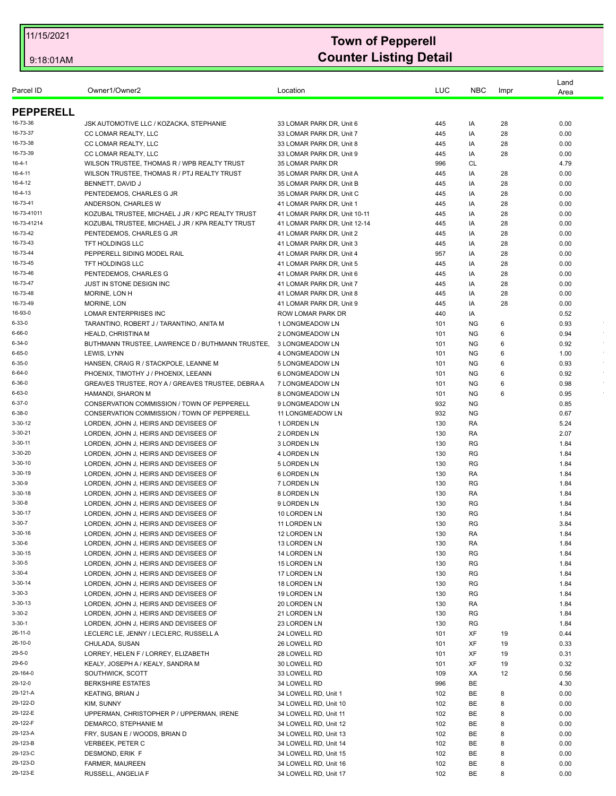|                  |                                                                                           |                                    |            |                        |        | Land         |        |
|------------------|-------------------------------------------------------------------------------------------|------------------------------------|------------|------------------------|--------|--------------|--------|
| Parcel ID        | Owner1/Owner2                                                                             | Location                           | LUC        | <b>NBC</b>             | Impr   | Area         |        |
| <b>PEPPERELL</b> |                                                                                           |                                    |            |                        |        |              |        |
| 16-73-36         | JSK AUTOMOTIVE LLC / KOZACKA, STEPHANIE                                                   | 33 LOMAR PARK DR, Unit 6           | 445        | IA                     | 28     | 0.00         |        |
| 16-73-37         | CC LOMAR REALTY, LLC                                                                      | 33 LOMAR PARK DR, Unit 7           | 445        | IA                     | 28     | 0.00         |        |
| 16-73-38         | CC LOMAR REALTY, LLC                                                                      | 33 LOMAR PARK DR, Unit 8           | 445        | IA                     | 28     | 0.00         |        |
| 16-73-39         | CC LOMAR REALTY, LLC                                                                      | 33 LOMAR PARK DR, Unit 9           | 445        | IA                     | 28     | 0.00         |        |
| 16-4-1           | WILSON TRUSTEE, THOMAS R / WPB REALTY TRUST                                               | 35 LOMAR PARK DR                   | 996        | <b>CL</b>              |        | 4.79         |        |
| 16-4-11          | WILSON TRUSTEE, THOMAS R / PTJ REALTY TRUST                                               | 35 LOMAR PARK DR, Unit A           | 445        | IA                     | 28     | 0.00         |        |
| 16-4-12          | BENNETT, DAVID J                                                                          | 35 LOMAR PARK DR, Unit B           | 445        | IA                     | 28     | 0.00         |        |
| 16-4-13          | PENTEDEMOS, CHARLES G JR                                                                  | 35 LOMAR PARK DR. Unit C           | 445        | IA                     | 28     | 0.00         |        |
| 16-73-41         | ANDERSON, CHARLES W                                                                       | 41 LOMAR PARK DR, Unit 1           | 445        | IA                     | 28     | 0.00         |        |
| 16-73-41011      | KOZUBAL TRUSTEE, MICHAEL J JR / KPC REALTY TRUST                                          | 41 LOMAR PARK DR, Unit 10-11       | 445        | IA                     | 28     | 0.00         |        |
| 16-73-41214      | KOZUBAL TRUSTEE, MICHAEL J JR / KPA REALTY TRUST                                          | 41 LOMAR PARK DR, Unit 12-14       | 445        | IA                     | 28     | 0.00         |        |
| 16-73-42         | PENTEDEMOS, CHARLES G JR                                                                  | 41 LOMAR PARK DR, Unit 2           | 445        | IA                     | 28     | 0.00         |        |
| 16-73-43         | <b>TFT HOLDINGS LLC</b>                                                                   | 41 LOMAR PARK DR, Unit 3           | 445        | IA                     | 28     | 0.00         |        |
| 16-73-44         | PEPPERELL SIDING MODEL RAIL                                                               | 41 LOMAR PARK DR, Unit 4           | 957        | IA                     | 28     | 0.00         |        |
| 16-73-45         | <b>TFT HOLDINGS LLC</b>                                                                   | 41 LOMAR PARK DR, Unit 5           | 445        | IA                     | 28     | 0.00         |        |
| 16-73-46         | PENTEDEMOS, CHARLES G                                                                     | 41 LOMAR PARK DR. Unit 6           | 445        | IA                     | 28     | 0.00         |        |
| 16-73-47         | JUST IN STONE DESIGN INC                                                                  | 41 LOMAR PARK DR, Unit 7           | 445        | IA                     | 28     | 0.00         |        |
| 16-73-48         | MORINE, LON H                                                                             | 41 LOMAR PARK DR, Unit 8           | 445        | IA                     | 28     | 0.00         |        |
| 16-73-49         | MORINE, LON                                                                               | 41 LOMAR PARK DR, Unit 9           | 445        | IA                     | 28     | 0.00         |        |
| 16-93-0          | LOMAR ENTERPRISES INC                                                                     | ROW LOMAR PARK DR                  | 440        | IA                     |        | 0.52         |        |
| 6-33-0           | TARANTINO, ROBERT J / TARANTINO, ANITA M                                                  | 1 LONGMEADOW LN                    | 101        | ΝG                     | 6      | 0.93         |        |
| 6-66-0           | <b>HEALD, CHRISTINA M</b>                                                                 | <b>2 LONGMEADOW LN</b>             | 101        | ΝG                     | 6      | 0.94         | $\sim$ |
| 6-34-0           | BUTHMANN TRUSTEE, LAWRENCE D / BUTHMANN TRUSTEE,                                          | 3 LONGMEADOW LN                    | 101        | <b>NG</b>              | 6      | 0.92         |        |
| 6-65-0           | LEWIS, LYNN                                                                               | 4 LONGMEADOW LN                    | 101        | ΝG                     | 6      | 1.00         | $\sim$ |
| 6-35-0<br>6-64-0 | HANSEN, CRAIG R / STACKPOLE, LEANNE M                                                     | <b>5 LONGMEADOW LN</b>             | 101        | ΝG                     | 6      | 0.93         |        |
| 6-36-0           | PHOENIX, TIMOTHY J / PHOENIX, LEEANN<br>GREAVES TRUSTEE, ROY A / GREAVES TRUSTEE, DEBRA A | 6 LONGMEADOW LN<br>7 LONGMEADOW LN | 101<br>101 | <b>NG</b><br><b>NG</b> | 6<br>6 | 0.92<br>0.98 |        |
| 6-63-0           | HAMANDI, SHARON M                                                                         | 8 LONGMEADOW LN                    | 101        | ΝG                     | 6      | 0.95         |        |
| 6-37-0           | CONSERVATION COMMISSION / TOWN OF PEPPERELL                                               | 9 LONGMEADOW LN                    | 932        | <b>NG</b>              |        | 0.85         |        |
| 6-38-0           | CONSERVATION COMMISSION / TOWN OF PEPPERELL                                               | 11 LONGMEADOW LN                   | 932        | ΝG                     |        | 0.67         |        |
| 3-30-12          | LORDEN, JOHN J, HEIRS AND DEVISEES OF                                                     | 1 LORDEN LN                        | 130        | RA                     |        | 5.24         |        |
| 3-30-21          | LORDEN, JOHN J, HEIRS AND DEVISEES OF                                                     | 2 LORDEN LN                        | 130        | RA                     |        | 2.07         |        |
| 3-30-11          | LORDEN, JOHN J, HEIRS AND DEVISEES OF                                                     | 3 LORDEN LN                        | 130        | <b>RG</b>              |        | 1.84         |        |
| 3-30-20          | LORDEN, JOHN J, HEIRS AND DEVISEES OF                                                     | 4 LORDEN LN                        | 130        | <b>RG</b>              |        | 1.84         |        |
| $3 - 30 - 10$    | LORDEN, JOHN J, HEIRS AND DEVISEES OF                                                     | <b>5 LORDEN LN</b>                 | 130        | RG                     |        | 1.84         |        |
| 3-30-19          | LORDEN, JOHN J, HEIRS AND DEVISEES OF                                                     | 6 LORDEN LN                        | 130        | RA                     |        | 1.84         |        |
| 3-30-9           | LORDEN, JOHN J, HEIRS AND DEVISEES OF                                                     | 7 LORDEN LN                        | 130        | <b>RG</b>              |        | 1.84         |        |
| 3-30-18          | LORDEN, JOHN J, HEIRS AND DEVISEES OF                                                     | 8 LORDEN LN                        | 130        | RA                     |        | 1.84         |        |
| 3-30-8           | LORDEN. JOHN J. HEIRS AND DEVISEES OF                                                     | 9 LORDEN LN                        | 130        | <b>RG</b>              |        | 1.84         |        |
| 3-30-17          | LORDEN, JOHN J, HEIRS AND DEVISEES OF                                                     | 10 LORDEN LN                       | 130        | RG                     |        | 1.84         |        |
| 3-30-7           | LORDEN. JOHN J. HEIRS AND DEVISEES OF                                                     | 11 LORDEN LN                       | 130        | <b>RG</b>              |        | 3.84         |        |
| 3-30-16          | LORDEN, JOHN J, HEIRS AND DEVISEES OF                                                     | 12 LORDEN LN                       | 130        | RA                     |        | 1.84         |        |
| 3-30-6           | LORDEN, JOHN J, HEIRS AND DEVISEES OF                                                     | 13 LORDEN LN                       | 130        | RA                     |        | 1.84         |        |
| 3-30-15          | LORDEN, JOHN J, HEIRS AND DEVISEES OF                                                     | 14 LORDEN LN                       | 130        | <b>RG</b>              |        | 1.84         |        |
| 3-30-5           | LORDEN, JOHN J, HEIRS AND DEVISEES OF                                                     | 15 LORDEN LN                       | 130        | RG                     |        | 1.84         |        |
| 3-30-4           | LORDEN, JOHN J, HEIRS AND DEVISEES OF                                                     | 17 LORDEN LN                       | 130        | RG                     |        | 1.84         |        |
| 3-30-14          | LORDEN, JOHN J, HEIRS AND DEVISEES OF                                                     | 18 LORDEN LN                       | 130        | <b>RG</b>              |        | 1.84         |        |
| 3-30-3           | LORDEN, JOHN J, HEIRS AND DEVISEES OF                                                     | 19 LORDEN LN                       | 130        | RG                     |        | 1.84         |        |
| 3-30-13          | LORDEN, JOHN J, HEIRS AND DEVISEES OF                                                     | 20 LORDEN LN                       | 130        | RA                     |        | 1.84         |        |
| 3-30-2           | LORDEN, JOHN J, HEIRS AND DEVISEES OF                                                     | 21 LORDEN LN                       | 130        | <b>RG</b>              |        | 1.84         |        |
| 3-30-1           | LORDEN, JOHN J, HEIRS AND DEVISEES OF                                                     | 23 LORDEN LN                       | 130        | RG                     |        | 1.84         |        |
| 26-11-0          | LECLERC LE, JENNY / LECLERC, RUSSELL A                                                    | 24 LOWELL RD                       | 101        | XF                     | 19     | 0.44         |        |
| 26-10-0          | CHULADA, SUSAN                                                                            | 26 LOWELL RD                       | 101        | XF                     | 19     | 0.33         |        |
| 29-5-0           | LORREY, HELEN F / LORREY, ELIZABETH                                                       | 28 LOWELL RD                       | 101        | XF                     | 19     | 0.31         |        |
| 29-6-0           | KEALY, JOSEPH A / KEALY, SANDRA M                                                         | 30 LOWELL RD                       | 101        | XF                     | 19     | 0.32         |        |
| 29-164-0         | SOUTHWICK, SCOTT                                                                          | 33 LOWELL RD                       | 109        | ХA                     | 12     | 0.56         |        |
| 29-12-0          | <b>BERKSHIRE ESTATES</b>                                                                  | 34 LOWELL RD                       | 996        | BE                     |        | 4.30         |        |
| 29-121-A         | <b>KEATING, BRIAN J</b>                                                                   | 34 LOWELL RD, Unit 1               | 102        | BE                     | 8      | 0.00         |        |
| 29-122-D         | KIM, SUNNY                                                                                | 34 LOWELL RD, Unit 10              | 102        | BE                     | 8      | 0.00         |        |
| 29-122-E         | UPPERMAN, CHRISTOPHER P / UPPERMAN, IRENE                                                 | 34 LOWELL RD, Unit 11              | 102        | BE                     | 8      | 0.00         |        |
| 29-122-F         | DEMARCO, STEPHANIE M                                                                      | 34 LOWELL RD, Unit 12              | 102        | BE                     | 8      | 0.00         |        |
| 29-123-A         | FRY, SUSAN E / WOODS, BRIAN D                                                             | 34 LOWELL RD, Unit 13              | 102        | BE                     | 8      | 0.00         |        |
| 29-123-B         | VERBEEK, PETER C                                                                          | 34 LOWELL RD, Unit 14              | 102        | BE                     | 8      | 0.00         |        |
| 29-123-C         | DESMOND, ERIK F                                                                           | 34 LOWELL RD, Unit 15              | 102        | BE                     | 8      | 0.00         |        |
| 29-123-D         | FARMER, MAUREEN                                                                           | 34 LOWELL RD, Unit 16              | 102        | BE                     | 8      | 0.00         |        |
| 29-123-E         | RUSSELL, ANGELIA F                                                                        | 34 LOWELL RD, Unit 17              | 102        | BE                     | 8      | 0.00         |        |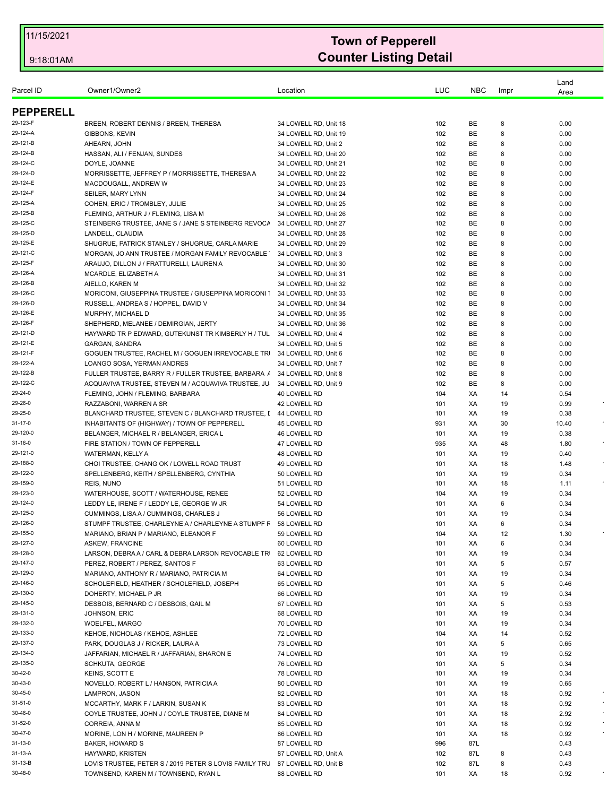| Parcel ID            | Owner1/Owner2                                                                                   | Location                                       | LUC        | <b>NBC</b> | Impr    | Land<br>Area |           |
|----------------------|-------------------------------------------------------------------------------------------------|------------------------------------------------|------------|------------|---------|--------------|-----------|
| <b>PEPPERELL</b>     |                                                                                                 |                                                |            |            |         |              |           |
| 29-123-F             | BREEN, ROBERT DENNIS / BREEN, THERESA                                                           | 34 LOWELL RD, Unit 18                          | 102        | BE         | 8       | 0.00         |           |
| 29-124-A             | GIBBONS, KEVIN                                                                                  | 34 LOWELL RD, Unit 19                          | 102        | BE         | 8       | 0.00         |           |
| 29-121-B             | AHEARN, JOHN                                                                                    | 34 LOWELL RD, Unit 2                           | 102        | BE         | 8       | 0.00         |           |
| 29-124-B             | HASSAN, ALI / FENJAN, SUNDES                                                                    | 34 LOWELL RD, Unit 20                          | 102        | BE         | 8       | 0.00         |           |
| 29-124-C             | DOYLE, JOANNE                                                                                   | 34 LOWELL RD, Unit 21                          | 102        | BE         | 8       | 0.00         |           |
| 29-124-D             | MORRISSETTE, JEFFREY P / MORRISSETTE, THERESA A                                                 | 34 LOWELL RD, Unit 22                          | 102        | BE         | 8       | 0.00         |           |
| 29-124-E             | MACDOUGALL, ANDREW W                                                                            | 34 LOWELL RD, Unit 23                          | 102        | BE         | 8       | 0.00         |           |
| 29-124-F             | <b>SEILER, MARY LYNN</b>                                                                        | 34 LOWELL RD, Unit 24                          | 102        | BE         | 8       | 0.00         |           |
| 29-125-A             | COHEN, ERIC / TROMBLEY, JULIE                                                                   | 34 LOWELL RD, Unit 25                          | 102        | BE         | 8       | 0.00         |           |
| 29-125-B             | FLEMING, ARTHUR J / FLEMING, LISA M                                                             | 34 LOWELL RD, Unit 26                          | 102        | <b>BE</b>  | 8       | 0.00         |           |
| 29-125-C             | STEINBERG TRUSTEE, JANE S / JANE S STEINBERG REVOCA                                             | 34 LOWELL RD. Unit 27                          | 102        | <b>BE</b>  | 8       | 0.00         |           |
| 29-125-D             | LANDELL, CLAUDIA                                                                                | 34 LOWELL RD, Unit 28                          | 102        | BE         | 8       | 0.00         |           |
| 29-125-E             | SHUGRUE, PATRICK STANLEY / SHUGRUE, CARLA MARIE                                                 | 34 LOWELL RD, Unit 29                          | 102        | <b>BE</b>  | 8       | 0.00         |           |
| 29-121-C             | MORGAN, JO ANN TRUSTEE / MORGAN FAMILY REVOCABLE                                                | 34 LOWELL RD, Unit 3                           | 102        | BE         | 8       | 0.00         |           |
| 29-125-F             | ARAUJO, DILLON J / FRATTURELLI, LAUREN A                                                        | 34 LOWELL RD, Unit 30                          | 102        | BE         | 8       | 0.00         |           |
| 29-126-A             | MCARDLE, ELIZABETH A                                                                            | 34 LOWELL RD, Unit 31                          | 102        | BE         | 8       | 0.00         |           |
| 29-126-B<br>29-126-C | AIELLO, KAREN M                                                                                 | 34 LOWELL RD, Unit 32                          | 102        | BE<br>BE   | 8<br>8  | 0.00<br>0.00 |           |
| 29-126-D             | MORICONI, GIUSEPPINA TRUSTEE / GIUSEPPINA MORICONI "<br>RUSSELL, ANDREA S / HOPPEL, DAVID V     | 34 LOWELL RD, Unit 33<br>34 LOWELL RD, Unit 34 | 102<br>102 | BE         | 8       | 0.00         |           |
| 29-126-E             | MURPHY, MICHAEL D                                                                               | 34 LOWELL RD, Unit 35                          | 102        | BE         | 8       | 0.00         |           |
| 29-126-F             | SHEPHERD, MELANEE / DEMIRGIAN, JERTY                                                            | 34 LOWELL RD, Unit 36                          | 102        | BE         | 8       | 0.00         |           |
| 29-121-D             | HAYWARD TR P EDWARD. GUTEKUNST TR KIMBERLY H / TUL                                              | 34 LOWELL RD, Unit 4                           | 102        | BE         | 8       | 0.00         |           |
| 29-121-E             | GARGAN, SANDRA                                                                                  | 34 LOWELL RD, Unit 5                           | 102        | BE         | 8       | 0.00         |           |
| 29-121-F             | GOGUEN TRUSTEE, RACHEL M / GOGUEN IRREVOCABLE TR 34 LOWELL RD, Unit 6                           |                                                | 102        | BE         | 8       | 0.00         |           |
| 29-122-A             | LOANGO SOSA, YERMAN ANDRES                                                                      | 34 LOWELL RD, Unit 7                           | 102        | BE         | 8       | 0.00         |           |
| 29-122-B             | FULLER TRUSTEE, BARRY R / FULLER TRUSTEE, BARBARA /                                             | 34 LOWELL RD, Unit 8                           | 102        | BE         | 8       | 0.00         |           |
| 29-122-C             | ACQUAVIVA TRUSTEE, STEVEN M / ACQUAVIVA TRUSTEE, JU                                             | 34 LOWELL RD, Unit 9                           | 102        | BE         | 8       | 0.00         |           |
| 29-24-0              | FLEMING, JOHN / FLEMING, BARBARA                                                                | 40 LOWELL RD                                   | 104        | XA         | 14      | 0.54         |           |
| 29-26-0              | RAZZABONI, WARREN A SR                                                                          | 42 LOWELL RD                                   | 101        | XA.        | 19      | 0.99         |           |
| 29-25-0              | BLANCHARD TRUSTEE, STEVEN C / BLANCHARD TRUSTEE, [ 44 LOWELL RD                                 |                                                | 101        | ХA         | 19      | 0.38         |           |
| 31-17-0              | INHABITANTS OF (HIGHWAY) / TOWN OF PEPPERELL                                                    | 45 LOWELL RD                                   | 931        | ХA         | 30      | 10.40        |           |
| 29-120-0             | BELANGER, MICHAEL R / BELANGER, ERICA L                                                         | 46 LOWELL RD                                   | 101        | ХA         | 19      | 0.38         |           |
| 31-16-0              | FIRE STATION / TOWN OF PEPPERELL                                                                | 47 LOWELL RD                                   | 935        | XA         | 48      | 1.80         |           |
| 29-121-0             | WATERMAN, KELLY A                                                                               | 48 LOWELL RD                                   | 101        | ХA         | 19      | 0.40         |           |
| 29-188-0             | CHOI TRUSTEE, CHANG OK / LOWELL ROAD TRUST                                                      | 49 LOWELL RD                                   | 101        | ХA         | 18      | 1.48         |           |
| 29-122-0             | SPELLENBERG, KEITH / SPELLENBERG, CYNTHIA                                                       | 50 LOWELL RD                                   | 101        | ХA         | 19      | 0.34         |           |
| 29-159-0             | REIS, NUNO                                                                                      | 51 LOWELL RD                                   | 101        | ХA         | 18      | 1.11         |           |
| 29-123-0             | WATERHOUSE, SCOTT / WATERHOUSE, RENEE                                                           | 52 LOWELL RD                                   | 104        | ХA         | 19      | 0.34         |           |
| 29-124-0             | LEDDY LE, IRENE F / LEDDY LE, GEORGE W JR                                                       | 54 LOWELL RD                                   | 101        | XA         | 6       | 0.34         |           |
| 29-125-0             | CUMMINGS, LISA A / CUMMINGS, CHARLES J                                                          | 56 LOWELL RD                                   | 101        | XA.        | 19      | 0.34         |           |
| 29-126-0             | STUMPF TRUSTEE, CHARLEYNE A / CHARLEYNE A STUMPF F 58 LOWELL RD                                 |                                                | 101        | XA.        | 6       | 0.34         |           |
| 29-155-0             | MARIANO, BRIAN P / MARIANO, ELEANOR F                                                           | 59 LOWELL RD                                   | 104        | ХA         | 12      | 1.30         |           |
| 29-127-0             | ASKEW, FRANCINE                                                                                 | 60 LOWELL RD                                   | 101        | ХA         | 6       | 0.34         |           |
| 29-128-0             | LARSON, DEBRA A / CARL & DEBRA LARSON REVOCABLE TR 62 LOWELL RD                                 |                                                | 101        | XA         | 19      | 0.34         |           |
| 29-147-0<br>29-129-0 | PEREZ, ROBERT / PEREZ, SANTOS F                                                                 | 63 LOWELL RD                                   | 101        | ХA         | 5       | 0.57         |           |
| 29-146-0             | MARIANO, ANTHONY R / MARIANO, PATRICIA M<br>SCHOLEFIELD, HEATHER / SCHOLEFIELD, JOSEPH          | 64 LOWELL RD<br>65 LOWELL RD                   | 101        | ХA         | 19      | 0.34         |           |
| 29-130-0             | DOHERTY, MICHAEL P JR                                                                           | 66 LOWELL RD                                   | 101<br>101 | XA<br>ХA   | 5<br>19 | 0.46<br>0.34 |           |
| 29-145-0             | DESBOIS, BERNARD C / DESBOIS, GAIL M                                                            | 67 LOWELL RD                                   | 101        | ХA         | 5       | 0.53         |           |
| 29-131-0             | JOHNSON, ERIC                                                                                   | 68 LOWELL RD                                   | 101        | XA         | 19      | 0.34         |           |
| 29-132-0             | WOELFEL, MARGO                                                                                  | 70 LOWELL RD                                   | 101        | ХA         | 19      | 0.34         |           |
| 29-133-0             | KEHOE, NICHOLAS / KEHOE, ASHLEE                                                                 | 72 LOWELL RD                                   | 104        | ХA         | 14      | 0.52         |           |
| 29-137-0             | PARK, DOUGLAS J / RICKER, LAURA A                                                               | 73 LOWELL RD                                   | 101        | ХA         | 5       | 0.65         |           |
| 29-134-0             | JAFFARIAN, MICHAEL R / JAFFARIAN, SHARON E                                                      | 74 LOWELL RD                                   | 101        | ХA         | 19      | 0.52         |           |
| 29-135-0             | SCHKUTA, GEORGE                                                                                 | 76 LOWELL RD                                   | 101        | ХA         | 5       | 0.34         |           |
| 30-42-0              | KEINS, SCOTT E                                                                                  | 78 LOWELL RD                                   | 101        | ХA         | 19      | 0.34         |           |
| 30-43-0              | NOVELLO, ROBERT L / HANSON, PATRICIA A                                                          | 80 LOWELL RD                                   | 101        | ХA         | 19      | 0.65         |           |
| 30-45-0              | LAMPRON, JASON                                                                                  | 82 LOWELL RD                                   | 101        | ХA         | 18      | 0.92         |           |
| 31-51-0              | MCCARTHY, MARK F / LARKIN, SUSAN K                                                              | 83 LOWELL RD                                   | 101        | ХA         | 18      | 0.92         |           |
| 30-46-0              | COYLE TRUSTEE, JOHN J / COYLE TRUSTEE, DIANE M                                                  | 84 LOWELL RD                                   | 101        | ХA         | 18      | 2.92         |           |
| 31-52-0              | CORREIA, ANNA M                                                                                 | 85 LOWELL RD                                   | 101        | ХA         | 18      | 0.92         | $\bullet$ |
| 30-47-0              | MORINE, LON H / MORINE, MAUREEN P                                                               | 86 LOWELL RD                                   | 101        | ХA         | 18      | 0.92         |           |
| 31-13-0              | BAKER, HOWARD S                                                                                 | 87 LOWELL RD                                   | 996        | 87L        |         | 0.43         |           |
|                      |                                                                                                 |                                                |            |            |         |              |           |
| 31-13-A              |                                                                                                 |                                                |            |            |         |              |           |
| 31-13-B              | HAYWARD, KRISTEN<br>LOVIS TRUSTEE, PETER S / 2019 PETER S LOVIS FAMILY TRL 87 LOWELL RD, Unit B | 87 LOWELL RD, Unit A                           | 102<br>102 | 87L<br>87L | 8<br>8  | 0.43<br>0.43 |           |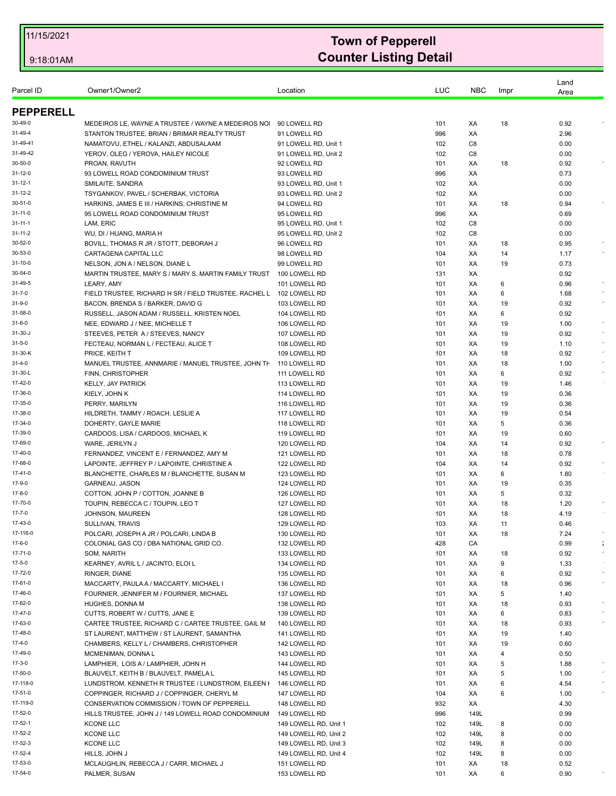| Parcel ID               | Owner1/Owner2                                                                      | Location                       | LUC        | <b>NBC</b> | Impr     | Land<br>Area |                      |
|-------------------------|------------------------------------------------------------------------------------|--------------------------------|------------|------------|----------|--------------|----------------------|
| <b>PEPPERELL</b>        |                                                                                    |                                |            |            |          |              |                      |
| 30-49-0                 | MEDEIROS LE, WAYNE A TRUSTEE / WAYNE A MEDEIROS NO                                 | 90 LOWELL RD                   | 101        | XA         | 18       | 0.92         |                      |
| 31-49-4                 | STANTON TRUSTEE, BRIAN / BRIMAR REALTY TRUST                                       | 91 LOWELL RD                   | 996        | XA         |          | 2.96         |                      |
| 31-49-41                | NAMATOVU, ETHEL / KALANZI, ABDUSALAAM                                              | 91 LOWELL RD, Unit 1           | 102        | C8         |          | 0.00         |                      |
| 31-49-42                | YEROV, OLEG / YEROVA, HAILEY NICOLE                                                | 91 LOWELL RD, Unit 2           | 102        | C8         |          | 0.00         |                      |
| 30-50-0                 | PROAN, RAVUTH                                                                      | 92 LOWELL RD                   | 101        | XA         | 18       | 0.92         |                      |
| 31-12-0                 | 93 LOWELL ROAD CONDOMINIUM TRUST                                                   | 93 LOWELL RD                   | 996        | XA         |          | 0.73         |                      |
| 31-12-1                 | SMILAITE, SANDRA                                                                   | 93 LOWELL RD, Unit 1           | 102        | XA         |          | 0.00         |                      |
| 31-12-2                 | TSYGANKOV, PAVEL / SCHERBAK, VICTORIA                                              | 93 LOWELL RD, Unit 2           | 102        | ХA         |          | 0.00         |                      |
| 30-51-0                 | HARKINS, JAMES E III / HARKINS, CHRISTINE M                                        | 94 LOWELL RD                   | 101        | XA         | 18       | 0.94         |                      |
| 31-11-0                 | 95 LOWELL ROAD CONDOMINIUM TRUST                                                   | 95 LOWELL RD                   | 996        | XA         |          | 0.69         |                      |
| 31-11-1                 | LAM, ERIC                                                                          | 95 LOWELL RD, Unit 1           | 102        | C8         |          | 0.00         |                      |
| 31-11-2<br>30-52-0      | WU, DI / HUANG, MARIA H                                                            | 95 LOWELL RD, Unit 2           | 102        | C8         |          | 0.00         |                      |
| 30-53-0                 | BOVILL, THOMAS R JR / STOTT, DEBORAH J<br>CARTAGENA CAPITAL LLC                    | 96 LOWELL RD<br>98 LOWELL RD   | 101<br>104 | ХA<br>XA   | 18<br>14 | 0.95<br>1.17 |                      |
| 31-10-0                 | NELSON, JON A / NELSON, DIANE L                                                    | 99 LOWELL RD                   | 101        | XA         | 19       | 0.73         |                      |
| 30-54-0                 | MARTIN TRUSTEE, MARY S / MARY S. MARTIN FAMILY TRUST                               | 100 LOWELL RD                  | 131        | XA         |          | 0.92         |                      |
| 31-49-5                 | LEARY, AMY                                                                         | 101 LOWELL RD                  | 101        | XA         | 6        | 0.96         |                      |
| $31 - 7 - 0$            | FIELD TRUSTEE, RICHARD H SR / FIELD TRUSTEE, RACHEL L                              | 102 LOWELL RD                  | 101        | XA         | 6        | 1.68         |                      |
| 31-9-0                  | BACON, BRENDA S / BARKER, DAVID G                                                  | 103 LOWELL RD                  | 101        | XA         | 19       | 0.92         |                      |
| 31-58-0                 | RUSSELL, JASON ADAM / RUSSELL, KRISTEN NOEL                                        | 104 LOWELL RD                  | 101        | XA         | 6        | 0.92         |                      |
| 31-6-0                  | NEE, EDWARD J / NEE, MICHELLE T                                                    | 106 LOWELL RD                  | 101        | XA         | 19       | 1.00         |                      |
| 31-30-J                 | STEEVES, PETER A/STEEVES, NANCY                                                    | 107 LOWELL RD                  | 101        | XA         | 19       | 0.92         |                      |
| $31 - 5 - 0$            | FECTEAU, NORMAN L / FECTEAU, ALICE T                                               | 108 LOWELL RD                  | 101        | XA         | 19       | 1.10         |                      |
| 31-30-K                 | PRICE, KEITH T                                                                     | 109 LOWELL RD                  | 101        | XA         | 18       | 0.92         |                      |
| 31-4-0                  | MANUEL TRUSTEE, ANNMARIE / MANUEL TRUSTEE, JOHN TH                                 | 110 LOWELL RD                  | 101        | XA         | 18       | 1.00         |                      |
| 31-30-L                 | FINN, CHRISTOPHER                                                                  | 111 LOWELL RD                  | 101        | XA         | 6        | 0.92         |                      |
| 17-42-0                 | <b>KELLY, JAY PATRICK</b>                                                          | 113 LOWELL RD                  | 101        | XA         | 19       | 1.46         |                      |
| 17-36-0                 | KIELY, JOHN K                                                                      | 114 LOWELL RD                  | 101        | XA         | 19       | 0.36         |                      |
| 17-35-0                 | PERRY, MARILYN                                                                     | 116 LOWELL RD                  | 101        | XA         | 19       | 0.36         |                      |
| 17-38-0                 | HILDRETH, TAMMY / ROACH, LESLIE A                                                  | 117 LOWELL RD                  | 101        | XA         | 19       | 0.54         |                      |
| 17-34-0                 | DOHERTY, GAYLE MARIE                                                               | 118 LOWELL RD                  | 101        | XA         | 5        | 0.36         |                      |
| 17-39-0                 | CARDOOS, LISA / CARDOOS, MICHAEL K                                                 | 119 LOWELL RD                  | 101        | XA         | 19       | 0.60         |                      |
| 17-69-0                 | WARE, JERILYN J                                                                    | 120 LOWELL RD                  | 104        | XA         | 14       | 0.92         |                      |
| 17-40-0                 | FERNANDEZ, VINCENT E / FERNANDEZ, AMY M                                            | 121 LOWELL RD                  | 101        | XA         | 18       | 0.78         |                      |
| 17-68-0                 | LAPOINTE, JEFFREY P / LAPOINTE, CHRISTINE A                                        | 122 LOWELL RD                  | 104        | XA         | 14       | 0.92         |                      |
| 17-41-0                 | BLANCHETTE, CHARLES M / BLANCHETTE, SUSAN M                                        | 123 LOWELL RD                  | 101        | XA         | 6        | 1.80         |                      |
| 17-9-0                  | GARNEAU, JASON                                                                     | 124 LOWELL RD                  | 101        | XA         | 19       | 0.35         |                      |
| $17 - 8 - 0$            | COTTON, JOHN P / COTTON, JOANNE B                                                  | 126 LOWELL RD                  | 101        | XA         | 5        | 0.32         |                      |
| 17-70-0                 | TOUPIN, REBECCA C / TOUPIN, LEO T                                                  | 127 LOWELL RD                  | 101        | XA         | 18       | 1.20         |                      |
| $17 - 7 - 0$<br>17-43-0 | JOHNSON, MAUREEN                                                                   | 128 LOWELL RD                  | 101        | XA         | 18       | 4.19         |                      |
| 17-116-0                | SULLIVAN, TRAVIS                                                                   | 129 LOWELL RD                  | 103        | XA         | 11       | 0.46         | $\epsilon$           |
| 17-6-0                  | POLCARI, JOSEPH A JR / POLCARI, LINDA B<br>COLONIAL GAS CO / DBA NATIONAL GRID CO. | 130 LOWELL RD<br>132 LOWELL RD | 101<br>428 | XA<br>CA   | 18       | 7.24<br>0.99 | $\ddot{\phantom{a}}$ |
| 17-71-0                 | SOM, NARITH                                                                        | 133 LOWELL RD                  | 101        | XA         | 18       | 0.92         | $\cdot$              |
| $17 - 5 - 0$            | KEARNEY, AVRIL L / JACINTO, ELOI L                                                 | 134 LOWELL RD                  | 101        | XA         | 9        | 1.33         |                      |
| 17-72-0                 | RINGER, DIANE                                                                      | 135 LOWELL RD                  | 101        | XA         | 6        | 0.92         | $\bullet$            |
| 17-61-0                 | MACCARTY, PAULA A / MACCARTY, MICHAEL I                                            | 136 LOWELL RD                  | 101        | XA         | 18       | 0.96         |                      |
| 17-46-0                 | FOURNIER, JENNIFER M / FOURNIER, MICHAEL                                           | 137 LOWELL RD                  | 101        | XA         | 5        | 1.40         |                      |
| 17-62-0                 | HUGHES, DONNA M                                                                    | 138 LOWELL RD                  | 101        | XA         | 18       | 0.93         | $\bullet$            |
| 17-47-0                 | CUTTS, ROBERT W / CUTTS, JANE E                                                    | 139 LOWELL RD                  | 101        | XA         | 6        | 0.83         |                      |
| 17-63-0                 | CARTEE TRUSTEE, RICHARD C / CARTEE TRUSTEE, GAIL M                                 | 140 LOWELL RD                  | 101        | XA         | 18       | 0.93         |                      |
| 17-48-0                 | ST LAURENT, MATTHEW / ST LAURENT, SAMANTHA                                         | 141 LOWELL RD                  | 101        | XA         | 19       | 1.40         |                      |
| 17-4-0                  | CHAMBERS, KELLY L / CHAMBERS, CHRISTOPHER                                          | 142 LOWELL RD                  | 101        | XA         | 19       | 0.60         |                      |
| 17-49-0                 | MCMENIMAN, DONNA L                                                                 | 143 LOWELL RD                  | 101        | XA         | 4        | 0.50         |                      |
| 17-3-0                  | LAMPHIER, LOIS A / LAMPHIER, JOHN H                                                | 144 LOWELL RD                  | 101        | XA         | 5        | 1.88         |                      |
| 17-50-0                 | BLAUVELT, KEITH B / BLAUVELT, PAMELA L                                             | 145 LOWELL RD                  | 101        | XA         | 5        | 1.00         |                      |
| 17-118-0                | LUNDSTROM, KENNETH R TRUSTEE / LUNDSTROM, EILEEN I                                 | 146 LOWELL RD                  | 101        | XA         | 6        | 4.54         |                      |
| 17-51-0                 | COPPINGER, RICHARD J / COPPINGER, CHERYL M                                         | 147 LOWELL RD                  | 104        | XA         | 6        | 1.00         |                      |
| 17-119-0                | CONSERVATION COMMISSION / TOWN OF PEPPERELL                                        | 148 LOWELL RD                  | 932        | XA         |          | 4.30         |                      |
| 17-52-0                 | HILLS TRUSTEE, JOHN J / 149 LOWELL ROAD CONDOMINIUM                                | 149 LOWELL RD                  | 996        | 149L       |          | 0.99         |                      |
| 17-52-1                 | <b>KCONE LLC</b>                                                                   | 149 LOWELL RD, Unit 1          | 102        | 149L       | 8        | 0.00         |                      |
| 17-52-2                 | <b>KCONE LLC</b>                                                                   | 149 LOWELL RD, Unit 2          | 102        | 149L       | 8        | 0.00         |                      |
| 17-52-3                 | <b>KCONE LLC</b>                                                                   | 149 LOWELL RD, Unit 3          | 102        | 149L       | 8        | 0.00         |                      |
| 17-52-4                 | HILLS, JOHN J                                                                      | 149 LOWELL RD, Unit 4          | 102        | 149L       | 8        | 0.00         |                      |
| 17-53-0                 | MCLAUGHLIN, REBECCA J / CARR, MICHAEL J                                            | 151 LOWELL RD                  | 101        | XA         | 18       | 0.52         |                      |
| 17-54-0                 | PALMER, SUSAN                                                                      | 153 LOWELL RD                  | 101        | XA         | 6        | 0.90         |                      |
|                         |                                                                                    |                                |            |            |          |              |                      |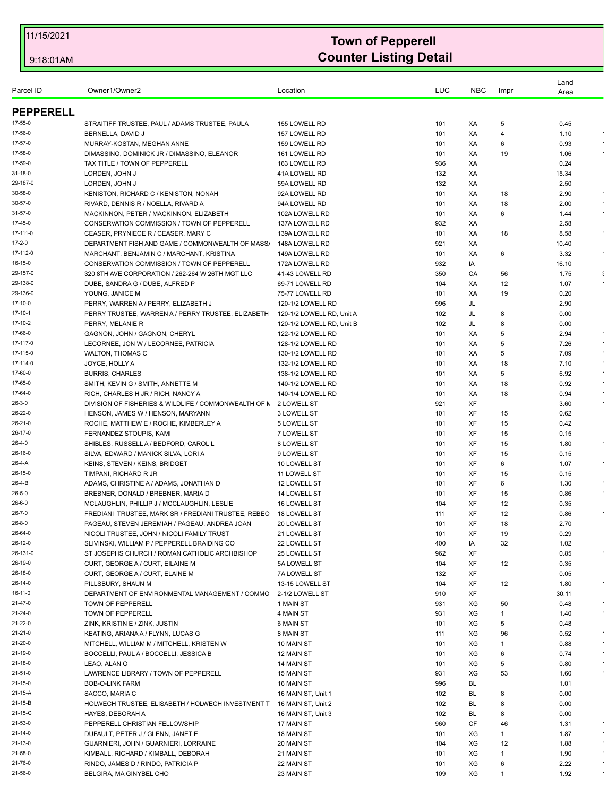| Parcel ID          | Owner1/Owner2                                                                | Location                       | LUC        | <b>NBC</b> | Impr           | Land<br>Area  |                            |
|--------------------|------------------------------------------------------------------------------|--------------------------------|------------|------------|----------------|---------------|----------------------------|
|                    |                                                                              |                                |            |            |                |               |                            |
| <b>PEPPERELL</b>   |                                                                              |                                |            |            |                |               |                            |
| 17-55-0            | STRAITIFF TRUSTEE, PAUL / ADAMS TRUSTEE, PAULA                               | 155 LOWELL RD                  | 101        | XA         | 5              | 0.45          |                            |
| 17-56-0            | BERNELLA, DAVID J                                                            | 157 LOWELL RD                  | 101        | XA         | $\overline{4}$ | 1.10          |                            |
| 17-57-0<br>17-58-0 | MURRAY-KOSTAN, MEGHAN ANNE                                                   | 159 LOWELL RD                  | 101        | XA         | 6              | 0.93          |                            |
| 17-59-0            | DIMASSINO, DOMINICK JR / DIMASSINO, ELEANOR                                  | 161 LOWELL RD                  | 101        | XA         | 19             | 1.06          |                            |
| 31-18-0            | TAX TITLE / TOWN OF PEPPERELL<br>LORDEN, JOHN J                              | 163 LOWELL RD<br>41A LOWELL RD | 936<br>132 | XA<br>XA   |                | 0.24<br>15.34 |                            |
| 29-187-0           | LORDEN, JOHN J                                                               | 59A LOWELL RD                  | 132        | XA         |                | 2.50          |                            |
| 30-58-0            | KENISTON, RICHARD C / KENISTON, NONAH                                        | 92A LOWELL RD                  | 101        | XA         | 18             | 2.90          |                            |
| 30-57-0            | RIVARD, DENNIS R / NOELLA, RIVARD A                                          | 94A LOWELL RD                  | 101        | XA         | 18             | 2.00          |                            |
| 31-57-0            | MACKINNON, PETER / MACKINNON, ELIZABETH                                      | 102A LOWELL RD                 | 101        | XA         | 6              | 1.44          |                            |
| 17-45-0            | CONSERVATION COMMISSION / TOWN OF PEPPERELL                                  | 137A LOWELL RD                 | 932        | XA         |                | 2.58          |                            |
| 17-111-0           | CEASER, PRYNIECE R / CEASER, MARY C                                          | 139A LOWELL RD                 | 101        | XA         | 18             | 8.58          | $\bullet$                  |
| 17-2-0             | DEPARTMENT FISH AND GAME / COMMONWEALTH OF MASS.                             | 148A LOWELL RD                 | 921        | XA         |                | 10.40         |                            |
| 17-112-0           | MARCHANT, BENJAMIN C / MARCHANT, KRISTINA                                    | 149A LOWELL RD                 | 101        | XA         | 6              | 3.32          |                            |
| 16-15-0            | CONSERVATION COMMISSION / TOWN OF PEPPERELL                                  | 172A LOWELL RD                 | 932        | IA         |                | 16.10         |                            |
| 29-157-0           | 320 8TH AVE CORPORATION / 262-264 W 26TH MGT LLC                             | 41-43 LOWELL RD                | 350        | CA         | 56             | 1.75          | : $\overline{\phantom{a}}$ |
| 29-138-0           | DUBE, SANDRA G / DUBE, ALFRED P                                              | 69-71 LOWELL RD                | 104        | XA         | 12             | 1.07          |                            |
| 29-136-0           | YOUNG, JANICE M                                                              | 75-77 LOWELL RD                | 101        | XA         | 19             | 0.20          |                            |
| 17-10-0            | PERRY, WARREN A / PERRY, ELIZABETH J                                         | 120-1/2 LOWELL RD              | 996        | JL         |                | 2.90          |                            |
| 17-10-1            | PERRY TRUSTEE, WARREN A / PERRY TRUSTEE, ELIZABETH                           | 120-1/2 LOWELL RD, Unit A      | 102        | JL         | 8              | 0.00          |                            |
| 17-10-2            | PERRY, MELANIE R                                                             | 120-1/2 LOWELL RD, Unit B      | 102        | JL         | 8              | 0.00          |                            |
| 17-66-0            | GAGNON, JOHN / GAGNON, CHERYL                                                | 122-1/2 LOWELL RD              | 101        | ХA         | 5              | 2.94          |                            |
| 17-117-0           | LECORNEE, JON W / LECORNEE, PATRICIA                                         | 128-1/2 LOWELL RD              | 101        | XA         | 5              | 7.26          | $\star$                    |
| 17-115-0           | <b>WALTON, THOMAS C</b>                                                      | 130-1/2 LOWELL RD              | 101        | XA         | 5              | 7.09          | $\sim$                     |
| 17-114-0           | JOYCE, HOLLY A                                                               | 132-1/2 LOWELL RD              | 101        | XA         | 18             | 7.10          |                            |
| 17-60-0            | <b>BURRIS, CHARLES</b>                                                       | 138-1/2 LOWELL RD              | 101        | XA         | 5              | 6.92          | $\sim$                     |
| 17-65-0            | SMITH, KEVIN G / SMITH, ANNETTE M                                            | 140-1/2 LOWELL RD              | 101        | XA         | 18             | 0.92          |                            |
| 17-64-0            | RICH, CHARLES H JR / RICH, NANCY A                                           | 140-1/4 LOWELL RD              | 101        | XA         | 18             | 0.94          |                            |
| $26 - 3 - 0$       | DIVISION OF FISHERIES & WILDLIFE / COMMONWEALTH OF N 2 LOWELL ST             |                                | 921        | XF         |                | 3.60          |                            |
| 26-22-0            | HENSON, JAMES W / HENSON, MARYANN                                            | 3 LOWELL ST                    | 101        | XF         | 15             | 0.62          |                            |
| 26-21-0            | ROCHE, MATTHEW E / ROCHE, KIMBERLEY A                                        | 5 LOWELL ST                    | 101        | XF         | 15             | 0.42          |                            |
| 26-17-0            | FERNANDEZ STOUPIS, KAMI                                                      | 7 LOWELL ST                    | 101        | XF         | 15             | 0.15          |                            |
| 26-4-0             | SHIBLES, RUSSELL A / BEDFORD, CAROL L                                        | 8 LOWELL ST                    | 101        | XF         | 15             | 1.80          |                            |
| 26-16-0            | SILVA, EDWARD / MANICK SILVA, LORI A                                         | 9 LOWELL ST                    | 101        | XF         | 15             | 0.15          |                            |
| 26-4-A<br>26-15-0  | KEINS, STEVEN / KEINS, BRIDGET<br>TIMPANI, RICHARD R JR                      | 10 LOWELL ST                   | 101        | XF<br>XF   | 6              | 1.07          |                            |
| 26-4-B             |                                                                              | 11 LOWELL ST                   | 101<br>101 | XF         | 15<br>6        | 0.15<br>1.30  |                            |
| $26 - 5 - 0$       | ADAMS, CHRISTINE A / ADAMS, JONATHAN D<br>BREBNER, DONALD / BREBNER, MARIA D | 12 LOWELL ST<br>14 LOWELL ST   | 101        | XF         | 15             | 0.86          |                            |
| $26 - 6 - 0$       | MCLAUGHLIN, PHILLIP J / MCCLAUGHLIN, LESLIE                                  | 16 LOWELL ST                   | 104        | XF         | 12             | 0.35          |                            |
| $26 - 7 - 0$       | FREDIANI TRUSTEE, MARK SR / FREDIANI TRUSTEE, REBEC                          | <b>18 LOWELL ST</b>            | 111        | XF         | 12             | 0.86          |                            |
| $26 - 8 - 0$       | PAGEAU, STEVEN JEREMIAH / PAGEAU, ANDREA JOAN                                | 20 LOWELL ST                   | 101        | XF         | 18             | 2.70          |                            |
| 26-64-0            | NICOLI TRUSTEE, JOHN / NICOLI FAMILY TRUST                                   | 21 LOWELL ST                   | 101        | XF         | 19             | 0.29          |                            |
| 26-12-0            | SLIVINSKI, WILLIAM P / PEPPERELL BRAIDING CO                                 | 22 LOWELL ST                   | 400        | IA         | 32             | 1.02          |                            |
| 26-131-0           | ST JOSEPHS CHURCH / ROMAN CATHOLIC ARCHBISHOP                                | 25 LOWELL ST                   | 962        | XF         |                | 0.85          |                            |
| 26-19-0            | CURT, GEORGE A / CURT, EILAINE M                                             | 5A LOWELL ST                   | 104        | XF         | 12             | 0.35          |                            |
| 26-18-0            | CURT, GEORGE A / CURT, ELAINE M                                              | 7A LOWELL ST                   | 132        | XF         |                | 0.05          |                            |
| 26-14-0            | PILLSBURY, SHAUN M                                                           | 13-15 LOWELL ST                | 104        | XF         | 12             | 1.80          |                            |
| 16-11-0            | DEPARTMENT OF ENVIRONMENTAL MANAGEMENT / COMMO                               | 2-1/2 LOWELL ST                | 910        | XF         |                | 30.11         |                            |
| 21-47-0            | TOWN OF PEPPERELL                                                            | 1 MAIN ST                      | 931        | XG         | 50             | 0.48          |                            |
| 21-24-0            | <b>TOWN OF PEPPERELL</b>                                                     | 4 MAIN ST                      | 931        | XG         | 1              | 1.40          |                            |
| 21-22-0            | ZINK, KRISTIN E / ZINK, JUSTIN                                               | 6 MAIN ST                      | 101        | XG         | 5              | 0.48          |                            |
| 21-21-0            | KEATING, ARIANA A / FLYNN, LUCAS G                                           | 8 MAIN ST                      | 111        | XG         | 96             | 0.52          | $\bullet$                  |
| 21-20-0            | MITCHELL, WILLIAM M / MITCHELL, KRISTEN W                                    | 10 MAIN ST                     | 101        | XG         | $\mathbf{1}$   | 0.88          |                            |
| 21-19-0            | BOCCELLI, PAUL A / BOCCELLI, JESSICA B                                       | 12 MAIN ST                     | 101        | XG         | 6              | 0.74          |                            |
| 21-18-0            | LEAO, ALAN O                                                                 | 14 MAIN ST                     | 101        | XG         | 5              | 0.80          |                            |
| 21-51-0            | LAWRENCE LIBRARY / TOWN OF PEPPERELL                                         | 15 MAIN ST                     | 931        | XG         | 53             | 1.60          |                            |
| 21-15-0            | <b>BOB-O-LINK FARM</b>                                                       | 16 MAIN ST                     | 996        | BL         |                | 1.01          |                            |
| 21-15-A            | SACCO, MARIA C                                                               | 16 MAIN ST, Unit 1             | 102        | <b>BL</b>  | 8              | 0.00          |                            |
| 21-15-B            | HOLWECH TRUSTEE, ELISABETH / HOLWECH INVESTMENT T                            | 16 MAIN ST, Unit 2             | 102        | BL         | 8              | 0.00          |                            |
| 21-15-C            | HAYES, DEBORAH A                                                             | 16 MAIN ST, Unit 3             | 102        | BL         | 8              | 0.00          |                            |
| 21-53-0            | PEPPERELL CHRISTIAN FELLOWSHIP                                               | 17 MAIN ST                     | 960        | CF         | 46             | 1.31          |                            |
| 21-14-0            | DUFAULT, PETER J / GLENN, JANET E                                            | 18 MAIN ST                     | 101        | XG         | 1              | 1.87          |                            |
| 21-13-0            | GUARNIERI, JOHN / GUARNIERI, LORRAINE                                        | 20 MAIN ST                     | 104        | XG         | 12             | 1.88          |                            |
| 21-55-0            | KIMBALL, RICHARD / KIMBALL, DEBORAH                                          | 21 MAIN ST                     | 101        | XG         | 1              | 1.90          |                            |
| 21-76-0            | RINDO, JAMES D / RINDO, PATRICIA P                                           | 22 MAIN ST                     | 101        | XG         | 6              | 2.22          |                            |
| 21-56-0            | BELGIRA, MA GINYBEL CHO                                                      | 23 MAIN ST                     | 109        | XG         | 1              | 1.92          |                            |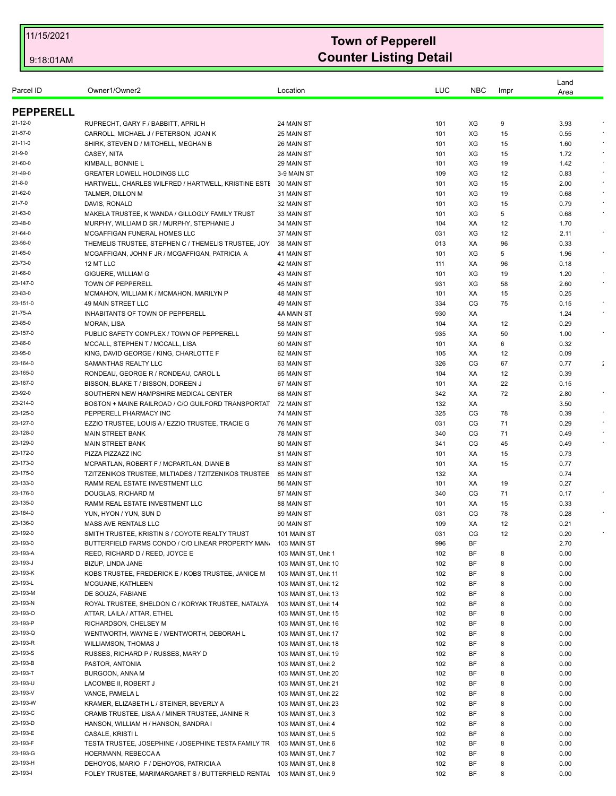| Area<br><b>PEPPERELL</b><br>RUPRECHT, GARY F / BABBITT, APRIL H<br>24 MAIN ST<br>XG<br>3.93<br>21-12-0<br>101<br>9<br>21-57-0<br>CARROLL, MICHAEL J / PETERSON, JOAN K<br>25 MAIN ST<br>XG<br>101<br>15<br>0.55<br>$21 - 11 - 0$<br>SHIRK, STEVEN D / MITCHELL, MEGHAN B<br>26 MAIN ST<br>101<br>XG<br>1.60<br>15<br>21-9-0<br>CASEY, NITA<br>28 MAIN ST<br>XG<br>101<br>15<br>1.72<br>21-60-0<br>KIMBALL, BONNIE L<br>29 MAIN ST<br>XG<br>19<br>101<br>1.42<br>21-49-0<br><b>GREATER LOWELL HOLDINGS LLC</b><br>3-9 MAIN ST<br>109<br>XG<br>12<br>0.83<br>$\sim$<br>$21 - 8 - 0$<br>HARTWELL, CHARLES WILFRED / HARTWELL, KRISTINE ESTI<br>30 MAIN ST<br>XG<br>2.00<br>101<br>15<br>21-62-0<br>TALMER, DILLON M<br>31 MAIN ST<br>101<br>XG<br>19<br>0.68<br>21-7-0<br>DAVIS, RONALD<br>32 MAIN ST<br>101<br>XG<br>0.79<br>15<br>MAKELA TRUSTEE, K WANDA / GILLOGLY FAMILY TRUST<br>33 MAIN ST<br>XG<br>5<br>21-63-0<br>101<br>0.68<br>23-48-0<br>MURPHY, WILLIAM D SR / MURPHY, STEPHANIE J<br>34 MAIN ST<br>104<br>XA<br>12<br>1.70<br>37 MAIN ST<br>XG<br>$\epsilon$<br>21-64-0<br>MCGAFFIGAN FUNERAL HOMES LLC<br>031<br>12<br>2.11<br>23-56-0<br>THEMELIS TRUSTEE, STEPHEN C / THEMELIS TRUSTEE, JOY<br>96<br>0.33<br>38 MAIN ST<br>013<br>XA<br>21-65-0<br>XG<br>5<br>MCGAFFIGAN, JOHN F JR / MCGAFFIGAN, PATRICIA A<br>41 MAIN ST<br>101<br>1.96<br>23-73-0<br>12 MT LLC<br>42 MAIN ST<br>111<br>XA<br>96<br>0.18<br>21-66-0<br>GIGUERE, WILLIAM G<br>43 MAIN ST<br>101<br>XG<br>19<br>1.20<br>23-147-0<br>TOWN OF PEPPERELL<br>931<br>XG<br>2.60<br>45 MAIN ST<br>58<br>23-83-0<br>XA<br>0.25<br>MCMAHON, WILLIAM K / MCMAHON, MARILYN P<br>48 MAIN ST<br>101<br>15<br>23-151-0<br>49 MAIN STREET LLC<br>49 MAIN ST<br>334<br>CG<br>75<br>0.15<br>21-75-A<br>INHABITANTS OF TOWN OF PEPPERELL<br>930<br>XA<br>4A MAIN ST<br>1.24<br>23-85-0<br><b>MORAN, LISA</b><br>58 MAIN ST<br>XA<br>0.29<br>104<br>12<br>23-157-0<br>PUBLIC SAFETY COMPLEX / TOWN OF PEPPERELL<br>59 MAIN ST<br>935<br>XA<br>50<br>1.00<br>23-86-0<br>MCCALL, STEPHEN T / MCCALL, LISA<br>0.32<br>60 MAIN ST<br>101<br>XA<br>6<br>23-95-0<br>KING, DAVID GEORGE / KING, CHARLOTTE F<br>62 MAIN ST<br>105<br>0.09<br>XA<br>12<br>SAMANTHAS REALTY LLC<br>63 MAIN ST<br>326<br>CG<br>0.77<br>23-164-0<br>67<br>$\ddot{\phantom{a}}$<br>23-165-0<br>RONDEAU, GEORGE R / RONDEAU, CAROL L<br>0.39<br>65 MAIN ST<br>104<br>XA<br>12<br>23-167-0<br>BISSON, BLAKE T / BISSON, DOREEN J<br>67 MAIN ST<br>XA<br>22<br>0.15<br>101<br>23-92-0<br>SOUTHERN NEW HAMPSHIRE MEDICAL CENTER<br>68 MAIN ST<br>342<br>XA<br>72<br>2.80<br>23-214-0<br>BOSTON + MAINE RAILROAD / C/O GUILFORD TRANSPORTAT<br>132<br>3.50<br>72 MAIN ST<br>ХA<br>23-125-0<br>PEPPERELL PHARMACY INC<br>74 MAIN ST<br>325<br>CG<br>0.39<br>78<br>23-127-0<br>CG<br>71<br>EZZIO TRUSTEE, LOUIS A / EZZIO TRUSTEE, TRACIE G<br>76 MAIN ST<br>031<br>0.29<br>CG<br>23-128-0<br>78 MAIN ST<br><b>MAIN STREET BANK</b><br>340<br>71<br>0.49<br>23-129-0<br><b>MAIN STREET BANK</b><br>80 MAIN ST<br>341<br>CG<br>0.49<br>45<br>23-172-0<br>PIZZA PIZZAZZ INC<br>81 MAIN ST<br>101<br>XA<br>15<br>0.73<br>23-173-0<br>MCPARTLAN, ROBERT F / MCPARTLAN, DIANE B<br>83 MAIN ST<br>0.77<br>101<br>ХA<br>15<br>23-175-0<br>TZITZENIKOS TRUSTEE, MILTIADES / TZITZENIKOS TRUSTEE 85 MAIN ST<br>132<br>0.74<br>XA<br>23-133-0<br>RAMM REAL ESTATE INVESTMENT LLC<br>86 MAIN ST<br>101<br>XA<br>19<br>0.27<br>23-176-0<br>DOUGLAS, RICHARD M<br>87 MAIN ST<br>340<br>CG<br>71<br>0.17<br>23-135-0<br>RAMM REAL ESTATE INVESTMENT LLC<br>88 MAIN ST<br>XA<br>0.33<br>101<br>15<br>23-184-0<br>89 MAIN ST<br>031<br>CG<br>78<br>YUN, HYON / YUN, SUN D<br>0.28<br>23-136-0<br><b>MASS AVE RENTALS LLC</b><br>90 MAIN ST<br>109<br>XA<br>12<br>0.21<br>23-192-0<br>SMITH TRUSTEE, KRISTIN S / COYOTE REALTY TRUST<br>031<br>СG<br>0.20<br>101 MAIN ST<br>12<br>23-193-0<br>BF<br>996<br>2.70<br>BUTTERFIELD FARMS CONDO / C/O LINEAR PROPERTY MAN.<br>103 MAIN ST<br>23-193-A<br>102<br>BF<br>0.00<br>REED, RICHARD D / REED, JOYCE E<br>103 MAIN ST, Unit 1<br>8<br>23-193-J<br>BIZUP, LINDA JANE<br>103 MAIN ST, Unit 10<br>102<br>ΒF<br>8<br>0.00<br>23-193-K<br>0.00<br>KOBS TRUSTEE, FREDERICK E / KOBS TRUSTEE, JANICE M<br>103 MAIN ST, Unit 11<br>102<br>ΒF<br>8<br>23-193-L<br>BF<br>0.00<br>MCGUANE, KATHLEEN<br>103 MAIN ST, Unit 12<br>102<br>8<br>23-193-M<br>ΒF<br>DE SOUZA, FABIANE<br>103 MAIN ST, Unit 13<br>102<br>8<br>0.00<br>23-193-N<br>ROYAL TRUSTEE, SHELDON C / KORYAK TRUSTEE, NATALYA<br>103 MAIN ST, Unit 14<br>102<br>ΒF<br>8<br>0.00<br>23-193-O<br>0.00<br>ATTAR, LAILA / ATTAR, ETHEL<br>103 MAIN ST, Unit 15<br>102<br>BF<br>8<br>23-193-P<br>ΒF<br>RICHARDSON, CHELSEY M<br>103 MAIN ST, Unit 16<br>102<br>8<br>0.00<br>23-193-Q<br>ΒF<br>WENTWORTH, WAYNE E / WENTWORTH, DEBORAH L<br>103 MAIN ST, Unit 17<br>102<br>8<br>0.00<br>23-193-R<br>WILLIAMSON, THOMAS J<br>103 MAIN ST, Unit 18<br>102<br>BF<br>8<br>0.00<br>23-193-S<br>RUSSES, RICHARD P / RUSSES, MARY D<br>ΒF<br>0.00<br>103 MAIN ST, Unit 19<br>102<br>8<br>23-193-B<br>BF<br>0.00<br>PASTOR, ANTONIA<br>103 MAIN ST, Unit 2<br>102<br>8<br>23-193-T<br>BURGOON, ANNA M<br>103 MAIN ST, Unit 20<br>102<br>BF<br>0.00<br>8<br>23-193-U<br>LACOMBE II, ROBERT J<br>102<br>ΒF<br>0.00<br>103 MAIN ST, Unit 21<br>8<br>23-193-V<br>VANCE, PAMELA L<br>BF<br>0.00<br>103 MAIN ST, Unit 22<br>102<br>8<br>23-193-W<br>KRAMER, ELIZABETH L / STEINER, BEVERLY A<br>ΒF<br>0.00<br>103 MAIN ST, Unit 23<br>102<br>8<br>23-193-C<br>CRAMB TRUSTEE, LISA A / MINER TRUSTEE, JANINE R<br>102<br>ΒF<br>0.00<br>103 MAIN ST, Unit 3<br>8<br>23-193-D<br>HANSON, WILLIAM H / HANSON, SANDRA I<br>103 MAIN ST, Unit 4<br>102<br>ΒF<br>8<br>0.00<br>23-193-E<br>ΒF<br>CASALE, KRISTI L<br>103 MAIN ST, Unit 5<br>102<br>0.00<br>8<br>23-193-F<br>TESTA TRUSTEE, JOSEPHINE / JOSEPHINE TESTA FAMILY TR<br>103 MAIN ST, Unit 6<br>102<br>ВF<br>8<br>0.00<br>23-193-G<br>HOERMANN, REBECCA A<br>103 MAIN ST, Unit 7<br>102<br>ΒF<br>8<br>0.00<br>23-193-H<br>DEHOYOS, MARIO F / DEHOYOS, PATRICIA A<br>102<br>ΒF<br>0.00<br>103 MAIN ST, Unit 8<br>8<br>23-193-l<br>FOLEY TRUSTEE, MARIMARGARET S / BUTTERFIELD RENTAL<br>ΒF<br>103 MAIN ST, Unit 9<br>102<br>8<br>0.00 |           |               |          |     |            |      | Land |  |
|----------------------------------------------------------------------------------------------------------------------------------------------------------------------------------------------------------------------------------------------------------------------------------------------------------------------------------------------------------------------------------------------------------------------------------------------------------------------------------------------------------------------------------------------------------------------------------------------------------------------------------------------------------------------------------------------------------------------------------------------------------------------------------------------------------------------------------------------------------------------------------------------------------------------------------------------------------------------------------------------------------------------------------------------------------------------------------------------------------------------------------------------------------------------------------------------------------------------------------------------------------------------------------------------------------------------------------------------------------------------------------------------------------------------------------------------------------------------------------------------------------------------------------------------------------------------------------------------------------------------------------------------------------------------------------------------------------------------------------------------------------------------------------------------------------------------------------------------------------------------------------------------------------------------------------------------------------------------------------------------------------------------------------------------------------------------------------------------------------------------------------------------------------------------------------------------------------------------------------------------------------------------------------------------------------------------------------------------------------------------------------------------------------------------------------------------------------------------------------------------------------------------------------------------------------------------------------------------------------------------------------------------------------------------------------------------------------------------------------------------------------------------------------------------------------------------------------------------------------------------------------------------------------------------------------------------------------------------------------------------------------------------------------------------------------------------------------------------------------------------------------------------------------------------------------------------------------------------------------------------------------------------------------------------------------------------------------------------------------------------------------------------------------------------------------------------------------------------------------------------------------------------------------------------------------------------------------------------------------------------------------------------------------------------------------------------------------------------------------------------------------------------------------------------------------------------------------------------------------------------------------------------------------------------------------------------------------------------------------------------------------------------------------------------------------------------------------------------------------------------------------------------------------------------------------------------------------------------------------------------------------------------------------------------------------------------------------------------------------------------------------------------------------------------------------------------------------------------------------------------------------------------------------------------------------------------------------------------------------------------------------------------------------------------------------------------------------------------------------------------------------------------------------------------------------------------------------------------------------------------------------------------------------------------------------------------------------------------------------------------------------------------------------------------------------------------------------------------------------------------------------------------------------------------------------------------------------------------------------------------------------------------------------------------------------------------------------------------------------------------------------------------------------------------------------------------------------------------------------------------------------------------------------------------------------------------------------------------------------------------------------------------------------------------------------------------------------------------------------------------------------------------------------------------------------------------------------------------------------------------------------------------------------------------------------------------------------------------------------------------------------------------------------------------------------------------------------------------------------------------------------------------------------------------------------------------------------------------------------------------------------------------------------|-----------|---------------|----------|-----|------------|------|------|--|
|                                                                                                                                                                                                                                                                                                                                                                                                                                                                                                                                                                                                                                                                                                                                                                                                                                                                                                                                                                                                                                                                                                                                                                                                                                                                                                                                                                                                                                                                                                                                                                                                                                                                                                                                                                                                                                                                                                                                                                                                                                                                                                                                                                                                                                                                                                                                                                                                                                                                                                                                                                                                                                                                                                                                                                                                                                                                                                                                                                                                                                                                                                                                                                                                                                                                                                                                                                                                                                                                                                                                                                                                                                                                                                                                                                                                                                                                                                                                                                                                                                                                                                                                                                                                                                                                                                                                                                                                                                                                                                                                                                                                                                                                                                                                                                                                                                                                                                                                                                                                                                                                                                                                                                                                                                                                                                                                                                                                                                                                                                                                                                                                                                                                                                                                                                                                                                                                                                                                                                                                                                                                                                                                                                                                                                                                                  | Parcel ID | Owner1/Owner2 | Location | LUC | <b>NBC</b> | Impr |      |  |
|                                                                                                                                                                                                                                                                                                                                                                                                                                                                                                                                                                                                                                                                                                                                                                                                                                                                                                                                                                                                                                                                                                                                                                                                                                                                                                                                                                                                                                                                                                                                                                                                                                                                                                                                                                                                                                                                                                                                                                                                                                                                                                                                                                                                                                                                                                                                                                                                                                                                                                                                                                                                                                                                                                                                                                                                                                                                                                                                                                                                                                                                                                                                                                                                                                                                                                                                                                                                                                                                                                                                                                                                                                                                                                                                                                                                                                                                                                                                                                                                                                                                                                                                                                                                                                                                                                                                                                                                                                                                                                                                                                                                                                                                                                                                                                                                                                                                                                                                                                                                                                                                                                                                                                                                                                                                                                                                                                                                                                                                                                                                                                                                                                                                                                                                                                                                                                                                                                                                                                                                                                                                                                                                                                                                                                                                                  |           |               |          |     |            |      |      |  |
|                                                                                                                                                                                                                                                                                                                                                                                                                                                                                                                                                                                                                                                                                                                                                                                                                                                                                                                                                                                                                                                                                                                                                                                                                                                                                                                                                                                                                                                                                                                                                                                                                                                                                                                                                                                                                                                                                                                                                                                                                                                                                                                                                                                                                                                                                                                                                                                                                                                                                                                                                                                                                                                                                                                                                                                                                                                                                                                                                                                                                                                                                                                                                                                                                                                                                                                                                                                                                                                                                                                                                                                                                                                                                                                                                                                                                                                                                                                                                                                                                                                                                                                                                                                                                                                                                                                                                                                                                                                                                                                                                                                                                                                                                                                                                                                                                                                                                                                                                                                                                                                                                                                                                                                                                                                                                                                                                                                                                                                                                                                                                                                                                                                                                                                                                                                                                                                                                                                                                                                                                                                                                                                                                                                                                                                                                  |           |               |          |     |            |      |      |  |
|                                                                                                                                                                                                                                                                                                                                                                                                                                                                                                                                                                                                                                                                                                                                                                                                                                                                                                                                                                                                                                                                                                                                                                                                                                                                                                                                                                                                                                                                                                                                                                                                                                                                                                                                                                                                                                                                                                                                                                                                                                                                                                                                                                                                                                                                                                                                                                                                                                                                                                                                                                                                                                                                                                                                                                                                                                                                                                                                                                                                                                                                                                                                                                                                                                                                                                                                                                                                                                                                                                                                                                                                                                                                                                                                                                                                                                                                                                                                                                                                                                                                                                                                                                                                                                                                                                                                                                                                                                                                                                                                                                                                                                                                                                                                                                                                                                                                                                                                                                                                                                                                                                                                                                                                                                                                                                                                                                                                                                                                                                                                                                                                                                                                                                                                                                                                                                                                                                                                                                                                                                                                                                                                                                                                                                                                                  |           |               |          |     |            |      |      |  |
|                                                                                                                                                                                                                                                                                                                                                                                                                                                                                                                                                                                                                                                                                                                                                                                                                                                                                                                                                                                                                                                                                                                                                                                                                                                                                                                                                                                                                                                                                                                                                                                                                                                                                                                                                                                                                                                                                                                                                                                                                                                                                                                                                                                                                                                                                                                                                                                                                                                                                                                                                                                                                                                                                                                                                                                                                                                                                                                                                                                                                                                                                                                                                                                                                                                                                                                                                                                                                                                                                                                                                                                                                                                                                                                                                                                                                                                                                                                                                                                                                                                                                                                                                                                                                                                                                                                                                                                                                                                                                                                                                                                                                                                                                                                                                                                                                                                                                                                                                                                                                                                                                                                                                                                                                                                                                                                                                                                                                                                                                                                                                                                                                                                                                                                                                                                                                                                                                                                                                                                                                                                                                                                                                                                                                                                                                  |           |               |          |     |            |      |      |  |
|                                                                                                                                                                                                                                                                                                                                                                                                                                                                                                                                                                                                                                                                                                                                                                                                                                                                                                                                                                                                                                                                                                                                                                                                                                                                                                                                                                                                                                                                                                                                                                                                                                                                                                                                                                                                                                                                                                                                                                                                                                                                                                                                                                                                                                                                                                                                                                                                                                                                                                                                                                                                                                                                                                                                                                                                                                                                                                                                                                                                                                                                                                                                                                                                                                                                                                                                                                                                                                                                                                                                                                                                                                                                                                                                                                                                                                                                                                                                                                                                                                                                                                                                                                                                                                                                                                                                                                                                                                                                                                                                                                                                                                                                                                                                                                                                                                                                                                                                                                                                                                                                                                                                                                                                                                                                                                                                                                                                                                                                                                                                                                                                                                                                                                                                                                                                                                                                                                                                                                                                                                                                                                                                                                                                                                                                                  |           |               |          |     |            |      |      |  |
|                                                                                                                                                                                                                                                                                                                                                                                                                                                                                                                                                                                                                                                                                                                                                                                                                                                                                                                                                                                                                                                                                                                                                                                                                                                                                                                                                                                                                                                                                                                                                                                                                                                                                                                                                                                                                                                                                                                                                                                                                                                                                                                                                                                                                                                                                                                                                                                                                                                                                                                                                                                                                                                                                                                                                                                                                                                                                                                                                                                                                                                                                                                                                                                                                                                                                                                                                                                                                                                                                                                                                                                                                                                                                                                                                                                                                                                                                                                                                                                                                                                                                                                                                                                                                                                                                                                                                                                                                                                                                                                                                                                                                                                                                                                                                                                                                                                                                                                                                                                                                                                                                                                                                                                                                                                                                                                                                                                                                                                                                                                                                                                                                                                                                                                                                                                                                                                                                                                                                                                                                                                                                                                                                                                                                                                                                  |           |               |          |     |            |      |      |  |
|                                                                                                                                                                                                                                                                                                                                                                                                                                                                                                                                                                                                                                                                                                                                                                                                                                                                                                                                                                                                                                                                                                                                                                                                                                                                                                                                                                                                                                                                                                                                                                                                                                                                                                                                                                                                                                                                                                                                                                                                                                                                                                                                                                                                                                                                                                                                                                                                                                                                                                                                                                                                                                                                                                                                                                                                                                                                                                                                                                                                                                                                                                                                                                                                                                                                                                                                                                                                                                                                                                                                                                                                                                                                                                                                                                                                                                                                                                                                                                                                                                                                                                                                                                                                                                                                                                                                                                                                                                                                                                                                                                                                                                                                                                                                                                                                                                                                                                                                                                                                                                                                                                                                                                                                                                                                                                                                                                                                                                                                                                                                                                                                                                                                                                                                                                                                                                                                                                                                                                                                                                                                                                                                                                                                                                                                                  |           |               |          |     |            |      |      |  |
|                                                                                                                                                                                                                                                                                                                                                                                                                                                                                                                                                                                                                                                                                                                                                                                                                                                                                                                                                                                                                                                                                                                                                                                                                                                                                                                                                                                                                                                                                                                                                                                                                                                                                                                                                                                                                                                                                                                                                                                                                                                                                                                                                                                                                                                                                                                                                                                                                                                                                                                                                                                                                                                                                                                                                                                                                                                                                                                                                                                                                                                                                                                                                                                                                                                                                                                                                                                                                                                                                                                                                                                                                                                                                                                                                                                                                                                                                                                                                                                                                                                                                                                                                                                                                                                                                                                                                                                                                                                                                                                                                                                                                                                                                                                                                                                                                                                                                                                                                                                                                                                                                                                                                                                                                                                                                                                                                                                                                                                                                                                                                                                                                                                                                                                                                                                                                                                                                                                                                                                                                                                                                                                                                                                                                                                                                  |           |               |          |     |            |      |      |  |
|                                                                                                                                                                                                                                                                                                                                                                                                                                                                                                                                                                                                                                                                                                                                                                                                                                                                                                                                                                                                                                                                                                                                                                                                                                                                                                                                                                                                                                                                                                                                                                                                                                                                                                                                                                                                                                                                                                                                                                                                                                                                                                                                                                                                                                                                                                                                                                                                                                                                                                                                                                                                                                                                                                                                                                                                                                                                                                                                                                                                                                                                                                                                                                                                                                                                                                                                                                                                                                                                                                                                                                                                                                                                                                                                                                                                                                                                                                                                                                                                                                                                                                                                                                                                                                                                                                                                                                                                                                                                                                                                                                                                                                                                                                                                                                                                                                                                                                                                                                                                                                                                                                                                                                                                                                                                                                                                                                                                                                                                                                                                                                                                                                                                                                                                                                                                                                                                                                                                                                                                                                                                                                                                                                                                                                                                                  |           |               |          |     |            |      |      |  |
|                                                                                                                                                                                                                                                                                                                                                                                                                                                                                                                                                                                                                                                                                                                                                                                                                                                                                                                                                                                                                                                                                                                                                                                                                                                                                                                                                                                                                                                                                                                                                                                                                                                                                                                                                                                                                                                                                                                                                                                                                                                                                                                                                                                                                                                                                                                                                                                                                                                                                                                                                                                                                                                                                                                                                                                                                                                                                                                                                                                                                                                                                                                                                                                                                                                                                                                                                                                                                                                                                                                                                                                                                                                                                                                                                                                                                                                                                                                                                                                                                                                                                                                                                                                                                                                                                                                                                                                                                                                                                                                                                                                                                                                                                                                                                                                                                                                                                                                                                                                                                                                                                                                                                                                                                                                                                                                                                                                                                                                                                                                                                                                                                                                                                                                                                                                                                                                                                                                                                                                                                                                                                                                                                                                                                                                                                  |           |               |          |     |            |      |      |  |
|                                                                                                                                                                                                                                                                                                                                                                                                                                                                                                                                                                                                                                                                                                                                                                                                                                                                                                                                                                                                                                                                                                                                                                                                                                                                                                                                                                                                                                                                                                                                                                                                                                                                                                                                                                                                                                                                                                                                                                                                                                                                                                                                                                                                                                                                                                                                                                                                                                                                                                                                                                                                                                                                                                                                                                                                                                                                                                                                                                                                                                                                                                                                                                                                                                                                                                                                                                                                                                                                                                                                                                                                                                                                                                                                                                                                                                                                                                                                                                                                                                                                                                                                                                                                                                                                                                                                                                                                                                                                                                                                                                                                                                                                                                                                                                                                                                                                                                                                                                                                                                                                                                                                                                                                                                                                                                                                                                                                                                                                                                                                                                                                                                                                                                                                                                                                                                                                                                                                                                                                                                                                                                                                                                                                                                                                                  |           |               |          |     |            |      |      |  |
|                                                                                                                                                                                                                                                                                                                                                                                                                                                                                                                                                                                                                                                                                                                                                                                                                                                                                                                                                                                                                                                                                                                                                                                                                                                                                                                                                                                                                                                                                                                                                                                                                                                                                                                                                                                                                                                                                                                                                                                                                                                                                                                                                                                                                                                                                                                                                                                                                                                                                                                                                                                                                                                                                                                                                                                                                                                                                                                                                                                                                                                                                                                                                                                                                                                                                                                                                                                                                                                                                                                                                                                                                                                                                                                                                                                                                                                                                                                                                                                                                                                                                                                                                                                                                                                                                                                                                                                                                                                                                                                                                                                                                                                                                                                                                                                                                                                                                                                                                                                                                                                                                                                                                                                                                                                                                                                                                                                                                                                                                                                                                                                                                                                                                                                                                                                                                                                                                                                                                                                                                                                                                                                                                                                                                                                                                  |           |               |          |     |            |      |      |  |
|                                                                                                                                                                                                                                                                                                                                                                                                                                                                                                                                                                                                                                                                                                                                                                                                                                                                                                                                                                                                                                                                                                                                                                                                                                                                                                                                                                                                                                                                                                                                                                                                                                                                                                                                                                                                                                                                                                                                                                                                                                                                                                                                                                                                                                                                                                                                                                                                                                                                                                                                                                                                                                                                                                                                                                                                                                                                                                                                                                                                                                                                                                                                                                                                                                                                                                                                                                                                                                                                                                                                                                                                                                                                                                                                                                                                                                                                                                                                                                                                                                                                                                                                                                                                                                                                                                                                                                                                                                                                                                                                                                                                                                                                                                                                                                                                                                                                                                                                                                                                                                                                                                                                                                                                                                                                                                                                                                                                                                                                                                                                                                                                                                                                                                                                                                                                                                                                                                                                                                                                                                                                                                                                                                                                                                                                                  |           |               |          |     |            |      |      |  |
|                                                                                                                                                                                                                                                                                                                                                                                                                                                                                                                                                                                                                                                                                                                                                                                                                                                                                                                                                                                                                                                                                                                                                                                                                                                                                                                                                                                                                                                                                                                                                                                                                                                                                                                                                                                                                                                                                                                                                                                                                                                                                                                                                                                                                                                                                                                                                                                                                                                                                                                                                                                                                                                                                                                                                                                                                                                                                                                                                                                                                                                                                                                                                                                                                                                                                                                                                                                                                                                                                                                                                                                                                                                                                                                                                                                                                                                                                                                                                                                                                                                                                                                                                                                                                                                                                                                                                                                                                                                                                                                                                                                                                                                                                                                                                                                                                                                                                                                                                                                                                                                                                                                                                                                                                                                                                                                                                                                                                                                                                                                                                                                                                                                                                                                                                                                                                                                                                                                                                                                                                                                                                                                                                                                                                                                                                  |           |               |          |     |            |      |      |  |
|                                                                                                                                                                                                                                                                                                                                                                                                                                                                                                                                                                                                                                                                                                                                                                                                                                                                                                                                                                                                                                                                                                                                                                                                                                                                                                                                                                                                                                                                                                                                                                                                                                                                                                                                                                                                                                                                                                                                                                                                                                                                                                                                                                                                                                                                                                                                                                                                                                                                                                                                                                                                                                                                                                                                                                                                                                                                                                                                                                                                                                                                                                                                                                                                                                                                                                                                                                                                                                                                                                                                                                                                                                                                                                                                                                                                                                                                                                                                                                                                                                                                                                                                                                                                                                                                                                                                                                                                                                                                                                                                                                                                                                                                                                                                                                                                                                                                                                                                                                                                                                                                                                                                                                                                                                                                                                                                                                                                                                                                                                                                                                                                                                                                                                                                                                                                                                                                                                                                                                                                                                                                                                                                                                                                                                                                                  |           |               |          |     |            |      |      |  |
|                                                                                                                                                                                                                                                                                                                                                                                                                                                                                                                                                                                                                                                                                                                                                                                                                                                                                                                                                                                                                                                                                                                                                                                                                                                                                                                                                                                                                                                                                                                                                                                                                                                                                                                                                                                                                                                                                                                                                                                                                                                                                                                                                                                                                                                                                                                                                                                                                                                                                                                                                                                                                                                                                                                                                                                                                                                                                                                                                                                                                                                                                                                                                                                                                                                                                                                                                                                                                                                                                                                                                                                                                                                                                                                                                                                                                                                                                                                                                                                                                                                                                                                                                                                                                                                                                                                                                                                                                                                                                                                                                                                                                                                                                                                                                                                                                                                                                                                                                                                                                                                                                                                                                                                                                                                                                                                                                                                                                                                                                                                                                                                                                                                                                                                                                                                                                                                                                                                                                                                                                                                                                                                                                                                                                                                                                  |           |               |          |     |            |      |      |  |
|                                                                                                                                                                                                                                                                                                                                                                                                                                                                                                                                                                                                                                                                                                                                                                                                                                                                                                                                                                                                                                                                                                                                                                                                                                                                                                                                                                                                                                                                                                                                                                                                                                                                                                                                                                                                                                                                                                                                                                                                                                                                                                                                                                                                                                                                                                                                                                                                                                                                                                                                                                                                                                                                                                                                                                                                                                                                                                                                                                                                                                                                                                                                                                                                                                                                                                                                                                                                                                                                                                                                                                                                                                                                                                                                                                                                                                                                                                                                                                                                                                                                                                                                                                                                                                                                                                                                                                                                                                                                                                                                                                                                                                                                                                                                                                                                                                                                                                                                                                                                                                                                                                                                                                                                                                                                                                                                                                                                                                                                                                                                                                                                                                                                                                                                                                                                                                                                                                                                                                                                                                                                                                                                                                                                                                                                                  |           |               |          |     |            |      |      |  |
|                                                                                                                                                                                                                                                                                                                                                                                                                                                                                                                                                                                                                                                                                                                                                                                                                                                                                                                                                                                                                                                                                                                                                                                                                                                                                                                                                                                                                                                                                                                                                                                                                                                                                                                                                                                                                                                                                                                                                                                                                                                                                                                                                                                                                                                                                                                                                                                                                                                                                                                                                                                                                                                                                                                                                                                                                                                                                                                                                                                                                                                                                                                                                                                                                                                                                                                                                                                                                                                                                                                                                                                                                                                                                                                                                                                                                                                                                                                                                                                                                                                                                                                                                                                                                                                                                                                                                                                                                                                                                                                                                                                                                                                                                                                                                                                                                                                                                                                                                                                                                                                                                                                                                                                                                                                                                                                                                                                                                                                                                                                                                                                                                                                                                                                                                                                                                                                                                                                                                                                                                                                                                                                                                                                                                                                                                  |           |               |          |     |            |      |      |  |
|                                                                                                                                                                                                                                                                                                                                                                                                                                                                                                                                                                                                                                                                                                                                                                                                                                                                                                                                                                                                                                                                                                                                                                                                                                                                                                                                                                                                                                                                                                                                                                                                                                                                                                                                                                                                                                                                                                                                                                                                                                                                                                                                                                                                                                                                                                                                                                                                                                                                                                                                                                                                                                                                                                                                                                                                                                                                                                                                                                                                                                                                                                                                                                                                                                                                                                                                                                                                                                                                                                                                                                                                                                                                                                                                                                                                                                                                                                                                                                                                                                                                                                                                                                                                                                                                                                                                                                                                                                                                                                                                                                                                                                                                                                                                                                                                                                                                                                                                                                                                                                                                                                                                                                                                                                                                                                                                                                                                                                                                                                                                                                                                                                                                                                                                                                                                                                                                                                                                                                                                                                                                                                                                                                                                                                                                                  |           |               |          |     |            |      |      |  |
|                                                                                                                                                                                                                                                                                                                                                                                                                                                                                                                                                                                                                                                                                                                                                                                                                                                                                                                                                                                                                                                                                                                                                                                                                                                                                                                                                                                                                                                                                                                                                                                                                                                                                                                                                                                                                                                                                                                                                                                                                                                                                                                                                                                                                                                                                                                                                                                                                                                                                                                                                                                                                                                                                                                                                                                                                                                                                                                                                                                                                                                                                                                                                                                                                                                                                                                                                                                                                                                                                                                                                                                                                                                                                                                                                                                                                                                                                                                                                                                                                                                                                                                                                                                                                                                                                                                                                                                                                                                                                                                                                                                                                                                                                                                                                                                                                                                                                                                                                                                                                                                                                                                                                                                                                                                                                                                                                                                                                                                                                                                                                                                                                                                                                                                                                                                                                                                                                                                                                                                                                                                                                                                                                                                                                                                                                  |           |               |          |     |            |      |      |  |
|                                                                                                                                                                                                                                                                                                                                                                                                                                                                                                                                                                                                                                                                                                                                                                                                                                                                                                                                                                                                                                                                                                                                                                                                                                                                                                                                                                                                                                                                                                                                                                                                                                                                                                                                                                                                                                                                                                                                                                                                                                                                                                                                                                                                                                                                                                                                                                                                                                                                                                                                                                                                                                                                                                                                                                                                                                                                                                                                                                                                                                                                                                                                                                                                                                                                                                                                                                                                                                                                                                                                                                                                                                                                                                                                                                                                                                                                                                                                                                                                                                                                                                                                                                                                                                                                                                                                                                                                                                                                                                                                                                                                                                                                                                                                                                                                                                                                                                                                                                                                                                                                                                                                                                                                                                                                                                                                                                                                                                                                                                                                                                                                                                                                                                                                                                                                                                                                                                                                                                                                                                                                                                                                                                                                                                                                                  |           |               |          |     |            |      |      |  |
|                                                                                                                                                                                                                                                                                                                                                                                                                                                                                                                                                                                                                                                                                                                                                                                                                                                                                                                                                                                                                                                                                                                                                                                                                                                                                                                                                                                                                                                                                                                                                                                                                                                                                                                                                                                                                                                                                                                                                                                                                                                                                                                                                                                                                                                                                                                                                                                                                                                                                                                                                                                                                                                                                                                                                                                                                                                                                                                                                                                                                                                                                                                                                                                                                                                                                                                                                                                                                                                                                                                                                                                                                                                                                                                                                                                                                                                                                                                                                                                                                                                                                                                                                                                                                                                                                                                                                                                                                                                                                                                                                                                                                                                                                                                                                                                                                                                                                                                                                                                                                                                                                                                                                                                                                                                                                                                                                                                                                                                                                                                                                                                                                                                                                                                                                                                                                                                                                                                                                                                                                                                                                                                                                                                                                                                                                  |           |               |          |     |            |      |      |  |
|                                                                                                                                                                                                                                                                                                                                                                                                                                                                                                                                                                                                                                                                                                                                                                                                                                                                                                                                                                                                                                                                                                                                                                                                                                                                                                                                                                                                                                                                                                                                                                                                                                                                                                                                                                                                                                                                                                                                                                                                                                                                                                                                                                                                                                                                                                                                                                                                                                                                                                                                                                                                                                                                                                                                                                                                                                                                                                                                                                                                                                                                                                                                                                                                                                                                                                                                                                                                                                                                                                                                                                                                                                                                                                                                                                                                                                                                                                                                                                                                                                                                                                                                                                                                                                                                                                                                                                                                                                                                                                                                                                                                                                                                                                                                                                                                                                                                                                                                                                                                                                                                                                                                                                                                                                                                                                                                                                                                                                                                                                                                                                                                                                                                                                                                                                                                                                                                                                                                                                                                                                                                                                                                                                                                                                                                                  |           |               |          |     |            |      |      |  |
|                                                                                                                                                                                                                                                                                                                                                                                                                                                                                                                                                                                                                                                                                                                                                                                                                                                                                                                                                                                                                                                                                                                                                                                                                                                                                                                                                                                                                                                                                                                                                                                                                                                                                                                                                                                                                                                                                                                                                                                                                                                                                                                                                                                                                                                                                                                                                                                                                                                                                                                                                                                                                                                                                                                                                                                                                                                                                                                                                                                                                                                                                                                                                                                                                                                                                                                                                                                                                                                                                                                                                                                                                                                                                                                                                                                                                                                                                                                                                                                                                                                                                                                                                                                                                                                                                                                                                                                                                                                                                                                                                                                                                                                                                                                                                                                                                                                                                                                                                                                                                                                                                                                                                                                                                                                                                                                                                                                                                                                                                                                                                                                                                                                                                                                                                                                                                                                                                                                                                                                                                                                                                                                                                                                                                                                                                  |           |               |          |     |            |      |      |  |
|                                                                                                                                                                                                                                                                                                                                                                                                                                                                                                                                                                                                                                                                                                                                                                                                                                                                                                                                                                                                                                                                                                                                                                                                                                                                                                                                                                                                                                                                                                                                                                                                                                                                                                                                                                                                                                                                                                                                                                                                                                                                                                                                                                                                                                                                                                                                                                                                                                                                                                                                                                                                                                                                                                                                                                                                                                                                                                                                                                                                                                                                                                                                                                                                                                                                                                                                                                                                                                                                                                                                                                                                                                                                                                                                                                                                                                                                                                                                                                                                                                                                                                                                                                                                                                                                                                                                                                                                                                                                                                                                                                                                                                                                                                                                                                                                                                                                                                                                                                                                                                                                                                                                                                                                                                                                                                                                                                                                                                                                                                                                                                                                                                                                                                                                                                                                                                                                                                                                                                                                                                                                                                                                                                                                                                                                                  |           |               |          |     |            |      |      |  |
|                                                                                                                                                                                                                                                                                                                                                                                                                                                                                                                                                                                                                                                                                                                                                                                                                                                                                                                                                                                                                                                                                                                                                                                                                                                                                                                                                                                                                                                                                                                                                                                                                                                                                                                                                                                                                                                                                                                                                                                                                                                                                                                                                                                                                                                                                                                                                                                                                                                                                                                                                                                                                                                                                                                                                                                                                                                                                                                                                                                                                                                                                                                                                                                                                                                                                                                                                                                                                                                                                                                                                                                                                                                                                                                                                                                                                                                                                                                                                                                                                                                                                                                                                                                                                                                                                                                                                                                                                                                                                                                                                                                                                                                                                                                                                                                                                                                                                                                                                                                                                                                                                                                                                                                                                                                                                                                                                                                                                                                                                                                                                                                                                                                                                                                                                                                                                                                                                                                                                                                                                                                                                                                                                                                                                                                                                  |           |               |          |     |            |      |      |  |
|                                                                                                                                                                                                                                                                                                                                                                                                                                                                                                                                                                                                                                                                                                                                                                                                                                                                                                                                                                                                                                                                                                                                                                                                                                                                                                                                                                                                                                                                                                                                                                                                                                                                                                                                                                                                                                                                                                                                                                                                                                                                                                                                                                                                                                                                                                                                                                                                                                                                                                                                                                                                                                                                                                                                                                                                                                                                                                                                                                                                                                                                                                                                                                                                                                                                                                                                                                                                                                                                                                                                                                                                                                                                                                                                                                                                                                                                                                                                                                                                                                                                                                                                                                                                                                                                                                                                                                                                                                                                                                                                                                                                                                                                                                                                                                                                                                                                                                                                                                                                                                                                                                                                                                                                                                                                                                                                                                                                                                                                                                                                                                                                                                                                                                                                                                                                                                                                                                                                                                                                                                                                                                                                                                                                                                                                                  |           |               |          |     |            |      |      |  |
|                                                                                                                                                                                                                                                                                                                                                                                                                                                                                                                                                                                                                                                                                                                                                                                                                                                                                                                                                                                                                                                                                                                                                                                                                                                                                                                                                                                                                                                                                                                                                                                                                                                                                                                                                                                                                                                                                                                                                                                                                                                                                                                                                                                                                                                                                                                                                                                                                                                                                                                                                                                                                                                                                                                                                                                                                                                                                                                                                                                                                                                                                                                                                                                                                                                                                                                                                                                                                                                                                                                                                                                                                                                                                                                                                                                                                                                                                                                                                                                                                                                                                                                                                                                                                                                                                                                                                                                                                                                                                                                                                                                                                                                                                                                                                                                                                                                                                                                                                                                                                                                                                                                                                                                                                                                                                                                                                                                                                                                                                                                                                                                                                                                                                                                                                                                                                                                                                                                                                                                                                                                                                                                                                                                                                                                                                  |           |               |          |     |            |      |      |  |
|                                                                                                                                                                                                                                                                                                                                                                                                                                                                                                                                                                                                                                                                                                                                                                                                                                                                                                                                                                                                                                                                                                                                                                                                                                                                                                                                                                                                                                                                                                                                                                                                                                                                                                                                                                                                                                                                                                                                                                                                                                                                                                                                                                                                                                                                                                                                                                                                                                                                                                                                                                                                                                                                                                                                                                                                                                                                                                                                                                                                                                                                                                                                                                                                                                                                                                                                                                                                                                                                                                                                                                                                                                                                                                                                                                                                                                                                                                                                                                                                                                                                                                                                                                                                                                                                                                                                                                                                                                                                                                                                                                                                                                                                                                                                                                                                                                                                                                                                                                                                                                                                                                                                                                                                                                                                                                                                                                                                                                                                                                                                                                                                                                                                                                                                                                                                                                                                                                                                                                                                                                                                                                                                                                                                                                                                                  |           |               |          |     |            |      |      |  |
|                                                                                                                                                                                                                                                                                                                                                                                                                                                                                                                                                                                                                                                                                                                                                                                                                                                                                                                                                                                                                                                                                                                                                                                                                                                                                                                                                                                                                                                                                                                                                                                                                                                                                                                                                                                                                                                                                                                                                                                                                                                                                                                                                                                                                                                                                                                                                                                                                                                                                                                                                                                                                                                                                                                                                                                                                                                                                                                                                                                                                                                                                                                                                                                                                                                                                                                                                                                                                                                                                                                                                                                                                                                                                                                                                                                                                                                                                                                                                                                                                                                                                                                                                                                                                                                                                                                                                                                                                                                                                                                                                                                                                                                                                                                                                                                                                                                                                                                                                                                                                                                                                                                                                                                                                                                                                                                                                                                                                                                                                                                                                                                                                                                                                                                                                                                                                                                                                                                                                                                                                                                                                                                                                                                                                                                                                  |           |               |          |     |            |      |      |  |
|                                                                                                                                                                                                                                                                                                                                                                                                                                                                                                                                                                                                                                                                                                                                                                                                                                                                                                                                                                                                                                                                                                                                                                                                                                                                                                                                                                                                                                                                                                                                                                                                                                                                                                                                                                                                                                                                                                                                                                                                                                                                                                                                                                                                                                                                                                                                                                                                                                                                                                                                                                                                                                                                                                                                                                                                                                                                                                                                                                                                                                                                                                                                                                                                                                                                                                                                                                                                                                                                                                                                                                                                                                                                                                                                                                                                                                                                                                                                                                                                                                                                                                                                                                                                                                                                                                                                                                                                                                                                                                                                                                                                                                                                                                                                                                                                                                                                                                                                                                                                                                                                                                                                                                                                                                                                                                                                                                                                                                                                                                                                                                                                                                                                                                                                                                                                                                                                                                                                                                                                                                                                                                                                                                                                                                                                                  |           |               |          |     |            |      |      |  |
|                                                                                                                                                                                                                                                                                                                                                                                                                                                                                                                                                                                                                                                                                                                                                                                                                                                                                                                                                                                                                                                                                                                                                                                                                                                                                                                                                                                                                                                                                                                                                                                                                                                                                                                                                                                                                                                                                                                                                                                                                                                                                                                                                                                                                                                                                                                                                                                                                                                                                                                                                                                                                                                                                                                                                                                                                                                                                                                                                                                                                                                                                                                                                                                                                                                                                                                                                                                                                                                                                                                                                                                                                                                                                                                                                                                                                                                                                                                                                                                                                                                                                                                                                                                                                                                                                                                                                                                                                                                                                                                                                                                                                                                                                                                                                                                                                                                                                                                                                                                                                                                                                                                                                                                                                                                                                                                                                                                                                                                                                                                                                                                                                                                                                                                                                                                                                                                                                                                                                                                                                                                                                                                                                                                                                                                                                  |           |               |          |     |            |      |      |  |
|                                                                                                                                                                                                                                                                                                                                                                                                                                                                                                                                                                                                                                                                                                                                                                                                                                                                                                                                                                                                                                                                                                                                                                                                                                                                                                                                                                                                                                                                                                                                                                                                                                                                                                                                                                                                                                                                                                                                                                                                                                                                                                                                                                                                                                                                                                                                                                                                                                                                                                                                                                                                                                                                                                                                                                                                                                                                                                                                                                                                                                                                                                                                                                                                                                                                                                                                                                                                                                                                                                                                                                                                                                                                                                                                                                                                                                                                                                                                                                                                                                                                                                                                                                                                                                                                                                                                                                                                                                                                                                                                                                                                                                                                                                                                                                                                                                                                                                                                                                                                                                                                                                                                                                                                                                                                                                                                                                                                                                                                                                                                                                                                                                                                                                                                                                                                                                                                                                                                                                                                                                                                                                                                                                                                                                                                                  |           |               |          |     |            |      |      |  |
|                                                                                                                                                                                                                                                                                                                                                                                                                                                                                                                                                                                                                                                                                                                                                                                                                                                                                                                                                                                                                                                                                                                                                                                                                                                                                                                                                                                                                                                                                                                                                                                                                                                                                                                                                                                                                                                                                                                                                                                                                                                                                                                                                                                                                                                                                                                                                                                                                                                                                                                                                                                                                                                                                                                                                                                                                                                                                                                                                                                                                                                                                                                                                                                                                                                                                                                                                                                                                                                                                                                                                                                                                                                                                                                                                                                                                                                                                                                                                                                                                                                                                                                                                                                                                                                                                                                                                                                                                                                                                                                                                                                                                                                                                                                                                                                                                                                                                                                                                                                                                                                                                                                                                                                                                                                                                                                                                                                                                                                                                                                                                                                                                                                                                                                                                                                                                                                                                                                                                                                                                                                                                                                                                                                                                                                                                  |           |               |          |     |            |      |      |  |
|                                                                                                                                                                                                                                                                                                                                                                                                                                                                                                                                                                                                                                                                                                                                                                                                                                                                                                                                                                                                                                                                                                                                                                                                                                                                                                                                                                                                                                                                                                                                                                                                                                                                                                                                                                                                                                                                                                                                                                                                                                                                                                                                                                                                                                                                                                                                                                                                                                                                                                                                                                                                                                                                                                                                                                                                                                                                                                                                                                                                                                                                                                                                                                                                                                                                                                                                                                                                                                                                                                                                                                                                                                                                                                                                                                                                                                                                                                                                                                                                                                                                                                                                                                                                                                                                                                                                                                                                                                                                                                                                                                                                                                                                                                                                                                                                                                                                                                                                                                                                                                                                                                                                                                                                                                                                                                                                                                                                                                                                                                                                                                                                                                                                                                                                                                                                                                                                                                                                                                                                                                                                                                                                                                                                                                                                                  |           |               |          |     |            |      |      |  |
|                                                                                                                                                                                                                                                                                                                                                                                                                                                                                                                                                                                                                                                                                                                                                                                                                                                                                                                                                                                                                                                                                                                                                                                                                                                                                                                                                                                                                                                                                                                                                                                                                                                                                                                                                                                                                                                                                                                                                                                                                                                                                                                                                                                                                                                                                                                                                                                                                                                                                                                                                                                                                                                                                                                                                                                                                                                                                                                                                                                                                                                                                                                                                                                                                                                                                                                                                                                                                                                                                                                                                                                                                                                                                                                                                                                                                                                                                                                                                                                                                                                                                                                                                                                                                                                                                                                                                                                                                                                                                                                                                                                                                                                                                                                                                                                                                                                                                                                                                                                                                                                                                                                                                                                                                                                                                                                                                                                                                                                                                                                                                                                                                                                                                                                                                                                                                                                                                                                                                                                                                                                                                                                                                                                                                                                                                  |           |               |          |     |            |      |      |  |
|                                                                                                                                                                                                                                                                                                                                                                                                                                                                                                                                                                                                                                                                                                                                                                                                                                                                                                                                                                                                                                                                                                                                                                                                                                                                                                                                                                                                                                                                                                                                                                                                                                                                                                                                                                                                                                                                                                                                                                                                                                                                                                                                                                                                                                                                                                                                                                                                                                                                                                                                                                                                                                                                                                                                                                                                                                                                                                                                                                                                                                                                                                                                                                                                                                                                                                                                                                                                                                                                                                                                                                                                                                                                                                                                                                                                                                                                                                                                                                                                                                                                                                                                                                                                                                                                                                                                                                                                                                                                                                                                                                                                                                                                                                                                                                                                                                                                                                                                                                                                                                                                                                                                                                                                                                                                                                                                                                                                                                                                                                                                                                                                                                                                                                                                                                                                                                                                                                                                                                                                                                                                                                                                                                                                                                                                                  |           |               |          |     |            |      |      |  |
|                                                                                                                                                                                                                                                                                                                                                                                                                                                                                                                                                                                                                                                                                                                                                                                                                                                                                                                                                                                                                                                                                                                                                                                                                                                                                                                                                                                                                                                                                                                                                                                                                                                                                                                                                                                                                                                                                                                                                                                                                                                                                                                                                                                                                                                                                                                                                                                                                                                                                                                                                                                                                                                                                                                                                                                                                                                                                                                                                                                                                                                                                                                                                                                                                                                                                                                                                                                                                                                                                                                                                                                                                                                                                                                                                                                                                                                                                                                                                                                                                                                                                                                                                                                                                                                                                                                                                                                                                                                                                                                                                                                                                                                                                                                                                                                                                                                                                                                                                                                                                                                                                                                                                                                                                                                                                                                                                                                                                                                                                                                                                                                                                                                                                                                                                                                                                                                                                                                                                                                                                                                                                                                                                                                                                                                                                  |           |               |          |     |            |      |      |  |
|                                                                                                                                                                                                                                                                                                                                                                                                                                                                                                                                                                                                                                                                                                                                                                                                                                                                                                                                                                                                                                                                                                                                                                                                                                                                                                                                                                                                                                                                                                                                                                                                                                                                                                                                                                                                                                                                                                                                                                                                                                                                                                                                                                                                                                                                                                                                                                                                                                                                                                                                                                                                                                                                                                                                                                                                                                                                                                                                                                                                                                                                                                                                                                                                                                                                                                                                                                                                                                                                                                                                                                                                                                                                                                                                                                                                                                                                                                                                                                                                                                                                                                                                                                                                                                                                                                                                                                                                                                                                                                                                                                                                                                                                                                                                                                                                                                                                                                                                                                                                                                                                                                                                                                                                                                                                                                                                                                                                                                                                                                                                                                                                                                                                                                                                                                                                                                                                                                                                                                                                                                                                                                                                                                                                                                                                                  |           |               |          |     |            |      |      |  |
|                                                                                                                                                                                                                                                                                                                                                                                                                                                                                                                                                                                                                                                                                                                                                                                                                                                                                                                                                                                                                                                                                                                                                                                                                                                                                                                                                                                                                                                                                                                                                                                                                                                                                                                                                                                                                                                                                                                                                                                                                                                                                                                                                                                                                                                                                                                                                                                                                                                                                                                                                                                                                                                                                                                                                                                                                                                                                                                                                                                                                                                                                                                                                                                                                                                                                                                                                                                                                                                                                                                                                                                                                                                                                                                                                                                                                                                                                                                                                                                                                                                                                                                                                                                                                                                                                                                                                                                                                                                                                                                                                                                                                                                                                                                                                                                                                                                                                                                                                                                                                                                                                                                                                                                                                                                                                                                                                                                                                                                                                                                                                                                                                                                                                                                                                                                                                                                                                                                                                                                                                                                                                                                                                                                                                                                                                  |           |               |          |     |            |      |      |  |
|                                                                                                                                                                                                                                                                                                                                                                                                                                                                                                                                                                                                                                                                                                                                                                                                                                                                                                                                                                                                                                                                                                                                                                                                                                                                                                                                                                                                                                                                                                                                                                                                                                                                                                                                                                                                                                                                                                                                                                                                                                                                                                                                                                                                                                                                                                                                                                                                                                                                                                                                                                                                                                                                                                                                                                                                                                                                                                                                                                                                                                                                                                                                                                                                                                                                                                                                                                                                                                                                                                                                                                                                                                                                                                                                                                                                                                                                                                                                                                                                                                                                                                                                                                                                                                                                                                                                                                                                                                                                                                                                                                                                                                                                                                                                                                                                                                                                                                                                                                                                                                                                                                                                                                                                                                                                                                                                                                                                                                                                                                                                                                                                                                                                                                                                                                                                                                                                                                                                                                                                                                                                                                                                                                                                                                                                                  |           |               |          |     |            |      |      |  |
|                                                                                                                                                                                                                                                                                                                                                                                                                                                                                                                                                                                                                                                                                                                                                                                                                                                                                                                                                                                                                                                                                                                                                                                                                                                                                                                                                                                                                                                                                                                                                                                                                                                                                                                                                                                                                                                                                                                                                                                                                                                                                                                                                                                                                                                                                                                                                                                                                                                                                                                                                                                                                                                                                                                                                                                                                                                                                                                                                                                                                                                                                                                                                                                                                                                                                                                                                                                                                                                                                                                                                                                                                                                                                                                                                                                                                                                                                                                                                                                                                                                                                                                                                                                                                                                                                                                                                                                                                                                                                                                                                                                                                                                                                                                                                                                                                                                                                                                                                                                                                                                                                                                                                                                                                                                                                                                                                                                                                                                                                                                                                                                                                                                                                                                                                                                                                                                                                                                                                                                                                                                                                                                                                                                                                                                                                  |           |               |          |     |            |      |      |  |
|                                                                                                                                                                                                                                                                                                                                                                                                                                                                                                                                                                                                                                                                                                                                                                                                                                                                                                                                                                                                                                                                                                                                                                                                                                                                                                                                                                                                                                                                                                                                                                                                                                                                                                                                                                                                                                                                                                                                                                                                                                                                                                                                                                                                                                                                                                                                                                                                                                                                                                                                                                                                                                                                                                                                                                                                                                                                                                                                                                                                                                                                                                                                                                                                                                                                                                                                                                                                                                                                                                                                                                                                                                                                                                                                                                                                                                                                                                                                                                                                                                                                                                                                                                                                                                                                                                                                                                                                                                                                                                                                                                                                                                                                                                                                                                                                                                                                                                                                                                                                                                                                                                                                                                                                                                                                                                                                                                                                                                                                                                                                                                                                                                                                                                                                                                                                                                                                                                                                                                                                                                                                                                                                                                                                                                                                                  |           |               |          |     |            |      |      |  |
|                                                                                                                                                                                                                                                                                                                                                                                                                                                                                                                                                                                                                                                                                                                                                                                                                                                                                                                                                                                                                                                                                                                                                                                                                                                                                                                                                                                                                                                                                                                                                                                                                                                                                                                                                                                                                                                                                                                                                                                                                                                                                                                                                                                                                                                                                                                                                                                                                                                                                                                                                                                                                                                                                                                                                                                                                                                                                                                                                                                                                                                                                                                                                                                                                                                                                                                                                                                                                                                                                                                                                                                                                                                                                                                                                                                                                                                                                                                                                                                                                                                                                                                                                                                                                                                                                                                                                                                                                                                                                                                                                                                                                                                                                                                                                                                                                                                                                                                                                                                                                                                                                                                                                                                                                                                                                                                                                                                                                                                                                                                                                                                                                                                                                                                                                                                                                                                                                                                                                                                                                                                                                                                                                                                                                                                                                  |           |               |          |     |            |      |      |  |
|                                                                                                                                                                                                                                                                                                                                                                                                                                                                                                                                                                                                                                                                                                                                                                                                                                                                                                                                                                                                                                                                                                                                                                                                                                                                                                                                                                                                                                                                                                                                                                                                                                                                                                                                                                                                                                                                                                                                                                                                                                                                                                                                                                                                                                                                                                                                                                                                                                                                                                                                                                                                                                                                                                                                                                                                                                                                                                                                                                                                                                                                                                                                                                                                                                                                                                                                                                                                                                                                                                                                                                                                                                                                                                                                                                                                                                                                                                                                                                                                                                                                                                                                                                                                                                                                                                                                                                                                                                                                                                                                                                                                                                                                                                                                                                                                                                                                                                                                                                                                                                                                                                                                                                                                                                                                                                                                                                                                                                                                                                                                                                                                                                                                                                                                                                                                                                                                                                                                                                                                                                                                                                                                                                                                                                                                                  |           |               |          |     |            |      |      |  |
|                                                                                                                                                                                                                                                                                                                                                                                                                                                                                                                                                                                                                                                                                                                                                                                                                                                                                                                                                                                                                                                                                                                                                                                                                                                                                                                                                                                                                                                                                                                                                                                                                                                                                                                                                                                                                                                                                                                                                                                                                                                                                                                                                                                                                                                                                                                                                                                                                                                                                                                                                                                                                                                                                                                                                                                                                                                                                                                                                                                                                                                                                                                                                                                                                                                                                                                                                                                                                                                                                                                                                                                                                                                                                                                                                                                                                                                                                                                                                                                                                                                                                                                                                                                                                                                                                                                                                                                                                                                                                                                                                                                                                                                                                                                                                                                                                                                                                                                                                                                                                                                                                                                                                                                                                                                                                                                                                                                                                                                                                                                                                                                                                                                                                                                                                                                                                                                                                                                                                                                                                                                                                                                                                                                                                                                                                  |           |               |          |     |            |      |      |  |
|                                                                                                                                                                                                                                                                                                                                                                                                                                                                                                                                                                                                                                                                                                                                                                                                                                                                                                                                                                                                                                                                                                                                                                                                                                                                                                                                                                                                                                                                                                                                                                                                                                                                                                                                                                                                                                                                                                                                                                                                                                                                                                                                                                                                                                                                                                                                                                                                                                                                                                                                                                                                                                                                                                                                                                                                                                                                                                                                                                                                                                                                                                                                                                                                                                                                                                                                                                                                                                                                                                                                                                                                                                                                                                                                                                                                                                                                                                                                                                                                                                                                                                                                                                                                                                                                                                                                                                                                                                                                                                                                                                                                                                                                                                                                                                                                                                                                                                                                                                                                                                                                                                                                                                                                                                                                                                                                                                                                                                                                                                                                                                                                                                                                                                                                                                                                                                                                                                                                                                                                                                                                                                                                                                                                                                                                                  |           |               |          |     |            |      |      |  |
|                                                                                                                                                                                                                                                                                                                                                                                                                                                                                                                                                                                                                                                                                                                                                                                                                                                                                                                                                                                                                                                                                                                                                                                                                                                                                                                                                                                                                                                                                                                                                                                                                                                                                                                                                                                                                                                                                                                                                                                                                                                                                                                                                                                                                                                                                                                                                                                                                                                                                                                                                                                                                                                                                                                                                                                                                                                                                                                                                                                                                                                                                                                                                                                                                                                                                                                                                                                                                                                                                                                                                                                                                                                                                                                                                                                                                                                                                                                                                                                                                                                                                                                                                                                                                                                                                                                                                                                                                                                                                                                                                                                                                                                                                                                                                                                                                                                                                                                                                                                                                                                                                                                                                                                                                                                                                                                                                                                                                                                                                                                                                                                                                                                                                                                                                                                                                                                                                                                                                                                                                                                                                                                                                                                                                                                                                  |           |               |          |     |            |      |      |  |
|                                                                                                                                                                                                                                                                                                                                                                                                                                                                                                                                                                                                                                                                                                                                                                                                                                                                                                                                                                                                                                                                                                                                                                                                                                                                                                                                                                                                                                                                                                                                                                                                                                                                                                                                                                                                                                                                                                                                                                                                                                                                                                                                                                                                                                                                                                                                                                                                                                                                                                                                                                                                                                                                                                                                                                                                                                                                                                                                                                                                                                                                                                                                                                                                                                                                                                                                                                                                                                                                                                                                                                                                                                                                                                                                                                                                                                                                                                                                                                                                                                                                                                                                                                                                                                                                                                                                                                                                                                                                                                                                                                                                                                                                                                                                                                                                                                                                                                                                                                                                                                                                                                                                                                                                                                                                                                                                                                                                                                                                                                                                                                                                                                                                                                                                                                                                                                                                                                                                                                                                                                                                                                                                                                                                                                                                                  |           |               |          |     |            |      |      |  |
|                                                                                                                                                                                                                                                                                                                                                                                                                                                                                                                                                                                                                                                                                                                                                                                                                                                                                                                                                                                                                                                                                                                                                                                                                                                                                                                                                                                                                                                                                                                                                                                                                                                                                                                                                                                                                                                                                                                                                                                                                                                                                                                                                                                                                                                                                                                                                                                                                                                                                                                                                                                                                                                                                                                                                                                                                                                                                                                                                                                                                                                                                                                                                                                                                                                                                                                                                                                                                                                                                                                                                                                                                                                                                                                                                                                                                                                                                                                                                                                                                                                                                                                                                                                                                                                                                                                                                                                                                                                                                                                                                                                                                                                                                                                                                                                                                                                                                                                                                                                                                                                                                                                                                                                                                                                                                                                                                                                                                                                                                                                                                                                                                                                                                                                                                                                                                                                                                                                                                                                                                                                                                                                                                                                                                                                                                  |           |               |          |     |            |      |      |  |
|                                                                                                                                                                                                                                                                                                                                                                                                                                                                                                                                                                                                                                                                                                                                                                                                                                                                                                                                                                                                                                                                                                                                                                                                                                                                                                                                                                                                                                                                                                                                                                                                                                                                                                                                                                                                                                                                                                                                                                                                                                                                                                                                                                                                                                                                                                                                                                                                                                                                                                                                                                                                                                                                                                                                                                                                                                                                                                                                                                                                                                                                                                                                                                                                                                                                                                                                                                                                                                                                                                                                                                                                                                                                                                                                                                                                                                                                                                                                                                                                                                                                                                                                                                                                                                                                                                                                                                                                                                                                                                                                                                                                                                                                                                                                                                                                                                                                                                                                                                                                                                                                                                                                                                                                                                                                                                                                                                                                                                                                                                                                                                                                                                                                                                                                                                                                                                                                                                                                                                                                                                                                                                                                                                                                                                                                                  |           |               |          |     |            |      |      |  |
|                                                                                                                                                                                                                                                                                                                                                                                                                                                                                                                                                                                                                                                                                                                                                                                                                                                                                                                                                                                                                                                                                                                                                                                                                                                                                                                                                                                                                                                                                                                                                                                                                                                                                                                                                                                                                                                                                                                                                                                                                                                                                                                                                                                                                                                                                                                                                                                                                                                                                                                                                                                                                                                                                                                                                                                                                                                                                                                                                                                                                                                                                                                                                                                                                                                                                                                                                                                                                                                                                                                                                                                                                                                                                                                                                                                                                                                                                                                                                                                                                                                                                                                                                                                                                                                                                                                                                                                                                                                                                                                                                                                                                                                                                                                                                                                                                                                                                                                                                                                                                                                                                                                                                                                                                                                                                                                                                                                                                                                                                                                                                                                                                                                                                                                                                                                                                                                                                                                                                                                                                                                                                                                                                                                                                                                                                  |           |               |          |     |            |      |      |  |
|                                                                                                                                                                                                                                                                                                                                                                                                                                                                                                                                                                                                                                                                                                                                                                                                                                                                                                                                                                                                                                                                                                                                                                                                                                                                                                                                                                                                                                                                                                                                                                                                                                                                                                                                                                                                                                                                                                                                                                                                                                                                                                                                                                                                                                                                                                                                                                                                                                                                                                                                                                                                                                                                                                                                                                                                                                                                                                                                                                                                                                                                                                                                                                                                                                                                                                                                                                                                                                                                                                                                                                                                                                                                                                                                                                                                                                                                                                                                                                                                                                                                                                                                                                                                                                                                                                                                                                                                                                                                                                                                                                                                                                                                                                                                                                                                                                                                                                                                                                                                                                                                                                                                                                                                                                                                                                                                                                                                                                                                                                                                                                                                                                                                                                                                                                                                                                                                                                                                                                                                                                                                                                                                                                                                                                                                                  |           |               |          |     |            |      |      |  |
|                                                                                                                                                                                                                                                                                                                                                                                                                                                                                                                                                                                                                                                                                                                                                                                                                                                                                                                                                                                                                                                                                                                                                                                                                                                                                                                                                                                                                                                                                                                                                                                                                                                                                                                                                                                                                                                                                                                                                                                                                                                                                                                                                                                                                                                                                                                                                                                                                                                                                                                                                                                                                                                                                                                                                                                                                                                                                                                                                                                                                                                                                                                                                                                                                                                                                                                                                                                                                                                                                                                                                                                                                                                                                                                                                                                                                                                                                                                                                                                                                                                                                                                                                                                                                                                                                                                                                                                                                                                                                                                                                                                                                                                                                                                                                                                                                                                                                                                                                                                                                                                                                                                                                                                                                                                                                                                                                                                                                                                                                                                                                                                                                                                                                                                                                                                                                                                                                                                                                                                                                                                                                                                                                                                                                                                                                  |           |               |          |     |            |      |      |  |
|                                                                                                                                                                                                                                                                                                                                                                                                                                                                                                                                                                                                                                                                                                                                                                                                                                                                                                                                                                                                                                                                                                                                                                                                                                                                                                                                                                                                                                                                                                                                                                                                                                                                                                                                                                                                                                                                                                                                                                                                                                                                                                                                                                                                                                                                                                                                                                                                                                                                                                                                                                                                                                                                                                                                                                                                                                                                                                                                                                                                                                                                                                                                                                                                                                                                                                                                                                                                                                                                                                                                                                                                                                                                                                                                                                                                                                                                                                                                                                                                                                                                                                                                                                                                                                                                                                                                                                                                                                                                                                                                                                                                                                                                                                                                                                                                                                                                                                                                                                                                                                                                                                                                                                                                                                                                                                                                                                                                                                                                                                                                                                                                                                                                                                                                                                                                                                                                                                                                                                                                                                                                                                                                                                                                                                                                                  |           |               |          |     |            |      |      |  |
|                                                                                                                                                                                                                                                                                                                                                                                                                                                                                                                                                                                                                                                                                                                                                                                                                                                                                                                                                                                                                                                                                                                                                                                                                                                                                                                                                                                                                                                                                                                                                                                                                                                                                                                                                                                                                                                                                                                                                                                                                                                                                                                                                                                                                                                                                                                                                                                                                                                                                                                                                                                                                                                                                                                                                                                                                                                                                                                                                                                                                                                                                                                                                                                                                                                                                                                                                                                                                                                                                                                                                                                                                                                                                                                                                                                                                                                                                                                                                                                                                                                                                                                                                                                                                                                                                                                                                                                                                                                                                                                                                                                                                                                                                                                                                                                                                                                                                                                                                                                                                                                                                                                                                                                                                                                                                                                                                                                                                                                                                                                                                                                                                                                                                                                                                                                                                                                                                                                                                                                                                                                                                                                                                                                                                                                                                  |           |               |          |     |            |      |      |  |
|                                                                                                                                                                                                                                                                                                                                                                                                                                                                                                                                                                                                                                                                                                                                                                                                                                                                                                                                                                                                                                                                                                                                                                                                                                                                                                                                                                                                                                                                                                                                                                                                                                                                                                                                                                                                                                                                                                                                                                                                                                                                                                                                                                                                                                                                                                                                                                                                                                                                                                                                                                                                                                                                                                                                                                                                                                                                                                                                                                                                                                                                                                                                                                                                                                                                                                                                                                                                                                                                                                                                                                                                                                                                                                                                                                                                                                                                                                                                                                                                                                                                                                                                                                                                                                                                                                                                                                                                                                                                                                                                                                                                                                                                                                                                                                                                                                                                                                                                                                                                                                                                                                                                                                                                                                                                                                                                                                                                                                                                                                                                                                                                                                                                                                                                                                                                                                                                                                                                                                                                                                                                                                                                                                                                                                                                                  |           |               |          |     |            |      |      |  |
|                                                                                                                                                                                                                                                                                                                                                                                                                                                                                                                                                                                                                                                                                                                                                                                                                                                                                                                                                                                                                                                                                                                                                                                                                                                                                                                                                                                                                                                                                                                                                                                                                                                                                                                                                                                                                                                                                                                                                                                                                                                                                                                                                                                                                                                                                                                                                                                                                                                                                                                                                                                                                                                                                                                                                                                                                                                                                                                                                                                                                                                                                                                                                                                                                                                                                                                                                                                                                                                                                                                                                                                                                                                                                                                                                                                                                                                                                                                                                                                                                                                                                                                                                                                                                                                                                                                                                                                                                                                                                                                                                                                                                                                                                                                                                                                                                                                                                                                                                                                                                                                                                                                                                                                                                                                                                                                                                                                                                                                                                                                                                                                                                                                                                                                                                                                                                                                                                                                                                                                                                                                                                                                                                                                                                                                                                  |           |               |          |     |            |      |      |  |
|                                                                                                                                                                                                                                                                                                                                                                                                                                                                                                                                                                                                                                                                                                                                                                                                                                                                                                                                                                                                                                                                                                                                                                                                                                                                                                                                                                                                                                                                                                                                                                                                                                                                                                                                                                                                                                                                                                                                                                                                                                                                                                                                                                                                                                                                                                                                                                                                                                                                                                                                                                                                                                                                                                                                                                                                                                                                                                                                                                                                                                                                                                                                                                                                                                                                                                                                                                                                                                                                                                                                                                                                                                                                                                                                                                                                                                                                                                                                                                                                                                                                                                                                                                                                                                                                                                                                                                                                                                                                                                                                                                                                                                                                                                                                                                                                                                                                                                                                                                                                                                                                                                                                                                                                                                                                                                                                                                                                                                                                                                                                                                                                                                                                                                                                                                                                                                                                                                                                                                                                                                                                                                                                                                                                                                                                                  |           |               |          |     |            |      |      |  |
|                                                                                                                                                                                                                                                                                                                                                                                                                                                                                                                                                                                                                                                                                                                                                                                                                                                                                                                                                                                                                                                                                                                                                                                                                                                                                                                                                                                                                                                                                                                                                                                                                                                                                                                                                                                                                                                                                                                                                                                                                                                                                                                                                                                                                                                                                                                                                                                                                                                                                                                                                                                                                                                                                                                                                                                                                                                                                                                                                                                                                                                                                                                                                                                                                                                                                                                                                                                                                                                                                                                                                                                                                                                                                                                                                                                                                                                                                                                                                                                                                                                                                                                                                                                                                                                                                                                                                                                                                                                                                                                                                                                                                                                                                                                                                                                                                                                                                                                                                                                                                                                                                                                                                                                                                                                                                                                                                                                                                                                                                                                                                                                                                                                                                                                                                                                                                                                                                                                                                                                                                                                                                                                                                                                                                                                                                  |           |               |          |     |            |      |      |  |
|                                                                                                                                                                                                                                                                                                                                                                                                                                                                                                                                                                                                                                                                                                                                                                                                                                                                                                                                                                                                                                                                                                                                                                                                                                                                                                                                                                                                                                                                                                                                                                                                                                                                                                                                                                                                                                                                                                                                                                                                                                                                                                                                                                                                                                                                                                                                                                                                                                                                                                                                                                                                                                                                                                                                                                                                                                                                                                                                                                                                                                                                                                                                                                                                                                                                                                                                                                                                                                                                                                                                                                                                                                                                                                                                                                                                                                                                                                                                                                                                                                                                                                                                                                                                                                                                                                                                                                                                                                                                                                                                                                                                                                                                                                                                                                                                                                                                                                                                                                                                                                                                                                                                                                                                                                                                                                                                                                                                                                                                                                                                                                                                                                                                                                                                                                                                                                                                                                                                                                                                                                                                                                                                                                                                                                                                                  |           |               |          |     |            |      |      |  |
|                                                                                                                                                                                                                                                                                                                                                                                                                                                                                                                                                                                                                                                                                                                                                                                                                                                                                                                                                                                                                                                                                                                                                                                                                                                                                                                                                                                                                                                                                                                                                                                                                                                                                                                                                                                                                                                                                                                                                                                                                                                                                                                                                                                                                                                                                                                                                                                                                                                                                                                                                                                                                                                                                                                                                                                                                                                                                                                                                                                                                                                                                                                                                                                                                                                                                                                                                                                                                                                                                                                                                                                                                                                                                                                                                                                                                                                                                                                                                                                                                                                                                                                                                                                                                                                                                                                                                                                                                                                                                                                                                                                                                                                                                                                                                                                                                                                                                                                                                                                                                                                                                                                                                                                                                                                                                                                                                                                                                                                                                                                                                                                                                                                                                                                                                                                                                                                                                                                                                                                                                                                                                                                                                                                                                                                                                  |           |               |          |     |            |      |      |  |
|                                                                                                                                                                                                                                                                                                                                                                                                                                                                                                                                                                                                                                                                                                                                                                                                                                                                                                                                                                                                                                                                                                                                                                                                                                                                                                                                                                                                                                                                                                                                                                                                                                                                                                                                                                                                                                                                                                                                                                                                                                                                                                                                                                                                                                                                                                                                                                                                                                                                                                                                                                                                                                                                                                                                                                                                                                                                                                                                                                                                                                                                                                                                                                                                                                                                                                                                                                                                                                                                                                                                                                                                                                                                                                                                                                                                                                                                                                                                                                                                                                                                                                                                                                                                                                                                                                                                                                                                                                                                                                                                                                                                                                                                                                                                                                                                                                                                                                                                                                                                                                                                                                                                                                                                                                                                                                                                                                                                                                                                                                                                                                                                                                                                                                                                                                                                                                                                                                                                                                                                                                                                                                                                                                                                                                                                                  |           |               |          |     |            |      |      |  |
|                                                                                                                                                                                                                                                                                                                                                                                                                                                                                                                                                                                                                                                                                                                                                                                                                                                                                                                                                                                                                                                                                                                                                                                                                                                                                                                                                                                                                                                                                                                                                                                                                                                                                                                                                                                                                                                                                                                                                                                                                                                                                                                                                                                                                                                                                                                                                                                                                                                                                                                                                                                                                                                                                                                                                                                                                                                                                                                                                                                                                                                                                                                                                                                                                                                                                                                                                                                                                                                                                                                                                                                                                                                                                                                                                                                                                                                                                                                                                                                                                                                                                                                                                                                                                                                                                                                                                                                                                                                                                                                                                                                                                                                                                                                                                                                                                                                                                                                                                                                                                                                                                                                                                                                                                                                                                                                                                                                                                                                                                                                                                                                                                                                                                                                                                                                                                                                                                                                                                                                                                                                                                                                                                                                                                                                                                  |           |               |          |     |            |      |      |  |
|                                                                                                                                                                                                                                                                                                                                                                                                                                                                                                                                                                                                                                                                                                                                                                                                                                                                                                                                                                                                                                                                                                                                                                                                                                                                                                                                                                                                                                                                                                                                                                                                                                                                                                                                                                                                                                                                                                                                                                                                                                                                                                                                                                                                                                                                                                                                                                                                                                                                                                                                                                                                                                                                                                                                                                                                                                                                                                                                                                                                                                                                                                                                                                                                                                                                                                                                                                                                                                                                                                                                                                                                                                                                                                                                                                                                                                                                                                                                                                                                                                                                                                                                                                                                                                                                                                                                                                                                                                                                                                                                                                                                                                                                                                                                                                                                                                                                                                                                                                                                                                                                                                                                                                                                                                                                                                                                                                                                                                                                                                                                                                                                                                                                                                                                                                                                                                                                                                                                                                                                                                                                                                                                                                                                                                                                                  |           |               |          |     |            |      |      |  |
|                                                                                                                                                                                                                                                                                                                                                                                                                                                                                                                                                                                                                                                                                                                                                                                                                                                                                                                                                                                                                                                                                                                                                                                                                                                                                                                                                                                                                                                                                                                                                                                                                                                                                                                                                                                                                                                                                                                                                                                                                                                                                                                                                                                                                                                                                                                                                                                                                                                                                                                                                                                                                                                                                                                                                                                                                                                                                                                                                                                                                                                                                                                                                                                                                                                                                                                                                                                                                                                                                                                                                                                                                                                                                                                                                                                                                                                                                                                                                                                                                                                                                                                                                                                                                                                                                                                                                                                                                                                                                                                                                                                                                                                                                                                                                                                                                                                                                                                                                                                                                                                                                                                                                                                                                                                                                                                                                                                                                                                                                                                                                                                                                                                                                                                                                                                                                                                                                                                                                                                                                                                                                                                                                                                                                                                                                  |           |               |          |     |            |      |      |  |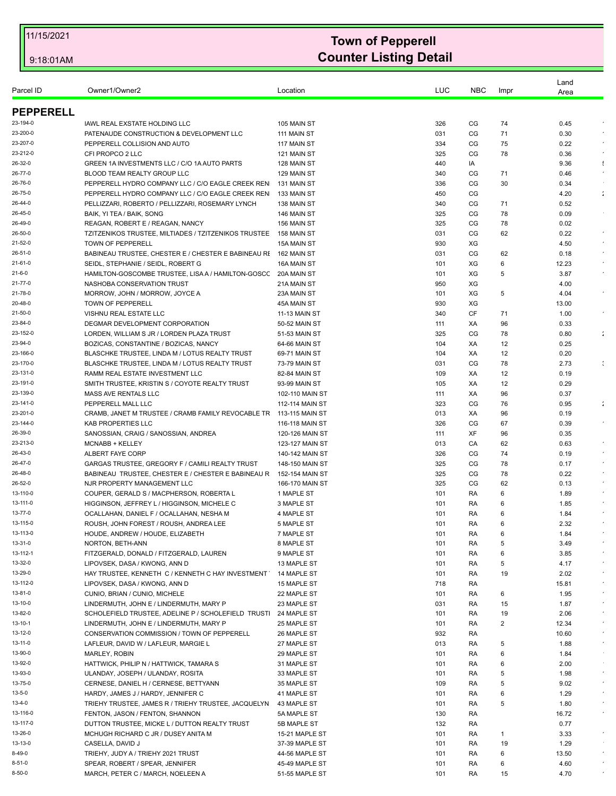| Parcel ID        | Owner1/Owner2                                         | Location             | LUC | <b>NBC</b> | Impr   | Land<br>Area |                      |
|------------------|-------------------------------------------------------|----------------------|-----|------------|--------|--------------|----------------------|
| <b>PEPPERELL</b> |                                                       |                      |     |            |        |              |                      |
| 23-194-0         | IAWL REAL EXSTATE HOLDING LLC                         | 105 MAIN ST          | 326 | CG         | 74     | 0.45         |                      |
| 23-200-0         | PATENAUDE CONSTRUCTION & DEVELOPMENT LLC              | 111 MAIN ST          | 031 | CG         | 71     | 0.30         |                      |
| 23-207-0         | PEPPERELL COLLISION AND AUTO                          | 117 MAIN ST          | 334 | CG         | 75     | 0.22         |                      |
| 23-212-0         | CFI PROPCO 2 LLC                                      | 121 MAIN ST          | 325 | CG         | 78     | 0.36         |                      |
| 26-32-0          | GREEN 1A INVESTMENTS LLC / C/O 1A AUTO PARTS          | 128 MAIN ST          | 440 | IA         |        | 9.36         | $\ddot{\cdot}$       |
| 26-77-0          | BLOOD TEAM REALTY GROUP LLC                           | 129 MAIN ST          | 340 | CG         | 71     | 0.46         |                      |
| 26-76-0          | PEPPERELL HYDRO COMPANY LLC / C/O EAGLE CREEK REN     | 131 MAIN ST          | 336 | CG         | 30     | 0.34         |                      |
| 26-75-0          | PEPPERELL HYDRO COMPANY LLC / C/O EAGLE CREEK REN     | 133 MAIN ST          | 450 | CG         |        | 4.20         | ÷                    |
| 26-44-0          | PELLIZZARI, ROBERTO / PELLIZZARI, ROSEMARY LYNCH      |                      |     | CG         |        |              |                      |
|                  |                                                       | 138 MAIN ST          | 340 |            | 71     | 0.52         |                      |
| 26-45-0          | BAIK, YI TEA / BAIK, SONG                             | 146 MAIN ST          | 325 | CG         | 78     | 0.09         |                      |
| 26-49-0          | REAGAN, ROBERT E / REAGAN, NANCY                      | 156 MAIN ST          | 325 | CG         | 78     | 0.02         |                      |
| 26-50-0          | TZITZENIKOS TRUSTEE, MILTIADES / TZITZENIKOS TRUSTEE  | 158 MAIN ST          | 031 | CG         | 62     | 0.22         |                      |
| 21-52-0          | <b>TOWN OF PEPPERELL</b>                              | <b>15A MAIN ST</b>   | 930 | XG         |        | 4.50         | $\epsilon$           |
| 26-51-0          | BABINEAU TRUSTEE, CHESTER E / CHESTER E BABINEAU RI   | 162 MAIN ST          | 031 | CG         | 62     | 0.18         |                      |
| 21-61-0          | SEIDL, STEPHANIE / SEIDL, ROBERT G                    | 16A MAIN ST          | 101 | XG         | 6      | 12.23        |                      |
| 21-6-0           | HAMILTON-GOSCOMBE TRUSTEE, LISA A / HAMILTON-GOSCO    | 20A MAIN ST          | 101 | XG         | 5      | 3.87         |                      |
| 21-77-0          | NASHOBA CONSERVATION TRUST                            | 21A MAIN ST          | 950 | XG         |        | 4.00         |                      |
| 21-78-0          | MORROW, JOHN / MORROW, JOYCE A                        | 23A MAIN ST          | 101 | XG         | 5      | 4.04         |                      |
| 20-48-0          | TOWN OF PEPPERELL                                     | 45A MAIN ST          | 930 | XG         |        | 13.00        |                      |
| 21-50-0          | VISHNU REAL ESTATE LLC                                | <b>11-13 MAIN ST</b> | 340 | CF         | 71     | 1.00         |                      |
| 23-84-0          | DEGMAR DEVELOPMENT CORPORATION                        | 50-52 MAIN ST        | 111 | XA         | 96     | 0.33         |                      |
| 23-152-0         | LORDEN, WILLIAM S JR / LORDEN PLAZA TRUST             | 51-53 MAIN ST        | 325 | CG         | 78     | 0.80         | $\ddot{\phantom{a}}$ |
| 23-94-0          | BOZICAS, CONSTANTINE / BOZICAS, NANCY                 | 64-66 MAIN ST        | 104 | XA         | 12     | 0.25         |                      |
| 23-166-0         | BLASCHKE TRUSTEE, LINDA M / LOTUS REALTY TRUST        | 69-71 MAIN ST        | 104 | XA         | 12     | 0.20         |                      |
| 23-170-0         | BLASCHKE TRUSTEE, LINDA M / LOTUS REALTY TRUST        | 73-79 MAIN ST        | 031 | CG         | 78     | 2.73         |                      |
| 23-131-0         | RAMM REAL ESTATE INVESTMENT LLC                       | 82-84 MAIN ST        | 109 | XA         | 12     | 0.19         |                      |
| 23-191-0         | SMITH TRUSTEE, KRISTIN S / COYOTE REALTY TRUST        | 93-99 MAIN ST        | 105 | XA         | 12     | 0.29         |                      |
| 23-139-0         | MASS AVE RENTALS LLC                                  | 102-110 MAIN ST      | 111 | XA         | 96     | 0.37         |                      |
| 23-141-0         | PEPPERELL MALL LLC                                    | 112-114 MAIN ST      | 323 | CG         | 76     | 0.95         | $\ddot{\phantom{a}}$ |
| 23-201-0         | CRAMB, JANET M TRUSTEE / CRAMB FAMILY REVOCABLE TR    | 113-115 MAIN ST      | 013 | XA         | 96     | 0.19         |                      |
| 23-144-0         | <b>KAB PROPERTIES LLC</b>                             | 116-118 MAIN ST      | 326 | CG         | 67     | 0.39         |                      |
| 26-39-0          | SANOSSIAN, CRAIG / SANOSSIAN, ANDREA                  | 120-126 MAIN ST      | 111 | XF         | 96     | 0.35         |                      |
| 23-213-0         | MCNABB + KELLEY                                       | 123-127 MAIN ST      | 013 | CA         | 62     | 0.63         |                      |
| 26-43-0          | ALBERT FAYE CORP                                      | 140-142 MAIN ST      | 326 | CG         | 74     | 0.19         |                      |
| 26-47-0          | GARGAS TRUSTEE, GREGORY F / CAMILI REALTY TRUST       | 148-150 MAIN ST      | 325 | CG         | 78     | 0.17         |                      |
| 26-48-0          | BABINEAU TRUSTEE, CHESTER E / CHESTER E BABINEAU R    | 152-154 MAIN ST      | 325 | CG         | 78     | 0.22         |                      |
| 26-52-0          | NJR PROPERTY MANAGEMENT LLC                           | 166-170 MAIN ST      | 325 | CG         | 62     | 0.13         |                      |
| 13-110-0         | COUPER, GERALD S / MACPHERSON, ROBERTA L              | 1 MAPLE ST           | 101 | RA         | 6      | 1.89         |                      |
| 13-111-0         | HIGGINSON, JEFFREY L / HIGGINSON, MICHELE C           | 3 MAPLE ST           | 101 | RA         | 6      | 1.85         |                      |
| 13-77-0          | OCALLAHAN, DANIEL F / OCALLAHAN, NESHA M              | 4 MAPLE ST           | 101 | RA         | 6      | 1.84         |                      |
| 13-115-0         | ROUSH. JOHN FOREST / ROUSH. ANDREA LEE                | 5 MAPLE ST           | 101 | RA         | 6      | 2.32         |                      |
| 13-113-0         | HOUDE, ANDREW / HOUDE, ELIZABETH                      | 7 MAPLE ST           | 101 | RA         | 6      | 1.84         |                      |
| 13-31-0          | NORTON, BETH-ANN                                      | 8 MAPLE ST           | 101 | RA         | 5      | 3.49         |                      |
| 13-112-1         | FITZGERALD, DONALD / FITZGERALD, LAUREN               | 9 MAPLE ST           | 101 | RA         | 6      | 3.85         |                      |
| 13-32-0          | LIPOVSEK, DASA / KWONG, ANN D                         | 13 MAPLE ST          | 101 | RA         | 5      | 4.17         | $\epsilon$           |
| 13-29-0          | HAY TRUSTEE, KENNETH C / KENNETH C HAY INVESTMENT     | 14 MAPLE ST          | 101 | RA         | 19     | 2.02         |                      |
| 13-112-0         | LIPOVSEK, DASA / KWONG, ANN D                         | 15 MAPLE ST          | 718 | RA         |        | 15.81        |                      |
| 13-81-0          | CUNIO, BRIAN / CUNIO, MICHELE                         | 22 MAPLE ST          | 101 | RA         | 6      | 1.95         | $\bullet$            |
| 13-10-0          | LINDERMUTH, JOHN E / LINDERMUTH, MARY P               | 23 MAPLE ST          | 031 | RA         | 15     | 1.87         |                      |
| 13-82-0          | SCHOLEFIELD TRUSTEE, ADELINE P / SCHOLEFIELD TRUSTI   | 24 MAPLE ST          | 101 | RA         | 19     | 2.06         |                      |
| 13-10-1          | LINDERMUTH, JOHN E / LINDERMUTH, MARY P               | 25 MAPLE ST          | 101 | RA         | 2      | 12.34        | $\sim$               |
| 13-12-0          | CONSERVATION COMMISSION / TOWN OF PEPPERELL           |                      | 932 | RA         |        | 10.60        |                      |
| 13-11-0          |                                                       | 26 MAPLE ST          |     |            |        |              | $\star$              |
| 13-90-0          | LAFLEUR, DAVID W / LAFLEUR, MARGIE L<br>MARLEY, ROBIN | 27 MAPLE ST          | 013 | RA         | 5      | 1.88         |                      |
| 13-92-0          |                                                       | 29 MAPLE ST          | 101 | RA         | 6<br>6 | 1.84         | $\sim$               |
|                  | HATTWICK, PHILIP N / HATTWICK, TAMARA S               | 31 MAPLE ST          | 101 | RA         |        | 2.00         | $\sim$               |
| 13-93-0          | ULANDAY, JOSEPH / ULANDAY, ROSITA                     | 33 MAPLE ST          | 101 | RA         | 5      | 1.98         | $\sim$               |
| 13-75-0          | CERNESE, DANIEL H / CERNESE, BETTYANN                 | 35 MAPLE ST          | 109 | RA         | 5      | 9.02         |                      |
| 13-5-0           | HARDY, JAMES J / HARDY, JENNIFER C                    | 41 MAPLE ST          | 101 | RA         | 6      | 1.29         |                      |
| 13-4-0           | TRIEHY TRUSTEE, JAMES R / TRIEHY TRUSTEE, JACQUELYN   | 43 MAPLE ST          | 101 | RA         | 5      | 1.80         | $\bullet$            |
| 13-116-0         | FENTON, JASON / FENTON, SHANNON                       | 5A MAPLE ST          | 130 | RA         |        | 16.72        | $\epsilon$           |
| 13-117-0         | DUTTON TRUSTEE, MICKE L / DUTTON REALTY TRUST         | 5B MAPLE ST          | 132 | RA         |        | 0.77         |                      |
| 13-26-0          | MCHUGH RICHARD C JR / DUSEY ANITA M                   | 15-21 MAPLE ST       | 101 | RA         | 1      | 3.33         |                      |
| 13-13-0          | CASELLA, DAVID J                                      | 37-39 MAPLE ST       | 101 | RA         | 19     | 1.29         |                      |
| 8-49-0           | TRIEHY, JUDY A / TRIEHY 2021 TRUST                    | 44-56 MAPLE ST       | 101 | RA         | 6      | 13.50        | $\star$              |
| 8-51-0           | SPEAR, ROBERT / SPEAR, JENNIFER                       | 45-49 MAPLE ST       | 101 | RA         | 6      | 4.60         |                      |
| 8-50-0           | MARCH, PETER C / MARCH, NOELEEN A                     | 51-55 MAPLE ST       | 101 | RA         | 15     | 4.70         | $\epsilon$           |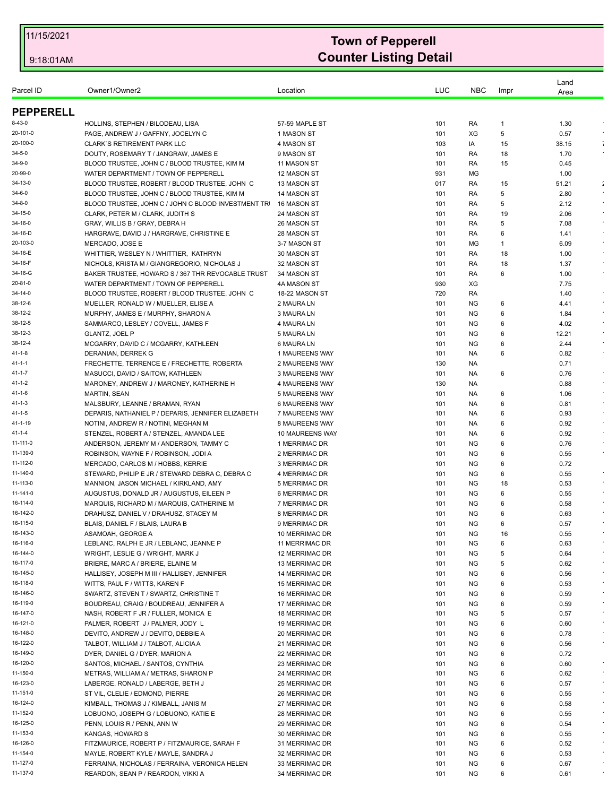| Parcel ID            | Owner1/Owner2                                                            | Location                 | LUC        | <b>NBC</b>      | Impr   | Land<br>Area  |            |
|----------------------|--------------------------------------------------------------------------|--------------------------|------------|-----------------|--------|---------------|------------|
| <b>PEPPERELL</b>     |                                                                          |                          |            |                 |        |               |            |
| 8-43-0               | HOLLINS, STEPHEN / BILODEAU, LISA                                        | 57-59 MAPLE ST           | 101        | RA              | 1      | 1.30          |            |
| 20-101-0             | PAGE, ANDREW J / GAFFNY, JOCELYN C                                       | 1 MASON ST               | 101        | XG              | 5      | 0.57          | $\epsilon$ |
| 20-100-0             | <b>CLARK'S RETIREMENT PARK LLC</b>                                       | 4 MASON ST               | 103        | IA              | 15     | 38.15         | ÷          |
| 34-5-0               | DOUTY, ROSEMARY T / JANGRAW, JAMES E                                     | 9 MASON ST               | 101        | RA              | 18     | 1.70          |            |
| 34-9-0               | BLOOD TRUSTEE, JOHN C / BLOOD TRUSTEE, KIM M                             | 11 MASON ST              | 101        | RA              | 15     | 0.45          |            |
| 20-99-0              | WATER DEPARTMENT / TOWN OF PEPPERELL                                     | 12 MASON ST              | 931        | МG              |        | 1.00          |            |
| 34-13-0              | BLOOD TRUSTEE, ROBERT / BLOOD TRUSTEE, JOHN C                            | 13 MASON ST              | 017        | RA              | 15     | 51.21         | ÷          |
| 34-6-0               | BLOOD TRUSTEE, JOHN C / BLOOD TRUSTEE, KIM M                             | 14 MASON ST              | 101        | RA              | 5      | 2.80          | $\bullet$  |
| 34-8-0               | BLOOD TRUSTEE, JOHN C / JOHN C BLOOD INVESTMENT TR                       | 16 MASON ST              | 101        | RA              | 5      | 2.12          |            |
| 34-15-0              | CLARK, PETER M / CLARK, JUDITH S                                         | 24 MASON ST              | 101        | RA              | 19     | 2.06          | $\epsilon$ |
| 34-16-0              | GRAY, WILLIS B / GRAY, DEBRA H                                           | 26 MASON ST              | 101        | RA              | 5      | 7.08          | $\star$    |
| 34-16-D              | HARGRAVE, DAVID J / HARGRAVE, CHRISTINE E                                | 28 MASON ST              | 101        | RA              | 6      | 1.41          |            |
| 20-103-0             | MERCADO, JOSE E                                                          | 3-7 MASON ST             | 101        | МG              | 1      | 6.09          | $\sim$     |
| 34-16-E              | WHITTIER, WESLEY N / WHITTIER, KATHRYN                                   | 30 MASON ST              | 101        | RA              | 18     | 1.00          |            |
| 34-16-F              | NICHOLS, KRISTA M / GIANGREGORIO, NICHOLAS J                             | 32 MASON ST              | 101        | RA              | 18     | 1.37          |            |
| 34-16-G              | BAKER TRUSTEE, HOWARD S / 367 THR REVOCABLE TRUST                        | 34 MASON ST              | 101        | RA              | 6      | 1.00          | $\sim$     |
| 20-81-0              | WATER DEPARTMENT / TOWN OF PEPPERELL                                     | 4A MASON ST              | 930        | XG              |        | 7.75          |            |
| 34-14-0              | BLOOD TRUSTEE, ROBERT / BLOOD TRUSTEE, JOHN C                            | 18-22 MASON ST           | 720        | RA              |        | 1.40          | $\epsilon$ |
| 38-12-6<br>38-12-2   | MUELLER, RONALD W / MUELLER, ELISE A                                     | 2 MAURA LN               | 101        | ΝG              | 6      | 4.41          | $\bullet$  |
| 38-12-5              | MURPHY, JAMES E / MURPHY, SHARON A<br>SAMMARCO, LESLEY / COVELL, JAMES F | 3 MAURA LN               | 101        | <b>NG</b>       | 6      | 1.84          | $\sim$     |
| 38-12-3              |                                                                          | 4 MAURA LN               | 101        | <b>NG</b>       | 6      | 4.02          | $\sim$     |
| 38-12-4              | <b>GLANTZ, JOEL P</b><br>MCGARRY, DAVID C / MCGARRY, KATHLEEN            | 5 MAURA LN<br>6 MAURA LN | 101<br>101 | ΝG<br><b>NG</b> | 6<br>6 | 12.21<br>2.44 | $\sim$     |
| 41-1-8               | DERANIAN, DERREK G                                                       | 1 MAUREENS WAY           | 101        | NA.             | 6      | 0.82          |            |
| 41-1-1               | FRECHETTE, TERRENCE E / FRECHETTE, ROBERTA                               | 2 MAUREENS WAY           | 130        | NA.             |        | 0.71          |            |
| 41-1-7               | MASUCCI, DAVID / SAITOW, KATHLEEN                                        | 3 MAUREENS WAY           | 101        | NA.             | 6      | 0.76          |            |
| 41-1-2               | MARONEY, ANDREW J / MARONEY, KATHERINE H                                 | 4 MAUREENS WAY           | 130        | NA.             |        | 0.88          | $\sim$     |
| 41-1-6               | <b>MARTIN, SEAN</b>                                                      | 5 MAUREENS WAY           | 101        | NA.             | 6      | 1.06          | $\sim$     |
| 41-1-3               | MALSBURY, LEANNE / BRAMAN, RYAN                                          | 6 MAUREENS WAY           | 101        | NA.             | 6      | 0.81          |            |
| 41-1-5               | DEPARIS, NATHANIEL P / DEPARIS, JENNIFER ELIZABETH                       | 7 MAUREENS WAY           | 101        | NA.             | 6      | 0.93          | $\sim$     |
| 41-1-19              | NOTINI, ANDREW R / NOTINI, MEGHAN M                                      | 8 MAUREENS WAY           | 101        | NA.             | 6      | 0.92          | $\sim$     |
| 41-1-4               | STENZEL, ROBERT A / STENZEL, AMANDA LEE                                  | 10 MAUREENS WAY          | 101        | NA.             | 6      | 0.92          |            |
| 11-111-0             | ANDERSON, JEREMY M / ANDERSON, TAMMY C                                   | 1 MERRIMAC DR            | 101        | <b>NG</b>       | 6      | 0.76          |            |
| 11-139-0             | ROBINSON, WAYNE F / ROBINSON, JODI A                                     | 2 MERRIMAC DR            | 101        | <b>NG</b>       | 6      | 0.55          | $\sim$     |
| 11-112-0             | MERCADO, CARLOS M / HOBBS, KERRIE                                        | 3 MERRIMAC DR            | 101        | NG.             | 6      | 0.72          |            |
| 11-140-0             | STEWARD, PHILIP E JR / STEWARD DEBRA C, DEBRA C                          | 4 MERRIMAC DR            | 101        | <b>NG</b>       | 6      | 0.55          | $\cdot$    |
| 11-113-0             | MANNION, JASON MICHAEL / KIRKLAND, AMY                                   | 5 MERRIMAC DR            | 101        | <b>NG</b>       | 18     | 0.53          | $\star$    |
| 11-141-0             | AUGUSTUS, DONALD JR / AUGUSTUS, EILEEN P                                 | 6 MERRIMAC DR            | 101        | ΝG              | 6      | 0.55          | $\sim$     |
| 16-114-0             | MARQUIS, RICHARD M / MARQUIS, CATHERINE M                                | 7 MERRIMAC DR            | 101        | <b>NG</b>       | 6      | 0.58          |            |
| 16-142-0             | DRAHUSZ, DANIEL V / DRAHUSZ, STACEY M                                    | 8 MERRIMAC DR            | 101        | <b>NG</b>       | 6      | 0.63          |            |
| 16-115-0             | BLAIS, DANIEL F / BLAIS, LAURA B                                         | 9 MERRIMAC DR            | 101        | NG              | 6      | 0.57          |            |
| 16-143-0             | ASAMOAH, GEORGE A                                                        | 10 MERRIMAC DR           | 101        | ΝG              | 16     | 0.55          |            |
| 16-116-0             | LEBLANC, RALPH E JR / LEBLANC, JEANNE P                                  | 11 MERRIMAC DR           | 101        | <b>NG</b>       | 6      | 0.63          | $\epsilon$ |
| 16-144-0             | WRIGHT, LESLIE G / WRIGHT, MARK J                                        | 12 MERRIMAC DR           | 101        | <b>NG</b>       | 5      | 0.64          |            |
| 16-117-0             | BRIERE, MARC A / BRIERE, ELAINE M                                        | 13 MERRIMAC DR           | 101        | <b>NG</b>       | 5      | 0.62          |            |
| 16-145-0             | HALLISEY, JOSEPH M III / HALLISEY, JENNIFER                              | 14 MERRIMAC DR           | 101        | <b>NG</b>       | 6      | 0.56          | $\star$    |
| 16-118-0             | WITTS, PAUL F / WITTS, KAREN F                                           | 15 MERRIMAC DR           | 101        | <b>NG</b>       | 6      | 0.53          |            |
| 16-146-0             | SWARTZ, STEVEN T / SWARTZ, CHRISTINE T                                   | 16 MERRIMAC DR           | 101        | NG              | 6      | 0.59          | $\bullet$  |
| 16-119-0             | BOUDREAU, CRAIG / BOUDREAU, JENNIFER A                                   | 17 MERRIMAC DR           | 101        | <b>NG</b>       | 6      | 0.59          | $\epsilon$ |
| 16-147-0             | NASH, ROBERT F JR / FULLER, MONICA E                                     | 18 MERRIMAC DR           | 101        | <b>NG</b>       | 5      | 0.57          | $\cdot$    |
| 16-121-0             | PALMER, ROBERT J / PALMER, JODY L                                        | 19 MERRIMAC DR           | 101        | NG              | 6      | 0.60          | $\bullet$  |
| 16-148-0             | DEVITO, ANDREW J / DEVITO, DEBBIE A                                      | 20 MERRIMAC DR           | 101        | <b>NG</b>       | 6      | 0.78          |            |
| 16-122-0             | TALBOT, WILLIAM J / TALBOT, ALICIA A                                     | 21 MERRIMAC DR           | 101        | NG              | 6      | 0.56          | $\sim$     |
| 16-149-0             | DYER, DANIEL G / DYER, MARION A                                          | 22 MERRIMAC DR           | 101        | NG              | 6      | 0.72          | $\epsilon$ |
| 16-120-0             | SANTOS, MICHAEL / SANTOS, CYNTHIA                                        | 23 MERRIMAC DR           | 101        | <b>NG</b>       | 6      | 0.60          | $\star$    |
| 11-150-0             | METRAS, WILLIAM A / METRAS, SHARON P                                     | 24 MERRIMAC DR           | 101        | <b>NG</b>       | 6      | 0.62          | $\star$    |
| 16-123-0<br>11-151-0 | LABERGE, RONALD / LABERGE, BETH J                                        | 25 MERRIMAC DR           | 101        | NG.             | 6      | 0.57          | $\epsilon$ |
|                      | ST VIL, CLELIE / EDMOND, PIERRE                                          | 26 MERRIMAC DR           | 101        | <b>NG</b>       | 6      | 0.55          | $\bullet$  |
| 16-124-0             | KIMBALL, THOMAS J / KIMBALL, JANIS M                                     | 27 MERRIMAC DR           | 101        | NG              | 6      | 0.58          | $\epsilon$ |
| 11-152-0             | LOBUONO, JOSEPH G / LOBUONO, KATIE E                                     | 28 MERRIMAC DR           | 101        | NG.             | 6      | 0.55          | $\epsilon$ |
| 16-125-0             | PENN, LOUIS R / PENN, ANN W                                              | 29 MERRIMAC DR           | 101        | ΝG              | 6      | 0.54          | $\sim$     |
| 11-153-0             | KANGAS, HOWARD S                                                         | 30 MERRIMAC DR           | 101        | NG              | 6      | 0.55          |            |
| 16-126-0             | FITZMAURICE, ROBERT P / FITZMAURICE, SARAH F                             | 31 MERRIMAC DR           | 101        | <b>NG</b>       | 6      | 0.52          | $\star$    |
| 11-154-0             | MAYLE, ROBERT KYLE / MAYLE, SANDRA J                                     | 32 MERRIMAC DR           | 101        | ΝG              | 6      | 0.53          |            |
| 11-127-0             | FERRAINA, NICHOLAS / FERRAINA, VERONICA HELEN                            | 33 MERRIMAC DR           | 101        | NG              | 6      | 0.67          | $\cdot$    |
| 11-137-0             | REARDON, SEAN P / REARDON, VIKKI A                                       | 34 MERRIMAC DR           | 101        | <b>NG</b>       | 6      | 0.61          |            |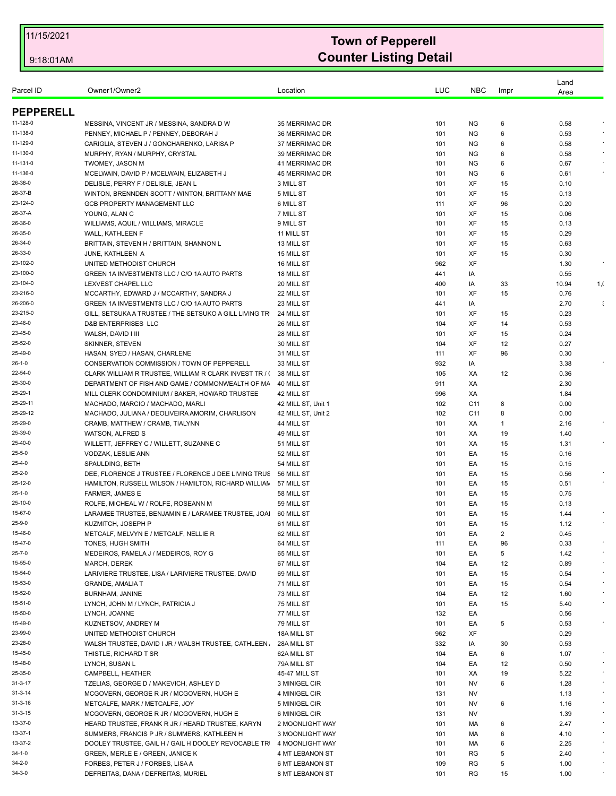|                     |                                                                                     |                          |            |                 |          | Land         |                |
|---------------------|-------------------------------------------------------------------------------------|--------------------------|------------|-----------------|----------|--------------|----------------|
| Parcel ID           | Owner1/Owner2                                                                       | Location                 | LUC        | <b>NBC</b>      | Impr     | Area         |                |
|                     |                                                                                     |                          |            |                 |          |              |                |
| <b>PEPPERELL</b>    |                                                                                     |                          |            |                 |          |              |                |
| 11-128-0            | MESSINA, VINCENT JR / MESSINA, SANDRA D W                                           | 35 MERRIMAC DR           | 101        | ΝG              | 6        | 0.58         |                |
| 11-138-0            | PENNEY, MICHAEL P / PENNEY, DEBORAH J                                               | 36 MERRIMAC DR           | 101        | <b>NG</b>       | 6        | 0.53         |                |
| 11-129-0            | CARIGLIA, STEVEN J / GONCHARENKO, LARISA P                                          | 37 MERRIMAC DR           | 101        | <b>NG</b>       | 6        | 0.58         |                |
| 11-130-0            | MURPHY, RYAN / MURPHY, CRYSTAL                                                      | 39 MERRIMAC DR           | 101        | ΝG              | 6        | 0.58         |                |
| 11-131-0            | <b>TWOMEY, JASON M</b>                                                              | 41 MERRIMAC DR           | 101        | <b>NG</b>       | 6        | 0.67         |                |
| 11-136-0<br>26-38-0 | MCELWAIN, DAVID P / MCELWAIN, ELIZABETH J                                           | 45 MERRIMAC DR           | 101        | <b>NG</b>       | 6        | 0.61         |                |
| 26-37-B             | DELISLE, PERRY F / DELISLE, JEAN L<br>WINTON, BRENNDEN SCOTT / WINTON, BRITTANY MAE | 3 MILL ST<br>5 MILL ST   | 101<br>101 | XF<br>XF        | 15<br>15 | 0.10<br>0.13 |                |
| 23-124-0            | GCB PROPERTY MANAGEMENT LLC                                                         | 6 MILL ST                | 111        | XF              | 96       | 0.20         |                |
| 26-37-A             | YOUNG, ALAN C                                                                       | 7 MILL ST                | 101        | XF              | 15       | 0.06         |                |
| 26-36-0             | WILLIAMS, AQUIL / WILLIAMS, MIRACLE                                                 | 9 MILL ST                | 101        | XF              | 15       | 0.13         |                |
| 26-35-0             | <b>WALL, KATHLEEN F</b>                                                             | 11 MILL ST               | 101        | XF              | 15       | 0.29         |                |
| 26-34-0             | BRITTAIN, STEVEN H / BRITTAIN, SHANNON L                                            | 13 MILL ST               | 101        | XF              | 15       | 0.63         |                |
| 26-33-0             | JUNE, KATHLEEN A                                                                    | 15 MILL ST               | 101        | XF              | 15       | 0.30         |                |
| 23-102-0            | UNITED METHODIST CHURCH                                                             | 16 MILL ST               | 962        | XF              |          | 1.30         |                |
| 23-100-0            | GREEN 1A INVESTMENTS LLC / C/O 1A AUTO PARTS                                        | 18 MILL ST               | 441        | IA              |          | 0.55         |                |
| 23-104-0            | LEXVEST CHAPEL LLC                                                                  | 20 MILL ST               | 400        | IA              | 33       | 10.94        | 1, 0           |
| 23-216-0            | MCCARTHY, EDWARD J / MCCARTHY, SANDRA J                                             | 22 MILL ST               | 101        | XF              | 15       | 0.76         |                |
| 26-206-0            | GREEN 1A INVESTMENTS LLC / C/O 1A AUTO PARTS                                        | 23 MILL ST               | 441        | IA              |          | 2.70         | $\ddot{\cdot}$ |
| 23-215-0            | GILL, SETSUKA A TRUSTEE / THE SETSUKO A GILL LIVING TR                              | 24 MILL ST               | 101        | XF              | 15       | 0.23         |                |
| 23-46-0             | <b>D&amp;B ENTERPRISES LLC</b>                                                      | 26 MILL ST               | 104        | XF              | 14       | 0.53         |                |
| 23-45-0             | WALSH, DAVID I III                                                                  | 28 MILL ST               | 101        | XF              | 15       | 0.24         |                |
| 25-52-0             | <b>SKINNER, STEVEN</b>                                                              | 30 MILL ST               | 104        | XF              | 12       | 0.27         |                |
| 25-49-0             | HASAN, SYED / HASAN, CHARLENE                                                       | 31 MILL ST               | 111        | XF              | 96       | 0.30         |                |
| 26-1-0              | CONSERVATION COMMISSION / TOWN OF PEPPERELL                                         | 33 MILL ST               | 932        | IA              |          | 3.38         |                |
| 22-54-0             | CLARK WILLIAM R TRUSTEE, WILLIAM R CLARK INVEST TR / (                              | 38 MILL ST               | 105        | XA              | 12       | 0.36         |                |
| 25-30-0             | DEPARTMENT OF FISH AND GAME / COMMONWEALTH OF MA                                    | 40 MILL ST               | 911        | XA              |          | 2.30         |                |
| 25-29-1             | MILL CLERK CONDOMINIUM / BAKER, HOWARD TRUSTEE                                      | 42 MILL ST               | 996        | XA              |          | 1.84         |                |
| 25-29-11            | MACHADO, MARCIO / MACHADO, MARLI                                                    | 42 MILL ST, Unit 1       | 102        | C11             | 8        | 0.00         |                |
| 25-29-12            | MACHADO, JULIANA / DEOLIVEIRA AMORIM, CHARLISON                                     | 42 MILL ST, Unit 2       | 102        | C <sub>11</sub> | 8        | 0.00         |                |
| 25-29-0             | CRAMB, MATTHEW / CRAMB, TIALYNN                                                     | 44 MILL ST               | 101        | XA              | 1        | 2.16         |                |
| 25-39-0             | WATSON, ALFRED S                                                                    | 49 MILL ST               | 101        | ХA              | 19       | 1.40         |                |
| 25-40-0             | WILLETT, JEFFREY C / WILLETT, SUZANNE C                                             | 51 MILL ST               | 101        | XA              | 15       | 1.31         |                |
| 25-5-0              | VODZAK, LESLIE ANN                                                                  | 52 MILL ST               | 101        | EA              | 15       | 0.16         |                |
| 25-4-0              | SPAULDING, BETH                                                                     | 54 MILL ST               | 101        | EA              | 15       | 0.15         |                |
| 25-2-0              | DEE, FLORENCE J TRUSTEE / FLORENCE J DEE LIVING TRUS                                | 56 MILL ST               | 101        | EA              | 15       | 0.56         |                |
| 25-12-0             | HAMILTON, RUSSELL WILSON / HAMILTON, RICHARD WILLIAN 57 MILL ST                     |                          | 101        | EA              | 15       | 0.51         |                |
| 25-1-0<br>25-10-0   | FARMER, JAMES E<br>ROLFE. MICHEAL W / ROLFE. ROSEANN M                              | 58 MILL ST<br>59 MILL ST | 101        | EA<br>EA        | 15       | 0.75<br>0.13 |                |
| 15-67-0             | LARAMEE TRUSTEE, BENJAMIN E / LARAMEE TRUSTEE, JOA                                  | 60 MILL ST               | 101<br>101 | EA              | 15<br>15 | 1.44         |                |
| 25-9-0              | KUZMITCH, JOSEPH P                                                                  | 61 MILL ST               | 101        | EA              | 15       | 1.12         |                |
| 15-46-0             | METCALF, MELVYN E / METCALF, NELLIE R                                               | 62 MILL ST               | 101        | EA              | 2        | 0.45         |                |
| 15-47-0             | TONES, HUGH SMITH                                                                   | 64 MILL ST               | 111        | EA              | 96       | 0.33         |                |
| 25-7-0              | MEDEIROS, PAMELA J / MEDEIROS, ROY G                                                | 65 MILL ST               | 101        | EA              | 5        | 1.42         | $\bullet$      |
| 15-55-0             | <b>MARCH, DEREK</b>                                                                 | 67 MILL ST               | 104        | EA              | 12       | 0.89         |                |
| 15-54-0             | LARIVIERE TRUSTEE, LISA / LARIVIERE TRUSTEE, DAVID                                  | 69 MILL ST               | 101        | EA              | 15       | 0.54         | $\star$        |
| 15-53-0             | <b>GRANDE, AMALIA T</b>                                                             | 71 MILL ST               | 101        | EA              | 15       | 0.54         | $\bullet$      |
| 15-52-0             | BURNHAM, JANINE                                                                     | 73 MILL ST               | 104        | EA              | 12       | 1.60         |                |
| 15-51-0             | LYNCH, JOHN M / LYNCH, PATRICIA J                                                   | 75 MILL ST               | 101        | EA              | 15       | 5.40         |                |
| 15-50-0             | LYNCH, JOANNE                                                                       | 77 MILL ST               | 132        | EA              |          | 0.56         |                |
| 15-49-0             | KUZNETSOV, ANDREY M                                                                 | 79 MILL ST               | 101        | EA              | 5        | 0.53         |                |
| 23-99-0             | UNITED METHODIST CHURCH                                                             | 18A MILL ST              | 962        | XF              |          | 0.29         |                |
| 23-28-0             | WALSH TRUSTEE, DAVID I JR / WALSH TRUSTEE, CATHLEEN.                                | 28A MILL ST              | 332        | IA              | 30       | 0.53         |                |
| 15-45-0             | THISTLE, RICHARD T SR                                                               | 62A MILL ST              | 104        | EA              | 6        | 1.07         |                |
| 15-48-0             | LYNCH, SUSAN L                                                                      | 79A MILL ST              | 104        | EA              | 12       | 0.50         | $\bullet$      |
| 25-35-0             | CAMPBELL, HEATHER                                                                   | 45-47 MILL ST            | 101        | XA              | 19       | 5.22         | $\sim$         |
| 31-3-17             | TZELIAS, GEORGE D / MAKEVICH, ASHLEY D                                              | 3 MINIGEL CIR            | 101        | NV              | 6        | 1.28         |                |
| 31-3-14             | MCGOVERN, GEORGE R JR / MCGOVERN, HUGH E                                            | 4 MINIGEL CIR            | 131        | NV              |          | 1.13         |                |
| 31-3-16             | METCALFE, MARK / METCALFE, JOY                                                      | 5 MINIGEL CIR            | 101        | NV              | 6        | 1.16         |                |
| 31-3-15             | MCGOVERN, GEORGE R JR / MCGOVERN, HUGH E                                            | 6 MINIGEL CIR            | 131        | NV              |          | 1.39         |                |
| 13-37-0             | HEARD TRUSTEE, FRANK R JR / HEARD TRUSTEE, KARYN                                    | 2 MOONLIGHT WAY          | 101        | МA              | 6        | 2.47         | $\epsilon$     |
| 13-37-1             | SUMMERS, FRANCIS P JR / SUMMERS, KATHLEEN H                                         | 3 MOONLIGHT WAY          | 101        | МA              | 6        | 4.10         |                |
| 13-37-2             | DOOLEY TRUSTEE, GAIL H / GAIL H DOOLEY REVOCABLE TR                                 | 4 MOONLIGHT WAY          | 101        | МA              | 6        | 2.25         |                |
| 34-1-0              | GREEN, MERLE E / GREEN, JANICE K                                                    | 4 MT LEBANON ST          | 101        | RG              | 5        | 2.40         |                |
| 34-2-0              | FORBES, PETER J / FORBES, LISA A                                                    | 6 MT LEBANON ST          | 109        | RG              | 5        | 1.00         |                |
| 34-3-0              | DEFREITAS, DANA / DEFREITAS, MURIEL                                                 | 8 MT LEBANON ST          | 101        | RG              | 15       | 1.00         |                |
|                     |                                                                                     |                          |            |                 |          |              |                |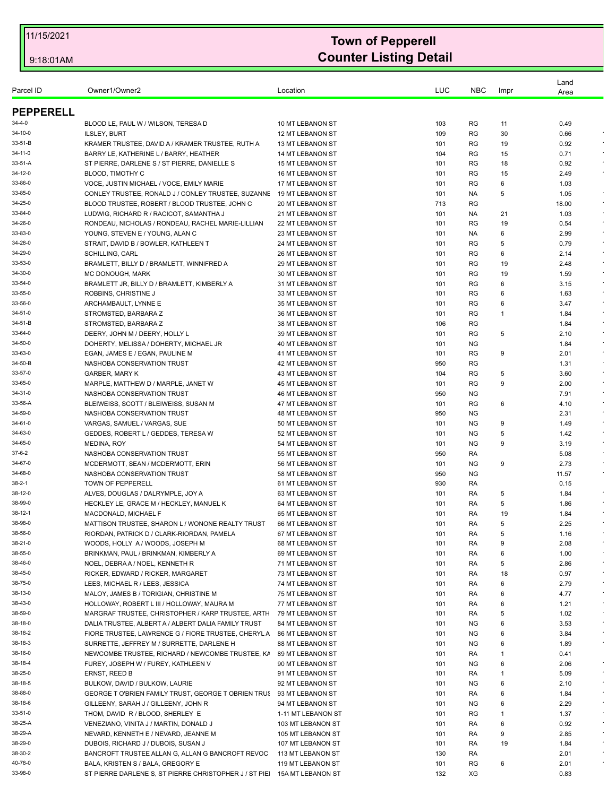| Parcel ID        | Owner1/Owner2                                                                            | Location                | LUC | <b>NBC</b> | Impr | Land<br>Area  |            |
|------------------|------------------------------------------------------------------------------------------|-------------------------|-----|------------|------|---------------|------------|
| <b>PEPPERELL</b> |                                                                                          |                         |     |            |      |               |            |
| 34-4-0           | BLOOD LE, PAUL W / WILSON, TERESA D                                                      | 10 MT LEBANON ST        | 103 | RG         | 11   | 0.49          |            |
| 34-10-0          | <b>ILSLEY, BURT</b>                                                                      | 12 MT LEBANON ST        | 109 | RG         | 30   | 0.66          |            |
| 33-51-B          | KRAMER TRUSTEE, DAVID A / KRAMER TRUSTEE, RUTH A                                         | 13 MT LEBANON ST        | 101 | RG         | 19   | 0.92          |            |
| 34-11-0          | BARRY LE, KATHERINE L / BARRY, HEATHER                                                   | <b>14 MT LEBANON ST</b> | 104 | RG         | 15   | 0.71          | $\epsilon$ |
| 33-51-A          | ST PIERRE, DARLENE S / ST PIERRE, DANIELLE S                                             | <b>15 MT LEBANON ST</b> | 101 | RG         | 18   | 0.92          |            |
| 34-12-0          | <b>BLOOD, TIMOTHY C</b>                                                                  | <b>16 MT LEBANON ST</b> | 101 | RG         | 15   | 2.49          |            |
| 33-86-0          | VOCE, JUSTIN MICHAEL / VOCE, EMILY MARIE                                                 | 17 MT LEBANON ST        | 101 | RG         | 6    | 1.03          |            |
| 33-85-0          | CONLEY TRUSTEE, RONALD J / CONLEY TRUSTEE, SUZANNE                                       | 19 MT LEBANON ST        | 101 | NA.        | 5    | 1.05          |            |
| 34-25-0          |                                                                                          |                         | 713 | <b>RG</b>  |      |               | $\sim$     |
| 33-84-0          | BLOOD TRUSTEE, ROBERT / BLOOD TRUSTEE, JOHN C<br>LUDWIG, RICHARD R / RACICOT, SAMANTHA J | 20 MT LEBANON ST        | 101 |            |      | 18.00<br>1.03 |            |
|                  |                                                                                          | 21 MT LEBANON ST        |     | NA.        | 21   |               | $\star$    |
| 34-26-0          | RONDEAU, NICHOLAS / RONDEAU, RACHEL MARIE-LILLIAN                                        | 22 MT LEBANON ST        | 101 | RG         | 19   | 0.54          | $\star$    |
| 33-83-0          | YOUNG, STEVEN E / YOUNG, ALAN C                                                          | 23 MT LEBANON ST        | 101 | NA.        | 6    | 2.99          |            |
| 34-28-0          | STRAIT, DAVID B / BOWLER, KATHLEEN T                                                     | 24 MT LEBANON ST        | 101 | RG         | 5    | 0.79          |            |
| 34-29-0          | <b>SCHILLING, CARL</b>                                                                   | <b>26 MT LEBANON ST</b> | 101 | RG         | 6    | 2.14          |            |
| 33-53-0          | BRAMLETT, BILLY D / BRAMLETT, WINNIFRED A                                                | <b>29 MT LEBANON ST</b> | 101 | RG         | 19   | 2.48          | $\sim$     |
| 34-30-0          | MC DONOUGH, MARK                                                                         | 30 MT LEBANON ST        | 101 | RG         | 19   | 1.59          |            |
| 33-54-0          | BRAMLETT JR, BILLY D / BRAMLETT, KIMBERLY A                                              | 31 MT LEBANON ST        | 101 | <b>RG</b>  | 6    | 3.15          |            |
| 33-55-0          | ROBBINS, CHRISTINE J                                                                     | 33 MT LEBANON ST        | 101 | RG         | 6    | 1.63          |            |
| 33-56-0          | ARCHAMBAULT, LYNNE E                                                                     | 35 MT LEBANON ST        | 101 | RG         | 6    | 3.47          | $\epsilon$ |
| 34-51-0          | STROMSTED, BARBARA Z                                                                     | 36 MT LEBANON ST        | 101 | RG         | -1   | 1.84          |            |
| 34-51-B          | STROMSTED, BARBARA Z                                                                     | 38 MT LEBANON ST        | 106 | RG         |      | 1.84          |            |
| 33-64-0          | DEERY, JOHN M / DEERY, HOLLY L                                                           | 39 MT LEBANON ST        | 101 | RG         | 5    | 2.10          | $\epsilon$ |
| 34-50-0          | DOHERTY, MELISSA / DOHERTY, MICHAEL JR                                                   | 40 MT LEBANON ST        | 101 | ΝG         |      | 1.84          | $\epsilon$ |
| 33-63-0          | EGAN, JAMES E / EGAN, PAULINE M                                                          | 41 MT LEBANON ST        | 101 | <b>RG</b>  | 9    | 2.01          |            |
| 34-50-B          | NASHOBA CONSERVATION TRUST                                                               | 42 MT LEBANON ST        | 950 | RG         |      | 1.31          |            |
| 33-57-0          | <b>GARBER, MARY K</b>                                                                    | 43 MT LEBANON ST        | 104 | RG         | 5    | 3.60          | $\star$    |
| 33-65-0          | MARPLE, MATTHEW D / MARPLE, JANET W                                                      | 45 MT LEBANON ST        | 101 | RG         | 9    | 2.00          | $\sim$     |
| 34-31-0          | NASHOBA CONSERVATION TRUST                                                               | <b>46 MT LEBANON ST</b> | 950 | <b>NG</b>  |      | 7.91          | $\epsilon$ |
| 33-56-A          | BLEIWEISS, SCOTT / BLEIWEISS, SUSAN M                                                    | 47 MT LEBANON ST        | 101 | RG         | 6    | 4.10          |            |
| 34-59-0          | NASHOBA CONSERVATION TRUST                                                               | <b>48 MT LEBANON ST</b> | 950 | <b>NG</b>  |      | 2.31          | $\epsilon$ |
| 34-61-0          | VARGAS, SAMUEL / VARGAS, SUE                                                             | 50 MT LEBANON ST        | 101 | <b>NG</b>  | 9    | 1.49          | $\sim$     |
| 34-63-0          | GEDDES, ROBERT L / GEDDES, TERESA W                                                      | 52 MT LEBANON ST        | 101 | <b>NG</b>  | 5    | 1.42          |            |
| 34-65-0          | <b>MEDINA, ROY</b>                                                                       | 54 MT LEBANON ST        | 101 | ΝG         | 9    | 3.19          |            |
|                  |                                                                                          |                         |     |            |      |               |            |
| 37-6-2           | NASHOBA CONSERVATION TRUST                                                               | 55 MT LEBANON ST        | 950 | RA         |      | 5.08          |            |
| 34-67-0          | MCDERMOTT, SEAN / MCDERMOTT, ERIN                                                        | 56 MT LEBANON ST        | 101 | <b>NG</b>  | 9    | 2.73          | $\epsilon$ |
| 34-68-0          | NASHOBA CONSERVATION TRUST                                                               | 58 MT LEBANON ST        | 950 | <b>NG</b>  |      | 11.57         |            |
| 38-2-1           | TOWN OF PEPPERELL                                                                        | 61 MT LEBANON ST        | 930 | RA         |      | 0.15          |            |
| 38-12-0          | ALVES, DOUGLAS / DALRYMPLE, JOY A                                                        | 63 MT LEBANON ST        | 101 | RA         | 5    | 1.84          |            |
| 38-99-0          | HECKLEY LE, GRACE M / HECKLEY, MANUEL K                                                  | 64 MT LEBANON ST        | 101 | RA         | 5    | 1.86          |            |
| 38-12-1          | MACDONALD, MICHAEL F                                                                     | 65 MT LEBANON ST        | 101 | RA         | 19   | 1.84          |            |
| 38-98-0          | MATTISON TRUSTEE, SHARON L / WONONE REALTY TRUST                                         | 66 MT LEBANON ST        | 101 | RA         | 5    | 2.25          |            |
| 38-56-0          | RIORDAN, PATRICK D / CLARK-RIORDAN, PAMELA                                               | 67 MT LEBANON ST        | 101 | RA         | 5    | 1.16          |            |
| 38-21-0          | WOODS, HOLLY A / WOODS, JOSEPH M                                                         | 68 MT LEBANON ST        | 101 | RA         | 9    | 2.08          |            |
| 38-55-0          | BRINKMAN, PAUL / BRINKMAN, KIMBERLY A                                                    | 69 MT LEBANON ST        | 101 | RA         | 6    | 1.00          |            |
| 38-46-0          | NOEL, DEBRA A / NOEL, KENNETH R                                                          | 71 MT LEBANON ST        | 101 | RA         | 5    | 2.86          | $\star$    |
| 38-45-0          | RICKER, EDWARD / RICKER, MARGARET                                                        | 73 MT LEBANON ST        | 101 | RA         | 18   | 0.97          | $\star$    |
| 38-75-0          | LEES, MICHAEL R / LEES, JESSICA                                                          | 74 MT LEBANON ST        | 101 | RA         | 6    | 2.79          | $\sim$     |
| 38-13-0          | MALOY, JAMES B / TORIGIAN, CHRISTINE M                                                   | 75 MT LEBANON ST        | 101 | RA         | 6    | 4.77          | $\cdot$    |
| 38-43-0          | HOLLOWAY, ROBERT L III / HOLLOWAY, MAURA M                                               | 77 MT LEBANON ST        | 101 | RA         | 6    | 1.21          |            |
| 38-59-0          | MARGRAF TRUSTEE, CHRISTOPHER / KARP TRUSTEE, ARTH 79 MT LEBANON ST                       |                         | 101 | RA         | 5    | 1.02          |            |
| 38-18-0          | DALIA TRUSTEE, ALBERT A / ALBERT DALIA FAMILY TRUST                                      | 84 MT LEBANON ST        | 101 | ΝG         | 6    | 3.53          | $\cdot$    |
| 38-18-2          | FIORE TRUSTEE, LAWRENCE G / FIORE TRUSTEE, CHERYL A                                      | 86 MT LEBANON ST        | 101 | ΝG         | 6    | 3.84          | $\epsilon$ |
| 38-18-3          | SURRETTE, JEFFREY M / SURRETTE, DARLENE H                                                | 88 MT LEBANON ST        | 101 | ΝG         | 6    | 1.89          | $\epsilon$ |
| 38-16-0          | NEWCOMBE TRUSTEE, RICHARD / NEWCOMBE TRUSTEE, K/                                         | 89 MT LEBANON ST        | 101 | RA         | 1    | 0.41          |            |
| 38-18-4          | FUREY, JOSEPH W / FUREY, KATHLEEN V                                                      | 90 MT LEBANON ST        | 101 | ΝG         | 6    | 2.06          | $\bullet$  |
| 38-25-0          |                                                                                          |                         |     |            |      |               | $\epsilon$ |
|                  | ERNST, REED B                                                                            | 91 MT LEBANON ST        | 101 | RA         | -1   | 5.09          | $\star$    |
| 38-18-5          | BULKOW, DAVID / BULKOW, LAURIE                                                           | 92 MT LEBANON ST        | 101 | <b>NG</b>  | 6    | 2.10          |            |
| 38-88-0          | GEORGE T O'BRIEN FAMILY TRUST, GEORGE T OBRIEN TRU! 93 MT LEBANON ST                     |                         | 101 | RA         | 6    | 1.84          | $\bullet$  |
| 38-18-6          | GILLEENY, SARAH J / GILLEENY, JOHN R                                                     | 94 MT LEBANON ST        | 101 | <b>NG</b>  | 6    | 2.29          |            |
| 33-51-0          | THOM, DAVID R / BLOOD, SHERLEY E                                                         | 1-11 MT LEBANON ST      | 101 | RG         | 1    | 1.37          |            |
| 38-25-A          | VENEZIANO, VINITA J / MARTIN, DONALD J                                                   | 103 MT LEBANON ST       | 101 | RA         | 6    | 0.92          | $\sim$     |
| 38-29-A          | NEVARD, KENNETH E / NEVARD, JEANNE M                                                     | 105 MT LEBANON ST       | 101 | RA         | 9    | 2.85          | $\cdot$    |
| 38-29-0          | DUBOIS, RICHARD J / DUBOIS, SUSAN J                                                      | 107 MT LEBANON ST       | 101 | RA         | 19   | 1.84          | $\sim$     |
| 38-30-2          | BANCROFT TRUSTEE ALLAN G, ALLAN G BANCROFT REVOC                                         | 113 MT LEBANON ST       | 130 | RA         |      | 2.01          |            |
| 40-78-0          | BALA, KRISTEN S / BALA, GREGORY E                                                        | 119 MT LEBANON ST       | 101 | RG         | 6    | 2.01          |            |
| 33-98-0          | ST PIERRE DARLENE S, ST PIERRE CHRISTOPHER J / ST PIE 15A MT LEBANON ST                  |                         | 132 | XG         |      | 0.83          |            |
|                  |                                                                                          |                         |     |            |      |               |            |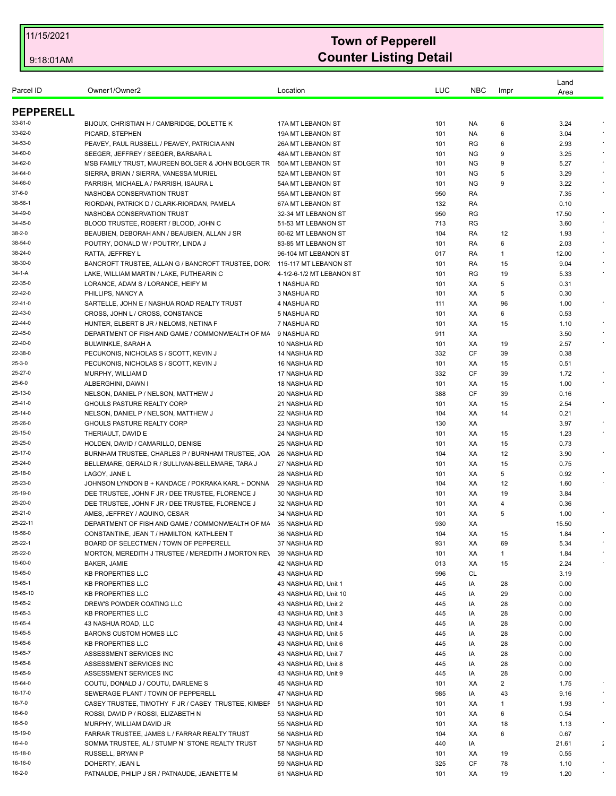| Parcel ID                              | Owner1/Owner2                                                                   | Location                                      | LUC        | <b>NBC</b> | Impr     | Land         |                      |
|----------------------------------------|---------------------------------------------------------------------------------|-----------------------------------------------|------------|------------|----------|--------------|----------------------|
|                                        |                                                                                 |                                               |            |            |          | Area         |                      |
| <b>PEPPERELL</b>                       |                                                                                 |                                               |            |            |          |              |                      |
| 33-81-0                                | BIJOUX, CHRISTIAN H / CAMBRIDGE, DOLETTE K                                      | 17A MT LEBANON ST                             | 101        | NA.        | 6        | 3.24         |                      |
| 33-82-0                                | PICARD, STEPHEN                                                                 | 19A MT LEBANON ST                             | 101        | NA.        | 6        | 3.04         |                      |
| 34-53-0                                | PEAVEY, PAUL RUSSELL / PEAVEY, PATRICIA ANN                                     | 26A MT LEBANON ST                             | 101        | RG         | 6        | 2.93         |                      |
| 34-60-0                                | SEEGER, JEFFREY / SEEGER, BARBARA L                                             | 48A MT LEBANON ST                             | 101        | ΝG         | 9        | 3.25         |                      |
| 34-62-0                                | MSB FAMILY TRUST, MAUREEN BOLGER & JOHN BOLGER TR                               | 50A MT LEBANON ST                             | 101        | <b>NG</b>  | 9        | 5.27         |                      |
| 34-64-0                                | SIERRA, BRIAN / SIERRA, VANESSA MURIEL                                          | 52A MT LEBANON ST                             | 101        | ΝG         | 5        | 3.29         |                      |
| 34-66-0                                | PARRISH, MICHAEL A / PARRISH, ISAURA L                                          | 54A MT LEBANON ST                             | 101        | ΝG         | 9        | 3.22         |                      |
| 37-6-0                                 | NASHOBA CONSERVATION TRUST                                                      | 55A MT LEBANON ST                             | 950        | RA         |          | 7.35         |                      |
| 38-56-1                                | RIORDAN, PATRICK D / CLARK-RIORDAN, PAMELA                                      | 67A MT LEBANON ST                             | 132        | RA         |          | 0.10         |                      |
| 34-49-0                                | NASHOBA CONSERVATION TRUST                                                      | 32-34 MT LEBANON ST                           | 950        | <b>RG</b>  |          | 17.50        |                      |
| 34-45-0                                | BLOOD TRUSTEE, ROBERT / BLOOD, JOHN C                                           | 51-53 MT LEBANON ST                           | 713        | RG         |          | 3.60         |                      |
| 38-2-0                                 | BEAUBIEN, DEBORAH ANN / BEAUBIEN, ALLAN J SR                                    | 60-62 MT LEBANON ST                           | 104        | RA         | 12       | 1.93         |                      |
| 38-54-0                                | POUTRY, DONALD W / POUTRY, LINDA J                                              | 83-85 MT LEBANON ST                           | 101        | RA         | 6        | 2.03         |                      |
| 38-24-0                                | RATTA, JEFFREY L                                                                | 96-104 MT LEBANON ST                          | 017        | RA         | 1        | 12.00        |                      |
| 38-30-0                                | BANCROFT TRUSTEE, ALLAN G / BANCROFT TRUSTEE, DOR(                              | 115-117 MT LEBANON ST                         | 101        | RA         | 15       | 9.04         |                      |
| 34-1-A                                 | LAKE, WILLIAM MARTIN / LAKE, PUTHEARIN C                                        | 4-1/2-6-1/2 MT LEBANON ST                     | 101        | RG         | 19       | 5.33         |                      |
| 22-35-0<br>22-42-0                     | LORANCE, ADAM S / LORANCE, HEIFY M                                              | 1 NASHUA RD<br>3 NASHUA RD                    | 101<br>101 | XA<br>XA   | 5<br>5   | 0.31<br>0.30 |                      |
| 22-41-0                                | PHILLIPS, NANCY A                                                               | 4 NASHUA RD                                   | 111        |            | 96       |              | $\epsilon$           |
| 22-43-0                                | SARTELLE, JOHN E / NASHUA ROAD REALTY TRUST<br>CROSS, JOHN L / CROSS, CONSTANCE | 5 NASHUA RD                                   | 101        | XA<br>XA   | 6        | 1.00<br>0.53 |                      |
| 22-44-0                                | HUNTER, ELBERT B JR / NELOMS, NETINA F                                          | 7 NASHUA RD                                   | 101        | XA         | 15       | 1.10         |                      |
| 22-45-0                                | DEPARTMENT OF FISH AND GAME / COMMONWEALTH OF MA                                | 9 NASHUA RD                                   | 911        | XA         |          | 3.50         |                      |
| 22-40-0                                | <b>BULWINKLE, SARAH A</b>                                                       | 10 NASHUA RD                                  | 101        | XA         | 19       | 2.57         |                      |
| 22-38-0                                | PECUKONIS, NICHOLAS S / SCOTT, KEVIN J                                          | 14 NASHUA RD                                  | 332        | CF         | 39       | 0.38         |                      |
| 25-3-0                                 | PECUKONIS, NICHOLAS S / SCOTT, KEVIN J                                          | 16 NASHUA RD                                  | 101        | ХA         | 15       | 0.51         |                      |
| 25-27-0                                | MURPHY, WILLIAM D                                                               | 17 NASHUA RD                                  | 332        | CF         | 39       | 1.72         |                      |
| 25-6-0                                 | ALBERGHINI, DAWN I                                                              | 18 NASHUA RD                                  | 101        | XA         | 15       | 1.00         |                      |
| 25-13-0                                | NELSON, DANIEL P / NELSON, MATTHEW J                                            | 20 NASHUA RD                                  | 388        | CF         | 39       | 0.16         |                      |
| 25-41-0                                | GHOULS PASTURE REALTY CORP                                                      | 21 NASHUA RD                                  | 101        | XA         | 15       | 2.54         |                      |
| 25-14-0                                | NELSON, DANIEL P / NELSON, MATTHEW J                                            | 22 NASHUA RD                                  | 104        | XA         | 14       | 0.21         |                      |
| 25-26-0                                | GHOULS PASTURE REALTY CORP                                                      | 23 NASHUA RD                                  | 130        | XA         |          | 3.97         |                      |
| 25-15-0                                | THERIAULT, DAVID E                                                              | 24 NASHUA RD                                  | 101        | XA         | 15       | 1.23         |                      |
| 25-25-0                                | HOLDEN, DAVID / CAMARILLO, DENISE                                               | 25 NASHUA RD                                  | 101        | XA         | 15       | 0.73         |                      |
| 25-17-0                                | BURNHAM TRUSTEE, CHARLES P / BURNHAM TRUSTEE, JOA                               | 26 NASHUA RD                                  | 104        | XA         | 12       | 3.90         |                      |
| 25-24-0                                | BELLEMARE, GERALD R / SULLIVAN-BELLEMARE, TARA J                                | 27 NASHUA RD                                  | 101        | XA         | 15       | 0.75         |                      |
| 25-18-0                                | LAGOY, JANE L                                                                   | 28 NASHUA RD                                  | 101        | XA         | 5        | 0.92         |                      |
| 25-23-0                                | JOHNSON LYNDON B + KANDACE / POKRAKA KARL + DONNA                               | 29 NASHUA RD                                  | 104        | XA         | 12       | 1.60         |                      |
| 25-19-0                                | DEE TRUSTEE, JOHN F JR / DEE TRUSTEE, FLORENCE J                                | 30 NASHUA RD                                  | 101        | XA         | 19       | 3.84         |                      |
| 25-20-0                                | DEE TRUSTEE, JOHN F JR / DEE TRUSTEE, FLORENCE J                                | 32 NASHUA RD                                  | 101        | XA         | 4        | 0.36         |                      |
| 25-21-0                                | AMES, JEFFREY / AQUINO, CESAR                                                   | 34 NASHUA RD                                  | 101        | XA         | 5        | 1.00         |                      |
| 25-22-11                               | DEPARTMENT OF FISH AND GAME / COMMONWEALTH OF MA                                | 35 NASHUA RD                                  | 930        | XA         |          | 15.50        |                      |
| 15-56-0                                | CONSTANTINE, JEAN T / HAMILTON, KATHLEEN T                                      | 36 NASHUA RD                                  | 104        | ХA         | 15       | 1.84         |                      |
| 25-22-1                                | BOARD OF SELECTMEN / TOWN OF PEPPERELL                                          | 37 NASHUA RD                                  | 931        | XA         | 69       | 5.34         |                      |
| 25-22-0<br>15-60-0                     | MORTON, MEREDITH J TRUSTEE / MEREDITH J MORTON REV                              | 39 NASHUA RD                                  | 101        | XA         | 1        | 1.84         |                      |
| 15-65-0                                | <b>BAKER, JAMIE</b>                                                             | 42 NASHUA RD                                  | 013        | XA         | 15       | 2.24         |                      |
| 15-65-1                                | <b>KB PROPERTIES LLC</b><br><b>KB PROPERTIES LLC</b>                            | 43 NASHUA RD                                  | 996<br>445 | CL<br>IA   | 28       | 3.19<br>0.00 |                      |
| 15-65-10                               | <b>KB PROPERTIES LLC</b>                                                        | 43 NASHUA RD, Unit 1<br>43 NASHUA RD, Unit 10 | 445        | IA         | 29       | 0.00         |                      |
| 15-65-2                                | DREW'S POWDER COATING LLC                                                       | 43 NASHUA RD, Unit 2                          | 445        | IA         | 28       | 0.00         |                      |
| 15-65-3                                | <b>KB PROPERTIES LLC</b>                                                        | 43 NASHUA RD. Unit 3                          | 445        | IA         | 28       | 0.00         |                      |
| 15-65-4                                | 43 NASHUA ROAD, LLC                                                             | 43 NASHUA RD, Unit 4                          | 445        | IA         | 28       | 0.00         |                      |
| 15-65-5                                | <b>BARONS CUSTOM HOMES LLC</b>                                                  | 43 NASHUA RD, Unit 5                          | 445        | IA         | 28       | 0.00         |                      |
| 15-65-6                                | <b>KB PROPERTIES LLC</b>                                                        | 43 NASHUA RD, Unit 6                          | 445        | IA         | 28       | 0.00         |                      |
| 15-65-7                                | ASSESSMENT SERVICES INC                                                         | 43 NASHUA RD, Unit 7                          | 445        | IA         | 28       | 0.00         |                      |
| 15-65-8                                | ASSESSMENT SERVICES INC                                                         | 43 NASHUA RD, Unit 8                          | 445        | IA         | 28       | 0.00         |                      |
| 15-65-9                                | ASSESSMENT SERVICES INC                                                         | 43 NASHUA RD, Unit 9                          | 445        | IA         | 28       | 0.00         |                      |
|                                        |                                                                                 |                                               | 101        | ХA         | 2        | 1.75         |                      |
|                                        |                                                                                 |                                               |            |            |          |              |                      |
|                                        | COUTU, DONALD J / COUTU, DARLENE S                                              | 45 NASHUA RD                                  |            |            |          |              |                      |
|                                        | SEWERAGE PLANT / TOWN OF PEPPERELL                                              | 47 NASHUA RD                                  | 985        | IA         | 43       | 9.16         |                      |
| 15-64-0<br>16-17-0<br>16-7-0<br>16-6-0 | CASEY TRUSTEE, TIMOTHY F JR / CASEY TRUSTEE, KIMBEF                             | 51 NASHUA RD                                  | 101        | XA         | 1        | 1.93         |                      |
| 16-5-0                                 | ROSSI, DAVID P / ROSSI, ELIZABETH N                                             | 53 NASHUA RD                                  | 101        | ХA         | 6        | 0.54         |                      |
|                                        | MURPHY, WILLIAM DAVID JR                                                        | 55 NASHUA RD                                  | 101        | XA         | 18       | 1.13         |                      |
| 15-19-0                                | FARRAR TRUSTEE, JAMES L / FARRAR REALTY TRUST                                   | 56 NASHUA RD                                  | 104        | XA         | 6        | 0.67         |                      |
|                                        | SOMMA TRUSTEE, AL / STUMP N' STONE REALTY TRUST                                 | 57 NASHUA RD                                  | 440        | IA         |          | 21.61        | $\ddot{\phantom{a}}$ |
| 16-4-0<br>15-18-0<br>16-16-0           | RUSSELL, BRYAN P<br>DOHERTY, JEAN L                                             | 58 NASHUA RD<br>59 NASHUA RD                  | 101<br>325 | XA<br>CF   | 19<br>78 | 0.55<br>1.10 |                      |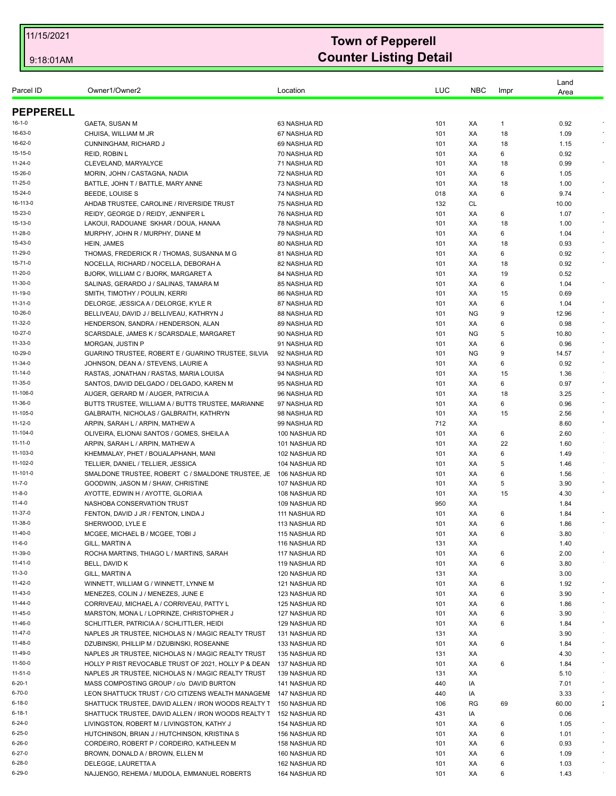|                      |                                                                                         |                                |            |            |        | Land         |                    |
|----------------------|-----------------------------------------------------------------------------------------|--------------------------------|------------|------------|--------|--------------|--------------------|
| Parcel ID            | Owner1/Owner2                                                                           | Location                       | LUC        | <b>NBC</b> | Impr   | Area         |                    |
| <b>PEPPERELL</b>     |                                                                                         |                                |            |            |        |              |                    |
| $16 - 1 - 0$         |                                                                                         | 63 NASHUA RD                   | 101        | XA         | 1      | 0.92         |                    |
| 16-63-0              | GAETA, SUSAN M<br>CHUISA, WILLIAM M JR                                                  | 67 NASHUA RD                   | 101        | XA         | 18     | 1.09         |                    |
| 16-62-0              | <b>CUNNINGHAM, RICHARD J</b>                                                            | 69 NASHUA RD                   | 101        | XA         | 18     | 1.15         |                    |
| 15-15-0              | REID, ROBIN L                                                                           | 70 NASHUA RD                   | 101        | XA         | 6      | 0.92         |                    |
| $11 - 24 - 0$        | CLEVELAND, MARYALYCE                                                                    | 71 NASHUA RD                   | 101        | XA         | 18     | 0.99         |                    |
| 15-26-0              | MORIN, JOHN / CASTAGNA, NADIA                                                           | 72 NASHUA RD                   | 101        | XA         | 6      | 1.05         |                    |
| 11-25-0              | BATTLE, JOHN T / BATTLE, MARY ANNE                                                      | 73 NASHUA RD                   | 101        | XA         | 18     | 1.00         | $\epsilon$         |
| 15-24-0              | BEEDE, LOUISE S                                                                         | 74 NASHUA RD                   | 018        | ХA         | 6      | 9.74         |                    |
| 16-113-0             | AHDAB TRUSTEE, CAROLINE / RIVERSIDE TRUST                                               | 75 NASHUA RD                   | 132        | CL         |        | 10.00        |                    |
| 15-23-0              | REIDY, GEORGE D / REIDY, JENNIFER L                                                     | 76 NASHUA RD                   | 101        | XA         | 6      | 1.07         | $\bullet$          |
| 15-13-0              | LAKOUI, RADOUANE SKHAR / DOUA, HANAA                                                    | 78 NASHUA RD                   | 101        | ХA         | 18     | 1.00         | $\epsilon$         |
| 11-28-0              | MURPHY, JOHN R / MURPHY, DIANE M                                                        | 79 NASHUA RD                   | 101        | XA         | 6      | 1.04         | $\epsilon$         |
| 15-43-0              | HEIN, JAMES                                                                             | 80 NASHUA RD                   | 101        | ХA         | 18     | 0.93         | $\epsilon$         |
| 11-29-0              | THOMAS, FREDERICK R / THOMAS, SUSANNA M G                                               | 81 NASHUA RD                   | 101        | XA         | 6      | 0.92         |                    |
| $15 - 71 - 0$        | NOCELLA, RICHARD / NOCELLA, DEBORAH A                                                   | 82 NASHUA RD                   | 101        | XA         | 18     | 0.92         |                    |
| 11-20-0              | BJORK, WILLIAM C / BJORK, MARGARET A                                                    | 84 NASHUA RD                   | 101        | XA         | 19     | 0.52         |                    |
| 11-30-0              | SALINAS, GERARDO J / SALINAS, TAMARA M                                                  | 85 NASHUA RD                   | 101        | ХA         | 6      | 1.04         |                    |
| 11-19-0              | SMITH, TIMOTHY / POULIN, KERRI                                                          | 86 NASHUA RD                   | 101        | XA         | 15     | 0.69         |                    |
| $11 - 31 - 0$        | DELORGE, JESSICA A / DELORGE, KYLE R                                                    | 87 NASHUA RD                   | 101        | XA         | 6      | 1.04         | $\star$            |
| 10-26-0              | BELLIVEAU, DAVID J / BELLIVEAU, KATHRYN J                                               | 88 NASHUA RD                   | 101        | <b>NG</b>  | 9      | 12.96        |                    |
| 11-32-0              | HENDERSON, SANDRA / HENDERSON, ALAN                                                     | 89 NASHUA RD                   | 101        | XA         | 6      | 0.98         | $\epsilon$         |
| 10-27-0              | SCARSDALE, JAMES K / SCARSDALE, MARGARET                                                | 90 NASHUA RD                   | 101        | <b>NG</b>  | 5      | 10.80        | $\star$            |
| 11-33-0              | MORGAN, JUSTIN P                                                                        | 91 NASHUA RD                   | 101        | XA         | 6      | 0.96         | $\bullet$          |
| 10-29-0              | GUARINO TRUSTEE, ROBERT E / GUARINO TRUSTEE, SILVIA                                     | 92 NASHUA RD                   | 101        | <b>NG</b>  | 9      | 14.57        | $\bullet$          |
| 11-34-0              | JOHNSON, DEAN A / STEVENS, LAURIE A                                                     | 93 NASHUA RD                   | 101        | XA         | 6      | 0.92         |                    |
| 11-14-0              | RASTAS, JONATHAN / RASTAS, MARIA LOUISA                                                 | 94 NASHUA RD                   | 101        | XA         | 15     | 1.36         |                    |
| 11-35-0              | SANTOS, DAVID DELGADO / DELGADO, KAREN M                                                | 95 NASHUA RD                   | 101        | ХA         | 6      | 0.97         | $\bullet$          |
| 11-106-0             | AUGER, GERARD M / AUGER, PATRICIA A                                                     | 96 NASHUA RD                   | 101        | XA         | 18     | 3.25         |                    |
| 11-36-0              | BUTTS TRUSTEE, WILLIAM A / BUTTS TRUSTEE, MARIANNE                                      | 97 NASHUA RD                   | 101        | XA         | 6      | 0.96         | $\sim$             |
| 11-105-0             | GALBRAITH, NICHOLAS / GALBRAITH, KATHRYN                                                | 98 NASHUA RD                   | 101        | ХA         | 15     | 2.56         | $\star$<br>$\star$ |
| 11-12-0              | ARPIN, SARAH L / ARPIN, MATHEW A                                                        | 99 NASHUA RD                   | 712        | XA         |        | 8.60         |                    |
| 11-104-0             | OLIVEIRA, ELIONAI SANTOS / GOMES, SHEILA A                                              | 100 NASHUA RD                  | 101        | XA         | 6      | 2.60         | $\sim$             |
| 11-11-0              | ARPIN, SARAH L / ARPIN, MATHEW A                                                        | 101 NASHUA RD                  | 101        | XA         | 22     | 1.60         |                    |
| 11-103-0<br>11-102-0 | KHEMMALAY, PHET / BOUALAPHANH, MANI                                                     | 102 NASHUA RD                  | 101        | XA         | 6      | 1.49         | $\sim$             |
| 11-101-0             | TELLIER, DANIEL / TELLIER, JESSICA<br>SMALDONE TRUSTEE, ROBERT C / SMALDONE TRUSTEE, JE | 104 NASHUA RD                  | 101<br>101 | XA<br>ХA   | 5<br>6 | 1.46<br>1.56 | $\sim$             |
| $11 - 7 - 0$         | GOODWIN, JASON M / SHAW, CHRISTINE                                                      | 106 NASHUA RD<br>107 NASHUA RD | 101        | XA         | 5      | 3.90         | $\sim$             |
| $11 - 8 - 0$         | AYOTTE, EDWIN H / AYOTTE, GLORIA A                                                      | 108 NASHUA RD                  | 101        | XA         | 15     | 4.30         | $\star$            |
| $11 - 4 - 0$         | NASHOBA CONSERVATION TRUST                                                              | 109 NASHUA RD                  | 950        | XA         |        | 1.84         |                    |
| 11-37-0              | FENTON, DAVID J JR / FENTON, LINDA J                                                    | 111 NASHUA RD                  | 101        | XA         | 6      | 1.84         |                    |
| 11-38-0              | SHERWOOD, LYLE E                                                                        | 113 NASHUA RD                  | 101        | ХA         | 6      | 1.86         |                    |
| 11-40-0              | MCGEE, MICHAEL B / MCGEE, TOBI J                                                        | 115 NASHUA RD                  | 101        | XA         | 6      | 3.80         |                    |
| $11 - 6 - 0$         | GILL, MARTIN A                                                                          | 116 NASHUA RD                  | 131        | ХA         |        | 1.40         |                    |
| 11-39-0              | ROCHA MARTINS, THIAGO L / MARTINS, SARAH                                                | 117 NASHUA RD                  | 101        | XA         | 6      | 2.00         |                    |
| 11-41-0              | BELL, DAVID K                                                                           | 119 NASHUA RD                  | 101        | XA         | 6      | 3.80         |                    |
| 11-3-0               | GILL, MARTIN A                                                                          | 120 NASHUA RD                  | 131        | ХA         |        | 3.00         |                    |
| 11-42-0              | WINNETT. WILLIAM G / WINNETT. LYNNE M                                                   | 121 NASHUA RD                  | 101        | XA         | 6      | 1.92         | $\epsilon$         |
| 11-43-0              | MENEZES, COLIN J / MENEZES, JUNE E                                                      | 123 NASHUA RD                  | 101        | XA         | 6      | 3.90         | $\bullet$          |
| 11-44-0              | CORRIVEAU, MICHAEL A / CORRIVEAU, PATTY L                                               | 125 NASHUA RD                  | 101        | XA         | 6      | 1.86         | $\star$            |
| 11-45-0              | MARSTON, MONA L / LOPRINZE, CHRISTOPHER J                                               | 127 NASHUA RD                  | 101        | ХA         | 6      | 3.90         |                    |
| 11-46-0              | SCHLITTLER, PATRICIA A / SCHLITTLER, HEIDI                                              | 129 NASHUA RD                  | 101        | XA         | 6      | 1.84         | $\sim$             |
| 11-47-0              | NAPLES JR TRUSTEE, NICHOLAS N / MAGIC REALTY TRUST                                      | 131 NASHUA RD                  | 131        | ХA         |        | 3.90         |                    |
| 11-48-0              | DZUBINSKI, PHILLIP M / DZUBINSKI, ROSEANNE                                              | 133 NASHUA RD                  | 101        | XA         | 6      | 1.84         | $\bullet$          |
| 11-49-0              | NAPLES JR TRUSTEE, NICHOLAS N / MAGIC REALTY TRUST                                      | 135 NASHUA RD                  | 131        | XA         |        | 4.30         | $\bullet$          |
| 11-50-0              | HOLLY P RIST REVOCABLE TRUST OF 2021, HOLLY P & DEAN                                    | 137 NASHUA RD                  | 101        | XA         | 6      | 1.84         | $\bullet$          |
| 11-51-0              | NAPLES JR TRUSTEE, NICHOLAS N / MAGIC REALTY TRUST                                      | 139 NASHUA RD                  | 131        | XA         |        | 5.10         |                    |
| 6-20-1               | MASS COMPOSTING GROUP / c/o DAVID BURTON                                                | 141 NASHUA RD                  | 440        | IA         |        | 7.01         | $\sim$             |
| $6 - 70 - 0$         | LEON SHATTUCK TRUST / C/O CITIZENS WEALTH MANAGEME                                      | 147 NASHUA RD                  | 440        | IA         |        | 3.33         | $\bullet$          |
| $6 - 18 - 0$         | SHATTUCK TRUSTEE, DAVID ALLEN / IRON WOODS REALTY T                                     | 150 NASHUA RD                  | 106        | RG         | 69     | 60.00        | ÷                  |
| $6 - 18 - 1$         | SHATTUCK TRUSTEE, DAVID ALLEN / IRON WOODS REALTY T                                     | 152 NASHUA RD                  | 431        | IA         |        | 0.06         |                    |
| $6 - 24 - 0$         | LIVINGSTON, ROBERT M / LIVINGSTON, KATHY J                                              | 154 NASHUA RD                  | 101        | XA         | 6      | 1.05         | $\epsilon$         |
| $6 - 25 - 0$         | HUTCHINSON, BRIAN J / HUTCHINSON, KRISTINA S                                            | 156 NASHUA RD                  | 101        | XA         | 6      | 1.01         | $\bullet$          |
| $6 - 26 - 0$         | CORDEIRO, ROBERT P / CORDEIRO, KATHLEEN M                                               | 158 NASHUA RD                  | 101        | ХA         | 6      | 0.93         | $\bullet$          |
| $6 - 27 - 0$         | BROWN, DONALD A / BROWN, ELLEN M                                                        | 160 NASHUA RD                  | 101        | XA         | 6      | 1.09         | $\epsilon$         |
| $6 - 28 - 0$         | DELEGGE, LAURETTA A                                                                     | 162 NASHUA RD                  | 101        | XA         | 6      | 1.03         |                    |
| 6-29-0               | NAJJENGO, REHEMA / MUDOLA, EMMANUEL ROBERTS                                             | 164 NASHUA RD                  | 101        | XA         | 6      | 1.43         |                    |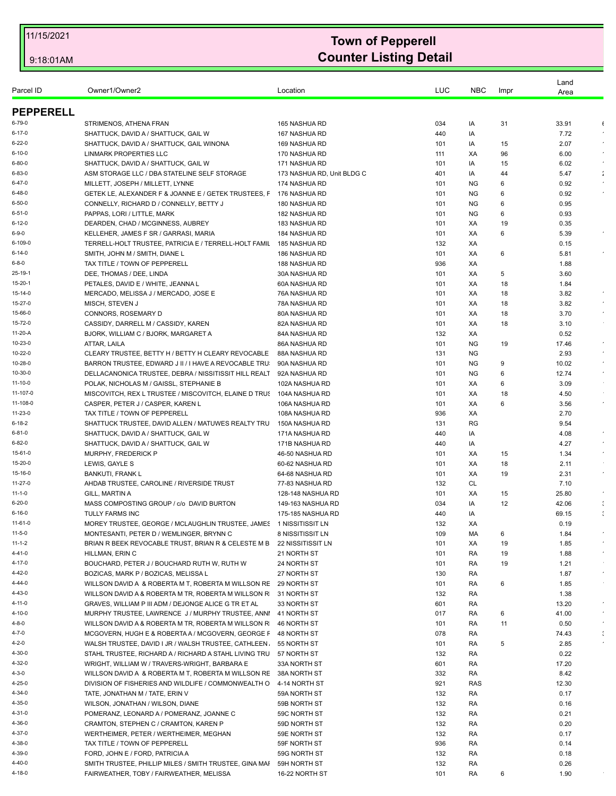| Parcel ID          | Owner1/Owner2                                                                                          | Location                       | LUC        | <b>NBC</b> | Impr     | Land<br>Area  |                      |
|--------------------|--------------------------------------------------------------------------------------------------------|--------------------------------|------------|------------|----------|---------------|----------------------|
| <b>PEPPERELL</b>   |                                                                                                        |                                |            |            |          |               |                      |
| 6-79-0             | STRIMENOS, ATHENA FRAN                                                                                 | 165 NASHUA RD                  | 034        | IA         | 31       | 33.91         | $\epsilon$           |
| $6 - 17 - 0$       | SHATTUCK, DAVID A / SHATTUCK, GAIL W                                                                   | 167 NASHUA RD                  | 440        | IA         |          | 7.72          | $\bullet$            |
| $6 - 22 - 0$       | SHATTUCK, DAVID A / SHATTUCK, GAIL WINONA                                                              | 169 NASHUA RD                  | 101        | IA         | 15       | 2.07          | $\sim$               |
| $6 - 10 - 0$       | <b>LINMARK PROPERTIES LLC</b>                                                                          | 170 NASHUA RD                  | 111        | XA         | 96       | 6.00          |                      |
| $6 - 80 - 0$       | SHATTUCK, DAVID A / SHATTUCK, GAIL W                                                                   | 171 NASHUA RD                  | 101        | IA         | 15       | 6.02          |                      |
| 6-83-0             | ASM STORAGE LLC / DBA STATELINE SELF STORAGE                                                           | 173 NASHUA RD, Unit BLDG C     | 401        | IA         | 44       | 5.47          | $\ddot{\phantom{a}}$ |
| $6 - 47 - 0$       | MILLETT. JOSEPH / MILLETT. LYNNE                                                                       | 174 NASHUA RD                  | 101        | <b>NG</b>  | 6        | 0.92          |                      |
| $6 - 48 - 0$       | GETEK LE, ALEXANDER F & JOANNE E / GETEK TRUSTEES, F                                                   | 176 NASHUA RD                  | 101        | <b>NG</b>  | 6        | 0.92          |                      |
| 6-50-0             | CONNELLY, RICHARD D / CONNELLY, BETTY J                                                                | 180 NASHUA RD                  | 101        | <b>NG</b>  | 6        | 0.95          |                      |
| 6-51-0             | PAPPAS, LORI / LITTLE, MARK                                                                            | 182 NASHUA RD                  | 101        | <b>NG</b>  | 6        | 0.93          |                      |
| 6-12-0             | DEARDEN, CHAD / MCGINNESS, AUBREY                                                                      | 183 NASHUA RD                  | 101        | XA         | 19       | 0.35          |                      |
| 6-9-0              | KELLEHER, JAMES F SR / GARRASI, MARIA                                                                  | 184 NASHUA RD                  | 101        | XA         | 6        | 5.39          |                      |
| 6-109-0            | TERRELL-HOLT TRUSTEE, PATRICIA E / TERRELL-HOLT FAMIL                                                  | 185 NASHUA RD                  | 132        | XA         |          | 0.15          |                      |
| 6-14-0             | SMITH, JOHN M / SMITH, DIANE L                                                                         | 186 NASHUA RD                  | 101        | XA         | 6        | 5.81          |                      |
| 6-8-0              | TAX TITLE / TOWN OF PEPPERELL                                                                          | 188 NASHUA RD                  | 936        | XA         |          | 1.88          |                      |
| 25-19-1            | DEE, THOMAS / DEE, LINDA                                                                               | 30A NASHUA RD                  | 101        | XA         | 5        | 3.60          |                      |
| 15-20-1            | PETALES, DAVID E / WHITE, JEANNA L                                                                     | 60A NASHUA RD                  | 101        | XA         | 18       | 1.84          |                      |
| 15-14-0<br>15-27-0 | MERCADO, MELISSA J / MERCADO, JOSE E<br>MISCH, STEVEN J                                                | 76A NASHUA RD<br>78A NASHUA RD | 101        | XA<br>XA   | 18       | 3.82<br>3.82  |                      |
| 15-66-0            | CONNORS, ROSEMARY D                                                                                    | 80A NASHUA RD                  | 101<br>101 | XA         | 18<br>18 | 3.70          |                      |
| 15-72-0            | CASSIDY, DARRELL M / CASSIDY, KAREN                                                                    | 82A NASHUA RD                  | 101        | XA         | 18       | 3.10          |                      |
| 11-20-A            | BJORK, WILLIAM C / BJORK, MARGARET A                                                                   | 84A NASHUA RD                  | 132        | XA         |          | 0.52          |                      |
| 10-23-0            | ATTAR, LAILA                                                                                           | 86A NASHUA RD                  | 101        | <b>NG</b>  | 19       | 17.46         |                      |
| 10-22-0            | CLEARY TRUSTEE, BETTY H / BETTY H CLEARY REVOCABLE                                                     | 88A NASHUA RD                  | 131        | <b>NG</b>  |          | 2.93          | $\star$              |
| 10-28-0            | BARRON TRUSTEE, EDWARD J II / I HAVE A REVOCABLE TRU                                                   | 90A NASHUA RD                  | 101        | ΝG         | 9        | 10.02         | $\bullet$            |
| 10-30-0            | DELLACANONICA TRUSTEE, DEBRA / NISSITISSIT HILL REALT                                                  | 92A NASHUA RD                  | 101        | <b>NG</b>  | 6        | 12.74         |                      |
| 11-10-0            | POLAK, NICHOLAS M / GAISSL, STEPHANIE B                                                                | 102A NASHUA RD                 | 101        | XA         | 6        | 3.09          |                      |
| 11-107-0           | MISCOVITCH, REX L TRUSTEE / MISCOVITCH, ELAINE D TRUS                                                  | 104A NASHUA RD                 | 101        | XA         | 18       | 4.50          |                      |
| 11-108-0           | CASPER, PETER J / CASPER, KAREN L                                                                      | 106A NASHUA RD                 | 101        | XA         | 6        | 3.56          | $\sim$               |
| 11-23-0            | TAX TITLE / TOWN OF PEPPERELL                                                                          | 108A NASHUA RD                 | 936        | ХA         |          | 2.70          |                      |
| $6 - 18 - 2$       | SHATTUCK TRUSTEE, DAVID ALLEN / MATUWES REALTY TRU                                                     | 150A NASHUA RD                 | 131        | RG         |          | 9.54          |                      |
| 6-81-0             | SHATTUCK, DAVID A / SHATTUCK, GAIL W                                                                   | 171A NASHUA RD                 | 440        | IA         |          | 4.08          | $\bullet$            |
| 6-82-0             | SHATTUCK, DAVID A / SHATTUCK, GAIL W                                                                   | 171B NASHUA RD                 | 440        | IA         |          | 4.27          | $\star$              |
| 15-61-0            | MURPHY, FREDERICK P                                                                                    | 46-50 NASHUA RD                | 101        | XA         | 15       | 1.34          |                      |
| 15-20-0            | LEWIS, GAYLE S                                                                                         | 60-62 NASHUA RD                | 101        | XA         | 18       | 2.11          |                      |
| 15-16-0            | <b>BANKUTI, FRANK L</b>                                                                                | 64-68 NASHUA RD                | 101        | XA         | 19       | 2.31          | $\sim$               |
| 11-27-0            | AHDAB TRUSTEE, CAROLINE / RIVERSIDE TRUST                                                              | 77-83 NASHUA RD                | 132        | CL         |          | 7.10          |                      |
| $11 - 1 - 0$       | GILL, MARTIN A                                                                                         | 128-148 NASHUA RD              | 101        | XA         | 15       | 25.80         | $\bullet$            |
| 6-20-0             | MASS COMPOSTING GROUP / c/o DAVID BURTON                                                               | 149-163 NASHUA RD              | 034        | IA         | 12       | 42.06         | ÷                    |
| $6 - 16 - 0$       | <b>TULLY FARMS INC</b>                                                                                 | 175-185 NASHUA RD              | 440        | IA         |          | 69.15         |                      |
| 11-61-0            | MOREY TRUSTEE, GEORGE / MCLAUGHLIN TRUSTEE, JAMES 1 NISSITISSIT LN                                     |                                | 132        | XA         |          | 0.19          |                      |
| $11 - 5 - 0$       | MONTESANTI, PETER D / WEMLINGER, BRYNN C                                                               | 8 NISSITISSIT LN               | 109        | МA         | 6        | 1.84          |                      |
| $11 - 1 - 2$       | BRIAN R BEEK REVOCABLE TRUST, BRIAN R & CELESTE M B                                                    | 22 NISSITISSIT LN              | 101        | XA         | 19       | 1.85          | $\epsilon$           |
| 4-41-0             | HILLMAN, ERIN C                                                                                        | 21 NORTH ST                    | 101        | RA         | 19       | 1.88          | $\epsilon$           |
| 4-17-0             | BOUCHARD, PETER J / BOUCHARD RUTH W, RUTH W                                                            | 24 NORTH ST                    | 101        | RA         | 19       | 1.21          | $\epsilon$           |
| 4-42-0             | BOZICAS, MARK P / BOZICAS, MELISSA L                                                                   | 27 NORTH ST                    | 130        | RA         |          | 1.87          |                      |
| 4-44-0             | WILLSON DAVID A & ROBERTA M T, ROBERTA M WILLSON RE                                                    | 29 NORTH ST                    | 101        | RA         | 6        | 1.85          |                      |
| $4 - 43 - 0$       | WILLSON DAVID A & ROBERTA M TR, ROBERTA M WILLSON R                                                    | 31 NORTH ST                    | 132        | RA         |          | 1.38          | $\bullet$            |
| 4-11-0             | GRAVES. WILLIAM P III ADM / DEJONGE ALICE G TR ET AL                                                   | 33 NORTH ST                    | 601        | RA         |          | 13.20         |                      |
| 4-10-0             | MURPHY TRUSTEE, LAWRENCE J/MURPHY TRUSTEE, ANNI<br>WILLSON DAVID A & ROBERTA M TR, ROBERTA M WILLSON R | 41 NORTH ST                    | 017        | RA         | 6        | 41.00         |                      |
| 4-8-0<br>4-7-0     | MCGOVERN, HUGH E & ROBERTA A / MCGOVERN, GEORGE F                                                      | 46 NORTH ST                    | 101        | RA         | 11       | 0.50          |                      |
| 4-2-0              | WALSH TRUSTEE, DAVID I JR / WALSH TRUSTEE, CATHLEEN.                                                   | 48 NORTH ST<br>55 NORTH ST     | 078<br>101 | RA<br>RA   | 5        | 74.43<br>2.85 |                      |
| 4-30-0             | STAHL TRUSTEE, RICHARD A / RICHARD A STAHL LIVING TRU                                                  | 57 NORTH ST                    | 132        | RA         |          | 0.22          |                      |
| 4-32-0             | WRIGHT, WILLIAM W / TRAVERS-WRIGHT, BARBARA E                                                          | 33A NORTH ST                   | 601        | RA         |          | 17.20         |                      |
| 4-3-0              | WILLSON DAVID A & ROBERTA M T, ROBERTA M WILLSON RE                                                    | 38A NORTH ST                   | 332        | RA         |          | 8.42          |                      |
| 4-25-0             | DIVISION OF FISHERIES AND WILDLIFE / COMMONWEALTH O                                                    | 4-14 NORTH ST                  | 921        | <b>RAS</b> |          | 12.30         |                      |
| 4-34-0             | TATE, JONATHAN M / TATE, ERIN V                                                                        | 59A NORTH ST                   | 132        | RA         |          | 0.17          |                      |
| 4-35-0             | WILSON, JONATHAN / WILSON, DIANE                                                                       | 59B NORTH ST                   | 132        | RA         |          | 0.16          |                      |
| 4-31-0             | POMERANZ, LEONARD A / POMERANZ, JOANNE C                                                               | 59C NORTH ST                   | 132        |            |          | 0.21          |                      |
| 4-36-0             | CRAMTON, STEPHEN C / CRAMTON, KAREN P                                                                  | 59D NORTH ST                   | 132        | RA<br>RA   |          | 0.20          |                      |
| 4-37-0             |                                                                                                        |                                |            |            |          | 0.17          |                      |
| 4-38-0             | WERTHEIMER, PETER / WERTHEIMER, MEGHAN<br>TAX TITLE / TOWN OF PEPPERELL                                | 59E NORTH ST<br>59F NORTH ST   | 132<br>936 | RA<br>RA   |          | 0.14          |                      |
| 4-39-0             |                                                                                                        |                                |            |            |          |               |                      |
| 4-40-0             | FORD, JOHN E / FORD, PATRICIA A                                                                        | 59G NORTH ST                   | 132        | RA         |          | 0.18          |                      |
|                    | SMITH TRUSTEE, PHILLIP MILES / SMITH TRUSTEE, GINA MAI                                                 | 59H NORTH ST                   | 132        | RA         |          | 0.26          |                      |
| 4-18-0             | FAIRWEATHER, TOBY / FAIRWEATHER, MELISSA                                                               | 16-22 NORTH ST                 | 101        | RA         | 6        | 1.90          |                      |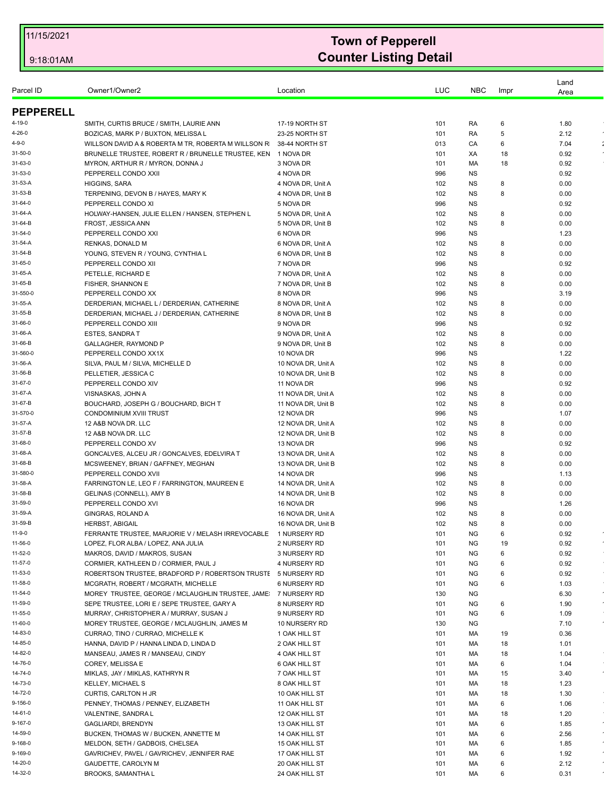| <b>PEPPERELL</b><br>SMITH, CURTIS BRUCE / SMITH, LAURIE ANN<br>17-19 NORTH ST<br>4-19-0<br>101<br>RA<br>6<br>1.80<br>2.12<br>4-26-0<br>BOZICAS, MARK P / BUXTON, MELISSA L<br>23-25 NORTH ST<br>101<br>RA<br>5<br>4-9-0<br>WILLSON DAVID A & ROBERTA M TR. ROBERTA M WILLSON R<br>38-44 NORTH ST<br>013<br>CA<br>7.04<br>6<br>31-50-0<br>BRUNELLE TRUSTEE, ROBERT R / BRUNELLE TRUSTEE, KEN<br>1 NOVA DR<br>0.92<br>101<br>XA<br>18<br>31-63-0<br>MYRON, ARTHUR R / MYRON, DONNA J<br>3 NOVA DR<br>101<br>МA<br>18<br>0.92<br>31-53-0<br>PEPPERELL CONDO XXII<br>4 NOVA DR<br>996<br><b>NS</b><br>0.92<br>31-53-A<br>HIGGINS, SARA<br>0.00<br>4 NOVA DR, Unit A<br>102<br>ΝS<br>8<br>31-53-B<br>TERPENING, DEVON B / HAYES, MARY K<br>102<br><b>NS</b><br>0.00<br>4 NOVA DR, Unit B<br>8<br>31-64-0<br>PEPPERELL CONDO XI<br>5 NOVA DR<br>996<br><b>NS</b><br>0.92<br>HOLWAY-HANSEN, JULIE ELLEN / HANSEN, STEPHEN L<br>0.00<br>31-64-A<br>5 NOVA DR, Unit A<br>102<br>ΝS<br>8<br>31-64-B<br>FROST, JESSICA ANN<br>5 NOVA DR, Unit B<br>102<br><b>NS</b><br>8<br>0.00<br>31-54-0<br>PEPPERELL CONDO XXI<br>6 NOVA DR<br>996<br><b>NS</b><br>1.23<br>31-54-A<br>RENKAS, DONALD M<br>0.00<br>6 NOVA DR, Unit A<br>102<br>ΝS<br>8<br>31-54-B<br>YOUNG, STEVEN R / YOUNG, CYNTHIA L<br>6 NOVA DR, Unit B<br>102<br><b>NS</b><br>0.00<br>8<br>31-65-0<br>PEPPERELL CONDO XII<br>7 NOVA DR<br>996<br><b>NS</b><br>0.92<br>31-65-A<br>PETELLE, RICHARD E<br><b>NS</b><br>0.00<br>7 NOVA DR, Unit A<br>102<br>8<br>31-65-B<br>FISHER, SHANNON E<br>7 NOVA DR, Unit B<br>102<br><b>NS</b><br>0.00<br>8<br>31-550-0<br>PEPPERELL CONDO XX<br>3.19<br>8 NOVA DR<br>996<br>ΝS<br>DERDERIAN, MICHAEL L / DERDERIAN, CATHERINE<br><b>NS</b><br>0.00<br>31-55-A<br>8 NOVA DR, Unit A<br>102<br>8<br>31-55-B<br>DERDERIAN, MICHAEL J / DERDERIAN, CATHERINE<br>8 NOVA DR, Unit B<br>102<br><b>NS</b><br>0.00<br>8<br>PEPPERELL CONDO XIII<br>9 NOVA DR<br>0.92<br>31-66-0<br>996<br>ΝS<br>31-66-A<br><b>ESTES, SANDRA T</b><br><b>NS</b><br>0.00<br>9 NOVA DR, Unit A<br>102<br>8<br>31-66-B<br>GALLAGHER, RAYMOND P<br>9 NOVA DR, Unit B<br>102<br><b>NS</b><br>0.00<br>8<br>31-560-0<br>PEPPERELL CONDO XX1X<br>10 NOVA DR<br>996<br>ΝS<br>1.22<br>31-56-A<br>SILVA, PAUL M / SILVA, MICHELLE D<br>10 NOVA DR, Unit A<br>102<br><b>NS</b><br>0.00<br>8<br>31-56-B<br>PELLETIER, JESSICA C<br>10 NOVA DR, Unit B<br>102<br>0.00<br>ΝS<br>8<br>0.92<br>31-67-0<br>PEPPERELL CONDO XIV<br>11 NOVA DR<br>996<br><b>NS</b><br>31-67-A<br>VISNASKAS, JOHN A<br>11 NOVA DR, Unit A<br>102<br><b>NS</b><br>0.00<br>8<br>31-67-B<br>BOUCHARD, JOSEPH G / BOUCHARD, BICH T<br>11 NOVA DR, Unit B<br>0.00<br>102<br>ΝS<br>8<br>31-570-0<br>CONDOMINIUM XVIII TRUST<br>12 NOVA DR<br>996<br>1.07<br>ΝS<br>31-57-A<br>12 A&B NOVA DR. LLC<br>12 NOVA DR, Unit A<br>102<br><b>NS</b><br>0.00<br>8<br>31-57-B<br>12 NOVA DR, Unit B<br>0.00<br>12 A&B NOVA DR. LLC<br>102<br>ΝS<br>8<br>31-68-0<br>PEPPERELL CONDO XV<br>13 NOVA DR<br>996<br>0.92<br>ΝS<br>31-68-A<br>GONCALVES, ALCEU JR / GONCALVES, EDELVIRA T<br>13 NOVA DR, Unit A<br><b>NS</b><br>0.00<br>102<br>8<br>31-68-B<br>MCSWEENEY, BRIAN / GAFFNEY, MEGHAN<br>13 NOVA DR, Unit B<br>102<br>ΝS<br>8<br>0.00<br>31-580-0<br>PEPPERELL CONDO XVII<br>14 NOVA DR<br>996<br>1.13<br>ΝS<br>31-58-A<br>FARRINGTON LE, LEO F / FARRINGTON, MAUREEN E<br>0.00<br>14 NOVA DR, Unit A<br>102<br>ΝS<br>8<br>31-58-B<br>14 NOVA DR, Unit B<br>102<br><b>NS</b><br>0.00<br>GELINAS (CONNELL), AMY B<br>8<br>31-59-0<br>PEPPERELL CONDO XVI<br>16 NOVA DR<br>996<br>1.26<br>ΝS<br>GINGRAS, ROLAND A<br>31-59-A<br>16 NOVA DR, Unit A<br>102<br><b>NS</b><br>0.00<br>8<br>31-59-B<br>102<br><b>HERBST, ABIGAIL</b><br>16 NOVA DR, Unit B<br><b>NS</b><br>8<br>0.00<br>11-9-0<br>FERRANTE TRUSTEE, MARJORIE V / MELASH IRREVOCABLE 1 NURSERY RD<br>101<br>ΝG<br>6<br>0.92<br>11-56-0<br>NG<br>19<br>$\bullet$<br>LOPEZ, FLOR ALBA / LOPEZ, ANA JULIA<br>2 NURSERY RD<br>101<br>0.92<br>11-52-0<br>MAKROS, DAVID / MAKROS, SUSAN<br>3 NURSERY RD<br>101<br>NG<br>0.92<br>6<br>11-57-0<br>CORMIER, KATHLEEN D / CORMIER, PAUL J<br>4 NURSERY RD<br>0.92<br>101<br>ΝG<br>6<br>11-53-0<br>ROBERTSON TRUSTEE, BRADFORD P / ROBERTSON TRUSTE<br><b>NG</b><br>6<br>0.92<br>5 NURSERY RD<br>101<br>11-58-0<br>MCGRATH, ROBERT / MCGRATH, MICHELLE<br><b>6 NURSERY RD</b><br>101<br>NG<br>1.03<br>6<br>$\epsilon$<br>MOREY TRUSTEE, GEORGE / MCLAUGHLIN TRUSTEE, JAME<br>11-54-0<br>7 NURSERY RD<br>130<br>ΝG<br>6.30<br>$\bullet$<br>11-59-0<br>SEPE TRUSTEE, LORI E / SEPE TRUSTEE, GARY A<br>NG<br>6<br>8 NURSERY RD<br>101<br>1.90<br>11-55-0<br>MURRAY, CHRISTOPHER A / MURRAY, SUSAN J<br>9 NURSERY RD<br>101<br>NG<br>6<br>1.09<br>MOREY TRUSTEE, GEORGE / MCLAUGHLIN, JAMES M<br>$\sim$<br>11-60-0<br>10 NURSERY RD<br>130<br>ΝG<br>7.10<br>14-83-0<br>CURRAO, TINO / CURRAO, MICHELLE K<br>1 OAK HILL ST<br>101<br>МA<br>19<br>0.36<br>14-85-0<br>HANNA, DAVID P / HANNA LINDA D, LINDA D<br>2 OAK HILL ST<br>101<br>МA<br>18<br>1.01<br>14-82-0<br>MANSEAU, JAMES R / MANSEAU, CINDY<br>4 OAK HILL ST<br>101<br>МA<br>18<br>1.04<br>14-76-0<br>COREY, MELISSA E<br>6 OAK HILL ST<br>101<br>МA<br>6<br>1.04<br>14-74-0<br>3.40<br>$\sim$<br>MIKLAS, JAY / MIKLAS, KATHRYN R<br>7 OAK HILL ST<br>101<br>МA<br>15<br>14-73-0<br>KELLEY, MICHAEL S<br>8 OAK HILL ST<br>101<br>МA<br>18<br>1.23<br>14-72-0<br>CURTIS, CARLTON H JR<br>18<br>10 OAK HILL ST<br>101<br>МA<br>1.30<br>PENNEY, THOMAS / PENNEY, ELIZABETH<br>9-156-0<br>11 OAK HILL ST<br>101<br>МA<br>6<br>1.06<br>14-61-0<br>VALENTINE, SANDRA L<br>1.20<br>$\sim$<br>12 OAK HILL ST<br>101<br>МA<br>18<br>9-167-0<br>GAGLIARDI, BRENDYN<br>6<br>$\epsilon$<br>13 OAK HILL ST<br>101<br>МA<br>1.85<br>2.56<br>14-59-0<br>BUCKEN, THOMAS W / BUCKEN, ANNETTE M<br>14 OAK HILL ST<br>101<br>МA<br>6<br>$\sim$<br>MELDON, SETH / GADBOIS, CHELSEA<br>$\star$<br>9-168-0<br>15 OAK HILL ST<br>101<br>МA<br>6<br>1.85<br>9-169-0<br>GAVRICHEV, PAVEL / GAVRICHEV, JENNIFER RAE<br>6<br>17 OAK HILL ST<br>101<br>МA<br>1.92<br>$\bullet$<br>14-20-0<br>GAUDETTE, CAROLYN M<br>20 OAK HILL ST<br>2.12<br>101<br>МA<br>6<br>$\bullet$<br>14-32-0<br><b>BROOKS, SAMANTHA L</b><br>24 OAK HILL ST<br>101<br>$\epsilon$<br>МA<br>6<br>0.31 |           |               |          |     |            |      | Land |  |
|-------------------------------------------------------------------------------------------------------------------------------------------------------------------------------------------------------------------------------------------------------------------------------------------------------------------------------------------------------------------------------------------------------------------------------------------------------------------------------------------------------------------------------------------------------------------------------------------------------------------------------------------------------------------------------------------------------------------------------------------------------------------------------------------------------------------------------------------------------------------------------------------------------------------------------------------------------------------------------------------------------------------------------------------------------------------------------------------------------------------------------------------------------------------------------------------------------------------------------------------------------------------------------------------------------------------------------------------------------------------------------------------------------------------------------------------------------------------------------------------------------------------------------------------------------------------------------------------------------------------------------------------------------------------------------------------------------------------------------------------------------------------------------------------------------------------------------------------------------------------------------------------------------------------------------------------------------------------------------------------------------------------------------------------------------------------------------------------------------------------------------------------------------------------------------------------------------------------------------------------------------------------------------------------------------------------------------------------------------------------------------------------------------------------------------------------------------------------------------------------------------------------------------------------------------------------------------------------------------------------------------------------------------------------------------------------------------------------------------------------------------------------------------------------------------------------------------------------------------------------------------------------------------------------------------------------------------------------------------------------------------------------------------------------------------------------------------------------------------------------------------------------------------------------------------------------------------------------------------------------------------------------------------------------------------------------------------------------------------------------------------------------------------------------------------------------------------------------------------------------------------------------------------------------------------------------------------------------------------------------------------------------------------------------------------------------------------------------------------------------------------------------------------------------------------------------------------------------------------------------------------------------------------------------------------------------------------------------------------------------------------------------------------------------------------------------------------------------------------------------------------------------------------------------------------------------------------------------------------------------------------------------------------------------------------------------------------------------------------------------------------------------------------------------------------------------------------------------------------------------------------------------------------------------------------------------------------------------------------------------------------------------------------------------------------------------------------------------------------------------------------------------------------------------------------------------------------------------------------------------------------------------------------------------------------------------------------------------------------------------------------------------------------------------------------------------------------------------------------------------------------------------------------------------------------------------------------------------------------------------------------------------------------------------------------------------------------------------------------------------------------------------------------------------------------------------------------------------------------------------------------------------------------------------------------------------------------------------------------------------------------------------------------------------------------------------------------------------------------------------------------------------------------------------------------------------------------------------------------------------------------------------------------------------------------------------------------------------------------------------------------------------------------------------------------------------------------------------------------------------------------------------------------------------------------------------------------------------------------------------------------------------------------------------------------------|-----------|---------------|----------|-----|------------|------|------|--|
|                                                                                                                                                                                                                                                                                                                                                                                                                                                                                                                                                                                                                                                                                                                                                                                                                                                                                                                                                                                                                                                                                                                                                                                                                                                                                                                                                                                                                                                                                                                                                                                                                                                                                                                                                                                                                                                                                                                                                                                                                                                                                                                                                                                                                                                                                                                                                                                                                                                                                                                                                                                                                                                                                                                                                                                                                                                                                                                                                                                                                                                                                                                                                                                                                                                                                                                                                                                                                                                                                                                                                                                                                                                                                                                                                                                                                                                                                                                                                                                                                                                                                                                                                                                                                                                                                                                                                                                                                                                                                                                                                                                                                                                                                                                                                                                                                                                                                                                                                                                                                                                                                                                                                                                                                                                                                                                                                                                                                                                                                                                                                                                                                                                                                                                                                                                                                                                                                                                                                                                                                                                                                                                                                                                                                                                                                                             | Parcel ID | Owner1/Owner2 | Location | LUC | <b>NBC</b> | Impr | Area |  |
|                                                                                                                                                                                                                                                                                                                                                                                                                                                                                                                                                                                                                                                                                                                                                                                                                                                                                                                                                                                                                                                                                                                                                                                                                                                                                                                                                                                                                                                                                                                                                                                                                                                                                                                                                                                                                                                                                                                                                                                                                                                                                                                                                                                                                                                                                                                                                                                                                                                                                                                                                                                                                                                                                                                                                                                                                                                                                                                                                                                                                                                                                                                                                                                                                                                                                                                                                                                                                                                                                                                                                                                                                                                                                                                                                                                                                                                                                                                                                                                                                                                                                                                                                                                                                                                                                                                                                                                                                                                                                                                                                                                                                                                                                                                                                                                                                                                                                                                                                                                                                                                                                                                                                                                                                                                                                                                                                                                                                                                                                                                                                                                                                                                                                                                                                                                                                                                                                                                                                                                                                                                                                                                                                                                                                                                                                                             |           |               |          |     |            |      |      |  |
|                                                                                                                                                                                                                                                                                                                                                                                                                                                                                                                                                                                                                                                                                                                                                                                                                                                                                                                                                                                                                                                                                                                                                                                                                                                                                                                                                                                                                                                                                                                                                                                                                                                                                                                                                                                                                                                                                                                                                                                                                                                                                                                                                                                                                                                                                                                                                                                                                                                                                                                                                                                                                                                                                                                                                                                                                                                                                                                                                                                                                                                                                                                                                                                                                                                                                                                                                                                                                                                                                                                                                                                                                                                                                                                                                                                                                                                                                                                                                                                                                                                                                                                                                                                                                                                                                                                                                                                                                                                                                                                                                                                                                                                                                                                                                                                                                                                                                                                                                                                                                                                                                                                                                                                                                                                                                                                                                                                                                                                                                                                                                                                                                                                                                                                                                                                                                                                                                                                                                                                                                                                                                                                                                                                                                                                                                                             |           |               |          |     |            |      |      |  |
|                                                                                                                                                                                                                                                                                                                                                                                                                                                                                                                                                                                                                                                                                                                                                                                                                                                                                                                                                                                                                                                                                                                                                                                                                                                                                                                                                                                                                                                                                                                                                                                                                                                                                                                                                                                                                                                                                                                                                                                                                                                                                                                                                                                                                                                                                                                                                                                                                                                                                                                                                                                                                                                                                                                                                                                                                                                                                                                                                                                                                                                                                                                                                                                                                                                                                                                                                                                                                                                                                                                                                                                                                                                                                                                                                                                                                                                                                                                                                                                                                                                                                                                                                                                                                                                                                                                                                                                                                                                                                                                                                                                                                                                                                                                                                                                                                                                                                                                                                                                                                                                                                                                                                                                                                                                                                                                                                                                                                                                                                                                                                                                                                                                                                                                                                                                                                                                                                                                                                                                                                                                                                                                                                                                                                                                                                                             |           |               |          |     |            |      |      |  |
|                                                                                                                                                                                                                                                                                                                                                                                                                                                                                                                                                                                                                                                                                                                                                                                                                                                                                                                                                                                                                                                                                                                                                                                                                                                                                                                                                                                                                                                                                                                                                                                                                                                                                                                                                                                                                                                                                                                                                                                                                                                                                                                                                                                                                                                                                                                                                                                                                                                                                                                                                                                                                                                                                                                                                                                                                                                                                                                                                                                                                                                                                                                                                                                                                                                                                                                                                                                                                                                                                                                                                                                                                                                                                                                                                                                                                                                                                                                                                                                                                                                                                                                                                                                                                                                                                                                                                                                                                                                                                                                                                                                                                                                                                                                                                                                                                                                                                                                                                                                                                                                                                                                                                                                                                                                                                                                                                                                                                                                                                                                                                                                                                                                                                                                                                                                                                                                                                                                                                                                                                                                                                                                                                                                                                                                                                                             |           |               |          |     |            |      |      |  |
|                                                                                                                                                                                                                                                                                                                                                                                                                                                                                                                                                                                                                                                                                                                                                                                                                                                                                                                                                                                                                                                                                                                                                                                                                                                                                                                                                                                                                                                                                                                                                                                                                                                                                                                                                                                                                                                                                                                                                                                                                                                                                                                                                                                                                                                                                                                                                                                                                                                                                                                                                                                                                                                                                                                                                                                                                                                                                                                                                                                                                                                                                                                                                                                                                                                                                                                                                                                                                                                                                                                                                                                                                                                                                                                                                                                                                                                                                                                                                                                                                                                                                                                                                                                                                                                                                                                                                                                                                                                                                                                                                                                                                                                                                                                                                                                                                                                                                                                                                                                                                                                                                                                                                                                                                                                                                                                                                                                                                                                                                                                                                                                                                                                                                                                                                                                                                                                                                                                                                                                                                                                                                                                                                                                                                                                                                                             |           |               |          |     |            |      |      |  |
|                                                                                                                                                                                                                                                                                                                                                                                                                                                                                                                                                                                                                                                                                                                                                                                                                                                                                                                                                                                                                                                                                                                                                                                                                                                                                                                                                                                                                                                                                                                                                                                                                                                                                                                                                                                                                                                                                                                                                                                                                                                                                                                                                                                                                                                                                                                                                                                                                                                                                                                                                                                                                                                                                                                                                                                                                                                                                                                                                                                                                                                                                                                                                                                                                                                                                                                                                                                                                                                                                                                                                                                                                                                                                                                                                                                                                                                                                                                                                                                                                                                                                                                                                                                                                                                                                                                                                                                                                                                                                                                                                                                                                                                                                                                                                                                                                                                                                                                                                                                                                                                                                                                                                                                                                                                                                                                                                                                                                                                                                                                                                                                                                                                                                                                                                                                                                                                                                                                                                                                                                                                                                                                                                                                                                                                                                                             |           |               |          |     |            |      |      |  |
|                                                                                                                                                                                                                                                                                                                                                                                                                                                                                                                                                                                                                                                                                                                                                                                                                                                                                                                                                                                                                                                                                                                                                                                                                                                                                                                                                                                                                                                                                                                                                                                                                                                                                                                                                                                                                                                                                                                                                                                                                                                                                                                                                                                                                                                                                                                                                                                                                                                                                                                                                                                                                                                                                                                                                                                                                                                                                                                                                                                                                                                                                                                                                                                                                                                                                                                                                                                                                                                                                                                                                                                                                                                                                                                                                                                                                                                                                                                                                                                                                                                                                                                                                                                                                                                                                                                                                                                                                                                                                                                                                                                                                                                                                                                                                                                                                                                                                                                                                                                                                                                                                                                                                                                                                                                                                                                                                                                                                                                                                                                                                                                                                                                                                                                                                                                                                                                                                                                                                                                                                                                                                                                                                                                                                                                                                                             |           |               |          |     |            |      |      |  |
|                                                                                                                                                                                                                                                                                                                                                                                                                                                                                                                                                                                                                                                                                                                                                                                                                                                                                                                                                                                                                                                                                                                                                                                                                                                                                                                                                                                                                                                                                                                                                                                                                                                                                                                                                                                                                                                                                                                                                                                                                                                                                                                                                                                                                                                                                                                                                                                                                                                                                                                                                                                                                                                                                                                                                                                                                                                                                                                                                                                                                                                                                                                                                                                                                                                                                                                                                                                                                                                                                                                                                                                                                                                                                                                                                                                                                                                                                                                                                                                                                                                                                                                                                                                                                                                                                                                                                                                                                                                                                                                                                                                                                                                                                                                                                                                                                                                                                                                                                                                                                                                                                                                                                                                                                                                                                                                                                                                                                                                                                                                                                                                                                                                                                                                                                                                                                                                                                                                                                                                                                                                                                                                                                                                                                                                                                                             |           |               |          |     |            |      |      |  |
|                                                                                                                                                                                                                                                                                                                                                                                                                                                                                                                                                                                                                                                                                                                                                                                                                                                                                                                                                                                                                                                                                                                                                                                                                                                                                                                                                                                                                                                                                                                                                                                                                                                                                                                                                                                                                                                                                                                                                                                                                                                                                                                                                                                                                                                                                                                                                                                                                                                                                                                                                                                                                                                                                                                                                                                                                                                                                                                                                                                                                                                                                                                                                                                                                                                                                                                                                                                                                                                                                                                                                                                                                                                                                                                                                                                                                                                                                                                                                                                                                                                                                                                                                                                                                                                                                                                                                                                                                                                                                                                                                                                                                                                                                                                                                                                                                                                                                                                                                                                                                                                                                                                                                                                                                                                                                                                                                                                                                                                                                                                                                                                                                                                                                                                                                                                                                                                                                                                                                                                                                                                                                                                                                                                                                                                                                                             |           |               |          |     |            |      |      |  |
|                                                                                                                                                                                                                                                                                                                                                                                                                                                                                                                                                                                                                                                                                                                                                                                                                                                                                                                                                                                                                                                                                                                                                                                                                                                                                                                                                                                                                                                                                                                                                                                                                                                                                                                                                                                                                                                                                                                                                                                                                                                                                                                                                                                                                                                                                                                                                                                                                                                                                                                                                                                                                                                                                                                                                                                                                                                                                                                                                                                                                                                                                                                                                                                                                                                                                                                                                                                                                                                                                                                                                                                                                                                                                                                                                                                                                                                                                                                                                                                                                                                                                                                                                                                                                                                                                                                                                                                                                                                                                                                                                                                                                                                                                                                                                                                                                                                                                                                                                                                                                                                                                                                                                                                                                                                                                                                                                                                                                                                                                                                                                                                                                                                                                                                                                                                                                                                                                                                                                                                                                                                                                                                                                                                                                                                                                                             |           |               |          |     |            |      |      |  |
|                                                                                                                                                                                                                                                                                                                                                                                                                                                                                                                                                                                                                                                                                                                                                                                                                                                                                                                                                                                                                                                                                                                                                                                                                                                                                                                                                                                                                                                                                                                                                                                                                                                                                                                                                                                                                                                                                                                                                                                                                                                                                                                                                                                                                                                                                                                                                                                                                                                                                                                                                                                                                                                                                                                                                                                                                                                                                                                                                                                                                                                                                                                                                                                                                                                                                                                                                                                                                                                                                                                                                                                                                                                                                                                                                                                                                                                                                                                                                                                                                                                                                                                                                                                                                                                                                                                                                                                                                                                                                                                                                                                                                                                                                                                                                                                                                                                                                                                                                                                                                                                                                                                                                                                                                                                                                                                                                                                                                                                                                                                                                                                                                                                                                                                                                                                                                                                                                                                                                                                                                                                                                                                                                                                                                                                                                                             |           |               |          |     |            |      |      |  |
|                                                                                                                                                                                                                                                                                                                                                                                                                                                                                                                                                                                                                                                                                                                                                                                                                                                                                                                                                                                                                                                                                                                                                                                                                                                                                                                                                                                                                                                                                                                                                                                                                                                                                                                                                                                                                                                                                                                                                                                                                                                                                                                                                                                                                                                                                                                                                                                                                                                                                                                                                                                                                                                                                                                                                                                                                                                                                                                                                                                                                                                                                                                                                                                                                                                                                                                                                                                                                                                                                                                                                                                                                                                                                                                                                                                                                                                                                                                                                                                                                                                                                                                                                                                                                                                                                                                                                                                                                                                                                                                                                                                                                                                                                                                                                                                                                                                                                                                                                                                                                                                                                                                                                                                                                                                                                                                                                                                                                                                                                                                                                                                                                                                                                                                                                                                                                                                                                                                                                                                                                                                                                                                                                                                                                                                                                                             |           |               |          |     |            |      |      |  |
|                                                                                                                                                                                                                                                                                                                                                                                                                                                                                                                                                                                                                                                                                                                                                                                                                                                                                                                                                                                                                                                                                                                                                                                                                                                                                                                                                                                                                                                                                                                                                                                                                                                                                                                                                                                                                                                                                                                                                                                                                                                                                                                                                                                                                                                                                                                                                                                                                                                                                                                                                                                                                                                                                                                                                                                                                                                                                                                                                                                                                                                                                                                                                                                                                                                                                                                                                                                                                                                                                                                                                                                                                                                                                                                                                                                                                                                                                                                                                                                                                                                                                                                                                                                                                                                                                                                                                                                                                                                                                                                                                                                                                                                                                                                                                                                                                                                                                                                                                                                                                                                                                                                                                                                                                                                                                                                                                                                                                                                                                                                                                                                                                                                                                                                                                                                                                                                                                                                                                                                                                                                                                                                                                                                                                                                                                                             |           |               |          |     |            |      |      |  |
|                                                                                                                                                                                                                                                                                                                                                                                                                                                                                                                                                                                                                                                                                                                                                                                                                                                                                                                                                                                                                                                                                                                                                                                                                                                                                                                                                                                                                                                                                                                                                                                                                                                                                                                                                                                                                                                                                                                                                                                                                                                                                                                                                                                                                                                                                                                                                                                                                                                                                                                                                                                                                                                                                                                                                                                                                                                                                                                                                                                                                                                                                                                                                                                                                                                                                                                                                                                                                                                                                                                                                                                                                                                                                                                                                                                                                                                                                                                                                                                                                                                                                                                                                                                                                                                                                                                                                                                                                                                                                                                                                                                                                                                                                                                                                                                                                                                                                                                                                                                                                                                                                                                                                                                                                                                                                                                                                                                                                                                                                                                                                                                                                                                                                                                                                                                                                                                                                                                                                                                                                                                                                                                                                                                                                                                                                                             |           |               |          |     |            |      |      |  |
|                                                                                                                                                                                                                                                                                                                                                                                                                                                                                                                                                                                                                                                                                                                                                                                                                                                                                                                                                                                                                                                                                                                                                                                                                                                                                                                                                                                                                                                                                                                                                                                                                                                                                                                                                                                                                                                                                                                                                                                                                                                                                                                                                                                                                                                                                                                                                                                                                                                                                                                                                                                                                                                                                                                                                                                                                                                                                                                                                                                                                                                                                                                                                                                                                                                                                                                                                                                                                                                                                                                                                                                                                                                                                                                                                                                                                                                                                                                                                                                                                                                                                                                                                                                                                                                                                                                                                                                                                                                                                                                                                                                                                                                                                                                                                                                                                                                                                                                                                                                                                                                                                                                                                                                                                                                                                                                                                                                                                                                                                                                                                                                                                                                                                                                                                                                                                                                                                                                                                                                                                                                                                                                                                                                                                                                                                                             |           |               |          |     |            |      |      |  |
|                                                                                                                                                                                                                                                                                                                                                                                                                                                                                                                                                                                                                                                                                                                                                                                                                                                                                                                                                                                                                                                                                                                                                                                                                                                                                                                                                                                                                                                                                                                                                                                                                                                                                                                                                                                                                                                                                                                                                                                                                                                                                                                                                                                                                                                                                                                                                                                                                                                                                                                                                                                                                                                                                                                                                                                                                                                                                                                                                                                                                                                                                                                                                                                                                                                                                                                                                                                                                                                                                                                                                                                                                                                                                                                                                                                                                                                                                                                                                                                                                                                                                                                                                                                                                                                                                                                                                                                                                                                                                                                                                                                                                                                                                                                                                                                                                                                                                                                                                                                                                                                                                                                                                                                                                                                                                                                                                                                                                                                                                                                                                                                                                                                                                                                                                                                                                                                                                                                                                                                                                                                                                                                                                                                                                                                                                                             |           |               |          |     |            |      |      |  |
|                                                                                                                                                                                                                                                                                                                                                                                                                                                                                                                                                                                                                                                                                                                                                                                                                                                                                                                                                                                                                                                                                                                                                                                                                                                                                                                                                                                                                                                                                                                                                                                                                                                                                                                                                                                                                                                                                                                                                                                                                                                                                                                                                                                                                                                                                                                                                                                                                                                                                                                                                                                                                                                                                                                                                                                                                                                                                                                                                                                                                                                                                                                                                                                                                                                                                                                                                                                                                                                                                                                                                                                                                                                                                                                                                                                                                                                                                                                                                                                                                                                                                                                                                                                                                                                                                                                                                                                                                                                                                                                                                                                                                                                                                                                                                                                                                                                                                                                                                                                                                                                                                                                                                                                                                                                                                                                                                                                                                                                                                                                                                                                                                                                                                                                                                                                                                                                                                                                                                                                                                                                                                                                                                                                                                                                                                                             |           |               |          |     |            |      |      |  |
|                                                                                                                                                                                                                                                                                                                                                                                                                                                                                                                                                                                                                                                                                                                                                                                                                                                                                                                                                                                                                                                                                                                                                                                                                                                                                                                                                                                                                                                                                                                                                                                                                                                                                                                                                                                                                                                                                                                                                                                                                                                                                                                                                                                                                                                                                                                                                                                                                                                                                                                                                                                                                                                                                                                                                                                                                                                                                                                                                                                                                                                                                                                                                                                                                                                                                                                                                                                                                                                                                                                                                                                                                                                                                                                                                                                                                                                                                                                                                                                                                                                                                                                                                                                                                                                                                                                                                                                                                                                                                                                                                                                                                                                                                                                                                                                                                                                                                                                                                                                                                                                                                                                                                                                                                                                                                                                                                                                                                                                                                                                                                                                                                                                                                                                                                                                                                                                                                                                                                                                                                                                                                                                                                                                                                                                                                                             |           |               |          |     |            |      |      |  |
|                                                                                                                                                                                                                                                                                                                                                                                                                                                                                                                                                                                                                                                                                                                                                                                                                                                                                                                                                                                                                                                                                                                                                                                                                                                                                                                                                                                                                                                                                                                                                                                                                                                                                                                                                                                                                                                                                                                                                                                                                                                                                                                                                                                                                                                                                                                                                                                                                                                                                                                                                                                                                                                                                                                                                                                                                                                                                                                                                                                                                                                                                                                                                                                                                                                                                                                                                                                                                                                                                                                                                                                                                                                                                                                                                                                                                                                                                                                                                                                                                                                                                                                                                                                                                                                                                                                                                                                                                                                                                                                                                                                                                                                                                                                                                                                                                                                                                                                                                                                                                                                                                                                                                                                                                                                                                                                                                                                                                                                                                                                                                                                                                                                                                                                                                                                                                                                                                                                                                                                                                                                                                                                                                                                                                                                                                                             |           |               |          |     |            |      |      |  |
|                                                                                                                                                                                                                                                                                                                                                                                                                                                                                                                                                                                                                                                                                                                                                                                                                                                                                                                                                                                                                                                                                                                                                                                                                                                                                                                                                                                                                                                                                                                                                                                                                                                                                                                                                                                                                                                                                                                                                                                                                                                                                                                                                                                                                                                                                                                                                                                                                                                                                                                                                                                                                                                                                                                                                                                                                                                                                                                                                                                                                                                                                                                                                                                                                                                                                                                                                                                                                                                                                                                                                                                                                                                                                                                                                                                                                                                                                                                                                                                                                                                                                                                                                                                                                                                                                                                                                                                                                                                                                                                                                                                                                                                                                                                                                                                                                                                                                                                                                                                                                                                                                                                                                                                                                                                                                                                                                                                                                                                                                                                                                                                                                                                                                                                                                                                                                                                                                                                                                                                                                                                                                                                                                                                                                                                                                                             |           |               |          |     |            |      |      |  |
|                                                                                                                                                                                                                                                                                                                                                                                                                                                                                                                                                                                                                                                                                                                                                                                                                                                                                                                                                                                                                                                                                                                                                                                                                                                                                                                                                                                                                                                                                                                                                                                                                                                                                                                                                                                                                                                                                                                                                                                                                                                                                                                                                                                                                                                                                                                                                                                                                                                                                                                                                                                                                                                                                                                                                                                                                                                                                                                                                                                                                                                                                                                                                                                                                                                                                                                                                                                                                                                                                                                                                                                                                                                                                                                                                                                                                                                                                                                                                                                                                                                                                                                                                                                                                                                                                                                                                                                                                                                                                                                                                                                                                                                                                                                                                                                                                                                                                                                                                                                                                                                                                                                                                                                                                                                                                                                                                                                                                                                                                                                                                                                                                                                                                                                                                                                                                                                                                                                                                                                                                                                                                                                                                                                                                                                                                                             |           |               |          |     |            |      |      |  |
|                                                                                                                                                                                                                                                                                                                                                                                                                                                                                                                                                                                                                                                                                                                                                                                                                                                                                                                                                                                                                                                                                                                                                                                                                                                                                                                                                                                                                                                                                                                                                                                                                                                                                                                                                                                                                                                                                                                                                                                                                                                                                                                                                                                                                                                                                                                                                                                                                                                                                                                                                                                                                                                                                                                                                                                                                                                                                                                                                                                                                                                                                                                                                                                                                                                                                                                                                                                                                                                                                                                                                                                                                                                                                                                                                                                                                                                                                                                                                                                                                                                                                                                                                                                                                                                                                                                                                                                                                                                                                                                                                                                                                                                                                                                                                                                                                                                                                                                                                                                                                                                                                                                                                                                                                                                                                                                                                                                                                                                                                                                                                                                                                                                                                                                                                                                                                                                                                                                                                                                                                                                                                                                                                                                                                                                                                                             |           |               |          |     |            |      |      |  |
|                                                                                                                                                                                                                                                                                                                                                                                                                                                                                                                                                                                                                                                                                                                                                                                                                                                                                                                                                                                                                                                                                                                                                                                                                                                                                                                                                                                                                                                                                                                                                                                                                                                                                                                                                                                                                                                                                                                                                                                                                                                                                                                                                                                                                                                                                                                                                                                                                                                                                                                                                                                                                                                                                                                                                                                                                                                                                                                                                                                                                                                                                                                                                                                                                                                                                                                                                                                                                                                                                                                                                                                                                                                                                                                                                                                                                                                                                                                                                                                                                                                                                                                                                                                                                                                                                                                                                                                                                                                                                                                                                                                                                                                                                                                                                                                                                                                                                                                                                                                                                                                                                                                                                                                                                                                                                                                                                                                                                                                                                                                                                                                                                                                                                                                                                                                                                                                                                                                                                                                                                                                                                                                                                                                                                                                                                                             |           |               |          |     |            |      |      |  |
|                                                                                                                                                                                                                                                                                                                                                                                                                                                                                                                                                                                                                                                                                                                                                                                                                                                                                                                                                                                                                                                                                                                                                                                                                                                                                                                                                                                                                                                                                                                                                                                                                                                                                                                                                                                                                                                                                                                                                                                                                                                                                                                                                                                                                                                                                                                                                                                                                                                                                                                                                                                                                                                                                                                                                                                                                                                                                                                                                                                                                                                                                                                                                                                                                                                                                                                                                                                                                                                                                                                                                                                                                                                                                                                                                                                                                                                                                                                                                                                                                                                                                                                                                                                                                                                                                                                                                                                                                                                                                                                                                                                                                                                                                                                                                                                                                                                                                                                                                                                                                                                                                                                                                                                                                                                                                                                                                                                                                                                                                                                                                                                                                                                                                                                                                                                                                                                                                                                                                                                                                                                                                                                                                                                                                                                                                                             |           |               |          |     |            |      |      |  |
|                                                                                                                                                                                                                                                                                                                                                                                                                                                                                                                                                                                                                                                                                                                                                                                                                                                                                                                                                                                                                                                                                                                                                                                                                                                                                                                                                                                                                                                                                                                                                                                                                                                                                                                                                                                                                                                                                                                                                                                                                                                                                                                                                                                                                                                                                                                                                                                                                                                                                                                                                                                                                                                                                                                                                                                                                                                                                                                                                                                                                                                                                                                                                                                                                                                                                                                                                                                                                                                                                                                                                                                                                                                                                                                                                                                                                                                                                                                                                                                                                                                                                                                                                                                                                                                                                                                                                                                                                                                                                                                                                                                                                                                                                                                                                                                                                                                                                                                                                                                                                                                                                                                                                                                                                                                                                                                                                                                                                                                                                                                                                                                                                                                                                                                                                                                                                                                                                                                                                                                                                                                                                                                                                                                                                                                                                                             |           |               |          |     |            |      |      |  |
|                                                                                                                                                                                                                                                                                                                                                                                                                                                                                                                                                                                                                                                                                                                                                                                                                                                                                                                                                                                                                                                                                                                                                                                                                                                                                                                                                                                                                                                                                                                                                                                                                                                                                                                                                                                                                                                                                                                                                                                                                                                                                                                                                                                                                                                                                                                                                                                                                                                                                                                                                                                                                                                                                                                                                                                                                                                                                                                                                                                                                                                                                                                                                                                                                                                                                                                                                                                                                                                                                                                                                                                                                                                                                                                                                                                                                                                                                                                                                                                                                                                                                                                                                                                                                                                                                                                                                                                                                                                                                                                                                                                                                                                                                                                                                                                                                                                                                                                                                                                                                                                                                                                                                                                                                                                                                                                                                                                                                                                                                                                                                                                                                                                                                                                                                                                                                                                                                                                                                                                                                                                                                                                                                                                                                                                                                                             |           |               |          |     |            |      |      |  |
|                                                                                                                                                                                                                                                                                                                                                                                                                                                                                                                                                                                                                                                                                                                                                                                                                                                                                                                                                                                                                                                                                                                                                                                                                                                                                                                                                                                                                                                                                                                                                                                                                                                                                                                                                                                                                                                                                                                                                                                                                                                                                                                                                                                                                                                                                                                                                                                                                                                                                                                                                                                                                                                                                                                                                                                                                                                                                                                                                                                                                                                                                                                                                                                                                                                                                                                                                                                                                                                                                                                                                                                                                                                                                                                                                                                                                                                                                                                                                                                                                                                                                                                                                                                                                                                                                                                                                                                                                                                                                                                                                                                                                                                                                                                                                                                                                                                                                                                                                                                                                                                                                                                                                                                                                                                                                                                                                                                                                                                                                                                                                                                                                                                                                                                                                                                                                                                                                                                                                                                                                                                                                                                                                                                                                                                                                                             |           |               |          |     |            |      |      |  |
|                                                                                                                                                                                                                                                                                                                                                                                                                                                                                                                                                                                                                                                                                                                                                                                                                                                                                                                                                                                                                                                                                                                                                                                                                                                                                                                                                                                                                                                                                                                                                                                                                                                                                                                                                                                                                                                                                                                                                                                                                                                                                                                                                                                                                                                                                                                                                                                                                                                                                                                                                                                                                                                                                                                                                                                                                                                                                                                                                                                                                                                                                                                                                                                                                                                                                                                                                                                                                                                                                                                                                                                                                                                                                                                                                                                                                                                                                                                                                                                                                                                                                                                                                                                                                                                                                                                                                                                                                                                                                                                                                                                                                                                                                                                                                                                                                                                                                                                                                                                                                                                                                                                                                                                                                                                                                                                                                                                                                                                                                                                                                                                                                                                                                                                                                                                                                                                                                                                                                                                                                                                                                                                                                                                                                                                                                                             |           |               |          |     |            |      |      |  |
|                                                                                                                                                                                                                                                                                                                                                                                                                                                                                                                                                                                                                                                                                                                                                                                                                                                                                                                                                                                                                                                                                                                                                                                                                                                                                                                                                                                                                                                                                                                                                                                                                                                                                                                                                                                                                                                                                                                                                                                                                                                                                                                                                                                                                                                                                                                                                                                                                                                                                                                                                                                                                                                                                                                                                                                                                                                                                                                                                                                                                                                                                                                                                                                                                                                                                                                                                                                                                                                                                                                                                                                                                                                                                                                                                                                                                                                                                                                                                                                                                                                                                                                                                                                                                                                                                                                                                                                                                                                                                                                                                                                                                                                                                                                                                                                                                                                                                                                                                                                                                                                                                                                                                                                                                                                                                                                                                                                                                                                                                                                                                                                                                                                                                                                                                                                                                                                                                                                                                                                                                                                                                                                                                                                                                                                                                                             |           |               |          |     |            |      |      |  |
|                                                                                                                                                                                                                                                                                                                                                                                                                                                                                                                                                                                                                                                                                                                                                                                                                                                                                                                                                                                                                                                                                                                                                                                                                                                                                                                                                                                                                                                                                                                                                                                                                                                                                                                                                                                                                                                                                                                                                                                                                                                                                                                                                                                                                                                                                                                                                                                                                                                                                                                                                                                                                                                                                                                                                                                                                                                                                                                                                                                                                                                                                                                                                                                                                                                                                                                                                                                                                                                                                                                                                                                                                                                                                                                                                                                                                                                                                                                                                                                                                                                                                                                                                                                                                                                                                                                                                                                                                                                                                                                                                                                                                                                                                                                                                                                                                                                                                                                                                                                                                                                                                                                                                                                                                                                                                                                                                                                                                                                                                                                                                                                                                                                                                                                                                                                                                                                                                                                                                                                                                                                                                                                                                                                                                                                                                                             |           |               |          |     |            |      |      |  |
|                                                                                                                                                                                                                                                                                                                                                                                                                                                                                                                                                                                                                                                                                                                                                                                                                                                                                                                                                                                                                                                                                                                                                                                                                                                                                                                                                                                                                                                                                                                                                                                                                                                                                                                                                                                                                                                                                                                                                                                                                                                                                                                                                                                                                                                                                                                                                                                                                                                                                                                                                                                                                                                                                                                                                                                                                                                                                                                                                                                                                                                                                                                                                                                                                                                                                                                                                                                                                                                                                                                                                                                                                                                                                                                                                                                                                                                                                                                                                                                                                                                                                                                                                                                                                                                                                                                                                                                                                                                                                                                                                                                                                                                                                                                                                                                                                                                                                                                                                                                                                                                                                                                                                                                                                                                                                                                                                                                                                                                                                                                                                                                                                                                                                                                                                                                                                                                                                                                                                                                                                                                                                                                                                                                                                                                                                                             |           |               |          |     |            |      |      |  |
|                                                                                                                                                                                                                                                                                                                                                                                                                                                                                                                                                                                                                                                                                                                                                                                                                                                                                                                                                                                                                                                                                                                                                                                                                                                                                                                                                                                                                                                                                                                                                                                                                                                                                                                                                                                                                                                                                                                                                                                                                                                                                                                                                                                                                                                                                                                                                                                                                                                                                                                                                                                                                                                                                                                                                                                                                                                                                                                                                                                                                                                                                                                                                                                                                                                                                                                                                                                                                                                                                                                                                                                                                                                                                                                                                                                                                                                                                                                                                                                                                                                                                                                                                                                                                                                                                                                                                                                                                                                                                                                                                                                                                                                                                                                                                                                                                                                                                                                                                                                                                                                                                                                                                                                                                                                                                                                                                                                                                                                                                                                                                                                                                                                                                                                                                                                                                                                                                                                                                                                                                                                                                                                                                                                                                                                                                                             |           |               |          |     |            |      |      |  |
|                                                                                                                                                                                                                                                                                                                                                                                                                                                                                                                                                                                                                                                                                                                                                                                                                                                                                                                                                                                                                                                                                                                                                                                                                                                                                                                                                                                                                                                                                                                                                                                                                                                                                                                                                                                                                                                                                                                                                                                                                                                                                                                                                                                                                                                                                                                                                                                                                                                                                                                                                                                                                                                                                                                                                                                                                                                                                                                                                                                                                                                                                                                                                                                                                                                                                                                                                                                                                                                                                                                                                                                                                                                                                                                                                                                                                                                                                                                                                                                                                                                                                                                                                                                                                                                                                                                                                                                                                                                                                                                                                                                                                                                                                                                                                                                                                                                                                                                                                                                                                                                                                                                                                                                                                                                                                                                                                                                                                                                                                                                                                                                                                                                                                                                                                                                                                                                                                                                                                                                                                                                                                                                                                                                                                                                                                                             |           |               |          |     |            |      |      |  |
|                                                                                                                                                                                                                                                                                                                                                                                                                                                                                                                                                                                                                                                                                                                                                                                                                                                                                                                                                                                                                                                                                                                                                                                                                                                                                                                                                                                                                                                                                                                                                                                                                                                                                                                                                                                                                                                                                                                                                                                                                                                                                                                                                                                                                                                                                                                                                                                                                                                                                                                                                                                                                                                                                                                                                                                                                                                                                                                                                                                                                                                                                                                                                                                                                                                                                                                                                                                                                                                                                                                                                                                                                                                                                                                                                                                                                                                                                                                                                                                                                                                                                                                                                                                                                                                                                                                                                                                                                                                                                                                                                                                                                                                                                                                                                                                                                                                                                                                                                                                                                                                                                                                                                                                                                                                                                                                                                                                                                                                                                                                                                                                                                                                                                                                                                                                                                                                                                                                                                                                                                                                                                                                                                                                                                                                                                                             |           |               |          |     |            |      |      |  |
|                                                                                                                                                                                                                                                                                                                                                                                                                                                                                                                                                                                                                                                                                                                                                                                                                                                                                                                                                                                                                                                                                                                                                                                                                                                                                                                                                                                                                                                                                                                                                                                                                                                                                                                                                                                                                                                                                                                                                                                                                                                                                                                                                                                                                                                                                                                                                                                                                                                                                                                                                                                                                                                                                                                                                                                                                                                                                                                                                                                                                                                                                                                                                                                                                                                                                                                                                                                                                                                                                                                                                                                                                                                                                                                                                                                                                                                                                                                                                                                                                                                                                                                                                                                                                                                                                                                                                                                                                                                                                                                                                                                                                                                                                                                                                                                                                                                                                                                                                                                                                                                                                                                                                                                                                                                                                                                                                                                                                                                                                                                                                                                                                                                                                                                                                                                                                                                                                                                                                                                                                                                                                                                                                                                                                                                                                                             |           |               |          |     |            |      |      |  |
|                                                                                                                                                                                                                                                                                                                                                                                                                                                                                                                                                                                                                                                                                                                                                                                                                                                                                                                                                                                                                                                                                                                                                                                                                                                                                                                                                                                                                                                                                                                                                                                                                                                                                                                                                                                                                                                                                                                                                                                                                                                                                                                                                                                                                                                                                                                                                                                                                                                                                                                                                                                                                                                                                                                                                                                                                                                                                                                                                                                                                                                                                                                                                                                                                                                                                                                                                                                                                                                                                                                                                                                                                                                                                                                                                                                                                                                                                                                                                                                                                                                                                                                                                                                                                                                                                                                                                                                                                                                                                                                                                                                                                                                                                                                                                                                                                                                                                                                                                                                                                                                                                                                                                                                                                                                                                                                                                                                                                                                                                                                                                                                                                                                                                                                                                                                                                                                                                                                                                                                                                                                                                                                                                                                                                                                                                                             |           |               |          |     |            |      |      |  |
|                                                                                                                                                                                                                                                                                                                                                                                                                                                                                                                                                                                                                                                                                                                                                                                                                                                                                                                                                                                                                                                                                                                                                                                                                                                                                                                                                                                                                                                                                                                                                                                                                                                                                                                                                                                                                                                                                                                                                                                                                                                                                                                                                                                                                                                                                                                                                                                                                                                                                                                                                                                                                                                                                                                                                                                                                                                                                                                                                                                                                                                                                                                                                                                                                                                                                                                                                                                                                                                                                                                                                                                                                                                                                                                                                                                                                                                                                                                                                                                                                                                                                                                                                                                                                                                                                                                                                                                                                                                                                                                                                                                                                                                                                                                                                                                                                                                                                                                                                                                                                                                                                                                                                                                                                                                                                                                                                                                                                                                                                                                                                                                                                                                                                                                                                                                                                                                                                                                                                                                                                                                                                                                                                                                                                                                                                                             |           |               |          |     |            |      |      |  |
|                                                                                                                                                                                                                                                                                                                                                                                                                                                                                                                                                                                                                                                                                                                                                                                                                                                                                                                                                                                                                                                                                                                                                                                                                                                                                                                                                                                                                                                                                                                                                                                                                                                                                                                                                                                                                                                                                                                                                                                                                                                                                                                                                                                                                                                                                                                                                                                                                                                                                                                                                                                                                                                                                                                                                                                                                                                                                                                                                                                                                                                                                                                                                                                                                                                                                                                                                                                                                                                                                                                                                                                                                                                                                                                                                                                                                                                                                                                                                                                                                                                                                                                                                                                                                                                                                                                                                                                                                                                                                                                                                                                                                                                                                                                                                                                                                                                                                                                                                                                                                                                                                                                                                                                                                                                                                                                                                                                                                                                                                                                                                                                                                                                                                                                                                                                                                                                                                                                                                                                                                                                                                                                                                                                                                                                                                                             |           |               |          |     |            |      |      |  |
|                                                                                                                                                                                                                                                                                                                                                                                                                                                                                                                                                                                                                                                                                                                                                                                                                                                                                                                                                                                                                                                                                                                                                                                                                                                                                                                                                                                                                                                                                                                                                                                                                                                                                                                                                                                                                                                                                                                                                                                                                                                                                                                                                                                                                                                                                                                                                                                                                                                                                                                                                                                                                                                                                                                                                                                                                                                                                                                                                                                                                                                                                                                                                                                                                                                                                                                                                                                                                                                                                                                                                                                                                                                                                                                                                                                                                                                                                                                                                                                                                                                                                                                                                                                                                                                                                                                                                                                                                                                                                                                                                                                                                                                                                                                                                                                                                                                                                                                                                                                                                                                                                                                                                                                                                                                                                                                                                                                                                                                                                                                                                                                                                                                                                                                                                                                                                                                                                                                                                                                                                                                                                                                                                                                                                                                                                                             |           |               |          |     |            |      |      |  |
|                                                                                                                                                                                                                                                                                                                                                                                                                                                                                                                                                                                                                                                                                                                                                                                                                                                                                                                                                                                                                                                                                                                                                                                                                                                                                                                                                                                                                                                                                                                                                                                                                                                                                                                                                                                                                                                                                                                                                                                                                                                                                                                                                                                                                                                                                                                                                                                                                                                                                                                                                                                                                                                                                                                                                                                                                                                                                                                                                                                                                                                                                                                                                                                                                                                                                                                                                                                                                                                                                                                                                                                                                                                                                                                                                                                                                                                                                                                                                                                                                                                                                                                                                                                                                                                                                                                                                                                                                                                                                                                                                                                                                                                                                                                                                                                                                                                                                                                                                                                                                                                                                                                                                                                                                                                                                                                                                                                                                                                                                                                                                                                                                                                                                                                                                                                                                                                                                                                                                                                                                                                                                                                                                                                                                                                                                                             |           |               |          |     |            |      |      |  |
|                                                                                                                                                                                                                                                                                                                                                                                                                                                                                                                                                                                                                                                                                                                                                                                                                                                                                                                                                                                                                                                                                                                                                                                                                                                                                                                                                                                                                                                                                                                                                                                                                                                                                                                                                                                                                                                                                                                                                                                                                                                                                                                                                                                                                                                                                                                                                                                                                                                                                                                                                                                                                                                                                                                                                                                                                                                                                                                                                                                                                                                                                                                                                                                                                                                                                                                                                                                                                                                                                                                                                                                                                                                                                                                                                                                                                                                                                                                                                                                                                                                                                                                                                                                                                                                                                                                                                                                                                                                                                                                                                                                                                                                                                                                                                                                                                                                                                                                                                                                                                                                                                                                                                                                                                                                                                                                                                                                                                                                                                                                                                                                                                                                                                                                                                                                                                                                                                                                                                                                                                                                                                                                                                                                                                                                                                                             |           |               |          |     |            |      |      |  |
|                                                                                                                                                                                                                                                                                                                                                                                                                                                                                                                                                                                                                                                                                                                                                                                                                                                                                                                                                                                                                                                                                                                                                                                                                                                                                                                                                                                                                                                                                                                                                                                                                                                                                                                                                                                                                                                                                                                                                                                                                                                                                                                                                                                                                                                                                                                                                                                                                                                                                                                                                                                                                                                                                                                                                                                                                                                                                                                                                                                                                                                                                                                                                                                                                                                                                                                                                                                                                                                                                                                                                                                                                                                                                                                                                                                                                                                                                                                                                                                                                                                                                                                                                                                                                                                                                                                                                                                                                                                                                                                                                                                                                                                                                                                                                                                                                                                                                                                                                                                                                                                                                                                                                                                                                                                                                                                                                                                                                                                                                                                                                                                                                                                                                                                                                                                                                                                                                                                                                                                                                                                                                                                                                                                                                                                                                                             |           |               |          |     |            |      |      |  |
|                                                                                                                                                                                                                                                                                                                                                                                                                                                                                                                                                                                                                                                                                                                                                                                                                                                                                                                                                                                                                                                                                                                                                                                                                                                                                                                                                                                                                                                                                                                                                                                                                                                                                                                                                                                                                                                                                                                                                                                                                                                                                                                                                                                                                                                                                                                                                                                                                                                                                                                                                                                                                                                                                                                                                                                                                                                                                                                                                                                                                                                                                                                                                                                                                                                                                                                                                                                                                                                                                                                                                                                                                                                                                                                                                                                                                                                                                                                                                                                                                                                                                                                                                                                                                                                                                                                                                                                                                                                                                                                                                                                                                                                                                                                                                                                                                                                                                                                                                                                                                                                                                                                                                                                                                                                                                                                                                                                                                                                                                                                                                                                                                                                                                                                                                                                                                                                                                                                                                                                                                                                                                                                                                                                                                                                                                                             |           |               |          |     |            |      |      |  |
|                                                                                                                                                                                                                                                                                                                                                                                                                                                                                                                                                                                                                                                                                                                                                                                                                                                                                                                                                                                                                                                                                                                                                                                                                                                                                                                                                                                                                                                                                                                                                                                                                                                                                                                                                                                                                                                                                                                                                                                                                                                                                                                                                                                                                                                                                                                                                                                                                                                                                                                                                                                                                                                                                                                                                                                                                                                                                                                                                                                                                                                                                                                                                                                                                                                                                                                                                                                                                                                                                                                                                                                                                                                                                                                                                                                                                                                                                                                                                                                                                                                                                                                                                                                                                                                                                                                                                                                                                                                                                                                                                                                                                                                                                                                                                                                                                                                                                                                                                                                                                                                                                                                                                                                                                                                                                                                                                                                                                                                                                                                                                                                                                                                                                                                                                                                                                                                                                                                                                                                                                                                                                                                                                                                                                                                                                                             |           |               |          |     |            |      |      |  |
|                                                                                                                                                                                                                                                                                                                                                                                                                                                                                                                                                                                                                                                                                                                                                                                                                                                                                                                                                                                                                                                                                                                                                                                                                                                                                                                                                                                                                                                                                                                                                                                                                                                                                                                                                                                                                                                                                                                                                                                                                                                                                                                                                                                                                                                                                                                                                                                                                                                                                                                                                                                                                                                                                                                                                                                                                                                                                                                                                                                                                                                                                                                                                                                                                                                                                                                                                                                                                                                                                                                                                                                                                                                                                                                                                                                                                                                                                                                                                                                                                                                                                                                                                                                                                                                                                                                                                                                                                                                                                                                                                                                                                                                                                                                                                                                                                                                                                                                                                                                                                                                                                                                                                                                                                                                                                                                                                                                                                                                                                                                                                                                                                                                                                                                                                                                                                                                                                                                                                                                                                                                                                                                                                                                                                                                                                                             |           |               |          |     |            |      |      |  |
|                                                                                                                                                                                                                                                                                                                                                                                                                                                                                                                                                                                                                                                                                                                                                                                                                                                                                                                                                                                                                                                                                                                                                                                                                                                                                                                                                                                                                                                                                                                                                                                                                                                                                                                                                                                                                                                                                                                                                                                                                                                                                                                                                                                                                                                                                                                                                                                                                                                                                                                                                                                                                                                                                                                                                                                                                                                                                                                                                                                                                                                                                                                                                                                                                                                                                                                                                                                                                                                                                                                                                                                                                                                                                                                                                                                                                                                                                                                                                                                                                                                                                                                                                                                                                                                                                                                                                                                                                                                                                                                                                                                                                                                                                                                                                                                                                                                                                                                                                                                                                                                                                                                                                                                                                                                                                                                                                                                                                                                                                                                                                                                                                                                                                                                                                                                                                                                                                                                                                                                                                                                                                                                                                                                                                                                                                                             |           |               |          |     |            |      |      |  |
|                                                                                                                                                                                                                                                                                                                                                                                                                                                                                                                                                                                                                                                                                                                                                                                                                                                                                                                                                                                                                                                                                                                                                                                                                                                                                                                                                                                                                                                                                                                                                                                                                                                                                                                                                                                                                                                                                                                                                                                                                                                                                                                                                                                                                                                                                                                                                                                                                                                                                                                                                                                                                                                                                                                                                                                                                                                                                                                                                                                                                                                                                                                                                                                                                                                                                                                                                                                                                                                                                                                                                                                                                                                                                                                                                                                                                                                                                                                                                                                                                                                                                                                                                                                                                                                                                                                                                                                                                                                                                                                                                                                                                                                                                                                                                                                                                                                                                                                                                                                                                                                                                                                                                                                                                                                                                                                                                                                                                                                                                                                                                                                                                                                                                                                                                                                                                                                                                                                                                                                                                                                                                                                                                                                                                                                                                                             |           |               |          |     |            |      |      |  |
|                                                                                                                                                                                                                                                                                                                                                                                                                                                                                                                                                                                                                                                                                                                                                                                                                                                                                                                                                                                                                                                                                                                                                                                                                                                                                                                                                                                                                                                                                                                                                                                                                                                                                                                                                                                                                                                                                                                                                                                                                                                                                                                                                                                                                                                                                                                                                                                                                                                                                                                                                                                                                                                                                                                                                                                                                                                                                                                                                                                                                                                                                                                                                                                                                                                                                                                                                                                                                                                                                                                                                                                                                                                                                                                                                                                                                                                                                                                                                                                                                                                                                                                                                                                                                                                                                                                                                                                                                                                                                                                                                                                                                                                                                                                                                                                                                                                                                                                                                                                                                                                                                                                                                                                                                                                                                                                                                                                                                                                                                                                                                                                                                                                                                                                                                                                                                                                                                                                                                                                                                                                                                                                                                                                                                                                                                                             |           |               |          |     |            |      |      |  |
|                                                                                                                                                                                                                                                                                                                                                                                                                                                                                                                                                                                                                                                                                                                                                                                                                                                                                                                                                                                                                                                                                                                                                                                                                                                                                                                                                                                                                                                                                                                                                                                                                                                                                                                                                                                                                                                                                                                                                                                                                                                                                                                                                                                                                                                                                                                                                                                                                                                                                                                                                                                                                                                                                                                                                                                                                                                                                                                                                                                                                                                                                                                                                                                                                                                                                                                                                                                                                                                                                                                                                                                                                                                                                                                                                                                                                                                                                                                                                                                                                                                                                                                                                                                                                                                                                                                                                                                                                                                                                                                                                                                                                                                                                                                                                                                                                                                                                                                                                                                                                                                                                                                                                                                                                                                                                                                                                                                                                                                                                                                                                                                                                                                                                                                                                                                                                                                                                                                                                                                                                                                                                                                                                                                                                                                                                                             |           |               |          |     |            |      |      |  |
|                                                                                                                                                                                                                                                                                                                                                                                                                                                                                                                                                                                                                                                                                                                                                                                                                                                                                                                                                                                                                                                                                                                                                                                                                                                                                                                                                                                                                                                                                                                                                                                                                                                                                                                                                                                                                                                                                                                                                                                                                                                                                                                                                                                                                                                                                                                                                                                                                                                                                                                                                                                                                                                                                                                                                                                                                                                                                                                                                                                                                                                                                                                                                                                                                                                                                                                                                                                                                                                                                                                                                                                                                                                                                                                                                                                                                                                                                                                                                                                                                                                                                                                                                                                                                                                                                                                                                                                                                                                                                                                                                                                                                                                                                                                                                                                                                                                                                                                                                                                                                                                                                                                                                                                                                                                                                                                                                                                                                                                                                                                                                                                                                                                                                                                                                                                                                                                                                                                                                                                                                                                                                                                                                                                                                                                                                                             |           |               |          |     |            |      |      |  |
|                                                                                                                                                                                                                                                                                                                                                                                                                                                                                                                                                                                                                                                                                                                                                                                                                                                                                                                                                                                                                                                                                                                                                                                                                                                                                                                                                                                                                                                                                                                                                                                                                                                                                                                                                                                                                                                                                                                                                                                                                                                                                                                                                                                                                                                                                                                                                                                                                                                                                                                                                                                                                                                                                                                                                                                                                                                                                                                                                                                                                                                                                                                                                                                                                                                                                                                                                                                                                                                                                                                                                                                                                                                                                                                                                                                                                                                                                                                                                                                                                                                                                                                                                                                                                                                                                                                                                                                                                                                                                                                                                                                                                                                                                                                                                                                                                                                                                                                                                                                                                                                                                                                                                                                                                                                                                                                                                                                                                                                                                                                                                                                                                                                                                                                                                                                                                                                                                                                                                                                                                                                                                                                                                                                                                                                                                                             |           |               |          |     |            |      |      |  |
|                                                                                                                                                                                                                                                                                                                                                                                                                                                                                                                                                                                                                                                                                                                                                                                                                                                                                                                                                                                                                                                                                                                                                                                                                                                                                                                                                                                                                                                                                                                                                                                                                                                                                                                                                                                                                                                                                                                                                                                                                                                                                                                                                                                                                                                                                                                                                                                                                                                                                                                                                                                                                                                                                                                                                                                                                                                                                                                                                                                                                                                                                                                                                                                                                                                                                                                                                                                                                                                                                                                                                                                                                                                                                                                                                                                                                                                                                                                                                                                                                                                                                                                                                                                                                                                                                                                                                                                                                                                                                                                                                                                                                                                                                                                                                                                                                                                                                                                                                                                                                                                                                                                                                                                                                                                                                                                                                                                                                                                                                                                                                                                                                                                                                                                                                                                                                                                                                                                                                                                                                                                                                                                                                                                                                                                                                                             |           |               |          |     |            |      |      |  |
|                                                                                                                                                                                                                                                                                                                                                                                                                                                                                                                                                                                                                                                                                                                                                                                                                                                                                                                                                                                                                                                                                                                                                                                                                                                                                                                                                                                                                                                                                                                                                                                                                                                                                                                                                                                                                                                                                                                                                                                                                                                                                                                                                                                                                                                                                                                                                                                                                                                                                                                                                                                                                                                                                                                                                                                                                                                                                                                                                                                                                                                                                                                                                                                                                                                                                                                                                                                                                                                                                                                                                                                                                                                                                                                                                                                                                                                                                                                                                                                                                                                                                                                                                                                                                                                                                                                                                                                                                                                                                                                                                                                                                                                                                                                                                                                                                                                                                                                                                                                                                                                                                                                                                                                                                                                                                                                                                                                                                                                                                                                                                                                                                                                                                                                                                                                                                                                                                                                                                                                                                                                                                                                                                                                                                                                                                                             |           |               |          |     |            |      |      |  |
|                                                                                                                                                                                                                                                                                                                                                                                                                                                                                                                                                                                                                                                                                                                                                                                                                                                                                                                                                                                                                                                                                                                                                                                                                                                                                                                                                                                                                                                                                                                                                                                                                                                                                                                                                                                                                                                                                                                                                                                                                                                                                                                                                                                                                                                                                                                                                                                                                                                                                                                                                                                                                                                                                                                                                                                                                                                                                                                                                                                                                                                                                                                                                                                                                                                                                                                                                                                                                                                                                                                                                                                                                                                                                                                                                                                                                                                                                                                                                                                                                                                                                                                                                                                                                                                                                                                                                                                                                                                                                                                                                                                                                                                                                                                                                                                                                                                                                                                                                                                                                                                                                                                                                                                                                                                                                                                                                                                                                                                                                                                                                                                                                                                                                                                                                                                                                                                                                                                                                                                                                                                                                                                                                                                                                                                                                                             |           |               |          |     |            |      |      |  |
|                                                                                                                                                                                                                                                                                                                                                                                                                                                                                                                                                                                                                                                                                                                                                                                                                                                                                                                                                                                                                                                                                                                                                                                                                                                                                                                                                                                                                                                                                                                                                                                                                                                                                                                                                                                                                                                                                                                                                                                                                                                                                                                                                                                                                                                                                                                                                                                                                                                                                                                                                                                                                                                                                                                                                                                                                                                                                                                                                                                                                                                                                                                                                                                                                                                                                                                                                                                                                                                                                                                                                                                                                                                                                                                                                                                                                                                                                                                                                                                                                                                                                                                                                                                                                                                                                                                                                                                                                                                                                                                                                                                                                                                                                                                                                                                                                                                                                                                                                                                                                                                                                                                                                                                                                                                                                                                                                                                                                                                                                                                                                                                                                                                                                                                                                                                                                                                                                                                                                                                                                                                                                                                                                                                                                                                                                                             |           |               |          |     |            |      |      |  |
|                                                                                                                                                                                                                                                                                                                                                                                                                                                                                                                                                                                                                                                                                                                                                                                                                                                                                                                                                                                                                                                                                                                                                                                                                                                                                                                                                                                                                                                                                                                                                                                                                                                                                                                                                                                                                                                                                                                                                                                                                                                                                                                                                                                                                                                                                                                                                                                                                                                                                                                                                                                                                                                                                                                                                                                                                                                                                                                                                                                                                                                                                                                                                                                                                                                                                                                                                                                                                                                                                                                                                                                                                                                                                                                                                                                                                                                                                                                                                                                                                                                                                                                                                                                                                                                                                                                                                                                                                                                                                                                                                                                                                                                                                                                                                                                                                                                                                                                                                                                                                                                                                                                                                                                                                                                                                                                                                                                                                                                                                                                                                                                                                                                                                                                                                                                                                                                                                                                                                                                                                                                                                                                                                                                                                                                                                                             |           |               |          |     |            |      |      |  |
|                                                                                                                                                                                                                                                                                                                                                                                                                                                                                                                                                                                                                                                                                                                                                                                                                                                                                                                                                                                                                                                                                                                                                                                                                                                                                                                                                                                                                                                                                                                                                                                                                                                                                                                                                                                                                                                                                                                                                                                                                                                                                                                                                                                                                                                                                                                                                                                                                                                                                                                                                                                                                                                                                                                                                                                                                                                                                                                                                                                                                                                                                                                                                                                                                                                                                                                                                                                                                                                                                                                                                                                                                                                                                                                                                                                                                                                                                                                                                                                                                                                                                                                                                                                                                                                                                                                                                                                                                                                                                                                                                                                                                                                                                                                                                                                                                                                                                                                                                                                                                                                                                                                                                                                                                                                                                                                                                                                                                                                                                                                                                                                                                                                                                                                                                                                                                                                                                                                                                                                                                                                                                                                                                                                                                                                                                                             |           |               |          |     |            |      |      |  |
|                                                                                                                                                                                                                                                                                                                                                                                                                                                                                                                                                                                                                                                                                                                                                                                                                                                                                                                                                                                                                                                                                                                                                                                                                                                                                                                                                                                                                                                                                                                                                                                                                                                                                                                                                                                                                                                                                                                                                                                                                                                                                                                                                                                                                                                                                                                                                                                                                                                                                                                                                                                                                                                                                                                                                                                                                                                                                                                                                                                                                                                                                                                                                                                                                                                                                                                                                                                                                                                                                                                                                                                                                                                                                                                                                                                                                                                                                                                                                                                                                                                                                                                                                                                                                                                                                                                                                                                                                                                                                                                                                                                                                                                                                                                                                                                                                                                                                                                                                                                                                                                                                                                                                                                                                                                                                                                                                                                                                                                                                                                                                                                                                                                                                                                                                                                                                                                                                                                                                                                                                                                                                                                                                                                                                                                                                                             |           |               |          |     |            |      |      |  |
|                                                                                                                                                                                                                                                                                                                                                                                                                                                                                                                                                                                                                                                                                                                                                                                                                                                                                                                                                                                                                                                                                                                                                                                                                                                                                                                                                                                                                                                                                                                                                                                                                                                                                                                                                                                                                                                                                                                                                                                                                                                                                                                                                                                                                                                                                                                                                                                                                                                                                                                                                                                                                                                                                                                                                                                                                                                                                                                                                                                                                                                                                                                                                                                                                                                                                                                                                                                                                                                                                                                                                                                                                                                                                                                                                                                                                                                                                                                                                                                                                                                                                                                                                                                                                                                                                                                                                                                                                                                                                                                                                                                                                                                                                                                                                                                                                                                                                                                                                                                                                                                                                                                                                                                                                                                                                                                                                                                                                                                                                                                                                                                                                                                                                                                                                                                                                                                                                                                                                                                                                                                                                                                                                                                                                                                                                                             |           |               |          |     |            |      |      |  |
|                                                                                                                                                                                                                                                                                                                                                                                                                                                                                                                                                                                                                                                                                                                                                                                                                                                                                                                                                                                                                                                                                                                                                                                                                                                                                                                                                                                                                                                                                                                                                                                                                                                                                                                                                                                                                                                                                                                                                                                                                                                                                                                                                                                                                                                                                                                                                                                                                                                                                                                                                                                                                                                                                                                                                                                                                                                                                                                                                                                                                                                                                                                                                                                                                                                                                                                                                                                                                                                                                                                                                                                                                                                                                                                                                                                                                                                                                                                                                                                                                                                                                                                                                                                                                                                                                                                                                                                                                                                                                                                                                                                                                                                                                                                                                                                                                                                                                                                                                                                                                                                                                                                                                                                                                                                                                                                                                                                                                                                                                                                                                                                                                                                                                                                                                                                                                                                                                                                                                                                                                                                                                                                                                                                                                                                                                                             |           |               |          |     |            |      |      |  |
|                                                                                                                                                                                                                                                                                                                                                                                                                                                                                                                                                                                                                                                                                                                                                                                                                                                                                                                                                                                                                                                                                                                                                                                                                                                                                                                                                                                                                                                                                                                                                                                                                                                                                                                                                                                                                                                                                                                                                                                                                                                                                                                                                                                                                                                                                                                                                                                                                                                                                                                                                                                                                                                                                                                                                                                                                                                                                                                                                                                                                                                                                                                                                                                                                                                                                                                                                                                                                                                                                                                                                                                                                                                                                                                                                                                                                                                                                                                                                                                                                                                                                                                                                                                                                                                                                                                                                                                                                                                                                                                                                                                                                                                                                                                                                                                                                                                                                                                                                                                                                                                                                                                                                                                                                                                                                                                                                                                                                                                                                                                                                                                                                                                                                                                                                                                                                                                                                                                                                                                                                                                                                                                                                                                                                                                                                                             |           |               |          |     |            |      |      |  |
|                                                                                                                                                                                                                                                                                                                                                                                                                                                                                                                                                                                                                                                                                                                                                                                                                                                                                                                                                                                                                                                                                                                                                                                                                                                                                                                                                                                                                                                                                                                                                                                                                                                                                                                                                                                                                                                                                                                                                                                                                                                                                                                                                                                                                                                                                                                                                                                                                                                                                                                                                                                                                                                                                                                                                                                                                                                                                                                                                                                                                                                                                                                                                                                                                                                                                                                                                                                                                                                                                                                                                                                                                                                                                                                                                                                                                                                                                                                                                                                                                                                                                                                                                                                                                                                                                                                                                                                                                                                                                                                                                                                                                                                                                                                                                                                                                                                                                                                                                                                                                                                                                                                                                                                                                                                                                                                                                                                                                                                                                                                                                                                                                                                                                                                                                                                                                                                                                                                                                                                                                                                                                                                                                                                                                                                                                                             |           |               |          |     |            |      |      |  |
|                                                                                                                                                                                                                                                                                                                                                                                                                                                                                                                                                                                                                                                                                                                                                                                                                                                                                                                                                                                                                                                                                                                                                                                                                                                                                                                                                                                                                                                                                                                                                                                                                                                                                                                                                                                                                                                                                                                                                                                                                                                                                                                                                                                                                                                                                                                                                                                                                                                                                                                                                                                                                                                                                                                                                                                                                                                                                                                                                                                                                                                                                                                                                                                                                                                                                                                                                                                                                                                                                                                                                                                                                                                                                                                                                                                                                                                                                                                                                                                                                                                                                                                                                                                                                                                                                                                                                                                                                                                                                                                                                                                                                                                                                                                                                                                                                                                                                                                                                                                                                                                                                                                                                                                                                                                                                                                                                                                                                                                                                                                                                                                                                                                                                                                                                                                                                                                                                                                                                                                                                                                                                                                                                                                                                                                                                                             |           |               |          |     |            |      |      |  |
|                                                                                                                                                                                                                                                                                                                                                                                                                                                                                                                                                                                                                                                                                                                                                                                                                                                                                                                                                                                                                                                                                                                                                                                                                                                                                                                                                                                                                                                                                                                                                                                                                                                                                                                                                                                                                                                                                                                                                                                                                                                                                                                                                                                                                                                                                                                                                                                                                                                                                                                                                                                                                                                                                                                                                                                                                                                                                                                                                                                                                                                                                                                                                                                                                                                                                                                                                                                                                                                                                                                                                                                                                                                                                                                                                                                                                                                                                                                                                                                                                                                                                                                                                                                                                                                                                                                                                                                                                                                                                                                                                                                                                                                                                                                                                                                                                                                                                                                                                                                                                                                                                                                                                                                                                                                                                                                                                                                                                                                                                                                                                                                                                                                                                                                                                                                                                                                                                                                                                                                                                                                                                                                                                                                                                                                                                                             |           |               |          |     |            |      |      |  |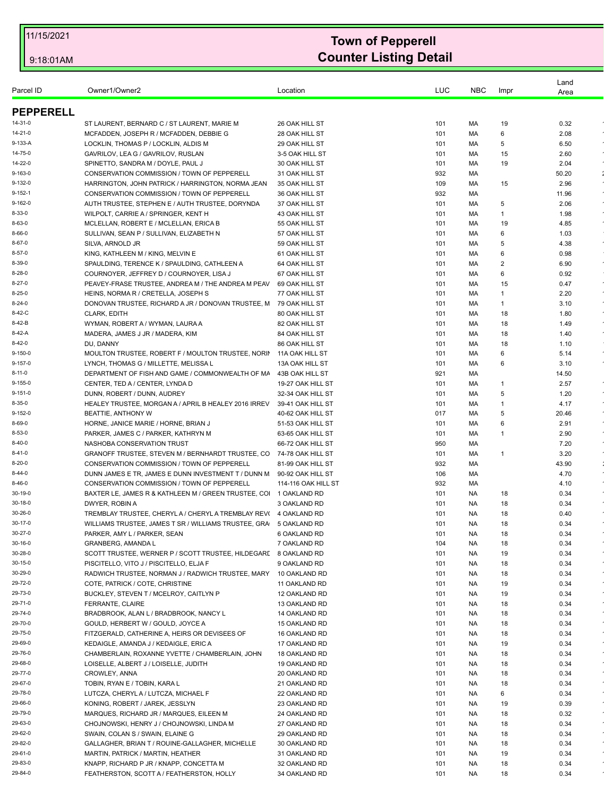| Parcel ID                    | Owner1/Owner2                                                     | Location                         | LUC        | <b>NBC</b> | Impr           | Land<br>Area |                      |
|------------------------------|-------------------------------------------------------------------|----------------------------------|------------|------------|----------------|--------------|----------------------|
| <b>PEPPERELL</b>             |                                                                   |                                  |            |            |                |              |                      |
| 14-31-0                      | ST LAURENT, BERNARD C / ST LAURENT, MARIE M                       | 26 OAK HILL ST                   | 101        | МA         | 19             | 0.32         |                      |
| 14-21-0                      | MCFADDEN, JOSEPH R / MCFADDEN, DEBBIE G                           | 28 OAK HILL ST                   | 101        | MA         | 6              | 2.08         |                      |
| 9-133-A                      | LOCKLIN, THOMAS P / LOCKLIN, ALDIS M                              | 29 OAK HILL ST                   | 101        | МA         | 5              | 6.50         |                      |
| 14-75-0                      | GAVRILOV, LEA G / GAVRILOV, RUSLAN                                | 3-5 OAK HILL ST                  | 101        | МA         | 15             | 2.60         |                      |
| 14-22-0                      | SPINETTO, SANDRA M / DOYLE, PAUL J                                | 30 OAK HILL ST                   | 101        | MA         | 19             | 2.04         | $\epsilon$           |
| $9 - 163 - 0$                | CONSERVATION COMMISSION / TOWN OF PEPPERELL                       | 31 OAK HILL ST                   | 932        | МA         |                | 50.20        | $\ddot{\phantom{a}}$ |
| $9 - 132 - 0$                | HARRINGTON, JOHN PATRICK / HARRINGTON, NORMA JEAN                 | 35 OAK HILL ST                   | 109        | МA         | 15             | 2.96         |                      |
| $9 - 152 - 1$                | CONSERVATION COMMISSION / TOWN OF PEPPERELL                       | 36 OAK HILL ST                   | 932        | МA         |                | 11.96        | $\epsilon$           |
| $9 - 162 - 0$                | AUTH TRUSTEE, STEPHEN E / AUTH TRUSTEE, DORYNDA                   | 37 OAK HILL ST                   | 101        | MA         | 5              | 2.06         | $\epsilon$           |
| 8-33-0                       | WILPOLT, CARRIE A / SPRINGER, KENT H                              | 43 OAK HILL ST                   | 101        | МA         | 1              | 1.98         | $\epsilon$           |
| $8 - 63 - 0$                 | MCLELLAN, ROBERT E / MCLELLAN, ERICA B                            | 55 OAK HILL ST                   | 101        | МA         | 19             | 4.85         | $\epsilon$           |
| $8 - 66 - 0$<br>$8 - 67 - 0$ | SULLIVAN, SEAN P / SULLIVAN, ELIZABETH N                          | 57 OAK HILL ST                   | 101        | МA         | 6              | 1.03         | $\epsilon$           |
| $8 - 57 - 0$                 | SILVA, ARNOLD JR<br>KING, KATHLEEN M / KING, MELVIN E             | 59 OAK HILL ST<br>61 OAK HILL ST | 101<br>101 | МA<br>МA   | 5<br>6         | 4.38<br>0.98 |                      |
| $8 - 39 - 0$                 | SPAULDING, TERENCE K / SPAULDING, CATHLEEN A                      | 64 OAK HILL ST                   | 101        | МA         | $\overline{2}$ | 6.90         | $\bullet$            |
| $8 - 28 - 0$                 | COURNOYER, JEFFREY D / COURNOYER, LISA J                          | 67 OAK HILL ST                   | 101        | МA         | 6              | 0.92         |                      |
| $8 - 27 - 0$                 | PEAVEY-FRASE TRUSTEE, ANDREA M / THE ANDREA M PEAV                | 69 OAK HILL ST                   | 101        | МA         | 15             | 0.47         | $\epsilon$           |
| $8 - 25 - 0$                 | HEINS, NORMA R / CRETELLA, JOSEPH S                               | 77 OAK HILL ST                   | 101        | МA         | 1              | 2.20         | $\star$              |
| $8 - 24 - 0$                 | DONOVAN TRUSTEE, RICHARD A JR / DONOVAN TRUSTEE, M 79 OAK HILL ST |                                  | 101        | MA         | $\mathbf{1}$   | 3.10         |                      |
| 8-42-C                       | <b>CLARK, EDITH</b>                                               | 80 OAK HILL ST                   | 101        | МA         | 18             | 1.80         | $\star$              |
| 8-42-B                       | WYMAN, ROBERT A / WYMAN, LAURA A                                  | 82 OAK HILL ST                   | 101        | МA         | 18             | 1.49         | $\epsilon$           |
| 8-42-A                       | MADERA, JAMES J JR / MADERA, KIM                                  | 84 OAK HILL ST                   | 101        | МA         | 18             | 1.40         | $\bullet$            |
| $8 - 42 - 0$                 | DU, DANNY                                                         | 86 OAK HILL ST                   | 101        | МA         | 18             | 1.10         |                      |
| $9 - 150 - 0$                | MOULTON TRUSTEE, ROBERT F / MOULTON TRUSTEE, NORIN                | 11A OAK HILL ST                  | 101        | MA         | 6              | 5.14         | $\star$              |
| $9 - 157 - 0$                | LYNCH. THOMAS G / MILLETTE. MELISSA L                             | 13A OAK HILL ST                  | 101        | MA         | 6              | 3.10         | $\lambda$            |
| $8 - 11 - 0$                 | DEPARTMENT OF FISH AND GAME / COMMONWEALTH OF MA                  | 43B OAK HILL ST                  | 921        | МA         |                | 14.50        |                      |
| $9 - 155 - 0$                | CENTER, TED A / CENTER, LYNDA D                                   | 19-27 OAK HILL ST                | 101        | МA         | 1              | 2.57         | $\sim$               |
| $9 - 151 - 0$                | DUNN, ROBERT / DUNN, AUDREY                                       | 32-34 OAK HILL ST                | 101        | МA         | 5              | 1.20         | $\epsilon$           |
| $8 - 35 - 0$                 | HEALEY TRUSTEE, MORGAN A / APRIL B HEALEY 2016 IRREV              | 39-41 OAK HILL ST                | 101        | МA         | 1              | 4.17         | $\star$              |
| $9 - 152 - 0$                | BEATTIE, ANTHONY W                                                | 40-62 OAK HILL ST                | 017        | МA         | 5              | 20.46        | $\epsilon$           |
| 8-69-0                       | HORNE, JANICE MARIE / HORNE, BRIAN J                              | 51-53 OAK HILL ST                | 101        | МA         | 6              | 2.91         |                      |
| $8 - 53 - 0$                 | PARKER, JAMES C / PARKER, KATHRYN M                               | 63-65 OAK HILL ST                | 101        | МA         | 1              | 2.90         | $\sim$               |
| $8 - 40 - 0$                 | NASHOBA CONSERVATION TRUST                                        | 66-72 OAK HILL ST                | 950        | МA         |                | 7.20         | $\sim$               |
| $8 - 41 - 0$                 | GRANOFF TRUSTEE, STEVEN M / BERNHARDT TRUSTEE, CO                 | 74-78 OAK HILL ST                | 101        | МA         | 1              | 3.20         |                      |
| $8 - 20 - 0$                 | CONSERVATION COMMISSION / TOWN OF PEPPERELL                       | 81-99 OAK HILL ST                | 932        | МA         |                | 43.90        | ÷                    |
| $8 - 44 - 0$                 | DUNN JAMES E TR, JAMES E DUNN INVESTMENT T / DUNN M               | 90-92 OAK HILL ST                | 106        | МA         |                | 4.70         | $\bullet$            |
| $8 - 46 - 0$                 | CONSERVATION COMMISSION / TOWN OF PEPPERELL                       | 114-116 OAK HILL ST              | 932        | МA         |                | 4.10         |                      |
| 30-19-0                      | BAXTER LE, JAMES R & KATHLEEN M / GREEN TRUSTEE, CO 1 OAKLAND RD  |                                  | 101        | NA.        | 18             | 0.34         |                      |
| 30-18-0                      | DWYER, ROBIN A                                                    | 3 OAKLAND RD                     | 101        | NA.        | 18             | 0.34         |                      |
| 30-26-0<br>30-17-0           | TREMBLAY TRUSTEE, CHERYL A / CHERYL A TREMBLAY REV(               | 4 OAKLAND RD                     | 101        | NA.        | 18             | 0.40         |                      |
| 30-27-0                      | WILLIAMS TRUSTEE, JAMES T SR / WILLIAMS TRUSTEE, GRA 5 OAKLAND RD |                                  | 101        | <b>NA</b>  | 18             | 0.34         |                      |
| 30-16-0                      | PARKER, AMY L / PARKER, SEAN<br>GRANBERG, AMANDA L                | 6 OAKLAND RD<br>7 OAKLAND RD     | 101<br>104 | NA         | 18<br>18       | 0.34<br>0.34 | $\epsilon$           |
| 30-28-0                      | SCOTT TRUSTEE, WERNER P / SCOTT TRUSTEE, HILDEGARI                | 8 OAKLAND RD                     | 101        | NA<br>NA.  | 19             | 0.34         | $\epsilon$           |
| 30-15-0                      | PISCITELLO, VITO J / PISCITELLO, ELJA F                           | 9 OAKLAND RD                     | 101        | NA         | 18             | 0.34         | $\epsilon$           |
| 30-29-0                      | RADWICH TRUSTEE, NORMAN J / RADWICH TRUSTEE, MARY                 | 10 OAKLAND RD                    | 101        | NA         | 18             | 0.34         | $\bullet$            |
| 29-72-0                      | COTE, PATRICK / COTE, CHRISTINE                                   | 11 OAKLAND RD                    | 101        | NA.        | 19             | 0.34         | $\bullet$            |
| 29-73-0                      | BUCKLEY, STEVEN T / MCELROY, CAITLYN P                            | 12 OAKLAND RD                    | 101        | NA         | 19             | 0.34         |                      |
| 29-71-0                      | FERRANTE, CLAIRE                                                  | 13 OAKLAND RD                    | 101        | NA         | 18             | 0.34         | $\bullet$            |
| 29-74-0                      | BRADBROOK, ALAN L / BRADBROOK, NANCY L                            | 14 OAKLAND RD                    | 101        | NA.        | 18             | 0.34         | $\bullet$            |
| 29-70-0                      | GOULD, HERBERT W / GOULD, JOYCE A                                 | 15 OAKLAND RD                    | 101        | NA         | 18             | 0.34         |                      |
| 29-75-0                      | FITZGERALD, CATHERINE A, HEIRS OR DEVISEES OF                     | 16 OAKLAND RD                    | 101        | NA         | 18             | 0.34         | $\bullet$            |
| 29-69-0                      | KEDAIGLE, AMANDA J / KEDAIGLE, ERIC A                             | 17 OAKLAND RD                    | 101        | NA.        | 19             | 0.34         |                      |
| 29-76-0                      | CHAMBERLAIN, ROXANNE YVETTE / CHAMBERLAIN, JOHN                   | 18 OAKLAND RD                    | 101        | NA         | 18             | 0.34         |                      |
| 29-68-0                      | LOISELLE, ALBERT J / LOISELLE, JUDITH                             | 19 OAKLAND RD                    | 101        | NA         | 18             | 0.34         | $\bullet$            |
| 29-77-0                      | CROWLEY, ANNA                                                     | 20 OAKLAND RD                    | 101        | NA.        | 18             | 0.34         |                      |
| 29-67-0                      | TOBIN, RYAN E / TOBIN, KARA L                                     | 21 OAKLAND RD                    | 101        | NA         | 18             | 0.34         | $\bullet$            |
| 29-78-0                      | LUTCZA, CHERYL A / LUTCZA, MICHAEL F                              | 22 OAKLAND RD                    | 101        | NA         | 6              | 0.34         | $\epsilon$           |
| 29-66-0                      | KONING, ROBERT / JAREK, JESSLYN                                   | 23 OAKLAND RD                    | 101        | NA.        | 19             | 0.39         | $\epsilon$           |
| 29-79-0                      | MARQUES, RICHARD JR / MARQUES, EILEEN M                           | 24 OAKLAND RD                    | 101        | NA         | 18             | 0.32         | $\bullet$            |
| 29-63-0                      | CHOJNOWSKI, HENRY J / CHOJNOWSKI, LINDA M                         | 27 OAKLAND RD                    | 101        | NA.        | 18             | 0.34         | $\epsilon$           |
| 29-62-0                      | SWAIN, COLAN S / SWAIN, ELAINE G                                  | 29 OAKLAND RD                    | 101        | NA.        | 18             | 0.34         | $\star$              |
| 29-82-0                      | GALLAGHER, BRIAN T / ROUINE-GALLAGHER, MICHELLE                   | 30 OAKLAND RD                    | 101        | NA.        | 18             | 0.34         | $\epsilon$           |
| 29-61-0                      | MARTIN, PATRICK / MARTIN, HEATHER                                 | 31 OAKLAND RD                    | 101        | NA.        | 19             | 0.34         |                      |
| 29-83-0                      | KNAPP, RICHARD P JR / KNAPP, CONCETTA M                           | 32 OAKLAND RD                    | 101        | <b>NA</b>  | 18             | 0.34         |                      |
| 29-84-0                      | FEATHERSTON, SCOTT A / FEATHERSTON, HOLLY                         | 34 OAKLAND RD                    | 101        | NA         | 18             | 0.34         |                      |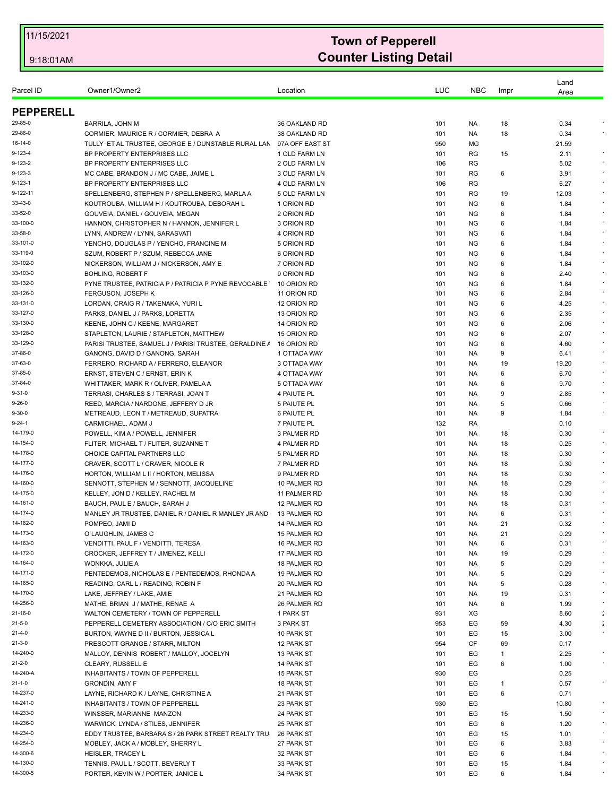| Parcel ID                | Owner1/Owner2                                                                                | Location                         | LUC        | <b>NBC</b>             | Impr     | Land<br>Area  |            |
|--------------------------|----------------------------------------------------------------------------------------------|----------------------------------|------------|------------------------|----------|---------------|------------|
|                          |                                                                                              |                                  |            |                        |          |               |            |
| <b>PEPPERELL</b>         |                                                                                              |                                  |            |                        |          |               |            |
| 29-85-0                  | BARRILA, JOHN M                                                                              | 36 OAKLAND RD                    | 101        | NA.                    | 18       | 0.34          |            |
| 29-86-0<br>16-14-0       | CORMIER, MAURICE R / CORMIER, DEBRA A<br>TULLY ET AL TRUSTEE, GEORGE E / DUNSTABLE RURAL LAN | 38 OAKLAND RD                    | 101<br>950 | NA.<br>MG              | 18       | 0.34<br>21.59 |            |
| 9-123-4                  | BP PROPERTY ENTERPRISES LLC                                                                  | 97A OFF EAST ST<br>1 OLD FARM LN | 101        | RG                     | 15       | 2.11          | $\epsilon$ |
| 9-123-2                  | BP PROPERTY ENTERPRISES LLC                                                                  | 2 OLD FARM LN                    | 106        | RG                     |          | 5.02          |            |
| 9-123-3                  | MC CABE, BRANDON J / MC CABE, JAIME L                                                        | 3 OLD FARM LN                    | 101        | RG                     | 6        | 3.91          | $\bullet$  |
| $9 - 123 - 1$            | BP PROPERTY ENTERPRISES LLC                                                                  | 4 OLD FARM LN                    | 106        | RG                     |          | 6.27          | $\sim$     |
| 9-122-11                 | SPELLENBERG, STEPHEN P / SPELLENBERG, MARLA A                                                | 5 OLD FARM LN                    | 101        | RG                     | 19       | 12.03         |            |
| 33-43-0                  | KOUTROUBA, WILLIAM H / KOUTROUBA, DEBORAH L                                                  | 1 ORION RD                       | 101        | <b>NG</b>              | 6        | 1.84          |            |
| 33-52-0                  | GOUVEIA, DANIEL / GOUVEIA, MEGAN                                                             | 2 ORION RD                       | 101        | <b>NG</b>              | 6        | 1.84          |            |
| 33-100-0                 | HANNON, CHRISTOPHER N / HANNON, JENNIFER L                                                   | 3 ORION RD                       | 101        | <b>NG</b>              | 6        | 1.84          | $\epsilon$ |
| 33-58-0                  | LYNN, ANDREW / LYNN, SARASVATI                                                               | 4 ORION RD                       | 101        | NG.                    | 6        | 1.84          | $\epsilon$ |
| 33-101-0<br>33-119-0     | YENCHO, DOUGLAS P / YENCHO, FRANCINE M<br>SZUM, ROBERT P / SZUM, REBECCA JANE                | 5 ORION RD<br>6 ORION RD         | 101<br>101 | <b>NG</b><br><b>NG</b> | 6<br>6   | 1.84          | $\bullet$  |
| 33-102-0                 | NICKERSON, WILLIAM J / NICKERSON, AMY E                                                      | 7 ORION RD                       | 101        | <b>NG</b>              | 6        | 1.84<br>1.84  |            |
| 33-103-0                 | <b>BOHLING, ROBERT F</b>                                                                     | 9 ORION RD                       | 101        | <b>NG</b>              | 6        | 2.40          | $\epsilon$ |
| 33-132-0                 | PYNE TRUSTEE, PATRICIA P / PATRICIA P PYNE REVOCABLE                                         | 10 ORION RD                      | 101        | <b>NG</b>              | 6        | 1.84          | $\bullet$  |
| 33-126-0                 | FERGUSON, JOSEPH K                                                                           | 11 ORION RD                      | 101        | <b>NG</b>              | 6        | 2.84          |            |
| 33-131-0                 | LORDAN, CRAIG R / TAKENAKA, YURI L                                                           | 12 ORION RD                      | 101        | <b>NG</b>              | 6        | 4.25          | $\bullet$  |
| 33-127-0                 | PARKS, DANIEL J / PARKS, LORETTA                                                             | 13 ORION RD                      | 101        | <b>NG</b>              | 6        | 2.35          | $\bullet$  |
| 33-130-0                 | KEENE, JOHN C / KEENE, MARGARET                                                              | 14 ORION RD                      | 101        | <b>NG</b>              | 6        | 2.06          |            |
| 33-128-0                 | STAPLETON, LAURIE / STAPLETON, MATTHEW                                                       | 15 ORION RD                      | 101        | <b>NG</b>              | 6        | 2.07          | $\bullet$  |
| 33-129-0                 | PARISI TRUSTEE, SAMUEL J / PARISI TRUSTEE, GERALDINE /                                       | 16 ORION RD                      | 101        | <b>NG</b>              | 6        | 4.60          | $\epsilon$ |
| 37-86-0<br>37-63-0       | GANONG, DAVID D / GANONG, SARAH                                                              | 1 OTTADA WAY                     | 101        | NA.                    | 9<br>19  | 6.41          | $\bullet$  |
| 37-85-0                  | FERRERO, RICHARD A / FERRERO, ELEANOR<br>ERNST, STEVEN C / ERNST, ERIN K                     | 3 OTTADA WAY<br>4 OTTADA WAY     | 101<br>101 | NA.<br>NA.             | 6        | 19.20<br>6.70 | $\bullet$  |
| 37-84-0                  | WHITTAKER, MARK R / OLIVER, PAMELA A                                                         | 5 OTTADA WAY                     | 101        | NA.                    | 6        | 9.70          | $\epsilon$ |
| $9 - 31 - 0$             | TERRASI, CHARLES S / TERRASI, JOAN T                                                         | 4 PAIUTE PL                      | 101        | NA.                    | 9        | 2.85          | $\bullet$  |
| $9 - 26 - 0$             | REED, MARCIA / NARDONE, JEFFERY D JR                                                         | 5 PAIUTE PL                      | 101        | NA                     | 5        | 0.66          |            |
| $9 - 30 - 0$             | METREAUD, LEON T / METREAUD, SUPATRA                                                         | 6 PAIUTE PL                      | 101        | NA.                    | 9        | 1.84          | $\star$    |
| 9-24-1                   | CARMICHAEL, ADAM J                                                                           | 7 PAIUTE PL                      | 132        | RA                     |          | 0.10          |            |
| 14-179-0                 | POWELL, KIM A / POWELL, JENNIFER                                                             | 3 PALMER RD                      | 101        | NA.                    | 18       | 0.30          |            |
| 14-154-0                 | FLITER, MICHAEL T / FLITER, SUZANNE T                                                        | 4 PALMER RD                      | 101        | <b>NA</b>              | 18       | 0.25          | $\bullet$  |
| 14-178-0                 | CHOICE CAPITAL PARTNERS LLC                                                                  | 5 PALMER RD                      | 101        | NA.                    | 18       | 0.30          | $\epsilon$ |
| 14-177-0<br>14-176-0     | CRAVER, SCOTT L / CRAVER, NICOLE R<br>HORTON, WILLIAM L II / HORTON, MELISSA                 | 7 PALMER RD<br>9 PALMER RD       | 101<br>101 | NA.<br>NA.             | 18<br>18 | 0.30<br>0.30  | $\sim$     |
| 14-160-0                 | SENNOTT, STEPHEN M / SENNOTT, JACQUELINE                                                     | 10 PALMER RD                     | 101        | NA.                    | 18       | 0.29          |            |
| 14-175-0                 | KELLEY, JON D / KELLEY, RACHEL M                                                             | 11 PALMER RD                     | 101        | NA.                    | 18       | 0.30          | $\bullet$  |
| 14-161-0                 | BAUCH, PAUL E / BAUCH, SARAH J                                                               | 12 PALMER RD                     | 101        | NA.                    | 18       | 0.31          |            |
| 14-174-0                 | MANLEY JR TRUSTEE, DANIEL R / DANIEL R MANLEY JR AND                                         | 13 PALMER RD                     | 101        | NA                     | 6        | 0.31          |            |
| 14-162-0                 | POMPEO, JAMI D                                                                               | 14 PALMER RD                     | 101        | <b>NA</b>              | 21       | 0.32          |            |
| 14-173-0                 | O'LAUGHLIN, JAMES C                                                                          | 15 PALMER RD                     | 101        | NA.                    | 21       | 0.29          | $\bullet$  |
| 14-163-0                 | VENDITTI, PAUL F / VENDITTI, TERESA                                                          | 16 PALMER RD                     | 101        | NA.                    | 6        | 0.31          |            |
| 14-172-0                 | CROCKER, JEFFREY T / JIMENEZ, KELLI                                                          | 17 PALMER RD                     | 101        | <b>NA</b>              | 19       | 0.29          |            |
| 14-164-0<br>14-171-0     | WONKKA, JULIE A                                                                              | 18 PALMER RD                     | 101        | NA.                    | 5<br>5   | 0.29          | $\bullet$  |
| 14-165-0                 | PENTEDEMOS, NICHOLAS E / PENTEDEMOS, RHONDA A<br>READING, CARL L / READING, ROBIN F          | 19 PALMER RD<br>20 PALMER RD     | 101<br>101 | NA.<br>NA.             | 5        | 0.29<br>0.28  | $\bullet$  |
| 14-170-0                 | LAKE, JEFFREY / LAKE, AMIE                                                                   | 21 PALMER RD                     | 101        | NA.                    | 19       | 0.31          |            |
| 14-256-0                 | MATHE, BRIAN J / MATHE, RENAE A                                                              | 26 PALMER RD                     | 101        | NA.                    | 6        | 1.99          | $\epsilon$ |
| 21-16-0                  | WALTON CEMETERY / TOWN OF PEPPERELL                                                          | 1 PARK ST                        | 931        | XG                     |          | 8.60          | ÷          |
| $21 - 5 - 0$             | PEPPERELL CEMETERY ASSOCIATION / C/O ERIC SMITH                                              | 3 PARK ST                        | 953        | EG                     | 59       | 4.30          | ÷          |
| $21 - 4 - 0$             | BURTON, WAYNE D II / BURTON, JESSICA L                                                       | 10 PARK ST                       | 101        | EG                     | 15       | 3.00          | $\epsilon$ |
| $21 - 3 - 0$             | PRESCOTT GRANGE / STARR, MILTON                                                              | 12 PARK ST                       | 954        | CF                     | 69       | 0.17          |            |
| 14-240-0                 | MALLOY, DENNIS ROBERT / MALLOY, JOCELYN                                                      | 13 PARK ST                       | 101        | EG                     | 1        | 2.25          | $\epsilon$ |
| $21 - 2 - 0$             | CLEARY, RUSSELL E                                                                            | 14 PARK ST                       | 101        | EG                     | 6        | 1.00          |            |
| 14-240-A                 | INHABITANTS / TOWN OF PEPPERELL                                                              | 15 PARK ST                       | 930        | EG                     |          | 0.25          | $\epsilon$ |
| $21 - 1 - 0$<br>14-237-0 | <b>GRONDIN, AMY F</b>                                                                        | 18 PARK ST                       | 101        | EG                     | 1<br>6   | 0.57          |            |
| 14-241-0                 | LAYNE, RICHARD K / LAYNE, CHRISTINE A<br>INHABITANTS / TOWN OF PEPPERELL                     | 21 PARK ST<br>23 PARK ST         | 101<br>930 | EG<br>EG               |          | 0.71<br>10.80 |            |
| 14-233-0                 | WINSSER, MARIANNE MANZON                                                                     | 24 PARK ST                       | 101        | EG                     | 15       | 1.50          | $\epsilon$ |
| 14-236-0                 | WARWICK, LYNDA / STILES, JENNIFER                                                            | 25 PARK ST                       | 101        | EG                     | 6        | 1.20          | $\epsilon$ |
| 14-234-0                 | EDDY TRUSTEE, BARBARA S / 26 PARK STREET REALTY TRU                                          | 26 PARK ST                       | 101        | EG                     | 15       | 1.01          |            |
| 14-254-0                 | MOBLEY, JACK A / MOBLEY, SHERRY L                                                            | 27 PARK ST                       | 101        | EG                     | 6        | 3.83          | $\bullet$  |
| 14-300-6                 | HEISLER, TRACEY L                                                                            | 32 PARK ST                       | 101        | EG                     | 6        | 1.84          | $\bullet$  |
| 14-130-0                 | TENNIS, PAUL L / SCOTT, BEVERLY T                                                            | 33 PARK ST                       | 101        | EG                     | 15       | 1.84          |            |
| 14-300-5                 | PORTER, KEVIN W / PORTER, JANICE L                                                           | 34 PARK ST                       | 101        | EG                     | 6        | 1.84          |            |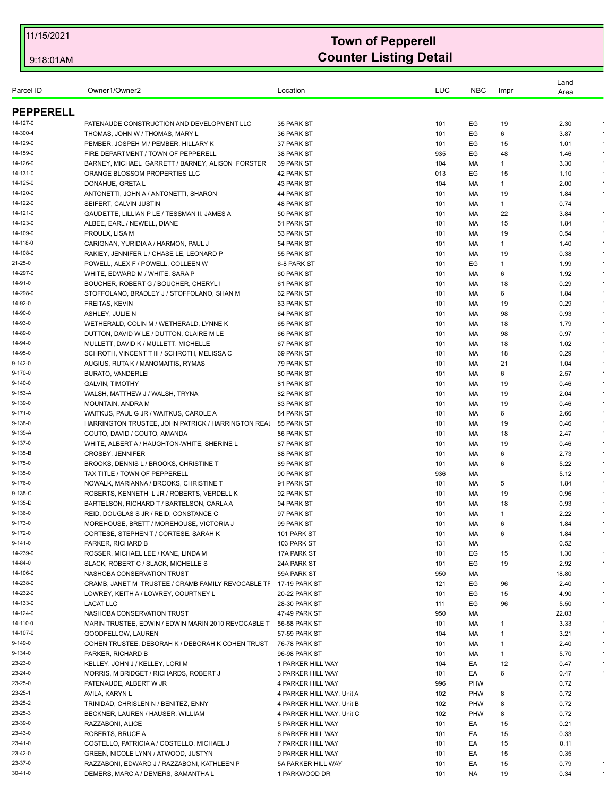| Parcel ID          | Owner1/Owner2                                                               | Location                  | LUC        | <b>NBC</b> | Impr     | Land<br>Area |                          |
|--------------------|-----------------------------------------------------------------------------|---------------------------|------------|------------|----------|--------------|--------------------------|
| <b>PEPPERELL</b>   |                                                                             |                           |            |            |          |              |                          |
| 14-127-0           | PATENAUDE CONSTRUCTION AND DEVELOPMENT LLC                                  | 35 PARK ST                | 101        | EG         | 19       | 2.30         |                          |
| 14-300-4           | THOMAS, JOHN W / THOMAS, MARY L                                             | 36 PARK ST                | 101        | ЕG         | 6        | 3.87         | $\epsilon$               |
| 14-129-0           | PEMBER, JOSPEH M / PEMBER, HILLARY K                                        | 37 PARK ST                | 101        | EG         | 15       | 1.01         |                          |
| 14-159-0           | FIRE DEPARTMENT / TOWN OF PEPPERELL                                         | 38 PARK ST                | 935        | EG         | 48       | 1.46         | $\bullet$                |
| 14-126-0           | BARNEY, MICHAEL GARRETT / BARNEY, ALISON FORSTER                            | 39 PARK ST                | 104        | МA         | 1        | 3.30         | $\star$                  |
| 14-131-0           | ORANGE BLOSSOM PROPERTIES LLC                                               | 42 PARK ST                | 013        | EG         | 15       | 1.10         |                          |
| 14-125-0           | DONAHUE, GRETA L                                                            | 43 PARK ST                | 104        | МA         | 1        | 2.00         | $\bullet$                |
| 14-120-0           | ANTONETTI, JOHN A / ANTONETTI, SHARON                                       | 44 PARK ST                | 101        | МA         | 19       | 1.84         | $\epsilon$               |
| 14-122-0           | SEIFERT, CALVIN JUSTIN                                                      | 48 PARK ST                | 101        | МA         | 1        | 0.74         |                          |
| 14-121-0           | GAUDETTE, LILLIAN P LE / TESSMAN II, JAMES A                                | 50 PARK ST                | 101        | МA         | 22       | 3.84         |                          |
| 14-123-0           | ALBEE, EARL / NEWELL, DIANE                                                 | 51 PARK ST                | 101        | МA         | 15       | 1.84         | $\bullet$                |
| 14-109-0           | PROULX, LISA M                                                              | 53 PARK ST                | 101        | МA         | 19       | 0.54         |                          |
| 14-118-0           | CARIGNAN, YURIDIA A / HARMON, PAUL J                                        | 54 PARK ST                | 101        | МA         | 1        | 1.40         |                          |
| 14-108-0           | RAKIEY, JENNIFER L / CHASE LE, LEONARD P                                    | 55 PARK ST                | 101        | МA         | 19       | 0.38         | $\epsilon$               |
| 21-25-0            | POWELL, ALEX F / POWELL, COLLEEN W                                          | 6-8 PARK ST               | 101        | EG         | 1        | 1.99         |                          |
| 14-297-0           | WHITE, EDWARD M / WHITE, SARA P                                             | 60 PARK ST                | 101        | МA         | 6        | 1.92         |                          |
| 14-91-0            | BOUCHER, ROBERT G / BOUCHER, CHERYL I                                       | 61 PARK ST                | 101        | МA         | 18       | 0.29         | $\epsilon$               |
| 14-298-0           | STOFFOLANO, BRADLEY J / STOFFOLANO, SHAN M                                  | 62 PARK ST                | 101        | МA         | 6        | 1.84         | $\bullet$                |
| 14-92-0            | FREITAS, KEVIN                                                              | 63 PARK ST                | 101        | MA         | 19       | 0.29         | $\epsilon$               |
| 14-90-0            | ASHLEY, JULIE N                                                             | 64 PARK ST                | 101        | MA         | 98       | 0.93         |                          |
| 14-93-0            | WETHERALD, COLIN M / WETHERALD, LYNNE K                                     | 65 PARK ST                | 101        | МA         | 18       | 1.79         | $\sim$                   |
| 14-89-0            | DUTTON, DAVID W LE / DUTTON, CLAIRE M LE                                    | 66 PARK ST                | 101        | MA         | 98       | 0.97         |                          |
| 14-94-0            | MULLETT, DAVID K / MULLETT, MICHELLE                                        | 67 PARK ST                | 101        | МA         | 18       | 1.02         |                          |
| 14-95-0            | SCHROTH, VINCENT T III / SCHROTH, MELISSA C                                 | 69 PARK ST                | 101        | МA         | 18       | 0.29         | $\sim$                   |
| 9-142-0            | AUGIUS, RUTA K / MANOMAITIS, RYMAS                                          | 79 PARK ST                | 101        | МA         | 21       | 1.04         |                          |
| 9-170-0            | BURATO, VANDERLEI                                                           | 80 PARK ST                | 101        | МA         | 6        | 2.57         | $\bullet$                |
| 9-140-0            | <b>GALVIN, TIMOTHY</b>                                                      | 81 PARK ST                | 101        | МA         | 19       | 0.46         | $\sim$                   |
| 9-153-A            | WALSH, MATTHEW J / WALSH, TRYNA                                             | 82 PARK ST                | 101        | МA         | 19       | 2.04         | $\epsilon$<br>$\epsilon$ |
| 9-139-0            | MOUNTAIN, ANDRA M                                                           | 83 PARK ST                | 101        | МA         | 19       | 0.46         | $\sim$                   |
| 9-171-0            | WAITKUS, PAUL G JR / WAITKUS, CAROLE A                                      | 84 PARK ST                | 101        | МA         | 6        | 2.66         |                          |
| 9-138-0<br>9-135-A | HARRINGTON TRUSTEE, JOHN PATRICK / HARRINGTON REAI                          | 85 PARK ST                | 101        | МA         | 19       | 0.46         | $\epsilon$               |
| 9-137-0            | COUTO, DAVID / COUTO, AMANDA<br>WHITE, ALBERT A / HAUGHTON-WHITE, SHERINE L | 86 PARK ST<br>87 PARK ST  | 101<br>101 | МA<br>МA   | 18<br>19 | 2.47<br>0.46 | $\epsilon$               |
| 9-135-B            | CROSBY, JENNIFER                                                            | 88 PARK ST                | 101        | МA         | 6        | 2.73         |                          |
| 9-175-0            | BROOKS, DENNIS L / BROOKS, CHRISTINE T                                      | 89 PARK ST                | 101        | МA         | 6        | 5.22         | $\epsilon$               |
| 9-135-0            | TAX TITLE / TOWN OF PEPPERELL                                               | 90 PARK ST                | 936        | МA         |          | 5.12         | $\sim$                   |
| 9-176-0            | NOWALK, MARIANNA / BROOKS, CHRISTINE T                                      | 91 PARK ST                | 101        | МA         | 5        | 1.84         |                          |
| 9-135-C            | ROBERTS, KENNETH L JR / ROBERTS, VERDELL K                                  | 92 PARK ST                | 101        | MA         | 19       | 0.96         |                          |
| 9-135-D            | BARTELSON, RICHARD T / BARTELSON, CARLA A                                   | 94 PARK ST                | 101        | МA         | 18       | 0.93         |                          |
| 9-136-0            | REID, DOUGLAS S JR / REID, CONSTANCE C                                      | 97 PARK ST                | 101        | МA         | -1       | 2.22         |                          |
| 9-173-0            | MOREHOUSE, BRETT / MOREHOUSE, VICTORIA J                                    | 99 PARK ST                | 101        | MA         | 6        | 1.84         |                          |
| 9-172-0            | CORTESE, STEPHEN T / CORTESE, SARAH K                                       | 101 PARK ST               | 101        | МA         | 6        | 1.84         |                          |
| 9-141-0            | PARKER, RICHARD B                                                           | 103 PARK ST               | 131        | МA         |          | 0.52         |                          |
| 14-239-0           | ROSSER, MICHAEL LEE / KANE, LINDA M                                         | 17A PARK ST               | 101        | EG         | 15       | 1.30         |                          |
| 14-84-0            | SLACK, ROBERT C / SLACK, MICHELLE S                                         | 24A PARK ST               | 101        | EG         | 19       | 2.92         | $\epsilon$               |
| 14-106-0           | NASHOBA CONSERVATION TRUST                                                  | 59A PARK ST               | 950        | МA         |          | 18.80        |                          |
| 14-238-0           | CRAMB, JANET M TRUSTEE / CRAMB FAMILY REVOCABLE TF 17-19 PARK ST            |                           | 121        | EG         | 96       | 2.40         | $\sim$                   |
| 14-232-0           | LOWREY, KEITH A / LOWREY, COURTNEY L                                        | 20-22 PARK ST             | 101        | EG         | 15       | 4.90         | $\epsilon$               |
| 14-133-0           | <b>LACAT LLC</b>                                                            | 28-30 PARK ST             | 111        | EG         | 96       | 5.50         | $\sim$                   |
| 14-124-0           | NASHOBA CONSERVATION TRUST                                                  | 47-49 PARK ST             | 950        | МA         |          | 22.03        |                          |
| 14-110-0           | MARIN TRUSTEE, EDWIN / EDWIN MARIN 2010 REVOCABLE T                         | 56-58 PARK ST             | 101        | МA         | 1        | 3.33         | $\star$                  |
| 14-107-0           | GOODFELLOW, LAUREN                                                          | 57-59 PARK ST             | 104        | МA         | 1        | 3.21         | $\epsilon$               |
| 9-149-0            | COHEN TRUSTEE, DEBORAH K / DEBORAH K COHEN TRUST                            | 76-78 PARK ST             | 101        | MA         | 1        | 2.40         |                          |
| 9-134-0            | PARKER, RICHARD B                                                           | 96-98 PARK ST             | 101        | МA         | 1        | 5.70         |                          |
| 23-23-0            | KELLEY, JOHN J / KELLEY, LORI M                                             | 1 PARKER HILL WAY         | 104        | EA         | 12       | 0.47         |                          |
| 23-24-0            | MORRIS, M BRIDGET / RICHARDS, ROBERT J                                      | 3 PARKER HILL WAY         | 101        | ЕA         | 6        | 0.47         |                          |
| 23-25-0            | PATENAUDE, ALBERT W JR                                                      | 4 PARKER HILL WAY         | 996        | <b>PHW</b> |          | 0.72         |                          |
| 23-25-1            | AVILA, KARYN L                                                              | 4 PARKER HILL WAY, Unit A | 102        | <b>PHW</b> | 8        | 0.72         |                          |
| 23-25-2            | TRINIDAD, CHRISLEN N / BENITEZ, ENNY                                        | 4 PARKER HILL WAY, Unit B | 102        | <b>PHW</b> | 8        | 0.72         |                          |
| 23-25-3            | BECKNER, LAUREN / HAUSER, WILLIAM                                           | 4 PARKER HILL WAY, Unit C | 102        | <b>PHW</b> | 8        | 0.72         |                          |
| 23-39-0            | RAZZABONI, ALICE                                                            | 5 PARKER HILL WAY         | 101        | EA         | 15       | 0.21         |                          |
| 23-43-0            | ROBERTS, BRUCE A                                                            | 6 PARKER HILL WAY         | 101        | ЕA         | 15       | 0.33         |                          |
| 23-41-0            | COSTELLO, PATRICIA A / COSTELLO, MICHAEL J                                  | 7 PARKER HILL WAY         | 101        | EA         | 15       | 0.11         |                          |
| 23-42-0            | GREEN, NICOLE LYNN / ATWOOD, JUSTYN                                         | 9 PARKER HILL WAY         | 101        | EA         | 15       | 0.35         |                          |
| 23-37-0            | RAZZABONI, EDWARD J / RAZZABONI, KATHLEEN P                                 | 5A PARKER HILL WAY        | 101        | EA         | 15       | 0.79         |                          |
| 30-41-0            | DEMERS, MARC A / DEMERS, SAMANTHA L                                         | 1 PARKWOOD DR             | 101        | NA.        | 19       | 0.34         |                          |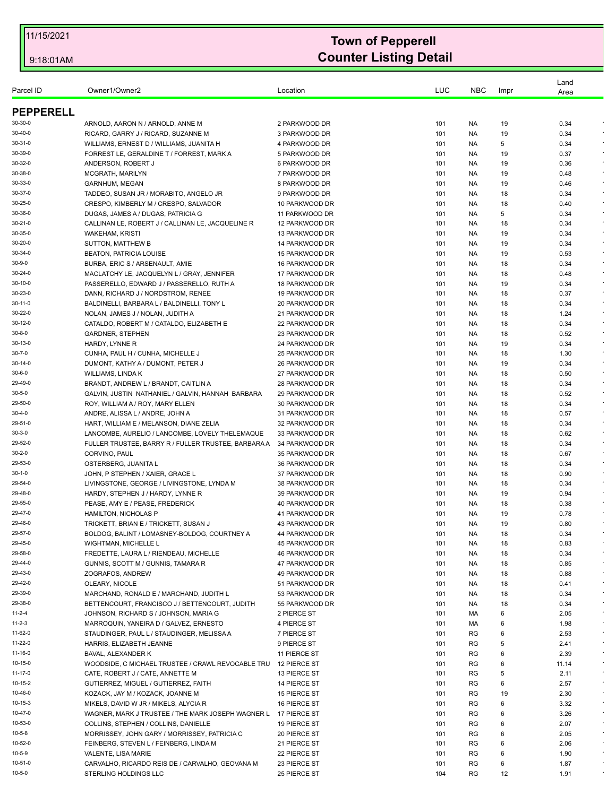| Parcel ID         | Owner1/Owner2                                                          | Location                         | LUC        | <b>NBC</b> | Impr     | Land<br>Area |                    |
|-------------------|------------------------------------------------------------------------|----------------------------------|------------|------------|----------|--------------|--------------------|
| <b>PEPPERELL</b>  |                                                                        |                                  |            |            |          |              |                    |
| 30-30-0           | ARNOLD, AARON N / ARNOLD, ANNE M                                       | 2 PARKWOOD DR                    | 101        | NA.        | 19       | 0.34         |                    |
| 30-40-0           | RICARD, GARRY J / RICARD, SUZANNE M                                    | 3 PARKWOOD DR                    | 101        | NA.        | 19       | 0.34         |                    |
| 30-31-0           | WILLIAMS, ERNEST D / WILLIAMS, JUANITA H                               | 4 PARKWOOD DR                    | 101        | NA.        | 5        | 0.34         |                    |
| 30-39-0           | FORREST LE, GERALDINE T / FORREST, MARK A                              | 5 PARKWOOD DR                    | 101        | NA.        | 19       | 0.37         |                    |
| 30-32-0           | ANDERSON, ROBERT J                                                     | 6 PARKWOOD DR                    | 101        | NA.        | 19       | 0.36         | $\bullet$          |
| 30-38-0           | MCGRATH, MARILYN                                                       | 7 PARKWOOD DR                    | 101        | NA.        | 19       | 0.48         |                    |
| 30-33-0           | <b>GARNHUM, MEGAN</b>                                                  | 8 PARKWOOD DR                    | 101        | NA.        | 19       | 0.46         |                    |
| 30-37-0           | TADDEO, SUSAN JR / MORABITO, ANGELO JR                                 | 9 PARKWOOD DR                    | 101        | NA.        | 18       | 0.34         | $\sim$             |
| 30-25-0           | CRESPO, KIMBERLY M / CRESPO, SALVADOR                                  | 10 PARKWOOD DR                   | 101        | NA.        | 18       | 0.40         |                    |
| 30-36-0           | DUGAS, JAMES A / DUGAS, PATRICIA G                                     | 11 PARKWOOD DR                   | 101        | NA.        | 5        | 0.34         |                    |
| 30-21-0           | CALLINAN LE, ROBERT J / CALLINAN LE, JACQUELINE R                      | 12 PARKWOOD DR                   | 101        | NA.        | 18       | 0.34         | $\epsilon$         |
| 30-35-0           | <b>WAKEHAM, KRISTI</b>                                                 | 13 PARKWOOD DR                   | 101        | NA.        | 19       | 0.34         |                    |
| 30-20-0           | <b>SUTTON, MATTHEW B</b>                                               | 14 PARKWOOD DR                   | 101        | NA.        | 19       | 0.34         |                    |
| 30-34-0           | <b>BEATON, PATRICIA LOUISE</b>                                         | 15 PARKWOOD DR                   | 101        | NA.        | 19       | 0.53         |                    |
| 30-9-0            | BURBA, ERIC S / ARSENAULT, AMIE                                        | 16 PARKWOOD DR                   | 101        | <b>NA</b>  | 18       | 0.34         | $\epsilon$         |
| 30-24-0           | MACLATCHY LE, JACQUELYN L / GRAY, JENNIFER                             | 17 PARKWOOD DR                   | 101        | NA.        | 18       | 0.48         | $\epsilon$         |
| 30-10-0           | PASSERELLO, EDWARD J / PASSERELLO, RUTH A                              | 18 PARKWOOD DR                   | 101        | NA.        | 19       | 0.34         |                    |
| 30-23-0           | DANN, RICHARD J / NORDSTROM, RENEE                                     | 19 PARKWOOD DR                   | 101        | NA.        | 18       | 0.37         | $\sim$             |
| 30-11-0           | BALDINELLI, BARBARA L / BALDINELLI, TONY L                             | 20 PARKWOOD DR                   | 101        | NA.        | 18       | 0.34         | $\epsilon$         |
| 30-22-0           | NOLAN, JAMES J / NOLAN, JUDITH A                                       | 21 PARKWOOD DR                   | 101        | NA.        | 18       | 1.24         | $\bullet$          |
| 30-12-0           | CATALDO, ROBERT M / CATALDO, ELIZABETH E                               | 22 PARKWOOD DR                   | 101        | NA.        | 18       | 0.34         | $\epsilon$         |
| 30-8-0            | <b>GARDNER, STEPHEN</b>                                                | 23 PARKWOOD DR                   | 101        | NA.        | 18       | 0.52         | $\epsilon$         |
| 30-13-0<br>30-7-0 | HARDY, LYNNE R                                                         | 24 PARKWOOD DR                   | 101        | NA.        | 19       | 0.34         | $\sim$             |
| 30-14-0           | CUNHA, PAUL H / CUNHA, MICHELLE J<br>DUMONT, KATHY A / DUMONT, PETER J | 25 PARKWOOD DR<br>26 PARKWOOD DR | 101        | NA.        | 18       | 1.30<br>0.34 |                    |
| 30-6-0            | WILLIAMS, LINDA K                                                      | 27 PARKWOOD DR                   | 101        | NA.        | 19       | 0.50         | $\bullet$          |
| 29-49-0           | BRANDT, ANDREW L / BRANDT, CAITLIN A                                   | 28 PARKWOOD DR                   | 101<br>101 | NA.<br>NA. | 18<br>18 | 0.34         | $\epsilon$         |
| 30-5-0            | GALVIN, JUSTIN NATHANIEL / GALVIN, HANNAH BARBARA                      | 29 PARKWOOD DR                   | 101        | NA.        | 18       | 0.52         |                    |
| 29-50-0           | ROY, WILLIAM A / ROY, MARY ELLEN                                       | 30 PARKWOOD DR                   | 101        | NA.        | 18       | 0.34         |                    |
| 30-4-0            | ANDRE, ALISSA L / ANDRE, JOHN A                                        | 31 PARKWOOD DR                   | 101        | NA.        | 18       | 0.57         | $\sim$             |
| 29-51-0           | HART, WILLIAM E / MELANSON, DIANE ZELIA                                | 32 PARKWOOD DR                   | 101        | NA.        | 18       | 0.34         | $\bullet$          |
| 30-3-0            | LANCOMBE, AURELIO / LANCOMBE, LOVELY THELEMAQUE                        | 33 PARKWOOD DR                   | 101        | NA.        | 18       | 0.62         |                    |
| 29-52-0           | FULLER TRUSTEE, BARRY R / FULLER TRUSTEE, BARBARA A                    | 34 PARKWOOD DR                   | 101        | NA.        | 18       | 0.34         |                    |
| 30-2-0            | CORVINO, PAUL                                                          | 35 PARKWOOD DR                   | 101        | NA.        | 18       | 0.67         |                    |
| 29-53-0           | OSTERBERG, JUANITA L                                                   | 36 PARKWOOD DR                   | 101        | NA.        | 18       | 0.34         | $\sim$             |
| 30-1-0            | JOHN, P STEPHEN / XAIER, GRACE L                                       | 37 PARKWOOD DR                   | 101        | NA.        | 18       | 0.90         |                    |
| 29-54-0           | LIVINGSTONE, GEORGE / LIVINGSTONE, LYNDA M                             | 38 PARKWOOD DR                   | 101        | NA.        | 18       | 0.34         | $\sim$             |
| 29-48-0           | HARDY, STEPHEN J / HARDY, LYNNE R                                      | 39 PARKWOOD DR                   | 101        | NA.        | 19       | 0.94         |                    |
| 29-55-0           | PEASE, AMY E / PEASE, FREDERICK                                        | 40 PARKWOOD DR                   | 101        | NA.        | 18       | 0.38         | $\epsilon$         |
| 29-47-0           | HAMILTON, NICHOLAS P                                                   | 41 PARKWOOD DR                   | 101        | NA.        | 19       | 0.78         |                    |
| 29-46-0           | TRICKETT, BRIAN E / TRICKETT, SUSAN J                                  | 43 PARKWOOD DR                   | 101        | NA         | 19       | 0.80         |                    |
| 29-57-0           | BOLDOG, BALINT / LOMASNEY-BOLDOG, COURTNEY A                           | 44 PARKWOOD DR                   | 101        | NA         | 18       | 0.34         | $\epsilon$         |
| 29-45-0           | WIGHTMAN, MICHELLE L                                                   | 45 PARKWOOD DR                   | 101        | NA         | 18       | 0.83         |                    |
| 29-58-0           | FREDETTE, LAURA L / RIENDEAU, MICHELLE                                 | 46 PARKWOOD DR                   | 101        | NA.        | 18       | 0.34         | $\bullet$          |
| 29-44-0           | GUNNIS, SCOTT M / GUNNIS, TAMARA R                                     | 47 PARKWOOD DR                   | 101        | NA.        | 18       | 0.85         |                    |
| 29-43-0           | ZOGRAFOS, ANDREW                                                       | 49 PARKWOOD DR                   | 101        | NA.        | 18       | 0.88         |                    |
| 29-42-0           | OLEARY, NICOLE                                                         | 51 PARKWOOD DR                   | 101        | NA.        | 18       | 0.41         | $\bullet$          |
| 29-39-0           | MARCHAND, RONALD E / MARCHAND, JUDITH L                                | 53 PARKWOOD DR                   | 101        | NA.        | 18       | 0.34         | $\epsilon$         |
| 29-38-0           | BETTENCOURT, FRANCISCO J / BETTENCOURT, JUDITH                         | 55 PARKWOOD DR                   | 101        | NA.        | 18       | 0.34         | $\star$            |
| 11-2-4            | JOHNSON, RICHARD S / JOHNSON, MARIA G                                  | 2 PIERCE ST                      | 101        | MA         | 6        | 2.05         | $\cdot$            |
| 11-2-3            | MARROQUIN, YANEIRA D / GALVEZ, ERNESTO                                 | 4 PIERCE ST                      | 101        | MA         | 6        | 1.98         |                    |
| 11-62-0           | STAUDINGER, PAUL L / STAUDINGER, MELISSA A                             | 7 PIERCE ST                      | 101        | RG         | 6        | 2.53         | $\sim$             |
| 11-22-0           | HARRIS, ELIZABETH JEANNE                                               | 9 PIERCE ST                      | 101        | RG         | 5        | 2.41         | $\star$            |
| 11-16-0           | BAVAL, ALEXANDER K                                                     | 11 PIERCE ST                     | 101        | RG         | 6        | 2.39         | $\bullet$          |
| 10-15-0           | WOODSIDE, C MICHAEL TRUSTEE / CRAWL REVOCABLE TRU                      | 12 PIERCE ST                     | 101        | RG         | 6        | 11.14        |                    |
| 11-17-0           | CATE, ROBERT J / CATE, ANNETTE M                                       | 13 PIERCE ST                     | 101        | RG         | 5        | 2.11         | $\star$<br>$\star$ |
| 10-15-2           | GUTIERREZ, MIGUEL / GUTIERREZ, FAITH                                   | 14 PIERCE ST                     | 101        | RG         | 6        | 2.57         |                    |
| 10-46-0           | KOZACK, JAY M / KOZACK, JOANNE M                                       | 15 PIERCE ST                     | 101        | RG         | 19       | 2.30         | $\sim$             |
| 10-15-3           | MIKELS, DAVID W JR / MIKELS, ALYCIA R                                  | 16 PIERCE ST                     | 101        | RG         | 6        | 3.32         |                    |
| 10-47-0           | WAGNER, MARK J TRUSTEE / THE MARK JOSEPH WAGNER L 17 PIERCE ST         |                                  | 101        | RG         | 6        | 3.26         | $\star$            |
| 10-53-0           | COLLINS, STEPHEN / COLLINS, DANIELLE                                   | 19 PIERCE ST                     | 101        | RG         | 6        | 2.07         |                    |
| 10-5-8            | MORRISSEY, JOHN GARY / MORRISSEY, PATRICIA C                           | 20 PIERCE ST                     | 101        | RG         | 6        | 2.05         | $\sim$             |
| 10-52-0           | FEINBERG, STEVEN L / FEINBERG, LINDA M                                 | 21 PIERCE ST                     | 101        | RG         | 6        | 2.06         | $\sim$             |
| 10-5-9            | VALENTE, LISA MARIE                                                    | 22 PIERCE ST                     | 101        | RG         | 6        | 1.90         |                    |
| 10-51-0           | CARVALHO, RICARDO REIS DE / CARVALHO, GEOVANA M                        | 23 PIERCE ST                     | 101        | RG         | 6        | 1.87         |                    |
| 10-5-0            | STERLING HOLDINGS LLC                                                  | 25 PIERCE ST                     | 104        | <b>RG</b>  | 12       | 1.91         |                    |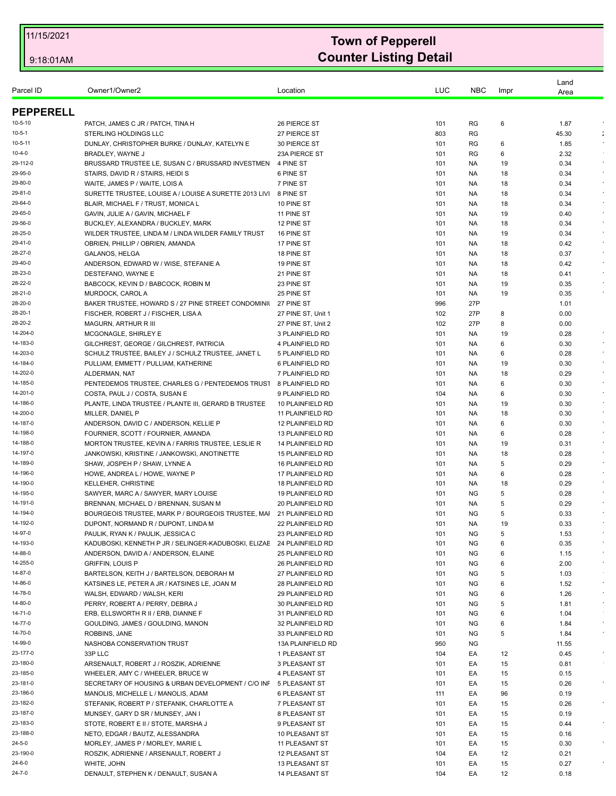| Parcel ID          | Owner1/Owner2                                          | Location                              | LUC        | <b>NBC</b> | Impr     | Land<br>Area |                         |
|--------------------|--------------------------------------------------------|---------------------------------------|------------|------------|----------|--------------|-------------------------|
| <b>PEPPERELL</b>   |                                                        |                                       |            |            |          |              |                         |
| $10 - 5 - 10$      | PATCH, JAMES C JR / PATCH, TINA H                      | 26 PIERCE ST                          | 101        | RG         | 6        | 1.87         |                         |
| 10-5-1             | <b>STERLING HOLDINGS LLC</b>                           | 27 PIERCE ST                          | 803        | RG         |          | 45.30        | ÷                       |
| 10-5-11            | DUNLAY, CHRISTOPHER BURKE / DUNLAY, KATELYN E          | 30 PIERCE ST                          | 101        | RG         | 6        | 1.85         |                         |
| 10-4-0             | BRADLEY, WAYNE J                                       | 23A PIERCE ST                         | 101        | RG         | 6        | 2.32         |                         |
| 29-112-0           | BRUSSARD TRUSTEE LE, SUSAN C / BRUSSARD INVESTMEN      | 4 PINE ST                             | 101        | NA.        | 19       | 0.34         |                         |
| 29-95-0            | STAIRS, DAVID R / STAIRS, HEIDI S                      | 6 PINE ST                             | 101        | NA.        | 18       | 0.34         |                         |
| 29-80-0            | WAITE, JAMES P / WAITE, LOIS A                         | 7 PINE ST                             | 101        | NA.        | 18       | 0.34         |                         |
| 29-81-0            | SURETTE TRUSTEE, LOUISE A / LOUISE A SURETTE 2013 LIVI | 8 PINE ST                             | 101        | NA.        | 18       | 0.34         |                         |
| 29-64-0            | BLAIR, MICHAEL F / TRUST, MONICA L                     | 10 PINE ST                            | 101        | NA.        | 18       | 0.34         |                         |
| 29-65-0            | GAVIN, JULIE A / GAVIN, MICHAEL F                      | 11 PINE ST                            | 101        | NA.        | 19       | 0.40         |                         |
| 29-56-0            | BUCKLEY, ALEXANDRA / BUCKLEY, MARK                     | 12 PINE ST                            | 101        | NA.        | 18       | 0.34         |                         |
| 28-25-0            | WILDER TRUSTEE, LINDA M / LINDA WILDER FAMILY TRUST    | 16 PINE ST                            | 101        | NA.        | 19       | 0.34         |                         |
| 29-41-0            | OBRIEN, PHILLIP / OBRIEN, AMANDA                       | 17 PINE ST                            | 101        | NA.        | 18       | 0.42         | $\epsilon$              |
| 28-27-0            | GALANOS, HELGA                                         | 18 PINE ST                            | 101        | NA.        | 18       | 0.37         |                         |
| 29-40-0            | ANDERSON, EDWARD W / WISE, STEFANIE A                  | 19 PINE ST                            | 101        | NA.        | 18       | 0.42         |                         |
| 28-23-0            | DESTEFANO, WAYNE E                                     | 21 PINE ST                            | 101        | NA.        | 18       | 0.41         |                         |
| 28-22-0            | BABCOCK, KEVIN D / BABCOCK, ROBIN M                    | 23 PINE ST                            | 101        | NA.        | 19       | 0.35         |                         |
| 28-21-0            | MURDOCK, CAROL A                                       | 25 PINE ST                            | 101        | NA.        | 19       | 0.35         |                         |
| 28-20-0            | BAKER TRUSTEE, HOWARD S / 27 PINE STREET CONDOMINIL    | 27 PINE ST                            | 996        | 27P        |          | 1.01         |                         |
| 28-20-1            | FISCHER, ROBERT J / FISCHER, LISA A                    | 27 PINE ST. Unit 1                    | 102        | 27P        | 8        | 0.00         |                         |
| 28-20-2            | MAGURN, ARTHUR R III                                   | 27 PINE ST, Unit 2                    | 102        | 27P        | 8        | 0.00         |                         |
| 14-204-0           | <b>MCGONAGLE, SHIRLEY E</b>                            | 3 PLAINFIELD RD                       | 101        | NA.        | 19       | 0.28         |                         |
| 14-183-0           | GILCHREST, GEORGE / GILCHREST, PATRICIA                | 4 PLAINFIELD RD                       | 101        | NA.        | 6        | 0.30         |                         |
| 14-203-0           | SCHULZ TRUSTEE, BAILEY J / SCHULZ TRUSTEE, JANET L     | 5 PLAINFIELD RD                       | 101        | NA.        | 6        | 0.28         |                         |
| 14-184-0           | PULLIAM, EMMETT / PULLIAM, KATHERINE                   | 6 PLAINFIELD RD                       | 101        | NA.        | 19       | 0.30         |                         |
| 14-202-0           | ALDERMAN, NAT                                          | 7 PLAINFIELD RD                       | 101        | NA.        | 18       | 0.29         |                         |
| 14-185-0           | PENTEDEMOS TRUSTEE, CHARLES G / PENTEDEMOS TRUST       | 8 PLAINFIELD RD                       | 101        | NA.        | 6        | 0.30         |                         |
| 14-201-0           | COSTA, PAUL J / COSTA, SUSAN E                         | 9 PLAINFIELD RD                       | 104        | NA.        | 6        | 0.30         |                         |
| 14-186-0           | PLANTE, LINDA TRUSTEE / PLANTE III, GERARD B TRUSTEE   | 10 PLAINFIELD RD                      | 101        | NA.        | 19       | 0.30         |                         |
| 14-200-0           | MILLER, DANIEL P                                       | 11 PLAINFIELD RD                      | 101        | NA.        | 18       | 0.30         |                         |
| 14-187-0           | ANDERSON, DAVID C / ANDERSON, KELLIE P                 | 12 PLAINFIELD RD                      | 101        | NA.        | 6        | 0.30         |                         |
| 14-198-0           | FOURNIER, SCOTT / FOURNIER, AMANDA                     | 13 PLAINFIELD RD                      | 101        | NA.        | 6        | 0.28         |                         |
| 14-188-0           | MORTON TRUSTEE, KEVIN A / FARRIS TRUSTEE, LESLIE R     | 14 PLAINFIELD RD                      | 101        | NA.        | 19       | 0.31         |                         |
| 14-197-0           | JANKOWSKI, KRISTINE / JANKOWSKI, ANOTINETTE            | <b>15 PLAINFIELD RD</b>               | 101        | NA.        | 18       | 0.28         |                         |
| 14-189-0           | SHAW, JOSPEH P / SHAW, LYNNE A                         | 16 PLAINFIELD RD                      | 101        | NA.        | 5        | 0.29         |                         |
| 14-196-0           | HOWE, ANDREA L / HOWE, WAYNE P                         | 17 PLAINFIELD RD                      | 101        | NA.        | 6        | 0.28         |                         |
| 14-190-0           | <b>KELLEHER, CHRISTINE</b>                             | <b>18 PLAINFIELD RD</b>               | 101        | NA.        | 18       | 0.29         |                         |
| 14-195-0           | SAWYER, MARC A / SAWYER, MARY LOUISE                   | <b>19 PLAINFIELD RD</b>               | 101        | <b>NG</b>  | 5        | 0.28         |                         |
| 14-191-0           | BRENNAN, MICHAEL D / BRENNAN, SUSAN M                  | 20 PLAINFIELD RD                      | 101        | NA.        | 5        | 0.29         |                         |
| 14-194-0           | BOURGEOIS TRUSTEE, MARK P / BOURGEOIS TRUSTEE, MAI     | 21 PLAINFIELD RD                      | 101        | ΝG         | 5        | 0.33         |                         |
| 14-192-0           | DUPONT, NORMAND R / DUPONT, LINDA M                    | <b>22 PLAINFIELD RD</b>               | 101        | <b>NA</b>  | 19       | 0.33         |                         |
| 14-97-0            | PAULIK, RYAN K / PAULIK, JESSICA C                     | 23 PLAINFIELD RD                      | 101        | <b>NG</b>  | 5        | 1.53         |                         |
| 14-193-0           | KADUBOSKI, KENNETH P JR / SELINGER-KADUBOSKI, ELIZAE   | 24 PLAINFIELD RD                      | 101        | ΝG         | 6        | 0.35         |                         |
| 14-88-0            | ANDERSON, DAVID A / ANDERSON, ELAINE                   | <b>25 PLAINFIELD RD</b>               | 101        | <b>NG</b>  | 6        | 1.15         |                         |
| 14-255-0           | <b>GRIFFIN, LOUIS P</b>                                | 26 PLAINFIELD RD                      | 101        | NG         | 6        | 2.00         | $\star$                 |
| 14-87-0            | BARTELSON, KEITH J / BARTELSON, DEBORAH M              | 27 PLAINFIELD RD                      | 101        | ΝG         | 5        | 1.03         |                         |
| 14-86-0            | KATSINES LE. PETER A JR / KATSINES LE. JOAN M          | 28 PLAINFIELD RD                      | 101        | <b>NG</b>  | 6        | 1.52         | $\bullet$<br>$\epsilon$ |
| 14-78-0            | WALSH, EDWARD / WALSH, KERI                            | 29 PLAINFIELD RD                      | 101        | NG         | 6        | 1.26         | $\epsilon$              |
| 14-80-0<br>14-71-0 | PERRY, ROBERT A / PERRY, DEBRA J                       | 30 PLAINFIELD RD                      | 101        | ΝG         | 5        | 1.81         |                         |
|                    | ERB, ELLSWORTH R II / ERB, DIANNE F                    | 31 PLAINFIELD RD                      | 101        | <b>NG</b>  | 6        | 1.04         | $\sim$                  |
| 14-77-0            | GOULDING, JAMES / GOULDING, MANON                      | 32 PLAINFIELD RD                      | 101        | ΝG         | 6        | 1.84         | $\epsilon$              |
| 14-70-0<br>14-99-0 | ROBBINS, JANE<br>NASHOBA CONSERVATION TRUST            | 33 PLAINFIELD RD<br>13A PLAINFIELD RD | 101        | ΝG         | 5        | 1.84         |                         |
| 23-177-0           | 33P LLC                                                |                                       | 950        | NG         |          | 11.55        | $\bullet$               |
| 23-180-0           | ARSENAULT, ROBERT J / ROSZIK, ADRIENNE                 | 1 PLEASANT ST<br>3 PLEASANT ST        | 104<br>101 | EA<br>EA   | 12<br>15 | 0.45<br>0.81 |                         |
| 23-185-0           | WHEELER, AMY C / WHEELER, BRUCE W                      | 4 PLEASANT ST                         | 101        | EA         | 15       | 0.15         |                         |
| 23-181-0           | SECRETARY OF HOUSING & URBAN DEVELOPMENT / C/O INF     | 5 PLEASANT ST                         | 101        | EA         | 15       | 0.26         | $\star$                 |
| 23-186-0           | MANOLIS, MICHELLE L / MANOLIS, ADAM                    | 6 PLEASANT ST                         | 111        | EA         | 96       | 0.19         |                         |
| 23-182-0           | STEFANIK, ROBERT P / STEFANIK, CHARLOTTE A             | 7 PLEASANT ST                         | 101        | EA         | 15       | 0.26         |                         |
| 23-187-0           | MUNSEY, GARY D SR / MUNSEY, JAN I                      | 8 PLEASANT ST                         | 101        | EA         | 15       | 0.19         |                         |
| 23-183-0           | STOTE, ROBERT E II / STOTE, MARSHA J                   | 9 PLEASANT ST                         | 101        | EA         | 15       | 0.44         |                         |
| 23-188-0           | NETO, EDGAR / BAUTZ, ALESSANDRA                        | 10 PLEASANT ST                        | 101        | EA         | 15       | 0.16         |                         |
| 24-5-0             | MORLEY, JAMES P / MORLEY, MARIE L                      | 11 PLEASANT ST                        | 101        | EA         | 15       | 0.30         |                         |
| 23-190-0           | ROSZIK, ADRIENNE / ARSENAULT, ROBERT J                 | 12 PLEASANT ST                        | 104        | EA         | 12       | 0.21         |                         |
| 24-6-0             | WHITE, JOHN                                            | 13 PLEASANT ST                        | 101        | EA         | 15       | 0.27         |                         |
| 24-7-0             | DENAULT, STEPHEN K / DENAULT, SUSAN A                  | <b>14 PLEASANT ST</b>                 | 104        | EA         | 12       | 0.18         |                         |
|                    |                                                        |                                       |            |            |          |              |                         |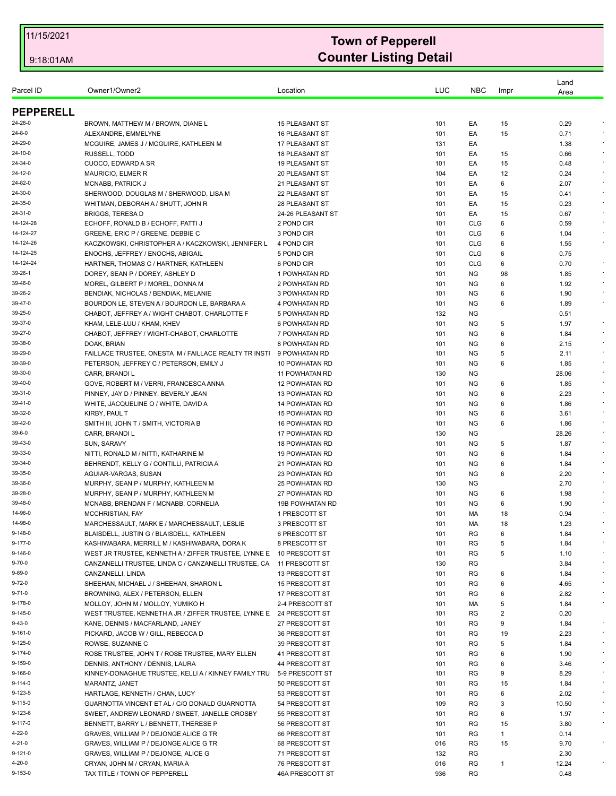| Parcel ID        | Owner1/Owner2                                                                        | Location               | LUC | <b>NBC</b> | Impr | Land<br>Area |            |
|------------------|--------------------------------------------------------------------------------------|------------------------|-----|------------|------|--------------|------------|
| <b>PEPPERELL</b> |                                                                                      |                        |     |            |      |              |            |
| 24-28-0          | BROWN, MATTHEW M / BROWN, DIANE L                                                    | <b>15 PLEASANT ST</b>  | 101 | EA         | 15   | 0.29         |            |
| 24-8-0           | ALEXANDRE, EMMELYNE                                                                  | <b>16 PLEASANT ST</b>  | 101 | ЕA         | 15   | 0.71         |            |
| 24-29-0          | MCGUIRE, JAMES J / MCGUIRE, KATHLEEN M                                               | 17 PLEASANT ST         | 131 | EA         |      | 1.38         | $\sim$     |
| 24-10-0          | RUSSELL, TODD                                                                        | <b>18 PLEASANT ST</b>  | 101 | EA         | 15   | 0.66         | $\bullet$  |
| 24-34-0          | CUOCO, EDWARD A SR                                                                   | <b>19 PLEASANT ST</b>  | 101 | EA         | 15   | 0.48         |            |
| 24-12-0          | MAURICIO, ELMER R                                                                    | 20 PLEASANT ST         | 104 | EA         | 12   | 0.24         |            |
| 24-82-0          | MCNABB, PATRICK J                                                                    | 21 PLEASANT ST         | 101 | EA         | 6    | 2.07         | $\sim$     |
| 24-30-0          | SHERWOOD, DOUGLAS M / SHERWOOD, LISA M                                               | 22 PLEASANT ST         | 101 | EA         | 15   | 0.41         |            |
| 24-35-0          | WHITMAN, DEBORAH A / SHUTT, JOHN R                                                   | 28 PLEASANT ST         | 101 | EA         | 15   | 0.23         | $\sim$     |
| 24-31-0          | <b>BRIGGS, TERESAD</b>                                                               | 24-26 PLEASANT ST      | 101 | EA         | 15   | 0.67         |            |
| 14-124-28        | ECHOFF, RONALD B / ECHOFF, PATTI J                                                   | 2 POND CIR             | 101 | <b>CLG</b> | 6    | 0.59         |            |
| 14-124-27        | GREENE, ERIC P / GREENE, DEBBIE C                                                    | 3 POND CIR             | 101 | <b>CLG</b> | 6    | 1.04         |            |
| 14-124-26        | KACZKOWSKI, CHRISTOPHER A / KACZKOWSKI, JENNIFER L                                   | 4 POND CIR             | 101 | <b>CLG</b> | 6    | 1.55         | $\epsilon$ |
| 14-124-25        | ENOCHS, JEFFREY / ENOCHS, ABIGAIL                                                    | 5 POND CIR             | 101 | <b>CLG</b> | 6    | 0.75         |            |
| 14-124-24        | HARTNER, THOMAS C / HARTNER, KATHLEEN                                                | 6 POND CIR             | 101 | <b>CLG</b> | 6    | 0.70         |            |
| 39-26-1          | DOREY, SEAN P / DOREY, ASHLEY D                                                      | 1 POWHATAN RD          | 101 | <b>NG</b>  | 98   | 1.85         | $\bullet$  |
| 39-46-0          | MOREL, GILBERT P / MOREL, DONNA M                                                    | 2 POWHATAN RD          | 101 | <b>NG</b>  | 6    | 1.92         | $\epsilon$ |
| 39-26-2          |                                                                                      | <b>3 POWHATAN RD</b>   | 101 | ΝG         | 6    | 1.90         |            |
| 39-47-0          | BENDIAK, NICHOLAS / BENDIAK, MELANIE<br>BOURDON LE, STEVEN A / BOURDON LE, BARBARA A | 4 POWHATAN RD          | 101 | ΝG         | 6    | 1.89         |            |
| 39-25-0          |                                                                                      |                        |     |            |      |              |            |
|                  | CHABOT, JEFFREY A / WIGHT CHABOT, CHARLOTTE F                                        | 5 POWHATAN RD          | 132 | <b>NG</b>  |      | 0.51         | $\epsilon$ |
| 39-37-0          | KHAM, LELE-LUU / KHAM, KHEV                                                          | <b>6 POWHATAN RD</b>   | 101 | ΝG         | 5    | 1.97         |            |
| 39-27-0          | CHABOT, JEFFREY / WIGHT-CHABOT, CHARLOTTE                                            | 7 POWHATAN RD          | 101 | <b>NG</b>  | 6    | 1.84         | $\epsilon$ |
| 39-38-0          | DOAK, BRIAN                                                                          | 8 POWHATAN RD          | 101 | <b>NG</b>  | 6    | 2.15         | $\epsilon$ |
| 39-29-0          | FAILLACE TRUSTEE, ONESTA M / FAILLACE REALTY TR INSTI                                | 9 POWHATAN RD          | 101 | NG.        | 5    | 2.11         |            |
| 39-39-0          | PETERSON, JEFFREY C / PETERSON, EMILY J                                              | 10 POWHATAN RD         | 101 | <b>NG</b>  | 6    | 1.85         |            |
| 39-30-0          | CARR, BRANDI L                                                                       | <b>11 POWHATAN RD</b>  | 130 | <b>NG</b>  |      | 28.06        |            |
| 39-40-0          | GOVE, ROBERT M / VERRI, FRANCESCA ANNA                                               | <b>12 POWHATAN RD</b>  | 101 | <b>NG</b>  | 6    | 1.85         |            |
| 39-31-0          | PINNEY, JAY D / PINNEY, BEVERLY JEAN                                                 | <b>13 POWHATAN RD</b>  | 101 | <b>NG</b>  | 6    | 2.23         |            |
| 39-41-0          | WHITE, JACQUELINE O / WHITE, DAVID A                                                 | <b>14 POWHATAN RD</b>  | 101 | <b>NG</b>  | 6    | 1.86         | $\epsilon$ |
| 39-32-0          | KIRBY, PAUL T                                                                        | <b>15 POWHATAN RD</b>  | 101 | <b>NG</b>  | 6    | 3.61         |            |
| 39-42-0          | SMITH III, JOHN T / SMITH, VICTORIA B                                                | <b>16 POWHATAN RD</b>  | 101 | ΝG         | 6    | 1.86         |            |
| 39-6-0           | CARR, BRANDI L                                                                       | <b>17 POWHATAN RD</b>  | 130 | <b>NG</b>  |      | 28.26        | $\epsilon$ |
| 39-43-0          | SUN, SARAVY                                                                          | <b>18 POWHATAN RD</b>  | 101 | <b>NG</b>  | 5    | 1.87         |            |
| 39-33-0          | NITTI, RONALD M / NITTI, KATHARINE M                                                 | <b>19 POWHATAN RD</b>  | 101 | ΝG         | 6    | 1.84         |            |
| 39-34-0          | BEHRENDT, KELLY G / CONTILLI, PATRICIA A                                             | <b>21 POWHATAN RD</b>  | 101 | NG.        | 6    | 1.84         | $\epsilon$ |
| 39-35-0          | AGUIAR-VARGAS, SUSAN                                                                 | <b>23 POWHATAN RD</b>  | 101 | <b>NG</b>  | 6    | 2.20         |            |
| 39-36-0          | MURPHY, SEAN P / MURPHY, KATHLEEN M                                                  | <b>25 POWHATAN RD</b>  | 130 | ΝG         |      | 2.70         |            |
| 39-28-0          | MURPHY, SEAN P / MURPHY, KATHLEEN M                                                  | <b>27 POWHATAN RD</b>  | 101 | <b>NG</b>  | 6    | 1.98         |            |
| 39-48-0          | MCNABB, BRENDAN F / MCNABB, CORNELIA                                                 | <b>19B POWHATAN RD</b> | 101 | <b>NG</b>  | 6    | 1.90         |            |
| 14-96-0          | <b>MCCHRISTIAN, FAY</b>                                                              | 1 PRESCOTT ST          | 101 | МA         | 18   | 0.94         |            |
| 14-98-0          | MARCHESSAULT, MARK E / MARCHESSAULT, LESLIE                                          | 3 PRESCOTT ST          | 101 | MA         | 18   | 1.23         |            |
| 9-148-0          | BLAISDELL, JUSTIN G / BLAISDELL, KATHLEEN                                            | 6 PRESCOTT ST          | 101 | RG         | 6    | 1.84         | $\bullet$  |
| $9 - 177 - 0$    | KASHIWABARA, MERRILL M / KASHIWABARA, DORA K                                         | 8 PRESCOTT ST          | 101 | RG         | 5    | 1.84         | $\epsilon$ |
| 9-146-0          | WEST JR TRUSTEE, KENNETH A / ZIFFER TRUSTEE, LYNNE E 10 PRESCOTT ST                  |                        | 101 | RG         | 5    | 1.10         |            |
| 9-70-0           | CANZANELLI TRUSTEE, LINDA C / CANZANELLI TRUSTEE, CA 11 PRESCOTT ST                  |                        | 130 | RG         |      | 3.84         | $\sim$     |
| 9-69-0           | CANZANELLI, LINDA                                                                    | 13 PRESCOTT ST         | 101 | RG         | 6    | 1.84         |            |
| 9-72-0           | SHEEHAN, MICHAEL J / SHEEHAN, SHARON L                                               | 15 PRESCOTT ST         | 101 | RG         | 6    | 4.65         | $\sim$     |
| 9-71-0           | BROWNING, ALEX / PETERSON, ELLEN                                                     | 17 PRESCOTT ST         | 101 | RG         | 6    | 2.82         | $\sim$     |
| 9-178-0          | MOLLOY, JOHN M / MOLLOY, YUMIKO H                                                    | 2-4 PRESCOTT ST        | 101 | MA         | 5    | 1.84         |            |
| 9-145-0          | WEST TRUSTEE, KENNETH A JR / ZIFFER TRUSTEE, LYNNE E 24 PRESCOTT ST                  |                        | 101 | RG         | 2    | 0.20         |            |
| 9-43-0           | KANE, DENNIS / MACFARLAND, JANEY                                                     | 27 PRESCOTT ST         | 101 | RG         | 9    | 1.84         |            |
| 9-161-0          | PICKARD, JACOB W / GILL, REBECCA D                                                   | 36 PRESCOTT ST         | 101 | RG         | 19   | 2.23         |            |
| 9-125-0          | ROWSE, SUZANNE C                                                                     | 39 PRESCOTT ST         | 101 | RG         | 5    | 1.84         | $\sim$     |
| 9-174-0          | ROSE TRUSTEE, JOHN T / ROSE TRUSTEE, MARY ELLEN                                      | 41 PRESCOTT ST         | 101 | RG         | 6    | 1.90         | $\sim$     |
| 9-159-0          | DENNIS, ANTHONY / DENNIS, LAURA                                                      | 44 PRESCOTT ST         | 101 | RG         | 6    | 3.46         | $\star$    |
| 9-166-0          | KINNEY-DONAGHUE TRUSTEE, KELLI A / KINNEY FAMILY TRU                                 | 5-9 PRESCOTT ST        | 101 | RG         | 9    | 8.29         | $\sim$     |
| 9-114-0          | MARANTZ, JANET                                                                       | 50 PRESCOTT ST         | 101 | RG         | 15   | 1.84         | $\bullet$  |
| 9-123-5          | HARTLAGE, KENNETH / CHAN, LUCY                                                       | 53 PRESCOTT ST         | 101 | RG         | 6    | 2.02         | $\star$    |
| 9-115-0          | GUARNOTTA VINCENT ET AL / C/O DONALD GUARNOTTA                                       | 54 PRESCOTT ST         | 109 | RG         | 3    | 10.50        | $\sim$     |
| 9-123-6          | SWEET, ANDREW LEONARD / SWEET, JANELLE CROSBY                                        | 55 PRESCOTT ST         | 101 | RG         | 6    | 1.97         |            |
| 9-117-0          | BENNETT, BARRY L / BENNETT, THERESE P                                                | 56 PRESCOTT ST         | 101 | RG         | 15   | 3.80         | $\bullet$  |
|                  |                                                                                      |                        |     |            |      |              |            |
| 4-22-0           | GRAVES, WILLIAM P / DEJONGE ALICE G TR                                               | 66 PRESCOTT ST         | 101 | RG         | 1    | 0.14         | $\bullet$  |
| 4-21-0           | GRAVES, WILLIAM P / DEJONGE ALICE G TR                                               | 68 PRESCOTT ST         | 016 | RG         | 15   | 9.70         |            |
| 9-121-0          | GRAVES, WILLIAM P / DEJONGE, ALICE G                                                 | 71 PRESCOTT ST         | 132 | RG         |      | 2.30         |            |
| 4-20-0           | CRYAN, JOHN M / CRYAN, MARIA A                                                       | 76 PRESCOTT ST         | 016 | RG         | 1    | 12.24        |            |
| 9-153-0          | TAX TITLE / TOWN OF PEPPERELL                                                        | 46A PRESCOTT ST        | 936 | RG         |      | 0.48         |            |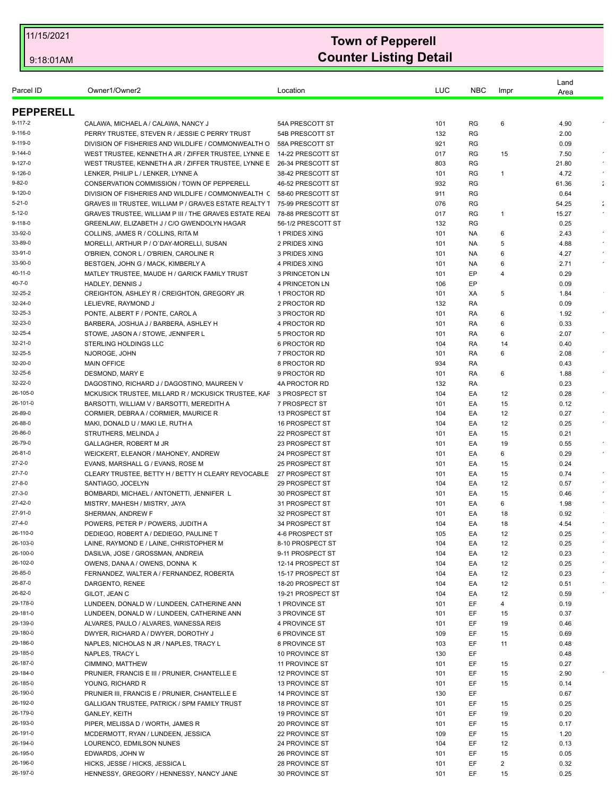| Parcel ID            | Owner1/Owner2                                                                                         | Location                               | LUC        | <b>NBC</b>             | Impr     | Land<br>Area |            |
|----------------------|-------------------------------------------------------------------------------------------------------|----------------------------------------|------------|------------------------|----------|--------------|------------|
|                      |                                                                                                       |                                        |            |                        |          |              |            |
| <b>PEPPERELL</b>     |                                                                                                       |                                        |            |                        |          |              |            |
| 9-117-2              | CALAWA, MICHAEL A / CALAWA, NANCY J                                                                   | 54A PRESCOTT ST                        | 101        | RG                     | 6        | 4.90         |            |
| 9-116-0<br>9-119-0   | PERRY TRUSTEE, STEVEN R / JESSIE C PERRY TRUST<br>DIVISION OF FISHERIES AND WILDLIFE / COMMONWEALTH O | 54B PRESCOTT ST<br>58A PRESCOTT ST     | 132<br>921 | <b>RG</b><br><b>RG</b> |          | 2.00<br>0.09 |            |
| $9 - 144 - 0$        | WEST TRUSTEE, KENNETH A JR / ZIFFER TRUSTEE, LYNNE E                                                  | 14-22 PRESCOTT ST                      | 017        | RG                     | 15       | 7.50         |            |
| 9-127-0              | WEST TRUSTEE, KENNETH A JR / ZIFFER TRUSTEE, LYNNE E                                                  | 26-34 PRESCOTT ST                      | 803        | RG                     |          | 21.80        |            |
| 9-126-0              | LENKER, PHILIP L / LENKER, LYNNE A                                                                    | 38-42 PRESCOTT ST                      | 101        | RG                     | 1        | 4.72         |            |
| 9-82-0               | CONSERVATION COMMISSION / TOWN OF PEPPERELL                                                           | 46-52 PRESCOTT ST                      | 932        | RG                     |          | 61.36        | ÷          |
| 9-120-0              | DIVISION OF FISHERIES AND WILDLIFE / COMMONWEALTH (                                                   | 58-60 PRESCOTT ST                      | 911        | RG                     |          | 0.64         |            |
| 5-21-0               | GRAVES III TRUSTEE, WILLIAM P / GRAVES ESTATE REALTY 1                                                | 75-99 PRESCOTT ST                      | 076        | RG                     |          | 54.25        |            |
| 5-12-0               | GRAVES TRUSTEE, WILLIAM P III / THE GRAVES ESTATE REAL                                                | 78-88 PRESCOTT ST                      | 017        | <b>RG</b>              | -1       | 15.27        |            |
| $9 - 118 - 0$        | GREENLAW. ELIZABETH J / C/O GWENDOLYN HAGAR                                                           | 56-1/2 PRESCOTT ST                     | 132        | RG                     |          | 0.25         | $\bullet$  |
| 33-92-0<br>33-89-0   | COLLINS, JAMES R / COLLINS, RITA M<br>MORELLI, ARTHUR P / O'DAY-MORELLI, SUSAN                        | 1 PRIDES XING<br>2 PRIDES XING         | 101<br>101 | NA.<br>NA.             | 6<br>5   | 2.43<br>4.88 |            |
| 33-91-0              | O'BRIEN, CONOR L / O'BRIEN, CAROLINE R                                                                | 3 PRIDES XING                          | 101        | NA.                    | 6        | 4.27         |            |
| 33-90-0              | BESTGEN, JOHN G / MACK, KIMBERLY A                                                                    | 4 PRIDES XING                          | 101        | NA                     | 6        | 2.71         |            |
| 40-11-0              | MATLEY TRUSTEE, MAUDE H / GARICK FAMILY TRUST                                                         | 3 PRINCETON LN                         | 101        | EP                     | 4        | 0.29         |            |
| 40-7-0               | <b>HADLEY, DENNIS J</b>                                                                               | <b>4 PRINCETON LN</b>                  | 106        | EP                     |          | 0.09         |            |
| 32-25-2              | CREIGHTON, ASHLEY R / CREIGHTON, GREGORY JR                                                           | 1 PROCTOR RD                           | 101        | XA                     | 5        | 1.84         |            |
| 32-24-0              | LELIEVRE, RAYMOND J                                                                                   | 2 PROCTOR RD                           | 132        | RA                     |          | 0.09         |            |
| 32-25-3              | PONTE, ALBERT F / PONTE, CAROL A                                                                      | 3 PROCTOR RD                           | 101        | RA                     | 6        | 1.92         |            |
| 32-23-0              | BARBERA, JOSHUA J / BARBERA, ASHLEY H                                                                 | 4 PROCTOR RD                           | 101        | RA                     | 6        | 0.33         |            |
| 32-25-4              | STOWE, JASON A / STOWE, JENNIFER L                                                                    | 5 PROCTOR RD                           | 101        | RA                     | 6        | 2.07         |            |
| 32-21-0<br>32-25-5   | <b>STERLING HOLDINGS LLC</b><br>NJOROGE, JOHN                                                         | 6 PROCTOR RD<br>7 PROCTOR RD           | 104<br>101 | RA<br>RA               | 14<br>6  | 0.40<br>2.08 | $\epsilon$ |
| 32-20-0              | <b>MAIN OFFICE</b>                                                                                    | 8 PROCTOR RD                           | 934        | RA                     |          | 0.43         |            |
| 32-25-6              | DESMOND, MARY E                                                                                       | 9 PROCTOR RD                           | 101        | RA                     | 6        | 1.88         |            |
| 32-22-0              | DAGOSTINO, RICHARD J / DAGOSTINO, MAUREEN V                                                           | 4A PROCTOR RD                          | 132        | RA                     |          | 0.23         |            |
| 26-105-0             | MCKUSICK TRUSTEE, MILLARD R / MCKUSICK TRUSTEE, KAF                                                   | 3 PROSPECT ST                          | 104        | EA                     | 12       | 0.28         |            |
| 26-101-0             | BARSOTTI, WILLIAM V / BARSOTTI, MEREDITH A                                                            | 7 PROSPECT ST                          | 101        | EA                     | 15       | 0.12         |            |
| 26-89-0              | CORMIER, DEBRA A / CORMIER, MAURICE R                                                                 | 13 PROSPECT ST                         | 104        | EA                     | 12       | 0.27         |            |
| 26-88-0              | MAKI, DONALD U / MAKI LE, RUTH A                                                                      | 16 PROSPECT ST                         | 104        | EA                     | 12       | 0.25         |            |
| 26-86-0              | STRUTHERS, MELINDA J                                                                                  | 22 PROSPECT ST                         | 101        | EA                     | 15       | 0.21         |            |
| 26-79-0              | GALLAGHER, ROBERT M JR                                                                                | 23 PROSPECT ST                         | 101        | EA                     | 19       | 0.55         |            |
| 26-81-0<br>27-2-0    | WEICKERT, ELEANOR / MAHONEY, ANDREW<br>EVANS, MARSHALL G / EVANS, ROSE M                              | 24 PROSPECT ST<br>25 PROSPECT ST       | 101<br>101 | EA<br>EA               | 6<br>15  | 0.29<br>0.24 |            |
| $27 - 7 - 0$         | CLEARY TRUSTEE, BETTY H / BETTY H CLEARY REVOCABLE                                                    | 27 PROSPECT ST                         | 101        | EA                     | 15       | 0.74         |            |
| 27-8-0               | SANTIAGO, JOCELYN                                                                                     | 29 PROSPECT ST                         | 104        | EA                     | 12       | 0.57         |            |
| 27-3-0               | BOMBARDI, MICHAEL / ANTONETTI, JENNIFER L                                                             | 30 PROSPECT ST                         | 101        | EA                     | 15       | 0.46         |            |
| 27-42-0              | MISTRY, MAHESH / MISTRY, JAYA                                                                         | 31 PROSPECT ST                         | 101        | EA                     | 6        | 1.98         |            |
| 27-91-0              | SHERMAN, ANDREW F                                                                                     | 32 PROSPECT ST                         | 101        | EA                     | 18       | 0.92         |            |
| 27-4-0               | POWERS, PETER P / POWERS, JUDITH A                                                                    | 34 PROSPECT ST                         | 104        | EA                     | 18       | 4.54         |            |
| 26-110-0             | DEDIEGO, ROBERT A / DEDIEGO, PAULINE T                                                                | 4-6 PROSPECT ST                        | 105        | EA                     | 12       | 0.25         |            |
| 26-103-0             | LAINE, RAYMOND E / LAINE, CHRISTOPHER M                                                               | 8-10 PROSPECT ST                       | 104        | EA                     | 12       | 0.25         |            |
| 26-100-0<br>26-102-0 | DASILVA, JOSE / GROSSMAN, ANDREIA                                                                     | 9-11 PROSPECT ST                       | 104        | EA                     | 12       | 0.23         |            |
| 26-85-0              | OWENS, DANA A / OWENS, DONNA K<br>FERNANDEZ, WALTER A / FERNANDEZ, ROBERTA                            | 12-14 PROSPECT ST<br>15-17 PROSPECT ST | 104<br>104 | EA<br>EA               | 12<br>12 | 0.25<br>0.23 |            |
| 26-87-0              | DARGENTO, RENEE                                                                                       | 18-20 PROSPECT ST                      | 104        | EA                     | 12       | 0.51         |            |
| 26-82-0              | GILOT, JEAN C                                                                                         | 19-21 PROSPECT ST                      | 104        | EA                     | 12       | 0.59         |            |
| 29-178-0             | LUNDEEN, DONALD W / LUNDEEN, CATHERINE ANN                                                            | 1 PROVINCE ST                          | 101        | EF                     | 4        | 0.19         |            |
| 29-181-0             | LUNDEEN, DONALD W / LUNDEEN, CATHERINE ANN                                                            | 3 PROVINCE ST                          | 101        | EF                     | 15       | 0.37         |            |
| 29-139-0             | ALVARES, PAULO / ALVARES, WANESSA REIS                                                                | 4 PROVINCE ST                          | 101        | EF                     | 19       | 0.46         |            |
| 29-180-0             | DWYER, RICHARD A / DWYER, DOROTHY J                                                                   | 6 PROVINCE ST                          | 109        | EF                     | 15       | 0.69         |            |
| 29-186-0             | NAPLES, NICHOLAS N JR / NAPLES, TRACY L                                                               | 8 PROVINCE ST                          | 103        | EF                     | 11       | 0.48         |            |
| 29-185-0             | NAPLES, TRACY L                                                                                       | 10 PROVINCE ST                         | 130        | EF                     |          | 0.48         |            |
| 26-187-0<br>29-184-0 | CIMMINO, MATTHEW                                                                                      | 11 PROVINCE ST                         | 101        | EF                     | 15       | 0.27<br>2.90 |            |
| 26-185-0             | PRUNIER, FRANCIS E III / PRUNIER, CHANTELLE E<br>YOUNG, RICHARD R                                     | 12 PROVINCE ST<br>13 PROVINCE ST       | 101<br>101 | EF<br>EF               | 15<br>15 | 0.14         |            |
| 26-190-0             | PRUNIER III, FRANCIS E / PRUNIER, CHANTELLE E                                                         | 14 PROVINCE ST                         | 130        | EF                     |          | 0.67         |            |
| 26-192-0             | GALLIGAN TRUSTEE, PATRICK / SPM FAMILY TRUST                                                          | <b>18 PROVINCE ST</b>                  | 101        | EF                     | 15       | 0.25         |            |
| 26-179-0             | <b>GANLEY, KEITH</b>                                                                                  | <b>19 PROVINCE ST</b>                  | 101        | EF                     | 19       | 0.20         |            |
| 26-193-0             | PIPER, MELISSA D / WORTH, JAMES R                                                                     | 20 PROVINCE ST                         | 101        | EF                     | 15       | 0.17         |            |
| 26-191-0             | MCDERMOTT, RYAN / LUNDEEN, JESSICA                                                                    | 22 PROVINCE ST                         | 109        | EF                     | 15       | 1.20         |            |
| 26-194-0             | LOURENCO, EDMILSON NUNES                                                                              | 24 PROVINCE ST                         | 104        | EF                     | 12       | 0.13         |            |
| 26-195-0             | EDWARDS, JOHN W                                                                                       | 26 PROVINCE ST                         | 101        | EF                     | 15       | 0.05         |            |
| 26-196-0             | HICKS, JESSE / HICKS, JESSICA L                                                                       | <b>28 PROVINCE ST</b>                  | 101        | EF                     | 2        | 0.32         |            |
| 26-197-0             | HENNESSY, GREGORY / HENNESSY, NANCY JANE                                                              | 30 PROVINCE ST                         | 101        | EF                     | 15       | 0.25         |            |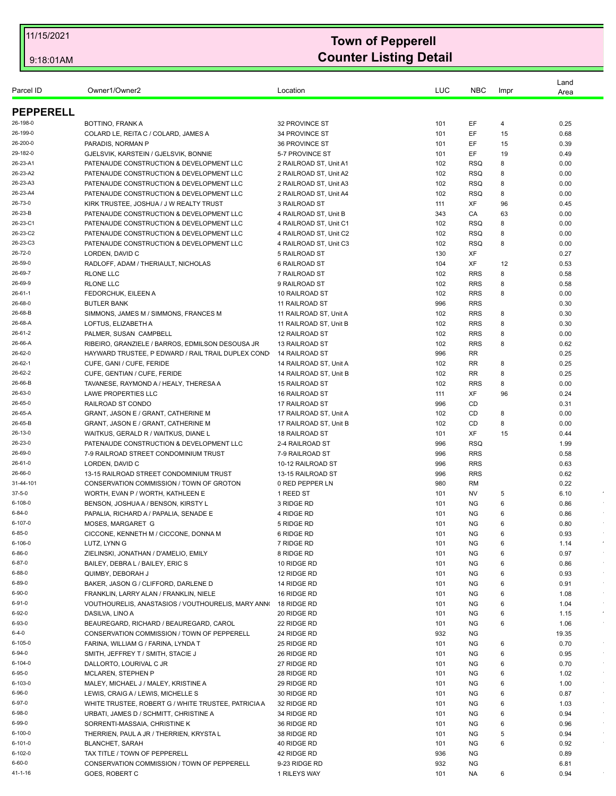| Parcel ID<br><b>PEPPERELL</b><br>26-198-0<br>BOTTINO, FRANK A<br>32 PROVINCE ST<br>101<br>EF<br>0.25<br>4<br>26-199-0<br>COLARD LE, REITA C / COLARD, JAMES A<br>34 PROVINCE ST<br>EF<br>15<br>101<br>26-200-0<br>EF<br>PARADIS, NORMAN P<br>36 PROVINCE ST<br>15<br>101<br>EF<br>29-182-0<br>GJELSVIK, KARSTEIN / GJELSVIK, BONNIE<br>5-7 PROVINCE ST<br>101<br>19<br>26-23-A1<br>PATENAUDE CONSTRUCTION & DEVELOPMENT LLC<br>2 RAILROAD ST, Unit A1<br><b>RSQ</b><br>8<br>102<br>26-23-A2<br>PATENAUDE CONSTRUCTION & DEVELOPMENT LLC<br>2 RAILROAD ST, Unit A2<br>102<br><b>RSQ</b><br>8<br>26-23-A3<br>PATENAUDE CONSTRUCTION & DEVELOPMENT LLC<br>2 RAILROAD ST, Unit A3<br>102<br><b>RSQ</b><br>8<br>26-23-A4<br>PATENAUDE CONSTRUCTION & DEVELOPMENT LLC<br><b>RSQ</b><br>8<br>2 RAILROAD ST, Unit A4<br>102<br>26-73-0<br>XF<br>KIRK TRUSTEE, JOSHUA / J W REALTY TRUST<br>3 RAILROAD ST<br>111<br>96<br>26-23-B<br>PATENAUDE CONSTRUCTION & DEVELOPMENT LLC<br>4 RAILROAD ST, Unit B<br>343<br>CA<br>63<br>26-23-C1<br>PATENAUDE CONSTRUCTION & DEVELOPMENT LLC<br><b>RSQ</b><br>8<br>4 RAILROAD ST. Unit C1<br>102<br>26-23-C2<br>PATENAUDE CONSTRUCTION & DEVELOPMENT LLC<br>4 RAILROAD ST, Unit C2<br>102<br><b>RSQ</b><br>8<br>26-23-C3<br>PATENAUDE CONSTRUCTION & DEVELOPMENT LLC<br>4 RAILROAD ST, Unit C3<br>102<br><b>RSQ</b><br>8<br>26-72-0<br>XF<br>LORDEN, DAVID C<br>5 RAILROAD ST<br>130<br>26-59-0<br>RADLOFF, ADAM / THERIAULT, NICHOLAS<br>6 RAILROAD ST<br>104<br>XF<br>12<br>26-69-7<br><b>RRS</b><br>8<br>RLONE LLC<br>7 RAILROAD ST<br>102<br><b>RRS</b><br>26-69-9<br><b>RLONE LLC</b><br>102<br>8<br>9 RAILROAD ST<br>$26 - 61 - 1$<br>FEDORCHUK, EILEEN A<br>10 RAILROAD ST<br><b>RRS</b><br>8<br>102<br>26-68-0<br><b>RRS</b><br><b>BUTLER BANK</b><br>11 RAILROAD ST<br>996<br>26-68-B<br><b>RRS</b><br>SIMMONS, JAMES M / SIMMONS, FRANCES M<br>102<br>8<br>11 RAILROAD ST, Unit A<br>26-68-A<br>LOFTUS, ELIZABETH A<br><b>RRS</b><br>8<br>11 RAILROAD ST, Unit B<br>102<br>26-61-2<br><b>RRS</b><br>8<br>PALMER, SUSAN CAMPBELL<br>12 RAILROAD ST<br>102<br>26-66-A<br>RIBEIRO, GRANZIELE / BARROS, EDMILSON DESOUSA JR<br>13 RAILROAD ST<br>102<br><b>RRS</b><br>8<br>26-62-0<br>HAYWARD TRUSTEE, P EDWARD / RAIL TRAIL DUPLEX COND<br>996<br>RR<br>14 RAILROAD ST<br>26-62-1<br>RR<br>CUFE, GANI / CUFE, FERIDE<br>14 RAILROAD ST, Unit A<br>102<br>8<br>26-62-2<br>CUFE, GENTIAN / CUFE, FERIDE<br>102<br>RR<br>8<br>14 RAILROAD ST, Unit B<br>26-66-B<br>TAVANESE, RAYMOND A / HEALY, THERESA A<br><b>RRS</b><br>15 RAILROAD ST<br>102<br>8<br>26-63-0<br>XF<br>LAWE PROPERTIES LLC<br>16 RAILROAD ST<br>96<br>111<br>26-65-0<br>RAILROAD ST CONDO<br>17 RAILROAD ST<br>996<br>CD<br>26-65-A<br>GRANT, JASON E / GRANT, CATHERINE M<br>CD<br>17 RAILROAD ST, Unit A<br>102<br>8<br>26-65-B<br>GRANT, JASON E / GRANT, CATHERINE M<br>17 RAILROAD ST, Unit B<br>102<br>CD<br>8<br>26-13-0<br>WAITKUS, GERALD R / WAITKUS, DIANE L<br>18 RAILROAD ST<br>XF<br>15<br>101<br>26-23-0<br>PATENAUDE CONSTRUCTION & DEVELOPMENT LLC<br>996<br><b>RSQ</b><br>1.99<br>2-4 RAILROAD ST<br>26-69-0<br>7-9 RAILROAD STREET CONDOMINIUM TRUST<br>7-9 RAILROAD ST<br>996<br><b>RRS</b><br>0.58<br>26-61-0<br>LORDEN, DAVID C<br>10-12 RAILROAD ST<br><b>RRS</b><br>0.63<br>996<br><b>RRS</b><br>26-66-0<br>0.62<br>13-15 RAILROAD STREET CONDOMINIUM TRUST<br>13-15 RAILROAD ST<br>996<br>31-44-101<br>CONSERVATION COMMISSION / TOWN OF GROTON<br>0 RED PEPPER LN<br>980<br>RM<br>0.22<br>$37 - 5 - 0$<br>6.10<br>WORTH, EVAN P / WORTH, KATHLEEN E<br>1 REED ST<br>101<br>NV<br>5<br>$6 - 108 - 0$<br>BENSON, JOSHUA A / BENSON, KIRSTY L<br>3 RIDGE RD<br><b>NG</b><br>6<br>0.86<br>101<br>$6 - 84 - 0$<br>PAPALIA, RICHARD A / PAPALIA, SENADE E<br>4 RIDGE RD<br>101<br>ΝG<br>6<br>0.86<br>$6 - 107 - 0$<br>MOSES, MARGARET G<br>5 RIDGE RD<br>101<br><b>NG</b><br>0.80<br>6<br>$6 - 85 - 0$<br>CICCONE, KENNETH M / CICCONE, DONNA M<br>6 RIDGE RD<br>101<br><b>NG</b><br>0.93<br>6<br>6-106-0<br>6<br>LUTZ, LYNN G<br>7 RIDGE RD<br>101<br>ΝG<br>1.14<br>$6 - 86 - 0$<br>ZIELINSKI, JONATHAN / D'AMELIO, EMILY<br>8 RIDGE RD<br><b>NG</b><br>6<br>0.97<br>101<br>$6 - 87 - 0$<br>101<br><b>NG</b><br>6<br>0.86<br>BAILEY, DEBRA L / BAILEY, ERIC S<br>10 RIDGE RD<br>$6 - 88 - 0$<br>QUIMBY, DEBORAH J<br><b>NG</b><br>6<br>0.93<br>12 RIDGE RD<br>101<br>$6 - 89 - 0$<br>BAKER, JASON G / CLIFFORD, DARLENE D<br>NG<br>0.91<br>14 RIDGE RD<br>101<br>6<br>$6 - 90 - 0$<br>FRANKLIN, LARRY ALAN / FRANKLIN, NIELE<br>101<br><b>NG</b><br>6<br>16 RIDGE RD<br>VOUTHOURELIS, ANASTASIOS / VOUTHOURELIS, MARY ANNO<br>6<br>6-91-0<br>18 RIDGE RD<br>101<br>NG.<br>6-92-0<br><b>NG</b><br>DASILVA, LINO A<br>20 RIDGE RD<br>101<br>6<br>6-93-0<br>NG<br>6<br>BEAUREGARD, RICHARD / BEAUREGARD, CAROL<br>22 RIDGE RD<br>101<br>$6 - 4 - 0$<br>932<br><b>NG</b><br>CONSERVATION COMMISSION / TOWN OF PEPPERELL<br>24 RIDGE RD<br>$6 - 105 - 0$<br>101<br>ΝG<br>FARINA, WILLIAM G / FARINA, LYNDA T<br>25 RIDGE RD<br>6<br>6-94-0<br>SMITH, JEFFREY T / SMITH, STACIE J<br>NG<br>6<br>26 RIDGE RD<br>101<br>6-104-0<br><b>NG</b><br>6<br>DALLORTO, LOURIVAL C JR<br>27 RIDGE RD<br>101<br>$6 - 95 - 0$<br>NG<br><b>MCLAREN, STEPHEN P</b><br>28 RIDGE RD<br>101<br>6<br>6-103-0<br><b>NG</b><br>6<br>MALEY, MICHAEL J / MALEY, KRISTINE A<br>29 RIDGE RD<br>101<br>6-96-0<br>LEWIS, CRAIG A / LEWIS, MICHELLE S<br>101<br><b>NG</b><br>6<br>30 RIDGE RD<br>6-97-0<br>WHITE TRUSTEE, ROBERT G / WHITE TRUSTEE, PATRICIA A<br>NG<br>32 RIDGE RD<br>101<br>6<br>6-98-0<br><b>NG</b><br>URBATI, JAMES D / SCHMITT, CHRISTINE A<br>34 RIDGE RD<br>101<br>6<br>6-99-0<br>SORRENTI-MASSAIA, CHRISTINE K<br>101<br>NG<br>6<br>36 RIDGE RD<br>6-100-0<br>THERRIEN, PAUL A JR / THERRIEN, KRYSTA L<br>NG<br>5<br>38 RIDGE RD<br>101<br>6-101-0<br><b>NG</b><br>6<br><b>BLANCHET, SARAH</b><br>40 RIDGE RD<br>101<br>6-102-0<br>TAX TITLE / TOWN OF PEPPERELL<br>936<br>NG<br>42 RIDGE RD<br>$6 - 60 - 0$<br>CONSERVATION COMMISSION / TOWN OF PEPPERELL<br>9-23 RIDGE RD<br>932<br>ΝG |               |          |     |            |      | Land  |        |
|---------------------------------------------------------------------------------------------------------------------------------------------------------------------------------------------------------------------------------------------------------------------------------------------------------------------------------------------------------------------------------------------------------------------------------------------------------------------------------------------------------------------------------------------------------------------------------------------------------------------------------------------------------------------------------------------------------------------------------------------------------------------------------------------------------------------------------------------------------------------------------------------------------------------------------------------------------------------------------------------------------------------------------------------------------------------------------------------------------------------------------------------------------------------------------------------------------------------------------------------------------------------------------------------------------------------------------------------------------------------------------------------------------------------------------------------------------------------------------------------------------------------------------------------------------------------------------------------------------------------------------------------------------------------------------------------------------------------------------------------------------------------------------------------------------------------------------------------------------------------------------------------------------------------------------------------------------------------------------------------------------------------------------------------------------------------------------------------------------------------------------------------------------------------------------------------------------------------------------------------------------------------------------------------------------------------------------------------------------------------------------------------------------------------------------------------------------------------------------------------------------------------------------------------------------------------------------------------------------------------------------------------------------------------------------------------------------------------------------------------------------------------------------------------------------------------------------------------------------------------------------------------------------------------------------------------------------------------------------------------------------------------------------------------------------------------------------------------------------------------------------------------------------------------------------------------------------------------------------------------------------------------------------------------------------------------------------------------------------------------------------------------------------------------------------------------------------------------------------------------------------------------------------------------------------------------------------------------------------------------------------------------------------------------------------------------------------------------------------------------------------------------------------------------------------------------------------------------------------------------------------------------------------------------------------------------------------------------------------------------------------------------------------------------------------------------------------------------------------------------------------------------------------------------------------------------------------------------------------------------------------------------------------------------------------------------------------------------------------------------------------------------------------------------------------------------------------------------------------------------------------------------------------------------------------------------------------------------------------------------------------------------------------------------------------------------------------------------------------------------------------------------------------------------------------------------------------------------------------------------------------------------------------------------------------------------------------------------------------------------------------------------------------------------------------------------------------------------------------------------------------------------------------------------------------------------------------------------------------------------------------------------------------------------------------------------------------------------------------------------------------------------------------------------------------------------------------------------------------------------------------------------------------------------------------------------------------------------------------------------------------------------------------------------------------------------------------------------------------------------------------------------------------------------------------------------------------------------------------------------------------------------------------------------------------------------------------------------------------------------------------------------------------------------------------------------------------------------------------|---------------|----------|-----|------------|------|-------|--------|
|                                                                                                                                                                                                                                                                                                                                                                                                                                                                                                                                                                                                                                                                                                                                                                                                                                                                                                                                                                                                                                                                                                                                                                                                                                                                                                                                                                                                                                                                                                                                                                                                                                                                                                                                                                                                                                                                                                                                                                                                                                                                                                                                                                                                                                                                                                                                                                                                                                                                                                                                                                                                                                                                                                                                                                                                                                                                                                                                                                                                                                                                                                                                                                                                                                                                                                                                                                                                                                                                                                                                                                                                                                                                                                                                                                                                                                                                                                                                                                                                                                                                                                                                                                                                                                                                                                                                                                                                                                                                                                                                                                                                                                                                                                                                                                                                                                                                                                                                                                                                                                                                                                                                                                                                                                                                                                                                                                                                                                                                                                                                                                                                                                                                                                                                                                                                                                                                                                                                                                                                                                                                                                         | Owner1/Owner2 | Location | LUC | <b>NBC</b> | Impr | Area  |        |
|                                                                                                                                                                                                                                                                                                                                                                                                                                                                                                                                                                                                                                                                                                                                                                                                                                                                                                                                                                                                                                                                                                                                                                                                                                                                                                                                                                                                                                                                                                                                                                                                                                                                                                                                                                                                                                                                                                                                                                                                                                                                                                                                                                                                                                                                                                                                                                                                                                                                                                                                                                                                                                                                                                                                                                                                                                                                                                                                                                                                                                                                                                                                                                                                                                                                                                                                                                                                                                                                                                                                                                                                                                                                                                                                                                                                                                                                                                                                                                                                                                                                                                                                                                                                                                                                                                                                                                                                                                                                                                                                                                                                                                                                                                                                                                                                                                                                                                                                                                                                                                                                                                                                                                                                                                                                                                                                                                                                                                                                                                                                                                                                                                                                                                                                                                                                                                                                                                                                                                                                                                                                                                         |               |          |     |            |      |       |        |
|                                                                                                                                                                                                                                                                                                                                                                                                                                                                                                                                                                                                                                                                                                                                                                                                                                                                                                                                                                                                                                                                                                                                                                                                                                                                                                                                                                                                                                                                                                                                                                                                                                                                                                                                                                                                                                                                                                                                                                                                                                                                                                                                                                                                                                                                                                                                                                                                                                                                                                                                                                                                                                                                                                                                                                                                                                                                                                                                                                                                                                                                                                                                                                                                                                                                                                                                                                                                                                                                                                                                                                                                                                                                                                                                                                                                                                                                                                                                                                                                                                                                                                                                                                                                                                                                                                                                                                                                                                                                                                                                                                                                                                                                                                                                                                                                                                                                                                                                                                                                                                                                                                                                                                                                                                                                                                                                                                                                                                                                                                                                                                                                                                                                                                                                                                                                                                                                                                                                                                                                                                                                                                         |               |          |     |            |      |       |        |
|                                                                                                                                                                                                                                                                                                                                                                                                                                                                                                                                                                                                                                                                                                                                                                                                                                                                                                                                                                                                                                                                                                                                                                                                                                                                                                                                                                                                                                                                                                                                                                                                                                                                                                                                                                                                                                                                                                                                                                                                                                                                                                                                                                                                                                                                                                                                                                                                                                                                                                                                                                                                                                                                                                                                                                                                                                                                                                                                                                                                                                                                                                                                                                                                                                                                                                                                                                                                                                                                                                                                                                                                                                                                                                                                                                                                                                                                                                                                                                                                                                                                                                                                                                                                                                                                                                                                                                                                                                                                                                                                                                                                                                                                                                                                                                                                                                                                                                                                                                                                                                                                                                                                                                                                                                                                                                                                                                                                                                                                                                                                                                                                                                                                                                                                                                                                                                                                                                                                                                                                                                                                                                         |               |          |     |            |      | 0.68  |        |
|                                                                                                                                                                                                                                                                                                                                                                                                                                                                                                                                                                                                                                                                                                                                                                                                                                                                                                                                                                                                                                                                                                                                                                                                                                                                                                                                                                                                                                                                                                                                                                                                                                                                                                                                                                                                                                                                                                                                                                                                                                                                                                                                                                                                                                                                                                                                                                                                                                                                                                                                                                                                                                                                                                                                                                                                                                                                                                                                                                                                                                                                                                                                                                                                                                                                                                                                                                                                                                                                                                                                                                                                                                                                                                                                                                                                                                                                                                                                                                                                                                                                                                                                                                                                                                                                                                                                                                                                                                                                                                                                                                                                                                                                                                                                                                                                                                                                                                                                                                                                                                                                                                                                                                                                                                                                                                                                                                                                                                                                                                                                                                                                                                                                                                                                                                                                                                                                                                                                                                                                                                                                                                         |               |          |     |            |      | 0.39  |        |
|                                                                                                                                                                                                                                                                                                                                                                                                                                                                                                                                                                                                                                                                                                                                                                                                                                                                                                                                                                                                                                                                                                                                                                                                                                                                                                                                                                                                                                                                                                                                                                                                                                                                                                                                                                                                                                                                                                                                                                                                                                                                                                                                                                                                                                                                                                                                                                                                                                                                                                                                                                                                                                                                                                                                                                                                                                                                                                                                                                                                                                                                                                                                                                                                                                                                                                                                                                                                                                                                                                                                                                                                                                                                                                                                                                                                                                                                                                                                                                                                                                                                                                                                                                                                                                                                                                                                                                                                                                                                                                                                                                                                                                                                                                                                                                                                                                                                                                                                                                                                                                                                                                                                                                                                                                                                                                                                                                                                                                                                                                                                                                                                                                                                                                                                                                                                                                                                                                                                                                                                                                                                                                         |               |          |     |            |      | 0.49  |        |
|                                                                                                                                                                                                                                                                                                                                                                                                                                                                                                                                                                                                                                                                                                                                                                                                                                                                                                                                                                                                                                                                                                                                                                                                                                                                                                                                                                                                                                                                                                                                                                                                                                                                                                                                                                                                                                                                                                                                                                                                                                                                                                                                                                                                                                                                                                                                                                                                                                                                                                                                                                                                                                                                                                                                                                                                                                                                                                                                                                                                                                                                                                                                                                                                                                                                                                                                                                                                                                                                                                                                                                                                                                                                                                                                                                                                                                                                                                                                                                                                                                                                                                                                                                                                                                                                                                                                                                                                                                                                                                                                                                                                                                                                                                                                                                                                                                                                                                                                                                                                                                                                                                                                                                                                                                                                                                                                                                                                                                                                                                                                                                                                                                                                                                                                                                                                                                                                                                                                                                                                                                                                                                         |               |          |     |            |      | 0.00  |        |
|                                                                                                                                                                                                                                                                                                                                                                                                                                                                                                                                                                                                                                                                                                                                                                                                                                                                                                                                                                                                                                                                                                                                                                                                                                                                                                                                                                                                                                                                                                                                                                                                                                                                                                                                                                                                                                                                                                                                                                                                                                                                                                                                                                                                                                                                                                                                                                                                                                                                                                                                                                                                                                                                                                                                                                                                                                                                                                                                                                                                                                                                                                                                                                                                                                                                                                                                                                                                                                                                                                                                                                                                                                                                                                                                                                                                                                                                                                                                                                                                                                                                                                                                                                                                                                                                                                                                                                                                                                                                                                                                                                                                                                                                                                                                                                                                                                                                                                                                                                                                                                                                                                                                                                                                                                                                                                                                                                                                                                                                                                                                                                                                                                                                                                                                                                                                                                                                                                                                                                                                                                                                                                         |               |          |     |            |      | 0.00  |        |
|                                                                                                                                                                                                                                                                                                                                                                                                                                                                                                                                                                                                                                                                                                                                                                                                                                                                                                                                                                                                                                                                                                                                                                                                                                                                                                                                                                                                                                                                                                                                                                                                                                                                                                                                                                                                                                                                                                                                                                                                                                                                                                                                                                                                                                                                                                                                                                                                                                                                                                                                                                                                                                                                                                                                                                                                                                                                                                                                                                                                                                                                                                                                                                                                                                                                                                                                                                                                                                                                                                                                                                                                                                                                                                                                                                                                                                                                                                                                                                                                                                                                                                                                                                                                                                                                                                                                                                                                                                                                                                                                                                                                                                                                                                                                                                                                                                                                                                                                                                                                                                                                                                                                                                                                                                                                                                                                                                                                                                                                                                                                                                                                                                                                                                                                                                                                                                                                                                                                                                                                                                                                                                         |               |          |     |            |      | 0.00  |        |
|                                                                                                                                                                                                                                                                                                                                                                                                                                                                                                                                                                                                                                                                                                                                                                                                                                                                                                                                                                                                                                                                                                                                                                                                                                                                                                                                                                                                                                                                                                                                                                                                                                                                                                                                                                                                                                                                                                                                                                                                                                                                                                                                                                                                                                                                                                                                                                                                                                                                                                                                                                                                                                                                                                                                                                                                                                                                                                                                                                                                                                                                                                                                                                                                                                                                                                                                                                                                                                                                                                                                                                                                                                                                                                                                                                                                                                                                                                                                                                                                                                                                                                                                                                                                                                                                                                                                                                                                                                                                                                                                                                                                                                                                                                                                                                                                                                                                                                                                                                                                                                                                                                                                                                                                                                                                                                                                                                                                                                                                                                                                                                                                                                                                                                                                                                                                                                                                                                                                                                                                                                                                                                         |               |          |     |            |      | 0.00  |        |
|                                                                                                                                                                                                                                                                                                                                                                                                                                                                                                                                                                                                                                                                                                                                                                                                                                                                                                                                                                                                                                                                                                                                                                                                                                                                                                                                                                                                                                                                                                                                                                                                                                                                                                                                                                                                                                                                                                                                                                                                                                                                                                                                                                                                                                                                                                                                                                                                                                                                                                                                                                                                                                                                                                                                                                                                                                                                                                                                                                                                                                                                                                                                                                                                                                                                                                                                                                                                                                                                                                                                                                                                                                                                                                                                                                                                                                                                                                                                                                                                                                                                                                                                                                                                                                                                                                                                                                                                                                                                                                                                                                                                                                                                                                                                                                                                                                                                                                                                                                                                                                                                                                                                                                                                                                                                                                                                                                                                                                                                                                                                                                                                                                                                                                                                                                                                                                                                                                                                                                                                                                                                                                         |               |          |     |            |      | 0.45  |        |
|                                                                                                                                                                                                                                                                                                                                                                                                                                                                                                                                                                                                                                                                                                                                                                                                                                                                                                                                                                                                                                                                                                                                                                                                                                                                                                                                                                                                                                                                                                                                                                                                                                                                                                                                                                                                                                                                                                                                                                                                                                                                                                                                                                                                                                                                                                                                                                                                                                                                                                                                                                                                                                                                                                                                                                                                                                                                                                                                                                                                                                                                                                                                                                                                                                                                                                                                                                                                                                                                                                                                                                                                                                                                                                                                                                                                                                                                                                                                                                                                                                                                                                                                                                                                                                                                                                                                                                                                                                                                                                                                                                                                                                                                                                                                                                                                                                                                                                                                                                                                                                                                                                                                                                                                                                                                                                                                                                                                                                                                                                                                                                                                                                                                                                                                                                                                                                                                                                                                                                                                                                                                                                         |               |          |     |            |      | 0.00  |        |
|                                                                                                                                                                                                                                                                                                                                                                                                                                                                                                                                                                                                                                                                                                                                                                                                                                                                                                                                                                                                                                                                                                                                                                                                                                                                                                                                                                                                                                                                                                                                                                                                                                                                                                                                                                                                                                                                                                                                                                                                                                                                                                                                                                                                                                                                                                                                                                                                                                                                                                                                                                                                                                                                                                                                                                                                                                                                                                                                                                                                                                                                                                                                                                                                                                                                                                                                                                                                                                                                                                                                                                                                                                                                                                                                                                                                                                                                                                                                                                                                                                                                                                                                                                                                                                                                                                                                                                                                                                                                                                                                                                                                                                                                                                                                                                                                                                                                                                                                                                                                                                                                                                                                                                                                                                                                                                                                                                                                                                                                                                                                                                                                                                                                                                                                                                                                                                                                                                                                                                                                                                                                                                         |               |          |     |            |      | 0.00  |        |
|                                                                                                                                                                                                                                                                                                                                                                                                                                                                                                                                                                                                                                                                                                                                                                                                                                                                                                                                                                                                                                                                                                                                                                                                                                                                                                                                                                                                                                                                                                                                                                                                                                                                                                                                                                                                                                                                                                                                                                                                                                                                                                                                                                                                                                                                                                                                                                                                                                                                                                                                                                                                                                                                                                                                                                                                                                                                                                                                                                                                                                                                                                                                                                                                                                                                                                                                                                                                                                                                                                                                                                                                                                                                                                                                                                                                                                                                                                                                                                                                                                                                                                                                                                                                                                                                                                                                                                                                                                                                                                                                                                                                                                                                                                                                                                                                                                                                                                                                                                                                                                                                                                                                                                                                                                                                                                                                                                                                                                                                                                                                                                                                                                                                                                                                                                                                                                                                                                                                                                                                                                                                                                         |               |          |     |            |      | 0.00  |        |
|                                                                                                                                                                                                                                                                                                                                                                                                                                                                                                                                                                                                                                                                                                                                                                                                                                                                                                                                                                                                                                                                                                                                                                                                                                                                                                                                                                                                                                                                                                                                                                                                                                                                                                                                                                                                                                                                                                                                                                                                                                                                                                                                                                                                                                                                                                                                                                                                                                                                                                                                                                                                                                                                                                                                                                                                                                                                                                                                                                                                                                                                                                                                                                                                                                                                                                                                                                                                                                                                                                                                                                                                                                                                                                                                                                                                                                                                                                                                                                                                                                                                                                                                                                                                                                                                                                                                                                                                                                                                                                                                                                                                                                                                                                                                                                                                                                                                                                                                                                                                                                                                                                                                                                                                                                                                                                                                                                                                                                                                                                                                                                                                                                                                                                                                                                                                                                                                                                                                                                                                                                                                                                         |               |          |     |            |      | 0.00  |        |
|                                                                                                                                                                                                                                                                                                                                                                                                                                                                                                                                                                                                                                                                                                                                                                                                                                                                                                                                                                                                                                                                                                                                                                                                                                                                                                                                                                                                                                                                                                                                                                                                                                                                                                                                                                                                                                                                                                                                                                                                                                                                                                                                                                                                                                                                                                                                                                                                                                                                                                                                                                                                                                                                                                                                                                                                                                                                                                                                                                                                                                                                                                                                                                                                                                                                                                                                                                                                                                                                                                                                                                                                                                                                                                                                                                                                                                                                                                                                                                                                                                                                                                                                                                                                                                                                                                                                                                                                                                                                                                                                                                                                                                                                                                                                                                                                                                                                                                                                                                                                                                                                                                                                                                                                                                                                                                                                                                                                                                                                                                                                                                                                                                                                                                                                                                                                                                                                                                                                                                                                                                                                                                         |               |          |     |            |      | 0.27  |        |
|                                                                                                                                                                                                                                                                                                                                                                                                                                                                                                                                                                                                                                                                                                                                                                                                                                                                                                                                                                                                                                                                                                                                                                                                                                                                                                                                                                                                                                                                                                                                                                                                                                                                                                                                                                                                                                                                                                                                                                                                                                                                                                                                                                                                                                                                                                                                                                                                                                                                                                                                                                                                                                                                                                                                                                                                                                                                                                                                                                                                                                                                                                                                                                                                                                                                                                                                                                                                                                                                                                                                                                                                                                                                                                                                                                                                                                                                                                                                                                                                                                                                                                                                                                                                                                                                                                                                                                                                                                                                                                                                                                                                                                                                                                                                                                                                                                                                                                                                                                                                                                                                                                                                                                                                                                                                                                                                                                                                                                                                                                                                                                                                                                                                                                                                                                                                                                                                                                                                                                                                                                                                                                         |               |          |     |            |      | 0.53  |        |
|                                                                                                                                                                                                                                                                                                                                                                                                                                                                                                                                                                                                                                                                                                                                                                                                                                                                                                                                                                                                                                                                                                                                                                                                                                                                                                                                                                                                                                                                                                                                                                                                                                                                                                                                                                                                                                                                                                                                                                                                                                                                                                                                                                                                                                                                                                                                                                                                                                                                                                                                                                                                                                                                                                                                                                                                                                                                                                                                                                                                                                                                                                                                                                                                                                                                                                                                                                                                                                                                                                                                                                                                                                                                                                                                                                                                                                                                                                                                                                                                                                                                                                                                                                                                                                                                                                                                                                                                                                                                                                                                                                                                                                                                                                                                                                                                                                                                                                                                                                                                                                                                                                                                                                                                                                                                                                                                                                                                                                                                                                                                                                                                                                                                                                                                                                                                                                                                                                                                                                                                                                                                                                         |               |          |     |            |      | 0.58  |        |
|                                                                                                                                                                                                                                                                                                                                                                                                                                                                                                                                                                                                                                                                                                                                                                                                                                                                                                                                                                                                                                                                                                                                                                                                                                                                                                                                                                                                                                                                                                                                                                                                                                                                                                                                                                                                                                                                                                                                                                                                                                                                                                                                                                                                                                                                                                                                                                                                                                                                                                                                                                                                                                                                                                                                                                                                                                                                                                                                                                                                                                                                                                                                                                                                                                                                                                                                                                                                                                                                                                                                                                                                                                                                                                                                                                                                                                                                                                                                                                                                                                                                                                                                                                                                                                                                                                                                                                                                                                                                                                                                                                                                                                                                                                                                                                                                                                                                                                                                                                                                                                                                                                                                                                                                                                                                                                                                                                                                                                                                                                                                                                                                                                                                                                                                                                                                                                                                                                                                                                                                                                                                                                         |               |          |     |            |      | 0.58  |        |
|                                                                                                                                                                                                                                                                                                                                                                                                                                                                                                                                                                                                                                                                                                                                                                                                                                                                                                                                                                                                                                                                                                                                                                                                                                                                                                                                                                                                                                                                                                                                                                                                                                                                                                                                                                                                                                                                                                                                                                                                                                                                                                                                                                                                                                                                                                                                                                                                                                                                                                                                                                                                                                                                                                                                                                                                                                                                                                                                                                                                                                                                                                                                                                                                                                                                                                                                                                                                                                                                                                                                                                                                                                                                                                                                                                                                                                                                                                                                                                                                                                                                                                                                                                                                                                                                                                                                                                                                                                                                                                                                                                                                                                                                                                                                                                                                                                                                                                                                                                                                                                                                                                                                                                                                                                                                                                                                                                                                                                                                                                                                                                                                                                                                                                                                                                                                                                                                                                                                                                                                                                                                                                         |               |          |     |            |      | 0.00  |        |
|                                                                                                                                                                                                                                                                                                                                                                                                                                                                                                                                                                                                                                                                                                                                                                                                                                                                                                                                                                                                                                                                                                                                                                                                                                                                                                                                                                                                                                                                                                                                                                                                                                                                                                                                                                                                                                                                                                                                                                                                                                                                                                                                                                                                                                                                                                                                                                                                                                                                                                                                                                                                                                                                                                                                                                                                                                                                                                                                                                                                                                                                                                                                                                                                                                                                                                                                                                                                                                                                                                                                                                                                                                                                                                                                                                                                                                                                                                                                                                                                                                                                                                                                                                                                                                                                                                                                                                                                                                                                                                                                                                                                                                                                                                                                                                                                                                                                                                                                                                                                                                                                                                                                                                                                                                                                                                                                                                                                                                                                                                                                                                                                                                                                                                                                                                                                                                                                                                                                                                                                                                                                                                         |               |          |     |            |      | 0.30  |        |
|                                                                                                                                                                                                                                                                                                                                                                                                                                                                                                                                                                                                                                                                                                                                                                                                                                                                                                                                                                                                                                                                                                                                                                                                                                                                                                                                                                                                                                                                                                                                                                                                                                                                                                                                                                                                                                                                                                                                                                                                                                                                                                                                                                                                                                                                                                                                                                                                                                                                                                                                                                                                                                                                                                                                                                                                                                                                                                                                                                                                                                                                                                                                                                                                                                                                                                                                                                                                                                                                                                                                                                                                                                                                                                                                                                                                                                                                                                                                                                                                                                                                                                                                                                                                                                                                                                                                                                                                                                                                                                                                                                                                                                                                                                                                                                                                                                                                                                                                                                                                                                                                                                                                                                                                                                                                                                                                                                                                                                                                                                                                                                                                                                                                                                                                                                                                                                                                                                                                                                                                                                                                                                         |               |          |     |            |      | 0.30  |        |
|                                                                                                                                                                                                                                                                                                                                                                                                                                                                                                                                                                                                                                                                                                                                                                                                                                                                                                                                                                                                                                                                                                                                                                                                                                                                                                                                                                                                                                                                                                                                                                                                                                                                                                                                                                                                                                                                                                                                                                                                                                                                                                                                                                                                                                                                                                                                                                                                                                                                                                                                                                                                                                                                                                                                                                                                                                                                                                                                                                                                                                                                                                                                                                                                                                                                                                                                                                                                                                                                                                                                                                                                                                                                                                                                                                                                                                                                                                                                                                                                                                                                                                                                                                                                                                                                                                                                                                                                                                                                                                                                                                                                                                                                                                                                                                                                                                                                                                                                                                                                                                                                                                                                                                                                                                                                                                                                                                                                                                                                                                                                                                                                                                                                                                                                                                                                                                                                                                                                                                                                                                                                                                         |               |          |     |            |      | 0.30  |        |
|                                                                                                                                                                                                                                                                                                                                                                                                                                                                                                                                                                                                                                                                                                                                                                                                                                                                                                                                                                                                                                                                                                                                                                                                                                                                                                                                                                                                                                                                                                                                                                                                                                                                                                                                                                                                                                                                                                                                                                                                                                                                                                                                                                                                                                                                                                                                                                                                                                                                                                                                                                                                                                                                                                                                                                                                                                                                                                                                                                                                                                                                                                                                                                                                                                                                                                                                                                                                                                                                                                                                                                                                                                                                                                                                                                                                                                                                                                                                                                                                                                                                                                                                                                                                                                                                                                                                                                                                                                                                                                                                                                                                                                                                                                                                                                                                                                                                                                                                                                                                                                                                                                                                                                                                                                                                                                                                                                                                                                                                                                                                                                                                                                                                                                                                                                                                                                                                                                                                                                                                                                                                                                         |               |          |     |            |      | 0.00  |        |
|                                                                                                                                                                                                                                                                                                                                                                                                                                                                                                                                                                                                                                                                                                                                                                                                                                                                                                                                                                                                                                                                                                                                                                                                                                                                                                                                                                                                                                                                                                                                                                                                                                                                                                                                                                                                                                                                                                                                                                                                                                                                                                                                                                                                                                                                                                                                                                                                                                                                                                                                                                                                                                                                                                                                                                                                                                                                                                                                                                                                                                                                                                                                                                                                                                                                                                                                                                                                                                                                                                                                                                                                                                                                                                                                                                                                                                                                                                                                                                                                                                                                                                                                                                                                                                                                                                                                                                                                                                                                                                                                                                                                                                                                                                                                                                                                                                                                                                                                                                                                                                                                                                                                                                                                                                                                                                                                                                                                                                                                                                                                                                                                                                                                                                                                                                                                                                                                                                                                                                                                                                                                                                         |               |          |     |            |      | 0.62  |        |
|                                                                                                                                                                                                                                                                                                                                                                                                                                                                                                                                                                                                                                                                                                                                                                                                                                                                                                                                                                                                                                                                                                                                                                                                                                                                                                                                                                                                                                                                                                                                                                                                                                                                                                                                                                                                                                                                                                                                                                                                                                                                                                                                                                                                                                                                                                                                                                                                                                                                                                                                                                                                                                                                                                                                                                                                                                                                                                                                                                                                                                                                                                                                                                                                                                                                                                                                                                                                                                                                                                                                                                                                                                                                                                                                                                                                                                                                                                                                                                                                                                                                                                                                                                                                                                                                                                                                                                                                                                                                                                                                                                                                                                                                                                                                                                                                                                                                                                                                                                                                                                                                                                                                                                                                                                                                                                                                                                                                                                                                                                                                                                                                                                                                                                                                                                                                                                                                                                                                                                                                                                                                                                         |               |          |     |            |      | 0.25  |        |
|                                                                                                                                                                                                                                                                                                                                                                                                                                                                                                                                                                                                                                                                                                                                                                                                                                                                                                                                                                                                                                                                                                                                                                                                                                                                                                                                                                                                                                                                                                                                                                                                                                                                                                                                                                                                                                                                                                                                                                                                                                                                                                                                                                                                                                                                                                                                                                                                                                                                                                                                                                                                                                                                                                                                                                                                                                                                                                                                                                                                                                                                                                                                                                                                                                                                                                                                                                                                                                                                                                                                                                                                                                                                                                                                                                                                                                                                                                                                                                                                                                                                                                                                                                                                                                                                                                                                                                                                                                                                                                                                                                                                                                                                                                                                                                                                                                                                                                                                                                                                                                                                                                                                                                                                                                                                                                                                                                                                                                                                                                                                                                                                                                                                                                                                                                                                                                                                                                                                                                                                                                                                                                         |               |          |     |            |      | 0.25  |        |
|                                                                                                                                                                                                                                                                                                                                                                                                                                                                                                                                                                                                                                                                                                                                                                                                                                                                                                                                                                                                                                                                                                                                                                                                                                                                                                                                                                                                                                                                                                                                                                                                                                                                                                                                                                                                                                                                                                                                                                                                                                                                                                                                                                                                                                                                                                                                                                                                                                                                                                                                                                                                                                                                                                                                                                                                                                                                                                                                                                                                                                                                                                                                                                                                                                                                                                                                                                                                                                                                                                                                                                                                                                                                                                                                                                                                                                                                                                                                                                                                                                                                                                                                                                                                                                                                                                                                                                                                                                                                                                                                                                                                                                                                                                                                                                                                                                                                                                                                                                                                                                                                                                                                                                                                                                                                                                                                                                                                                                                                                                                                                                                                                                                                                                                                                                                                                                                                                                                                                                                                                                                                                                         |               |          |     |            |      | 0.25  |        |
|                                                                                                                                                                                                                                                                                                                                                                                                                                                                                                                                                                                                                                                                                                                                                                                                                                                                                                                                                                                                                                                                                                                                                                                                                                                                                                                                                                                                                                                                                                                                                                                                                                                                                                                                                                                                                                                                                                                                                                                                                                                                                                                                                                                                                                                                                                                                                                                                                                                                                                                                                                                                                                                                                                                                                                                                                                                                                                                                                                                                                                                                                                                                                                                                                                                                                                                                                                                                                                                                                                                                                                                                                                                                                                                                                                                                                                                                                                                                                                                                                                                                                                                                                                                                                                                                                                                                                                                                                                                                                                                                                                                                                                                                                                                                                                                                                                                                                                                                                                                                                                                                                                                                                                                                                                                                                                                                                                                                                                                                                                                                                                                                                                                                                                                                                                                                                                                                                                                                                                                                                                                                                                         |               |          |     |            |      | 0.00  |        |
|                                                                                                                                                                                                                                                                                                                                                                                                                                                                                                                                                                                                                                                                                                                                                                                                                                                                                                                                                                                                                                                                                                                                                                                                                                                                                                                                                                                                                                                                                                                                                                                                                                                                                                                                                                                                                                                                                                                                                                                                                                                                                                                                                                                                                                                                                                                                                                                                                                                                                                                                                                                                                                                                                                                                                                                                                                                                                                                                                                                                                                                                                                                                                                                                                                                                                                                                                                                                                                                                                                                                                                                                                                                                                                                                                                                                                                                                                                                                                                                                                                                                                                                                                                                                                                                                                                                                                                                                                                                                                                                                                                                                                                                                                                                                                                                                                                                                                                                                                                                                                                                                                                                                                                                                                                                                                                                                                                                                                                                                                                                                                                                                                                                                                                                                                                                                                                                                                                                                                                                                                                                                                                         |               |          |     |            |      | 0.24  |        |
|                                                                                                                                                                                                                                                                                                                                                                                                                                                                                                                                                                                                                                                                                                                                                                                                                                                                                                                                                                                                                                                                                                                                                                                                                                                                                                                                                                                                                                                                                                                                                                                                                                                                                                                                                                                                                                                                                                                                                                                                                                                                                                                                                                                                                                                                                                                                                                                                                                                                                                                                                                                                                                                                                                                                                                                                                                                                                                                                                                                                                                                                                                                                                                                                                                                                                                                                                                                                                                                                                                                                                                                                                                                                                                                                                                                                                                                                                                                                                                                                                                                                                                                                                                                                                                                                                                                                                                                                                                                                                                                                                                                                                                                                                                                                                                                                                                                                                                                                                                                                                                                                                                                                                                                                                                                                                                                                                                                                                                                                                                                                                                                                                                                                                                                                                                                                                                                                                                                                                                                                                                                                                                         |               |          |     |            |      | 0.31  |        |
|                                                                                                                                                                                                                                                                                                                                                                                                                                                                                                                                                                                                                                                                                                                                                                                                                                                                                                                                                                                                                                                                                                                                                                                                                                                                                                                                                                                                                                                                                                                                                                                                                                                                                                                                                                                                                                                                                                                                                                                                                                                                                                                                                                                                                                                                                                                                                                                                                                                                                                                                                                                                                                                                                                                                                                                                                                                                                                                                                                                                                                                                                                                                                                                                                                                                                                                                                                                                                                                                                                                                                                                                                                                                                                                                                                                                                                                                                                                                                                                                                                                                                                                                                                                                                                                                                                                                                                                                                                                                                                                                                                                                                                                                                                                                                                                                                                                                                                                                                                                                                                                                                                                                                                                                                                                                                                                                                                                                                                                                                                                                                                                                                                                                                                                                                                                                                                                                                                                                                                                                                                                                                                         |               |          |     |            |      | 0.00  |        |
|                                                                                                                                                                                                                                                                                                                                                                                                                                                                                                                                                                                                                                                                                                                                                                                                                                                                                                                                                                                                                                                                                                                                                                                                                                                                                                                                                                                                                                                                                                                                                                                                                                                                                                                                                                                                                                                                                                                                                                                                                                                                                                                                                                                                                                                                                                                                                                                                                                                                                                                                                                                                                                                                                                                                                                                                                                                                                                                                                                                                                                                                                                                                                                                                                                                                                                                                                                                                                                                                                                                                                                                                                                                                                                                                                                                                                                                                                                                                                                                                                                                                                                                                                                                                                                                                                                                                                                                                                                                                                                                                                                                                                                                                                                                                                                                                                                                                                                                                                                                                                                                                                                                                                                                                                                                                                                                                                                                                                                                                                                                                                                                                                                                                                                                                                                                                                                                                                                                                                                                                                                                                                                         |               |          |     |            |      | 0.00  |        |
|                                                                                                                                                                                                                                                                                                                                                                                                                                                                                                                                                                                                                                                                                                                                                                                                                                                                                                                                                                                                                                                                                                                                                                                                                                                                                                                                                                                                                                                                                                                                                                                                                                                                                                                                                                                                                                                                                                                                                                                                                                                                                                                                                                                                                                                                                                                                                                                                                                                                                                                                                                                                                                                                                                                                                                                                                                                                                                                                                                                                                                                                                                                                                                                                                                                                                                                                                                                                                                                                                                                                                                                                                                                                                                                                                                                                                                                                                                                                                                                                                                                                                                                                                                                                                                                                                                                                                                                                                                                                                                                                                                                                                                                                                                                                                                                                                                                                                                                                                                                                                                                                                                                                                                                                                                                                                                                                                                                                                                                                                                                                                                                                                                                                                                                                                                                                                                                                                                                                                                                                                                                                                                         |               |          |     |            |      | 0.44  |        |
|                                                                                                                                                                                                                                                                                                                                                                                                                                                                                                                                                                                                                                                                                                                                                                                                                                                                                                                                                                                                                                                                                                                                                                                                                                                                                                                                                                                                                                                                                                                                                                                                                                                                                                                                                                                                                                                                                                                                                                                                                                                                                                                                                                                                                                                                                                                                                                                                                                                                                                                                                                                                                                                                                                                                                                                                                                                                                                                                                                                                                                                                                                                                                                                                                                                                                                                                                                                                                                                                                                                                                                                                                                                                                                                                                                                                                                                                                                                                                                                                                                                                                                                                                                                                                                                                                                                                                                                                                                                                                                                                                                                                                                                                                                                                                                                                                                                                                                                                                                                                                                                                                                                                                                                                                                                                                                                                                                                                                                                                                                                                                                                                                                                                                                                                                                                                                                                                                                                                                                                                                                                                                                         |               |          |     |            |      |       |        |
|                                                                                                                                                                                                                                                                                                                                                                                                                                                                                                                                                                                                                                                                                                                                                                                                                                                                                                                                                                                                                                                                                                                                                                                                                                                                                                                                                                                                                                                                                                                                                                                                                                                                                                                                                                                                                                                                                                                                                                                                                                                                                                                                                                                                                                                                                                                                                                                                                                                                                                                                                                                                                                                                                                                                                                                                                                                                                                                                                                                                                                                                                                                                                                                                                                                                                                                                                                                                                                                                                                                                                                                                                                                                                                                                                                                                                                                                                                                                                                                                                                                                                                                                                                                                                                                                                                                                                                                                                                                                                                                                                                                                                                                                                                                                                                                                                                                                                                                                                                                                                                                                                                                                                                                                                                                                                                                                                                                                                                                                                                                                                                                                                                                                                                                                                                                                                                                                                                                                                                                                                                                                                                         |               |          |     |            |      |       |        |
|                                                                                                                                                                                                                                                                                                                                                                                                                                                                                                                                                                                                                                                                                                                                                                                                                                                                                                                                                                                                                                                                                                                                                                                                                                                                                                                                                                                                                                                                                                                                                                                                                                                                                                                                                                                                                                                                                                                                                                                                                                                                                                                                                                                                                                                                                                                                                                                                                                                                                                                                                                                                                                                                                                                                                                                                                                                                                                                                                                                                                                                                                                                                                                                                                                                                                                                                                                                                                                                                                                                                                                                                                                                                                                                                                                                                                                                                                                                                                                                                                                                                                                                                                                                                                                                                                                                                                                                                                                                                                                                                                                                                                                                                                                                                                                                                                                                                                                                                                                                                                                                                                                                                                                                                                                                                                                                                                                                                                                                                                                                                                                                                                                                                                                                                                                                                                                                                                                                                                                                                                                                                                                         |               |          |     |            |      |       |        |
|                                                                                                                                                                                                                                                                                                                                                                                                                                                                                                                                                                                                                                                                                                                                                                                                                                                                                                                                                                                                                                                                                                                                                                                                                                                                                                                                                                                                                                                                                                                                                                                                                                                                                                                                                                                                                                                                                                                                                                                                                                                                                                                                                                                                                                                                                                                                                                                                                                                                                                                                                                                                                                                                                                                                                                                                                                                                                                                                                                                                                                                                                                                                                                                                                                                                                                                                                                                                                                                                                                                                                                                                                                                                                                                                                                                                                                                                                                                                                                                                                                                                                                                                                                                                                                                                                                                                                                                                                                                                                                                                                                                                                                                                                                                                                                                                                                                                                                                                                                                                                                                                                                                                                                                                                                                                                                                                                                                                                                                                                                                                                                                                                                                                                                                                                                                                                                                                                                                                                                                                                                                                                                         |               |          |     |            |      |       |        |
|                                                                                                                                                                                                                                                                                                                                                                                                                                                                                                                                                                                                                                                                                                                                                                                                                                                                                                                                                                                                                                                                                                                                                                                                                                                                                                                                                                                                                                                                                                                                                                                                                                                                                                                                                                                                                                                                                                                                                                                                                                                                                                                                                                                                                                                                                                                                                                                                                                                                                                                                                                                                                                                                                                                                                                                                                                                                                                                                                                                                                                                                                                                                                                                                                                                                                                                                                                                                                                                                                                                                                                                                                                                                                                                                                                                                                                                                                                                                                                                                                                                                                                                                                                                                                                                                                                                                                                                                                                                                                                                                                                                                                                                                                                                                                                                                                                                                                                                                                                                                                                                                                                                                                                                                                                                                                                                                                                                                                                                                                                                                                                                                                                                                                                                                                                                                                                                                                                                                                                                                                                                                                                         |               |          |     |            |      |       |        |
|                                                                                                                                                                                                                                                                                                                                                                                                                                                                                                                                                                                                                                                                                                                                                                                                                                                                                                                                                                                                                                                                                                                                                                                                                                                                                                                                                                                                                                                                                                                                                                                                                                                                                                                                                                                                                                                                                                                                                                                                                                                                                                                                                                                                                                                                                                                                                                                                                                                                                                                                                                                                                                                                                                                                                                                                                                                                                                                                                                                                                                                                                                                                                                                                                                                                                                                                                                                                                                                                                                                                                                                                                                                                                                                                                                                                                                                                                                                                                                                                                                                                                                                                                                                                                                                                                                                                                                                                                                                                                                                                                                                                                                                                                                                                                                                                                                                                                                                                                                                                                                                                                                                                                                                                                                                                                                                                                                                                                                                                                                                                                                                                                                                                                                                                                                                                                                                                                                                                                                                                                                                                                                         |               |          |     |            |      |       |        |
|                                                                                                                                                                                                                                                                                                                                                                                                                                                                                                                                                                                                                                                                                                                                                                                                                                                                                                                                                                                                                                                                                                                                                                                                                                                                                                                                                                                                                                                                                                                                                                                                                                                                                                                                                                                                                                                                                                                                                                                                                                                                                                                                                                                                                                                                                                                                                                                                                                                                                                                                                                                                                                                                                                                                                                                                                                                                                                                                                                                                                                                                                                                                                                                                                                                                                                                                                                                                                                                                                                                                                                                                                                                                                                                                                                                                                                                                                                                                                                                                                                                                                                                                                                                                                                                                                                                                                                                                                                                                                                                                                                                                                                                                                                                                                                                                                                                                                                                                                                                                                                                                                                                                                                                                                                                                                                                                                                                                                                                                                                                                                                                                                                                                                                                                                                                                                                                                                                                                                                                                                                                                                                         |               |          |     |            |      |       |        |
|                                                                                                                                                                                                                                                                                                                                                                                                                                                                                                                                                                                                                                                                                                                                                                                                                                                                                                                                                                                                                                                                                                                                                                                                                                                                                                                                                                                                                                                                                                                                                                                                                                                                                                                                                                                                                                                                                                                                                                                                                                                                                                                                                                                                                                                                                                                                                                                                                                                                                                                                                                                                                                                                                                                                                                                                                                                                                                                                                                                                                                                                                                                                                                                                                                                                                                                                                                                                                                                                                                                                                                                                                                                                                                                                                                                                                                                                                                                                                                                                                                                                                                                                                                                                                                                                                                                                                                                                                                                                                                                                                                                                                                                                                                                                                                                                                                                                                                                                                                                                                                                                                                                                                                                                                                                                                                                                                                                                                                                                                                                                                                                                                                                                                                                                                                                                                                                                                                                                                                                                                                                                                                         |               |          |     |            |      |       |        |
|                                                                                                                                                                                                                                                                                                                                                                                                                                                                                                                                                                                                                                                                                                                                                                                                                                                                                                                                                                                                                                                                                                                                                                                                                                                                                                                                                                                                                                                                                                                                                                                                                                                                                                                                                                                                                                                                                                                                                                                                                                                                                                                                                                                                                                                                                                                                                                                                                                                                                                                                                                                                                                                                                                                                                                                                                                                                                                                                                                                                                                                                                                                                                                                                                                                                                                                                                                                                                                                                                                                                                                                                                                                                                                                                                                                                                                                                                                                                                                                                                                                                                                                                                                                                                                                                                                                                                                                                                                                                                                                                                                                                                                                                                                                                                                                                                                                                                                                                                                                                                                                                                                                                                                                                                                                                                                                                                                                                                                                                                                                                                                                                                                                                                                                                                                                                                                                                                                                                                                                                                                                                                                         |               |          |     |            |      |       |        |
|                                                                                                                                                                                                                                                                                                                                                                                                                                                                                                                                                                                                                                                                                                                                                                                                                                                                                                                                                                                                                                                                                                                                                                                                                                                                                                                                                                                                                                                                                                                                                                                                                                                                                                                                                                                                                                                                                                                                                                                                                                                                                                                                                                                                                                                                                                                                                                                                                                                                                                                                                                                                                                                                                                                                                                                                                                                                                                                                                                                                                                                                                                                                                                                                                                                                                                                                                                                                                                                                                                                                                                                                                                                                                                                                                                                                                                                                                                                                                                                                                                                                                                                                                                                                                                                                                                                                                                                                                                                                                                                                                                                                                                                                                                                                                                                                                                                                                                                                                                                                                                                                                                                                                                                                                                                                                                                                                                                                                                                                                                                                                                                                                                                                                                                                                                                                                                                                                                                                                                                                                                                                                                         |               |          |     |            |      |       |        |
|                                                                                                                                                                                                                                                                                                                                                                                                                                                                                                                                                                                                                                                                                                                                                                                                                                                                                                                                                                                                                                                                                                                                                                                                                                                                                                                                                                                                                                                                                                                                                                                                                                                                                                                                                                                                                                                                                                                                                                                                                                                                                                                                                                                                                                                                                                                                                                                                                                                                                                                                                                                                                                                                                                                                                                                                                                                                                                                                                                                                                                                                                                                                                                                                                                                                                                                                                                                                                                                                                                                                                                                                                                                                                                                                                                                                                                                                                                                                                                                                                                                                                                                                                                                                                                                                                                                                                                                                                                                                                                                                                                                                                                                                                                                                                                                                                                                                                                                                                                                                                                                                                                                                                                                                                                                                                                                                                                                                                                                                                                                                                                                                                                                                                                                                                                                                                                                                                                                                                                                                                                                                                                         |               |          |     |            |      |       |        |
|                                                                                                                                                                                                                                                                                                                                                                                                                                                                                                                                                                                                                                                                                                                                                                                                                                                                                                                                                                                                                                                                                                                                                                                                                                                                                                                                                                                                                                                                                                                                                                                                                                                                                                                                                                                                                                                                                                                                                                                                                                                                                                                                                                                                                                                                                                                                                                                                                                                                                                                                                                                                                                                                                                                                                                                                                                                                                                                                                                                                                                                                                                                                                                                                                                                                                                                                                                                                                                                                                                                                                                                                                                                                                                                                                                                                                                                                                                                                                                                                                                                                                                                                                                                                                                                                                                                                                                                                                                                                                                                                                                                                                                                                                                                                                                                                                                                                                                                                                                                                                                                                                                                                                                                                                                                                                                                                                                                                                                                                                                                                                                                                                                                                                                                                                                                                                                                                                                                                                                                                                                                                                                         |               |          |     |            |      |       |        |
|                                                                                                                                                                                                                                                                                                                                                                                                                                                                                                                                                                                                                                                                                                                                                                                                                                                                                                                                                                                                                                                                                                                                                                                                                                                                                                                                                                                                                                                                                                                                                                                                                                                                                                                                                                                                                                                                                                                                                                                                                                                                                                                                                                                                                                                                                                                                                                                                                                                                                                                                                                                                                                                                                                                                                                                                                                                                                                                                                                                                                                                                                                                                                                                                                                                                                                                                                                                                                                                                                                                                                                                                                                                                                                                                                                                                                                                                                                                                                                                                                                                                                                                                                                                                                                                                                                                                                                                                                                                                                                                                                                                                                                                                                                                                                                                                                                                                                                                                                                                                                                                                                                                                                                                                                                                                                                                                                                                                                                                                                                                                                                                                                                                                                                                                                                                                                                                                                                                                                                                                                                                                                                         |               |          |     |            |      |       |        |
|                                                                                                                                                                                                                                                                                                                                                                                                                                                                                                                                                                                                                                                                                                                                                                                                                                                                                                                                                                                                                                                                                                                                                                                                                                                                                                                                                                                                                                                                                                                                                                                                                                                                                                                                                                                                                                                                                                                                                                                                                                                                                                                                                                                                                                                                                                                                                                                                                                                                                                                                                                                                                                                                                                                                                                                                                                                                                                                                                                                                                                                                                                                                                                                                                                                                                                                                                                                                                                                                                                                                                                                                                                                                                                                                                                                                                                                                                                                                                                                                                                                                                                                                                                                                                                                                                                                                                                                                                                                                                                                                                                                                                                                                                                                                                                                                                                                                                                                                                                                                                                                                                                                                                                                                                                                                                                                                                                                                                                                                                                                                                                                                                                                                                                                                                                                                                                                                                                                                                                                                                                                                                                         |               |          |     |            |      |       |        |
|                                                                                                                                                                                                                                                                                                                                                                                                                                                                                                                                                                                                                                                                                                                                                                                                                                                                                                                                                                                                                                                                                                                                                                                                                                                                                                                                                                                                                                                                                                                                                                                                                                                                                                                                                                                                                                                                                                                                                                                                                                                                                                                                                                                                                                                                                                                                                                                                                                                                                                                                                                                                                                                                                                                                                                                                                                                                                                                                                                                                                                                                                                                                                                                                                                                                                                                                                                                                                                                                                                                                                                                                                                                                                                                                                                                                                                                                                                                                                                                                                                                                                                                                                                                                                                                                                                                                                                                                                                                                                                                                                                                                                                                                                                                                                                                                                                                                                                                                                                                                                                                                                                                                                                                                                                                                                                                                                                                                                                                                                                                                                                                                                                                                                                                                                                                                                                                                                                                                                                                                                                                                                                         |               |          |     |            |      | 1.08  |        |
|                                                                                                                                                                                                                                                                                                                                                                                                                                                                                                                                                                                                                                                                                                                                                                                                                                                                                                                                                                                                                                                                                                                                                                                                                                                                                                                                                                                                                                                                                                                                                                                                                                                                                                                                                                                                                                                                                                                                                                                                                                                                                                                                                                                                                                                                                                                                                                                                                                                                                                                                                                                                                                                                                                                                                                                                                                                                                                                                                                                                                                                                                                                                                                                                                                                                                                                                                                                                                                                                                                                                                                                                                                                                                                                                                                                                                                                                                                                                                                                                                                                                                                                                                                                                                                                                                                                                                                                                                                                                                                                                                                                                                                                                                                                                                                                                                                                                                                                                                                                                                                                                                                                                                                                                                                                                                                                                                                                                                                                                                                                                                                                                                                                                                                                                                                                                                                                                                                                                                                                                                                                                                                         |               |          |     |            |      | 1.04  |        |
|                                                                                                                                                                                                                                                                                                                                                                                                                                                                                                                                                                                                                                                                                                                                                                                                                                                                                                                                                                                                                                                                                                                                                                                                                                                                                                                                                                                                                                                                                                                                                                                                                                                                                                                                                                                                                                                                                                                                                                                                                                                                                                                                                                                                                                                                                                                                                                                                                                                                                                                                                                                                                                                                                                                                                                                                                                                                                                                                                                                                                                                                                                                                                                                                                                                                                                                                                                                                                                                                                                                                                                                                                                                                                                                                                                                                                                                                                                                                                                                                                                                                                                                                                                                                                                                                                                                                                                                                                                                                                                                                                                                                                                                                                                                                                                                                                                                                                                                                                                                                                                                                                                                                                                                                                                                                                                                                                                                                                                                                                                                                                                                                                                                                                                                                                                                                                                                                                                                                                                                                                                                                                                         |               |          |     |            |      | 1.15  |        |
|                                                                                                                                                                                                                                                                                                                                                                                                                                                                                                                                                                                                                                                                                                                                                                                                                                                                                                                                                                                                                                                                                                                                                                                                                                                                                                                                                                                                                                                                                                                                                                                                                                                                                                                                                                                                                                                                                                                                                                                                                                                                                                                                                                                                                                                                                                                                                                                                                                                                                                                                                                                                                                                                                                                                                                                                                                                                                                                                                                                                                                                                                                                                                                                                                                                                                                                                                                                                                                                                                                                                                                                                                                                                                                                                                                                                                                                                                                                                                                                                                                                                                                                                                                                                                                                                                                                                                                                                                                                                                                                                                                                                                                                                                                                                                                                                                                                                                                                                                                                                                                                                                                                                                                                                                                                                                                                                                                                                                                                                                                                                                                                                                                                                                                                                                                                                                                                                                                                                                                                                                                                                                                         |               |          |     |            |      | 1.06  |        |
|                                                                                                                                                                                                                                                                                                                                                                                                                                                                                                                                                                                                                                                                                                                                                                                                                                                                                                                                                                                                                                                                                                                                                                                                                                                                                                                                                                                                                                                                                                                                                                                                                                                                                                                                                                                                                                                                                                                                                                                                                                                                                                                                                                                                                                                                                                                                                                                                                                                                                                                                                                                                                                                                                                                                                                                                                                                                                                                                                                                                                                                                                                                                                                                                                                                                                                                                                                                                                                                                                                                                                                                                                                                                                                                                                                                                                                                                                                                                                                                                                                                                                                                                                                                                                                                                                                                                                                                                                                                                                                                                                                                                                                                                                                                                                                                                                                                                                                                                                                                                                                                                                                                                                                                                                                                                                                                                                                                                                                                                                                                                                                                                                                                                                                                                                                                                                                                                                                                                                                                                                                                                                                         |               |          |     |            |      | 19.35 |        |
|                                                                                                                                                                                                                                                                                                                                                                                                                                                                                                                                                                                                                                                                                                                                                                                                                                                                                                                                                                                                                                                                                                                                                                                                                                                                                                                                                                                                                                                                                                                                                                                                                                                                                                                                                                                                                                                                                                                                                                                                                                                                                                                                                                                                                                                                                                                                                                                                                                                                                                                                                                                                                                                                                                                                                                                                                                                                                                                                                                                                                                                                                                                                                                                                                                                                                                                                                                                                                                                                                                                                                                                                                                                                                                                                                                                                                                                                                                                                                                                                                                                                                                                                                                                                                                                                                                                                                                                                                                                                                                                                                                                                                                                                                                                                                                                                                                                                                                                                                                                                                                                                                                                                                                                                                                                                                                                                                                                                                                                                                                                                                                                                                                                                                                                                                                                                                                                                                                                                                                                                                                                                                                         |               |          |     |            |      | 0.70  |        |
|                                                                                                                                                                                                                                                                                                                                                                                                                                                                                                                                                                                                                                                                                                                                                                                                                                                                                                                                                                                                                                                                                                                                                                                                                                                                                                                                                                                                                                                                                                                                                                                                                                                                                                                                                                                                                                                                                                                                                                                                                                                                                                                                                                                                                                                                                                                                                                                                                                                                                                                                                                                                                                                                                                                                                                                                                                                                                                                                                                                                                                                                                                                                                                                                                                                                                                                                                                                                                                                                                                                                                                                                                                                                                                                                                                                                                                                                                                                                                                                                                                                                                                                                                                                                                                                                                                                                                                                                                                                                                                                                                                                                                                                                                                                                                                                                                                                                                                                                                                                                                                                                                                                                                                                                                                                                                                                                                                                                                                                                                                                                                                                                                                                                                                                                                                                                                                                                                                                                                                                                                                                                                                         |               |          |     |            |      | 0.95  |        |
|                                                                                                                                                                                                                                                                                                                                                                                                                                                                                                                                                                                                                                                                                                                                                                                                                                                                                                                                                                                                                                                                                                                                                                                                                                                                                                                                                                                                                                                                                                                                                                                                                                                                                                                                                                                                                                                                                                                                                                                                                                                                                                                                                                                                                                                                                                                                                                                                                                                                                                                                                                                                                                                                                                                                                                                                                                                                                                                                                                                                                                                                                                                                                                                                                                                                                                                                                                                                                                                                                                                                                                                                                                                                                                                                                                                                                                                                                                                                                                                                                                                                                                                                                                                                                                                                                                                                                                                                                                                                                                                                                                                                                                                                                                                                                                                                                                                                                                                                                                                                                                                                                                                                                                                                                                                                                                                                                                                                                                                                                                                                                                                                                                                                                                                                                                                                                                                                                                                                                                                                                                                                                                         |               |          |     |            |      | 0.70  | $\sim$ |
|                                                                                                                                                                                                                                                                                                                                                                                                                                                                                                                                                                                                                                                                                                                                                                                                                                                                                                                                                                                                                                                                                                                                                                                                                                                                                                                                                                                                                                                                                                                                                                                                                                                                                                                                                                                                                                                                                                                                                                                                                                                                                                                                                                                                                                                                                                                                                                                                                                                                                                                                                                                                                                                                                                                                                                                                                                                                                                                                                                                                                                                                                                                                                                                                                                                                                                                                                                                                                                                                                                                                                                                                                                                                                                                                                                                                                                                                                                                                                                                                                                                                                                                                                                                                                                                                                                                                                                                                                                                                                                                                                                                                                                                                                                                                                                                                                                                                                                                                                                                                                                                                                                                                                                                                                                                                                                                                                                                                                                                                                                                                                                                                                                                                                                                                                                                                                                                                                                                                                                                                                                                                                                         |               |          |     |            |      | 1.02  |        |
|                                                                                                                                                                                                                                                                                                                                                                                                                                                                                                                                                                                                                                                                                                                                                                                                                                                                                                                                                                                                                                                                                                                                                                                                                                                                                                                                                                                                                                                                                                                                                                                                                                                                                                                                                                                                                                                                                                                                                                                                                                                                                                                                                                                                                                                                                                                                                                                                                                                                                                                                                                                                                                                                                                                                                                                                                                                                                                                                                                                                                                                                                                                                                                                                                                                                                                                                                                                                                                                                                                                                                                                                                                                                                                                                                                                                                                                                                                                                                                                                                                                                                                                                                                                                                                                                                                                                                                                                                                                                                                                                                                                                                                                                                                                                                                                                                                                                                                                                                                                                                                                                                                                                                                                                                                                                                                                                                                                                                                                                                                                                                                                                                                                                                                                                                                                                                                                                                                                                                                                                                                                                                                         |               |          |     |            |      | 1.00  | $\sim$ |
|                                                                                                                                                                                                                                                                                                                                                                                                                                                                                                                                                                                                                                                                                                                                                                                                                                                                                                                                                                                                                                                                                                                                                                                                                                                                                                                                                                                                                                                                                                                                                                                                                                                                                                                                                                                                                                                                                                                                                                                                                                                                                                                                                                                                                                                                                                                                                                                                                                                                                                                                                                                                                                                                                                                                                                                                                                                                                                                                                                                                                                                                                                                                                                                                                                                                                                                                                                                                                                                                                                                                                                                                                                                                                                                                                                                                                                                                                                                                                                                                                                                                                                                                                                                                                                                                                                                                                                                                                                                                                                                                                                                                                                                                                                                                                                                                                                                                                                                                                                                                                                                                                                                                                                                                                                                                                                                                                                                                                                                                                                                                                                                                                                                                                                                                                                                                                                                                                                                                                                                                                                                                                                         |               |          |     |            |      | 0.87  | $\sim$ |
|                                                                                                                                                                                                                                                                                                                                                                                                                                                                                                                                                                                                                                                                                                                                                                                                                                                                                                                                                                                                                                                                                                                                                                                                                                                                                                                                                                                                                                                                                                                                                                                                                                                                                                                                                                                                                                                                                                                                                                                                                                                                                                                                                                                                                                                                                                                                                                                                                                                                                                                                                                                                                                                                                                                                                                                                                                                                                                                                                                                                                                                                                                                                                                                                                                                                                                                                                                                                                                                                                                                                                                                                                                                                                                                                                                                                                                                                                                                                                                                                                                                                                                                                                                                                                                                                                                                                                                                                                                                                                                                                                                                                                                                                                                                                                                                                                                                                                                                                                                                                                                                                                                                                                                                                                                                                                                                                                                                                                                                                                                                                                                                                                                                                                                                                                                                                                                                                                                                                                                                                                                                                                                         |               |          |     |            |      | 1.03  |        |
|                                                                                                                                                                                                                                                                                                                                                                                                                                                                                                                                                                                                                                                                                                                                                                                                                                                                                                                                                                                                                                                                                                                                                                                                                                                                                                                                                                                                                                                                                                                                                                                                                                                                                                                                                                                                                                                                                                                                                                                                                                                                                                                                                                                                                                                                                                                                                                                                                                                                                                                                                                                                                                                                                                                                                                                                                                                                                                                                                                                                                                                                                                                                                                                                                                                                                                                                                                                                                                                                                                                                                                                                                                                                                                                                                                                                                                                                                                                                                                                                                                                                                                                                                                                                                                                                                                                                                                                                                                                                                                                                                                                                                                                                                                                                                                                                                                                                                                                                                                                                                                                                                                                                                                                                                                                                                                                                                                                                                                                                                                                                                                                                                                                                                                                                                                                                                                                                                                                                                                                                                                                                                                         |               |          |     |            |      | 0.94  |        |
|                                                                                                                                                                                                                                                                                                                                                                                                                                                                                                                                                                                                                                                                                                                                                                                                                                                                                                                                                                                                                                                                                                                                                                                                                                                                                                                                                                                                                                                                                                                                                                                                                                                                                                                                                                                                                                                                                                                                                                                                                                                                                                                                                                                                                                                                                                                                                                                                                                                                                                                                                                                                                                                                                                                                                                                                                                                                                                                                                                                                                                                                                                                                                                                                                                                                                                                                                                                                                                                                                                                                                                                                                                                                                                                                                                                                                                                                                                                                                                                                                                                                                                                                                                                                                                                                                                                                                                                                                                                                                                                                                                                                                                                                                                                                                                                                                                                                                                                                                                                                                                                                                                                                                                                                                                                                                                                                                                                                                                                                                                                                                                                                                                                                                                                                                                                                                                                                                                                                                                                                                                                                                                         |               |          |     |            |      | 0.96  |        |
|                                                                                                                                                                                                                                                                                                                                                                                                                                                                                                                                                                                                                                                                                                                                                                                                                                                                                                                                                                                                                                                                                                                                                                                                                                                                                                                                                                                                                                                                                                                                                                                                                                                                                                                                                                                                                                                                                                                                                                                                                                                                                                                                                                                                                                                                                                                                                                                                                                                                                                                                                                                                                                                                                                                                                                                                                                                                                                                                                                                                                                                                                                                                                                                                                                                                                                                                                                                                                                                                                                                                                                                                                                                                                                                                                                                                                                                                                                                                                                                                                                                                                                                                                                                                                                                                                                                                                                                                                                                                                                                                                                                                                                                                                                                                                                                                                                                                                                                                                                                                                                                                                                                                                                                                                                                                                                                                                                                                                                                                                                                                                                                                                                                                                                                                                                                                                                                                                                                                                                                                                                                                                                         |               |          |     |            |      | 0.94  |        |
|                                                                                                                                                                                                                                                                                                                                                                                                                                                                                                                                                                                                                                                                                                                                                                                                                                                                                                                                                                                                                                                                                                                                                                                                                                                                                                                                                                                                                                                                                                                                                                                                                                                                                                                                                                                                                                                                                                                                                                                                                                                                                                                                                                                                                                                                                                                                                                                                                                                                                                                                                                                                                                                                                                                                                                                                                                                                                                                                                                                                                                                                                                                                                                                                                                                                                                                                                                                                                                                                                                                                                                                                                                                                                                                                                                                                                                                                                                                                                                                                                                                                                                                                                                                                                                                                                                                                                                                                                                                                                                                                                                                                                                                                                                                                                                                                                                                                                                                                                                                                                                                                                                                                                                                                                                                                                                                                                                                                                                                                                                                                                                                                                                                                                                                                                                                                                                                                                                                                                                                                                                                                                                         |               |          |     |            |      | 0.92  |        |
|                                                                                                                                                                                                                                                                                                                                                                                                                                                                                                                                                                                                                                                                                                                                                                                                                                                                                                                                                                                                                                                                                                                                                                                                                                                                                                                                                                                                                                                                                                                                                                                                                                                                                                                                                                                                                                                                                                                                                                                                                                                                                                                                                                                                                                                                                                                                                                                                                                                                                                                                                                                                                                                                                                                                                                                                                                                                                                                                                                                                                                                                                                                                                                                                                                                                                                                                                                                                                                                                                                                                                                                                                                                                                                                                                                                                                                                                                                                                                                                                                                                                                                                                                                                                                                                                                                                                                                                                                                                                                                                                                                                                                                                                                                                                                                                                                                                                                                                                                                                                                                                                                                                                                                                                                                                                                                                                                                                                                                                                                                                                                                                                                                                                                                                                                                                                                                                                                                                                                                                                                                                                                                         |               |          |     |            |      | 0.89  |        |
|                                                                                                                                                                                                                                                                                                                                                                                                                                                                                                                                                                                                                                                                                                                                                                                                                                                                                                                                                                                                                                                                                                                                                                                                                                                                                                                                                                                                                                                                                                                                                                                                                                                                                                                                                                                                                                                                                                                                                                                                                                                                                                                                                                                                                                                                                                                                                                                                                                                                                                                                                                                                                                                                                                                                                                                                                                                                                                                                                                                                                                                                                                                                                                                                                                                                                                                                                                                                                                                                                                                                                                                                                                                                                                                                                                                                                                                                                                                                                                                                                                                                                                                                                                                                                                                                                                                                                                                                                                                                                                                                                                                                                                                                                                                                                                                                                                                                                                                                                                                                                                                                                                                                                                                                                                                                                                                                                                                                                                                                                                                                                                                                                                                                                                                                                                                                                                                                                                                                                                                                                                                                                                         |               |          |     |            |      | 6.81  |        |
| GOES, ROBERT C<br>1 RILEYS WAY<br>101<br><b>NA</b><br>6<br>41-1-16                                                                                                                                                                                                                                                                                                                                                                                                                                                                                                                                                                                                                                                                                                                                                                                                                                                                                                                                                                                                                                                                                                                                                                                                                                                                                                                                                                                                                                                                                                                                                                                                                                                                                                                                                                                                                                                                                                                                                                                                                                                                                                                                                                                                                                                                                                                                                                                                                                                                                                                                                                                                                                                                                                                                                                                                                                                                                                                                                                                                                                                                                                                                                                                                                                                                                                                                                                                                                                                                                                                                                                                                                                                                                                                                                                                                                                                                                                                                                                                                                                                                                                                                                                                                                                                                                                                                                                                                                                                                                                                                                                                                                                                                                                                                                                                                                                                                                                                                                                                                                                                                                                                                                                                                                                                                                                                                                                                                                                                                                                                                                                                                                                                                                                                                                                                                                                                                                                                                                                                                                                      |               |          |     |            |      | 0.94  |        |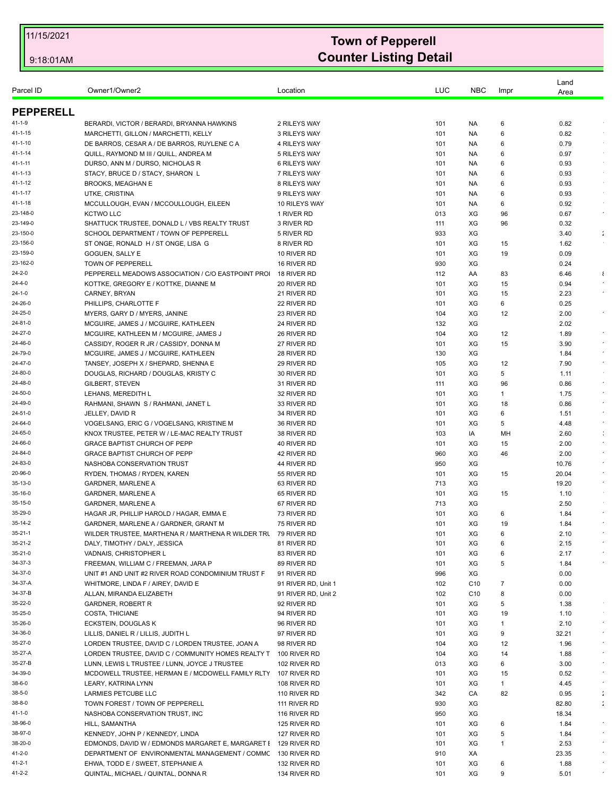| Owner1/Owner2<br>Parcel ID<br>BERARDI, VICTOR / BERARDI, BRYANNA HAWKINS<br>2 RILEYS WAY<br>101<br>NA.<br>6<br>6<br>MARCHETTI, GILLON / MARCHETTI, KELLY<br>3 RILEYS WAY<br>101<br>NA<br>101<br>6<br>DE BARROS, CESAR A / DE BARROS, RUYLENE C A<br>4 RILEYS WAY<br>NA.<br>QUILL, RAYMOND M III / QUILL, ANDREA M<br>5 RILEYS WAY<br>101<br>NA.<br>6<br>DURSO, ANN M / DURSO, NICHOLAS R<br><b>6 RILEYS WAY</b><br>101<br>NA.<br>6<br>STACY, BRUCE D / STACY, SHARON L<br>101<br>6<br>7 RILEYS WAY<br>NA.<br><b>BROOKS, MEAGHAN E</b><br>8 RILEYS WAY<br>101<br>NA.<br>6<br>UTKE, CRISTINA<br>6<br>9 RILEYS WAY<br>101<br>NA<br>MCCULLOUGH, EVAN / MCCOULLOUGH, EILEEN<br>101<br>6<br>10 RILEYS WAY<br>NA.<br><b>KCTWO LLC</b><br>1 RIVER RD<br>013<br>XG<br>96<br>3 RIVER RD<br>XG<br>96<br>SHATTUCK TRUSTEE, DONALD L / VBS REALTY TRUST<br>111<br>SCHOOL DEPARTMENT / TOWN OF PEPPERELL<br>5 RIVER RD<br>933<br>XG<br>ST ONGE, RONALD H / ST ONGE, LISA G<br>8 RIVER RD<br>XG<br>101<br>15<br>XG<br>GOGUEN, SALLY E<br>10 RIVER RD<br>101<br>19<br>TOWN OF PEPPERELL<br>16 RIVER RD<br>930<br>XG<br>PEPPERELL MEADOWS ASSOCIATION / C/O EASTPOINT PRO<br>18 RIVER RD<br>112<br>83<br>AA<br>KOTTKE, GREGORY E / KOTTKE, DIANNE M<br>20 RIVER RD<br>101<br>XG<br>15<br>CARNEY, BRYAN<br>21 RIVER RD<br>XG<br>15<br>101<br>XG<br>PHILLIPS. CHARLOTTE F<br>22 RIVER RD<br>101<br>6<br>XG<br>MYERS, GARY D / MYERS, JANINE<br>23 RIVER RD<br>104<br>12<br>MCGUIRE, JAMES J / MCGUIRE, KATHLEEN<br>24 RIVER RD<br>132<br>XG<br>XG<br>MCGUIRE, KATHLEEN M / MCGUIRE, JAMES J<br>26 RIVER RD<br>104<br>12<br>CASSIDY, ROGER R JR / CASSIDY, DONNA M<br>27 RIVER RD<br>101<br>XG<br>15<br>28 RIVER RD<br>XG<br>MCGUIRE, JAMES J / MCGUIRE, KATHLEEN<br>130<br>TANSEY, JOSEPH X / SHEPARD, SHENNA E<br>29 RIVER RD<br>105<br>XG<br>12<br>5<br>DOUGLAS, RICHARD / DOUGLAS, KRISTY C<br>30 RIVER RD<br>101<br>XG<br>XG<br>GILBERT, STEVEN<br>31 RIVER RD<br>96<br>111<br>LEHANS, MEREDITH L<br>32 RIVER RD<br>101<br>XG<br>1<br>RAHMANI, SHAWN S / RAHMANI, JANET L<br>XG<br>33 RIVER RD<br>101<br>18<br>JELLEY, DAVID R<br>34 RIVER RD<br>XG<br>6<br>101<br>101<br>XG<br>5<br>VOGELSANG, ERIC G / VOGELSANG, KRISTINE M<br>36 RIVER RD<br>MH<br>KNOX TRUSTEE, PETER W / LE-MAC REALTY TRUST<br>38 RIVER RD<br>103<br>IA<br><b>GRACE BAPTIST CHURCH OF PEPP</b><br>101<br>XG<br>15<br>40 RIVER RD<br>GRACE BAPTIST CHURCH OF PEPP<br>960<br>XG<br>46<br>42 RIVER RD<br>NASHOBA CONSERVATION TRUST<br>XG<br>44 RIVER RD<br>950<br>RYDEN, THOMAS / RYDEN, KAREN<br>55 RIVER RD<br>101<br>XG<br>15<br>GARDNER, MARLENE A<br>713<br>XG<br>63 RIVER RD<br>XG<br>101<br>15<br><b>GARDNER, MARLENE A</b><br>65 RIVER RD<br>GARDNER, MARLENE A<br>67 RIVER RD<br>713<br>XG<br>101<br>XG<br>HAGAR JR, PHILLIP HAROLD / HAGAR, EMMA E<br>73 RIVER RD<br>6<br>XG<br>GARDNER, MARLENE A / GARDNER, GRANT M<br>75 RIVER RD<br>101<br>19<br>WILDER TRUSTEE, MARTHENA R / MARTHENA R WILDER TRL 79 RIVER RD<br>101<br>ХG<br>6<br>XG<br>DALY, TIMOTHY / DALY, JESSICA<br>81 RIVER RD<br>101<br>6<br>VADNAIS, CHRISTOPHER L<br>101<br>XG<br>6<br>83 RIVER RD<br>FREEMAN, WILLIAM C / FREEMAN, JARA P<br>XG<br>5<br>89 RIVER RD<br>101<br>XG<br>UNIT#1 AND UNIT#2 RIVER ROAD CONDOMINIUM TRUST F<br>996<br>91 RIVER RD<br>WHITMORE, LINDA F / AIREY, DAVID E<br>91 RIVER RD, Unit 1<br>102<br>C <sub>10</sub><br>7<br>8<br>ALLAN, MIRANDA ELIZABETH<br>91 RIVER RD, Unit 2<br>102<br>C <sub>10</sub><br><b>GARDNER, ROBERT R</b><br>92 RIVER RD<br>XG<br>5<br>101<br>COSTA, THICIANE<br>94 RIVER RD<br>101<br>XG<br>19<br>96 RIVER RD<br>XG<br>ECKSTEIN, DOUGLAS K<br>101<br>1<br>XG<br>LILLIS, DANIEL R / LILLIS, JUDITH L<br>97 RIVER RD<br>9<br>101<br>LORDEN TRUSTEE, DAVID C / LORDEN TRUSTEE, JOAN A<br>104<br>XG<br>98 RIVER RD<br>12<br>LORDEN TRUSTEE, DAVID C / COMMUNITY HOMES REALTY T<br>XG<br>100 RIVER RD<br>104<br>14<br>LUNN, LEWIS L TRUSTEE / LUNN, JOYCE J TRUSTEE<br>013<br>XG<br>102 RIVER RD<br>6<br>MCDOWELL TRUSTEE, HERMAN E / MCDOWELL FAMILY RLTY 107 RIVER RD<br>XG<br>101<br>15<br>XG<br>LEARY, KATRINA LYNN<br>108 RIVER RD<br>101<br>1<br>LARMIES PETCUBE LLC<br>342<br>CA<br>82<br>110 RIVER RD<br>XG<br>TOWN FOREST / TOWN OF PEPPERELL<br>111 RIVER RD<br>930<br>NASHOBA CONSERVATION TRUST, INC.<br>XG<br>116 RIVER RD<br>950<br>XG<br>HILL, SAMANTHA<br>125 RIVER RD<br>101<br>6 |  |          |     |            |      | Land          |                         |
|--------------------------------------------------------------------------------------------------------------------------------------------------------------------------------------------------------------------------------------------------------------------------------------------------------------------------------------------------------------------------------------------------------------------------------------------------------------------------------------------------------------------------------------------------------------------------------------------------------------------------------------------------------------------------------------------------------------------------------------------------------------------------------------------------------------------------------------------------------------------------------------------------------------------------------------------------------------------------------------------------------------------------------------------------------------------------------------------------------------------------------------------------------------------------------------------------------------------------------------------------------------------------------------------------------------------------------------------------------------------------------------------------------------------------------------------------------------------------------------------------------------------------------------------------------------------------------------------------------------------------------------------------------------------------------------------------------------------------------------------------------------------------------------------------------------------------------------------------------------------------------------------------------------------------------------------------------------------------------------------------------------------------------------------------------------------------------------------------------------------------------------------------------------------------------------------------------------------------------------------------------------------------------------------------------------------------------------------------------------------------------------------------------------------------------------------------------------------------------------------------------------------------------------------------------------------------------------------------------------------------------------------------------------------------------------------------------------------------------------------------------------------------------------------------------------------------------------------------------------------------------------------------------------------------------------------------------------------------------------------------------------------------------------------------------------------------------------------------------------------------------------------------------------------------------------------------------------------------------------------------------------------------------------------------------------------------------------------------------------------------------------------------------------------------------------------------------------------------------------------------------------------------------------------------------------------------------------------------------------------------------------------------------------------------------------------------------------------------------------------------------------------------------------------------------------------------------------------------------------------------------------------------------------------------------------------------------------------------------------------------------------------------------------------------------------------------------------------------------------------------------------------------------------------------------------------------------------------------------------------------------------------------------------------------------------------------------------------------------------------------------------------|--|----------|-----|------------|------|---------------|-------------------------|
| <b>PEPPERELL</b>                                                                                                                                                                                                                                                                                                                                                                                                                                                                                                                                                                                                                                                                                                                                                                                                                                                                                                                                                                                                                                                                                                                                                                                                                                                                                                                                                                                                                                                                                                                                                                                                                                                                                                                                                                                                                                                                                                                                                                                                                                                                                                                                                                                                                                                                                                                                                                                                                                                                                                                                                                                                                                                                                                                                                                                                                                                                                                                                                                                                                                                                                                                                                                                                                                                                                                                                                                                                                                                                                                                                                                                                                                                                                                                                                                                                                                                                                                                                                                                                                                                                                                                                                                                                                                                                                                                                                                           |  | Location | LUC | <b>NBC</b> | Impr | Area          |                         |
| $41 - 1 - 9$                                                                                                                                                                                                                                                                                                                                                                                                                                                                                                                                                                                                                                                                                                                                                                                                                                                                                                                                                                                                                                                                                                                                                                                                                                                                                                                                                                                                                                                                                                                                                                                                                                                                                                                                                                                                                                                                                                                                                                                                                                                                                                                                                                                                                                                                                                                                                                                                                                                                                                                                                                                                                                                                                                                                                                                                                                                                                                                                                                                                                                                                                                                                                                                                                                                                                                                                                                                                                                                                                                                                                                                                                                                                                                                                                                                                                                                                                                                                                                                                                                                                                                                                                                                                                                                                                                                                                                               |  |          |     |            |      |               |                         |
| 41-1-15<br>41-1-10<br>$41 - 1 - 14$<br>41-1-11                                                                                                                                                                                                                                                                                                                                                                                                                                                                                                                                                                                                                                                                                                                                                                                                                                                                                                                                                                                                                                                                                                                                                                                                                                                                                                                                                                                                                                                                                                                                                                                                                                                                                                                                                                                                                                                                                                                                                                                                                                                                                                                                                                                                                                                                                                                                                                                                                                                                                                                                                                                                                                                                                                                                                                                                                                                                                                                                                                                                                                                                                                                                                                                                                                                                                                                                                                                                                                                                                                                                                                                                                                                                                                                                                                                                                                                                                                                                                                                                                                                                                                                                                                                                                                                                                                                                             |  |          |     |            |      | 0.82          |                         |
|                                                                                                                                                                                                                                                                                                                                                                                                                                                                                                                                                                                                                                                                                                                                                                                                                                                                                                                                                                                                                                                                                                                                                                                                                                                                                                                                                                                                                                                                                                                                                                                                                                                                                                                                                                                                                                                                                                                                                                                                                                                                                                                                                                                                                                                                                                                                                                                                                                                                                                                                                                                                                                                                                                                                                                                                                                                                                                                                                                                                                                                                                                                                                                                                                                                                                                                                                                                                                                                                                                                                                                                                                                                                                                                                                                                                                                                                                                                                                                                                                                                                                                                                                                                                                                                                                                                                                                                            |  |          |     |            |      | 0.82          |                         |
|                                                                                                                                                                                                                                                                                                                                                                                                                                                                                                                                                                                                                                                                                                                                                                                                                                                                                                                                                                                                                                                                                                                                                                                                                                                                                                                                                                                                                                                                                                                                                                                                                                                                                                                                                                                                                                                                                                                                                                                                                                                                                                                                                                                                                                                                                                                                                                                                                                                                                                                                                                                                                                                                                                                                                                                                                                                                                                                                                                                                                                                                                                                                                                                                                                                                                                                                                                                                                                                                                                                                                                                                                                                                                                                                                                                                                                                                                                                                                                                                                                                                                                                                                                                                                                                                                                                                                                                            |  |          |     |            |      | 0.79          |                         |
|                                                                                                                                                                                                                                                                                                                                                                                                                                                                                                                                                                                                                                                                                                                                                                                                                                                                                                                                                                                                                                                                                                                                                                                                                                                                                                                                                                                                                                                                                                                                                                                                                                                                                                                                                                                                                                                                                                                                                                                                                                                                                                                                                                                                                                                                                                                                                                                                                                                                                                                                                                                                                                                                                                                                                                                                                                                                                                                                                                                                                                                                                                                                                                                                                                                                                                                                                                                                                                                                                                                                                                                                                                                                                                                                                                                                                                                                                                                                                                                                                                                                                                                                                                                                                                                                                                                                                                                            |  |          |     |            |      | 0.97          |                         |
| 41-1-13<br>41-1-12<br>41-1-17                                                                                                                                                                                                                                                                                                                                                                                                                                                                                                                                                                                                                                                                                                                                                                                                                                                                                                                                                                                                                                                                                                                                                                                                                                                                                                                                                                                                                                                                                                                                                                                                                                                                                                                                                                                                                                                                                                                                                                                                                                                                                                                                                                                                                                                                                                                                                                                                                                                                                                                                                                                                                                                                                                                                                                                                                                                                                                                                                                                                                                                                                                                                                                                                                                                                                                                                                                                                                                                                                                                                                                                                                                                                                                                                                                                                                                                                                                                                                                                                                                                                                                                                                                                                                                                                                                                                                              |  |          |     |            |      | 0.93          |                         |
|                                                                                                                                                                                                                                                                                                                                                                                                                                                                                                                                                                                                                                                                                                                                                                                                                                                                                                                                                                                                                                                                                                                                                                                                                                                                                                                                                                                                                                                                                                                                                                                                                                                                                                                                                                                                                                                                                                                                                                                                                                                                                                                                                                                                                                                                                                                                                                                                                                                                                                                                                                                                                                                                                                                                                                                                                                                                                                                                                                                                                                                                                                                                                                                                                                                                                                                                                                                                                                                                                                                                                                                                                                                                                                                                                                                                                                                                                                                                                                                                                                                                                                                                                                                                                                                                                                                                                                                            |  |          |     |            |      | 0.93          | $\sim$                  |
|                                                                                                                                                                                                                                                                                                                                                                                                                                                                                                                                                                                                                                                                                                                                                                                                                                                                                                                                                                                                                                                                                                                                                                                                                                                                                                                                                                                                                                                                                                                                                                                                                                                                                                                                                                                                                                                                                                                                                                                                                                                                                                                                                                                                                                                                                                                                                                                                                                                                                                                                                                                                                                                                                                                                                                                                                                                                                                                                                                                                                                                                                                                                                                                                                                                                                                                                                                                                                                                                                                                                                                                                                                                                                                                                                                                                                                                                                                                                                                                                                                                                                                                                                                                                                                                                                                                                                                                            |  |          |     |            |      | 0.93          |                         |
| 41-1-18<br>23-148-0<br>23-149-0<br>23-150-0<br>23-156-0<br>23-159-0<br>23-162-0                                                                                                                                                                                                                                                                                                                                                                                                                                                                                                                                                                                                                                                                                                                                                                                                                                                                                                                                                                                                                                                                                                                                                                                                                                                                                                                                                                                                                                                                                                                                                                                                                                                                                                                                                                                                                                                                                                                                                                                                                                                                                                                                                                                                                                                                                                                                                                                                                                                                                                                                                                                                                                                                                                                                                                                                                                                                                                                                                                                                                                                                                                                                                                                                                                                                                                                                                                                                                                                                                                                                                                                                                                                                                                                                                                                                                                                                                                                                                                                                                                                                                                                                                                                                                                                                                                            |  |          |     |            |      | 0.93          |                         |
|                                                                                                                                                                                                                                                                                                                                                                                                                                                                                                                                                                                                                                                                                                                                                                                                                                                                                                                                                                                                                                                                                                                                                                                                                                                                                                                                                                                                                                                                                                                                                                                                                                                                                                                                                                                                                                                                                                                                                                                                                                                                                                                                                                                                                                                                                                                                                                                                                                                                                                                                                                                                                                                                                                                                                                                                                                                                                                                                                                                                                                                                                                                                                                                                                                                                                                                                                                                                                                                                                                                                                                                                                                                                                                                                                                                                                                                                                                                                                                                                                                                                                                                                                                                                                                                                                                                                                                                            |  |          |     |            |      | 0.92          |                         |
|                                                                                                                                                                                                                                                                                                                                                                                                                                                                                                                                                                                                                                                                                                                                                                                                                                                                                                                                                                                                                                                                                                                                                                                                                                                                                                                                                                                                                                                                                                                                                                                                                                                                                                                                                                                                                                                                                                                                                                                                                                                                                                                                                                                                                                                                                                                                                                                                                                                                                                                                                                                                                                                                                                                                                                                                                                                                                                                                                                                                                                                                                                                                                                                                                                                                                                                                                                                                                                                                                                                                                                                                                                                                                                                                                                                                                                                                                                                                                                                                                                                                                                                                                                                                                                                                                                                                                                                            |  |          |     |            |      | 0.67          | $\epsilon$              |
|                                                                                                                                                                                                                                                                                                                                                                                                                                                                                                                                                                                                                                                                                                                                                                                                                                                                                                                                                                                                                                                                                                                                                                                                                                                                                                                                                                                                                                                                                                                                                                                                                                                                                                                                                                                                                                                                                                                                                                                                                                                                                                                                                                                                                                                                                                                                                                                                                                                                                                                                                                                                                                                                                                                                                                                                                                                                                                                                                                                                                                                                                                                                                                                                                                                                                                                                                                                                                                                                                                                                                                                                                                                                                                                                                                                                                                                                                                                                                                                                                                                                                                                                                                                                                                                                                                                                                                                            |  |          |     |            |      | 0.32          |                         |
|                                                                                                                                                                                                                                                                                                                                                                                                                                                                                                                                                                                                                                                                                                                                                                                                                                                                                                                                                                                                                                                                                                                                                                                                                                                                                                                                                                                                                                                                                                                                                                                                                                                                                                                                                                                                                                                                                                                                                                                                                                                                                                                                                                                                                                                                                                                                                                                                                                                                                                                                                                                                                                                                                                                                                                                                                                                                                                                                                                                                                                                                                                                                                                                                                                                                                                                                                                                                                                                                                                                                                                                                                                                                                                                                                                                                                                                                                                                                                                                                                                                                                                                                                                                                                                                                                                                                                                                            |  |          |     |            |      | 3.40          | $\mathcal{L}$           |
|                                                                                                                                                                                                                                                                                                                                                                                                                                                                                                                                                                                                                                                                                                                                                                                                                                                                                                                                                                                                                                                                                                                                                                                                                                                                                                                                                                                                                                                                                                                                                                                                                                                                                                                                                                                                                                                                                                                                                                                                                                                                                                                                                                                                                                                                                                                                                                                                                                                                                                                                                                                                                                                                                                                                                                                                                                                                                                                                                                                                                                                                                                                                                                                                                                                                                                                                                                                                                                                                                                                                                                                                                                                                                                                                                                                                                                                                                                                                                                                                                                                                                                                                                                                                                                                                                                                                                                                            |  |          |     |            |      | 1.62          |                         |
| 24-2-0<br>24-4-0<br>24-1-0<br>24-26-0<br>24-25-0<br>24-81-0<br>24-27-0<br>24-46-0<br>24-79-0<br>24-47-0<br>24-80-0<br>24-48-0<br>24-50-0<br>24-49-0<br>24-51-0<br>24-64-0<br>24-65-0<br>24-66-0<br>24-84-0<br>24-83-0<br>20-96-0<br>35-13-0<br>35-16-0<br>35-15-0<br>35-29-0<br>35-14-2<br>35-21-1<br>35-21-2<br>35-21-0<br>34-37-3<br>34-37-0<br>34-37-A<br>34-37-B<br>35-22-0<br>35-25-0<br>35-26-0<br>34-36-0<br>35-27-0<br>35-27-A<br>35-27-B<br>34-39-0<br>$38-6-0$<br>$38 - 5 - 0$<br>38-8-0<br>41-1-0<br>38-96-0                                                                                                                                                                                                                                                                                                                                                                                                                                                                                                                                                                                                                                                                                                                                                                                                                                                                                                                                                                                                                                                                                                                                                                                                                                                                                                                                                                                                                                                                                                                                                                                                                                                                                                                                                                                                                                                                                                                                                                                                                                                                                                                                                                                                                                                                                                                                                                                                                                                                                                                                                                                                                                                                                                                                                                                                                                                                                                                                                                                                                                                                                                                                                                                                                                                                                                                                                                                                                                                                                                                                                                                                                                                                                                                                                                                                                                                                    |  |          |     |            |      | 0.09          |                         |
|                                                                                                                                                                                                                                                                                                                                                                                                                                                                                                                                                                                                                                                                                                                                                                                                                                                                                                                                                                                                                                                                                                                                                                                                                                                                                                                                                                                                                                                                                                                                                                                                                                                                                                                                                                                                                                                                                                                                                                                                                                                                                                                                                                                                                                                                                                                                                                                                                                                                                                                                                                                                                                                                                                                                                                                                                                                                                                                                                                                                                                                                                                                                                                                                                                                                                                                                                                                                                                                                                                                                                                                                                                                                                                                                                                                                                                                                                                                                                                                                                                                                                                                                                                                                                                                                                                                                                                                            |  |          |     |            |      | 0.24          |                         |
|                                                                                                                                                                                                                                                                                                                                                                                                                                                                                                                                                                                                                                                                                                                                                                                                                                                                                                                                                                                                                                                                                                                                                                                                                                                                                                                                                                                                                                                                                                                                                                                                                                                                                                                                                                                                                                                                                                                                                                                                                                                                                                                                                                                                                                                                                                                                                                                                                                                                                                                                                                                                                                                                                                                                                                                                                                                                                                                                                                                                                                                                                                                                                                                                                                                                                                                                                                                                                                                                                                                                                                                                                                                                                                                                                                                                                                                                                                                                                                                                                                                                                                                                                                                                                                                                                                                                                                                            |  |          |     |            |      | 6.46          | $\epsilon$              |
|                                                                                                                                                                                                                                                                                                                                                                                                                                                                                                                                                                                                                                                                                                                                                                                                                                                                                                                                                                                                                                                                                                                                                                                                                                                                                                                                                                                                                                                                                                                                                                                                                                                                                                                                                                                                                                                                                                                                                                                                                                                                                                                                                                                                                                                                                                                                                                                                                                                                                                                                                                                                                                                                                                                                                                                                                                                                                                                                                                                                                                                                                                                                                                                                                                                                                                                                                                                                                                                                                                                                                                                                                                                                                                                                                                                                                                                                                                                                                                                                                                                                                                                                                                                                                                                                                                                                                                                            |  |          |     |            |      | 0.94          | $\star$                 |
|                                                                                                                                                                                                                                                                                                                                                                                                                                                                                                                                                                                                                                                                                                                                                                                                                                                                                                                                                                                                                                                                                                                                                                                                                                                                                                                                                                                                                                                                                                                                                                                                                                                                                                                                                                                                                                                                                                                                                                                                                                                                                                                                                                                                                                                                                                                                                                                                                                                                                                                                                                                                                                                                                                                                                                                                                                                                                                                                                                                                                                                                                                                                                                                                                                                                                                                                                                                                                                                                                                                                                                                                                                                                                                                                                                                                                                                                                                                                                                                                                                                                                                                                                                                                                                                                                                                                                                                            |  |          |     |            |      | 2.23<br>0.25  |                         |
|                                                                                                                                                                                                                                                                                                                                                                                                                                                                                                                                                                                                                                                                                                                                                                                                                                                                                                                                                                                                                                                                                                                                                                                                                                                                                                                                                                                                                                                                                                                                                                                                                                                                                                                                                                                                                                                                                                                                                                                                                                                                                                                                                                                                                                                                                                                                                                                                                                                                                                                                                                                                                                                                                                                                                                                                                                                                                                                                                                                                                                                                                                                                                                                                                                                                                                                                                                                                                                                                                                                                                                                                                                                                                                                                                                                                                                                                                                                                                                                                                                                                                                                                                                                                                                                                                                                                                                                            |  |          |     |            |      | 2.00          |                         |
|                                                                                                                                                                                                                                                                                                                                                                                                                                                                                                                                                                                                                                                                                                                                                                                                                                                                                                                                                                                                                                                                                                                                                                                                                                                                                                                                                                                                                                                                                                                                                                                                                                                                                                                                                                                                                                                                                                                                                                                                                                                                                                                                                                                                                                                                                                                                                                                                                                                                                                                                                                                                                                                                                                                                                                                                                                                                                                                                                                                                                                                                                                                                                                                                                                                                                                                                                                                                                                                                                                                                                                                                                                                                                                                                                                                                                                                                                                                                                                                                                                                                                                                                                                                                                                                                                                                                                                                            |  |          |     |            |      | 2.02          |                         |
|                                                                                                                                                                                                                                                                                                                                                                                                                                                                                                                                                                                                                                                                                                                                                                                                                                                                                                                                                                                                                                                                                                                                                                                                                                                                                                                                                                                                                                                                                                                                                                                                                                                                                                                                                                                                                                                                                                                                                                                                                                                                                                                                                                                                                                                                                                                                                                                                                                                                                                                                                                                                                                                                                                                                                                                                                                                                                                                                                                                                                                                                                                                                                                                                                                                                                                                                                                                                                                                                                                                                                                                                                                                                                                                                                                                                                                                                                                                                                                                                                                                                                                                                                                                                                                                                                                                                                                                            |  |          |     |            |      | 1.89          |                         |
|                                                                                                                                                                                                                                                                                                                                                                                                                                                                                                                                                                                                                                                                                                                                                                                                                                                                                                                                                                                                                                                                                                                                                                                                                                                                                                                                                                                                                                                                                                                                                                                                                                                                                                                                                                                                                                                                                                                                                                                                                                                                                                                                                                                                                                                                                                                                                                                                                                                                                                                                                                                                                                                                                                                                                                                                                                                                                                                                                                                                                                                                                                                                                                                                                                                                                                                                                                                                                                                                                                                                                                                                                                                                                                                                                                                                                                                                                                                                                                                                                                                                                                                                                                                                                                                                                                                                                                                            |  |          |     |            |      | 3.90          | $\bullet$               |
|                                                                                                                                                                                                                                                                                                                                                                                                                                                                                                                                                                                                                                                                                                                                                                                                                                                                                                                                                                                                                                                                                                                                                                                                                                                                                                                                                                                                                                                                                                                                                                                                                                                                                                                                                                                                                                                                                                                                                                                                                                                                                                                                                                                                                                                                                                                                                                                                                                                                                                                                                                                                                                                                                                                                                                                                                                                                                                                                                                                                                                                                                                                                                                                                                                                                                                                                                                                                                                                                                                                                                                                                                                                                                                                                                                                                                                                                                                                                                                                                                                                                                                                                                                                                                                                                                                                                                                                            |  |          |     |            |      | 1.84          | $\star$                 |
|                                                                                                                                                                                                                                                                                                                                                                                                                                                                                                                                                                                                                                                                                                                                                                                                                                                                                                                                                                                                                                                                                                                                                                                                                                                                                                                                                                                                                                                                                                                                                                                                                                                                                                                                                                                                                                                                                                                                                                                                                                                                                                                                                                                                                                                                                                                                                                                                                                                                                                                                                                                                                                                                                                                                                                                                                                                                                                                                                                                                                                                                                                                                                                                                                                                                                                                                                                                                                                                                                                                                                                                                                                                                                                                                                                                                                                                                                                                                                                                                                                                                                                                                                                                                                                                                                                                                                                                            |  |          |     |            |      | 7.90          | $\star$                 |
|                                                                                                                                                                                                                                                                                                                                                                                                                                                                                                                                                                                                                                                                                                                                                                                                                                                                                                                                                                                                                                                                                                                                                                                                                                                                                                                                                                                                                                                                                                                                                                                                                                                                                                                                                                                                                                                                                                                                                                                                                                                                                                                                                                                                                                                                                                                                                                                                                                                                                                                                                                                                                                                                                                                                                                                                                                                                                                                                                                                                                                                                                                                                                                                                                                                                                                                                                                                                                                                                                                                                                                                                                                                                                                                                                                                                                                                                                                                                                                                                                                                                                                                                                                                                                                                                                                                                                                                            |  |          |     |            |      | 1.11          |                         |
|                                                                                                                                                                                                                                                                                                                                                                                                                                                                                                                                                                                                                                                                                                                                                                                                                                                                                                                                                                                                                                                                                                                                                                                                                                                                                                                                                                                                                                                                                                                                                                                                                                                                                                                                                                                                                                                                                                                                                                                                                                                                                                                                                                                                                                                                                                                                                                                                                                                                                                                                                                                                                                                                                                                                                                                                                                                                                                                                                                                                                                                                                                                                                                                                                                                                                                                                                                                                                                                                                                                                                                                                                                                                                                                                                                                                                                                                                                                                                                                                                                                                                                                                                                                                                                                                                                                                                                                            |  |          |     |            |      | 0.86          | $\epsilon$              |
|                                                                                                                                                                                                                                                                                                                                                                                                                                                                                                                                                                                                                                                                                                                                                                                                                                                                                                                                                                                                                                                                                                                                                                                                                                                                                                                                                                                                                                                                                                                                                                                                                                                                                                                                                                                                                                                                                                                                                                                                                                                                                                                                                                                                                                                                                                                                                                                                                                                                                                                                                                                                                                                                                                                                                                                                                                                                                                                                                                                                                                                                                                                                                                                                                                                                                                                                                                                                                                                                                                                                                                                                                                                                                                                                                                                                                                                                                                                                                                                                                                                                                                                                                                                                                                                                                                                                                                                            |  |          |     |            |      | 1.75          | $\bullet$               |
|                                                                                                                                                                                                                                                                                                                                                                                                                                                                                                                                                                                                                                                                                                                                                                                                                                                                                                                                                                                                                                                                                                                                                                                                                                                                                                                                                                                                                                                                                                                                                                                                                                                                                                                                                                                                                                                                                                                                                                                                                                                                                                                                                                                                                                                                                                                                                                                                                                                                                                                                                                                                                                                                                                                                                                                                                                                                                                                                                                                                                                                                                                                                                                                                                                                                                                                                                                                                                                                                                                                                                                                                                                                                                                                                                                                                                                                                                                                                                                                                                                                                                                                                                                                                                                                                                                                                                                                            |  |          |     |            |      | 0.86          | $\epsilon$              |
|                                                                                                                                                                                                                                                                                                                                                                                                                                                                                                                                                                                                                                                                                                                                                                                                                                                                                                                                                                                                                                                                                                                                                                                                                                                                                                                                                                                                                                                                                                                                                                                                                                                                                                                                                                                                                                                                                                                                                                                                                                                                                                                                                                                                                                                                                                                                                                                                                                                                                                                                                                                                                                                                                                                                                                                                                                                                                                                                                                                                                                                                                                                                                                                                                                                                                                                                                                                                                                                                                                                                                                                                                                                                                                                                                                                                                                                                                                                                                                                                                                                                                                                                                                                                                                                                                                                                                                                            |  |          |     |            |      | 1.51          |                         |
|                                                                                                                                                                                                                                                                                                                                                                                                                                                                                                                                                                                                                                                                                                                                                                                                                                                                                                                                                                                                                                                                                                                                                                                                                                                                                                                                                                                                                                                                                                                                                                                                                                                                                                                                                                                                                                                                                                                                                                                                                                                                                                                                                                                                                                                                                                                                                                                                                                                                                                                                                                                                                                                                                                                                                                                                                                                                                                                                                                                                                                                                                                                                                                                                                                                                                                                                                                                                                                                                                                                                                                                                                                                                                                                                                                                                                                                                                                                                                                                                                                                                                                                                                                                                                                                                                                                                                                                            |  |          |     |            |      | 4.48          | $\star$                 |
|                                                                                                                                                                                                                                                                                                                                                                                                                                                                                                                                                                                                                                                                                                                                                                                                                                                                                                                                                                                                                                                                                                                                                                                                                                                                                                                                                                                                                                                                                                                                                                                                                                                                                                                                                                                                                                                                                                                                                                                                                                                                                                                                                                                                                                                                                                                                                                                                                                                                                                                                                                                                                                                                                                                                                                                                                                                                                                                                                                                                                                                                                                                                                                                                                                                                                                                                                                                                                                                                                                                                                                                                                                                                                                                                                                                                                                                                                                                                                                                                                                                                                                                                                                                                                                                                                                                                                                                            |  |          |     |            |      | 2.60          | ÷                       |
|                                                                                                                                                                                                                                                                                                                                                                                                                                                                                                                                                                                                                                                                                                                                                                                                                                                                                                                                                                                                                                                                                                                                                                                                                                                                                                                                                                                                                                                                                                                                                                                                                                                                                                                                                                                                                                                                                                                                                                                                                                                                                                                                                                                                                                                                                                                                                                                                                                                                                                                                                                                                                                                                                                                                                                                                                                                                                                                                                                                                                                                                                                                                                                                                                                                                                                                                                                                                                                                                                                                                                                                                                                                                                                                                                                                                                                                                                                                                                                                                                                                                                                                                                                                                                                                                                                                                                                                            |  |          |     |            |      | 2.00          |                         |
|                                                                                                                                                                                                                                                                                                                                                                                                                                                                                                                                                                                                                                                                                                                                                                                                                                                                                                                                                                                                                                                                                                                                                                                                                                                                                                                                                                                                                                                                                                                                                                                                                                                                                                                                                                                                                                                                                                                                                                                                                                                                                                                                                                                                                                                                                                                                                                                                                                                                                                                                                                                                                                                                                                                                                                                                                                                                                                                                                                                                                                                                                                                                                                                                                                                                                                                                                                                                                                                                                                                                                                                                                                                                                                                                                                                                                                                                                                                                                                                                                                                                                                                                                                                                                                                                                                                                                                                            |  |          |     |            |      | 2.00          | $\bullet$<br>$\epsilon$ |
|                                                                                                                                                                                                                                                                                                                                                                                                                                                                                                                                                                                                                                                                                                                                                                                                                                                                                                                                                                                                                                                                                                                                                                                                                                                                                                                                                                                                                                                                                                                                                                                                                                                                                                                                                                                                                                                                                                                                                                                                                                                                                                                                                                                                                                                                                                                                                                                                                                                                                                                                                                                                                                                                                                                                                                                                                                                                                                                                                                                                                                                                                                                                                                                                                                                                                                                                                                                                                                                                                                                                                                                                                                                                                                                                                                                                                                                                                                                                                                                                                                                                                                                                                                                                                                                                                                                                                                                            |  |          |     |            |      | 10.76         | $\star$                 |
|                                                                                                                                                                                                                                                                                                                                                                                                                                                                                                                                                                                                                                                                                                                                                                                                                                                                                                                                                                                                                                                                                                                                                                                                                                                                                                                                                                                                                                                                                                                                                                                                                                                                                                                                                                                                                                                                                                                                                                                                                                                                                                                                                                                                                                                                                                                                                                                                                                                                                                                                                                                                                                                                                                                                                                                                                                                                                                                                                                                                                                                                                                                                                                                                                                                                                                                                                                                                                                                                                                                                                                                                                                                                                                                                                                                                                                                                                                                                                                                                                                                                                                                                                                                                                                                                                                                                                                                            |  |          |     |            |      | 20.04         | $\bullet$               |
|                                                                                                                                                                                                                                                                                                                                                                                                                                                                                                                                                                                                                                                                                                                                                                                                                                                                                                                                                                                                                                                                                                                                                                                                                                                                                                                                                                                                                                                                                                                                                                                                                                                                                                                                                                                                                                                                                                                                                                                                                                                                                                                                                                                                                                                                                                                                                                                                                                                                                                                                                                                                                                                                                                                                                                                                                                                                                                                                                                                                                                                                                                                                                                                                                                                                                                                                                                                                                                                                                                                                                                                                                                                                                                                                                                                                                                                                                                                                                                                                                                                                                                                                                                                                                                                                                                                                                                                            |  |          |     |            |      | 19.20<br>1.10 |                         |
|                                                                                                                                                                                                                                                                                                                                                                                                                                                                                                                                                                                                                                                                                                                                                                                                                                                                                                                                                                                                                                                                                                                                                                                                                                                                                                                                                                                                                                                                                                                                                                                                                                                                                                                                                                                                                                                                                                                                                                                                                                                                                                                                                                                                                                                                                                                                                                                                                                                                                                                                                                                                                                                                                                                                                                                                                                                                                                                                                                                                                                                                                                                                                                                                                                                                                                                                                                                                                                                                                                                                                                                                                                                                                                                                                                                                                                                                                                                                                                                                                                                                                                                                                                                                                                                                                                                                                                                            |  |          |     |            |      | 2.50          |                         |
|                                                                                                                                                                                                                                                                                                                                                                                                                                                                                                                                                                                                                                                                                                                                                                                                                                                                                                                                                                                                                                                                                                                                                                                                                                                                                                                                                                                                                                                                                                                                                                                                                                                                                                                                                                                                                                                                                                                                                                                                                                                                                                                                                                                                                                                                                                                                                                                                                                                                                                                                                                                                                                                                                                                                                                                                                                                                                                                                                                                                                                                                                                                                                                                                                                                                                                                                                                                                                                                                                                                                                                                                                                                                                                                                                                                                                                                                                                                                                                                                                                                                                                                                                                                                                                                                                                                                                                                            |  |          |     |            |      | 1.84          |                         |
|                                                                                                                                                                                                                                                                                                                                                                                                                                                                                                                                                                                                                                                                                                                                                                                                                                                                                                                                                                                                                                                                                                                                                                                                                                                                                                                                                                                                                                                                                                                                                                                                                                                                                                                                                                                                                                                                                                                                                                                                                                                                                                                                                                                                                                                                                                                                                                                                                                                                                                                                                                                                                                                                                                                                                                                                                                                                                                                                                                                                                                                                                                                                                                                                                                                                                                                                                                                                                                                                                                                                                                                                                                                                                                                                                                                                                                                                                                                                                                                                                                                                                                                                                                                                                                                                                                                                                                                            |  |          |     |            |      | 1.84          |                         |
|                                                                                                                                                                                                                                                                                                                                                                                                                                                                                                                                                                                                                                                                                                                                                                                                                                                                                                                                                                                                                                                                                                                                                                                                                                                                                                                                                                                                                                                                                                                                                                                                                                                                                                                                                                                                                                                                                                                                                                                                                                                                                                                                                                                                                                                                                                                                                                                                                                                                                                                                                                                                                                                                                                                                                                                                                                                                                                                                                                                                                                                                                                                                                                                                                                                                                                                                                                                                                                                                                                                                                                                                                                                                                                                                                                                                                                                                                                                                                                                                                                                                                                                                                                                                                                                                                                                                                                                            |  |          |     |            |      | 2.10          |                         |
|                                                                                                                                                                                                                                                                                                                                                                                                                                                                                                                                                                                                                                                                                                                                                                                                                                                                                                                                                                                                                                                                                                                                                                                                                                                                                                                                                                                                                                                                                                                                                                                                                                                                                                                                                                                                                                                                                                                                                                                                                                                                                                                                                                                                                                                                                                                                                                                                                                                                                                                                                                                                                                                                                                                                                                                                                                                                                                                                                                                                                                                                                                                                                                                                                                                                                                                                                                                                                                                                                                                                                                                                                                                                                                                                                                                                                                                                                                                                                                                                                                                                                                                                                                                                                                                                                                                                                                                            |  |          |     |            |      | 2.15          |                         |
|                                                                                                                                                                                                                                                                                                                                                                                                                                                                                                                                                                                                                                                                                                                                                                                                                                                                                                                                                                                                                                                                                                                                                                                                                                                                                                                                                                                                                                                                                                                                                                                                                                                                                                                                                                                                                                                                                                                                                                                                                                                                                                                                                                                                                                                                                                                                                                                                                                                                                                                                                                                                                                                                                                                                                                                                                                                                                                                                                                                                                                                                                                                                                                                                                                                                                                                                                                                                                                                                                                                                                                                                                                                                                                                                                                                                                                                                                                                                                                                                                                                                                                                                                                                                                                                                                                                                                                                            |  |          |     |            |      | 2.17          |                         |
|                                                                                                                                                                                                                                                                                                                                                                                                                                                                                                                                                                                                                                                                                                                                                                                                                                                                                                                                                                                                                                                                                                                                                                                                                                                                                                                                                                                                                                                                                                                                                                                                                                                                                                                                                                                                                                                                                                                                                                                                                                                                                                                                                                                                                                                                                                                                                                                                                                                                                                                                                                                                                                                                                                                                                                                                                                                                                                                                                                                                                                                                                                                                                                                                                                                                                                                                                                                                                                                                                                                                                                                                                                                                                                                                                                                                                                                                                                                                                                                                                                                                                                                                                                                                                                                                                                                                                                                            |  |          |     |            |      | 1.84          |                         |
|                                                                                                                                                                                                                                                                                                                                                                                                                                                                                                                                                                                                                                                                                                                                                                                                                                                                                                                                                                                                                                                                                                                                                                                                                                                                                                                                                                                                                                                                                                                                                                                                                                                                                                                                                                                                                                                                                                                                                                                                                                                                                                                                                                                                                                                                                                                                                                                                                                                                                                                                                                                                                                                                                                                                                                                                                                                                                                                                                                                                                                                                                                                                                                                                                                                                                                                                                                                                                                                                                                                                                                                                                                                                                                                                                                                                                                                                                                                                                                                                                                                                                                                                                                                                                                                                                                                                                                                            |  |          |     |            |      | 0.00          |                         |
|                                                                                                                                                                                                                                                                                                                                                                                                                                                                                                                                                                                                                                                                                                                                                                                                                                                                                                                                                                                                                                                                                                                                                                                                                                                                                                                                                                                                                                                                                                                                                                                                                                                                                                                                                                                                                                                                                                                                                                                                                                                                                                                                                                                                                                                                                                                                                                                                                                                                                                                                                                                                                                                                                                                                                                                                                                                                                                                                                                                                                                                                                                                                                                                                                                                                                                                                                                                                                                                                                                                                                                                                                                                                                                                                                                                                                                                                                                                                                                                                                                                                                                                                                                                                                                                                                                                                                                                            |  |          |     |            |      | 0.00          |                         |
|                                                                                                                                                                                                                                                                                                                                                                                                                                                                                                                                                                                                                                                                                                                                                                                                                                                                                                                                                                                                                                                                                                                                                                                                                                                                                                                                                                                                                                                                                                                                                                                                                                                                                                                                                                                                                                                                                                                                                                                                                                                                                                                                                                                                                                                                                                                                                                                                                                                                                                                                                                                                                                                                                                                                                                                                                                                                                                                                                                                                                                                                                                                                                                                                                                                                                                                                                                                                                                                                                                                                                                                                                                                                                                                                                                                                                                                                                                                                                                                                                                                                                                                                                                                                                                                                                                                                                                                            |  |          |     |            |      | 0.00          |                         |
|                                                                                                                                                                                                                                                                                                                                                                                                                                                                                                                                                                                                                                                                                                                                                                                                                                                                                                                                                                                                                                                                                                                                                                                                                                                                                                                                                                                                                                                                                                                                                                                                                                                                                                                                                                                                                                                                                                                                                                                                                                                                                                                                                                                                                                                                                                                                                                                                                                                                                                                                                                                                                                                                                                                                                                                                                                                                                                                                                                                                                                                                                                                                                                                                                                                                                                                                                                                                                                                                                                                                                                                                                                                                                                                                                                                                                                                                                                                                                                                                                                                                                                                                                                                                                                                                                                                                                                                            |  |          |     |            |      | 1.38          |                         |
|                                                                                                                                                                                                                                                                                                                                                                                                                                                                                                                                                                                                                                                                                                                                                                                                                                                                                                                                                                                                                                                                                                                                                                                                                                                                                                                                                                                                                                                                                                                                                                                                                                                                                                                                                                                                                                                                                                                                                                                                                                                                                                                                                                                                                                                                                                                                                                                                                                                                                                                                                                                                                                                                                                                                                                                                                                                                                                                                                                                                                                                                                                                                                                                                                                                                                                                                                                                                                                                                                                                                                                                                                                                                                                                                                                                                                                                                                                                                                                                                                                                                                                                                                                                                                                                                                                                                                                                            |  |          |     |            |      | 1.10          |                         |
|                                                                                                                                                                                                                                                                                                                                                                                                                                                                                                                                                                                                                                                                                                                                                                                                                                                                                                                                                                                                                                                                                                                                                                                                                                                                                                                                                                                                                                                                                                                                                                                                                                                                                                                                                                                                                                                                                                                                                                                                                                                                                                                                                                                                                                                                                                                                                                                                                                                                                                                                                                                                                                                                                                                                                                                                                                                                                                                                                                                                                                                                                                                                                                                                                                                                                                                                                                                                                                                                                                                                                                                                                                                                                                                                                                                                                                                                                                                                                                                                                                                                                                                                                                                                                                                                                                                                                                                            |  |          |     |            |      | 2.10          | $\star$                 |
|                                                                                                                                                                                                                                                                                                                                                                                                                                                                                                                                                                                                                                                                                                                                                                                                                                                                                                                                                                                                                                                                                                                                                                                                                                                                                                                                                                                                                                                                                                                                                                                                                                                                                                                                                                                                                                                                                                                                                                                                                                                                                                                                                                                                                                                                                                                                                                                                                                                                                                                                                                                                                                                                                                                                                                                                                                                                                                                                                                                                                                                                                                                                                                                                                                                                                                                                                                                                                                                                                                                                                                                                                                                                                                                                                                                                                                                                                                                                                                                                                                                                                                                                                                                                                                                                                                                                                                                            |  |          |     |            |      | 32.21         | $\star$<br>$\bullet$    |
|                                                                                                                                                                                                                                                                                                                                                                                                                                                                                                                                                                                                                                                                                                                                                                                                                                                                                                                                                                                                                                                                                                                                                                                                                                                                                                                                                                                                                                                                                                                                                                                                                                                                                                                                                                                                                                                                                                                                                                                                                                                                                                                                                                                                                                                                                                                                                                                                                                                                                                                                                                                                                                                                                                                                                                                                                                                                                                                                                                                                                                                                                                                                                                                                                                                                                                                                                                                                                                                                                                                                                                                                                                                                                                                                                                                                                                                                                                                                                                                                                                                                                                                                                                                                                                                                                                                                                                                            |  |          |     |            |      | 1.96          |                         |
|                                                                                                                                                                                                                                                                                                                                                                                                                                                                                                                                                                                                                                                                                                                                                                                                                                                                                                                                                                                                                                                                                                                                                                                                                                                                                                                                                                                                                                                                                                                                                                                                                                                                                                                                                                                                                                                                                                                                                                                                                                                                                                                                                                                                                                                                                                                                                                                                                                                                                                                                                                                                                                                                                                                                                                                                                                                                                                                                                                                                                                                                                                                                                                                                                                                                                                                                                                                                                                                                                                                                                                                                                                                                                                                                                                                                                                                                                                                                                                                                                                                                                                                                                                                                                                                                                                                                                                                            |  |          |     |            |      | 1.88          | $\epsilon$              |
|                                                                                                                                                                                                                                                                                                                                                                                                                                                                                                                                                                                                                                                                                                                                                                                                                                                                                                                                                                                                                                                                                                                                                                                                                                                                                                                                                                                                                                                                                                                                                                                                                                                                                                                                                                                                                                                                                                                                                                                                                                                                                                                                                                                                                                                                                                                                                                                                                                                                                                                                                                                                                                                                                                                                                                                                                                                                                                                                                                                                                                                                                                                                                                                                                                                                                                                                                                                                                                                                                                                                                                                                                                                                                                                                                                                                                                                                                                                                                                                                                                                                                                                                                                                                                                                                                                                                                                                            |  |          |     |            |      | 3.00          | $\bullet$               |
|                                                                                                                                                                                                                                                                                                                                                                                                                                                                                                                                                                                                                                                                                                                                                                                                                                                                                                                                                                                                                                                                                                                                                                                                                                                                                                                                                                                                                                                                                                                                                                                                                                                                                                                                                                                                                                                                                                                                                                                                                                                                                                                                                                                                                                                                                                                                                                                                                                                                                                                                                                                                                                                                                                                                                                                                                                                                                                                                                                                                                                                                                                                                                                                                                                                                                                                                                                                                                                                                                                                                                                                                                                                                                                                                                                                                                                                                                                                                                                                                                                                                                                                                                                                                                                                                                                                                                                                            |  |          |     |            |      | 0.52<br>4.45  |                         |
|                                                                                                                                                                                                                                                                                                                                                                                                                                                                                                                                                                                                                                                                                                                                                                                                                                                                                                                                                                                                                                                                                                                                                                                                                                                                                                                                                                                                                                                                                                                                                                                                                                                                                                                                                                                                                                                                                                                                                                                                                                                                                                                                                                                                                                                                                                                                                                                                                                                                                                                                                                                                                                                                                                                                                                                                                                                                                                                                                                                                                                                                                                                                                                                                                                                                                                                                                                                                                                                                                                                                                                                                                                                                                                                                                                                                                                                                                                                                                                                                                                                                                                                                                                                                                                                                                                                                                                                            |  |          |     |            |      | 0.95          | ÷                       |
|                                                                                                                                                                                                                                                                                                                                                                                                                                                                                                                                                                                                                                                                                                                                                                                                                                                                                                                                                                                                                                                                                                                                                                                                                                                                                                                                                                                                                                                                                                                                                                                                                                                                                                                                                                                                                                                                                                                                                                                                                                                                                                                                                                                                                                                                                                                                                                                                                                                                                                                                                                                                                                                                                                                                                                                                                                                                                                                                                                                                                                                                                                                                                                                                                                                                                                                                                                                                                                                                                                                                                                                                                                                                                                                                                                                                                                                                                                                                                                                                                                                                                                                                                                                                                                                                                                                                                                                            |  |          |     |            |      | 82.80         | $\mathcal{L}$           |
|                                                                                                                                                                                                                                                                                                                                                                                                                                                                                                                                                                                                                                                                                                                                                                                                                                                                                                                                                                                                                                                                                                                                                                                                                                                                                                                                                                                                                                                                                                                                                                                                                                                                                                                                                                                                                                                                                                                                                                                                                                                                                                                                                                                                                                                                                                                                                                                                                                                                                                                                                                                                                                                                                                                                                                                                                                                                                                                                                                                                                                                                                                                                                                                                                                                                                                                                                                                                                                                                                                                                                                                                                                                                                                                                                                                                                                                                                                                                                                                                                                                                                                                                                                                                                                                                                                                                                                                            |  |          |     |            |      | 18.34         |                         |
|                                                                                                                                                                                                                                                                                                                                                                                                                                                                                                                                                                                                                                                                                                                                                                                                                                                                                                                                                                                                                                                                                                                                                                                                                                                                                                                                                                                                                                                                                                                                                                                                                                                                                                                                                                                                                                                                                                                                                                                                                                                                                                                                                                                                                                                                                                                                                                                                                                                                                                                                                                                                                                                                                                                                                                                                                                                                                                                                                                                                                                                                                                                                                                                                                                                                                                                                                                                                                                                                                                                                                                                                                                                                                                                                                                                                                                                                                                                                                                                                                                                                                                                                                                                                                                                                                                                                                                                            |  |          |     |            |      | 1.84          |                         |
| 38-97-0<br>XG<br>5<br>KENNEDY, JOHN P / KENNEDY, LINDA<br>127 RIVER RD<br>101                                                                                                                                                                                                                                                                                                                                                                                                                                                                                                                                                                                                                                                                                                                                                                                                                                                                                                                                                                                                                                                                                                                                                                                                                                                                                                                                                                                                                                                                                                                                                                                                                                                                                                                                                                                                                                                                                                                                                                                                                                                                                                                                                                                                                                                                                                                                                                                                                                                                                                                                                                                                                                                                                                                                                                                                                                                                                                                                                                                                                                                                                                                                                                                                                                                                                                                                                                                                                                                                                                                                                                                                                                                                                                                                                                                                                                                                                                                                                                                                                                                                                                                                                                                                                                                                                                              |  |          |     |            |      | 1.84          | $\bullet$               |
| 38-20-0<br>XG<br>EDMONDS, DAVID W / EDMONDS MARGARET E, MARGARET I<br>129 RIVER RD<br>101<br>$\mathbf 1$                                                                                                                                                                                                                                                                                                                                                                                                                                                                                                                                                                                                                                                                                                                                                                                                                                                                                                                                                                                                                                                                                                                                                                                                                                                                                                                                                                                                                                                                                                                                                                                                                                                                                                                                                                                                                                                                                                                                                                                                                                                                                                                                                                                                                                                                                                                                                                                                                                                                                                                                                                                                                                                                                                                                                                                                                                                                                                                                                                                                                                                                                                                                                                                                                                                                                                                                                                                                                                                                                                                                                                                                                                                                                                                                                                                                                                                                                                                                                                                                                                                                                                                                                                                                                                                                                   |  |          |     |            |      | 2.53          |                         |
| 41-2-0<br>910<br>XA<br>DEPARTMENT OF ENVIRONMENTAL MANAGEMENT / COMMC 130 RIVER RD                                                                                                                                                                                                                                                                                                                                                                                                                                                                                                                                                                                                                                                                                                                                                                                                                                                                                                                                                                                                                                                                                                                                                                                                                                                                                                                                                                                                                                                                                                                                                                                                                                                                                                                                                                                                                                                                                                                                                                                                                                                                                                                                                                                                                                                                                                                                                                                                                                                                                                                                                                                                                                                                                                                                                                                                                                                                                                                                                                                                                                                                                                                                                                                                                                                                                                                                                                                                                                                                                                                                                                                                                                                                                                                                                                                                                                                                                                                                                                                                                                                                                                                                                                                                                                                                                                         |  |          |     |            |      | 23.35         | $\bullet$               |
| 41-2-1<br>EHWA, TODD E / SWEET, STEPHANIE A<br>XG<br>132 RIVER RD<br>101<br>6                                                                                                                                                                                                                                                                                                                                                                                                                                                                                                                                                                                                                                                                                                                                                                                                                                                                                                                                                                                                                                                                                                                                                                                                                                                                                                                                                                                                                                                                                                                                                                                                                                                                                                                                                                                                                                                                                                                                                                                                                                                                                                                                                                                                                                                                                                                                                                                                                                                                                                                                                                                                                                                                                                                                                                                                                                                                                                                                                                                                                                                                                                                                                                                                                                                                                                                                                                                                                                                                                                                                                                                                                                                                                                                                                                                                                                                                                                                                                                                                                                                                                                                                                                                                                                                                                                              |  |          |     |            |      | 1.88          |                         |
| 41-2-2<br>QUINTAL, MICHAEL / QUINTAL, DONNA R<br>101<br>XG<br>9<br>134 RIVER RD                                                                                                                                                                                                                                                                                                                                                                                                                                                                                                                                                                                                                                                                                                                                                                                                                                                                                                                                                                                                                                                                                                                                                                                                                                                                                                                                                                                                                                                                                                                                                                                                                                                                                                                                                                                                                                                                                                                                                                                                                                                                                                                                                                                                                                                                                                                                                                                                                                                                                                                                                                                                                                                                                                                                                                                                                                                                                                                                                                                                                                                                                                                                                                                                                                                                                                                                                                                                                                                                                                                                                                                                                                                                                                                                                                                                                                                                                                                                                                                                                                                                                                                                                                                                                                                                                                            |  |          |     |            |      | 5.01          |                         |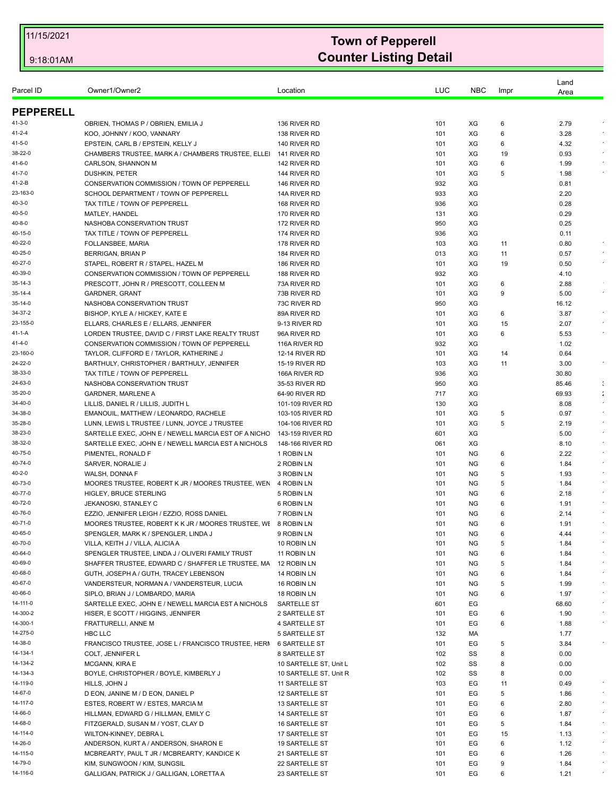| Parcel ID           | Owner1/Owner2                                                               | Location                                       | LUC        | <b>NBC</b> | Impr | Land<br>Area   |            |
|---------------------|-----------------------------------------------------------------------------|------------------------------------------------|------------|------------|------|----------------|------------|
| <b>PEPPERELL</b>    |                                                                             |                                                |            |            |      |                |            |
| 41-3-0              | OBRIEN, THOMAS P / OBRIEN, EMILIA J                                         | 136 RIVER RD                                   | 101        | XG         | 6    | 2.79           |            |
| 41-2-4              | KOO, JOHNNY / KOO, VANNARY                                                  | 138 RIVER RD                                   | 101        | XG         | 6    | 3.28           |            |
| 41-5-0              | EPSTEIN, CARL B / EPSTEIN, KELLY J                                          | 140 RIVER RD                                   | 101        | XG         | 6    | 4.32           |            |
| 38-22-0             | CHAMBERS TRUSTEE, MARK A / CHAMBERS TRUSTEE, ELLEI                          | 141 RIVER RD                                   | 101        | XG         | 19   | 0.93           |            |
| 41-6-0              | CARLSON, SHANNON M                                                          | 142 RIVER RD                                   | 101        | XG         | 6    | 1.99           |            |
| 41-7-0              | <b>DUSHKIN, PETER</b>                                                       | 144 RIVER RD                                   | 101        | XG         | 5    | 1.98           |            |
| 41-2-B              | CONSERVATION COMMISSION / TOWN OF PEPPERELL                                 | 146 RIVER RD                                   | 932        | XG         |      | 0.81           |            |
| 23-163-0            | SCHOOL DEPARTMENT / TOWN OF PEPPERELL                                       | 14A RIVER RD                                   | 933        | XG         |      | 2.20           |            |
| $40 - 3 - 0$        | TAX TITLE / TOWN OF PEPPERELL                                               | 168 RIVER RD                                   | 936        | XG         |      | 0.28           |            |
| 40-5-0              | MATLEY, HANDEL                                                              | 170 RIVER RD                                   | 131        | XG         |      | 0.29           |            |
| 40-8-0              | NASHOBA CONSERVATION TRUST                                                  | 172 RIVER RD                                   | 950        | XG         |      | 0.25           |            |
| 40-15-0             | TAX TITLE / TOWN OF PEPPERELL                                               | 174 RIVER RD                                   | 936        | XG         |      | 0.11           |            |
| 40-22-0             | FOLLANSBEE, MARIA                                                           | 178 RIVER RD                                   | 103        | XG         | 11   | 0.80           |            |
| 40-25-0             | <b>BERRIGAN, BRIAN P</b>                                                    | 184 RIVER RD                                   | 013        | XG         | 11   | 0.57           |            |
| 40-27-0             | STAPEL, ROBERT R / STAPEL, HAZEL M                                          | 186 RIVER RD                                   | 101        | XG         | 19   | 0.50           |            |
| 40-39-0             | CONSERVATION COMMISSION / TOWN OF PEPPERELL                                 | 188 RIVER RD                                   | 932        | XG         |      | 4.10           |            |
| 35-14-3             | PRESCOTT, JOHN R / PRESCOTT, COLLEEN M                                      | 73A RIVER RD                                   | 101        | XG         | 6    | 2.88           |            |
| 35-14-4             | <b>GARDNER, GRANT</b>                                                       | 73B RIVER RD                                   | 101        | XG         | 9    | 5.00           | $\sim$     |
| 35-14-0             | NASHOBA CONSERVATION TRUST                                                  | 73C RIVER RD                                   | 950        | XG         |      | 16.12          |            |
| 34-37-2             | BISHOP, KYLE A / HICKEY, KATE E                                             | 89A RIVER RD                                   | 101        | XG         | 6    | 3.87           |            |
| 23-155-0            | ELLARS, CHARLES E / ELLARS, JENNIFER                                        | 9-13 RIVER RD                                  | 101        | XG         | 15   | 2.07           |            |
| 41-1-A              | LORDEN TRUSTEE, DAVID C / FIRST LAKE REALTY TRUST                           | 96A RIVER RD                                   | 101        | XG         | 6    | 5.53           |            |
| 41-4-0<br>23-160-0  | CONSERVATION COMMISSION / TOWN OF PEPPERELL                                 | 116A RIVER RD                                  | 932        | XG         |      | 1.02           |            |
| 24-22-0             | TAYLOR, CLIFFORD E / TAYLOR, KATHERINE J                                    | <b>12-14 RIVER RD</b><br><b>15-19 RIVER RD</b> | 101        | XG         | 14   | 0.64           | $\epsilon$ |
| 38-33-0             | BARTHULY, CHRISTOPHER / BARTHULY, JENNIFER<br>TAX TITLE / TOWN OF PEPPERELL | 166A RIVER RD                                  | 103<br>936 | XG<br>XG   | 11   | 3.00           |            |
| 24-63-0             | NASHOBA CONSERVATION TRUST                                                  | 35-53 RIVER RD                                 | 950        | XG         |      | 30.80<br>85.46 |            |
| 35-20-0             | <b>GARDNER, MARLENE A</b>                                                   | 64-90 RIVER RD                                 | 717        | XG         |      | 69.93          |            |
| 34-40-0             | LILLIS, DANIEL R / LILLIS, JUDITH L                                         | 101-109 RIVER RD                               | 130        | XG         |      | 8.08           |            |
| 34-38-0             | EMANOUIL, MATTHEW / LEONARDO, RACHELE                                       | 103-105 RIVER RD                               | 101        | XG         | 5    | 0.97           |            |
| 35-28-0             | LUNN, LEWIS L TRUSTEE / LUNN, JOYCE J TRUSTEE                               | 104-106 RIVER RD                               | 101        | XG         | 5    | 2.19           |            |
| 38-23-0             | SARTELLE EXEC, JOHN E / NEWELL MARCIA EST OF A NICHC                        | 143-159 RIVER RD                               | 601        | XG         |      | 5.00           |            |
| 38-32-0             | SARTELLE EXEC, JOHN E / NEWELL MARCIA EST A NICHOLS                         | 148-166 RIVER RD                               | 061        | XG         |      | 8.10           |            |
| 40-75-0             | PIMENTEL, RONALD F                                                          | 1 ROBIN LN                                     | 101        | <b>NG</b>  | 6    | 2.22           |            |
| 40-74-0             | SARVER, NORALIE J                                                           | 2 ROBIN LN                                     | 101        | ΝG         | 6    | 1.84           |            |
| $40 - 2 - 0$        | WALSH, DONNA F                                                              | 3 ROBIN LN                                     | 101        | ΝG         | 5    | 1.93           |            |
| 40-73-0             | MOORES TRUSTEE, ROBERT K JR / MOORES TRUSTEE, WEN                           | 4 ROBIN LN                                     | 101        | <b>NG</b>  | 5    | 1.84           |            |
| 40-77-0             | <b>HIGLEY, BRUCE STERLING</b>                                               | 5 ROBIN LN                                     | 101        | <b>NG</b>  | 6    | 2.18           |            |
| 40-72-0             | JEKANOSKI, STANLEY C                                                        | 6 ROBIN LN                                     | 101        | ΝG         | 6    | 1.91           |            |
| 40-76-0             | EZZIO, JENNIFER LEIGH / EZZIO, ROSS DANIEL                                  | 7 ROBIN LN                                     | 101        | NG.        | 6    | 2.14           |            |
| 40-71-0             | MOORES TRUSTEE, ROBERT K K JR / MOORES TRUSTEE, WI 8 ROBIN LN               |                                                | 101        | <b>NG</b>  | 6    | 1.91           |            |
| 40-65-0             | SPENGLER, MARK K / SPENGLER, LINDA J                                        | 9 ROBIN LN                                     | 101        | ΝG         | 6    | 4.44           |            |
| 40-70-0             | VILLA, KEITH J / VILLA, ALICIA A                                            | 10 ROBIN LN                                    | 101        | <b>NG</b>  | 5    | 1.84           |            |
| 40-64-0             | SPENGLER TRUSTEE, LINDA J / OLIVERI FAMILY TRUST                            | 11 ROBIN LN                                    | 101        | NG         | 6    | 1.84           |            |
| 40-69-0             | SHAFFER TRUSTEE, EDWARD C / SHAFFER LE TRUSTEE, MA                          | 12 ROBIN LN                                    | 101        | NG         | 5    | 1.84           |            |
| 40-68-0             | GUTH, JOSEPH A / GUTH, TRACEY LEBENSON                                      | 14 ROBIN LN                                    | 101        | <b>NG</b>  | 6    | 1.84           |            |
| 40-67-0             | VANDERSTEUR, NORMAN A / VANDERSTEUR, LUCIA                                  | 16 ROBIN LN                                    | 101        | NG         | 5    | 1.99           | $\epsilon$ |
| 40-66-0             | SIPLO, BRIAN J / LOMBARDO, MARIA                                            | 18 ROBIN LN                                    | 101        | ΝG         | 6    | 1.97           | $\epsilon$ |
| 14-111-0            | SARTELLE EXEC, JOHN E / NEWELL MARCIA EST A NICHOLS                         | SARTELLE ST                                    | 601        | EG         |      | 68.60          |            |
| 14-300-2            | HISER, E SCOTT / HIGGINS, JENNIFER                                          | 2 SARTELLE ST                                  | 101        | EG         | 6    | 1.90           | $\epsilon$ |
| 14-300-1            | FRATTURELLI, ANNE M                                                         | 4 SARTELLE ST                                  | 101        | EG         | 6    | 1.88           | $\bullet$  |
| 14-275-0            | HBC LLC                                                                     | <b>5 SARTELLE ST</b>                           | 132        | МA         |      | 1.77           |            |
| 14-38-0             | FRANCISCO TRUSTEE, JOSE L / FRANCISCO TRUSTEE, HERI                         | 6 SARTELLE ST                                  | 101        | EG         | 5    | 3.84           |            |
| 14-134-1            | <b>COLT, JENNIFER L</b>                                                     | 8 SARTELLE ST                                  | 102        | SS         | 8    | 0.00           |            |
| 14-134-2            | MCGANN, KIRA E                                                              | 10 SARTELLE ST, Unit L                         | 102        | SS         | 8    | 0.00           |            |
| 14-134-3            | BOYLE, CHRISTOPHER / BOYLE, KIMBERLY J                                      | 10 SARTELLE ST, Unit R                         | 102        | SS         | 8    | 0.00           |            |
| 14-119-0<br>14-67-0 | HILLS, JOHN J                                                               | 11 SARTELLE ST                                 | 103        | EG         | 11   | 0.49           | $\bullet$  |
| 14-117-0            | D EON, JANINE M / D EON, DANIEL P                                           | 12 SARTELLE ST                                 | 101        | EG         | 5    | 1.86           | $\bullet$  |
|                     | ESTES, ROBERT W / ESTES, MARCIA M                                           | 13 SARTELLE ST                                 | 101        | EG         | 6    | 2.80           |            |
| 14-66-0<br>14-68-0  | HILLMAN, EDWARD G / HILLMAN, EMILY C                                        | 14 SARTELLE ST                                 | 101        | EG         | 6    | 1.87           | $\bullet$  |
|                     | FITZGERALD, SUSAN M / YOST, CLAY D                                          | 16 SARTELLE ST                                 | 101        | EG         | 5    | 1.84           | $\epsilon$ |
| 14-114-0            | WILTON-KINNEY, DEBRA L                                                      | 17 SARTELLE ST                                 | 101        | EG         | 15   | 1.13           |            |
| 14-26-0<br>14-115-0 | ANDERSON, KURT A / ANDERSON, SHARON E                                       | 19 SARTELLE ST                                 | 101        | EG         | 6    | 1.12           | $\bullet$  |
| 14-79-0             | MCBREARTY, PAUL T JR / MCBREARTY, KANDICE K                                 | 21 SARTELLE ST                                 | 101        | EG         | 6    | 1.26           |            |
|                     | KIM, SUNGWOON / KIM, SUNGSIL                                                | 22 SARTELLE ST                                 | 101        | EG         | 9    | 1.84           |            |
| 14-116-0            | GALLIGAN, PATRICK J / GALLIGAN, LORETTA A                                   | 23 SARTELLE ST                                 | 101        | EG         | 6    | 1.21           |            |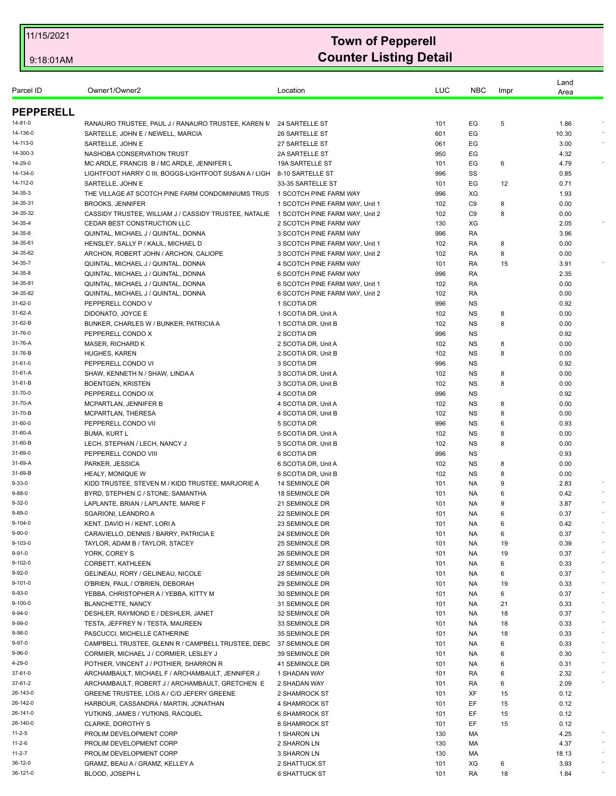| Location<br><b>NBC</b><br>Impr<br>Area<br><b>PEPPERELL</b><br>14-81-0<br>RANAURO TRUSTEE, PAUL J / RANAURO TRUSTEE, KAREN N<br>24 SARTELLE ST<br>101<br>EG<br>5<br>1.86<br>14-136-0<br>SARTELLE, JOHN E / NEWELL, MARCIA<br>26 SARTELLE ST<br>EG<br>10.30<br>601<br>14-113-0<br>SARTELLE, JOHN E<br>27 SARTELLE ST<br>EG<br>3.00<br>061<br>NASHOBA CONSERVATION TRUST<br>2A SARTELLE ST<br>EG<br>14-300-3<br>950<br>4.32<br>14-29-0<br>MC ARDLE, FRANCIS B / MC ARDLE, JENNIFER L<br><b>19A SARTELLE ST</b><br>EG<br>4.79<br>101<br>6<br>14-134-0<br>LIGHTFOOT HARRY C III, BOGGS-LIGHTFOOT SUSAN A / LIGH<br>8-10 SARTELLE ST<br>996<br>SS<br>0.85<br>14-112-0<br>33-35 SARTELLE ST<br>EG<br>0.71<br>SARTELLE, JOHN E<br>101<br>12<br>34-35-3<br>THE VILLAGE AT SCOTCH PINE FARM CONDOMINIUMS TRUS<br>1 SCOTCH PINE FARM WAY<br>996<br>XG<br>1.93<br>34-35-31<br><b>BROOKS, JENNIFER</b><br>1 SCOTCH PINE FARM WAY, Unit 1<br>102<br>C <sub>9</sub><br>0.00<br>8<br>34-35-32<br>CASSIDY TRUSTEE, WILLIAM J / CASSIDY TRUSTEE, NATALIE<br>C9<br>8<br>1 SCOTCH PINE FARM WAY, Unit 2<br>102<br>0.00<br>CEDAR BEST CONSTRUCTION LLC<br>2 SCOTCH PINE FARM WAY<br>130<br>XG<br>2.05<br>QUINTAL, MICHAEL J / QUINTAL, DONNA<br>3 SCOTCH PINE FARM WAY<br>996<br>RA<br>3.96<br>HENSLEY, SALLY P / KALIL, MICHAEL D<br>0.00<br>3 SCOTCH PINE FARM WAY, Unit 1<br>102<br>RA<br>8<br>ARCHON, ROBERT JOHN / ARCHON, CALIOPE<br>0.00<br>3 SCOTCH PINE FARM WAY, Unit 2<br>102<br>RA<br>8<br>QUINTAL, MICHAEL J / QUINTAL, DONNA<br><b>4 SCOTCH PINE FARM WAY</b><br>101<br>RA<br>15<br>3.91<br>QUINTAL, MICHAEL J / QUINTAL, DONNA<br>996<br>2.35<br><b>6 SCOTCH PINE FARM WAY</b><br>RA<br>QUINTAL, MICHAEL J / QUINTAL, DONNA<br>0.00<br>6 SCOTCH PINE FARM WAY, Unit 1<br>102<br>RA<br>6 SCOTCH PINE FARM WAY, Unit 2<br>0.00<br>QUINTAL, MICHAEL J / QUINTAL, DONNA<br>102<br>RA<br>PEPPERELL CONDO V<br>996<br><b>NS</b><br>0.92<br>1 SCOTIA DR<br>DIDONATO, JOYCE E<br>0.00<br>1 SCOTIA DR, Unit A<br>102<br>ΝS<br>8<br>BUNKER, CHARLES W / BUNKER, PATRICIA A<br>102<br><b>NS</b><br>0.00<br>1 SCOTIA DR, Unit B<br>8<br>PEPPERELL CONDO X<br>2 SCOTIA DR<br>996<br><b>NS</b><br>0.92<br><b>MASER, RICHARD K</b><br>0.00<br>2 SCOTIA DR, Unit A<br>102<br>ΝS<br>8<br><b>HUGHES, KAREN</b><br>2 SCOTIA DR, Unit B<br>102<br><b>NS</b><br>0.00<br>8<br>PEPPERELL CONDO VI<br>3 SCOTIA DR<br>996<br><b>NS</b><br>0.92<br>0.00<br>SHAW, KENNETH N / SHAW, LINDA A<br>3 SCOTIA DR, Unit A<br>102<br>ΝS<br>8<br><b>BOENTGEN, KRISTEN</b><br>102<br><b>NS</b><br>0.00<br>3 SCOTIA DR, Unit B<br>8<br>PEPPERELL CONDO IX<br>4 SCOTIA DR<br>996<br><b>NS</b><br>0.92<br><b>NS</b><br>0.00<br>MCPARTLAN, JENNIFER B<br>4 SCOTIA DR, Unit A<br>102<br>8<br>31-70-B<br>4 SCOTIA DR, Unit B<br>102<br>0.00<br>MCPARTLAN, THERESA<br>ΝS<br>8<br>31-60-0<br>PEPPERELL CONDO VII<br>5 SCOTIA DR<br>996<br>ΝS<br>0.93<br>6<br>31-60-A<br>102<br><b>NS</b><br>0.00<br><b>BUMA, KURT L</b><br>5 SCOTIA DR, Unit A<br>8<br>LECH, STEPHAN / LECH, NANCY J<br>0.00<br>31-60-B<br>5 SCOTIA DR, Unit B<br>102<br>ΝS<br>8<br>PEPPERELL CONDO VIII<br>31-69-0<br>6 SCOTIA DR<br>996<br>ΝS<br>0.93<br>31-69-A<br><b>NS</b><br>0.00<br>PARKER, JESSICA<br>6 SCOTIA DR, Unit A<br>102<br>8<br>0.00<br>31-69-B<br><b>HEALY, MONIQUE W</b><br>6 SCOTIA DR, Unit B<br>102<br>ΝS<br>8<br>$9 - 33 - 0$<br>KIDD TRUSTEE, STEVEN M / KIDD TRUSTEE, MARJORIE A<br>14 SEMINOLE DR<br>101<br>NA.<br>9<br>2.83<br>BYRD, STEPHEN C / STONE, SAMANTHA<br>101<br>0.42<br>9-88-0<br>18 SEMINOLE DR<br>NA.<br>6<br>9-32-0<br>LAPLANTE, BRIAN / LAPLANTE, MARIE F<br>3.87<br>21 SEMINOLE DR<br>101<br>NA.<br>g<br>9-89-0<br>SGARIONI, LEANDRO A<br>22 SEMINOLE DR<br>101<br>NA.<br>6<br>0.37<br>9-104-0<br>KENT, DAVID H / KENT, LORI A<br>23 SEMINOLE DR<br>101<br><b>NA</b><br>0.42<br>6<br>9-90-0<br>CARAVIELLO, DENNIS / BARRY, PATRICIA E<br>24 SEMINOLE DR<br>101<br>0.37<br>NA<br>6<br>9-103-0<br>101<br>19<br>TAYLOR, ADAM B / TAYLOR, STACEY<br>25 SEMINOLE DR<br>NA.<br>0.39<br>9-91-0<br>YORK, COREY S<br>0.37<br>26 SEMINOLE DR<br>101<br>NA.<br>19<br>$\bullet$<br>CORBETT, KATHLEEN<br>27 SEMINOLE DR<br>101<br>NA<br>6<br>0.33<br>GELINEAU, RORY / GELINEAU, NICOLE<br>$\epsilon$<br>28 SEMINOLE DR<br>101<br>NA<br>6<br>0.37<br>O'BRIEN, PAUL / O'BRIEN, DEBORAH<br>0.33<br>29 SEMINOLE DR<br>101<br>NA.<br>19<br>$\bullet$<br>YEBBA, CHRISTOPHER A / YEBBA, KITTY M<br>30 SEMINOLE DR<br>101<br>6<br>0.37<br>NA.<br><b>BLANCHETTE, NANCY</b><br>$\epsilon$<br>31 SEMINOLE DR<br>101<br>NA<br>21<br>0.33<br>DESHLER, RAYMOND E / DESHLER, JANET<br>32 SEMINOLE DR<br>101<br>NA.<br>18<br>0.37<br>$\epsilon$<br>TESTA, JEFFREY N / TESTA, MAUREEN<br>33 SEMINOLE DR<br>101<br>0.33<br>NA.<br>18<br>PASCUCCI, MICHELLE CATHERINE<br>$\star$<br>35 SEMINOLE DR<br>101<br>NA<br>18<br>0.33<br>CAMPBELL TRUSTEE, GLENN R / CAMPBELL TRUSTEE, DEBC<br>37 SEMINOLE DR<br>101<br>NA.<br>6<br>0.33<br>$\epsilon$<br>CORMIER, MICHAEL J / CORMIER, LESLEY J<br>39 SEMINOLE DR<br>101<br>NA.<br>6<br>0.30<br>POTHIER, VINCENT J / POTHIER, SHARRON R<br>41 SEMINOLE DR<br>101<br>NA.<br>6<br>0.31<br>ARCHAMBAULT, MICHAEL F / ARCHAMBAULT, JENNIFER J<br>1 SHADAN WAY<br>101<br>RA<br>6<br>2.32<br>ARCHAMBAULT, ROBERT J / ARCHAMBAULT, GRETCHEN E<br>2.09<br>2 SHADAN WAY<br>101<br>RA<br>6<br>GREENE TRUSTEE, LOIS A / C/O JEFERY GREENE<br>XF<br>0.12<br>2 SHAMROCK ST<br>101<br>15<br>EF<br>HARBOUR, CASSANDRA / MARTIN, JONATHAN<br>4 SHAMROCK ST<br>101<br>15<br>0.12<br>YUTKINS, JAMES / YUTKINS, RACQUEL<br>101<br>EF<br>15<br>0.12<br><b>6 SHAMROCK ST</b><br>EF<br>CLARKE, DOROTHY S<br>8 SHAMROCK ST<br>101<br>15<br>0.12<br>PROLIM DEVELOPMENT CORP<br>1 SHARON LN<br>130<br>МA<br>4.25<br>PROLIM DEVELOPMENT CORP<br>2 SHARON LN<br>130<br>МA<br>4.37<br>PROLIM DEVELOPMENT CORP<br>3 SHARON LN<br>130<br>МA<br>18.13<br>GRAMZ, BEAU A / GRAMZ, KELLEY A<br>2 SHATTUCK ST<br>XG<br>3.93<br>101<br>6<br>BLOOD, JOSEPH L<br><b>6 SHATTUCK ST</b><br>RA<br>18<br>101<br>1.84 |           |               |     |  | Land |  |
|--------------------------------------------------------------------------------------------------------------------------------------------------------------------------------------------------------------------------------------------------------------------------------------------------------------------------------------------------------------------------------------------------------------------------------------------------------------------------------------------------------------------------------------------------------------------------------------------------------------------------------------------------------------------------------------------------------------------------------------------------------------------------------------------------------------------------------------------------------------------------------------------------------------------------------------------------------------------------------------------------------------------------------------------------------------------------------------------------------------------------------------------------------------------------------------------------------------------------------------------------------------------------------------------------------------------------------------------------------------------------------------------------------------------------------------------------------------------------------------------------------------------------------------------------------------------------------------------------------------------------------------------------------------------------------------------------------------------------------------------------------------------------------------------------------------------------------------------------------------------------------------------------------------------------------------------------------------------------------------------------------------------------------------------------------------------------------------------------------------------------------------------------------------------------------------------------------------------------------------------------------------------------------------------------------------------------------------------------------------------------------------------------------------------------------------------------------------------------------------------------------------------------------------------------------------------------------------------------------------------------------------------------------------------------------------------------------------------------------------------------------------------------------------------------------------------------------------------------------------------------------------------------------------------------------------------------------------------------------------------------------------------------------------------------------------------------------------------------------------------------------------------------------------------------------------------------------------------------------------------------------------------------------------------------------------------------------------------------------------------------------------------------------------------------------------------------------------------------------------------------------------------------------------------------------------------------------------------------------------------------------------------------------------------------------------------------------------------------------------------------------------------------------------------------------------------------------------------------------------------------------------------------------------------------------------------------------------------------------------------------------------------------------------------------------------------------------------------------------------------------------------------------------------------------------------------------------------------------------------------------------------------------------------------------------------------------------------------------------------------------------------------------------------------------------------------------------------------------------------------------------------------------------------------------------------------------------------------------------------------------------------------------------------------------------------------------------------------------------------------------------------------------------------------------------------------------------------------------------------------------------------------------------------------------------------------------------------------------------------------------------------------------------------------------------------------------------------------------------------------------------------------------------------------------------------------------------------------------------------------------------------------------------------------------------------------------------------------------------------------------------------------------------------------------------------------------------------------------------------------------------------------------------------------------------------------------------------------------------------------------------------------------------------------------------------------------------------------------------------------------------------------------------------------------------------------------------------------------------------------------------------------------------------------------------------------------------------------------------------------------------------------------------------------|-----------|---------------|-----|--|------|--|
|                                                                                                                                                                                                                                                                                                                                                                                                                                                                                                                                                                                                                                                                                                                                                                                                                                                                                                                                                                                                                                                                                                                                                                                                                                                                                                                                                                                                                                                                                                                                                                                                                                                                                                                                                                                                                                                                                                                                                                                                                                                                                                                                                                                                                                                                                                                                                                                                                                                                                                                                                                                                                                                                                                                                                                                                                                                                                                                                                                                                                                                                                                                                                                                                                                                                                                                                                                                                                                                                                                                                                                                                                                                                                                                                                                                                                                                                                                                                                                                                                                                                                                                                                                                                                                                                                                                                                                                                                                                                                                                                                                                                                                                                                                                                                                                                                                                                                                                                                                                                                                                                                                                                                                                                                                                                                                                                                                                                                                                                                                                                                                                                                                                                                                                                                                                                                                                                                                                                                                                                                                            | Parcel ID | Owner1/Owner2 | LUC |  |      |  |
|                                                                                                                                                                                                                                                                                                                                                                                                                                                                                                                                                                                                                                                                                                                                                                                                                                                                                                                                                                                                                                                                                                                                                                                                                                                                                                                                                                                                                                                                                                                                                                                                                                                                                                                                                                                                                                                                                                                                                                                                                                                                                                                                                                                                                                                                                                                                                                                                                                                                                                                                                                                                                                                                                                                                                                                                                                                                                                                                                                                                                                                                                                                                                                                                                                                                                                                                                                                                                                                                                                                                                                                                                                                                                                                                                                                                                                                                                                                                                                                                                                                                                                                                                                                                                                                                                                                                                                                                                                                                                                                                                                                                                                                                                                                                                                                                                                                                                                                                                                                                                                                                                                                                                                                                                                                                                                                                                                                                                                                                                                                                                                                                                                                                                                                                                                                                                                                                                                                                                                                                                                            |           |               |     |  |      |  |
|                                                                                                                                                                                                                                                                                                                                                                                                                                                                                                                                                                                                                                                                                                                                                                                                                                                                                                                                                                                                                                                                                                                                                                                                                                                                                                                                                                                                                                                                                                                                                                                                                                                                                                                                                                                                                                                                                                                                                                                                                                                                                                                                                                                                                                                                                                                                                                                                                                                                                                                                                                                                                                                                                                                                                                                                                                                                                                                                                                                                                                                                                                                                                                                                                                                                                                                                                                                                                                                                                                                                                                                                                                                                                                                                                                                                                                                                                                                                                                                                                                                                                                                                                                                                                                                                                                                                                                                                                                                                                                                                                                                                                                                                                                                                                                                                                                                                                                                                                                                                                                                                                                                                                                                                                                                                                                                                                                                                                                                                                                                                                                                                                                                                                                                                                                                                                                                                                                                                                                                                                                            |           |               |     |  |      |  |
|                                                                                                                                                                                                                                                                                                                                                                                                                                                                                                                                                                                                                                                                                                                                                                                                                                                                                                                                                                                                                                                                                                                                                                                                                                                                                                                                                                                                                                                                                                                                                                                                                                                                                                                                                                                                                                                                                                                                                                                                                                                                                                                                                                                                                                                                                                                                                                                                                                                                                                                                                                                                                                                                                                                                                                                                                                                                                                                                                                                                                                                                                                                                                                                                                                                                                                                                                                                                                                                                                                                                                                                                                                                                                                                                                                                                                                                                                                                                                                                                                                                                                                                                                                                                                                                                                                                                                                                                                                                                                                                                                                                                                                                                                                                                                                                                                                                                                                                                                                                                                                                                                                                                                                                                                                                                                                                                                                                                                                                                                                                                                                                                                                                                                                                                                                                                                                                                                                                                                                                                                                            |           |               |     |  |      |  |
|                                                                                                                                                                                                                                                                                                                                                                                                                                                                                                                                                                                                                                                                                                                                                                                                                                                                                                                                                                                                                                                                                                                                                                                                                                                                                                                                                                                                                                                                                                                                                                                                                                                                                                                                                                                                                                                                                                                                                                                                                                                                                                                                                                                                                                                                                                                                                                                                                                                                                                                                                                                                                                                                                                                                                                                                                                                                                                                                                                                                                                                                                                                                                                                                                                                                                                                                                                                                                                                                                                                                                                                                                                                                                                                                                                                                                                                                                                                                                                                                                                                                                                                                                                                                                                                                                                                                                                                                                                                                                                                                                                                                                                                                                                                                                                                                                                                                                                                                                                                                                                                                                                                                                                                                                                                                                                                                                                                                                                                                                                                                                                                                                                                                                                                                                                                                                                                                                                                                                                                                                                            |           |               |     |  |      |  |
|                                                                                                                                                                                                                                                                                                                                                                                                                                                                                                                                                                                                                                                                                                                                                                                                                                                                                                                                                                                                                                                                                                                                                                                                                                                                                                                                                                                                                                                                                                                                                                                                                                                                                                                                                                                                                                                                                                                                                                                                                                                                                                                                                                                                                                                                                                                                                                                                                                                                                                                                                                                                                                                                                                                                                                                                                                                                                                                                                                                                                                                                                                                                                                                                                                                                                                                                                                                                                                                                                                                                                                                                                                                                                                                                                                                                                                                                                                                                                                                                                                                                                                                                                                                                                                                                                                                                                                                                                                                                                                                                                                                                                                                                                                                                                                                                                                                                                                                                                                                                                                                                                                                                                                                                                                                                                                                                                                                                                                                                                                                                                                                                                                                                                                                                                                                                                                                                                                                                                                                                                                            |           |               |     |  |      |  |
|                                                                                                                                                                                                                                                                                                                                                                                                                                                                                                                                                                                                                                                                                                                                                                                                                                                                                                                                                                                                                                                                                                                                                                                                                                                                                                                                                                                                                                                                                                                                                                                                                                                                                                                                                                                                                                                                                                                                                                                                                                                                                                                                                                                                                                                                                                                                                                                                                                                                                                                                                                                                                                                                                                                                                                                                                                                                                                                                                                                                                                                                                                                                                                                                                                                                                                                                                                                                                                                                                                                                                                                                                                                                                                                                                                                                                                                                                                                                                                                                                                                                                                                                                                                                                                                                                                                                                                                                                                                                                                                                                                                                                                                                                                                                                                                                                                                                                                                                                                                                                                                                                                                                                                                                                                                                                                                                                                                                                                                                                                                                                                                                                                                                                                                                                                                                                                                                                                                                                                                                                                            |           |               |     |  |      |  |
|                                                                                                                                                                                                                                                                                                                                                                                                                                                                                                                                                                                                                                                                                                                                                                                                                                                                                                                                                                                                                                                                                                                                                                                                                                                                                                                                                                                                                                                                                                                                                                                                                                                                                                                                                                                                                                                                                                                                                                                                                                                                                                                                                                                                                                                                                                                                                                                                                                                                                                                                                                                                                                                                                                                                                                                                                                                                                                                                                                                                                                                                                                                                                                                                                                                                                                                                                                                                                                                                                                                                                                                                                                                                                                                                                                                                                                                                                                                                                                                                                                                                                                                                                                                                                                                                                                                                                                                                                                                                                                                                                                                                                                                                                                                                                                                                                                                                                                                                                                                                                                                                                                                                                                                                                                                                                                                                                                                                                                                                                                                                                                                                                                                                                                                                                                                                                                                                                                                                                                                                                                            |           |               |     |  |      |  |
|                                                                                                                                                                                                                                                                                                                                                                                                                                                                                                                                                                                                                                                                                                                                                                                                                                                                                                                                                                                                                                                                                                                                                                                                                                                                                                                                                                                                                                                                                                                                                                                                                                                                                                                                                                                                                                                                                                                                                                                                                                                                                                                                                                                                                                                                                                                                                                                                                                                                                                                                                                                                                                                                                                                                                                                                                                                                                                                                                                                                                                                                                                                                                                                                                                                                                                                                                                                                                                                                                                                                                                                                                                                                                                                                                                                                                                                                                                                                                                                                                                                                                                                                                                                                                                                                                                                                                                                                                                                                                                                                                                                                                                                                                                                                                                                                                                                                                                                                                                                                                                                                                                                                                                                                                                                                                                                                                                                                                                                                                                                                                                                                                                                                                                                                                                                                                                                                                                                                                                                                                                            |           |               |     |  |      |  |
|                                                                                                                                                                                                                                                                                                                                                                                                                                                                                                                                                                                                                                                                                                                                                                                                                                                                                                                                                                                                                                                                                                                                                                                                                                                                                                                                                                                                                                                                                                                                                                                                                                                                                                                                                                                                                                                                                                                                                                                                                                                                                                                                                                                                                                                                                                                                                                                                                                                                                                                                                                                                                                                                                                                                                                                                                                                                                                                                                                                                                                                                                                                                                                                                                                                                                                                                                                                                                                                                                                                                                                                                                                                                                                                                                                                                                                                                                                                                                                                                                                                                                                                                                                                                                                                                                                                                                                                                                                                                                                                                                                                                                                                                                                                                                                                                                                                                                                                                                                                                                                                                                                                                                                                                                                                                                                                                                                                                                                                                                                                                                                                                                                                                                                                                                                                                                                                                                                                                                                                                                                            |           |               |     |  |      |  |
|                                                                                                                                                                                                                                                                                                                                                                                                                                                                                                                                                                                                                                                                                                                                                                                                                                                                                                                                                                                                                                                                                                                                                                                                                                                                                                                                                                                                                                                                                                                                                                                                                                                                                                                                                                                                                                                                                                                                                                                                                                                                                                                                                                                                                                                                                                                                                                                                                                                                                                                                                                                                                                                                                                                                                                                                                                                                                                                                                                                                                                                                                                                                                                                                                                                                                                                                                                                                                                                                                                                                                                                                                                                                                                                                                                                                                                                                                                                                                                                                                                                                                                                                                                                                                                                                                                                                                                                                                                                                                                                                                                                                                                                                                                                                                                                                                                                                                                                                                                                                                                                                                                                                                                                                                                                                                                                                                                                                                                                                                                                                                                                                                                                                                                                                                                                                                                                                                                                                                                                                                                            |           |               |     |  |      |  |
|                                                                                                                                                                                                                                                                                                                                                                                                                                                                                                                                                                                                                                                                                                                                                                                                                                                                                                                                                                                                                                                                                                                                                                                                                                                                                                                                                                                                                                                                                                                                                                                                                                                                                                                                                                                                                                                                                                                                                                                                                                                                                                                                                                                                                                                                                                                                                                                                                                                                                                                                                                                                                                                                                                                                                                                                                                                                                                                                                                                                                                                                                                                                                                                                                                                                                                                                                                                                                                                                                                                                                                                                                                                                                                                                                                                                                                                                                                                                                                                                                                                                                                                                                                                                                                                                                                                                                                                                                                                                                                                                                                                                                                                                                                                                                                                                                                                                                                                                                                                                                                                                                                                                                                                                                                                                                                                                                                                                                                                                                                                                                                                                                                                                                                                                                                                                                                                                                                                                                                                                                                            |           |               |     |  |      |  |
|                                                                                                                                                                                                                                                                                                                                                                                                                                                                                                                                                                                                                                                                                                                                                                                                                                                                                                                                                                                                                                                                                                                                                                                                                                                                                                                                                                                                                                                                                                                                                                                                                                                                                                                                                                                                                                                                                                                                                                                                                                                                                                                                                                                                                                                                                                                                                                                                                                                                                                                                                                                                                                                                                                                                                                                                                                                                                                                                                                                                                                                                                                                                                                                                                                                                                                                                                                                                                                                                                                                                                                                                                                                                                                                                                                                                                                                                                                                                                                                                                                                                                                                                                                                                                                                                                                                                                                                                                                                                                                                                                                                                                                                                                                                                                                                                                                                                                                                                                                                                                                                                                                                                                                                                                                                                                                                                                                                                                                                                                                                                                                                                                                                                                                                                                                                                                                                                                                                                                                                                                                            | 34-35-4   |               |     |  |      |  |
|                                                                                                                                                                                                                                                                                                                                                                                                                                                                                                                                                                                                                                                                                                                                                                                                                                                                                                                                                                                                                                                                                                                                                                                                                                                                                                                                                                                                                                                                                                                                                                                                                                                                                                                                                                                                                                                                                                                                                                                                                                                                                                                                                                                                                                                                                                                                                                                                                                                                                                                                                                                                                                                                                                                                                                                                                                                                                                                                                                                                                                                                                                                                                                                                                                                                                                                                                                                                                                                                                                                                                                                                                                                                                                                                                                                                                                                                                                                                                                                                                                                                                                                                                                                                                                                                                                                                                                                                                                                                                                                                                                                                                                                                                                                                                                                                                                                                                                                                                                                                                                                                                                                                                                                                                                                                                                                                                                                                                                                                                                                                                                                                                                                                                                                                                                                                                                                                                                                                                                                                                                            | 34-35-6   |               |     |  |      |  |
|                                                                                                                                                                                                                                                                                                                                                                                                                                                                                                                                                                                                                                                                                                                                                                                                                                                                                                                                                                                                                                                                                                                                                                                                                                                                                                                                                                                                                                                                                                                                                                                                                                                                                                                                                                                                                                                                                                                                                                                                                                                                                                                                                                                                                                                                                                                                                                                                                                                                                                                                                                                                                                                                                                                                                                                                                                                                                                                                                                                                                                                                                                                                                                                                                                                                                                                                                                                                                                                                                                                                                                                                                                                                                                                                                                                                                                                                                                                                                                                                                                                                                                                                                                                                                                                                                                                                                                                                                                                                                                                                                                                                                                                                                                                                                                                                                                                                                                                                                                                                                                                                                                                                                                                                                                                                                                                                                                                                                                                                                                                                                                                                                                                                                                                                                                                                                                                                                                                                                                                                                                            | 34-35-61  |               |     |  |      |  |
|                                                                                                                                                                                                                                                                                                                                                                                                                                                                                                                                                                                                                                                                                                                                                                                                                                                                                                                                                                                                                                                                                                                                                                                                                                                                                                                                                                                                                                                                                                                                                                                                                                                                                                                                                                                                                                                                                                                                                                                                                                                                                                                                                                                                                                                                                                                                                                                                                                                                                                                                                                                                                                                                                                                                                                                                                                                                                                                                                                                                                                                                                                                                                                                                                                                                                                                                                                                                                                                                                                                                                                                                                                                                                                                                                                                                                                                                                                                                                                                                                                                                                                                                                                                                                                                                                                                                                                                                                                                                                                                                                                                                                                                                                                                                                                                                                                                                                                                                                                                                                                                                                                                                                                                                                                                                                                                                                                                                                                                                                                                                                                                                                                                                                                                                                                                                                                                                                                                                                                                                                                            | 34-35-62  |               |     |  |      |  |
|                                                                                                                                                                                                                                                                                                                                                                                                                                                                                                                                                                                                                                                                                                                                                                                                                                                                                                                                                                                                                                                                                                                                                                                                                                                                                                                                                                                                                                                                                                                                                                                                                                                                                                                                                                                                                                                                                                                                                                                                                                                                                                                                                                                                                                                                                                                                                                                                                                                                                                                                                                                                                                                                                                                                                                                                                                                                                                                                                                                                                                                                                                                                                                                                                                                                                                                                                                                                                                                                                                                                                                                                                                                                                                                                                                                                                                                                                                                                                                                                                                                                                                                                                                                                                                                                                                                                                                                                                                                                                                                                                                                                                                                                                                                                                                                                                                                                                                                                                                                                                                                                                                                                                                                                                                                                                                                                                                                                                                                                                                                                                                                                                                                                                                                                                                                                                                                                                                                                                                                                                                            | 34-35-7   |               |     |  |      |  |
|                                                                                                                                                                                                                                                                                                                                                                                                                                                                                                                                                                                                                                                                                                                                                                                                                                                                                                                                                                                                                                                                                                                                                                                                                                                                                                                                                                                                                                                                                                                                                                                                                                                                                                                                                                                                                                                                                                                                                                                                                                                                                                                                                                                                                                                                                                                                                                                                                                                                                                                                                                                                                                                                                                                                                                                                                                                                                                                                                                                                                                                                                                                                                                                                                                                                                                                                                                                                                                                                                                                                                                                                                                                                                                                                                                                                                                                                                                                                                                                                                                                                                                                                                                                                                                                                                                                                                                                                                                                                                                                                                                                                                                                                                                                                                                                                                                                                                                                                                                                                                                                                                                                                                                                                                                                                                                                                                                                                                                                                                                                                                                                                                                                                                                                                                                                                                                                                                                                                                                                                                                            | 34-35-8   |               |     |  |      |  |
|                                                                                                                                                                                                                                                                                                                                                                                                                                                                                                                                                                                                                                                                                                                                                                                                                                                                                                                                                                                                                                                                                                                                                                                                                                                                                                                                                                                                                                                                                                                                                                                                                                                                                                                                                                                                                                                                                                                                                                                                                                                                                                                                                                                                                                                                                                                                                                                                                                                                                                                                                                                                                                                                                                                                                                                                                                                                                                                                                                                                                                                                                                                                                                                                                                                                                                                                                                                                                                                                                                                                                                                                                                                                                                                                                                                                                                                                                                                                                                                                                                                                                                                                                                                                                                                                                                                                                                                                                                                                                                                                                                                                                                                                                                                                                                                                                                                                                                                                                                                                                                                                                                                                                                                                                                                                                                                                                                                                                                                                                                                                                                                                                                                                                                                                                                                                                                                                                                                                                                                                                                            | 34-35-81  |               |     |  |      |  |
|                                                                                                                                                                                                                                                                                                                                                                                                                                                                                                                                                                                                                                                                                                                                                                                                                                                                                                                                                                                                                                                                                                                                                                                                                                                                                                                                                                                                                                                                                                                                                                                                                                                                                                                                                                                                                                                                                                                                                                                                                                                                                                                                                                                                                                                                                                                                                                                                                                                                                                                                                                                                                                                                                                                                                                                                                                                                                                                                                                                                                                                                                                                                                                                                                                                                                                                                                                                                                                                                                                                                                                                                                                                                                                                                                                                                                                                                                                                                                                                                                                                                                                                                                                                                                                                                                                                                                                                                                                                                                                                                                                                                                                                                                                                                                                                                                                                                                                                                                                                                                                                                                                                                                                                                                                                                                                                                                                                                                                                                                                                                                                                                                                                                                                                                                                                                                                                                                                                                                                                                                                            | 34-35-82  |               |     |  |      |  |
|                                                                                                                                                                                                                                                                                                                                                                                                                                                                                                                                                                                                                                                                                                                                                                                                                                                                                                                                                                                                                                                                                                                                                                                                                                                                                                                                                                                                                                                                                                                                                                                                                                                                                                                                                                                                                                                                                                                                                                                                                                                                                                                                                                                                                                                                                                                                                                                                                                                                                                                                                                                                                                                                                                                                                                                                                                                                                                                                                                                                                                                                                                                                                                                                                                                                                                                                                                                                                                                                                                                                                                                                                                                                                                                                                                                                                                                                                                                                                                                                                                                                                                                                                                                                                                                                                                                                                                                                                                                                                                                                                                                                                                                                                                                                                                                                                                                                                                                                                                                                                                                                                                                                                                                                                                                                                                                                                                                                                                                                                                                                                                                                                                                                                                                                                                                                                                                                                                                                                                                                                                            | 31-62-0   |               |     |  |      |  |
|                                                                                                                                                                                                                                                                                                                                                                                                                                                                                                                                                                                                                                                                                                                                                                                                                                                                                                                                                                                                                                                                                                                                                                                                                                                                                                                                                                                                                                                                                                                                                                                                                                                                                                                                                                                                                                                                                                                                                                                                                                                                                                                                                                                                                                                                                                                                                                                                                                                                                                                                                                                                                                                                                                                                                                                                                                                                                                                                                                                                                                                                                                                                                                                                                                                                                                                                                                                                                                                                                                                                                                                                                                                                                                                                                                                                                                                                                                                                                                                                                                                                                                                                                                                                                                                                                                                                                                                                                                                                                                                                                                                                                                                                                                                                                                                                                                                                                                                                                                                                                                                                                                                                                                                                                                                                                                                                                                                                                                                                                                                                                                                                                                                                                                                                                                                                                                                                                                                                                                                                                                            | 31-62-A   |               |     |  |      |  |
|                                                                                                                                                                                                                                                                                                                                                                                                                                                                                                                                                                                                                                                                                                                                                                                                                                                                                                                                                                                                                                                                                                                                                                                                                                                                                                                                                                                                                                                                                                                                                                                                                                                                                                                                                                                                                                                                                                                                                                                                                                                                                                                                                                                                                                                                                                                                                                                                                                                                                                                                                                                                                                                                                                                                                                                                                                                                                                                                                                                                                                                                                                                                                                                                                                                                                                                                                                                                                                                                                                                                                                                                                                                                                                                                                                                                                                                                                                                                                                                                                                                                                                                                                                                                                                                                                                                                                                                                                                                                                                                                                                                                                                                                                                                                                                                                                                                                                                                                                                                                                                                                                                                                                                                                                                                                                                                                                                                                                                                                                                                                                                                                                                                                                                                                                                                                                                                                                                                                                                                                                                            | 31-62-B   |               |     |  |      |  |
|                                                                                                                                                                                                                                                                                                                                                                                                                                                                                                                                                                                                                                                                                                                                                                                                                                                                                                                                                                                                                                                                                                                                                                                                                                                                                                                                                                                                                                                                                                                                                                                                                                                                                                                                                                                                                                                                                                                                                                                                                                                                                                                                                                                                                                                                                                                                                                                                                                                                                                                                                                                                                                                                                                                                                                                                                                                                                                                                                                                                                                                                                                                                                                                                                                                                                                                                                                                                                                                                                                                                                                                                                                                                                                                                                                                                                                                                                                                                                                                                                                                                                                                                                                                                                                                                                                                                                                                                                                                                                                                                                                                                                                                                                                                                                                                                                                                                                                                                                                                                                                                                                                                                                                                                                                                                                                                                                                                                                                                                                                                                                                                                                                                                                                                                                                                                                                                                                                                                                                                                                                            | 31-76-0   |               |     |  |      |  |
|                                                                                                                                                                                                                                                                                                                                                                                                                                                                                                                                                                                                                                                                                                                                                                                                                                                                                                                                                                                                                                                                                                                                                                                                                                                                                                                                                                                                                                                                                                                                                                                                                                                                                                                                                                                                                                                                                                                                                                                                                                                                                                                                                                                                                                                                                                                                                                                                                                                                                                                                                                                                                                                                                                                                                                                                                                                                                                                                                                                                                                                                                                                                                                                                                                                                                                                                                                                                                                                                                                                                                                                                                                                                                                                                                                                                                                                                                                                                                                                                                                                                                                                                                                                                                                                                                                                                                                                                                                                                                                                                                                                                                                                                                                                                                                                                                                                                                                                                                                                                                                                                                                                                                                                                                                                                                                                                                                                                                                                                                                                                                                                                                                                                                                                                                                                                                                                                                                                                                                                                                                            | 31-76-A   |               |     |  |      |  |
|                                                                                                                                                                                                                                                                                                                                                                                                                                                                                                                                                                                                                                                                                                                                                                                                                                                                                                                                                                                                                                                                                                                                                                                                                                                                                                                                                                                                                                                                                                                                                                                                                                                                                                                                                                                                                                                                                                                                                                                                                                                                                                                                                                                                                                                                                                                                                                                                                                                                                                                                                                                                                                                                                                                                                                                                                                                                                                                                                                                                                                                                                                                                                                                                                                                                                                                                                                                                                                                                                                                                                                                                                                                                                                                                                                                                                                                                                                                                                                                                                                                                                                                                                                                                                                                                                                                                                                                                                                                                                                                                                                                                                                                                                                                                                                                                                                                                                                                                                                                                                                                                                                                                                                                                                                                                                                                                                                                                                                                                                                                                                                                                                                                                                                                                                                                                                                                                                                                                                                                                                                            | 31-76-B   |               |     |  |      |  |
|                                                                                                                                                                                                                                                                                                                                                                                                                                                                                                                                                                                                                                                                                                                                                                                                                                                                                                                                                                                                                                                                                                                                                                                                                                                                                                                                                                                                                                                                                                                                                                                                                                                                                                                                                                                                                                                                                                                                                                                                                                                                                                                                                                                                                                                                                                                                                                                                                                                                                                                                                                                                                                                                                                                                                                                                                                                                                                                                                                                                                                                                                                                                                                                                                                                                                                                                                                                                                                                                                                                                                                                                                                                                                                                                                                                                                                                                                                                                                                                                                                                                                                                                                                                                                                                                                                                                                                                                                                                                                                                                                                                                                                                                                                                                                                                                                                                                                                                                                                                                                                                                                                                                                                                                                                                                                                                                                                                                                                                                                                                                                                                                                                                                                                                                                                                                                                                                                                                                                                                                                                            | 31-61-0   |               |     |  |      |  |
|                                                                                                                                                                                                                                                                                                                                                                                                                                                                                                                                                                                                                                                                                                                                                                                                                                                                                                                                                                                                                                                                                                                                                                                                                                                                                                                                                                                                                                                                                                                                                                                                                                                                                                                                                                                                                                                                                                                                                                                                                                                                                                                                                                                                                                                                                                                                                                                                                                                                                                                                                                                                                                                                                                                                                                                                                                                                                                                                                                                                                                                                                                                                                                                                                                                                                                                                                                                                                                                                                                                                                                                                                                                                                                                                                                                                                                                                                                                                                                                                                                                                                                                                                                                                                                                                                                                                                                                                                                                                                                                                                                                                                                                                                                                                                                                                                                                                                                                                                                                                                                                                                                                                                                                                                                                                                                                                                                                                                                                                                                                                                                                                                                                                                                                                                                                                                                                                                                                                                                                                                                            | 31-61-A   |               |     |  |      |  |
|                                                                                                                                                                                                                                                                                                                                                                                                                                                                                                                                                                                                                                                                                                                                                                                                                                                                                                                                                                                                                                                                                                                                                                                                                                                                                                                                                                                                                                                                                                                                                                                                                                                                                                                                                                                                                                                                                                                                                                                                                                                                                                                                                                                                                                                                                                                                                                                                                                                                                                                                                                                                                                                                                                                                                                                                                                                                                                                                                                                                                                                                                                                                                                                                                                                                                                                                                                                                                                                                                                                                                                                                                                                                                                                                                                                                                                                                                                                                                                                                                                                                                                                                                                                                                                                                                                                                                                                                                                                                                                                                                                                                                                                                                                                                                                                                                                                                                                                                                                                                                                                                                                                                                                                                                                                                                                                                                                                                                                                                                                                                                                                                                                                                                                                                                                                                                                                                                                                                                                                                                                            | 31-61-B   |               |     |  |      |  |
|                                                                                                                                                                                                                                                                                                                                                                                                                                                                                                                                                                                                                                                                                                                                                                                                                                                                                                                                                                                                                                                                                                                                                                                                                                                                                                                                                                                                                                                                                                                                                                                                                                                                                                                                                                                                                                                                                                                                                                                                                                                                                                                                                                                                                                                                                                                                                                                                                                                                                                                                                                                                                                                                                                                                                                                                                                                                                                                                                                                                                                                                                                                                                                                                                                                                                                                                                                                                                                                                                                                                                                                                                                                                                                                                                                                                                                                                                                                                                                                                                                                                                                                                                                                                                                                                                                                                                                                                                                                                                                                                                                                                                                                                                                                                                                                                                                                                                                                                                                                                                                                                                                                                                                                                                                                                                                                                                                                                                                                                                                                                                                                                                                                                                                                                                                                                                                                                                                                                                                                                                                            | 31-70-0   |               |     |  |      |  |
|                                                                                                                                                                                                                                                                                                                                                                                                                                                                                                                                                                                                                                                                                                                                                                                                                                                                                                                                                                                                                                                                                                                                                                                                                                                                                                                                                                                                                                                                                                                                                                                                                                                                                                                                                                                                                                                                                                                                                                                                                                                                                                                                                                                                                                                                                                                                                                                                                                                                                                                                                                                                                                                                                                                                                                                                                                                                                                                                                                                                                                                                                                                                                                                                                                                                                                                                                                                                                                                                                                                                                                                                                                                                                                                                                                                                                                                                                                                                                                                                                                                                                                                                                                                                                                                                                                                                                                                                                                                                                                                                                                                                                                                                                                                                                                                                                                                                                                                                                                                                                                                                                                                                                                                                                                                                                                                                                                                                                                                                                                                                                                                                                                                                                                                                                                                                                                                                                                                                                                                                                                            | 31-70-A   |               |     |  |      |  |
|                                                                                                                                                                                                                                                                                                                                                                                                                                                                                                                                                                                                                                                                                                                                                                                                                                                                                                                                                                                                                                                                                                                                                                                                                                                                                                                                                                                                                                                                                                                                                                                                                                                                                                                                                                                                                                                                                                                                                                                                                                                                                                                                                                                                                                                                                                                                                                                                                                                                                                                                                                                                                                                                                                                                                                                                                                                                                                                                                                                                                                                                                                                                                                                                                                                                                                                                                                                                                                                                                                                                                                                                                                                                                                                                                                                                                                                                                                                                                                                                                                                                                                                                                                                                                                                                                                                                                                                                                                                                                                                                                                                                                                                                                                                                                                                                                                                                                                                                                                                                                                                                                                                                                                                                                                                                                                                                                                                                                                                                                                                                                                                                                                                                                                                                                                                                                                                                                                                                                                                                                                            |           |               |     |  |      |  |
|                                                                                                                                                                                                                                                                                                                                                                                                                                                                                                                                                                                                                                                                                                                                                                                                                                                                                                                                                                                                                                                                                                                                                                                                                                                                                                                                                                                                                                                                                                                                                                                                                                                                                                                                                                                                                                                                                                                                                                                                                                                                                                                                                                                                                                                                                                                                                                                                                                                                                                                                                                                                                                                                                                                                                                                                                                                                                                                                                                                                                                                                                                                                                                                                                                                                                                                                                                                                                                                                                                                                                                                                                                                                                                                                                                                                                                                                                                                                                                                                                                                                                                                                                                                                                                                                                                                                                                                                                                                                                                                                                                                                                                                                                                                                                                                                                                                                                                                                                                                                                                                                                                                                                                                                                                                                                                                                                                                                                                                                                                                                                                                                                                                                                                                                                                                                                                                                                                                                                                                                                                            |           |               |     |  |      |  |
|                                                                                                                                                                                                                                                                                                                                                                                                                                                                                                                                                                                                                                                                                                                                                                                                                                                                                                                                                                                                                                                                                                                                                                                                                                                                                                                                                                                                                                                                                                                                                                                                                                                                                                                                                                                                                                                                                                                                                                                                                                                                                                                                                                                                                                                                                                                                                                                                                                                                                                                                                                                                                                                                                                                                                                                                                                                                                                                                                                                                                                                                                                                                                                                                                                                                                                                                                                                                                                                                                                                                                                                                                                                                                                                                                                                                                                                                                                                                                                                                                                                                                                                                                                                                                                                                                                                                                                                                                                                                                                                                                                                                                                                                                                                                                                                                                                                                                                                                                                                                                                                                                                                                                                                                                                                                                                                                                                                                                                                                                                                                                                                                                                                                                                                                                                                                                                                                                                                                                                                                                                            |           |               |     |  |      |  |
|                                                                                                                                                                                                                                                                                                                                                                                                                                                                                                                                                                                                                                                                                                                                                                                                                                                                                                                                                                                                                                                                                                                                                                                                                                                                                                                                                                                                                                                                                                                                                                                                                                                                                                                                                                                                                                                                                                                                                                                                                                                                                                                                                                                                                                                                                                                                                                                                                                                                                                                                                                                                                                                                                                                                                                                                                                                                                                                                                                                                                                                                                                                                                                                                                                                                                                                                                                                                                                                                                                                                                                                                                                                                                                                                                                                                                                                                                                                                                                                                                                                                                                                                                                                                                                                                                                                                                                                                                                                                                                                                                                                                                                                                                                                                                                                                                                                                                                                                                                                                                                                                                                                                                                                                                                                                                                                                                                                                                                                                                                                                                                                                                                                                                                                                                                                                                                                                                                                                                                                                                                            |           |               |     |  |      |  |
|                                                                                                                                                                                                                                                                                                                                                                                                                                                                                                                                                                                                                                                                                                                                                                                                                                                                                                                                                                                                                                                                                                                                                                                                                                                                                                                                                                                                                                                                                                                                                                                                                                                                                                                                                                                                                                                                                                                                                                                                                                                                                                                                                                                                                                                                                                                                                                                                                                                                                                                                                                                                                                                                                                                                                                                                                                                                                                                                                                                                                                                                                                                                                                                                                                                                                                                                                                                                                                                                                                                                                                                                                                                                                                                                                                                                                                                                                                                                                                                                                                                                                                                                                                                                                                                                                                                                                                                                                                                                                                                                                                                                                                                                                                                                                                                                                                                                                                                                                                                                                                                                                                                                                                                                                                                                                                                                                                                                                                                                                                                                                                                                                                                                                                                                                                                                                                                                                                                                                                                                                                            |           |               |     |  |      |  |
|                                                                                                                                                                                                                                                                                                                                                                                                                                                                                                                                                                                                                                                                                                                                                                                                                                                                                                                                                                                                                                                                                                                                                                                                                                                                                                                                                                                                                                                                                                                                                                                                                                                                                                                                                                                                                                                                                                                                                                                                                                                                                                                                                                                                                                                                                                                                                                                                                                                                                                                                                                                                                                                                                                                                                                                                                                                                                                                                                                                                                                                                                                                                                                                                                                                                                                                                                                                                                                                                                                                                                                                                                                                                                                                                                                                                                                                                                                                                                                                                                                                                                                                                                                                                                                                                                                                                                                                                                                                                                                                                                                                                                                                                                                                                                                                                                                                                                                                                                                                                                                                                                                                                                                                                                                                                                                                                                                                                                                                                                                                                                                                                                                                                                                                                                                                                                                                                                                                                                                                                                                            |           |               |     |  |      |  |
|                                                                                                                                                                                                                                                                                                                                                                                                                                                                                                                                                                                                                                                                                                                                                                                                                                                                                                                                                                                                                                                                                                                                                                                                                                                                                                                                                                                                                                                                                                                                                                                                                                                                                                                                                                                                                                                                                                                                                                                                                                                                                                                                                                                                                                                                                                                                                                                                                                                                                                                                                                                                                                                                                                                                                                                                                                                                                                                                                                                                                                                                                                                                                                                                                                                                                                                                                                                                                                                                                                                                                                                                                                                                                                                                                                                                                                                                                                                                                                                                                                                                                                                                                                                                                                                                                                                                                                                                                                                                                                                                                                                                                                                                                                                                                                                                                                                                                                                                                                                                                                                                                                                                                                                                                                                                                                                                                                                                                                                                                                                                                                                                                                                                                                                                                                                                                                                                                                                                                                                                                                            |           |               |     |  |      |  |
|                                                                                                                                                                                                                                                                                                                                                                                                                                                                                                                                                                                                                                                                                                                                                                                                                                                                                                                                                                                                                                                                                                                                                                                                                                                                                                                                                                                                                                                                                                                                                                                                                                                                                                                                                                                                                                                                                                                                                                                                                                                                                                                                                                                                                                                                                                                                                                                                                                                                                                                                                                                                                                                                                                                                                                                                                                                                                                                                                                                                                                                                                                                                                                                                                                                                                                                                                                                                                                                                                                                                                                                                                                                                                                                                                                                                                                                                                                                                                                                                                                                                                                                                                                                                                                                                                                                                                                                                                                                                                                                                                                                                                                                                                                                                                                                                                                                                                                                                                                                                                                                                                                                                                                                                                                                                                                                                                                                                                                                                                                                                                                                                                                                                                                                                                                                                                                                                                                                                                                                                                                            |           |               |     |  |      |  |
|                                                                                                                                                                                                                                                                                                                                                                                                                                                                                                                                                                                                                                                                                                                                                                                                                                                                                                                                                                                                                                                                                                                                                                                                                                                                                                                                                                                                                                                                                                                                                                                                                                                                                                                                                                                                                                                                                                                                                                                                                                                                                                                                                                                                                                                                                                                                                                                                                                                                                                                                                                                                                                                                                                                                                                                                                                                                                                                                                                                                                                                                                                                                                                                                                                                                                                                                                                                                                                                                                                                                                                                                                                                                                                                                                                                                                                                                                                                                                                                                                                                                                                                                                                                                                                                                                                                                                                                                                                                                                                                                                                                                                                                                                                                                                                                                                                                                                                                                                                                                                                                                                                                                                                                                                                                                                                                                                                                                                                                                                                                                                                                                                                                                                                                                                                                                                                                                                                                                                                                                                                            |           |               |     |  |      |  |
|                                                                                                                                                                                                                                                                                                                                                                                                                                                                                                                                                                                                                                                                                                                                                                                                                                                                                                                                                                                                                                                                                                                                                                                                                                                                                                                                                                                                                                                                                                                                                                                                                                                                                                                                                                                                                                                                                                                                                                                                                                                                                                                                                                                                                                                                                                                                                                                                                                                                                                                                                                                                                                                                                                                                                                                                                                                                                                                                                                                                                                                                                                                                                                                                                                                                                                                                                                                                                                                                                                                                                                                                                                                                                                                                                                                                                                                                                                                                                                                                                                                                                                                                                                                                                                                                                                                                                                                                                                                                                                                                                                                                                                                                                                                                                                                                                                                                                                                                                                                                                                                                                                                                                                                                                                                                                                                                                                                                                                                                                                                                                                                                                                                                                                                                                                                                                                                                                                                                                                                                                                            |           |               |     |  |      |  |
|                                                                                                                                                                                                                                                                                                                                                                                                                                                                                                                                                                                                                                                                                                                                                                                                                                                                                                                                                                                                                                                                                                                                                                                                                                                                                                                                                                                                                                                                                                                                                                                                                                                                                                                                                                                                                                                                                                                                                                                                                                                                                                                                                                                                                                                                                                                                                                                                                                                                                                                                                                                                                                                                                                                                                                                                                                                                                                                                                                                                                                                                                                                                                                                                                                                                                                                                                                                                                                                                                                                                                                                                                                                                                                                                                                                                                                                                                                                                                                                                                                                                                                                                                                                                                                                                                                                                                                                                                                                                                                                                                                                                                                                                                                                                                                                                                                                                                                                                                                                                                                                                                                                                                                                                                                                                                                                                                                                                                                                                                                                                                                                                                                                                                                                                                                                                                                                                                                                                                                                                                                            |           |               |     |  |      |  |
|                                                                                                                                                                                                                                                                                                                                                                                                                                                                                                                                                                                                                                                                                                                                                                                                                                                                                                                                                                                                                                                                                                                                                                                                                                                                                                                                                                                                                                                                                                                                                                                                                                                                                                                                                                                                                                                                                                                                                                                                                                                                                                                                                                                                                                                                                                                                                                                                                                                                                                                                                                                                                                                                                                                                                                                                                                                                                                                                                                                                                                                                                                                                                                                                                                                                                                                                                                                                                                                                                                                                                                                                                                                                                                                                                                                                                                                                                                                                                                                                                                                                                                                                                                                                                                                                                                                                                                                                                                                                                                                                                                                                                                                                                                                                                                                                                                                                                                                                                                                                                                                                                                                                                                                                                                                                                                                                                                                                                                                                                                                                                                                                                                                                                                                                                                                                                                                                                                                                                                                                                                            |           |               |     |  |      |  |
|                                                                                                                                                                                                                                                                                                                                                                                                                                                                                                                                                                                                                                                                                                                                                                                                                                                                                                                                                                                                                                                                                                                                                                                                                                                                                                                                                                                                                                                                                                                                                                                                                                                                                                                                                                                                                                                                                                                                                                                                                                                                                                                                                                                                                                                                                                                                                                                                                                                                                                                                                                                                                                                                                                                                                                                                                                                                                                                                                                                                                                                                                                                                                                                                                                                                                                                                                                                                                                                                                                                                                                                                                                                                                                                                                                                                                                                                                                                                                                                                                                                                                                                                                                                                                                                                                                                                                                                                                                                                                                                                                                                                                                                                                                                                                                                                                                                                                                                                                                                                                                                                                                                                                                                                                                                                                                                                                                                                                                                                                                                                                                                                                                                                                                                                                                                                                                                                                                                                                                                                                                            |           |               |     |  |      |  |
|                                                                                                                                                                                                                                                                                                                                                                                                                                                                                                                                                                                                                                                                                                                                                                                                                                                                                                                                                                                                                                                                                                                                                                                                                                                                                                                                                                                                                                                                                                                                                                                                                                                                                                                                                                                                                                                                                                                                                                                                                                                                                                                                                                                                                                                                                                                                                                                                                                                                                                                                                                                                                                                                                                                                                                                                                                                                                                                                                                                                                                                                                                                                                                                                                                                                                                                                                                                                                                                                                                                                                                                                                                                                                                                                                                                                                                                                                                                                                                                                                                                                                                                                                                                                                                                                                                                                                                                                                                                                                                                                                                                                                                                                                                                                                                                                                                                                                                                                                                                                                                                                                                                                                                                                                                                                                                                                                                                                                                                                                                                                                                                                                                                                                                                                                                                                                                                                                                                                                                                                                                            |           |               |     |  |      |  |
|                                                                                                                                                                                                                                                                                                                                                                                                                                                                                                                                                                                                                                                                                                                                                                                                                                                                                                                                                                                                                                                                                                                                                                                                                                                                                                                                                                                                                                                                                                                                                                                                                                                                                                                                                                                                                                                                                                                                                                                                                                                                                                                                                                                                                                                                                                                                                                                                                                                                                                                                                                                                                                                                                                                                                                                                                                                                                                                                                                                                                                                                                                                                                                                                                                                                                                                                                                                                                                                                                                                                                                                                                                                                                                                                                                                                                                                                                                                                                                                                                                                                                                                                                                                                                                                                                                                                                                                                                                                                                                                                                                                                                                                                                                                                                                                                                                                                                                                                                                                                                                                                                                                                                                                                                                                                                                                                                                                                                                                                                                                                                                                                                                                                                                                                                                                                                                                                                                                                                                                                                                            | 9-102-0   |               |     |  |      |  |
|                                                                                                                                                                                                                                                                                                                                                                                                                                                                                                                                                                                                                                                                                                                                                                                                                                                                                                                                                                                                                                                                                                                                                                                                                                                                                                                                                                                                                                                                                                                                                                                                                                                                                                                                                                                                                                                                                                                                                                                                                                                                                                                                                                                                                                                                                                                                                                                                                                                                                                                                                                                                                                                                                                                                                                                                                                                                                                                                                                                                                                                                                                                                                                                                                                                                                                                                                                                                                                                                                                                                                                                                                                                                                                                                                                                                                                                                                                                                                                                                                                                                                                                                                                                                                                                                                                                                                                                                                                                                                                                                                                                                                                                                                                                                                                                                                                                                                                                                                                                                                                                                                                                                                                                                                                                                                                                                                                                                                                                                                                                                                                                                                                                                                                                                                                                                                                                                                                                                                                                                                                            | 9-92-0    |               |     |  |      |  |
|                                                                                                                                                                                                                                                                                                                                                                                                                                                                                                                                                                                                                                                                                                                                                                                                                                                                                                                                                                                                                                                                                                                                                                                                                                                                                                                                                                                                                                                                                                                                                                                                                                                                                                                                                                                                                                                                                                                                                                                                                                                                                                                                                                                                                                                                                                                                                                                                                                                                                                                                                                                                                                                                                                                                                                                                                                                                                                                                                                                                                                                                                                                                                                                                                                                                                                                                                                                                                                                                                                                                                                                                                                                                                                                                                                                                                                                                                                                                                                                                                                                                                                                                                                                                                                                                                                                                                                                                                                                                                                                                                                                                                                                                                                                                                                                                                                                                                                                                                                                                                                                                                                                                                                                                                                                                                                                                                                                                                                                                                                                                                                                                                                                                                                                                                                                                                                                                                                                                                                                                                                            | 9-101-0   |               |     |  |      |  |
|                                                                                                                                                                                                                                                                                                                                                                                                                                                                                                                                                                                                                                                                                                                                                                                                                                                                                                                                                                                                                                                                                                                                                                                                                                                                                                                                                                                                                                                                                                                                                                                                                                                                                                                                                                                                                                                                                                                                                                                                                                                                                                                                                                                                                                                                                                                                                                                                                                                                                                                                                                                                                                                                                                                                                                                                                                                                                                                                                                                                                                                                                                                                                                                                                                                                                                                                                                                                                                                                                                                                                                                                                                                                                                                                                                                                                                                                                                                                                                                                                                                                                                                                                                                                                                                                                                                                                                                                                                                                                                                                                                                                                                                                                                                                                                                                                                                                                                                                                                                                                                                                                                                                                                                                                                                                                                                                                                                                                                                                                                                                                                                                                                                                                                                                                                                                                                                                                                                                                                                                                                            | 9-93-0    |               |     |  |      |  |
|                                                                                                                                                                                                                                                                                                                                                                                                                                                                                                                                                                                                                                                                                                                                                                                                                                                                                                                                                                                                                                                                                                                                                                                                                                                                                                                                                                                                                                                                                                                                                                                                                                                                                                                                                                                                                                                                                                                                                                                                                                                                                                                                                                                                                                                                                                                                                                                                                                                                                                                                                                                                                                                                                                                                                                                                                                                                                                                                                                                                                                                                                                                                                                                                                                                                                                                                                                                                                                                                                                                                                                                                                                                                                                                                                                                                                                                                                                                                                                                                                                                                                                                                                                                                                                                                                                                                                                                                                                                                                                                                                                                                                                                                                                                                                                                                                                                                                                                                                                                                                                                                                                                                                                                                                                                                                                                                                                                                                                                                                                                                                                                                                                                                                                                                                                                                                                                                                                                                                                                                                                            | 9-100-0   |               |     |  |      |  |
|                                                                                                                                                                                                                                                                                                                                                                                                                                                                                                                                                                                                                                                                                                                                                                                                                                                                                                                                                                                                                                                                                                                                                                                                                                                                                                                                                                                                                                                                                                                                                                                                                                                                                                                                                                                                                                                                                                                                                                                                                                                                                                                                                                                                                                                                                                                                                                                                                                                                                                                                                                                                                                                                                                                                                                                                                                                                                                                                                                                                                                                                                                                                                                                                                                                                                                                                                                                                                                                                                                                                                                                                                                                                                                                                                                                                                                                                                                                                                                                                                                                                                                                                                                                                                                                                                                                                                                                                                                                                                                                                                                                                                                                                                                                                                                                                                                                                                                                                                                                                                                                                                                                                                                                                                                                                                                                                                                                                                                                                                                                                                                                                                                                                                                                                                                                                                                                                                                                                                                                                                                            | 9-94-0    |               |     |  |      |  |
|                                                                                                                                                                                                                                                                                                                                                                                                                                                                                                                                                                                                                                                                                                                                                                                                                                                                                                                                                                                                                                                                                                                                                                                                                                                                                                                                                                                                                                                                                                                                                                                                                                                                                                                                                                                                                                                                                                                                                                                                                                                                                                                                                                                                                                                                                                                                                                                                                                                                                                                                                                                                                                                                                                                                                                                                                                                                                                                                                                                                                                                                                                                                                                                                                                                                                                                                                                                                                                                                                                                                                                                                                                                                                                                                                                                                                                                                                                                                                                                                                                                                                                                                                                                                                                                                                                                                                                                                                                                                                                                                                                                                                                                                                                                                                                                                                                                                                                                                                                                                                                                                                                                                                                                                                                                                                                                                                                                                                                                                                                                                                                                                                                                                                                                                                                                                                                                                                                                                                                                                                                            | 9-99-0    |               |     |  |      |  |
|                                                                                                                                                                                                                                                                                                                                                                                                                                                                                                                                                                                                                                                                                                                                                                                                                                                                                                                                                                                                                                                                                                                                                                                                                                                                                                                                                                                                                                                                                                                                                                                                                                                                                                                                                                                                                                                                                                                                                                                                                                                                                                                                                                                                                                                                                                                                                                                                                                                                                                                                                                                                                                                                                                                                                                                                                                                                                                                                                                                                                                                                                                                                                                                                                                                                                                                                                                                                                                                                                                                                                                                                                                                                                                                                                                                                                                                                                                                                                                                                                                                                                                                                                                                                                                                                                                                                                                                                                                                                                                                                                                                                                                                                                                                                                                                                                                                                                                                                                                                                                                                                                                                                                                                                                                                                                                                                                                                                                                                                                                                                                                                                                                                                                                                                                                                                                                                                                                                                                                                                                                            | 9-98-0    |               |     |  |      |  |
|                                                                                                                                                                                                                                                                                                                                                                                                                                                                                                                                                                                                                                                                                                                                                                                                                                                                                                                                                                                                                                                                                                                                                                                                                                                                                                                                                                                                                                                                                                                                                                                                                                                                                                                                                                                                                                                                                                                                                                                                                                                                                                                                                                                                                                                                                                                                                                                                                                                                                                                                                                                                                                                                                                                                                                                                                                                                                                                                                                                                                                                                                                                                                                                                                                                                                                                                                                                                                                                                                                                                                                                                                                                                                                                                                                                                                                                                                                                                                                                                                                                                                                                                                                                                                                                                                                                                                                                                                                                                                                                                                                                                                                                                                                                                                                                                                                                                                                                                                                                                                                                                                                                                                                                                                                                                                                                                                                                                                                                                                                                                                                                                                                                                                                                                                                                                                                                                                                                                                                                                                                            | 9-97-0    |               |     |  |      |  |
|                                                                                                                                                                                                                                                                                                                                                                                                                                                                                                                                                                                                                                                                                                                                                                                                                                                                                                                                                                                                                                                                                                                                                                                                                                                                                                                                                                                                                                                                                                                                                                                                                                                                                                                                                                                                                                                                                                                                                                                                                                                                                                                                                                                                                                                                                                                                                                                                                                                                                                                                                                                                                                                                                                                                                                                                                                                                                                                                                                                                                                                                                                                                                                                                                                                                                                                                                                                                                                                                                                                                                                                                                                                                                                                                                                                                                                                                                                                                                                                                                                                                                                                                                                                                                                                                                                                                                                                                                                                                                                                                                                                                                                                                                                                                                                                                                                                                                                                                                                                                                                                                                                                                                                                                                                                                                                                                                                                                                                                                                                                                                                                                                                                                                                                                                                                                                                                                                                                                                                                                                                            | 9-96-0    |               |     |  |      |  |
|                                                                                                                                                                                                                                                                                                                                                                                                                                                                                                                                                                                                                                                                                                                                                                                                                                                                                                                                                                                                                                                                                                                                                                                                                                                                                                                                                                                                                                                                                                                                                                                                                                                                                                                                                                                                                                                                                                                                                                                                                                                                                                                                                                                                                                                                                                                                                                                                                                                                                                                                                                                                                                                                                                                                                                                                                                                                                                                                                                                                                                                                                                                                                                                                                                                                                                                                                                                                                                                                                                                                                                                                                                                                                                                                                                                                                                                                                                                                                                                                                                                                                                                                                                                                                                                                                                                                                                                                                                                                                                                                                                                                                                                                                                                                                                                                                                                                                                                                                                                                                                                                                                                                                                                                                                                                                                                                                                                                                                                                                                                                                                                                                                                                                                                                                                                                                                                                                                                                                                                                                                            | 4-29-0    |               |     |  |      |  |
|                                                                                                                                                                                                                                                                                                                                                                                                                                                                                                                                                                                                                                                                                                                                                                                                                                                                                                                                                                                                                                                                                                                                                                                                                                                                                                                                                                                                                                                                                                                                                                                                                                                                                                                                                                                                                                                                                                                                                                                                                                                                                                                                                                                                                                                                                                                                                                                                                                                                                                                                                                                                                                                                                                                                                                                                                                                                                                                                                                                                                                                                                                                                                                                                                                                                                                                                                                                                                                                                                                                                                                                                                                                                                                                                                                                                                                                                                                                                                                                                                                                                                                                                                                                                                                                                                                                                                                                                                                                                                                                                                                                                                                                                                                                                                                                                                                                                                                                                                                                                                                                                                                                                                                                                                                                                                                                                                                                                                                                                                                                                                                                                                                                                                                                                                                                                                                                                                                                                                                                                                                            | 37-61-0   |               |     |  |      |  |
|                                                                                                                                                                                                                                                                                                                                                                                                                                                                                                                                                                                                                                                                                                                                                                                                                                                                                                                                                                                                                                                                                                                                                                                                                                                                                                                                                                                                                                                                                                                                                                                                                                                                                                                                                                                                                                                                                                                                                                                                                                                                                                                                                                                                                                                                                                                                                                                                                                                                                                                                                                                                                                                                                                                                                                                                                                                                                                                                                                                                                                                                                                                                                                                                                                                                                                                                                                                                                                                                                                                                                                                                                                                                                                                                                                                                                                                                                                                                                                                                                                                                                                                                                                                                                                                                                                                                                                                                                                                                                                                                                                                                                                                                                                                                                                                                                                                                                                                                                                                                                                                                                                                                                                                                                                                                                                                                                                                                                                                                                                                                                                                                                                                                                                                                                                                                                                                                                                                                                                                                                                            | 37-61-2   |               |     |  |      |  |
|                                                                                                                                                                                                                                                                                                                                                                                                                                                                                                                                                                                                                                                                                                                                                                                                                                                                                                                                                                                                                                                                                                                                                                                                                                                                                                                                                                                                                                                                                                                                                                                                                                                                                                                                                                                                                                                                                                                                                                                                                                                                                                                                                                                                                                                                                                                                                                                                                                                                                                                                                                                                                                                                                                                                                                                                                                                                                                                                                                                                                                                                                                                                                                                                                                                                                                                                                                                                                                                                                                                                                                                                                                                                                                                                                                                                                                                                                                                                                                                                                                                                                                                                                                                                                                                                                                                                                                                                                                                                                                                                                                                                                                                                                                                                                                                                                                                                                                                                                                                                                                                                                                                                                                                                                                                                                                                                                                                                                                                                                                                                                                                                                                                                                                                                                                                                                                                                                                                                                                                                                                            | 26-143-0  |               |     |  |      |  |
|                                                                                                                                                                                                                                                                                                                                                                                                                                                                                                                                                                                                                                                                                                                                                                                                                                                                                                                                                                                                                                                                                                                                                                                                                                                                                                                                                                                                                                                                                                                                                                                                                                                                                                                                                                                                                                                                                                                                                                                                                                                                                                                                                                                                                                                                                                                                                                                                                                                                                                                                                                                                                                                                                                                                                                                                                                                                                                                                                                                                                                                                                                                                                                                                                                                                                                                                                                                                                                                                                                                                                                                                                                                                                                                                                                                                                                                                                                                                                                                                                                                                                                                                                                                                                                                                                                                                                                                                                                                                                                                                                                                                                                                                                                                                                                                                                                                                                                                                                                                                                                                                                                                                                                                                                                                                                                                                                                                                                                                                                                                                                                                                                                                                                                                                                                                                                                                                                                                                                                                                                                            | 26-142-0  |               |     |  |      |  |
|                                                                                                                                                                                                                                                                                                                                                                                                                                                                                                                                                                                                                                                                                                                                                                                                                                                                                                                                                                                                                                                                                                                                                                                                                                                                                                                                                                                                                                                                                                                                                                                                                                                                                                                                                                                                                                                                                                                                                                                                                                                                                                                                                                                                                                                                                                                                                                                                                                                                                                                                                                                                                                                                                                                                                                                                                                                                                                                                                                                                                                                                                                                                                                                                                                                                                                                                                                                                                                                                                                                                                                                                                                                                                                                                                                                                                                                                                                                                                                                                                                                                                                                                                                                                                                                                                                                                                                                                                                                                                                                                                                                                                                                                                                                                                                                                                                                                                                                                                                                                                                                                                                                                                                                                                                                                                                                                                                                                                                                                                                                                                                                                                                                                                                                                                                                                                                                                                                                                                                                                                                            | 26-141-0  |               |     |  |      |  |
|                                                                                                                                                                                                                                                                                                                                                                                                                                                                                                                                                                                                                                                                                                                                                                                                                                                                                                                                                                                                                                                                                                                                                                                                                                                                                                                                                                                                                                                                                                                                                                                                                                                                                                                                                                                                                                                                                                                                                                                                                                                                                                                                                                                                                                                                                                                                                                                                                                                                                                                                                                                                                                                                                                                                                                                                                                                                                                                                                                                                                                                                                                                                                                                                                                                                                                                                                                                                                                                                                                                                                                                                                                                                                                                                                                                                                                                                                                                                                                                                                                                                                                                                                                                                                                                                                                                                                                                                                                                                                                                                                                                                                                                                                                                                                                                                                                                                                                                                                                                                                                                                                                                                                                                                                                                                                                                                                                                                                                                                                                                                                                                                                                                                                                                                                                                                                                                                                                                                                                                                                                            | 26-140-0  |               |     |  |      |  |
|                                                                                                                                                                                                                                                                                                                                                                                                                                                                                                                                                                                                                                                                                                                                                                                                                                                                                                                                                                                                                                                                                                                                                                                                                                                                                                                                                                                                                                                                                                                                                                                                                                                                                                                                                                                                                                                                                                                                                                                                                                                                                                                                                                                                                                                                                                                                                                                                                                                                                                                                                                                                                                                                                                                                                                                                                                                                                                                                                                                                                                                                                                                                                                                                                                                                                                                                                                                                                                                                                                                                                                                                                                                                                                                                                                                                                                                                                                                                                                                                                                                                                                                                                                                                                                                                                                                                                                                                                                                                                                                                                                                                                                                                                                                                                                                                                                                                                                                                                                                                                                                                                                                                                                                                                                                                                                                                                                                                                                                                                                                                                                                                                                                                                                                                                                                                                                                                                                                                                                                                                                            | 11-2-5    |               |     |  |      |  |
|                                                                                                                                                                                                                                                                                                                                                                                                                                                                                                                                                                                                                                                                                                                                                                                                                                                                                                                                                                                                                                                                                                                                                                                                                                                                                                                                                                                                                                                                                                                                                                                                                                                                                                                                                                                                                                                                                                                                                                                                                                                                                                                                                                                                                                                                                                                                                                                                                                                                                                                                                                                                                                                                                                                                                                                                                                                                                                                                                                                                                                                                                                                                                                                                                                                                                                                                                                                                                                                                                                                                                                                                                                                                                                                                                                                                                                                                                                                                                                                                                                                                                                                                                                                                                                                                                                                                                                                                                                                                                                                                                                                                                                                                                                                                                                                                                                                                                                                                                                                                                                                                                                                                                                                                                                                                                                                                                                                                                                                                                                                                                                                                                                                                                                                                                                                                                                                                                                                                                                                                                                            | 11-2-6    |               |     |  |      |  |
|                                                                                                                                                                                                                                                                                                                                                                                                                                                                                                                                                                                                                                                                                                                                                                                                                                                                                                                                                                                                                                                                                                                                                                                                                                                                                                                                                                                                                                                                                                                                                                                                                                                                                                                                                                                                                                                                                                                                                                                                                                                                                                                                                                                                                                                                                                                                                                                                                                                                                                                                                                                                                                                                                                                                                                                                                                                                                                                                                                                                                                                                                                                                                                                                                                                                                                                                                                                                                                                                                                                                                                                                                                                                                                                                                                                                                                                                                                                                                                                                                                                                                                                                                                                                                                                                                                                                                                                                                                                                                                                                                                                                                                                                                                                                                                                                                                                                                                                                                                                                                                                                                                                                                                                                                                                                                                                                                                                                                                                                                                                                                                                                                                                                                                                                                                                                                                                                                                                                                                                                                                            | 11-2-7    |               |     |  |      |  |
|                                                                                                                                                                                                                                                                                                                                                                                                                                                                                                                                                                                                                                                                                                                                                                                                                                                                                                                                                                                                                                                                                                                                                                                                                                                                                                                                                                                                                                                                                                                                                                                                                                                                                                                                                                                                                                                                                                                                                                                                                                                                                                                                                                                                                                                                                                                                                                                                                                                                                                                                                                                                                                                                                                                                                                                                                                                                                                                                                                                                                                                                                                                                                                                                                                                                                                                                                                                                                                                                                                                                                                                                                                                                                                                                                                                                                                                                                                                                                                                                                                                                                                                                                                                                                                                                                                                                                                                                                                                                                                                                                                                                                                                                                                                                                                                                                                                                                                                                                                                                                                                                                                                                                                                                                                                                                                                                                                                                                                                                                                                                                                                                                                                                                                                                                                                                                                                                                                                                                                                                                                            | 36-12-0   |               |     |  |      |  |
|                                                                                                                                                                                                                                                                                                                                                                                                                                                                                                                                                                                                                                                                                                                                                                                                                                                                                                                                                                                                                                                                                                                                                                                                                                                                                                                                                                                                                                                                                                                                                                                                                                                                                                                                                                                                                                                                                                                                                                                                                                                                                                                                                                                                                                                                                                                                                                                                                                                                                                                                                                                                                                                                                                                                                                                                                                                                                                                                                                                                                                                                                                                                                                                                                                                                                                                                                                                                                                                                                                                                                                                                                                                                                                                                                                                                                                                                                                                                                                                                                                                                                                                                                                                                                                                                                                                                                                                                                                                                                                                                                                                                                                                                                                                                                                                                                                                                                                                                                                                                                                                                                                                                                                                                                                                                                                                                                                                                                                                                                                                                                                                                                                                                                                                                                                                                                                                                                                                                                                                                                                            | 36-121-0  |               |     |  |      |  |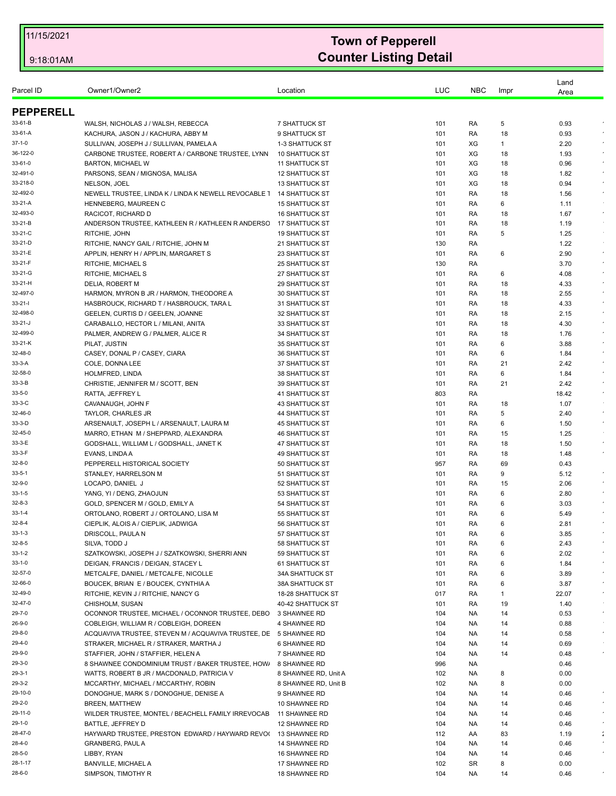| Parcel ID           | Owner1/Owner2                                                                       | Location                                     | LUC        | <b>NBC</b> | Impr     | Land<br>Area |                       |
|---------------------|-------------------------------------------------------------------------------------|----------------------------------------------|------------|------------|----------|--------------|-----------------------|
| <b>PEPPERELL</b>    |                                                                                     |                                              |            |            |          |              |                       |
| 33-61-B             | WALSH, NICHOLAS J / WALSH, REBECCA                                                  | <b>7 SHATTUCK ST</b>                         | 101        | RA         | 5        | 0.93         |                       |
| 33-61-A             | KACHURA, JASON J / KACHURA, ABBY M                                                  | 9 SHATTUCK ST                                | 101        | RA         | 18       | 0.93         |                       |
| 37-1-0              | SULLIVAN, JOSEPH J / SULLIVAN, PAMELA A                                             | 1-3 SHATTUCK ST                              | 101        | XG         | 1        | 2.20         |                       |
| 36-122-0            | CARBONE TRUSTEE, ROBERT A / CARBONE TRUSTEE, LYNN                                   | <b>10 SHATTUCK ST</b>                        | 101        | XG         | 18       | 1.93         | $\epsilon$            |
| 33-61-0             | <b>BARTON, MICHAEL W</b>                                                            | <b>11 SHATTUCK ST</b>                        | 101        | XG         | 18       | 0.96         | $\bullet$             |
| 32-491-0            | PARSONS, SEAN / MIGNOSA, MALISA                                                     | <b>12 SHATTUCK ST</b>                        | 101        | XG         | 18       | 1.82         |                       |
| 33-218-0            | NELSON, JOEL                                                                        | <b>13 SHATTUCK ST</b>                        | 101        | XG         | 18       | 0.94         | $\sim$                |
| 32-492-0            | NEWELL TRUSTEE, LINDA K / LINDA K NEWELL REVOCABLE 1                                | <b>14 SHATTUCK ST</b>                        | 101        | RA         | 18       | 1.56         | $\sim$                |
| 33-21-A             | HENNEBERG, MAUREEN C                                                                | <b>15 SHATTUCK ST</b>                        | 101        | RA         | 6        | 1.11         |                       |
| 32-493-0            | RACICOT, RICHARD D                                                                  | <b>16 SHATTUCK ST</b>                        | 101        | RA         | 18       | 1.67         | $\epsilon$            |
| 33-21-B             | ANDERSON TRUSTEE, KATHLEEN R / KATHLEEN R ANDERSC                                   | 17 SHATTUCK ST                               | 101        | RA         | 18       | 1.19         |                       |
| 33-21-C             | RITCHIE, JOHN                                                                       | <b>19 SHATTUCK ST</b>                        | 101        | RA         | 5        | 1.25         |                       |
| 33-21-D             | RITCHIE, NANCY GAIL / RITCHIE, JOHN M                                               | 21 SHATTUCK ST                               | 130        | RA         |          | 1.22         |                       |
| 33-21-E             | APPLIN, HENRY H / APPLIN, MARGARET S                                                | 23 SHATTUCK ST                               | 101        | RA         | 6        | 2.90         | $\bullet$             |
| 33-21-F             | RITCHIE, MICHAEL S                                                                  | <b>25 SHATTUCK ST</b>                        | 130        | RA         |          | 3.70         | $\star$<br>$\epsilon$ |
| 33-21-G             | RITCHIE, MICHAEL S                                                                  | <b>27 SHATTUCK ST</b>                        | 101        | RA         | 6        | 4.08         |                       |
| 33-21-H             | DELIA, ROBERT M                                                                     | <b>29 SHATTUCK ST</b>                        | 101        | RA         | 18       | 4.33         | $\sim$                |
| 32-497-0            | HARMON, MYRON B JR / HARMON, THEODORE A<br>HASBROUCK, RICHARD T / HASBROUCK, TARA L | 30 SHATTUCK ST                               | 101        | RA         | 18       | 2.55         | $\epsilon$            |
| 33-21-I<br>32-498-0 | GEELEN. CURTIS D / GEELEN. JOANNE                                                   | 31 SHATTUCK ST                               | 101        | RA         | 18       | 4.33         |                       |
| 33-21-J             | CARABALLO, HECTOR L / MILANI, ANITA                                                 | 32 SHATTUCK ST                               | 101<br>101 | RA<br>RA   | 18       | 2.15<br>4.30 | $\bullet$             |
| 32-499-0            | PALMER, ANDREW G / PALMER, ALICE R                                                  | 33 SHATTUCK ST<br><b>34 SHATTUCK ST</b>      | 101        | RA         | 18<br>18 | 1.76         | $\epsilon$            |
| 33-21-K             | PILAT, JUSTIN                                                                       | 35 SHATTUCK ST                               | 101        | RA         | 6        | 3.88         | $\epsilon$            |
| 32-48-0             | CASEY, DONAL P / CASEY, CIARA                                                       | <b>36 SHATTUCK ST</b>                        | 101        | RA         | 6        | 1.84         | $\sim$                |
| 33-3-A              | COLE, DONNA LEE                                                                     | <b>37 SHATTUCK ST</b>                        | 101        | RA         | 21       | 2.42         |                       |
| 32-58-0             | HOLMFRED, LINDA                                                                     | 38 SHATTUCK ST                               | 101        | RA         | 6        | 1.84         | $\sim$                |
| 33-3-B              | CHRISTIE, JENNIFER M / SCOTT, BEN                                                   | <b>39 SHATTUCK ST</b>                        | 101        | RA         | 21       | 2.42         | $\sim$                |
| 33-5-0              | RATTA, JEFFREY L                                                                    | <b>41 SHATTUCK ST</b>                        | 803        | RA         |          | 18.42        |                       |
| 33-3-C              | CAVANAUGH, JOHN F                                                                   | <b>43 SHATTUCK ST</b>                        | 101        | RA         | 18       | 1.07         |                       |
| 32-46-0             | TAYLOR, CHARLES JR                                                                  | 44 SHATTUCK ST                               | 101        | RA         | 5        | 2.40         | $\epsilon$            |
| 33-3-D              | ARSENAULT, JOSEPH L / ARSENAULT, LAURA M                                            | <b>45 SHATTUCK ST</b>                        | 101        | RA         | 6        | 1.50         | $\sim$                |
| 32-45-0             | MARRO, ETHAN M / SHEPPARD, ALEXANDRA                                                | <b>46 SHATTUCK ST</b>                        | 101        | RA         | 15       | 1.25         |                       |
| 33-3-E              | GODSHALL, WILLIAM L / GODSHALL, JANET K                                             | 47 SHATTUCK ST                               | 101        | RA         | 18       | 1.50         | $\bullet$             |
| 33-3-F              | EVANS, LINDA A                                                                      | <b>49 SHATTUCK ST</b>                        | 101        | RA         | 18       | 1.48         | $\epsilon$            |
| 32-8-0              | PEPPERELL HISTORICAL SOCIETY                                                        | 50 SHATTUCK ST                               | 957        | RA         | 69       | 0.43         |                       |
| 33-5-1              | STANLEY, HARRELSON M                                                                | 51 SHATTUCK ST                               | 101        | RA         | 9        | 5.12         |                       |
| 32-9-0              | LOCAPO, DANIEL J                                                                    | 52 SHATTUCK ST                               | 101        | RA         | 15       | 2.06         | $\bullet$             |
| 33-1-5              | YANG, YI / DENG, ZHAOJUN                                                            | 53 SHATTUCK ST                               | 101        | RA         | 6        | 2.80         | $\epsilon$            |
| 32-8-3              | GOLD, SPENCER M / GOLD, EMILY A                                                     | 54 SHATTUCK ST                               | 101        | RA         | 6        | 3.03         |                       |
| 33-1-4              | ORTOLANO, ROBERT J / ORTOLANO, LISA M                                               | 55 SHATTUCK ST                               | 101        | RA         | 6        | 5.49         |                       |
| 32-8-4              | CIEPLIK, ALOIS A / CIEPLIK, JADWIGA                                                 | 56 SHATTUCK ST                               | 101        | RA         | 6        | 2.81         |                       |
| 33-1-3              | DRISCOLL, PAULA N                                                                   | 57 SHATTUCK ST                               | 101        | RA         | 6        | 3.85         |                       |
| 32-8-5              | SILVA, TODD J                                                                       | 58 SHATTUCK ST                               | 101        | RA         | 6        | 2.43         | $\bullet$             |
| 33-1-2              | SZATKOWSKI, JOSEPH J / SZATKOWSKI, SHERRI ANN                                       | 59 SHATTUCK ST                               | 101        | RA         | 6        | 2.02         |                       |
| 33-1-0              | DEIGAN, FRANCIS / DEIGAN, STACEY L                                                  | 61 SHATTUCK ST                               | 101        | RA         | 6        | 1.84         |                       |
| 32-57-0             | METCALFE, DANIEL / METCALFE, NICOLLE                                                | <b>34A SHATTUCK ST</b>                       | 101        | RA         | 6        | 3.89         | $\star$               |
| 32-66-0             | BOUCEK, BRIAN E / BOUCEK, CYNTHIA A                                                 | <b>38A SHATTUCK ST</b>                       | 101        | RA         | 6        | 3.87         |                       |
| 32-49-0             | RITCHIE, KEVIN J / RITCHIE, NANCY G                                                 | 18-28 SHATTUCK ST                            | 017        | RA         | 1        | 22.07        | $\bullet$             |
| 32-47-0             | CHISHOLM, SUSAN                                                                     | 40-42 SHATTUCK ST                            | 101        | RA         | 19       | 1.40         |                       |
| 29-7-0              | OCONNOR TRUSTEE, MICHAEL / OCONNOR TRUSTEE, DEBO                                    | 3 SHAWNEE RD                                 | 104        | NA.        | 14       | 0.53         | $\bullet$             |
| 26-9-0              | COBLEIGH, WILLIAM R / COBLEIGH, DOREEN                                              | 4 SHAWNEE RD                                 | 104        | NA.        | 14       | 0.88         | $\sim$                |
| 29-8-0              | ACQUAVIVA TRUSTEE, STEVEN M / ACQUAVIVA TRUSTEE, DE 5 SHAWNEE RD                    |                                              | 104        | NA.        | 14       | 0.58         |                       |
| 29-4-0              | STRAKER, MICHAEL R / STRAKER, MARTHA J                                              | <b>6 SHAWNEE RD</b>                          | 104        | <b>NA</b>  | 14       | 0.69         | $\bullet$             |
| 29-9-0<br>29-3-0    | STAFFIER, JOHN / STAFFIER, HELEN A                                                  | 7 SHAWNEE RD                                 | 104        | NA.        | 14       | 0.48         |                       |
| 29-3-1              | 8 SHAWNEE CONDOMINIUM TRUST / BAKER TRUSTEE, HOW                                    | 8 SHAWNEE RD                                 | 996        | NA.        |          | 0.46<br>0.00 |                       |
| 29-3-2              | WATTS, ROBERT B JR / MACDONALD, PATRICIA V<br>MCCARTHY, MICHAEL / MCCARTHY, ROBIN   | 8 SHAWNEE RD, Unit A<br>8 SHAWNEE RD, Unit B | 102<br>102 | NA<br>NA.  | 8<br>8   | 0.00         |                       |
| 29-10-0             |                                                                                     |                                              |            |            |          |              |                       |
| 29-2-0              | DONOGHUE, MARK S / DONOGHUE, DENISE A                                               | 9 SHAWNEE RD                                 | 104        | NA.        | 14       | 0.46         | $\bullet$             |
|                     | <b>BREEN, MATTHEW</b>                                                               | 10 SHAWNEE RD                                | 104        | NA.        | 14       | 0.46         | $\sim$                |
| 29-11-0             | WILDER TRUSTEE, MONTEL / BEACHELL FAMILY IRREVOCAB                                  | 11 SHAWNEE RD                                | 104        | NA.        | 14       | 0.46         | $\epsilon$            |
| 29-1-0              | BATTLE, JEFFREY D                                                                   | 12 SHAWNEE RD                                | 104        | NA.        | 14       | 0.46         |                       |
| 28-47-0             | HAYWARD TRUSTEE, PRESTON EDWARD / HAYWARD REVOL                                     | 13 SHAWNEE RD                                | 112        | AA         | 83       | 1.19         | ÷                     |
| 28-4-0              | <b>GRANBERG, PAUL A</b>                                                             | 14 SHAWNEE RD                                | 104        | NA.        | 14       | 0.46         |                       |
| 28-5-0              | LIBBY, RYAN                                                                         | 16 SHAWNEE RD                                | 104        | NA.        | 14       | 0.46         |                       |
| 28-1-17             | <b>BANVILLE, MICHAEL A</b>                                                          | 17 SHAWNEE RD                                | 102        | <b>SR</b>  | 8        | 0.00         |                       |
| 28-6-0              | SIMPSON, TIMOTHY R                                                                  | 18 SHAWNEE RD                                | 104        | NA.        | 14       | 0.46         |                       |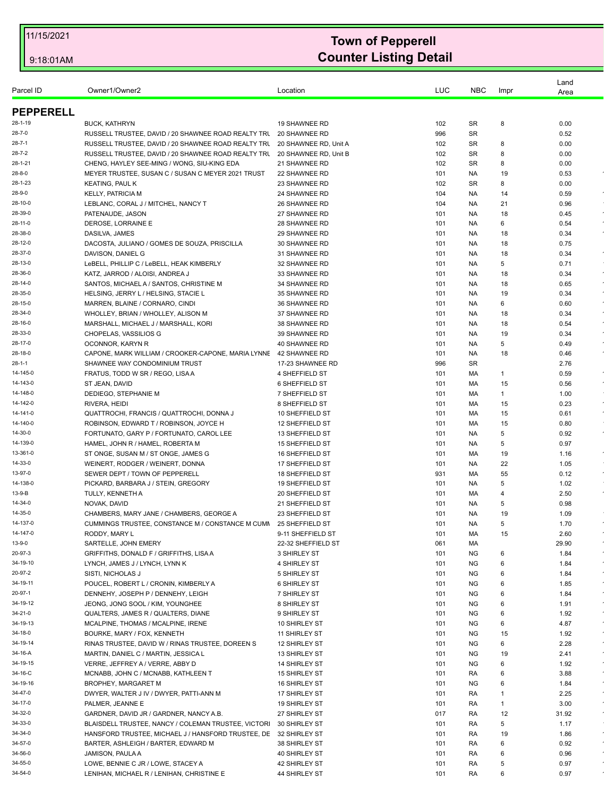| Parcel ID        | Owner1/Owner2                                                    | Location              | LUC | <b>NBC</b> | Impr | Land<br>Area |            |
|------------------|------------------------------------------------------------------|-----------------------|-----|------------|------|--------------|------------|
| <b>PEPPERELL</b> |                                                                  |                       |     |            |      |              |            |
| 28-1-19          | <b>BUCK, KATHRYN</b>                                             | 19 SHAWNEE RD         | 102 | <b>SR</b>  | 8    | 0.00         |            |
| 28-7-0           | RUSSELL TRUSTEE, DAVID / 20 SHAWNEE ROAD REALTY TRU              | 20 SHAWNEE RD         | 996 | <b>SR</b>  |      | 0.52         |            |
| 28-7-1           | RUSSELL TRUSTEE, DAVID / 20 SHAWNEE ROAD REALTY TRU              | 20 SHAWNEE RD, Unit A | 102 | <b>SR</b>  | 8    | 0.00         |            |
| 28-7-2           | RUSSELL TRUSTEE, DAVID / 20 SHAWNEE ROAD REALTY TRU              | 20 SHAWNEE RD, Unit B | 102 | <b>SR</b>  | 8    | 0.00         |            |
| 28-1-21          | CHENG, HAYLEY SEE-MING / WONG, SIU-KING EDA                      | 21 SHAWNEE RD         | 102 | <b>SR</b>  | 8    | 0.00         |            |
| 28-8-0           | MEYER TRUSTEE, SUSAN C / SUSAN C MEYER 2021 TRUST                | 22 SHAWNEE RD         | 101 | NA.        | 19   | 0.53         |            |
| 28-1-23          | <b>KEATING, PAUL K</b>                                           | 23 SHAWNEE RD         | 102 | <b>SR</b>  | 8    | 0.00         |            |
| 28-9-0           | <b>KELLY, PATRICIA M</b>                                         | 24 SHAWNEE RD         | 104 | NA.        | 14   | 0.59         | $\bullet$  |
| 28-10-0          | LEBLANC, CORAL J / MITCHEL, NANCY T                              | 26 SHAWNEE RD         | 104 | NA.        | 21   | 0.96         |            |
| 28-39-0          | PATENAUDE, JASON                                                 | 27 SHAWNEE RD         | 101 | NA.        | 18   | 0.45         | $\epsilon$ |
| 28-11-0          | DEROSE. LORRAINE E                                               | 28 SHAWNEE RD         | 101 | NA.        | 6    | 0.54         |            |
| 28-38-0          |                                                                  | 29 SHAWNEE RD         |     |            |      | 0.34         |            |
|                  | DASILVA, JAMES                                                   |                       | 101 | NA.        | 18   |              |            |
| 28-12-0          | DACOSTA, JULIANO / GOMES DE SOUZA, PRISCILLA                     | 30 SHAWNEE RD         | 101 | NA.        | 18   | 0.75         | $\star$    |
| 28-37-0          | DAVISON, DANIEL G                                                | 31 SHAWNEE RD         | 101 | NA.        | 18   | 0.34         |            |
| 28-13-0          | LeBELL, PHILLIP C / LeBELL, HEAK KIMBERLY                        | 32 SHAWNEE RD         | 101 | NA.        | 5    | 0.71         |            |
| 28-36-0          | KATZ, JARROD / ALOISI, ANDREA J                                  | 33 SHAWNEE RD         | 101 | NA.        | 18   | 0.34         | $\bullet$  |
| 28-14-0          | SANTOS, MICHAEL A / SANTOS, CHRISTINE M                          | 34 SHAWNEE RD         | 101 | NA.        | 18   | 0.65         | $\bullet$  |
| 28-35-0          | HELSING, JERRY L / HELSING, STACIE L                             | 35 SHAWNEE RD         | 101 | NA.        | 19   | 0.34         | $\epsilon$ |
| 28-15-0          | MARREN, BLAINE / CORNARO, CINDI                                  | 36 SHAWNEE RD         | 101 | NA.        | 6    | 0.60         |            |
| 28-34-0          | WHOLLEY, BRIAN / WHOLLEY, ALISON M                               | 37 SHAWNEE RD         | 101 | NA.        | 18   | 0.34         | $\epsilon$ |
| 28-16-0          | MARSHALL, MICHAEL J / MARSHALL, KORI                             | 38 SHAWNEE RD         | 101 | NA.        | 18   | 0.54         | $\epsilon$ |
| 28-33-0          | CHOPELAS, VASSILIOS G                                            | 39 SHAWNEE RD         | 101 | NA.        | 19   | 0.34         |            |
| 28-17-0          | OCONNOR, KARYN R                                                 | 40 SHAWNEE RD         | 101 | NA.        | 5    | 0.49         | $\epsilon$ |
| 28-18-0          | CAPONE, MARK WILLIAM / CROOKER-CAPONE, MARIA LYNNE 42 SHAWNEE RD |                       | 101 | NA.        | 18   | 0.46         | $\epsilon$ |
| 28-1-1           | SHAWNEE WAY CONDOMINIUM TRUST                                    | 17-23 SHAWNEE RD      | 996 | <b>SR</b>  |      | 2.76         |            |
| 14-145-0         | FRATUS, TODD W SR / REGO, LISA A                                 | 4 SHEFFIELD ST        | 101 | МA         | 1    | 0.59         | $\bullet$  |
| 14-143-0         | ST JEAN, DAVID                                                   | 6 SHEFFIELD ST        | 101 | MA         | 15   | 0.56         |            |
| 14-148-0         | DEDIEGO, STEPHANIE M                                             | 7 SHEFFIELD ST        | 101 | МA         | 1    | 1.00         |            |
| 14-142-0         | RIVERA, HEIDI                                                    | 8 SHEFFIELD ST        | 101 | MA         | 15   | 0.23         | $\epsilon$ |
| 14-141-0         | QUATTROCHI, FRANCIS / QUATTROCHI, DONNA J                        | 10 SHEFFIELD ST       | 101 | МA         | 15   | 0.61         |            |
| 14-140-0         | ROBINSON, EDWARD T / ROBINSON, JOYCE H                           | 12 SHEFFIELD ST       | 101 | МA         | 15   | 0.80         |            |
| 14-30-0          | FORTUNATO, GARY P / FORTUNATO, CAROL LEE                         | 13 SHEFFIELD ST       | 101 | NA.        | 5    | 0.92         | $\epsilon$ |
| 14-139-0         | HAMEL, JOHN R / HAMEL, ROBERTA M                                 | 15 SHEFFIELD ST       | 101 | NA.        | 5    | 0.97         |            |
| 13-361-0         | ST ONGE, SUSAN M / ST ONGE, JAMES G                              | 16 SHEFFIELD ST       | 101 | МA         | 19   | 1.16         | $\epsilon$ |
| 14-33-0          | WEINERT, RODGER / WEINERT, DONNA                                 | 17 SHEFFIELD ST       | 101 | NA.        | 22   | 1.05         |            |
| 13-97-0          | SEWER DEPT / TOWN OF PEPPERELL                                   | 18 SHEFFIELD ST       | 931 | МA         | 55   | 0.12         | $\sim$     |
| 14-138-0         |                                                                  |                       |     |            | 5    |              |            |
|                  | PICKARD, BARBARA J / STEIN, GREGORY                              | 19 SHEFFIELD ST       | 101 | NA.        |      | 1.02         | $\bullet$  |
| 13-9-B           | TULLY, KENNETH A                                                 | 20 SHEFFIELD ST       | 101 | МA         | 4    | 2.50         |            |
| 14-34-0          | NOVAK, DAVID                                                     | 21 SHEFFIELD ST       | 101 | NA.        | 5    | 0.98         |            |
| 14-35-0          | CHAMBERS, MARY JANE / CHAMBERS, GEORGE A                         | 23 SHEFFIELD ST       | 101 | NA.        | 19   | 1.09         |            |
| 14-137-0         | CUMMINGS TRUSTEE, CONSTANCE M / CONSTANCE M CUMM                 | 25 SHEFFIELD ST       | 101 | <b>NA</b>  | 5    | 1.70         | $\lambda$  |
| 14-147-0         | RODDY, MARY L                                                    | 9-11 SHEFFIELD ST     | 101 | МA         | 15   | 2.60         | $\bullet$  |
| 13-9-0           | SARTELLE, JOHN EMERY                                             | 22-32 SHEFFIELD ST    | 061 | MA         |      | 29.90        | $\epsilon$ |
| 20-97-3          | GRIFFITHS, DONALD F / GRIFFITHS, LISA A                          | 3 SHIRLEY ST          | 101 | NG         | 6    | 1.84         | $\epsilon$ |
| 34-19-10         | LYNCH, JAMES J / LYNCH, LYNN K                                   | 4 SHIRLEY ST          | 101 | NG         | 6    | 1.84         | $\bullet$  |
| 20-97-2          | SISTI, NICHOLAS J                                                | 5 SHIRLEY ST          | 101 | <b>NG</b>  | 6    | 1.84         |            |
| 34-19-11         | POUCEL, ROBERT L / CRONIN, KIMBERLY A                            | <b>6 SHIRLEY ST</b>   | 101 | NG         | 6    | 1.85         | $\star$    |
| 20-97-1          | DENNEHY, JOSEPH P / DENNEHY, LEIGH                               | 7 SHIRLEY ST          | 101 | <b>NG</b>  | 6    | 1.84         | $\epsilon$ |
| 34-19-12         | JEONG, JONG SOOL / KIM, YOUNGHEE                                 | 8 SHIRLEY ST          | 101 | <b>NG</b>  | 6    | 1.91         |            |
| 34-21-0          | QUALTERS, JAMES R / QUALTERS, DIANE                              | 9 SHIRLEY ST          | 101 | NG         | 6    | 1.92         | $\star$    |
| 34-19-13         | MCALPINE, THOMAS / MCALPINE, IRENE                               | 10 SHIRLEY ST         | 101 | <b>NG</b>  | 6    | 4.87         | $\sim$     |
| 34-18-0          | BOURKE, MARY / FOX, KENNETH                                      | 11 SHIRLEY ST         | 101 | <b>NG</b>  | 15   | 1.92         |            |
| 34-19-14         | RINAS TRUSTEE, DAVID W / RINAS TRUSTEE, DOREEN S                 | 12 SHIRLEY ST         | 101 | <b>NG</b>  | 6    | 2.28         | $\bullet$  |
| 34-16-A          | MARTIN, DANIEL C / MARTIN, JESSICA L                             | 13 SHIRLEY ST         | 101 | NG         | 19   | 2.41         | $\star$    |
| 34-19-15         | VERRE, JEFFREY A / VERRE, ABBY D                                 | 14 SHIRLEY ST         | 101 | <b>NG</b>  | 6    | 1.92         | $\star$    |
| 34-16-C          | MCNABB, JOHN C / MCNABB, KATHLEEN T                              | 15 SHIRLEY ST         | 101 | RA         | 6    | 3.88         | $\epsilon$ |
| 34-19-16         | BROPHEY, MARGARET M                                              | 16 SHIRLEY ST         | 101 | ΝG         | 6    | 1.84         | $\cdot$    |
| 34-47-0          | DWYER, WALTER J IV / DWYER, PATTI-ANN M                          | 17 SHIRLEY ST         | 101 | RA         | 1    | 2.25         | $\star$    |
|                  |                                                                  |                       |     |            |      |              | $\star$    |
| 34-17-0          | PALMER, JEANNE E                                                 | 19 SHIRLEY ST         | 101 | RA         | 1    | 3.00         |            |
| 34-32-0          | GARDNER, DAVID JR / GARDNER, NANCY A.B.                          | 27 SHIRLEY ST         | 017 | RA         | 12   | 31.92        | $\bullet$  |
| 34-33-0          | BLAISDELL TRUSTEE, NANCY / COLEMAN TRUSTEE, VICTORI              | 30 SHIRLEY ST         | 101 | RA         | 5    | 1.17         |            |
| 34-34-0          | HANSFORD TRUSTEE, MICHAEL J / HANSFORD TRUSTEE, DE 32 SHIRLEY ST |                       | 101 | RA         | 19   | 1.86         | $\sim$     |
| 34-57-0          | BARTER, ASHLEIGH / BARTER, EDWARD M                              | 38 SHIRLEY ST         | 101 | RA         | 6    | 0.92         | $\sim$     |
| 34-56-0          | JAMISON, PAULA A                                                 | 40 SHIRLEY ST         | 101 | RA         | 6    | 0.96         |            |
| 34-55-0          | LOWE, BENNIE C JR / LOWE, STACEY A                               | 42 SHIRLEY ST         | 101 | RA         | 5    | 0.97         |            |
| 34-54-0          | LENIHAN, MICHAEL R / LENIHAN, CHRISTINE E                        | 44 SHIRLEY ST         | 101 | RA         | 6    | 0.97         | $\epsilon$ |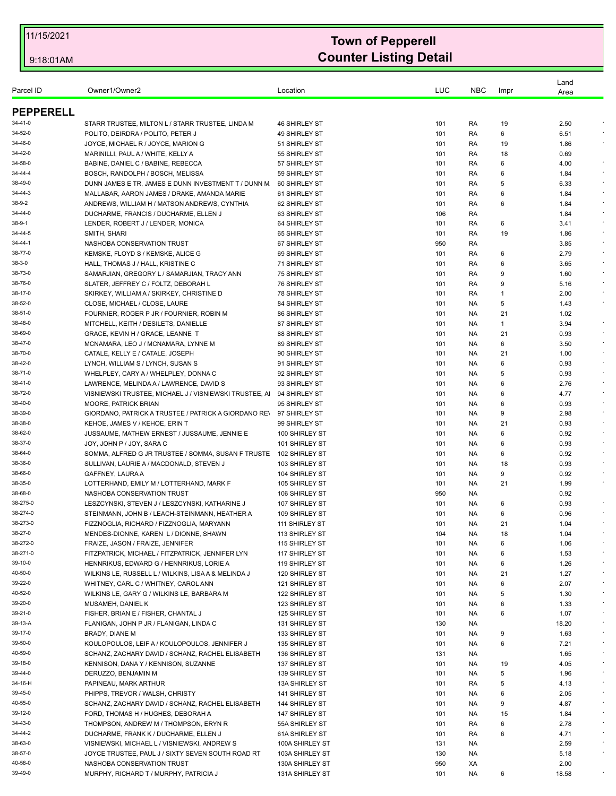| Parcel ID        | Owner1/Owner2                                         | Location             | LUC | <b>NBC</b> | Impr | Land<br>Area |            |
|------------------|-------------------------------------------------------|----------------------|-----|------------|------|--------------|------------|
| <b>PEPPERELL</b> |                                                       |                      |     |            |      |              |            |
| 34-41-0          | STARR TRUSTEE, MILTON L / STARR TRUSTEE, LINDA M      | 46 SHIRLEY ST        | 101 | RA         | 19   | 2.50         |            |
| 34-52-0          | POLITO, DEIRDRA / POLITO, PETER J                     | 49 SHIRLEY ST        | 101 | RA         | 6    | 6.51         |            |
| 34-46-0          | JOYCE, MICHAEL R / JOYCE, MARION G                    | 51 SHIRLEY ST        | 101 | RA         | 19   | 1.86         |            |
| 34-42-0          | MARINILLI, PAUL A / WHITE, KELLY A                    | 55 SHIRLEY ST        | 101 | RA         | 18   | 0.69         |            |
| 34-58-0          | BABINE, DANIEL C / BABINE, REBECCA                    | 57 SHIRLEY ST        | 101 | RA         | 6    | 4.00         | $\bullet$  |
| 34-44-4          | BOSCH, RANDOLPH / BOSCH, MELISSA                      | 59 SHIRLEY ST        | 101 | RA         | 6    | 1.84         |            |
| 38-49-0          | DUNN JAMES E TR, JAMES E DUNN INVESTMENT T / DUNN M   | 60 SHIRLEY ST        | 101 | RA         | 5    | 6.33         | $\star$    |
| 34-44-3          | MALLABAR, AARON JAMES / DRAKE, AMANDA MARIE           | 61 SHIRLEY ST        | 101 | RA         | 6    | 1.84         | $\sim$     |
| 38-9-2           | ANDREWS, WILLIAM H / MATSON ANDREWS, CYNTHIA          | 62 SHIRLEY ST        | 101 | RA         | 6    | 1.84         |            |
| 34-44-0          | DUCHARME, FRANCIS / DUCHARME, ELLEN J                 | 63 SHIRLEY ST        | 106 | RA         |      | 1.84         |            |
| 38-9-1           | LENDER, ROBERT J / LENDER, MONICA                     | 64 SHIRLEY ST        | 101 | RA         | 6    | 3.41         | $\epsilon$ |
| 34-44-5          | SMITH, SHARI                                          | 65 SHIRLEY ST        | 101 | RA         | 19   | 1.86         | $\bullet$  |
| 34-44-1          | NASHOBA CONSERVATION TRUST                            | 67 SHIRLEY ST        | 950 | RA         |      | 3.85         |            |
| 38-77-0          | KEMSKE, FLOYD S / KEMSKE, ALICE G                     | 69 SHIRLEY ST        | 101 | RA         | 6    | 2.79         |            |
| 38-3-0           | HALL, THOMAS J / HALL, KRISTINE C                     | 71 SHIRLEY ST        | 101 | RA         | 6    | 3.65         | $\star$    |
| 38-73-0          | SAMARJIAN, GREGORY L / SAMARJIAN, TRACY ANN           | 75 SHIRLEY ST        | 101 | RA         | 9    | 1.60         | $\epsilon$ |
| 38-76-0          | SLATER, JEFFREY C / FOLTZ, DEBORAH L                  | 76 SHIRLEY ST        | 101 | RA         | 9    | 5.16         |            |
| 38-17-0          | SKIRKEY, WILLIAM A / SKIRKEY, CHRISTINE D             | <b>78 SHIRLEY ST</b> | 101 | RA         | 1    | 2.00         | $\sim$     |
| 38-52-0          | CLOSE, MICHAEL / CLOSE, LAURE                         | 84 SHIRLEY ST        | 101 | NA.        | 5    | 1.43         | $\epsilon$ |
| 38-51-0          | FOURNIER, ROGER P JR / FOURNIER, ROBIN M              | 86 SHIRLEY ST        | 101 | NA.        | 21   | 1.02         |            |
| 38-48-0          | MITCHELL, KEITH / DESILETS, DANIELLE                  | 87 SHIRLEY ST        | 101 | NA.        | 1    | 3.94         | $\bullet$  |
| 38-69-0          | GRACE, KEVIN H / GRACE, LEANNE T                      | 88 SHIRLEY ST        | 101 | NA.        | 21   | 0.93         |            |
| 38-47-0          | MCNAMARA, LEO J / MCNAMARA, LYNNE M                   | 89 SHIRLEY ST        | 101 | NA.        | 6    | 3.50         | $\star$    |
| 38-70-0          | CATALE, KELLY E / CATALE, JOSEPH                      | 90 SHIRLEY ST        | 101 | NA.        | 21   | 1.00         |            |
| 38-42-0          | LYNCH, WILLIAM S / LYNCH, SUSAN S                     | 91 SHIRLEY ST        | 101 | NA.        | 6    | 0.93         | $\sim$     |
| 38-71-0          | WHELPLEY, CARY A / WHELPLEY, DONNA C                  | 92 SHIRLEY ST        | 101 | NA.        | 5    | 0.93         |            |
| 38-41-0          | LAWRENCE, MELINDA A / LAWRENCE, DAVID S               | 93 SHIRLEY ST        | 101 | NA.        | 6    | 2.76         | $\epsilon$ |
| 38-72-0          | VISNIEWSKI TRUSTEE, MICHAEL J / VISNIEWSKI TRUSTEE, A | 94 SHIRLEY ST        | 101 | NA.        | 6    | 4.77         | $\cdot$    |
| 38-40-0          | <b>MOORE, PATRICK BRIAN</b>                           | 95 SHIRLEY ST        | 101 | NA.        | 6    | 0.93         |            |
| 38-39-0          | GIORDANO, PATRICK A TRUSTEE / PATRICK A GIORDANO REV  | 97 SHIRLEY ST        | 101 | NA.        | 9    | 2.98         | $\epsilon$ |
| 38-38-0          | KEHOE, JAMES V / KEHOE, ERIN T                        | 99 SHIRLEY ST        | 101 | NA.        | 21   | 0.93         |            |
| 38-62-0          | JUSSAUME, MATHEW ERNEST / JUSSAUME, JENNIE E          | 100 SHIRLEY ST       | 101 | NA.        | 6    | 0.92         |            |
| 38-37-0          | JOY, JOHN P / JOY, SARA C                             | 101 SHIRLEY ST       | 101 | NA.        | 6    | 0.93         |            |
| 38-64-0          | SOMMA, ALFRED G JR TRUSTEE / SOMMA, SUSAN F TRUSTE    | 102 SHIRLEY ST       | 101 | NA.        | 6    | 0.92         | $\sim$     |
| 38-36-0          | SULLIVAN, LAURIE A / MACDONALD, STEVEN J              | 103 SHIRLEY ST       | 101 | NA.        | 18   | 0.93         |            |
| 38-66-0          | GAFFNEY, LAURA A                                      | 104 SHIRLEY ST       | 101 | NA.        | 9    | 0.92         |            |
| 38-35-0          | LOTTERHAND, EMILY M / LOTTERHAND, MARK F              | 105 SHIRLEY ST       | 101 | NA.        | 21   | 1.99         | $\sim$     |
| 38-68-0          | NASHOBA CONSERVATION TRUST                            | 106 SHIRLEY ST       | 950 | NA.        |      | 0.92         |            |
| 38-275-0         | LESZCYNSKI, STEVEN J / LESZCYNSKI, KATHARINE J        | 107 SHIRLEY ST       | 101 | NA.        | 6    | 0.93         |            |
| 38-274-0         | STEINMANN, JOHN B / LEACH-STEINMANN, HEATHER A        | 109 SHIRLEY ST       | 101 | NA         | 6    | 0.96         |            |
| 38-273-0         | FIZZNOGLIA, RICHARD / FIZZNOGLIA, MARYANN             | 111 SHIRLEY ST       | 101 | NA         | 21   | 1.04         |            |
| 38-27-0          | MENDES-DIONNE, KAREN L / DIONNE, SHAWN                | 113 SHIRLEY ST       | 104 | NA         | 18   | 1.04         |            |
| 38-272-0         | FRAIZE, JASON / FRAIZE, JENNIFER                      | 115 SHIRLEY ST       | 101 | NA         | 6    | 1.06         |            |
| 38-271-0         | FITZPATRICK, MICHAEL / FITZPATRICK, JENNIFER LYN      | 117 SHIRLEY ST       | 101 | NA.        | 6    | 1.53         |            |
| 39-10-0          | HENNRIKUS, EDWARD G / HENNRIKUS, LORIE A              | 119 SHIRLEY ST       | 101 | NA         | 6    | 1.26         | $\epsilon$ |
| 40-50-0          | WILKINS LE, RUSSELL L / WILKINS, LISA A & MELINDA J   | 120 SHIRLEY ST       | 101 | NA.        | 21   | 1.27         | $\star$    |
| 39-22-0          | WHITNEY, CARL C / WHITNEY, CAROL ANN                  | 121 SHIRLEY ST       | 101 | NA.        | 6    | 2.07         |            |
| 40-52-0          | WILKINS LE, GARY G / WILKINS LE, BARBARA M            | 122 SHIRLEY ST       | 101 | NA.        | 5    | 1.30         | $\bullet$  |
| 39-20-0          | MUSAMEH, DANIEL K                                     | 123 SHIRLEY ST       | 101 | NA.        | 6    | 1.33         | $\epsilon$ |
| 39-21-0          | FISHER, BRIAN E / FISHER, CHANTAL J                   | 125 SHIRLEY ST       | 101 | NA.        | 6    | 1.07         |            |
| 39-13-A          | FLANIGAN, JOHN P JR / FLANIGAN, LINDA C               | 131 SHIRLEY ST       | 130 | NA.        |      | 18.20        | $\sim$     |
| 39-17-0          | <b>BRADY, DIANE M</b>                                 | 133 SHIRLEY ST       | 101 | NA.        | 9    | 1.63         | $\sim$     |
| 39-50-0          | KOULOPOULOS, LEIF A / KOULOPOULOS, JENNIFER J         | 135 SHIRLEY ST       | 101 | NA         | 6    | 7.21         | $\star$    |
| 40-59-0          | SCHANZ, ZACHARY DAVID / SCHANZ, RACHEL ELISABETH      | 136 SHIRLEY ST       | 131 | NA.        |      | 1.65         |            |
| 39-18-0          | KENNISON, DANA Y / KENNISON, SUZANNE                  | 137 SHIRLEY ST       | 101 | NA.        | 19   | 4.05         | $\bullet$  |
| 39-44-0          | DERUZZO, BENJAMIN M                                   | 139 SHIRLEY ST       | 101 | NA         | 5    | 1.96         | $\sim$     |
| 34-16-H          | PAPINEAU, MARK ARTHUR                                 | 13A SHIRLEY ST       | 101 | RA         | 5    | 4.13         | $\star$    |
| 39-45-0          | PHIPPS, TREVOR / WALSH, CHRISTY                       | 141 SHIRLEY ST       | 101 | NA.        | 6    | 2.05         | $\cdot$    |
| 40-55-0          | SCHANZ, ZACHARY DAVID / SCHANZ, RACHEL ELISABETH      | 144 SHIRLEY ST       | 101 | NA.        | 9    | 4.87         | $\sim$     |
| 39-12-0          | FORD, THOMAS H / HUGHES, DEBORAH A                    | 147 SHIRLEY ST       | 101 | NA.        | 15   | 1.84         | $\epsilon$ |
| 34-43-0          | THOMPSON, ANDREW M / THOMPSON, ERYN R                 | 55A SHIRLEY ST       | 101 | RA         | 6    | 2.78         | $\star$    |
| 34-44-2          | DUCHARME, FRANK K / DUCHARME, ELLEN J                 | 61A SHIRLEY ST       | 101 | RA         | 6    | 4.71         | $\sim$     |
| 38-63-0          | VISNIEWSKI, MICHAEL L / VISNIEWSKI, ANDREW S          | 100A SHIRLEY ST      | 131 | NA.        |      | 2.59         |            |
| 38-57-0          | JOYCE TRUSTEE, PAUL J / SIXTY SEVEN SOUTH ROAD RT     | 103A SHIRLEY ST      | 130 | NA         |      | 5.18         | $\sim$     |
| 40-58-0          | NASHOBA CONSERVATION TRUST                            | 130A SHIRLEY ST      | 950 | XA         |      | 2.00         |            |
| 39-49-0          | MURPHY, RICHARD T / MURPHY, PATRICIA J                | 131A SHIRLEY ST      | 101 | NA.        | 6    | 18.58        |            |
|                  |                                                       |                      |     |            |      |              |            |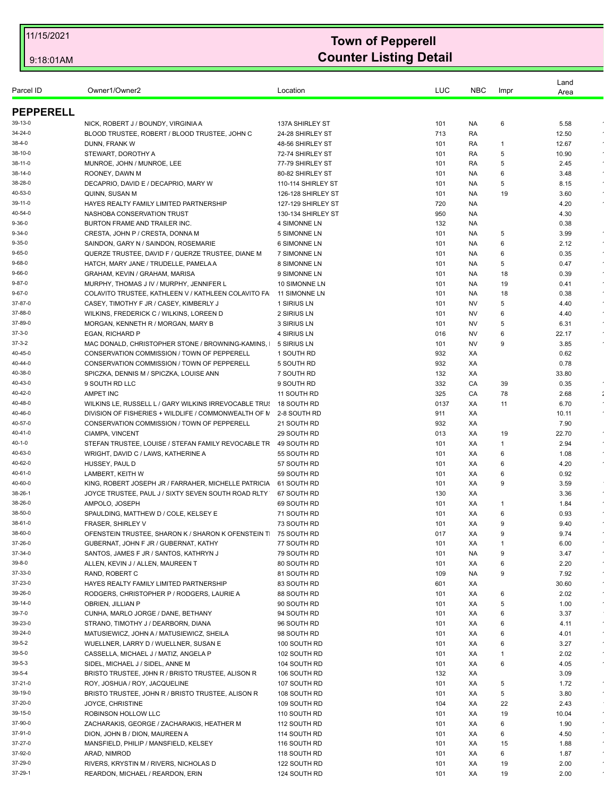| Parcel ID          | Owner1/Owner2                                                                    | Location                          | LUC        | <b>NBC</b> | Impr    | Land<br>Area  |                      |
|--------------------|----------------------------------------------------------------------------------|-----------------------------------|------------|------------|---------|---------------|----------------------|
| <b>PEPPERELL</b>   |                                                                                  |                                   |            |            |         |               |                      |
| 39-13-0            | NICK, ROBERT J / BOUNDY, VIRGINIA A                                              | 137A SHIRLEY ST                   | 101        | NA.        | 6       | 5.58          |                      |
| 34-24-0            | BLOOD TRUSTEE, ROBERT / BLOOD TRUSTEE, JOHN C                                    | 24-28 SHIRLEY ST                  | 713        | RA         |         | 12.50         |                      |
| 38-4-0             | DUNN, FRANK W                                                                    | 48-56 SHIRLEY ST                  | 101        | RA         | 1       | 12.67         |                      |
| 38-10-0            | STEWART, DOROTHY A                                                               | 72-74 SHIRLEY ST                  | 101        | RA         | 5       | 10.90         |                      |
| 38-11-0            | MUNROE, JOHN / MUNROE, LEE                                                       | 77-79 SHIRLEY ST                  | 101        | RA         | 5       | 2.45          |                      |
| 38-14-0            | ROONEY, DAWN M                                                                   | 80-82 SHIRLEY ST                  | 101        | NA.        | 6       | 3.48          |                      |
| 38-28-0            | DECAPRIO, DAVID E / DECAPRIO, MARY W                                             | 110-114 SHIRLEY ST                | 101        | NA.        | 5       | 8.15          |                      |
| 40-53-0            | QUINN, SUSAN M                                                                   | 126-128 SHIRLEY ST                | 101        | NA.        | 19      | 3.60          |                      |
| 39-11-0            | HAYES REALTY FAMILY LIMITED PARTNERSHIP                                          | 127-129 SHIRLEY ST                | 720        | <b>NA</b>  |         | 4.20          |                      |
| 40-54-0            | NASHOBA CONSERVATION TRUST                                                       | 130-134 SHIRLEY ST                | 950        | NA.        |         | 4.30          |                      |
| 9-36-0             | BURTON FRAME AND TRAILER INC.                                                    | 4 SIMONNE LN                      | 132        | NA.        |         | 0.38          |                      |
| 9-34-0             | CRESTA, JOHN P / CRESTA, DONNA M                                                 | 5 SIMONNE LN                      | 101        | NA.        | 5       | 3.99          | $\bullet$            |
| 9-35-0             | SAINDON, GARY N / SAINDON, ROSEMARIE                                             | 6 SIMONNE LN                      | 101        | NA.        | 6       | 2.12          |                      |
| 9-65-0             | QUERZE TRUSTEE, DAVID F / QUERZE TRUSTEE, DIANE M                                | 7 SIMONNE LN                      | 101        | NA.        | 6       | 0.35          | $\sim$               |
| 9-68-0             | HATCH, MARY JANE / TRUDELLE, PAMELA A                                            | 8 SIMONNE LN                      | 101        | NA.        | 5       | 0.47          | $\bullet$            |
| 9-66-0             | GRAHAM, KEVIN / GRAHAM, MARISA                                                   | 9 SIMONNE LN                      | 101        | NA.        | 18      | 0.39          |                      |
| 9-87-0             | MURPHY, THOMAS J IV / MURPHY, JENNIFER L                                         | 10 SIMONNE LN                     | 101        | NA.        | 19      | 0.41          |                      |
| 9-67-0             | COLAVITO TRUSTEE, KATHLEEN V / KATHLEEN COLAVITO FA                              | <b>11 SIMONNE LN</b>              | 101        | NA.        | 18      | 0.38          |                      |
| 37-87-0<br>37-88-0 | CASEY, TIMOTHY F JR / CASEY, KIMBERLY J                                          | 1 SIRIUS LN                       | 101        | NV         | 5       | 4.40          |                      |
| 37-89-0            | WILKINS, FREDERICK C / WILKINS, LOREEN D                                         | 2 SIRIUS LN                       | 101<br>101 | NV         | 6       | 4.40          |                      |
| 37-3-0             | MORGAN, KENNETH R / MORGAN, MARY B<br><b>EGAN, RICHARD P</b>                     | 3 SIRIUS LN<br><b>4 SIRIUS LN</b> | 016        | NV<br>NV   | 5<br>6  | 6.31<br>22.17 |                      |
| 37-3-2             | MAC DONALD, CHRISTOPHER STONE / BROWNING-KAMINS,                                 | 5 SIRIUS LN                       | 101        | <b>NV</b>  | 9       | 3.85          |                      |
| 40-45-0            | CONSERVATION COMMISSION / TOWN OF PEPPERELL                                      | 1 SOUTH RD                        | 932        | XA         |         | 0.62          |                      |
| 40-44-0            | CONSERVATION COMMISSION / TOWN OF PEPPERELL                                      | 5 SOUTH RD                        | 932        | XA         |         | 0.78          |                      |
| 40-38-0            | SPICZKA, DENNIS M / SPICZKA, LOUISE ANN                                          | 7 SOUTH RD                        | 132        | XA         |         | 33.80         |                      |
| 40-43-0            | 9 SOUTH RD LLC                                                                   | 9 SOUTH RD                        | 332        | CA         | 39      | 0.35          |                      |
| 40-42-0            | <b>AMPET INC</b>                                                                 | 11 SOUTH RD                       | 325        | CA         | 78      | 2.68          | $\ddot{\phantom{a}}$ |
| 40-48-0            | WILKINS LE, RUSSELL L / GARY WILKINS IRREVOCABLE TRUS                            | 18 SOUTH RD                       | 0137       | XA         | 11      | 6.70          |                      |
| 40-46-0            | DIVISION OF FISHERIES + WILDLIFE / COMMONWEALTH OF N                             | 2-8 SOUTH RD                      | 911        | XA         |         | 10.11         |                      |
| 40-57-0            | CONSERVATION COMMISSION / TOWN OF PEPPERELL                                      | 21 SOUTH RD                       | 932        | XA         |         | 7.90          |                      |
| 40-41-0            | CIAMPA, VINCENT                                                                  | 29 SOUTH RD                       | 013        | XA         | 19      | 22.70         |                      |
| 40-1-0             | STEFAN TRUSTEE, LOUISE / STEFAN FAMILY REVOCABLE TR                              | 49 SOUTH RD                       | 101        | XA         | 1       | 2.94          |                      |
| 40-63-0            | WRIGHT, DAVID C / LAWS, KATHERINE A                                              | 55 SOUTH RD                       | 101        | XA         | 6       | 1.08          |                      |
| 40-62-0            | HUSSEY, PAUL D                                                                   | 57 SOUTH RD                       | 101        | XA         | 6       | 4.20          | $\epsilon$           |
| 40-61-0            | LAMBERT, KEITH W                                                                 | 59 SOUTH RD                       | 101        | XA         | 6       | 0.92          |                      |
| 40-60-0            | KING, ROBERT JOSEPH JR / FARRAHER, MICHELLE PATRICIA                             | 61 SOUTH RD                       | 101        | XA         | 9       | 3.59          |                      |
| 38-26-1            | JOYCE TRUSTEE, PAUL J / SIXTY SEVEN SOUTH ROAD RLTY                              | 67 SOUTH RD                       | 130        | XA         |         | 3.36          |                      |
| 38-26-0            | AMPOLO, JOSEPH                                                                   | 69 SOUTH RD                       | 101        | XA         | -1      | 1.84          |                      |
| 38-50-0            | SPAULDING, MATTHEW D / COLE, KELSEY E                                            | 71 SOUTH RD                       | 101        | XA         | 6       | 0.93          |                      |
| 38-61-0            | FRASER, SHIRLEY V                                                                | 73 SOUTH RD                       | 101        | XA         | 9       | 9.40          |                      |
| 38-60-0            | OFENSTEIN TRUSTEE, SHARON K / SHARON K OFENSTEIN T 75 SOUTH RD                   |                                   | 017        | ХA         | 9       | 9.74          |                      |
| 37-26-0            | GUBERNAT, JOHN F JR / GUBERNAT, KATHY                                            | 77 SOUTH RD                       | 101        | ХA         | 1       | 6.00          | $\epsilon$           |
| 37-34-0            | SANTOS, JAMES F JR / SANTOS, KATHRYN J                                           | 79 SOUTH RD                       | 101        | <b>NA</b>  | 9       | 3.47          | $\epsilon$           |
| 39-8-0             | ALLEN, KEVIN J / ALLEN, MAUREEN T                                                | 80 SOUTH RD                       | 101        | XA         | 6       | 2.20          |                      |
| 37-33-0            | RAND, ROBERT C                                                                   | 81 SOUTH RD                       | 109        | NA.        | 9       | 7.92          | $\bullet$            |
| 37-23-0            | HAYES REALTY FAMILY LIMITED PARTNERSHIP                                          | 83 SOUTH RD                       | 601        | XA         |         | 30.60         | $\star$<br>$\star$   |
| 39-26-0            | RODGERS, CHRISTOPHER P / RODGERS, LAURIE A                                       | 88 SOUTH RD                       | 101        | ХA         | 6       | 2.02          | $\epsilon$           |
| 39-14-0<br>39-7-0  | OBRIEN, JILLIAN P                                                                | 90 SOUTH RD                       | 101        | XA         | 5       | 1.00          |                      |
|                    | CUNHA, MARLO JORGE / DANE, BETHANY                                               | 94 SOUTH RD                       | 101        | XA         | 6       | 3.37          | $\sim$               |
| 39-23-0<br>39-24-0 | STRANO, TIMOTHY J / DEARBORN, DIANA<br>MATUSIEWICZ, JOHN A / MATUSIEWICZ, SHEILA | 96 SOUTH RD                       | 101<br>101 | ХA<br>XA   | 6<br>6  | 4.11          | $\bullet$            |
| 39-5-2             |                                                                                  | 98 SOUTH RD<br>100 SOUTH RD       |            | XA         | 6       | 4.01          | $\sim$               |
| 39-5-0             | WUELLNER, LARRY D / WUELLNER, SUSAN E<br>CASSELLA, MICHAEL J / MATIZ, ANGELA P   | 102 SOUTH RD                      | 101<br>101 |            | -1      | 3.27<br>2.02  | $\sim$               |
| 39-5-3             | SIDEL, MICHAEL J / SIDEL, ANNE M                                                 | 104 SOUTH RD                      | 101        | ХA<br>XA   | 6       | 4.05          | $\star$              |
| 39-5-4             | BRISTO TRUSTEE, JOHN R / BRISTO TRUSTEE, ALISON R                                | 106 SOUTH RD                      | 132        | ХA         |         | 3.09          |                      |
| 37-21-0            | ROY, JOSHUA / ROY, JACQUELINE                                                    | 107 SOUTH RD                      | 101        | XA         | 5       | 1.72          |                      |
| 39-19-0            | BRISTO TRUSTEE, JOHN R / BRISTO TRUSTEE, ALISON R                                | 108 SOUTH RD                      | 101        | XA         | 5       | 3.80          | $\bullet$            |
| 37-20-0            | JOYCE, CHRISTINE                                                                 | 109 SOUTH RD                      | 104        | XA         | 22      | 2.43          |                      |
| 39-15-0            | ROBINSON HOLLOW LLC                                                              | 110 SOUTH RD                      | 101        | XA         | 19      | 10.04         |                      |
| 37-90-0            | ZACHARAKIS, GEORGE / ZACHARAKIS, HEATHER M                                       | 112 SOUTH RD                      | 101        | XA         | 6       | 1.90          | $\bullet$            |
| 37-91-0            |                                                                                  |                                   |            |            |         |               | $\sim$               |
| 37-27-0            | DION, JOHN B / DION, MAUREEN A<br>MANSFIELD, PHILIP / MANSFIELD, KELSEY          | 114 SOUTH RD                      | 101<br>101 | XA<br>XA   | 6       | 4.50          | $\star$              |
| 37-92-0            | ARAD, NIMROD                                                                     | 116 SOUTH RD                      | 101        | XA         | 15<br>6 | 1.88<br>1.87  | $\bullet$            |
| 37-29-0            |                                                                                  | 118 SOUTH RD                      |            |            |         |               | $\bullet$            |
|                    | RIVERS, KRYSTIN M / RIVERS, NICHOLAS D                                           | 122 SOUTH RD                      | 101        | ХA         | 19      | 2.00          |                      |
| 37-29-1            | REARDON, MICHAEL / REARDON, ERIN                                                 | 124 SOUTH RD                      | 101        | XA         | 19      | 2.00          |                      |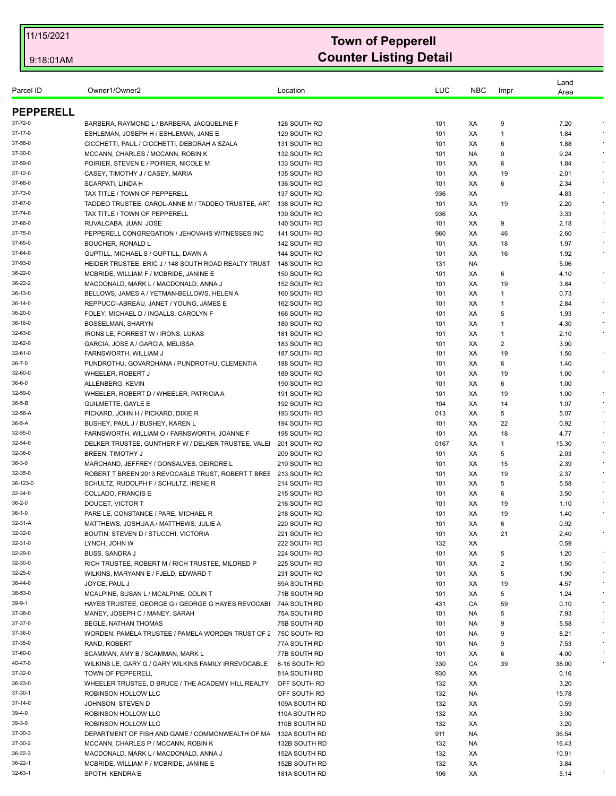| Parcel ID          | Owner1/Owner2                                                          | Location                     | LUC        | <b>NBC</b> | Impr         | Land<br>Area |                      |
|--------------------|------------------------------------------------------------------------|------------------------------|------------|------------|--------------|--------------|----------------------|
| <b>PEPPERELL</b>   |                                                                        |                              |            |            |              |              |                      |
| 37-72-0            | BARBERA, RAYMOND L / BARBERA, JACQUELINE F                             | 126 SOUTH RD                 | 101        | XA         | 9            | 7.20         |                      |
| 37-17-0            | ESHLEMAN, JOSEPH H / ESHLEMAN, JANE E                                  | 129 SOUTH RD                 | 101        | XA         | 1            | 1.84         |                      |
| 37-58-0            | CICCHETTI, PAUL / CICCHETTI, DEBORAH A SZALA                           | 131 SOUTH RD                 | 101        | XA         | 6            | 1.88         |                      |
| 37-30-0            | MCCANN, CHARLES / MCCANN, ROBIN K                                      | 132 SOUTH RD                 | 101        | NA.        | 9            | 9.24         |                      |
| 37-59-0            | POIRIER, STEVEN E / POIRIER, NICOLE M                                  | 133 SOUTH RD                 | 101        | XA         | 6            | 1.84         | $\epsilon$           |
| 37-12-0            | CASEY, TIMOTHY J / CASEY, MARIA                                        | 135 SOUTH RD                 | 101        | XA         | 19           | 2.01         | $\epsilon$           |
| 37-68-0            | SCARPATI, LINDA H                                                      | 136 SOUTH RD                 | 101        | XA         | 6            | 2.34         |                      |
| 37-73-0            | TAX TITLE / TOWN OF PEPPERELL                                          | 137 SOUTH RD                 | 936        | XA         |              | 4.83         |                      |
| 37-67-0            | TADDEO TRUSTEE, CAROL-ANNE M / TADDEO TRUSTEE, ART                     | 138 SOUTH RD                 | 101        | XA         | 19           | 2.20         | $\sim$               |
| 37-74-0            | TAX TITLE / TOWN OF PEPPERELL                                          | 139 SOUTH RD                 | 936        | XA         |              | 3.33         |                      |
| 37-66-0            | RUVALCABA, JUAN JOSE                                                   | 140 SOUTH RD                 | 101        | XA         | 9            | 2.18         |                      |
| 37-75-0            | PEPPERELL CONGREGATION / JEHOVAHS WITNESSES INC                        | 141 SOUTH RD                 | 960        | XA         | 46           | 2.60         | $\epsilon$           |
| 37-65-0            | <b>BOUCHER, RONALD L</b>                                               | 142 SOUTH RD                 | 101        | XA         | 18           | 1.97         |                      |
| 37-64-0            | GUPTILL, MICHAEL S / GUPTILL, DAWN A                                   | 144 SOUTH RD                 | 101        | XA         | 16           | 1.92         | $\sim$               |
| 37-93-0            | HEIDER TRUSTEE, ERIC J / 148 SOUTH ROAD REALTY TRUST                   | 148 SOUTH RD                 | 131        | NA.        |              | 5.06         |                      |
| 36-22-0            | MCBRIDE, WILLIAM F / MCBRIDE, JANINE E                                 | 150 SOUTH RD                 | 101        | XA         | 6            | 4.10         |                      |
| 36-22-2            | MACDONALD, MARK L / MACDONALD, ANNA J                                  | 152 SOUTH RD                 | 101        | XA         | 19           | 3.84         |                      |
| 36-13-0            | BELLOWS, JAMES A / YETMAN-BELLOWS, HELEN A                             | 160 SOUTH RD                 | 101        | XA         | 1            | 0.73         |                      |
| 36-14-0            | REPPUCCI-ABREAU, JANET / YOUNG, JAMES E                                | 162 SOUTH RD                 | 101        | XA         | -1           | 2.84         | $\bullet$<br>$\sim$  |
| 36-20-0            | FOLEY, MICHAEL D / INGALLS, CAROLYN F                                  | 166 SOUTH RD                 | 101        | XA         | 5            | 1.93         | $\epsilon$           |
| 36-16-0            | BOSSELMAN, SHARYN                                                      | 180 SOUTH RD                 | 101        | XA         | $\mathbf{1}$ | 4.30         |                      |
| 32-63-0<br>32-62-0 | IRONS LE, FORREST W / IRONS, LUKAS<br>GARCIA, JOSE A / GARCIA, MELISSA | 181 SOUTH RD<br>183 SOUTH RD | 101<br>101 | XA<br>XA   | 1<br>2       | 2.10<br>3.90 |                      |
| 32-61-0            | FARNSWORTH, WILLIAM J                                                  | 187 SOUTH RD                 | 101        | XA         | 19           | 1.50         |                      |
| 36-7-0             | PUNDROTHU, GOVARDHANA / PUNDROTHU, CLEMENTIA                           | 188 SOUTH RD                 | 101        | XA         | 6            | 1.40         |                      |
| 32-60-0            | WHEELER, ROBERT J                                                      | 189 SOUTH RD                 | 101        | XA         | 19           | 1.00         |                      |
| 36-6-0             | ALLENBERG, KEVIN                                                       | 190 SOUTH RD                 | 101        | XA         | 6            | 1.00         |                      |
| 32-59-0            | WHEELER, ROBERT D / WHEELER, PATRICIA A                                | 191 SOUTH RD                 | 101        | XA         | 19           | 1.00         |                      |
| 36-5-B             | <b>GUILMETTE, GAYLE E</b>                                              | 192 SOUTH RD                 | 104        | XA         | 14           | 1.07         |                      |
| 32-56-A            | PICKARD, JOHN H / PICKARD, DIXIE R                                     | 193 SOUTH RD                 | 013        | XA         | 5            | 5.07         |                      |
| 36-5-A             | BUSHEY, PAUL J / BUSHEY, KAREN L                                       | 194 SOUTH RD                 | 101        | XA         | 22           | 0.92         | $\sim$               |
| 32-55-0            | FARNSWORTH, WILLIAM O / FARNSWORTH, JOANNE F                           | 195 SOUTH RD                 | 101        | XA         | 18           | 4.77         | $\epsilon$           |
| 32-54-0            | DELKER TRUSTEE, GUNTHER F W / DELKER TRUSTEE, VALE                     | 201 SOUTH RD                 | 0167       | XA         | 1            | 15.30        |                      |
| 32-36-0            | <b>BREEN, TIMOTHY J</b>                                                | 209 SOUTH RD                 | 101        | XA         | 5            | 2.03         | $\sim$               |
| 36-3-0             | MARCHAND, JEFFREY / GONSALVES, DEIRDRE L                               | 210 SOUTH RD                 | 101        | XA         | 15           | 2.39         |                      |
| 32-35-0            | ROBERT T BREEN 2013 REVOCABLE TRUST, ROBERT T BREE 213 SOUTH RD        |                              | 101        | XA         | 19           | 2.37         |                      |
| 36-123-0           | SCHULTZ, RUDOLPH F / SCHULTZ, IRENE R                                  | 214 SOUTH RD                 | 101        | XA         | 5            | 5.58         | $\bullet$            |
| 32-34-0            | COLLADO, FRANCIS E                                                     | 215 SOUTH RD                 | 101        | XA         | 6            | 3.50         |                      |
| 36-2-0             | DOUCET, VICTOR T                                                       | 216 SOUTH RD                 | 101        | XA         | 19           | 1.10         |                      |
| 36-1-0             | PARE LE, CONSTANCE / PARE, MICHAEL R                                   | 218 SOUTH RD                 | 101        | XA         | 19           | 1.40         |                      |
| 32-31-A            | MATTHEWS, JOSHUA A / MATTHEWS, JULIE A                                 | 220 SOUTH RD                 | 101        | XA         | 6            | 0.92         |                      |
| 32-32-0            | BOUTIN, STEVEN D / STUCCHI, VICTORIA                                   | 221 SOUTH RD                 | 101        | ХA         | 21           | 2.40         |                      |
| 32-31-0            | LYNCH, JOHN W                                                          | 222 SOUTH RD                 | 132        | XA         |              | 0.59         |                      |
| 32-29-0            | <b>BUSS, SANDRA J</b>                                                  | 224 SOUTH RD                 | 101        | XA         | 5            | 1.20         | $\epsilon$           |
| 32-30-0            | RICH TRUSTEE, ROBERT M / RICH TRUSTEE, MILDRED P                       | 225 SOUTH RD                 | 101        | XA         | 2            | 1.50         |                      |
| 32-25-0            | WILKINS, MARYANN E / FJELD, EDWARD T                                   | 231 SOUTH RD                 | 101        | XA         | 5            | 1.90         | $\epsilon$           |
| 38-44-0            | JOYCE, PAUL J                                                          | 69A SOUTH RD                 | 101        | XA         | 19           | 4.57         | $\star$              |
| 38-53-0            | MCALPINE, SUSAN L / MCALPINE, COLIN T                                  | 71B SOUTH RD                 | 101        | ХA         | 5            | 1.24         | $\epsilon$           |
| 39-9-1             | HAYES TRUSTEE, GEORGE G / GEORGE G HAYES REVOCABL                      | 74A SOUTH RD                 | 431        | CA         | 59           | 0.10         | $\bullet$            |
| 37-38-0            | MANEY, JOSEPH C / MANEY, SARAH                                         | 75A SOUTH RD                 | 101        | NA.        | 5            | 7.93         | $\star$              |
| 37-37-0            | BEGLE, NATHAN THOMAS                                                   | 75B SOUTH RD                 | 101        | NA.        | 9            | 5.58         | $\sim$<br>$\epsilon$ |
| 37-36-0            | WORDEN, PAMELA TRUSTEE / PAMELA WORDEN TRUST OF 2 75C SOUTH RD         |                              | 101        | NA.        | 9            | 8.21         | $\sim$               |
| 37-35-0            | RAND, ROBERT                                                           | 77A SOUTH RD                 | 101        | NA.        | 9            | 7.53         |                      |
| 37-60-0            | SCAMMAN, AMY B / SCAMMAN, MARK L                                       | 77B SOUTH RD                 | 101        | ХA         | 6            | 4.00         |                      |
| 40-47-0            | WILKINS LE, GARY G / GARY WILKINS FAMILY IRREVOCABLE                   | 8-16 SOUTH RD                | 330        | CA         | 39           | 38.00        |                      |
| 37-32-0<br>36-23-0 | TOWN OF PEPPERELL                                                      | 81A SOUTH RD                 | 930        | ХA         |              | 0.16         |                      |
| 37-30-1            | WHEELER TRUSTEE, D BRUCE / THE ACADEMY HILL REALTY                     | OFF SOUTH RD                 | 132        | XA         |              | 3.20         |                      |
|                    | ROBINSON HOLLOW LLC                                                    | OFF SOUTH RD                 | 132        | NA         |              | 15.78        |                      |
| 37-14-0<br>39-4-0  | JOHNSON, STEVEN D                                                      | 109A SOUTH RD                | 132        | XA         |              | 0.59         |                      |
|                    | ROBINSON HOLLOW LLC                                                    | 110A SOUTH RD                | 132        | XA         |              | 3.00         |                      |
| 39-3-0             | ROBINSON HOLLOW LLC                                                    | 110B SOUTH RD                | 132        | XA         |              | 3.20         |                      |
| 37-30-3            | DEPARTMENT OF FISH AND GAME / COMMONWEALTH OF MA                       | 132A SOUTH RD                | 911        | NA         |              | 36.54        |                      |
| 37-30-2            | MCCANN, CHARLES P / MCCANN, ROBIN K                                    | 132B SOUTH RD                | 132        | <b>NA</b>  |              | 16.43        |                      |
| 36-22-3            | MACDONALD, MARK L / MACDONALD, ANNA J                                  | 152A SOUTH RD                | 132        | XA         |              | 10.91        |                      |
| 36-22-1            | MCBRIDE, WILLIAM F / MCBRIDE, JANINE E                                 | 152B SOUTH RD                | 132        | XA         |              | 3.84         |                      |
| 32-63-1            | SPOTH, KENDRA E                                                        | 181A SOUTH RD                | 106        | XA         |              | 5.14         |                      |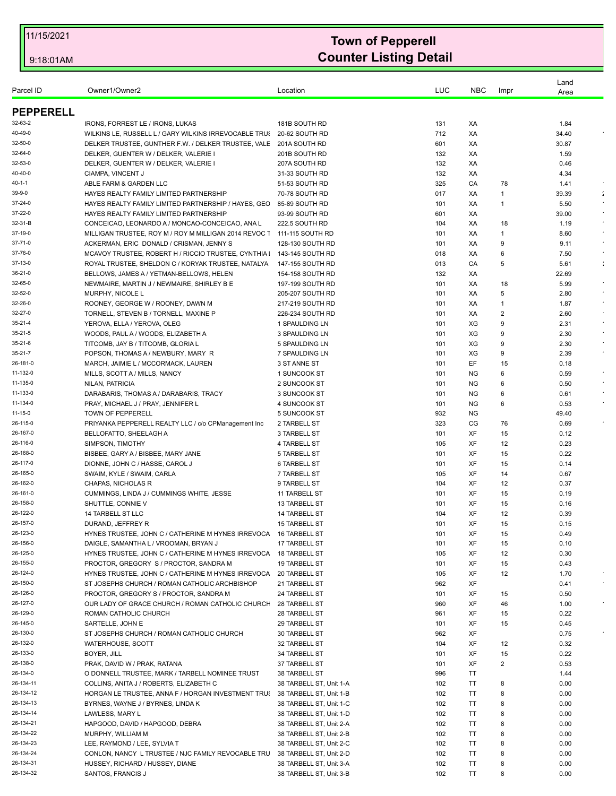| Parcel ID            | Owner1/Owner2                                                              | Location                           | LUC        | <b>NBC</b> | Impr                 | Land<br>Area |                      |
|----------------------|----------------------------------------------------------------------------|------------------------------------|------------|------------|----------------------|--------------|----------------------|
| <b>PEPPERELL</b>     |                                                                            |                                    |            |            |                      |              |                      |
| 32-63-2              | IRONS, FORREST LE / IRONS, LUKAS                                           | 181B SOUTH RD                      | 131        | XA         |                      | 1.84         |                      |
| 40-49-0              | WILKINS LE, RUSSELL L / GARY WILKINS IRREVOCABLE TRUS                      | 20-62 SOUTH RD                     | 712        | XA         |                      | 34.40        |                      |
| 32-50-0              | DELKER TRUSTEE, GUNTHER F.W. / DELKER TRUSTEE, VALE                        | 201A SOUTH RD                      | 601        | XA         |                      | 30.87        |                      |
| 32-64-0              | DELKER, GUENTER W / DELKER, VALERIE I                                      | 201B SOUTH RD                      | 132        | XA         |                      | 1.59         |                      |
| 32-53-0              | DELKER, GUENTER W / DELKER, VALERIE I                                      | 207A SOUTH RD                      | 132        | XA         |                      | 0.46         |                      |
| 40-40-0              | CIAMPA, VINCENT J                                                          | 31-33 SOUTH RD                     | 132        | XA         |                      | 4.34         |                      |
| 40-1-1               | ABLE FARM & GARDEN LLC                                                     | 51-53 SOUTH RD                     | 325        | CA         | 78                   | 1.41         |                      |
| 39-9-0               | HAYES REALTY FAMILY LIMITED PARTNERSHIP                                    | 70-78 SOUTH RD                     | 017        | XA         | 1                    | 39.39        | $\ddot{\phantom{a}}$ |
| 37-24-0              | HAYES REALTY FAMILY LIMITED PARTNERSHIP / HAYES, GEC                       | 85-89 SOUTH RD                     | 101        | XA         | -1                   | 5.50         |                      |
| 37-22-0              | HAYES REALTY FAMILY LIMITED PARTNERSHIP                                    | 93-99 SOUTH RD                     | 601        | XA         |                      | 39.00        |                      |
| 32-31-B              | CONCEICAO, LEONARDO A / MONCAO-CONCEICAO, ANA L                            | 222.5 SOUTH RD                     | 104        | XA         | 18                   | 1.19         | $\epsilon$           |
| 37-19-0              | MILLIGAN TRUSTEE, ROY M / ROY M MILLIGAN 2014 REVOC 1 111-115 SOUTH RD     |                                    | 101        | XA         | -1                   | 8.60         | $\epsilon$           |
| 37-71-0              | ACKERMAN, ERIC DONALD / CRISMAN, JENNY S                                   | 128-130 SOUTH RD                   | 101        | XA         | 9                    | 9.11         |                      |
| 37-76-0              | MCAVOY TRUSTEE, ROBERT H / RICCIO TRUSTEE, CYNTHIA                         | 143-145 SOUTH RD                   | 018        | XA         | 6                    | 7.50         | $\bullet$            |
| 37-13-0              | ROYAL TRUSTEE, SHELDON C / KORYAK TRUSTEE, NATALYA                         | 147-155 SOUTH RD                   | 013        | CA         | 5                    | 5.61         |                      |
| 36-21-0              | BELLOWS, JAMES A / YETMAN-BELLOWS, HELEN                                   | 154-158 SOUTH RD                   | 132        | XA         |                      | 22.69        |                      |
| 32-65-0<br>32-52-0   | NEWMAIRE, MARTIN J / NEWMAIRE, SHIRLEY B E                                 | 197-199 SOUTH RD                   | 101        | XA         | 18                   | 5.99         |                      |
| 32-26-0              | <b>MURPHY, NICOLE L</b>                                                    | 205-207 SOUTH RD                   | 101        | XA         | 5                    | 2.80         | $\sim$               |
| 32-27-0              | ROONEY, GEORGE W / ROONEY, DAWN M<br>TORNELL, STEVEN B / TORNELL, MAXINE P | 217-219 SOUTH RD                   | 101        | XA<br>XA   | 1<br>2               | 1.87<br>2.60 |                      |
| 35-21-4              | YEROVA, ELLA / YEROVA, OLEG                                                | 226-234 SOUTH RD<br>1 SPAULDING LN | 101<br>101 | XG         | 9                    | 2.31         |                      |
| 35-21-5              | WOODS, PAUL A / WOODS, ELIZABETH A                                         | 3 SPAULDING LN                     | 101        | XG         | 9                    | 2.30         | $\sim$               |
| 35-21-6              | TITCOMB, JAY B / TITCOMB, GLORIA L                                         | 5 SPAULDING LN                     | 101        | XG         | 9                    | 2.30         | $\epsilon$           |
| 35-21-7              | POPSON, THOMAS A / NEWBURY, MARY R                                         | 7 SPAULDING LN                     | 101        | XG         | 9                    | 2.39         |                      |
| 26-181-0             | MARCH, JAIMIE L / MCCORMACK, LAUREN                                        | 3 ST ANNE ST                       | 101        | EF         | 15                   | 0.18         |                      |
| 11-132-0             | MILLS, SCOTT A / MILLS, NANCY                                              | 1 SUNCOOK ST                       | 101        | <b>NG</b>  | 6                    | 0.59         | $\star$              |
| 11-135-0             | NILAN, PATRICIA                                                            | 2 SUNCOOK ST                       | 101        | <b>NG</b>  | 6                    | 0.50         |                      |
| 11-133-0             | DARABARIS, THOMAS A / DARABARIS, TRACY                                     | 3 SUNCOOK ST                       | 101        | ΝG         | 6                    | 0.61         |                      |
| 11-134-0             | PRAY, MICHAEL J / PRAY, JENNIFER L                                         | 4 SUNCOOK ST                       | 101        | <b>NG</b>  | 6                    | 0.53         |                      |
| 11-15-0              | TOWN OF PEPPERELL                                                          | 5 SUNCOOK ST                       | 932        | <b>NG</b>  |                      | 49.40        |                      |
| 26-115-0             | PRIYANKA PEPPERELL REALTY LLC / c/o CPManagement Inc                       | 2 TARBELL ST                       | 323        | CG         | 76                   | 0.69         |                      |
| 26-167-0             | BELLOFATTO, SHEELAGH A                                                     | 3 TARBELL ST                       | 101        | XF         | 15                   | 0.12         |                      |
| 26-116-0             | SIMPSON, TIMOTHY                                                           | 4 TARBELL ST                       | 105        | XF         | 12                   | 0.23         |                      |
| 26-168-0             | BISBEE, GARY A / BISBEE, MARY JANE                                         | 5 TARBELL ST                       | 101        | XF         | 15                   | 0.22         |                      |
| 26-117-0             | DIONNE, JOHN C / HASSE, CAROL J                                            | <b>6 TARBELL ST</b>                | 101        | XF         | 15                   | 0.14         |                      |
| 26-165-0             | SWAIM, KYLE / SWAIM, CARLA                                                 | 7 TARBELL ST                       | 105        | XF         | 14                   | 0.67         |                      |
| 26-162-0             | CHAPAS, NICHOLAS R                                                         | 9 TARBELL ST                       | 104        | XF         | 12                   | 0.37         |                      |
| 26-161-0             | CUMMINGS, LINDA J / CUMMINGS WHITE, JESSE                                  | 11 TARBELL ST                      | 101        | XF         | 15                   | 0.19         |                      |
| 26-158-0             | SHUTTLE, CONNIE V                                                          | 13 TARBELL ST                      | 101        | XF         | 15                   | 0.16         |                      |
| 26-122-0             | 14 TARBELL ST LLC                                                          | 14 TARBELL ST                      | 104        | XF         | 12                   | 0.39         |                      |
| 26-157-0             | DURAND, JEFFREY R                                                          | <b>15 TARBELL ST</b>               | 101        | <b>XF</b>  | 15                   | 0.15         |                      |
| 26-123-0             | HYNES TRUSTEE, JOHN C / CATHERINE M HYNES IRREVOCA 16 TARBELL ST           |                                    | 101        | XF         | 15                   | 0.49         |                      |
| 26-156-0             | DAIGLE, SAMANTHA L / VROOMAN, BRYAN J                                      | 17 TARBELL ST                      | 101        | XF         | 15                   | 0.10         |                      |
| 26-125-0             | HYNES TRUSTEE, JOHN C / CATHERINE M HYNES IRREVOCA 18 TARBELL ST           |                                    | 105        | XF         | 12                   | 0.30         |                      |
| 26-155-0             | PROCTOR, GREGORY S / PROCTOR, SANDRA M                                     | <b>19 TARBELL ST</b>               | 101        | XF         | 15                   | 0.43         |                      |
| 26-124-0             | HYNES TRUSTEE, JOHN C / CATHERINE M HYNES IRREVOCA                         | 20 TARBELL ST                      | 105        | XF         | 12                   | 1.70         |                      |
| 26-150-0             | ST JOSEPHS CHURCH / ROMAN CATHOLIC ARCHBISHOP                              | 21 TARBELL ST                      | 962        | XF         |                      | 0.41         |                      |
| 26-126-0             | PROCTOR, GREGORY S / PROCTOR, SANDRA M                                     | 24 TARBELL ST                      | 101        | XF         | 15                   | 0.50         |                      |
| 26-127-0             | OUR LADY OF GRACE CHURCH / ROMAN CATHOLIC CHURCH                           | 28 TARBELL ST                      | 960        | XF         | 46                   | 1.00         |                      |
| 26-129-0             | ROMAN CATHOLIC CHURCH                                                      | 28 TARBELL ST                      | 961        | XF         | 15                   | 0.22         |                      |
| 26-145-0<br>26-130-0 | SARTELLE, JOHN E                                                           | 29 TARBELL ST<br>30 TARBELL ST     | 101<br>962 | XF<br>XF   | 15                   | 0.45         |                      |
| 26-132-0             | ST JOSEPHS CHURCH / ROMAN CATHOLIC CHURCH<br>WATERHOUSE, SCOTT             |                                    |            | XF         |                      | 0.75         |                      |
| 26-133-0             |                                                                            | 32 TARBELL ST                      | 104        | XF         | 12                   | 0.32         |                      |
| 26-138-0             | BOYER, JILL<br>PRAK, DAVID W / PRAK, RATANA                                | 34 TARBELL ST<br>37 TARBELL ST     | 101<br>101 | XF         | 15<br>$\overline{2}$ | 0.22<br>0.53 |                      |
| 26-134-0             | O DONNELL TRUSTEE, MARK / TARBELL NOMINEE TRUST                            | 38 TARBELL ST                      | 996        | TT         |                      | 1.44         |                      |
| 26-134-11            | COLLINS, ANITA J / ROBERTS, ELIZABETH C                                    | 38 TARBELL ST, Unit 1-A            | 102        | TT         | 8                    | 0.00         |                      |
| 26-134-12            | HORGAN LE TRUSTEE, ANNA F / HORGAN INVESTMENT TRUS                         | 38 TARBELL ST, Unit 1-B            | 102        | TT         | 8                    | 0.00         |                      |
| 26-134-13            | BYRNES, WAYNE J / BYRNES, LINDA K                                          | 38 TARBELL ST, Unit 1-C            | 102        | <b>TT</b>  | 8                    | 0.00         |                      |
| 26-134-14            | LAWLESS, MARY L                                                            | 38 TARBELL ST, Unit 1-D            | 102        | TT         | 8                    | 0.00         |                      |
| 26-134-21            | HAPGOOD, DAVID / HAPGOOD, DEBRA                                            | 38 TARBELL ST, Unit 2-A            | 102        | TT         | 8                    | 0.00         |                      |
| 26-134-22            | MURPHY, WILLIAM M                                                          | 38 TARBELL ST, Unit 2-B            | 102        | <b>TT</b>  | 8                    | 0.00         |                      |
| 26-134-23            | LEE, RAYMOND / LEE, SYLVIA T                                               | 38 TARBELL ST, Unit 2-C            | 102        | TT         | 8                    | 0.00         |                      |
| 26-134-24            | CONLON, NANCY L TRUSTEE / NJC FAMILY REVOCABLE TRU                         | 38 TARBELL ST, Unit 2-D            | 102        | TT         | 8                    | 0.00         |                      |
| 26-134-31            | HUSSEY, RICHARD / HUSSEY, DIANE                                            | 38 TARBELL ST, Unit 3-A            | 102        | <b>TT</b>  | 8                    | 0.00         |                      |
| 26-134-32            | SANTOS, FRANCIS J                                                          | 38 TARBELL ST, Unit 3-B            | 102        | TT         | 8                    | 0.00         |                      |
|                      |                                                                            |                                    |            |            |                      |              |                      |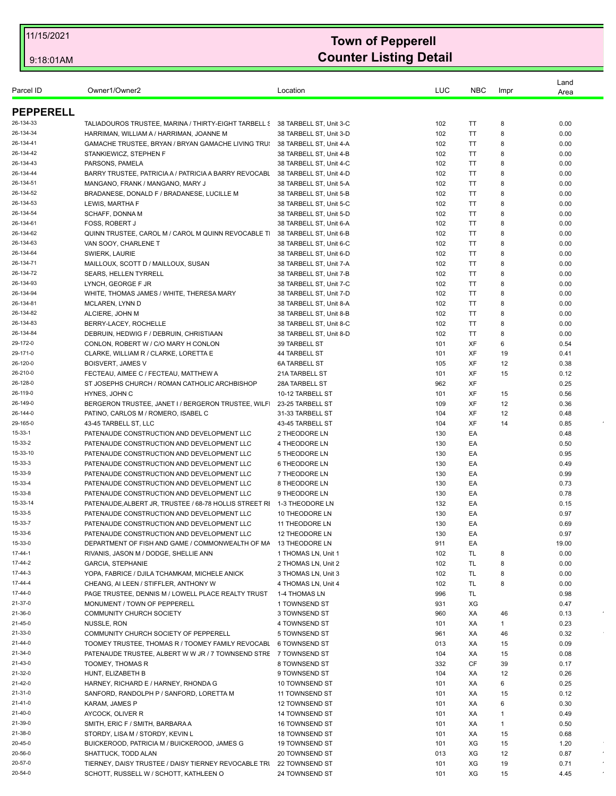| Parcel ID              | Owner1/Owner2                                                                | Location                                           | LUC        | <b>NBC</b>      | Impr    | Land<br>Area |         |
|------------------------|------------------------------------------------------------------------------|----------------------------------------------------|------------|-----------------|---------|--------------|---------|
| <b>PEPPERELL</b>       |                                                                              |                                                    |            |                 |         |              |         |
| 26-134-33              | TALIADOUROS TRUSTEE, MARINA / THIRTY-EIGHT TARBELL \$38 TARBELL ST, Unit 3-C |                                                    | 102        | TT              | 8       | 0.00         |         |
| 26-134-34              | HARRIMAN, WILLIAM A / HARRIMAN, JOANNE M                                     | 38 TARBELL ST. Unit 3-D                            | 102        | TT              | 8       | 0.00         |         |
| 26-134-41              | GAMACHE TRUSTEE, BRYAN / BRYAN GAMACHE LIVING TRU                            | 38 TARBELL ST, Unit 4-A                            | 102        | TT              | 8       | 0.00         |         |
| 26-134-42              | STANKIEWICZ, STEPHEN F                                                       | 38 TARBELL ST, Unit 4-B                            | 102        | TT              | 8       | 0.00         |         |
| 26-134-43              | PARSONS, PAMELA                                                              | 38 TARBELL ST, Unit 4-C                            | 102        | <b>TT</b>       | 8       | 0.00         |         |
| 26-134-44              | BARRY TRUSTEE, PATRICIA A / PATRICIA A BARRY REVOCABL                        | 38 TARBELL ST, Unit 4-D                            | 102        | TT              | 8       | 0.00         |         |
| 26-134-51              | MANGANO, FRANK / MANGANO, MARY J                                             | 38 TARBELL ST. Unit 5-A                            | 102        | TT              | 8       | 0.00         |         |
| 26-134-52              | BRADANESE, DONALD F / BRADANESE, LUCILLE M                                   | 38 TARBELL ST, Unit 5-B                            | 102        | TT              | 8       | 0.00         |         |
| 26-134-53              | LEWIS, MARTHA F                                                              | 38 TARBELL ST, Unit 5-C                            | 102        | TT              | 8       | 0.00         |         |
| 26-134-54              | <b>SCHAFF, DONNA M</b>                                                       | 38 TARBELL ST. Unit 5-D                            | 102        | <b>TT</b>       | 8       | 0.00         |         |
| 26-134-61              | <b>FOSS, ROBERT J</b>                                                        | 38 TARBELL ST, Unit 6-A                            | 102        | <b>TT</b>       | 8       | 0.00         |         |
| 26-134-62              | QUINN TRUSTEE, CAROL M / CAROL M QUINN REVOCABLE T                           | 38 TARBELL ST, Unit 6-B                            | 102        | TT              | 8       | 0.00         |         |
| 26-134-63              | VAN SOOY, CHARLENE T                                                         | 38 TARBELL ST, Unit 6-C                            | 102        | ΤT              | 8       | 0.00         |         |
| 26-134-64              | SWIERK, LAURIE                                                               | 38 TARBELL ST, Unit 6-D                            | 102        | ΤT              | 8       | 0.00         |         |
| 26-134-71              | MAILLOUX, SCOTT D / MAILLOUX, SUSAN                                          | 38 TARBELL ST, Unit 7-A                            | 102        | TT              | 8       | 0.00         |         |
| 26-134-72              | <b>SEARS, HELLEN TYRRELL</b>                                                 | 38 TARBELL ST, Unit 7-B                            | 102        | ΤT              | 8       | 0.00         |         |
| 26-134-93              | LYNCH, GEORGE F JR                                                           | 38 TARBELL ST, Unit 7-C                            | 102        | ΤT              | 8       | 0.00         |         |
| 26-134-94              | WHITE, THOMAS JAMES / WHITE, THERESA MARY                                    | 38 TARBELL ST, Unit 7-D                            | 102        | ΤT              | 8       | 0.00         |         |
| 26-134-81              | MCLAREN, LYNN D                                                              | 38 TARBELL ST, Unit 8-A                            | 102        | ΤT              | 8       | 0.00         |         |
| 26-134-82<br>26-134-83 | ALCIERE, JOHN M                                                              | 38 TARBELL ST, Unit 8-B                            | 102        | ΤT<br><b>TT</b> | 8<br>8  | 0.00         |         |
| 26-134-84              | BERRY-LACEY, ROCHELLE<br>DEBRUIN, HEDWIG F / DEBRUIN, CHRISTIAAN             | 38 TARBELL ST, Unit 8-C<br>38 TARBELL ST, Unit 8-D | 102<br>102 | ΤT              | 8       | 0.00<br>0.00 |         |
| 29-172-0               | CONLON, ROBERT W / C/O MARY H CONLON                                         | <b>39 TARBELL ST</b>                               | 101        | XF              | 6       | 0.54         |         |
| 29-171-0               | CLARKE, WILLIAM R / CLARKE, LORETTA E                                        | 44 TARBELL ST                                      | 101        | XF              | 19      | 0.41         |         |
| 26-120-0               | <b>BOISVERT, JAMES V</b>                                                     | <b>6A TARBELL ST</b>                               | 105        | XF              | 12      | 0.38         |         |
| 26-210-0               | FECTEAU, AIMEE C / FECTEAU, MATTHEW A                                        | 21A TARBELL ST                                     | 101        | <b>XF</b>       | 15      | 0.12         |         |
| 26-128-0               | ST JOSEPHS CHURCH / ROMAN CATHOLIC ARCHBISHOP                                | 28A TARBELL ST                                     | 962        | XF              |         | 0.25         |         |
| 26-119-0               | HYNES, JOHN C                                                                | 10-12 TARBELL ST                                   | 101        | XF              | 15      | 0.56         |         |
| 26-149-0               | BERGERON TRUSTEE, JANET I / BERGERON TRUSTEE, WILF                           | 23-25 TARBELL ST                                   | 109        | XF              | 12      | 0.36         |         |
| 26-144-0               | PATINO, CARLOS M / ROMERO, ISABEL C                                          | 31-33 TARBELL ST                                   | 104        | XF              | 12      | 0.48         |         |
| 29-165-0               | 43-45 TARBELL ST, LLC                                                        | 43-45 TARBELL ST                                   | 104        | XF              | 14      | 0.85         |         |
| 15-33-1                | PATENAUDE CONSTRUCTION AND DEVELOPMENT LLC                                   | 2 THEODORE LN                                      | 130        | EA              |         | 0.48         |         |
| 15-33-2                | PATENAUDE CONSTRUCTION AND DEVELOPMENT LLC                                   | 4 THEODORE LN                                      | 130        | EA              |         | 0.50         |         |
| 15-33-10               | PATENAUDE CONSTRUCTION AND DEVELOPMENT LLC                                   | 5 THEODORE LN                                      | 130        | EA              |         | 0.95         |         |
| 15-33-3                | PATENAUDE CONSTRUCTION AND DEVELOPMENT LLC                                   | 6 THEODORE LN                                      | 130        | EA              |         | 0.49         |         |
| 15-33-9                | PATENAUDE CONSTRUCTION AND DEVELOPMENT LLC                                   | 7 THEODORE LN                                      | 130        | EA              |         | 0.99         |         |
| 15-33-4                | PATENAUDE CONSTRUCTION AND DEVELOPMENT LLC                                   | 8 THEODORE LN                                      | 130        | EA              |         | 0.73         |         |
| 15-33-8                | PATENAUDE CONSTRUCTION AND DEVELOPMENT LLC                                   | 9 THEODORE LN                                      | 130        | EA              |         | 0.78         |         |
| 15-33-14               | PATENAUDE, ALBERT JR, TRUSTEE / 68-78 HOLLIS STREET RI                       | 1-3 THEODORE LN                                    | 132        | EA              |         | 0.15         |         |
| 15-33-5                | PATENAUDE CONSTRUCTION AND DEVELOPMENT LLC                                   | 10 THEODORE LN                                     | 130        | EА              |         | 0.97         |         |
| 15-33-7                | PATENAUDE CONSTRUCTION AND DEVELOPMENT LLC                                   | 11 THEODORE LN                                     | 130        | EA              |         | 0.69         |         |
| 15-33-6                | PATENAUDE CONSTRUCTION AND DEVELOPMENT LLC                                   | 12 THEODORE LN                                     | 130        | EA              |         | 0.97         |         |
| 15-33-0                | DEPARTMENT OF FISH AND GAME / COMMONWEALTH OF MA                             | 13 THEODORE LN                                     | 911        | EA              |         | 19.00        |         |
| 17-44-1                | RIVANIS, JASON M / DODGE, SHELLIE ANN                                        | 1 THOMAS LN, Unit 1                                | 102        | TL              | 8       | 0.00         |         |
| 17-44-2                | <b>GARCIA, STEPHANIE</b>                                                     | 2 THOMAS LN, Unit 2                                | 102        | TL              | 8       | 0.00         |         |
| 17-44-3                | YOPA, FABRICE / DJILA TCHAMKAM, MICHELE ANICK                                | 3 THOMAS LN, Unit 3                                | 102        | TL              | 8       | 0.00         |         |
| 17-44-4                | CHEANG, AI LEEN / STIFFLER, ANTHONY W                                        | 4 THOMAS LN, Unit 4                                | 102        | TL              | 8       | 0.00         |         |
| 17-44-0                | PAGE TRUSTEE, DENNIS M / LOWELL PLACE REALTY TRUST                           | 1-4 THOMAS LN                                      | 996        | TL.             |         | 0.98         |         |
| 21-37-0<br>21-36-0     | MONUMENT / TOWN OF PEPPERELL                                                 | 1 TOWNSEND ST                                      | 931        | XG              |         | 0.47         |         |
| 21-45-0                | COMMUNITY CHURCH SOCIETY                                                     | 3 TOWNSEND ST                                      | 960        | XA              | 46      | 0.13<br>0.23 |         |
| 21-33-0                | NUSSLE, RON<br>COMMUNITY CHURCH SOCIETY OF PEPPERELL                         | 4 TOWNSEND ST<br>5 TOWNSEND ST                     | 101<br>961 | XA<br>XA        | 1<br>46 | 0.32         |         |
| 21-44-0                | TOOMEY TRUSTEE, THOMAS R / TOOMEY FAMILY REVOCABL                            | 6 TOWNSEND ST                                      | 013        | XA              | 15      | 0.09         |         |
| 21-34-0                | PATENAUDE TRUSTEE, ALBERT W W JR / 7 TOWNSEND STRE                           | 7 TOWNSEND ST                                      | 104        | XA              | 15      | 0.08         |         |
| 21-43-0                | TOOMEY, THOMAS R                                                             | 8 TOWNSEND ST                                      | 332        | CF              | 39      | 0.17         |         |
| 21-32-0                | HUNT, ELIZABETH B                                                            | 9 TOWNSEND ST                                      | 104        | XA              | 12      | 0.26         |         |
| 21-42-0                | HARNEY, RICHARD E / HARNEY, RHONDA G                                         | 10 TOWNSEND ST                                     | 101        | XA              | 6       | 0.25         |         |
| 21-31-0                | SANFORD, RANDOLPH P / SANFORD, LORETTA M                                     | 11 TOWNSEND ST                                     | 101        | XA              | 15      | 0.12         |         |
| 21-41-0                | KARAM, JAMES P                                                               | <b>12 TOWNSEND ST</b>                              | 101        | XA              | 6       | 0.30         |         |
| 21-40-0                | AYCOCK, OLIVER R                                                             | 14 TOWNSEND ST                                     | 101        | XA              | 1       | 0.49         |         |
| 21-39-0                | SMITH, ERIC F / SMITH, BARBARA A                                             | <b>16 TOWNSEND ST</b>                              | 101        | XA              | 1       | 0.50         |         |
| 21-38-0                | STORDY, LISA M / STORDY, KEVIN L                                             | <b>18 TOWNSEND ST</b>                              | 101        | XA              | 15      | 0.68         |         |
| 20-45-0                | BUICKEROOD, PATRICIA M / BUICKEROOD, JAMES G                                 | 19 TOWNSEND ST                                     | 101        | XG              | 15      | 1.20         |         |
| 20-56-0                | SHATTUCK, TODD ALAN                                                          | 20 TOWNSEND ST                                     | 013        | XG              | 12      | 0.87         | $\star$ |
| 20-57-0                | TIERNEY, DAISY TRUSTEE / DAISY TIERNEY REVOCABLE TRI                         | 22 TOWNSEND ST                                     | 101        | XG              | 19      | 0.71         |         |
| 20-54-0                | SCHOTT, RUSSELL W / SCHOTT, KATHLEEN O                                       | 24 TOWNSEND ST                                     | 101        | XG              | 15      | 4.45         |         |
|                        |                                                                              |                                                    |            |                 |         |              |         |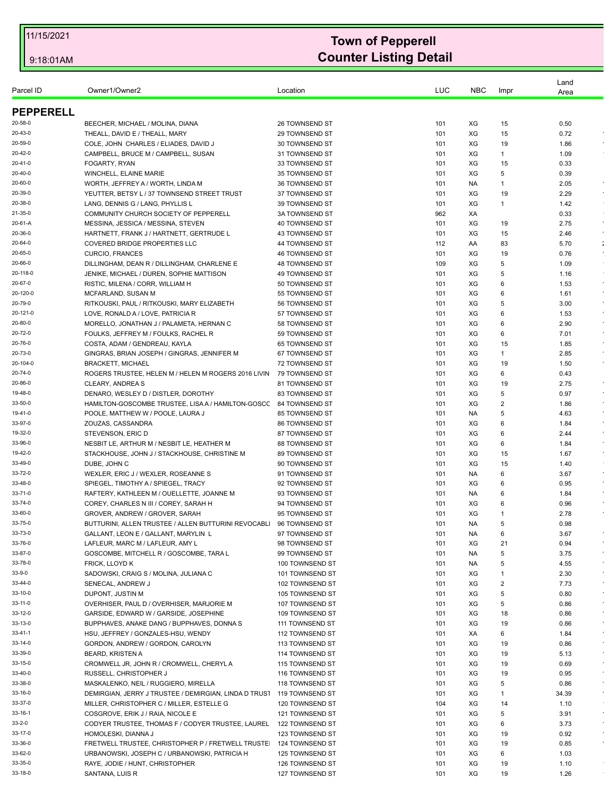| Parcel ID          | Owner1/Owner2                                                           | Location                           | LUC        | <b>NBC</b> | Impr    | Land<br>Area |                    |
|--------------------|-------------------------------------------------------------------------|------------------------------------|------------|------------|---------|--------------|--------------------|
| <b>PEPPERELL</b>   |                                                                         |                                    |            |            |         |              |                    |
| 20-58-0            | BEECHER, MICHAEL / MOLINA, DIANA                                        | <b>26 TOWNSEND ST</b>              | 101        | ХG         | 15      | 0.50         |                    |
| 20-43-0            | THEALL, DAVID E / THEALL, MARY                                          | 29 TOWNSEND ST                     | 101        | XG         | 15      | 0.72         |                    |
| 20-59-0            | COLE, JOHN CHARLES / ELIADES, DAVID J                                   | 30 TOWNSEND ST                     | 101        | XG         | 19      | 1.86         |                    |
| 20-42-0            | CAMPBELL, BRUCE M / CAMPBELL, SUSAN                                     | 31 TOWNSEND ST                     | 101        | XG         | 1       | 1.09         |                    |
| 20-41-0            | FOGARTY, RYAN                                                           | 33 TOWNSEND ST                     | 101        | XG         | 15      | 0.33         |                    |
| 20-40-0            | WINCHELL, ELAINE MARIE                                                  | 35 TOWNSEND ST                     | 101        | XG         | 5       | 0.39         |                    |
| 20-60-0            | WORTH, JEFFREY A / WORTH, LINDA M                                       | 36 TOWNSEND ST                     | 101        | NA.        | 1       | 2.05         | $\star$            |
| 20-39-0            | YEUTTER, BETSY L / 37 TOWNSEND STREET TRUST                             | 37 TOWNSEND ST                     | 101        | XG         | 19      | 2.29         | $\bullet$          |
| 20-38-0            | LANG, DENNIS G / LANG, PHYLLIS L                                        | 39 TOWNSEND ST                     | 101        | XG         | 1       | 1.42         |                    |
| 21-35-0            | COMMUNITY CHURCH SOCIETY OF PEPPERELL                                   | <b>3A TOWNSEND ST</b>              | 962        | XA         |         | 0.33         |                    |
| 20-61-A            | MESSINA, JESSICA / MESSINA, STEVEN                                      | 40 TOWNSEND ST                     | 101        | XG         | 19      | 2.75         | $\sim$             |
| 20-36-0            | HARTNETT, FRANK J / HARTNETT, GERTRUDE L                                | 43 TOWNSEND ST                     | 101        | XG         | 15      | 2.46         | $\epsilon$         |
| 20-64-0            | COVERED BRIDGE PROPERTIES LLC                                           | 44 TOWNSEND ST                     | 112        | AA         | 83      | 5.70         | ÷                  |
| 20-65-0            | <b>CURCIO, FRANCES</b>                                                  | 46 TOWNSEND ST                     | 101        | XG         | 19      | 0.76         | $\epsilon$         |
| 20-66-0            | DILLINGHAM, DEAN R / DILLINGHAM, CHARLENE E                             | 48 TOWNSEND ST                     | 109        | XG         | 5       | 1.09         |                    |
| 20-118-0           | JENIKE, MICHAEL / DUREN, SOPHIE MATTISON                                | 49 TOWNSEND ST                     | 101        | XG         | 5       | 1.16         |                    |
| 20-67-0            | RISTIC, MILENA / CORR, WILLIAM H                                        | 50 TOWNSEND ST                     | 101        | XG         | 6       | 1.53         | $\epsilon$         |
| 20-120-0           | MCFARLAND, SUSAN M                                                      | 55 TOWNSEND ST                     | 101        | XG         | 6       | 1.61         |                    |
| 20-79-0            | RITKOUSKI, PAUL / RITKOUSKI, MARY ELIZABETH                             | 56 TOWNSEND ST                     | 101        | XG         | 5       | 3.00         |                    |
| 20-121-0           | LOVE, RONALD A / LOVE, PATRICIA R                                       | 57 TOWNSEND ST                     | 101        | XG         | 6       | 1.53         | $\epsilon$         |
| 20-80-0            | MORELLO, JONATHAN J / PALAMETA, HERNAN C                                | 58 TOWNSEND ST                     | 101        | XG         | 6       | 2.90         |                    |
| 20-72-0<br>20-76-0 | FOULKS, JEFFREY M / FOULKS, RACHEL R                                    | 59 TOWNSEND ST<br>65 TOWNSEND ST   | 101<br>101 | XG<br>XG   | 6<br>15 | 7.01<br>1.85 | $\epsilon$         |
| 20-73-0            | COSTA, ADAM / GENDREAU, KAYLA                                           | 67 TOWNSEND ST                     |            | XG         | 1       | 2.85         |                    |
| 20-104-0           | GINGRAS, BRIAN JOSEPH / GINGRAS, JENNIFER M<br><b>BRACKETT, MICHAEL</b> | 72 TOWNSEND ST                     | 101<br>101 | XG         | 19      | 1.50         |                    |
| 20-74-0            | ROGERS TRUSTEE, HELEN M / HELEN M ROGERS 2016 LIVIN                     | 79 TOWNSEND ST                     | 101        | XG         | 6       | 0.43         |                    |
| 20-86-0            | CLEARY, ANDREA S                                                        | 81 TOWNSEND ST                     | 101        | XG         | 19      | 2.75         | $\epsilon$         |
| 19-48-0            | DENARO, WESLEY D / DISTLER, DOROTHY                                     | 83 TOWNSEND ST                     | 101        | XG         | 5       | 0.97         |                    |
| 33-50-0            | HAMILTON-GOSCOMBE TRUSTEE, LISA A / HAMILTON-GOSCO                      | 84 TOWNSEND ST                     | 101        | XG         | 2       | 1.86         |                    |
| 19-41-0            | POOLE, MATTHEW W / POOLE, LAURA J                                       | 85 TOWNSEND ST                     | 101        | NA.        | 5       | 4.63         | $\epsilon$         |
| 33-97-0            | ZOUZAS, CASSANDRA                                                       | <b>86 TOWNSEND ST</b>              | 101        | ХG         | 6       | 1.84         | $\epsilon$         |
| 19-32-0            | STEVENSON, ERIC D                                                       | 87 TOWNSEND ST                     | 101        | XG         | 6       | 2.44         |                    |
| 33-96-0            | NESBIT LE, ARTHUR M / NESBIT LE, HEATHER M                              | 88 TOWNSEND ST                     | 101        | XG         | 6       | 1.84         | $\epsilon$         |
| 19-42-0            | STACKHOUSE, JOHN J / STACKHOUSE, CHRISTINE M                            | 89 TOWNSEND ST                     | 101        | XG         | 15      | 1.67         | $\epsilon$         |
| 33-49-0            | DUBE, JOHN C                                                            | 90 TOWNSEND ST                     | 101        | XG         | 15      | 1.40         |                    |
| 33-72-0            | WEXLER, ERIC J / WEXLER, ROSEANNE S                                     | 91 TOWNSEND ST                     | 101        | NA.        | 6       | 3.67         | $\epsilon$         |
| 33-48-0            | SPIEGEL, TIMOTHY A / SPIEGEL, TRACY                                     | 92 TOWNSEND ST                     | 101        | ХG         | 6       | 0.95         | $\epsilon$         |
| 33-71-0            | RAFTERY, KATHLEEN M / OUELLETTE, JOANNE M                               | 93 TOWNSEND ST                     | 101        | NA.        | 6       | 1.84         |                    |
| 33-74-0            | COREY, CHARLES N III / COREY, SARAH H                                   | 94 TOWNSEND ST                     | 101        | XG         | 6       | 0.96         |                    |
| 33-60-0            | GROVER, ANDREW / GROVER, SARAH                                          | 95 TOWNSEND ST                     | 101        | XG         | -1      | 2.78         |                    |
| 33-75-0            | BUTTURINI, ALLEN TRUSTEE / ALLEN BUTTURINI REVOCABLI                    | 96 TOWNSEND ST                     | 101        | <b>NA</b>  | 5       | 0.98         |                    |
| 33-73-0            | GALLANT, LEON E / GALLANT, MARYLIN L                                    | 97 TOWNSEND ST                     | 101        | NA.        | 6       | 3.67         | $\bullet$          |
| 33-76-0            | LAFLEUR, MARC M / LAFLEUR, AMY L                                        | 98 TOWNSEND ST                     | 101        | XG         | 21      | 0.94         |                    |
| 33-87-0            | GOSCOMBE, MITCHELL R / GOSCOMBE, TARA L                                 | 99 TOWNSEND ST                     | 101        | NA         | 5       | 3.75         | $\bullet$          |
| 33-78-0            | FRICK, LLOYD K                                                          | 100 TOWNSEND ST                    | 101        | NA         | 5       | 4.55         | $\star$            |
| 33-9-0             | SADOWSKI, CRAIG S / MOLINA, JULIANA C                                   | 101 TOWNSEND ST                    | 101        | XG         | 1       | 2.30         | $\star$            |
| 33-44-0            | SENECAL, ANDREW J                                                       | 102 TOWNSEND ST                    | 101        | XG         | 2       | 7.73         | $\sim$             |
| 33-10-0            | DUPONT, JUSTIN M                                                        | 105 TOWNSEND ST                    | 101        | XG         | 5       | 0.80         |                    |
| 33-11-0            | OVERHISER, PAUL D / OVERHISER, MARJORIE M                               | 107 TOWNSEND ST                    | 101        | XG         | 5       | 0.86         | $\bullet$          |
| 33-12-0            | GARSIDE, EDWARD W / GARSIDE, JOSEPHINE                                  | 109 TOWNSEND ST                    | 101        | XG         | 18      | 0.86         | $\bullet$          |
| 33-13-0            | BUPPHAVES, ANAKE DANG / BUPPHAVES, DONNA S                              | 111 TOWNSEND ST                    | 101        | XG         | 19      | 0.86         |                    |
| 33-41-1            | HSU, JEFFREY / GONZALES-HSU, WENDY                                      | 112 TOWNSEND ST                    | 101        | XA         | 6       | 1.84         | $\star$<br>$\star$ |
| 33-14-0            | GORDON, ANDREW / GORDON, CAROLYN                                        | 113 TOWNSEND ST                    | 101        | XG         | 19      | 0.86         |                    |
| 33-39-0<br>33-15-0 | <b>BEARD, KRISTEN A</b>                                                 | 114 TOWNSEND ST                    | 101        | XG         | 19      | 5.13         | $\epsilon$         |
| 33-40-0            | CROMWELL JR, JOHN R / CROMWELL, CHERYL A<br>RUSSELL, CHRISTOPHER J      | 115 TOWNSEND ST                    | 101        | XG<br>XG   | 19      | 0.69         | $\star$            |
| 33-38-0            | MASKALENKO, NEIL / RUGGIERO, MIRELLA                                    | 116 TOWNSEND ST<br>118 TOWNSEND ST | 101<br>101 | XG         | 19<br>5 | 0.95<br>0.86 | $\star$            |
| 33-16-0            | DEMIRGIAN, JERRY J TRUSTEE / DEMIRGIAN, LINDA D TRUST 119 TOWNSEND ST   |                                    | 101        | XG         | 1       | 34.39        | $\epsilon$         |
| 33-37-0            | MILLER, CHRISTOPHER C / MILLER, ESTELLE G                               | 120 TOWNSEND ST                    | 104        | XG         | 14      | 1.10         |                    |
| 33-16-1            | COSGROVE, ERIK J / RAIA, NICOLE E                                       | 121 TOWNSEND ST                    | 101        | XG         | 5       | 3.91         | $\sim$             |
| 33-2-0             | CODYER TRUSTEE, THOMAS F / CODYER TRUSTEE, LAUREL                       | 122 TOWNSEND ST                    | 101        | XG         | 6       | 3.73         | $\sim$             |
| 33-17-0            | HOMOLESKI, DIANNA J                                                     |                                    |            | XG         |         | 0.92         | $\bullet$          |
| 33-36-0            | FRETWELL TRUSTEE, CHRISTOPHER P / FRETWELL TRUSTE                       | 123 TOWNSEND ST                    | 101<br>101 | XG         | 19      | 0.85         | $\sim$             |
| 33-62-0            |                                                                         | 124 TOWNSEND ST                    |            | XG         | 19      |              |                    |
| 33-35-0            | URBANOWSKI, JOSEPH C / URBANOWSKI, PATRICIA H                           | 125 TOWNSEND ST<br>126 TOWNSEND ST | 101<br>101 | XG         | 6<br>19 | 1.03<br>1.10 |                    |
| 33-18-0            | RAYE, JODIE / HUNT, CHRISTOPHER                                         |                                    |            |            |         |              |                    |
|                    | SANTANA, LUIS R                                                         | 127 TOWNSEND ST                    | 101        | XG         | 19      | 1.26         |                    |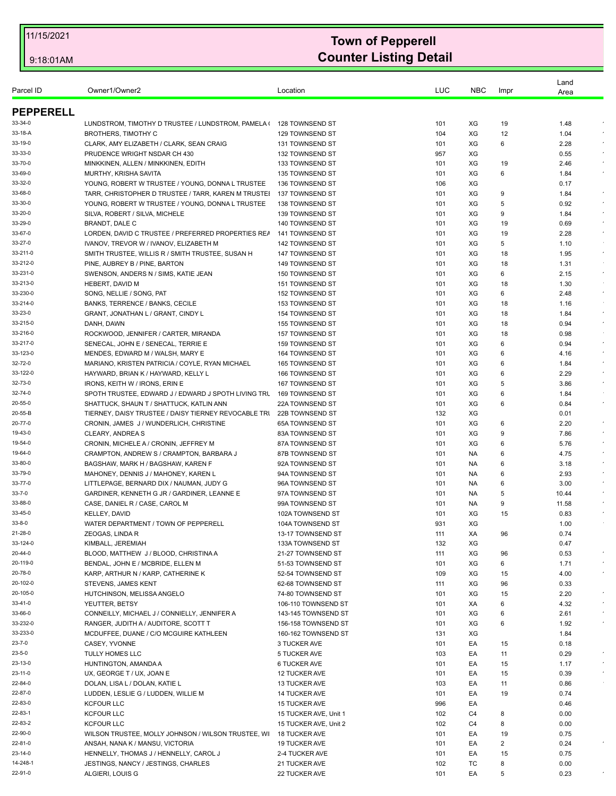| Parcel ID            | Owner1/Owner2                                                                           | Location                           | LUC        | <b>NBC</b> | Impr    | Land<br>Area   |                          |
|----------------------|-----------------------------------------------------------------------------------------|------------------------------------|------------|------------|---------|----------------|--------------------------|
| <b>PEPPERELL</b>     |                                                                                         |                                    |            |            |         |                |                          |
| 33-34-0              | LUNDSTROM, TIMOTHY D TRUSTEE / LUNDSTROM, PAMELA ( 128 TOWNSEND ST                      |                                    | 101        | ХG         | 19      | 1.48           |                          |
| 33-18-A              | <b>BROTHERS, TIMOTHY C</b>                                                              | 129 TOWNSEND ST                    | 104        | XG         | 12      | 1.04           |                          |
| 33-19-0              | CLARK, AMY ELIZABETH / CLARK, SEAN CRAIG                                                | 131 TOWNSEND ST                    | 101        | XG         | 6       | 2.28           |                          |
| 33-33-0              | PRUDENCE WRIGHT NSDAR CH 430                                                            | <b>132 TOWNSEND ST</b>             | 957        | XG         |         | 0.55           |                          |
| 33-70-0              | MINKKINEN, ALLEN / MINKKINEN, EDITH                                                     | 133 TOWNSEND ST                    | 101        | XG         | 19      | 2.46           |                          |
| 33-69-0              | MURTHY, KRISHA SAVITA                                                                   | 135 TOWNSEND ST                    | 101        | XG         | 6       | 1.84           |                          |
| 33-32-0              | YOUNG, ROBERT W TRUSTEE / YOUNG, DONNA L TRUSTEE                                        | 136 TOWNSEND ST                    | 106        | XG         |         | 0.17           |                          |
| 33-68-0              | TARR, CHRISTOPHER D TRUSTEE / TARR, KAREN M TRUSTEI                                     | 137 TOWNSEND ST                    | 101        | XG         | 9       | 1.84           | $\bullet$                |
| 33-30-0              | YOUNG, ROBERT W TRUSTEE / YOUNG, DONNA L TRUSTEE                                        | 138 TOWNSEND ST                    | 101        | XG         | 5       | 0.92           |                          |
| 33-20-0              | SILVA, ROBERT / SILVA, MICHELE                                                          | 139 TOWNSEND ST                    | 101        | XG         | 9       | 1.84           |                          |
| 33-29-0              | BRANDT, DALE C                                                                          | 140 TOWNSEND ST                    | 101        | XG         | 19      | 0.69           | $\epsilon$<br>$\epsilon$ |
| 33-67-0              | LORDEN, DAVID C TRUSTEE / PREFERRED PROPERTIES REA                                      | 141 TOWNSEND ST                    | 101        | XG         | 19      | 2.28           |                          |
| 33-27-0              | IVANOV, TREVOR W / IVANOV, ELIZABETH M                                                  | 142 TOWNSEND ST                    | 101        | XG         | 5       | 1.10           | $\epsilon$               |
| 33-211-0<br>33-212-0 | SMITH TRUSTEE, WILLIS R / SMITH TRUSTEE, SUSAN H                                        | 147 TOWNSEND ST                    | 101        | XG<br>XG   | 18      | 1.95           |                          |
| 33-231-0             | PINE, AUBREY B / PINE, BARTON<br>SWENSON, ANDERS N / SIMS, KATIE JEAN                   | 149 TOWNSEND ST<br>150 TOWNSEND ST | 101<br>101 | XG         | 18<br>6 | 1.31<br>2.15   | $\sim$                   |
| 33-213-0             | HEBERT, DAVID M                                                                         | <b>151 TOWNSEND ST</b>             | 101        | XG         | 18      | 1.30           |                          |
| 33-230-0             | SONG, NELLIE / SONG, PAT                                                                | 152 TOWNSEND ST                    | 101        | XG         | 6       | 2.48           |                          |
| 33-214-0             | BANKS, TERRENCE / BANKS, CECILE                                                         | 153 TOWNSEND ST                    | 101        | XG         | 18      | 1.16           |                          |
| 33-23-0              | GRANT, JONATHAN L / GRANT, CINDY L                                                      | 154 TOWNSEND ST                    | 101        | XG         | 18      | 1.84           | $\sim$                   |
| 33-215-0             | DANH, DAWN                                                                              | 155 TOWNSEND ST                    | 101        | XG         | 18      | 0.94           |                          |
| 33-216-0             | ROCKWOOD, JENNIFER / CARTER, MIRANDA                                                    | 157 TOWNSEND ST                    | 101        | XG         | 18      | 0.98           |                          |
| 33-217-0             | SENECAL, JOHN E / SENECAL, TERRIE E                                                     | <b>159 TOWNSEND ST</b>             | 101        | XG         | 6       | 0.94           | $\star$                  |
| 33-123-0             | MENDES, EDWARD M / WALSH, MARY E                                                        | 164 TOWNSEND ST                    | 101        | XG         | 6       | 4.16           |                          |
| 32-72-0              | MARIANO, KRISTEN PATRICIA / COYLE, RYAN MICHAEL                                         | 165 TOWNSEND ST                    | 101        | XG         | 6       | 1.84           |                          |
| 33-122-0             | HAYWARD, BRIAN K / HAYWARD, KELLY L                                                     | 166 TOWNSEND ST                    | 101        | XG         | 6       | 2.29           | $\epsilon$               |
| 32-73-0              | IRONS, KEITH W / IRONS, ERIN E                                                          | 167 TOWNSEND ST                    | 101        | XG         | 5       | 3.86           |                          |
| 32-74-0              | SPOTH TRUSTEE, EDWARD J / EDWARD J SPOTH LIVING TRU                                     | 169 TOWNSEND ST                    | 101        | XG         | 6       | 1.84           |                          |
| 20-55-0              | SHATTUCK, SHAUN T / SHATTUCK, KATLIN ANN                                                | <b>22A TOWNSEND ST</b>             | 101        | XG         | 6       | 0.84           |                          |
| 20-55-B              | TIERNEY, DAISY TRUSTEE / DAISY TIERNEY REVOCABLE TRI                                    | 22B TOWNSEND ST                    | 132        | XG         |         | 0.01           |                          |
| 20-77-0              | CRONIN, JAMES J / WUNDERLICH, CHRISTINE                                                 | <b>65A TOWNSEND ST</b>             | 101        | XG         | 6       | 2.20           | $\epsilon$               |
| 19-43-0              | CLEARY, ANDREA S                                                                        | 83A TOWNSEND ST                    | 101        | XG         | 9       | 7.86           |                          |
| 19-54-0              | CRONIN, MICHELE A / CRONIN, JEFFREY M                                                   | 87A TOWNSEND ST                    | 101        | XG         | 6       | 5.76           |                          |
| 19-64-0              | CRAMPTON, ANDREW S / CRAMPTON, BARBARA J                                                | 87B TOWNSEND ST                    | 101        | NA.        | 6       | 4.75           |                          |
| 33-80-0              | BAGSHAW, MARK H / BAGSHAW, KAREN F                                                      | 92A TOWNSEND ST                    | 101        | NA.        | 6       | 3.18           |                          |
| 33-79-0              | MAHONEY, DENNIS J / MAHONEY, KAREN L                                                    | 94A TOWNSEND ST                    | 101        | NA.        | 6       | 2.93           |                          |
| 33-77-0<br>33-7-0    | LITTLEPAGE, BERNARD DIX / NAUMAN, JUDY G<br>GARDINER, KENNETH G JR / GARDINER, LEANNE E | 96A TOWNSEND ST<br>97A TOWNSEND ST | 101        | NA.        | 6       | 3.00           |                          |
| 33-88-0              | CASE, DANIEL R / CASE, CAROL M                                                          | 99A TOWNSEND ST                    | 101        | NA.        | 5<br>9  | 10.44<br>11.58 |                          |
| 33-45-0              | <b>KELLEY, DAVID</b>                                                                    | 102A TOWNSEND ST                   | 101<br>101 | NA.<br>XG  | 15      | 0.83           |                          |
| $33 - 8 - 0$         | WATER DEPARTMENT / TOWN OF PEPPERELL                                                    | 104A TOWNSEND ST                   | 931        | XG         |         | 1.00           |                          |
| 21-28-0              | ZEOGAS, LINDA R                                                                         | 13-17 TOWNSEND ST                  | 111        | ХA         | 96      | 0.74           |                          |
| 33-124-0             | KIMBALL, JEREMIAH                                                                       | 133A TOWNSEND ST                   | 132        | XG         |         | 0.47           |                          |
| 20-44-0              | BLOOD, MATTHEW J / BLOOD, CHRISTINA A                                                   | 21-27 TOWNSEND ST                  | 111        | XG         | 96      | 0.53           |                          |
| 20-119-0             | BENDAL, JOHN E / MCBRIDE, ELLEN M.                                                      | 51-53 TOWNSEND ST                  | 101        | XG         | 6       | 1.71           |                          |
| 20-78-0              | KARP, ARTHUR N / KARP, CATHERINE K                                                      | 52-54 TOWNSEND ST                  | 109        | XG         | 15      | 4.00           |                          |
| 20-102-0             | STEVENS, JAMES KENT                                                                     | 62-68 TOWNSEND ST                  | 111        | XG         | 96      | 0.33           |                          |
| 20-105-0             | HUTCHINSON, MELISSA ANGELO                                                              | 74-80 TOWNSEND ST                  | 101        | XG         | 15      | 2.20           |                          |
| 33-41-0              | YEUTTER, BETSY                                                                          | 106-110 TOWNSEND ST                | 101        | ХA         | 6       | 4.32           |                          |
| 33-66-0              | CONNEILLY, MICHAEL J / CONNIELLY, JENNIFER A                                            | 143-145 TOWNSEND ST                | 101        | ХG         | 6       | 2.61           |                          |
| 33-232-0             | RANGER, JUDITH A / AUDITORE, SCOTT T                                                    | 156-158 TOWNSEND ST                | 101        | XG         | 6       | 1.92           |                          |
| 33-233-0             | MCDUFFEE, DUANE / C/O MCGUIRE KATHLEEN                                                  | 160-162 TOWNSEND ST                | 131        | XG         |         | 1.84           |                          |
| 23-7-0               | CASEY, YVONNE                                                                           | 3 TUCKER AVE                       | 101        | EA         | 15      | 0.18           |                          |
| 23-5-0               | <b>TULLY HOMES LLC</b>                                                                  | 5 TUCKER AVE                       | 103        | EA         | 11      | 0.29           |                          |
| 23-13-0              | HUNTINGTON, AMANDA A                                                                    | 6 TUCKER AVE                       | 101        | EA         | 15      | 1.17           |                          |
| 23-11-0              | UX, GEORGE T / UX, JOAN E                                                               | 12 TUCKER AVE                      | 101        | EA         | 15      | 0.39           |                          |
| 22-84-0              | DOLAN, LISA L / DOLAN, KATIE L                                                          | 13 TUCKER AVE                      | 103        | EA         | 11      | 0.86           |                          |
| 22-87-0              | LUDDEN, LESLIE G / LUDDEN, WILLIE M                                                     | 14 TUCKER AVE                      | 101        | EA         | 19      | 0.74           |                          |
| 22-83-0              | <b>KCFOUR LLC</b>                                                                       | 15 TUCKER AVE                      | 996        | EA         |         | 0.46           |                          |
| 22-83-1              | <b>KCFOUR LLC</b>                                                                       | 15 TUCKER AVE, Unit 1              | 102        | C4         | 8       | 0.00           |                          |
| 22-83-2              | <b>KCFOUR LLC</b>                                                                       | 15 TUCKER AVE, Unit 2              | 102        | C4         | 8       | 0.00           |                          |
| 22-90-0              | WILSON TRUSTEE, MOLLY JOHNSON / WILSON TRUSTEE, WI                                      | 18 TUCKER AVE                      | 101        | EA         | 19      | 0.75           |                          |
| 22-81-0              | ANSAH, NANA K / MANSU, VICTORIA                                                         | 19 TUCKER AVE                      | 101        | EA         | 2       | 0.24           |                          |
| 23-14-0              | HENNELLY, THOMAS J / HENNELLY, CAROL J                                                  | 2-4 TUCKER AVE                     | 101        | EA         | 15      | 0.75           |                          |
| 14-248-1             | JESTINGS, NANCY / JESTINGS, CHARLES                                                     | 21 TUCKER AVE                      | 102        | TC         | 8       | 0.00           |                          |
| 22-91-0              | ALGIERI, LOUIS G                                                                        | 22 TUCKER AVE                      | 101        | EA         | 5       | 0.23           |                          |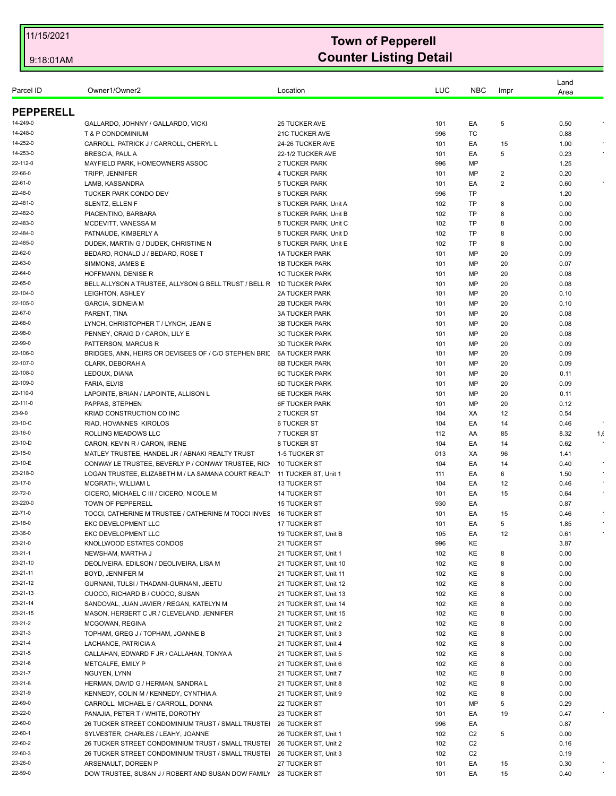|                   |                                                                      |                                   |            |                |          | Land         |      |
|-------------------|----------------------------------------------------------------------|-----------------------------------|------------|----------------|----------|--------------|------|
| Parcel ID         | Owner1/Owner2                                                        | Location                          | <b>LUC</b> | <b>NBC</b>     | Impr     | Area         |      |
| <b>PEPPERELL</b>  |                                                                      |                                   |            |                |          |              |      |
| 14-249-0          | GALLARDO, JOHNNY / GALLARDO, VICKI                                   | 25 TUCKER AVE                     | 101        | EA             | 5        | 0.50         |      |
| 14-248-0          | <b>T &amp; P CONDOMINIUM</b>                                         | 21C TUCKER AVE                    | 996        | ТC             |          | 0.88         |      |
| 14-252-0          | CARROLL, PATRICK J / CARROLL, CHERYL L                               | 24-26 TUCKER AVE                  | 101        | EA             | 15       | 1.00         |      |
| 14-253-0          | <b>BRESCIA, PAUL A</b>                                               | 22-1/2 TUCKER AVE                 | 101        | EA             | 5        | 0.23         |      |
| 22-112-0          | MAYFIELD PARK, HOMEOWNERS ASSOC                                      | 2 TUCKER PARK                     | 996        | MP             |          | 1.25         |      |
| 22-66-0           | TRIPP, JENNIFER                                                      | 4 TUCKER PARK                     | 101        | MP             | 2        | 0.20         |      |
| 22-61-0           | LAMB, KASSANDRA                                                      | 5 TUCKER PARK                     | 101        | EA             | 2        | 0.60         |      |
| 22-48-0           | <b>TUCKER PARK CONDO DEV</b>                                         | 8 TUCKER PARK                     | 996        | <b>TP</b>      |          | 1.20         |      |
| 22-481-0          | SLENTZ, ELLEN F                                                      | 8 TUCKER PARK, Unit A             | 102        | <b>TP</b>      | 8        | 0.00         |      |
| 22-482-0          | PIACENTINO, BARBARA                                                  | 8 TUCKER PARK, Unit B             | 102        | TP             | 8        | 0.00         |      |
| 22-483-0          | MCDEVITT, VANESSA M                                                  | 8 TUCKER PARK, Unit C             | 102        | <b>TP</b>      | 8        | 0.00         |      |
| 22-484-0          | PATNAUDE, KIMBERLY A                                                 | 8 TUCKER PARK, Unit D             | 102        | <b>TP</b>      | 8        | 0.00         |      |
| 22-485-0          | DUDEK, MARTIN G / DUDEK, CHRISTINE N                                 | 8 TUCKER PARK, Unit E             | 102        | <b>TP</b>      | 8        | 0.00         |      |
| 22-62-0           | BEDARD, RONALD J / BEDARD, ROSE T                                    | <b>1A TUCKER PARK</b>             | 101        | MP             | 20       | 0.09         |      |
| 22-63-0           | SIMMONS, JAMES E                                                     | <b>1B TUCKER PARK</b>             | 101        | MP             | 20       | 0.07         |      |
| 22-64-0           | HOFFMANN, DENISE R                                                   | <b>1C TUCKER PARK</b>             | 101        | MP             | 20       | 0.08         |      |
| 22-65-0           | BELL ALLYSON A TRUSTEE, ALLYSON G BELL TRUST / BELL R                | 1D TUCKER PARK                    | 101        | MP             | 20       | 0.08         |      |
| 22-104-0          | LEIGHTON, ASHLEY                                                     | <b>2A TUCKER PARK</b>             | 101        | MP             | 20       | 0.10         |      |
| 22-105-0          | GARCIA, SIDNEIA M                                                    | <b>2B TUCKER PARK</b>             | 101        | MP             | 20       | 0.10         |      |
| 22-67-0           | PARENT, TINA                                                         | <b>3A TUCKER PARK</b>             | 101        | MP             | 20       | 0.08         |      |
| 22-68-0           | LYNCH, CHRISTOPHER T / LYNCH, JEAN E                                 | <b>3B TUCKER PARK</b>             | 101        | MP             | 20       | 0.08         |      |
| 22-98-0           | PENNEY, CRAIG D / CARON, LILY E                                      | <b>3C TUCKER PARK</b>             | 101        | MP             | 20       | 0.08         |      |
| 22-99-0           | PATTERSON, MARCUS R                                                  | <b>3D TUCKER PARK</b>             | 101        | MP             | 20       | 0.09         |      |
| 22-106-0          | BRIDGES, ANN, HEIRS OR DEVISEES OF / C/O STEPHEN BRIL 6A TUCKER PARK |                                   | 101        | MP             | 20       | 0.09         |      |
| 22-107-0          | CLARK, DEBORAH A                                                     | <b>6B TUCKER PARK</b>             | 101        | MP             | 20       | 0.09         |      |
| 22-108-0          | LEDOUX, DIANA                                                        | <b>6C TUCKER PARK</b>             | 101        | MP             | 20       | 0.11         |      |
| 22-109-0          | <b>FARIA, ELVIS</b>                                                  | <b>6D TUCKER PARK</b>             | 101        | MP             | 20       | 0.09         |      |
| 22-110-0          | LAPOINTE, BRIAN / LAPOINTE, ALLISON L                                | <b>6E TUCKER PARK</b>             | 101        | MP             | 20       | 0.11         |      |
| 22-111-0          | PAPPAS, STEPHEN                                                      | <b>6F TUCKER PARK</b>             | 101        | MP             | 20       | 0.12         |      |
| 23-9-0<br>23-10-C | KRIAD CONSTRUCTION CO INC                                            | 2 TUCKER ST                       | 104        | XA             | 12       | 0.54         |      |
| 23-16-0           | RIAD, HOVANNES KIROLOS<br>ROLLING MEADOWS LLC                        | <b>6 TUCKER ST</b><br>7 TUCKER ST | 104<br>112 | EA             | 14       | 0.46         |      |
| 23-10-D           | CARON, KEVIN R / CARON, IRENE                                        | 8 TUCKER ST                       | 104        | AA<br>EA       | 85<br>14 | 8.32<br>0.62 | 1, 6 |
| 23-15-0           | MATLEY TRUSTEE, HANDEL JR / ABNAKI REALTY TRUST                      | 1-5 TUCKER ST                     | 013        | XA             | 96       | 1.41         |      |
| 23-10-E           | CONWAY LE TRUSTEE, BEVERLY P / CONWAY TRUSTEE, RICH                  | 10 TUCKER ST                      | 104        | EA             | 14       | 0.40         |      |
| 23-218-0          | LOGAN TRUSTEE, ELIZABETH M / LA SAMANA COURT REALT'                  | 11 TUCKER ST, Unit 1              | 111        | EA             | 6        | 1.50         |      |
| 23-17-0           | MCGRATH. WILLIAM L                                                   | <b>13 TUCKER ST</b>               | 104        | EA             | 12       | 0.46         |      |
| 22-72-0           | CICERO, MICHAEL C III / CICERO, NICOLE M                             | <b>14 TUCKER ST</b>               | 101        | EA             | 15       | 0.64         |      |
| 23-220-0          | TOWN OF PEPPERELL                                                    | <b>15 TUCKER ST</b>               | 930        | EA             |          | 0.87         |      |
| 22-71-0           | TOCCI, CATHERINE M TRUSTEE / CATHERINE M TOCCI INVES                 | <b>16 TUCKER ST</b>               | 101        | EA             | 15       | 0.46         |      |
| 23-18-0           | EKC DEVELOPMENT LLC                                                  | 17 TUCKER ST                      | 101        | EA             | 5        | 1.85         |      |
| 23-36-0           | EKC DEVELOPMENT LLC                                                  | 19 TUCKER ST, Unit B              | 105        | EA             | 12       | 0.61         |      |
| 23-21-0           | KNOLLWOOD ESTATES CONDOS                                             | 21 TUCKER ST                      | 996        | KE             |          | 3.87         |      |
| $23 - 21 - 1$     | NEWSHAM, MARTHA J                                                    | 21 TUCKER ST, Unit 1              | 102        | KE             | 8        | 0.00         |      |
| 23-21-10          | DEOLIVEIRA, EDILSON / DEOLIVEIRA, LISA M                             | 21 TUCKER ST, Unit 10             | 102        | KE             | 8        | 0.00         |      |
| 23-21-11          | <b>BOYD. JENNIFER M</b>                                              | 21 TUCKER ST, Unit 11             | 102        | KE             | 8        | 0.00         |      |
| 23-21-12          | GURNANI, TULSI / THADANI-GURNANI, JEETU                              | 21 TUCKER ST, Unit 12             | 102        | KE             | 8        | 0.00         |      |
| 23-21-13          | CUOCO, RICHARD B / CUOCO, SUSAN                                      | 21 TUCKER ST, Unit 13             | 102        | KE             | 8        | 0.00         |      |
| 23-21-14          | SANDOVAL, JUAN JAVIER / REGAN, KATELYN M                             | 21 TUCKER ST, Unit 14             | 102        | KE             | 8        | 0.00         |      |
| 23-21-15          | MASON, HERBERT C JR / CLEVELAND, JENNIFER                            | 21 TUCKER ST, Unit 15             | 102        | KE             | 8        | 0.00         |      |
| 23-21-2           | MCGOWAN, REGINA                                                      | 21 TUCKER ST, Unit 2              | 102        | KE             | 8        | 0.00         |      |
| 23-21-3           | TOPHAM, GREG J / TOPHAM, JOANNE B                                    | 21 TUCKER ST, Unit 3              | 102        | KE             | 8        | 0.00         |      |
| 23-21-4           | LACHANCE, PATRICIA A                                                 | 21 TUCKER ST, Unit 4              | 102        | KE             | 8        | 0.00         |      |
| 23-21-5           | CALLAHAN, EDWARD F JR / CALLAHAN, TONYA A                            | 21 TUCKER ST, Unit 5              | 102        | KE             | 8        | 0.00         |      |
| 23-21-6           | METCALFE, EMILY P                                                    | 21 TUCKER ST, Unit 6              | 102        | KE             | 8        | 0.00         |      |
| 23-21-7           | NGUYEN, LYNN                                                         | 21 TUCKER ST, Unit 7              | 102        | KE             | 8        | 0.00         |      |
| 23-21-8           | HERMAN, DAVID G / HERMAN, SANDRA L                                   | 21 TUCKER ST, Unit 8              | 102        | KE             | 8        | 0.00         |      |
| 23-21-9           | KENNEDY, COLIN M / KENNEDY, CYNTHIA A                                | 21 TUCKER ST, Unit 9              | 102        | KE             | 8        | 0.00         |      |
| 22-69-0           | CARROLL, MICHAEL E / CARROLL, DONNA                                  | 22 TUCKER ST                      | 101        | MP             | 5        | 0.29         |      |
| 23-22-0           | PANAJIA, PETER T / WHITE, DOROTHY                                    | <b>23 TUCKER ST</b>               | 101        | EA             | 19       | 0.47         |      |
| 22-60-0           | 26 TUCKER STREET CONDOMINIUM TRUST / SMALL TRUSTEI                   | 26 TUCKER ST                      | 996        | EA             |          | 0.87         |      |
| 22-60-1           | SYLVESTER, CHARLES / LEAHY, JOANNE                                   | 26 TUCKER ST, Unit 1              | 102        | C <sub>2</sub> | 5        | 0.00         |      |
| 22-60-2           | 26 TUCKER STREET CONDOMINIUM TRUST / SMALL TRUSTEI                   | 26 TUCKER ST, Unit 2              | 102        | C <sub>2</sub> |          | 0.16         |      |
| 22-60-3           | 26 TUCKER STREET CONDOMINIUM TRUST / SMALL TRUSTEI                   | 26 TUCKER ST, Unit 3              | 102        | C <sub>2</sub> |          | 0.19         |      |
| 23-26-0           | ARSENAULT, DOREEN P                                                  | 27 TUCKER ST                      | 101        | EA             | 15       | 0.30         |      |
| 22-59-0           | DOW TRUSTEE, SUSAN J / ROBERT AND SUSAN DOW FAMILY                   | <b>28 TUCKER ST</b>               | 101        | EA             | 15       | 0.40         |      |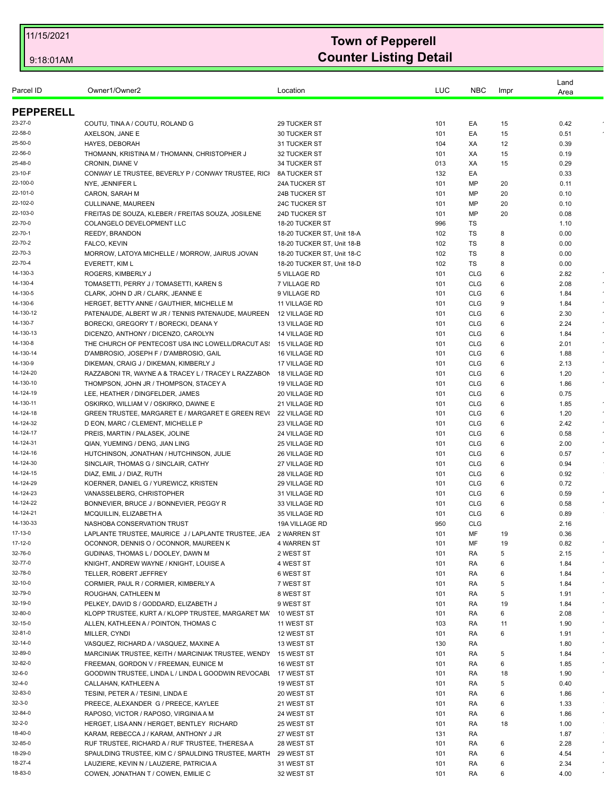| Parcel ID             | Owner1/Owner2                                                                                  | Location                                     | LUC        | <b>NBC</b>               | Impr   | Land<br>Area |            |
|-----------------------|------------------------------------------------------------------------------------------------|----------------------------------------------|------------|--------------------------|--------|--------------|------------|
| <b>PEPPERELL</b>      |                                                                                                |                                              |            |                          |        |              |            |
| 23-27-0               | COUTU, TINA A / COUTU, ROLAND G                                                                | 29 TUCKER ST                                 | 101        | EA                       | 15     | 0.42         |            |
| 22-58-0               | AXELSON, JANE E                                                                                | 30 TUCKER ST                                 | 101        | EA                       | 15     | 0.51         |            |
| 25-50-0               | HAYES, DEBORAH                                                                                 | 31 TUCKER ST                                 | 104        | XA                       | 12     | 0.39         |            |
| 22-56-0               | THOMANN, KRISTINA M / THOMANN, CHRISTOPHER J                                                   | 32 TUCKER ST                                 | 101        | XA                       | 15     | 0.19         |            |
| 25-48-0               | CRONIN, DIANE V                                                                                | 34 TUCKER ST                                 | 013        | XA                       | 15     | 0.29         |            |
| 23-10-F               | CONWAY LE TRUSTEE, BEVERLY P / CONWAY TRUSTEE, RICH                                            | <b>8A TUCKER ST</b>                          | 132        | EA                       |        | 0.33         |            |
| 22-100-0              | NYE, JENNIFER L                                                                                | <b>24A TUCKER ST</b>                         | 101        | MP                       | 20     | 0.11         |            |
| 22-101-0              | CARON, SARAH M                                                                                 | <b>24B TUCKER ST</b>                         | 101        | MP                       | 20     | 0.10         |            |
| 22-102-0              | <b>CULLINANE, MAUREEN</b>                                                                      | 24C TUCKER ST                                | 101        | ΜP                       | 20     | 0.10         |            |
| 22-103-0              | FREITAS DE SOUZA, KLEBER / FREITAS SOUZA, JOSILENE                                             | 24D TUCKER ST                                | 101        | MP                       | 20     | 0.08         |            |
| 22-70-0               | COLANGELO DEVELOPMENT LLC                                                                      | 18-20 TUCKER ST                              | 996        | TS                       |        | 1.10         |            |
| 22-70-1               | REEDY, BRANDON                                                                                 | 18-20 TUCKER ST, Unit 18-A                   | 102        | TS                       | 8      | 0.00         |            |
| 22-70-2               | FALCO, KEVIN                                                                                   | 18-20 TUCKER ST, Unit 18-B                   | 102        | TS                       | 8      | 0.00         |            |
| 22-70-3               | MORROW, LATOYA MICHELLE / MORROW, JAIRUS JOVAN                                                 | 18-20 TUCKER ST, Unit 18-C                   | 102        | TS                       | 8      | 0.00         |            |
| 22-70-4               | EVERETT, KIM L                                                                                 | 18-20 TUCKER ST, Unit 18-D                   | 102        | TS                       | 8      | 0.00         |            |
| 14-130-3              | ROGERS, KIMBERLY J                                                                             | 5 VILLAGE RD                                 | 101        | <b>CLG</b>               | 6      | 2.82         |            |
| 14-130-4              | TOMASETTI, PERRY J / TOMASETTI, KAREN S                                                        | 7 VILLAGE RD                                 | 101        | <b>CLG</b>               | 6      | 2.08         |            |
| 14-130-5              | CLARK, JOHN D JR / CLARK, JEANNE E                                                             | 9 VILLAGE RD                                 | 101        | <b>CLG</b>               | 6      | 1.84         | $\bullet$  |
| 14-130-6              | HERGET, BETTY ANNE / GAUTHIER, MICHELLE M                                                      | 11 VILLAGE RD                                | 101        | <b>CLG</b>               | 9      | 1.84         |            |
| 14-130-12             | PATENAUDE, ALBERT W JR / TENNIS PATENAUDE, MAUREEN                                             | 12 VILLAGE RD                                | 101        | <b>CLG</b>               | 6      | 2.30         |            |
| 14-130-7              | BORECKI, GREGORY T / BORECKI, DEANA Y                                                          | 13 VILLAGE RD                                | 101        | <b>CLG</b>               | 6      | 2.24         | $\bullet$  |
| 14-130-13             | DICENZO, ANTHONY / DICENZO, CAROLYN                                                            | <b>14 VILLAGE RD</b>                         | 101        | <b>CLG</b>               | 6      | 1.84         | $\epsilon$ |
| 14-130-8<br>14-130-14 | THE CHURCH OF PENTECOST USA INC LOWELL/DRACUT AS:                                              | <b>15 VILLAGE RD</b>                         | 101        | <b>CLG</b>               | 6      | 2.01         | $\bullet$  |
| 14-130-9              | D'AMBROSIO, JOSEPH F / D'AMBROSIO, GAIL                                                        | 16 VILLAGE RD                                | 101        | <b>CLG</b>               | 6<br>6 | 1.88         |            |
| 14-124-20             | DIKEMAN, CRAIG J / DIKEMAN, KIMBERLY J                                                         | 17 VILLAGE RD                                | 101<br>101 | <b>CLG</b><br><b>CLG</b> |        | 2.13         |            |
| 14-130-10             | RAZZABONI TR, WAYNE A & TRACEY L / TRACEY L RAZZABON<br>THOMPSON, JOHN JR / THOMPSON, STACEY A | <b>18 VILLAGE RD</b><br><b>19 VILLAGE RD</b> | 101        | <b>CLG</b>               | 6<br>6 | 1.20<br>1.86 | $\epsilon$ |
| 14-124-19             | LEE, HEATHER / DINGFELDER, JAMES                                                               | 20 VILLAGE RD                                | 101        | <b>CLG</b>               | 6      | 0.75         |            |
| 14-130-11             | OSKIRKO, WILLIAM V / OSKIRKO, DAWNE E                                                          | 21 VILLAGE RD                                | 101        | <b>CLG</b>               | 6      | 1.85         |            |
| 14-124-18             | <b>GREEN TRUSTEE, MARGARET E / MARGARET E GREEN REVI</b>                                       | 22 VILLAGE RD                                | 101        | <b>CLG</b>               | 6      | 1.20         | $\star$    |
| 14-124-32             | D EON, MARC / CLEMENT, MICHELLE P                                                              | 23 VILLAGE RD                                | 101        | <b>CLG</b>               | 6      | 2.42         | $\bullet$  |
| 14-124-17             | PREIS, MARTIN / PALASEK, JOLINE                                                                | 24 VILLAGE RD                                | 101        | <b>CLG</b>               | 6      | 0.58         |            |
| 14-124-31             | QIAN, YUEMING / DENG, JIAN LING                                                                | 25 VILLAGE RD                                | 101        | <b>CLG</b>               | 6      | 2.00         |            |
| 14-124-16             | HUTCHINSON, JONATHAN / HUTCHINSON, JULIE                                                       | 26 VILLAGE RD                                | 101        | <b>CLG</b>               | 6      | 0.57         | $\bullet$  |
| 14-124-30             | SINCLAIR, THOMAS G / SINCLAIR, CATHY                                                           | 27 VILLAGE RD                                | 101        | <b>CLG</b>               | 6      | 0.94         |            |
| 14-124-15             | DIAZ, EMIL J / DIAZ, RUTH                                                                      | 28 VILLAGE RD                                | 101        | <b>CLG</b>               | 6      | 0.92         |            |
| 14-124-29             | KOERNER, DANIEL G / YUREWICZ, KRISTEN                                                          | 29 VILLAGE RD                                | 101        | <b>CLG</b>               | 6      | 0.72         |            |
| 14-124-23             | VANASSELBERG, CHRISTOPHER                                                                      | 31 VILLAGE RD                                | 101        | <b>CLG</b>               | 6      | 0.59         | $\epsilon$ |
| 14-124-22             | BONNEVIER, BRUCE J / BONNEVIER, PEGGY R                                                        | 33 VILLAGE RD                                | 101        | <b>CLG</b>               | 6      | 0.58         |            |
| 14-124-21             | MCQUILLIN, ELIZABETH A                                                                         | 35 VILLAGE RD                                | 101        | <b>CLG</b>               | 6      | 0.89         |            |
| 14-130-33             | NASHOBA CONSERVATION TRUST                                                                     | 19A VILLAGE RD                               | 950        | <b>CLG</b>               |        | 2.16         |            |
| 17-13-0               | LAPLANTE TRUSTEE, MAURICE J/LAPLANTE TRUSTEE, JEA 2 WARREN ST                                  |                                              | 101        | MF                       | 19     | 0.36         |            |
| 17-12-0               | OCONNOR, DENNIS O / OCONNOR, MAUREEN K                                                         | <b>4 WARREN ST</b>                           | 101        | ΜF                       | 19     | 0.82         |            |
| 32-76-0               | GUDINAS, THOMAS L / DOOLEY, DAWN M                                                             | 2 WEST ST                                    | 101        | RA                       | 5      | 2.15         |            |
| 32-77-0               | KNIGHT, ANDREW WAYNE / KNIGHT, LOUISE A                                                        | 4 WEST ST                                    | 101        | RA                       | 6      | 1.84         |            |
| 32-78-0               | TELLER. ROBERT JEFFREY                                                                         | 6 WEST ST                                    | 101        | RA                       | 6      | 1.84         |            |
| 32-10-0               | CORMIER, PAUL R / CORMIER, KIMBERLY A                                                          | 7 WEST ST                                    | 101        | RA                       | 5      | 1.84         |            |
| 32-79-0               | ROUGHAN, CATHLEEN M                                                                            | 8 WEST ST                                    | 101        | RA                       | 5      | 1.91         |            |
| 32-19-0               | PELKEY, DAVID S / GODDARD, ELIZABETH J                                                         | 9 WEST ST                                    | 101        | RA                       | 19     | 1.84         | $\bullet$  |
| 32-80-0               | KLOPP TRUSTEE, KURT A / KLOPP TRUSTEE, MARGARET MA                                             | 10 WEST ST                                   | 101        | RA                       | 6      | 2.08         |            |
| 32-15-0<br>32-81-0    | ALLEN, KATHLEEN A / POINTON, THOMAS C<br>MILLER, CYNDI                                         | 11 WEST ST                                   | 103        | RA                       | 11     | 1.90         | $\epsilon$ |
|                       |                                                                                                | 12 WEST ST                                   | 101        | RA                       | 6      | 1.91         |            |
| 32-14-0<br>32-89-0    | VASQUEZ, RICHARD A / VASQUEZ, MAXINE A<br>MARCINIAK TRUSTEE, KEITH / MARCINIAK TRUSTEE, WENDY  | 13 WEST ST<br>15 WEST ST                     | 130<br>101 | RA                       | 5      | 1.80<br>1.84 |            |
| 32-82-0               | FREEMAN, GORDON V / FREEMAN, EUNICE M                                                          | 16 WEST ST                                   | 101        | RA<br>RA                 | 6      | 1.85         |            |
| 32-6-0                | GOODWIN TRUSTEE, LINDA L / LINDA L GOODWIN REVOCABL                                            | 17 WEST ST                                   | 101        | RA                       | 18     | 1.90         | $\bullet$  |
| 32-4-0                | CALLAHAN, KATHLEEN A                                                                           | 19 WEST ST                                   | 101        | RA                       | 5      | 0.40         |            |
| 32-83-0               | TESINI, PETER A / TESINI, LINDA E                                                              | 20 WEST ST                                   | 101        | RA                       | 6      | 1.86         |            |
| 32-3-0                | PREECE, ALEXANDER G / PREECE, KAYLEE                                                           | 21 WEST ST                                   | 101        | RA                       | 6      | 1.33         |            |
| 32-84-0               | RAPOSO, VICTOR / RAPOSO, VIRGINIA A M                                                          | 24 WEST ST                                   | 101        | RA                       | 6      | 1.86         | $\star$    |
| 32-2-0                | HERGET, LISA ANN / HERGET, BENTLEY RICHARD                                                     | 25 WEST ST                                   | 101        | RA                       | 18     | 1.00         |            |
| 18-40-0               | KARAM, REBECCA J / KARAM, ANTHONY J JR                                                         | 27 WEST ST                                   | 131        | RA                       |        | 1.87         |            |
| 32-85-0               | RUF TRUSTEE, RICHARD A / RUF TRUSTEE, THERESA A                                                | 28 WEST ST                                   | 101        | RA                       | 6      | 2.28         |            |
| 18-29-0               | SPAULDING TRUSTEE, KIM C / SPAULDING TRUSTEE, MARTH                                            | 29 WEST ST                                   | 101        | RA                       | 6      | 4.54         | $\star$    |
| 18-27-4               | LAUZIERE, KEVIN N / LAUZIERE, PATRICIA A                                                       | 31 WEST ST                                   | 101        | RA                       | 6      | 2.34         |            |
| 18-83-0               | COWEN, JONATHAN T / COWEN, EMILIE C                                                            | 32 WEST ST                                   | 101        | RA                       | 6      | 4.00         |            |
|                       |                                                                                                |                                              |            |                          |        |              |            |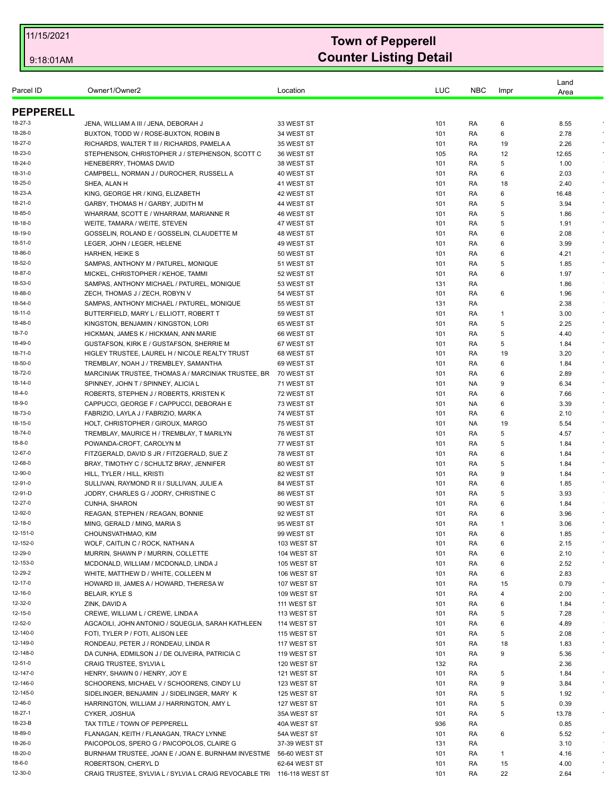| Parcel ID         | Owner1/Owner2                                                                                | Location                 | LUC        | <b>NBC</b> | Impr        | Land<br>Area |            |
|-------------------|----------------------------------------------------------------------------------------------|--------------------------|------------|------------|-------------|--------------|------------|
| <b>PEPPERELL</b>  |                                                                                              |                          |            |            |             |              |            |
| 18-27-3           | JENA, WILLIAM A III / JENA, DEBORAH J                                                        | 33 WEST ST               | 101        | RA         | 6           | 8.55         |            |
| 18-28-0           | BUXTON, TODD W / ROSE-BUXTON, ROBIN B                                                        | 34 WEST ST               | 101        | RA         | 6           | 2.78         |            |
| 18-27-0           | RICHARDS, WALTER T III / RICHARDS, PAMELA A                                                  | 35 WEST ST               | 101        | RA         | 19          | 2.26         |            |
| 18-23-0           | STEPHENSON, CHRISTOPHER J / STEPHENSON, SCOTT C                                              | 36 WEST ST               | 105        | RA         | 12          | 12.65        |            |
| 18-24-0           | HENEBERRY, THOMAS DAVID                                                                      | 38 WEST ST               | 101        | RA         | 5           | 1.00         |            |
| 18-31-0           | CAMPBELL, NORMAN J / DUROCHER, RUSSELL A                                                     | 40 WEST ST               | 101        | RA         | 6           | 2.03         | $\epsilon$ |
| 18-25-0           | SHEA, ALAN H                                                                                 | 41 WEST ST               | 101        | RA         | 18          | 2.40         |            |
| 18-23-A           | KING, GEORGE HR / KING, ELIZABETH                                                            | 42 WEST ST               | 101        | RA         | 6           | 16.48        |            |
| 18-21-0           | GARBY, THOMAS H / GARBY, JUDITH M                                                            | 44 WEST ST               | 101        | RA         | 5           | 3.94         |            |
| 18-85-0           | WHARRAM, SCOTT E / WHARRAM, MARIANNE R                                                       | 46 WEST ST               | 101        | RA         | 5           | 1.86         |            |
| 18-18-0           | WEITE, TAMARA / WEITE, STEVEN                                                                | 47 WEST ST               | 101        | RA         | 5           | 1.91         |            |
| 18-19-0           | GOSSELIN, ROLAND E / GOSSELIN, CLAUDETTE M                                                   | 48 WEST ST               | 101        | RA         | 6           | 2.08         |            |
| 18-51-0           | LEGER, JOHN / LEGER, HELENE                                                                  | 49 WEST ST               | 101        | RA         | 6           | 3.99         |            |
| 18-86-0           | HARHEN, HEIKE S                                                                              | 50 WEST ST               | 101        | RA         | 6           | 4.21         | $\epsilon$ |
| 18-52-0           | SAMPAS, ANTHONY M / PATUREL, MONIQUE                                                         | 51 WEST ST               | 101        | RA         | 5           | 1.85         |            |
| 18-87-0           | MICKEL, CHRISTOPHER / KEHOE, TAMMI                                                           | 52 WEST ST               | 101        | RA         | 6           | 1.97         | $\bullet$  |
| 18-53-0           | SAMPAS, ANTHONY MICHAEL / PATUREL, MONIQUE                                                   | 53 WEST ST               | 131        | RA         |             | 1.86         |            |
| 18-88-0           | ZECH, THOMAS J / ZECH, ROBYN V                                                               | 54 WEST ST               | 101        | RA         | 6           | 1.96         | $\star$    |
| 18-54-0           | SAMPAS, ANTHONY MICHAEL / PATUREL, MONIQUE                                                   | 55 WEST ST               | 131        | RA         |             | 2.38         |            |
| 18-11-0           | BUTTERFIELD, MARY L / ELLIOTT, ROBERT T                                                      | 59 WEST ST               | 101        | RA         | 1           | 3.00         | $\star$    |
| 18-48-0           | KINGSTON, BENJAMIN / KINGSTON, LORI                                                          | 65 WEST ST               | 101        | RA         | 5           | 2.25         |            |
| 18-7-0<br>18-49-0 | HICKMAN, JAMES K / HICKMAN, ANN MARIE                                                        | 66 WEST ST               | 101        | RA         | 5<br>5      | 4.40         |            |
| 18-71-0           | GUSTAFSON, KIRK E / GUSTAFSON, SHERRIE M                                                     | 67 WEST ST               | 101        | RA         |             | 1.84         | $\epsilon$ |
| 18-50-0           | HIGLEY TRUSTEE, LAUREL H / NICOLE REALTY TRUST                                               | 68 WEST ST<br>69 WEST ST | 101        | RA         | 19<br>6     | 3.20         |            |
| 18-72-0           | TREMBLAY, NOAH J / TREMBLEY, SAMANTHA<br>MARCINIAK TRUSTEE, THOMAS A / MARCINIAK TRUSTEE, BR | 70 WEST ST               | 101<br>101 | RA<br>RA   | 6           | 1.84<br>2.89 |            |
| 18-14-0           | SPINNEY, JOHN T / SPINNEY, ALICIA L                                                          | 71 WEST ST               | 101        | NA         | 9           | 6.34         |            |
| 18-4-0            | ROBERTS, STEPHEN J / ROBERTS, KRISTEN K                                                      | 72 WEST ST               | 101        | RA         | 6           | 7.66         |            |
| 18-9-0            | CAPPUCCI, GEORGE F / CAPPUCCI, DEBORAH E                                                     | 73 WEST ST               | 101        | NA.        | 6           | 3.39         |            |
| 18-73-0           | FABRIZIO, LAYLA J / FABRIZIO, MARK A                                                         | 74 WEST ST               | 101        | RA         | 6           | 2.10         | $\bullet$  |
| 18-15-0           | HOLT, CHRISTOPHER / GIROUX, MARGO                                                            | 75 WEST ST               | 101        | NA.        | 19          | 5.54         |            |
| 18-74-0           | TREMBLAY, MAURICE H / TREMBLAY, T MARILYN                                                    | 76 WEST ST               | 101        | RA         | 5           | 4.57         | $\epsilon$ |
| 18-8-0            | POWANDA-CROFT, CAROLYN M                                                                     | 77 WEST ST               | 101        | RA         | 5           | 1.84         | $\epsilon$ |
| 12-67-0           | FITZGERALD, DAVID S JR / FITZGERALD, SUE Z                                                   | 78 WEST ST               | 101        | RA         | 6           | 1.84         |            |
| 12-68-0           | BRAY, TIMOTHY C / SCHULTZ BRAY, JENNIFER                                                     | 80 WEST ST               | 101        | RA         | 5           | 1.84         | $\epsilon$ |
| 12-90-0           | HILL, TYLER / HILL, KRISTI                                                                   | 82 WEST ST               | 101        | RA         | 9           | 1.84         | $\sim$     |
| 12-91-0           | SULLIVAN, RAYMOND R II / SULLIVAN, JULIE A                                                   | 84 WEST ST               | 101        | RA         | 6           | 1.85         |            |
| 12-91-D           | JODRY, CHARLES G / JODRY, CHRISTINE C                                                        | 86 WEST ST               | 101        | RA         | 5           | 3.93         |            |
| 12-27-0           | <b>CUNHA, SHARON</b>                                                                         | 90 WEST ST               | 101        | RA         | 6           | 1.84         |            |
| 12-92-0           | REAGAN, STEPHEN / REAGAN, BONNIE                                                             | 92 WEST ST               | 101        | RA         | 6           | 3.96         |            |
| 12-18-0           | MING, GERALD / MING, MARIA S                                                                 | 95 WEST ST               | 101        | RA         | $\mathbf 1$ | 3.06         |            |
| 12-151-0          | CHOUNSVATHMAO, KIM                                                                           | 99 WEST ST               | 101        | RA         | 6           | 1.85         |            |
| 12-152-0          | WOLF, CAITLIN C / ROCK, NATHAN A                                                             | 103 WEST ST              | 101        | RA         | 6           | 2.15         |            |
| 12-29-0           | MURRIN, SHAWN P / MURRIN, COLLETTE                                                           | 104 WEST ST              | 101        | RA         | 6           | 2.10         |            |
| 12-153-0          | MCDONALD, WILLIAM / MCDONALD, LINDA J                                                        | 105 WEST ST              | 101        | RA         | 6           | 2.52         |            |
| 12-29-2           | WHITE, MATTHEW D / WHITE, COLLEEN M                                                          | 106 WEST ST              | 101        | RA         | 6           | 2.83         |            |
| 12-17-0           | HOWARD III, JAMES A / HOWARD, THERESA W                                                      | 107 WEST ST              | 101        | RA         | 15          | 0.79         | $\epsilon$ |
| 12-16-0           | <b>BELAIR, KYLE S</b>                                                                        | 109 WEST ST              | 101        | RA         | 4           | 2.00         |            |
| 12-32-0           | ZINK, DAVID A                                                                                | 111 WEST ST              | 101        | RA         | 6           | 1.84         | $\bullet$  |
| 12-15-0           | CREWE, WILLIAM L / CREWE, LINDA A                                                            | 113 WEST ST              | 101        | RA         | 5           | 7.28         | $\star$    |
| 12-52-0           | AGCAOILI, JOHN ANTONIO / SQUEGLIA, SARAH KATHLEEN                                            | 114 WEST ST              | 101        | RA         | 6           | 4.89         |            |
| 12-140-0          | FOTI, TYLER P / FOTI, ALISON LEE                                                             | 115 WEST ST              | 101        | RA         | 5           | 2.08         | $\sim$     |
| 12-149-0          | RONDEAU, PETER J / RONDEAU, LINDA R                                                          | 117 WEST ST              | 101        | RA         | 18          | 1.83         |            |
| 12-148-0          | DA CUNHA, EDMILSON J / DE OLIVEIRA, PATRICIA C                                               | 119 WEST ST              | 101        | RA         | 9           | 5.36         |            |
| 12-51-0           | CRAIG TRUSTEE, SYLVIA L                                                                      | 120 WEST ST              | 132        | RA         |             | 2.36         |            |
| 12-147-0          | HENRY, SHAWN 0 / HENRY, JOY E                                                                | 121 WEST ST              | 101        | RA         | 5           | 1.84         |            |
| 12-146-0          | SCHOORENS, MICHAEL V / SCHOORENS, CINDY LU                                                   | 123 WEST ST              | 101        | RA         | 9           | 3.84         |            |
| 12-145-0          | SIDELINGER, BENJAMIN J / SIDELINGER, MARY K                                                  | 125 WEST ST              | 101        | RA         | 5           | 1.92         |            |
| 12-46-0           | HARRINGTON, WILLIAM J / HARRINGTON, AMY L                                                    | 127 WEST ST              | 101        | RA         | 5           | 0.39         | ۰          |
| 18-27-1           | CYKER, JOSHUA                                                                                | 35A WEST ST              | 101        | RA         | 5           | 13.78        |            |
| 18-23-B           | TAX TITLE / TOWN OF PEPPERELL                                                                | 40A WEST ST              | 936        | RA         |             | 0.85         |            |
| 18-89-0           | FLANAGAN, KEITH / FLANAGAN, TRACY LYNNE                                                      | 54A WEST ST              | 101        | RA         | 6           | 5.52         | $\star$    |
| 18-26-0           | PAICOPOLOS, SPERO G / PAICOPOLOS, CLAIRE G                                                   | 37-39 WEST ST            | 131        | RA         |             | 3.10         | $\bullet$  |
| 18-20-0           | BURNHAM TRUSTEE, JOAN E / JOAN E. BURNHAM INVESTME                                           | 56-60 WEST ST            | 101        | RA         | 1           | 4.16         |            |
| 18-6-0            | ROBERTSON, CHERYL D                                                                          | 62-64 WEST ST            | 101        | RA         | 15          | 4.00         |            |
| 12-30-0           | CRAIG TRUSTEE, SYLVIA L / SYLVIA L CRAIG REVOCABLE TRI                                       | 116-118 WEST ST          | 101        | RA         | 22          | 2.64         |            |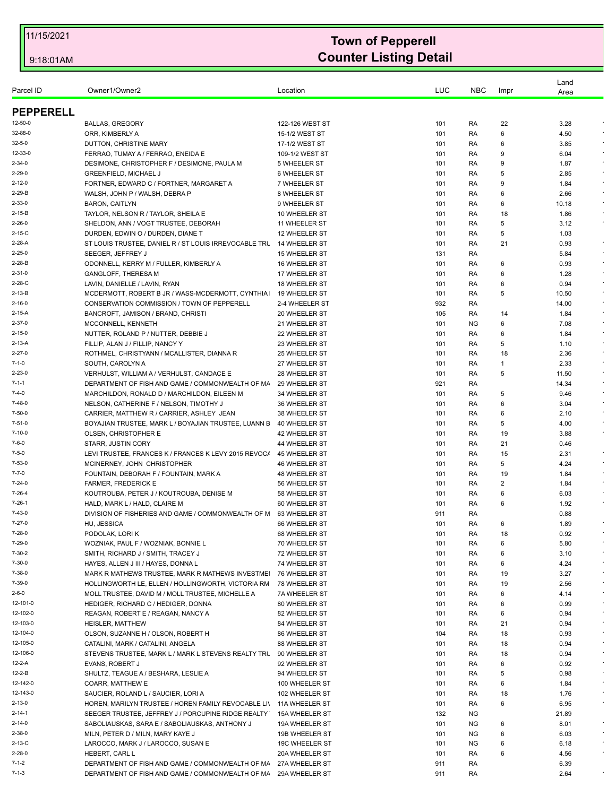|                              |                                                                                         |                                |            |            |                | Land         |            |
|------------------------------|-----------------------------------------------------------------------------------------|--------------------------------|------------|------------|----------------|--------------|------------|
| Parcel ID                    | Owner1/Owner2                                                                           | Location                       | LUC        | <b>NBC</b> | Impr           | Area         |            |
| <b>PEPPERELL</b>             |                                                                                         |                                |            |            |                |              |            |
| 12-50-0                      | <b>BALLAS, GREGORY</b>                                                                  | 122-126 WEST ST                | 101        | RA         | 22             | 3.28         |            |
| 32-88-0                      | ORR. KIMBERLY A                                                                         | 15-1/2 WEST ST                 | 101        | RA         | 6              | 4.50         |            |
| $32 - 5 - 0$                 | DUTTON, CHRISTINE MARY                                                                  | 17-1/2 WEST ST                 | 101        | RA         | 6              | 3.85         |            |
| 12-33-0                      | FERRAO, TUMAY A / FERRAO, ENEIDA E                                                      | 109-1/2 WEST ST                | 101        | RA         | 9              | 6.04         |            |
| $2 - 34 - 0$                 | DESIMONE, CHRISTOPHER F / DESIMONE, PAULA M                                             | 5 WHEELER ST                   | 101        | RA         | 9              | 1.87         |            |
| $2 - 29 - 0$                 | <b>GREENFIELD, MICHAEL J</b>                                                            | <b>6 WHEELER ST</b>            | 101        | RA         | 5              | 2.85         |            |
| $2 - 12 - 0$                 | FORTNER, EDWARD C / FORTNER, MARGARET A                                                 | 7 WHEELER ST                   | 101        | RA         | 9              | 1.84         | $\epsilon$ |
| $2 - 29 - B$                 | WALSH, JOHN P / WALSH, DEBRA P                                                          | 8 WHEELER ST                   | 101        | RA         | 6              | 2.66         |            |
| $2 - 33 - 0$                 | <b>BARON, CAITLYN</b>                                                                   | 9 WHEELER ST                   | 101        | RA         | 6              | 10.18        |            |
| $2 - 15 - B$                 | TAYLOR, NELSON R / TAYLOR, SHEILA E                                                     | 10 WHEELER ST                  | 101        | RA         | 18             | 1.86         |            |
| $2 - 26 - 0$                 | SHELDON, ANN / VOGT TRUSTEE, DEBORAH                                                    | 11 WHEELER ST                  | 101        | RA         | 5              | 3.12         | $\sim$     |
| $2 - 15 - C$                 | DURDEN, EDWIN O / DURDEN, DIANE T                                                       | 12 WHEELER ST                  | 101        | RA         | 5              | 1.03         |            |
| 2-28-A                       | ST LOUIS TRUSTEE, DANIEL R / ST LOUIS IRREVOCABLE TRU                                   | 14 WHEELER ST                  | 101        | RA         | 21             | 0.93         | $\bullet$  |
| $2 - 25 - 0$                 | SEEGER, JEFFREY J                                                                       | <b>15 WHEELER ST</b>           | 131        | RA         |                | 5.84         |            |
| $2 - 28 - B$                 | ODONNELL, KERRY M / FULLER, KIMBERLY A                                                  | 16 WHEELER ST                  | 101        | RA         | 6              | 0.93         | $\epsilon$ |
| $2 - 31 - 0$                 | <b>GANGLOFF, THERESA M</b>                                                              | 17 WHEELER ST                  | 101        | RA         | 6              | 1.28         |            |
| 2-28-C                       | LAVIN, DANIELLE / LAVIN, RYAN                                                           | <b>18 WHEELER ST</b>           | 101        | RA         | 6              | 0.94         |            |
| $2 - 13 - B$                 | MCDERMOTT, ROBERT B JR / WASS-MCDERMOTT, CYNTHIA                                        | 19 WHEELER ST                  | 101        | RA         | 5              | 10.50        | $\bullet$  |
| $2 - 16 - 0$                 | CONSERVATION COMMISSION / TOWN OF PEPPERELL                                             | 2-4 WHEELER ST                 | 932        | RA         |                | 14.00        | $\star$    |
| $2 - 15 - A$                 | BANCROFT, JAMISON / BRAND, CHRISTI                                                      | 20 WHEELER ST                  | 105        | RA         | 14             | 1.84         |            |
| $2 - 37 - 0$                 | MCCONNELL, KENNETH                                                                      | 21 WHEELER ST                  | 101        | <b>NG</b>  | 6              | 7.08         | $\sim$     |
| $2 - 15 - 0$<br>$2 - 13 - A$ | NUTTER, ROLAND P / NUTTER, DEBBIE J<br>FILLIP, ALAN J / FILLIP, NANCY Y                 | 22 WHEELER ST<br>23 WHEELER ST | 101<br>101 | RA<br>RA   | 6<br>5         | 1.84<br>1.10 |            |
| $2 - 27 - 0$                 | ROTHMEL, CHRISTYANN / MCALLISTER, DIANNA R                                              | 25 WHEELER ST                  | 101        |            | 18             | 2.36         | $\bullet$  |
| $7 - 1 - 0$                  | SOUTH, CAROLYN A                                                                        | 27 WHEELER ST                  | 101        | RA<br>RA   | 1              | 2.33         |            |
| $2 - 23 - 0$                 | VERHULST, WILLIAM A / VERHULST, CANDACE E                                               | 28 WHEELER ST                  | 101        | RA         | 5              | 11.50        | $\bullet$  |
| $7 - 1 - 1$                  | DEPARTMENT OF FISH AND GAME / COMMONWEALTH OF MA                                        | 29 WHEELER ST                  | 921        | RA         |                | 14.34        |            |
| $7 - 4 - 0$                  | MARCHILDON, RONALD D / MARCHILDON, EILEEN M                                             | 34 WHEELER ST                  | 101        | RA         | 5              | 9.46         |            |
| $7 - 48 - 0$                 | NELSON, CATHERINE F / NELSON, TIMOTHY J                                                 | 36 WHEELER ST                  | 101        | RA         | 6              | 3.04         | $\sim$     |
| $7 - 50 - 0$                 | CARRIER, MATTHEW R / CARRIER, ASHLEY JEAN                                               | 38 WHEELER ST                  | 101        | RA         | 6              | 2.10         |            |
| $7 - 51 - 0$                 | BOYAJIAN TRUSTEE, MARK L / BOYAJIAN TRUSTEE, LUANN E                                    | 40 WHEELER ST                  | 101        | RA         | 5              | 4.00         |            |
| $7 - 10 - 0$                 | OLSEN, CHRISTOPHER E                                                                    | 42 WHEELER ST                  | 101        | RA         | 19             | 3.88         | $\bullet$  |
| $7 - 6 - 0$                  | <b>STARR, JUSTIN CORY</b>                                                               | 44 WHEELER ST                  | 101        | RA         | 21             | 0.46         |            |
| $7 - 5 - 0$                  | LEVI TRUSTEE, FRANCES K / FRANCES K LEVY 2015 REVOC/                                    | 45 WHEELER ST                  | 101        | RA         | 15             | 2.31         | $\epsilon$ |
| 7-53-0                       | MCINERNEY, JOHN CHRISTOPHER                                                             | 46 WHEELER ST                  | 101        | RA         | 5              | 4.24         | $\sim$     |
| $7 - 7 - 0$                  | FOUNTAIN, DEBORAH F / FOUNTAIN, MARK A                                                  | 48 WHEELER ST                  | 101        | RA         | 19             | 1.84         |            |
| 7-24-0                       | <b>FARMER, FREDERICK E</b>                                                              | 56 WHEELER ST                  | 101        | RA         | $\overline{2}$ | 1.84         | $\epsilon$ |
| $7 - 26 - 4$                 | KOUTROUBA, PETER J / KOUTROUBA, DENISE M                                                | 58 WHEELER ST                  | 101        | RA         | 6              | 6.03         |            |
| $7 - 26 - 1$                 | HALD, MARK L / HALD, CLAIRE M                                                           | 60 WHEELER ST                  | 101        | RA         | 6              | 1.92         |            |
| $7 - 43 - 0$                 | DIVISION OF FISHERIES AND GAME / COMMONWEALTH OF M                                      | 63 WHEELER ST                  | 911        | RA         |                | 0.88         |            |
| $7 - 27 - 0$                 | HU, JESSICA                                                                             | 66 WHEELER ST                  | 101        | RA         | 6              | 1.89         |            |
| $7 - 28 - 0$                 | PODOLAK, LORI K                                                                         | 68 WHEELER ST                  | 101        | RA         | 18             | 0.92         |            |
| 7-29-0<br>$7 - 30 - 2$       | WOZNIAK, PAUL F / WOZNIAK, BONNIE L<br>SMITH, RICHARD J / SMITH, TRACEY J               | 70 WHEELER ST                  | 101        | RA         | 6              | 5.80         |            |
| $7 - 30 - 0$                 |                                                                                         | 72 WHEELER ST                  | 101        | RA         | 6              | 3.10         |            |
| 7-38-0                       | HAYES, ALLEN J III / HAYES, DONNA L<br>MARK R MATHEWS TRUSTEE, MARK R MATHEWS INVESTMEI | 74 WHEELER ST<br>76 WHEELER ST | 101<br>101 | RA<br>RA   | 6<br>19        | 4.24<br>3.27 | $\epsilon$ |
| 7-39-0                       | HOLLINGWORTH LE, ELLEN / HOLLINGWORTH, VICTORIA RM                                      | 78 WHEELER ST                  | 101        | RA         | 19             | 2.56         |            |
| $2 - 6 - 0$                  | MOLL TRUSTEE, DAVID M / MOLL TRUSTEE, MICHELLE A                                        | 7A WHEELER ST                  | 101        | RA         | 6              | 4.14         | $\bullet$  |
| 12-101-0                     | HEDIGER, RICHARD C / HEDIGER, DONNA                                                     | 80 WHEELER ST                  | 101        | RA         | 6              | 0.99         |            |
| 12-102-0                     | REAGAN, ROBERT E / REAGAN, NANCY A                                                      | 82 WHEELER ST                  | 101        | RA         | 6              | 0.94         | $\epsilon$ |
| 12-103-0                     | HEISLER, MATTHEW                                                                        | 84 WHEELER ST                  | 101        | RA         | 21             | 0.94         | $\epsilon$ |
| 12-104-0                     | OLSON, SUZANNE H / OLSON, ROBERT H                                                      | 86 WHEELER ST                  | 104        | RA         | 18             | 0.93         | $\star$    |
| 12-105-0                     | CATALINI, MARK / CATALINI, ANGELA                                                       | 88 WHEELER ST                  | 101        | RA         | 18             | 0.94         |            |
| 12-106-0                     | STEVENS TRUSTEE, MARK L / MARK L STEVENS REALTY TRL 90 WHEELER ST                       |                                | 101        | RA         | 18             | 0.94         | $\bullet$  |
| 12-2-A                       | EVANS, ROBERT J                                                                         | 92 WHEELER ST                  | 101        | RA         | 6              | 0.92         | $\bullet$  |
| 12-2-B                       | SHULTZ, TEAGUE A / BESHARA, LESLIE A                                                    | 94 WHEELER ST                  | 101        | RA         | 5              | 0.98         |            |
| 12-142-0                     | COARR, MATTHEW E                                                                        | 100 WHEELER ST                 | 101        | RA         | 6              | 1.84         | $\sim$     |
| 12-143-0                     | SAUCIER, ROLAND L / SAUCIER, LORI A                                                     | 102 WHEELER ST                 | 101        | RA         | 18             | 1.76         |            |
| $2 - 13 - 0$                 | HOREN, MARILYN TRUSTEE / HOREN FAMILY REVOCABLE LIN                                     | 11A WHEELER ST                 | 101        | RA         | 6              | 6.95         |            |
| $2 - 14 - 1$                 | SEEGER TRUSTEE, JEFFREY J / PORCUPINE RIDGE REALTY                                      | 15A WHEELER ST                 | 132        | <b>NG</b>  |                | 21.89        |            |
| $2 - 14 - 0$                 | SABOLIAUSKAS, SARA E / SABOLIAUSKAS, ANTHONY J                                          | 19A WHEELER ST                 | 101        | NG         | 6              | 8.01         | $\epsilon$ |
| $2 - 38 - 0$                 | MILN, PETER D / MILN, MARY KAYE J                                                       | 19B WHEELER ST                 | 101        | NG         | 6              | 6.03         |            |
| $2 - 13 - C$                 | LAROCCO, MARK J / LAROCCO, SUSAN E                                                      | 19C WHEELER ST                 | 101        | <b>NG</b>  | 6              | 6.18         |            |
| $2 - 28 - 0$                 | HEBERT, CARL L                                                                          | 20A WHEELER ST                 | 101        | RA         | 6              | 4.56         |            |
| $7 - 1 - 2$                  | DEPARTMENT OF FISH AND GAME / COMMONWEALTH OF MA                                        | 27A WHEELER ST                 | 911        | RA         |                | 6.39         |            |
| $7 - 1 - 3$                  | DEPARTMENT OF FISH AND GAME / COMMONWEALTH OF MA                                        | 29A WHEELER ST                 | 911        | RA         |                | 2.64         |            |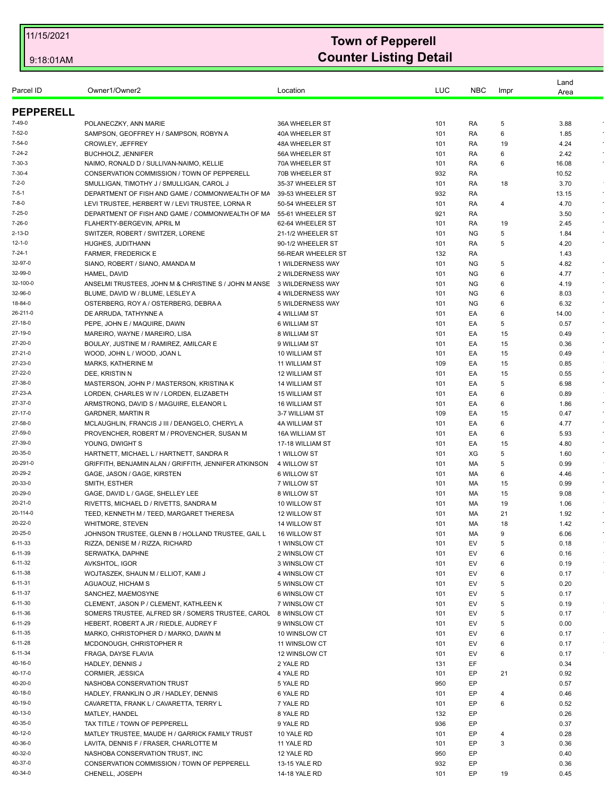|                    |                                                               |                                    |            |            |         | Land         |            |
|--------------------|---------------------------------------------------------------|------------------------------------|------------|------------|---------|--------------|------------|
| Parcel ID          | Owner1/Owner2                                                 | Location                           | LUC        | <b>NBC</b> | Impr    | Area         |            |
| <b>PEPPERELL</b>   |                                                               |                                    |            |            |         |              |            |
| $7 - 49 - 0$       | POLANECZKY, ANN MARIE                                         | 36A WHEELER ST                     | 101        | RA         | 5       | 3.88         |            |
| 7-52-0             | SAMPSON, GEOFFREY H / SAMPSON, ROBYN A                        | 40A WHEELER ST                     | 101        | RA         | 6       | 1.85         |            |
| $7 - 54 - 0$       | CROWLEY, JEFFREY                                              | 48A WHEELER ST                     | 101        | RA         | 19      | 4.24         |            |
| $7 - 24 - 2$       | <b>BUCHHOLZ, JENNIFER</b>                                     | 56A WHEELER ST                     | 101        | RA         | 6       | 2.42         |            |
| $7 - 30 - 3$       | NAIMO, RONALD D / SULLIVAN-NAIMO, KELLIE                      | 70A WHEELER ST                     | 101        | RA         | 6       | 16.08        |            |
| $7 - 30 - 4$       | CONSERVATION COMMISSION / TOWN OF PEPPERELL                   | 70B WHEELER ST                     | 932        | RA         |         | 10.52        |            |
| 7-2-0              | SMULLIGAN, TIMOTHY J / SMULLIGAN, CAROL J                     | 35-37 WHEELER ST                   | 101        | RA         | 18      | 3.70         |            |
| $7 - 5 - 1$        | DEPARTMENT OF FISH AND GAME / COMMONWEALTH OF MA              | 39-53 WHEELER ST                   | 932        | RA         |         | 13.15        | $\sim$     |
| $7 - 8 - 0$        | LEVI TRUSTEE, HERBERT W / LEVI TRUSTEE, LORNA R               | 50-54 WHEELER ST                   | 101        | RA         | 4       | 4.70         |            |
| $7 - 25 - 0$       | DEPARTMENT OF FISH AND GAME / COMMONWEALTH OF MA              | 55-61 WHEELER ST                   | 921        | RA         |         | 3.50         | $\star$    |
| 7-26-0             | FLAHERTY-BERGEVIN, APRIL M                                    | 62-64 WHEELER ST                   | 101        | RA         | 19      | 2.45         | $\epsilon$ |
| $2 - 13 - D$       | SWITZER, ROBERT / SWITZER, LORENE                             | 21-1/2 WHEELER ST                  | 101        | NG.        | 5       | 1.84         | $\bullet$  |
| $12 - 1 - 0$       | HUGHES, JUDITHANN                                             | 90-1/2 WHEELER ST                  | 101        | RA         | 5       | 4.20         |            |
| $7 - 24 - 1$       | <b>FARMER, FREDERICK E</b>                                    | 56-REAR WHEELER ST                 | 132        | RA         |         | 1.43         |            |
| 32-97-0            | SIANO, ROBERT / SIANO, AMANDA M                               | 1 WILDERNESS WAY                   | 101        | <b>NG</b>  | 5       | 4.82         | $\epsilon$ |
| 32-99-0            | HAMEL, DAVID                                                  | 2 WILDERNESS WAY                   | 101        | <b>NG</b>  | 6       | 4.77         | $\sim$     |
| 32-100-0           | ANSELMI TRUSTEES, JOHN M & CHRISTINE S / JOHN M ANSE          | 3 WILDERNESS WAY                   | 101        | <b>NG</b>  | 6       | 4.19         |            |
| 32-96-0            | BLUME, DAVID W / BLUME, LESLEY A                              | 4 WILDERNESS WAY                   | 101        | NG.        | 6       | 8.03         |            |
| 18-84-0            | OSTERBERG, ROY A / OSTERBERG, DEBRA A                         | 5 WILDERNESS WAY                   | 101        | <b>NG</b>  | 6       | 6.32         | $\sim$     |
| 26-211-0           | DE ARRUDA, TATHYNNE A                                         | 4 WILLIAM ST                       | 101        | EA         | 6       | 14.00        |            |
| 27-18-0            | PEPE, JOHN E / MAQUIRE, DAWN                                  | 6 WILLIAM ST                       | 101        | EA         | 5       | 0.57         |            |
| 27-19-0            | MAREIRO, WAYNE / MAREIRO, LISA                                | 8 WILLIAM ST                       | 101        | EA         | 15      | 0.49         | $\epsilon$ |
| 27-20-0            | BOULAY, JUSTINE M / RAMIREZ, AMILCAR E                        | 9 WILLIAM ST                       | 101        | EA         | 15      | 0.36         | $\bullet$  |
| 27-21-0            | WOOD, JOHN L / WOOD, JOAN L                                   | 10 WILLIAM ST                      | 101        | EA         | 15      | 0.49         | $\sim$     |
| 27-23-0            | MARKS, KATHERINE M                                            | <b>11 WILLIAM ST</b>               | 109        | EA         | 15      | 0.85         |            |
| 27-22-0            | DEE, KRISTIN N                                                | <b>12 WILLIAM ST</b>               | 101        | EA         | 15      | 0.55         | $\star$    |
| 27-38-0            | MASTERSON, JOHN P / MASTERSON, KRISTINA K                     | <b>14 WILLIAM ST</b>               | 101        | EA         | 5       | 6.98         | $\epsilon$ |
| 27-23-A            | LORDEN, CHARLES W IV / LORDEN, ELIZABETH                      | 15 WILLIAM ST                      | 101        | EA         | 6       | 0.89         | $\sim$     |
| 27-37-0            | ARMSTRONG, DAVID S / MAGUIRE, ELEANOR L                       | 16 WILLIAM ST                      | 101        | EA         | 6       | 1.86         | $\sim$     |
| 27-17-0<br>27-58-0 | <b>GARDNER, MARTIN R</b>                                      | 3-7 WILLIAM ST                     | 109        | EA         | 15      | 0.47         | $\sim$     |
| 27-59-0            | MCLAUGHLIN, FRANCIS J III / DEANGELO, CHERYL A                | 4A WILLIAM ST                      | 101        | EA         | 6       | 4.77         | $\epsilon$ |
| 27-39-0            | PROVENCHER, ROBERT M / PROVENCHER, SUSAN M<br>YOUNG, DWIGHT S | 16A WILLIAM ST<br>17-18 WILLIAM ST | 101<br>101 | EA<br>EA   | 6<br>15 | 5.93<br>4.80 |            |
| 20-35-0            | HARTNETT, MICHAEL L / HARTNETT, SANDRA R                      | 1 WILLOW ST                        | 101        | XG         | 5       | 1.60         | $\sim$     |
| 20-291-0           | GRIFFITH, BENJAMIN ALAN / GRIFFITH, JENNIFER ATKINSON         | 4 WILLOW ST                        | 101        | МA         | 5       | 0.99         |            |
| 20-29-2            | GAGE, JASON / GAGE, KIRSTEN                                   | 6 WILLOW ST                        | 101        | МA         | 6       | 4.46         | $\epsilon$ |
| 20-33-0            | SMITH, ESTHER                                                 | 7 WILLOW ST                        | 101        | MA         | 15      | 0.99         | $\sim$     |
| 20-29-0            | GAGE, DAVID L / GAGE, SHELLEY LEE                             | 8 WILLOW ST                        | 101        | МA         | 15      | 9.08         | $\star$    |
| 20-21-0            | RIVETTS, MICHAEL D / RIVETTS, SANDRA M                        | 10 WILLOW ST                       | 101        | МA         | 19      | 1.06         |            |
| 20-114-0           | TEED, KENNETH M / TEED, MARGARET THERESA                      | 12 WILLOW ST                       | 101        | МA         | 21      | 1.92         |            |
| 20-22-0            | WHITMORE, STEVEN                                              | 14 WILLOW ST                       | 101        | MA         | 18      | 1.42         |            |
| 20-25-0            | JOHNSON TRUSTEE, GLENN B / HOLLAND TRUSTEE, GAIL L            | 16 WILLOW ST                       | 101        | МA         | 9       | 6.06         |            |
| 6-11-33            | RIZZA, DENISE M / RIZZA, RICHARD                              | 1 WINSLOW CT                       | 101        | EV         | 5       | 0.18         |            |
| 6-11-39            | SERWATKA, DAPHNE                                              | 2 WINSLOW CT                       | 101        | EV         | 6       | 0.16         |            |
| 6-11-32            | AVKSHTOL, IGOR                                                | 3 WINSLOW CT                       | 101        | EV         | 6       | 0.19         |            |
| 6-11-38            | WOJTASZEK, SHAUN M / ELLIOT, KAMI J                           | 4 WINSLOW CT                       | 101        | EV         | 6       | 0.17         |            |
| 6-11-31            | AGUAOUZ. HICHAM S                                             | 5 WINSLOW CT                       | 101        | EV         | 5       | 0.20         |            |
| 6-11-37            | SANCHEZ, MAEMOSYNE                                            | 6 WINSLOW CT                       | 101        | EV         | 5       | 0.17         |            |
| 6-11-30            | CLEMENT, JASON P / CLEMENT, KATHLEEN K                        | 7 WINSLOW CT                       | 101        | EV         | 5       | 0.19         |            |
| 6-11-36            | SOMERS TRUSTEE, ALFRED SR / SOMERS TRUSTEE, CAROL             | 8 WINSLOW CT                       | 101        | EV         | 5       | 0.17         |            |
| 6-11-29            | HEBERT, ROBERT A JR / RIEDLE, AUDREY F                        | 9 WINSLOW CT                       | 101        | EV         | 5       | 0.00         |            |
| 6-11-35            | MARKO, CHRISTOPHER D / MARKO, DAWN M                          | 10 WINSLOW CT                      | 101        | EV         | 6       | 0.17         | $\sim$     |
| 6-11-28            | MCDONOUGH, CHRISTOPHER R                                      | 11 WINSLOW CT                      | 101        | EV         | 6       | 0.17         |            |
| 6-11-34            | FRAGA, DAYSE FLAVIA                                           | 12 WINSLOW CT                      | 101        | EV         | 6       | 0.17         |            |
| 40-16-0            | HADLEY, DENNIS J                                              | 2 YALE RD                          | 131        | EF         |         | 0.34         |            |
| 40-17-0            | CORMIER, JESSICA                                              | 4 YALE RD                          | 101        | EP         | 21      | 0.92         |            |
| 40-20-0            | NASHOBA CONSERVATION TRUST                                    | 5 YALE RD                          | 950        | EP         |         | 0.57         |            |
| 40-18-0            | HADLEY, FRANKLIN O JR / HADLEY, DENNIS                        | 6 YALE RD                          | 101        | EP         | 4       | 0.46         |            |
| 40-19-0            | CAVARETTA, FRANK L / CAVARETTA, TERRY L                       | 7 YALE RD                          | 101        | EP         | 6       | 0.52         |            |
| 40-13-0            | MATLEY, HANDEL                                                | 8 YALE RD                          | 132        | EP         |         | 0.26         |            |
| 40-35-0            | TAX TITLE / TOWN OF PEPPERELL                                 | 9 YALE RD                          | 936        | EP         |         | 0.37         |            |
| 40-12-0            | MATLEY TRUSTEE, MAUDE H / GARRICK FAMILY TRUST                | 10 YALE RD                         | 101        | EP         | 4       | 0.28         |            |
| 40-36-0            | LAVITA, DENNIS F / FRASER, CHARLOTTE M                        | 11 YALE RD                         | 101        | EP         | 3       | 0.36         |            |
| 40-32-0            | NASHOBA CONSERVATION TRUST, INC                               | 12 YALE RD                         | 950        | EP         |         | 0.40         |            |
| 40-37-0            | CONSERVATION COMMISSION / TOWN OF PEPPERELL                   | 13-15 YALE RD                      | 932        | EP         |         | 0.36         |            |
| 40-34-0            | CHENELL, JOSEPH                                               | 14-18 YALE RD                      | 101        | EP         | 19      | 0.45         |            |